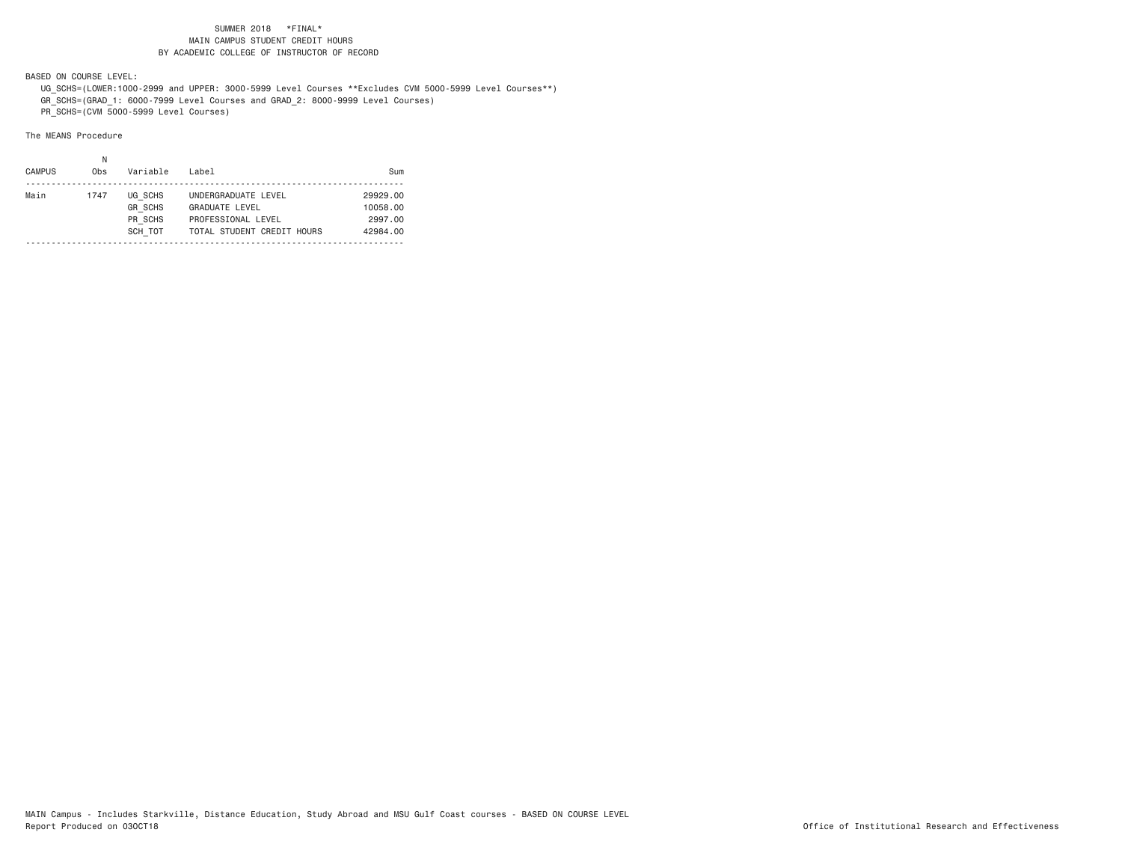BASED ON COURSE LEVEL:

 UG\_SCHS=(LOWER:1000-2999 and UPPER: 3000-5999 Level Courses \*\*Excludes CVM 5000-5999 Level Courses\*\*) GR\_SCHS=(GRAD\_1: 6000-7999 Level Courses and GRAD\_2: 8000-9999 Level Courses)

PR\_SCHS=(CVM 5000-5999 Level Courses)

| <b>CAMPUS</b><br>0 <sub>bs</sub> |                                                 | Label                                                                                            | Sum                                         |
|----------------------------------|-------------------------------------------------|--------------------------------------------------------------------------------------------------|---------------------------------------------|
| Main<br>1747                     | UG SCHS<br><b>GR SCHS</b><br>PR SCHS<br>SCH TOT | UNDERGRADUATE LEVEL<br><b>GRADUATE LEVEL</b><br>PROFESSIONAL LEVEL<br>TOTAL STUDENT CREDIT HOURS | 29929.00<br>10058.00<br>2997.00<br>42984.00 |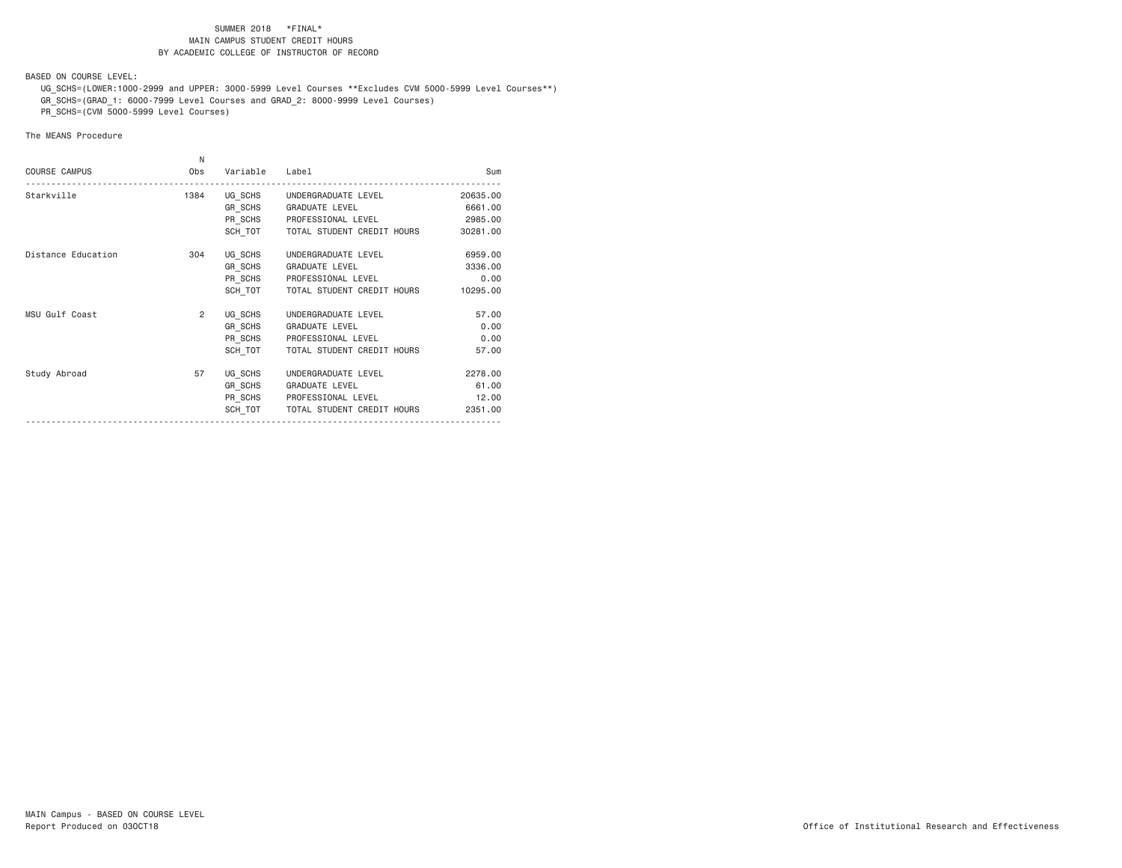BASED ON COURSE LEVEL:

 UG\_SCHS=(LOWER:1000-2999 and UPPER: 3000-5999 Level Courses \*\*Excludes CVM 5000-5999 Level Courses\*\*) GR\_SCHS=(GRAD\_1: 6000-7999 Level Courses and GRAD\_2: 8000-9999 Level Courses)

PR\_SCHS=(CVM 5000-5999 Level Courses)

| <b>COURSE CAMPUS</b><br>Obs<br>Variable Label<br>Starkville<br>UG SCHS UNDERGRADUATE LEVEL<br>1384<br>GR SCHS GRADUATE LEVEL<br>PR_SCHS PROFESSIONAL LEVEL | N |  |          |
|------------------------------------------------------------------------------------------------------------------------------------------------------------|---|--|----------|
|                                                                                                                                                            |   |  | Sum      |
|                                                                                                                                                            |   |  | 20635.00 |
|                                                                                                                                                            |   |  | 6661.00  |
|                                                                                                                                                            |   |  | 2985.00  |
| SCH TOT   TOTAL STUDENT CREDIT HOURS                                                                                                                       |   |  | 30281.00 |
| Distance Education<br>304<br>UG SCHS<br>UNDERGRADUATE LEVEL                                                                                                |   |  | 6959.00  |
| GR SCHS GRADUATE LEVEL                                                                                                                                     |   |  | 3336.00  |
| PR_SCHS PROFESSIONAL LEVEL                                                                                                                                 |   |  | 0.00     |
| SCH TOT<br>TOTAL STUDENT CREDIT HOURS                                                                                                                      |   |  | 10295.00 |
| MSU Gulf Coast<br>$\overline{2}$<br>UG SCHS<br>UNDERGRADUATE LEVEL                                                                                         |   |  | 57.00    |
| GR_SCHS GRADUATE LEVEL                                                                                                                                     |   |  | 0.00     |
| PR SCHS PROFESSIONAL LEVEL                                                                                                                                 |   |  | 0.00     |
| SCH TOT<br>TOTAL STUDENT CREDIT HOURS                                                                                                                      |   |  | 57.00    |
| Study Abroad<br>57<br>UG SCHS UNDERGRADUATE LEVEL                                                                                                          |   |  | 2278.00  |
| GR SCHS<br><b>GRADUATE LEVEL</b>                                                                                                                           |   |  | 61.00    |
| PR_SCHS PROFESSIONAL LEVEL                                                                                                                                 |   |  | 12.00    |
| SCH TOT TOTAL STUDENT CREDIT HOURS                                                                                                                         |   |  | 2351,00  |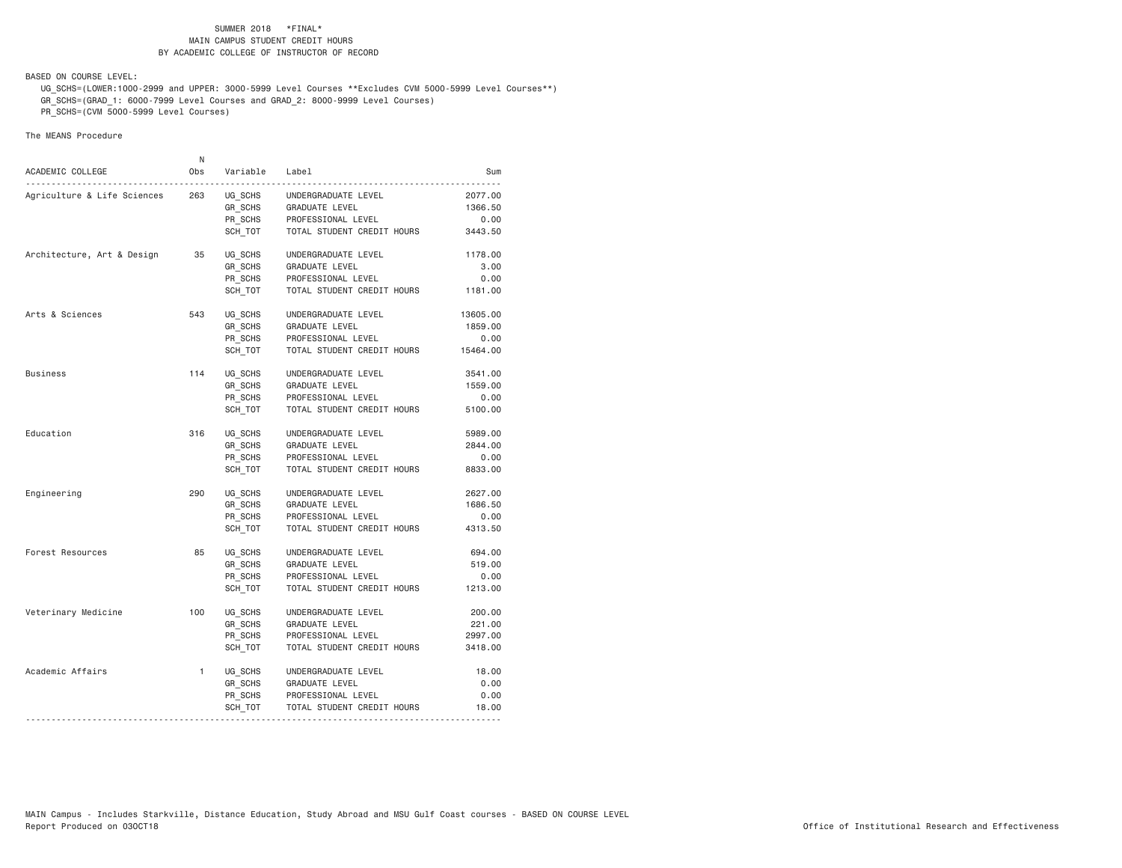BASED ON COURSE LEVEL:

 UG\_SCHS=(LOWER:1000-2999 and UPPER: 3000-5999 Level Courses \*\*Excludes CVM 5000-5999 Level Courses\*\*) GR\_SCHS=(GRAD\_1: 6000-7999 Level Courses and GRAD\_2: 8000-9999 Level Courses)

PR\_SCHS=(CVM 5000-5999 Level Courses)

| ACADEMIC COLLEGE            | N<br>0bs     | Variable                                        | Label                                                                                            | Sum                                     |
|-----------------------------|--------------|-------------------------------------------------|--------------------------------------------------------------------------------------------------|-----------------------------------------|
| Agriculture & Life Sciences | 263          | UG SCHS<br>GR SCHS<br>PR SCHS<br>SCH TOT        | UNDERGRADUATE LEVEL<br>GRADUATE LEVEL<br>PROFESSIONAL LEVEL<br>TOTAL STUDENT CREDIT HOURS        | 2077.00<br>1366.50<br>0.00<br>3443.50   |
| Architecture, Art & Design  | 35           | UG SCHS<br><b>GR SCHS</b><br>PR_SCHS<br>SCH TOT | UNDERGRADUATE LEVEL<br>GRADUATE LEVEL<br>PROFESSIONAL LEVEL<br>TOTAL STUDENT CREDIT HOURS        | 1178.00<br>3.00<br>0.00<br>1181.00      |
| Arts & Sciences             | 543          | UG SCHS<br>GR SCHS<br>PR SCHS<br>SCH TOT        | UNDERGRADUATE LEVEL<br>GRADUATE LEVEL<br>PROFESSIONAL LEVEL<br>TOTAL STUDENT CREDIT HOURS        | 13605.00<br>1859.00<br>0.00<br>15464.00 |
| <b>Business</b>             | 114          | UG SCHS<br>GR SCHS<br>PR SCHS<br>SCH TOT        | UNDERGRADUATE LEVEL<br><b>GRADUATE LEVEL</b><br>PROFESSIONAL LEVEL<br>TOTAL STUDENT CREDIT HOURS | 3541.00<br>1559.00<br>0.00<br>5100.00   |
| Education                   | 316          | UG SCHS<br>GR_SCHS<br>PR_SCHS<br>SCH TOT        | UNDERGRADUATE LEVEL<br>GRADUATE LEVEL<br>PROFESSIONAL LEVEL<br>TOTAL STUDENT CREDIT HOURS        | 5989.00<br>2844.00<br>0.00<br>8833.00   |
| Engineering                 | 290          | UG SCHS<br>GR SCHS<br>PR SCHS<br>SCH TOT        | UNDERGRADUATE LEVEL<br><b>GRADUATE LEVEL</b><br>PROFESSIONAL LEVEL<br>TOTAL STUDENT CREDIT HOURS | 2627.00<br>1686.50<br>0.00<br>4313.50   |
| Forest Resources            | 85           | UG SCHS<br>GR SCHS<br>PR SCHS<br>SCH TOT        | UNDERGRADUATE LEVEL<br>GRADUATE LEVEL<br>PROFESSIONAL LEVEL<br>TOTAL STUDENT CREDIT HOURS        | 694.00<br>519.00<br>0.00<br>1213.00     |
| Veterinary Medicine         | 100          | UG SCHS<br>GR SCHS<br>PR SCHS<br>SCH TOT        | UNDERGRADUATE LEVEL<br>GRADUATE LEVEL<br>PROFESSIONAL LEVEL<br>TOTAL STUDENT CREDIT HOURS        | 200.00<br>221.00<br>2997.00<br>3418.00  |
| Academic Affairs            | $\mathbf{1}$ | UG SCHS<br>GR SCHS<br>PR SCHS<br>SCH_TOT        | UNDERGRADUATE LEVEL<br>GRADUATE LEVEL<br>PROFESSIONAL LEVEL<br>TOTAL STUDENT CREDIT HOURS        | 18.00<br>0.00<br>0.00<br>18.00          |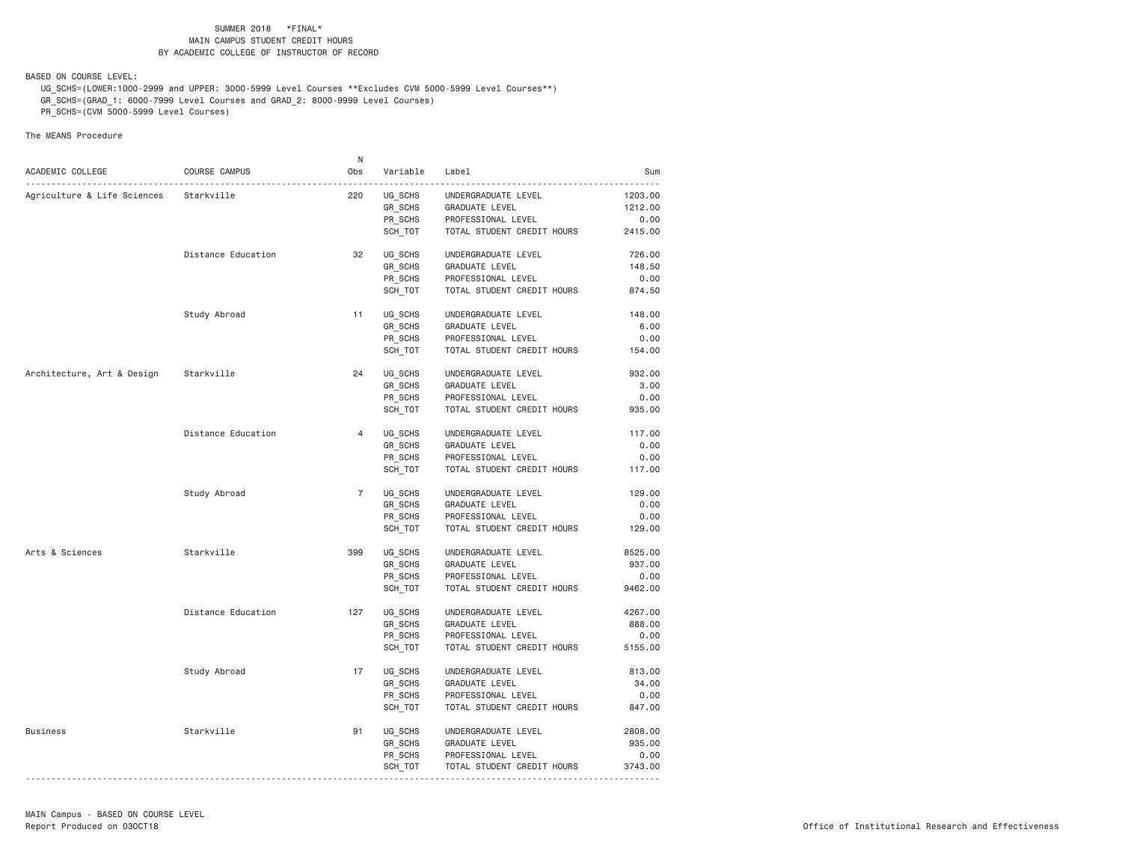BASED ON COURSE LEVEL:

 UG\_SCHS=(LOWER:1000-2999 and UPPER: 3000-5999 Level Courses \*\*Excludes CVM 5000-5999 Level Courses\*\*) GR\_SCHS=(GRAD\_1: 6000-7999 Level Courses and GRAD\_2: 8000-9999 Level Courses)

PR\_SCHS=(CVM 5000-5999 Level Courses)

|                             |                    | N              |          |                            |         |
|-----------------------------|--------------------|----------------|----------|----------------------------|---------|
| ACADEMIC COLLEGE            | COURSE CAMPUS      | Obs            | Variable | Label                      | Sum     |
| Agriculture & Life Sciences | Starkville         | 220            | UG_SCHS  |                            | 1203.00 |
|                             |                    |                |          | UNDERGRADUATE LEVEL        | 1212.00 |
|                             |                    |                | GR SCHS  | GRADUATE LEVEL             | 0.00    |
|                             |                    |                | PR_SCHS  | PROFESSIONAL LEVEL         |         |
|                             |                    |                | SCH TOT  | TOTAL STUDENT CREDIT HOURS | 2415.00 |
|                             | Distance Education | 32             | UG SCHS  | UNDERGRADUATE LEVEL        | 726.00  |
|                             |                    |                | GR_SCHS  | GRADUATE LEVEL             | 148.50  |
|                             |                    |                | PR SCHS  | PROFESSIONAL LEVEL         | 0.00    |
|                             |                    |                | SCH_TOT  | TOTAL STUDENT CREDIT HOURS | 874.50  |
|                             | Study Abroad       | 11             | UG_SCHS  | UNDERGRADUATE LEVEL        | 148.00  |
|                             |                    |                | GR_SCHS  | GRADUATE LEVEL             | 6.00    |
|                             |                    |                | PR_SCHS  | PROFESSIONAL LEVEL         | 0.00    |
|                             |                    |                | SCH_TOT  | TOTAL STUDENT CREDIT HOURS | 154.00  |
|                             |                    |                |          |                            |         |
| Architecture, Art & Design  | Starkville         | 24             | UG SCHS  | UNDERGRADUATE LEVEL        | 932.00  |
|                             |                    |                | GR SCHS  | GRADUATE LEVEL             | 3.00    |
|                             |                    |                | PR_SCHS  | PROFESSIONAL LEVEL         | 0.00    |
|                             |                    |                | SCH_TOT  | TOTAL STUDENT CREDIT HOURS | 935.00  |
|                             | Distance Education | $\overline{4}$ | UG_SCHS  | UNDERGRADUATE LEVEL        | 117.00  |
|                             |                    |                | GR_SCHS  | GRADUATE LEVEL             | 0.00    |
|                             |                    |                | PR SCHS  | PROFESSIONAL LEVEL         | 0.00    |
|                             |                    |                | SCH TOT  | TOTAL STUDENT CREDIT HOURS | 117.00  |
|                             | Study Abroad       | $\overline{7}$ | UG_SCHS  | UNDERGRADUATE LEVEL        | 129.00  |
|                             |                    |                | GR SCHS  | GRADUATE LEVEL             | 0.00    |
|                             |                    |                | PR_SCHS  | PROFESSIONAL LEVEL         | 0.00    |
|                             |                    |                | SCH_TOT  | TOTAL STUDENT CREDIT HOURS | 129.00  |
| Arts & Sciences             | Starkville         | 399            | UG SCHS  | UNDERGRADUATE LEVEL        | 8525.00 |
|                             |                    |                | GR SCHS  | GRADUATE LEVEL             | 937.00  |
|                             |                    |                | PR_SCHS  | PROFESSIONAL LEVEL         | 0.00    |
|                             |                    |                | SCH TOT  | TOTAL STUDENT CREDIT HOURS | 9462.00 |
|                             |                    |                |          |                            |         |
|                             | Distance Education | 127            | UG SCHS  | UNDERGRADUATE LEVEL        | 4267.00 |
|                             |                    |                | GR_SCHS  | GRADUATE LEVEL             | 888.00  |
|                             |                    |                | PR SCHS  | PROFESSIONAL LEVEL         | 0.00    |
|                             |                    |                | SCH_TOT  | TOTAL STUDENT CREDIT HOURS | 5155.00 |
|                             | Study Abroad       | 17             | UG_SCHS  | UNDERGRADUATE LEVEL        | 813.00  |
|                             |                    |                | GR SCHS  | GRADUATE LEVEL             | 34.00   |
|                             |                    |                | PR_SCHS  | PROFESSIONAL LEVEL         | 0.00    |
|                             |                    |                | SCH_TOT  | TOTAL STUDENT CREDIT HOURS | 847.00  |
| Business                    | Starkville         | 91             | UG SCHS  | UNDERGRADUATE LEVEL        | 2808.00 |
|                             |                    |                | GR_SCHS  | GRADUATE LEVEL             | 935.00  |
|                             |                    |                | PR_SCHS  | PROFESSIONAL LEVEL         | 0.00    |
|                             |                    |                | SCH_TOT  | TOTAL STUDENT CREDIT HOURS | 3743.00 |
|                             |                    |                |          |                            |         |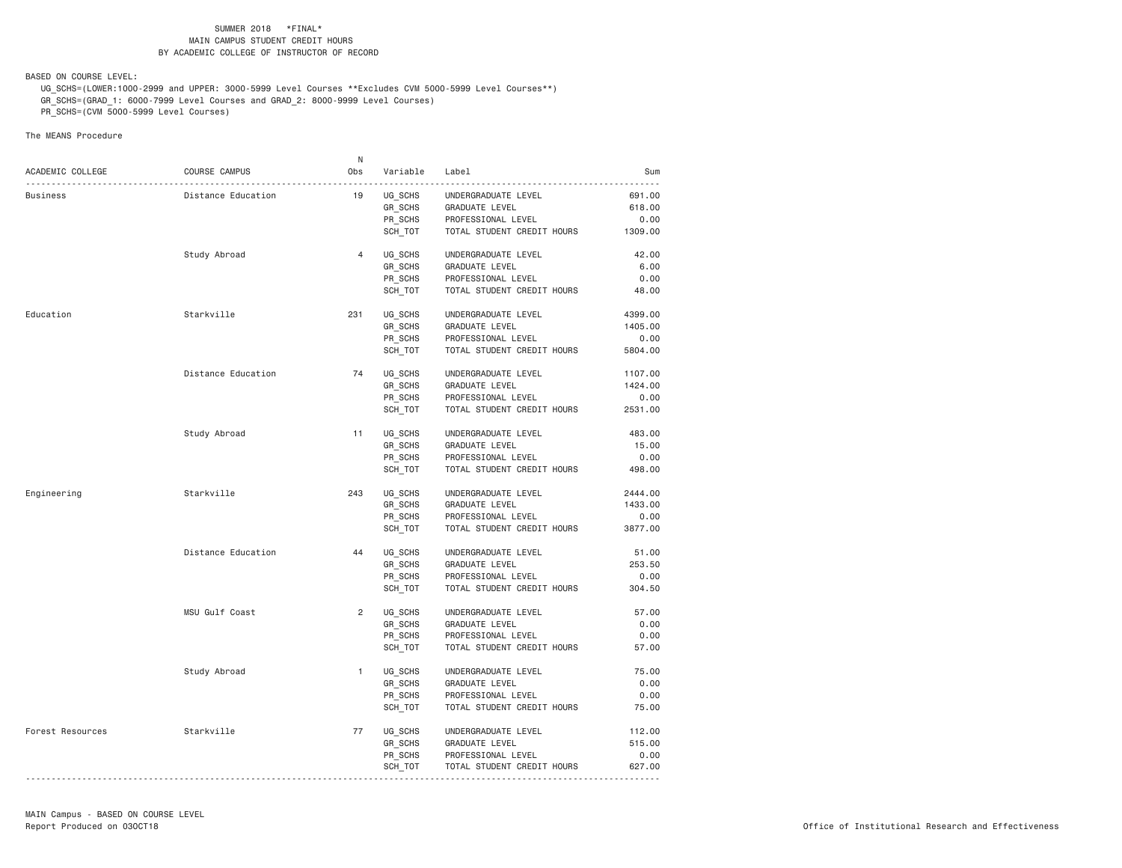BASED ON COURSE LEVEL:

 UG\_SCHS=(LOWER:1000-2999 and UPPER: 3000-5999 Level Courses \*\*Excludes CVM 5000-5999 Level Courses\*\*) GR\_SCHS=(GRAD\_1: 6000-7999 Level Courses and GRAD\_2: 8000-9999 Level Courses)

PR\_SCHS=(CVM 5000-5999 Level Courses)

|                  |                    | N              |          |                            |         |
|------------------|--------------------|----------------|----------|----------------------------|---------|
| ACADEMIC COLLEGE | COURSE CAMPUS      | Obs            | Variable | Label                      | Sum     |
| Business         | Distance Education | 19             | UG_SCHS  | UNDERGRADUATE LEVEL        | 691.00  |
|                  |                    |                | GR SCHS  | GRADUATE LEVEL             | 618.00  |
|                  |                    |                | PR_SCHS  | PROFESSIONAL LEVEL         | 0.00    |
|                  |                    |                | SCH_TOT  | TOTAL STUDENT CREDIT HOURS | 1309.00 |
|                  |                    |                |          |                            |         |
|                  | Study Abroad       | $\overline{4}$ | UG SCHS  | UNDERGRADUATE LEVEL        | 42.00   |
|                  |                    |                | GR_SCHS  | GRADUATE LEVEL             | 6.00    |
|                  |                    |                | PR_SCHS  | PROFESSIONAL LEVEL         | 0.00    |
|                  |                    |                | SCH_TOT  | TOTAL STUDENT CREDIT HOURS | 48.00   |
| Education        | Starkville         | 231            | UG_SCHS  | UNDERGRADUATE LEVEL        | 4399.00 |
|                  |                    |                | GR SCHS  | GRADUATE LEVEL             | 1405.00 |
|                  |                    |                | PR_SCHS  | PROFESSIONAL LEVEL         | 0.00    |
|                  |                    |                | SCH TOT  | TOTAL STUDENT CREDIT HOURS | 5804.00 |
|                  |                    |                |          |                            |         |
|                  | Distance Education | 74             | UG SCHS  | UNDERGRADUATE LEVEL        | 1107.00 |
|                  |                    |                | GR SCHS  | GRADUATE LEVEL             | 1424.00 |
|                  |                    |                | PR_SCHS  | PROFESSIONAL LEVEL         | 0.00    |
|                  |                    |                | SCH_TOT  | TOTAL STUDENT CREDIT HOURS | 2531.00 |
|                  | Study Abroad       | 11             | UG_SCHS  | UNDERGRADUATE LEVEL        | 483.00  |
|                  |                    |                | GR SCHS  | GRADUATE LEVEL             | 15.00   |
|                  |                    |                | PR SCHS  | PROFESSIONAL LEVEL         | 0.00    |
|                  |                    |                | SCH TOT  |                            | 498.00  |
|                  |                    |                |          | TOTAL STUDENT CREDIT HOURS |         |
| Engineering      | Starkville         | 243            | UG SCHS  | UNDERGRADUATE LEVEL        | 2444.00 |
|                  |                    |                | GR SCHS  | GRADUATE LEVEL             | 1433.00 |
|                  |                    |                | PR SCHS  | PROFESSIONAL LEVEL         | 0.00    |
|                  |                    |                | SCH_TOT  | TOTAL STUDENT CREDIT HOURS | 3877.00 |
|                  | Distance Education | 44             | UG SCHS  | UNDERGRADUATE LEVEL        | 51.00   |
|                  |                    |                | GR SCHS  | GRADUATE LEVEL             | 253.50  |
|                  |                    |                | PR_SCHS  | PROFESSIONAL LEVEL         | 0.00    |
|                  |                    |                | SCH TOT  | TOTAL STUDENT CREDIT HOURS | 304.50  |
|                  |                    |                |          |                            |         |
|                  | MSU Gulf Coast     | $\overline{2}$ | UG SCHS  | UNDERGRADUATE LEVEL        | 57.00   |
|                  |                    |                | GR SCHS  | GRADUATE LEVEL             | 0.00    |
|                  |                    |                | PR SCHS  | PROFESSIONAL LEVEL         | 0.00    |
|                  |                    |                | SCH_TOT  | TOTAL STUDENT CREDIT HOURS | 57.00   |
|                  | Study Abroad       | $\mathbf{1}$   | UG_SCHS  | UNDERGRADUATE LEVEL        | 75.00   |
|                  |                    |                | GR SCHS  | GRADUATE LEVEL             | 0.00    |
|                  |                    |                | PR_SCHS  | PROFESSIONAL LEVEL         | 0.00    |
|                  |                    |                | SCH_TOT  | TOTAL STUDENT CREDIT HOURS | 75.00   |
|                  |                    |                |          |                            |         |
| Forest Resources | Starkville         | 77             | UG SCHS  | UNDERGRADUATE LEVEL        | 112.00  |
|                  |                    |                | GR_SCHS  | GRADUATE LEVEL             | 515.00  |
|                  |                    |                | PR_SCHS  | PROFESSIONAL LEVEL         | 0.00    |
|                  |                    |                | SCH_TOT  | TOTAL STUDENT CREDIT HOURS | 627.00  |
|                  |                    |                |          |                            |         |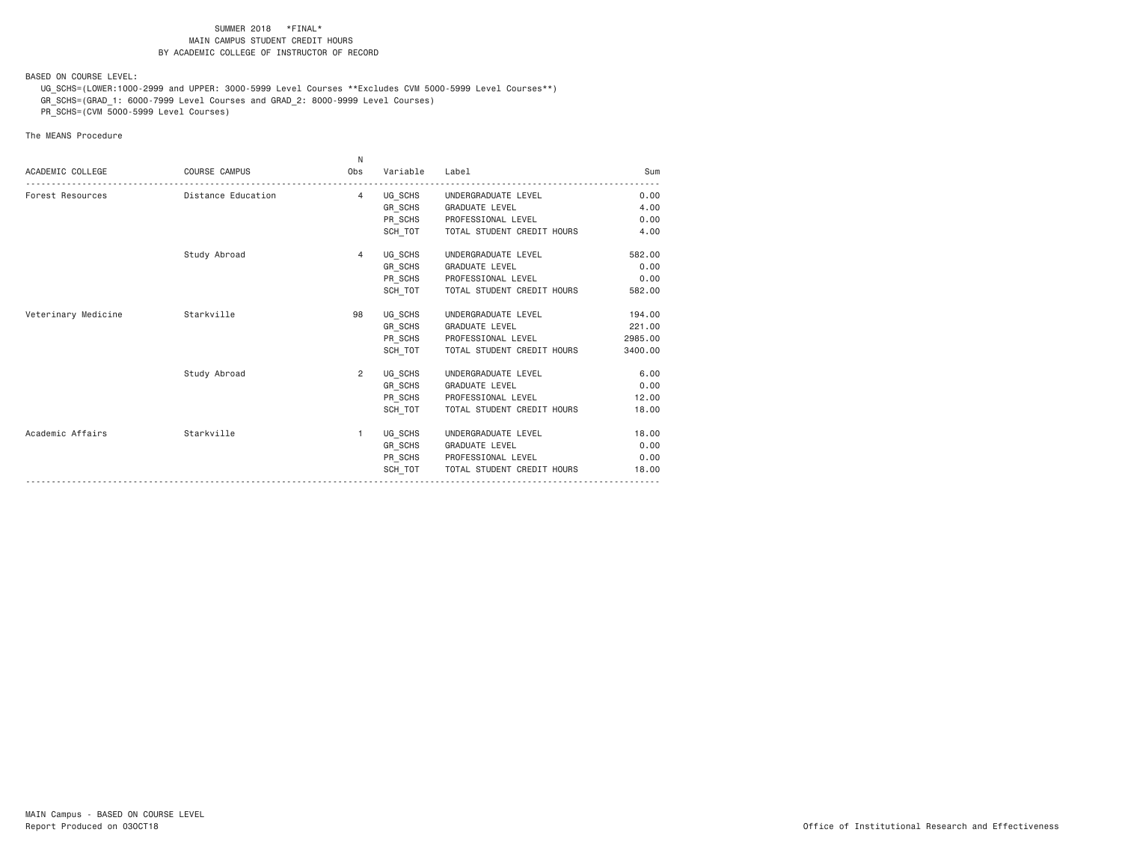BASED ON COURSE LEVEL:

 UG\_SCHS=(LOWER:1000-2999 and UPPER: 3000-5999 Level Courses \*\*Excludes CVM 5000-5999 Level Courses\*\*) GR\_SCHS=(GRAD\_1: 6000-7999 Level Courses and GRAD\_2: 8000-9999 Level Courses)

PR\_SCHS=(CVM 5000-5999 Level Courses)

|                     |                      | N.             |          |                             |         |
|---------------------|----------------------|----------------|----------|-----------------------------|---------|
| ACADEMIC COLLEGE    | <b>COURSE CAMPUS</b> | Obs            | Variable | Label                       | Sum     |
| Forest Resources    | Distance Education   | $\overline{4}$ |          | UG SCHS UNDERGRADUATE LEVEL | 0.00    |
|                     |                      |                |          | GR_SCHS GRADUATE LEVEL      | 4.00    |
|                     |                      |                | PR_SCHS  | PROFESSIONAL LEVEL          | 0.00    |
|                     |                      |                | SCH TOT  | TOTAL STUDENT CREDIT HOURS  | 4,00    |
|                     | Study Abroad         | $\overline{4}$ |          | UG_SCHS UNDERGRADUATE LEVEL | 582.00  |
|                     |                      |                | GR SCHS  | <b>GRADUATE LEVEL</b>       | 0.00    |
|                     |                      |                |          | PR_SCHS PROFESSIONAL LEVEL  | 0.00    |
|                     |                      |                | SCH TOT  | TOTAL STUDENT CREDIT HOURS  | 582.00  |
| Veterinary Medicine | Starkville           | 98             | UG_SCHS  | UNDERGRADUATE LEVEL         | 194.00  |
|                     |                      |                | GR_SCHS  | GRADUATE LEVEL              | 221.00  |
|                     |                      |                |          | PR_SCHS PROFESSIONAL LEVEL  | 2985.00 |
|                     |                      |                | SCH_TOT  | TOTAL STUDENT CREDIT HOURS  | 3400.00 |
|                     | Study Abroad         | $\overline{2}$ | UG_SCHS  | UNDERGRADUATE LEVEL         | 6.00    |
|                     |                      |                |          | GR_SCHS GRADUATE LEVEL      | 0.00    |
|                     |                      |                |          | PR_SCHS PROFESSIONAL LEVEL  | 12.00   |
|                     |                      |                | SCH TOT  | TOTAL STUDENT CREDIT HOURS  | 18.00   |
| Academic Affairs    | Starkville           | $\mathbf{1}$   | UG_SCHS  | UNDERGRADUATE LEVEL         | 18.00   |
|                     |                      |                |          | GR_SCHS GRADUATE LEVEL      | 0.00    |
|                     |                      |                |          | PR_SCHS PROFESSIONAL LEVEL  | 0.00    |
|                     |                      |                | SCH TOT  | TOTAL STUDENT CREDIT HOURS  | 18.00   |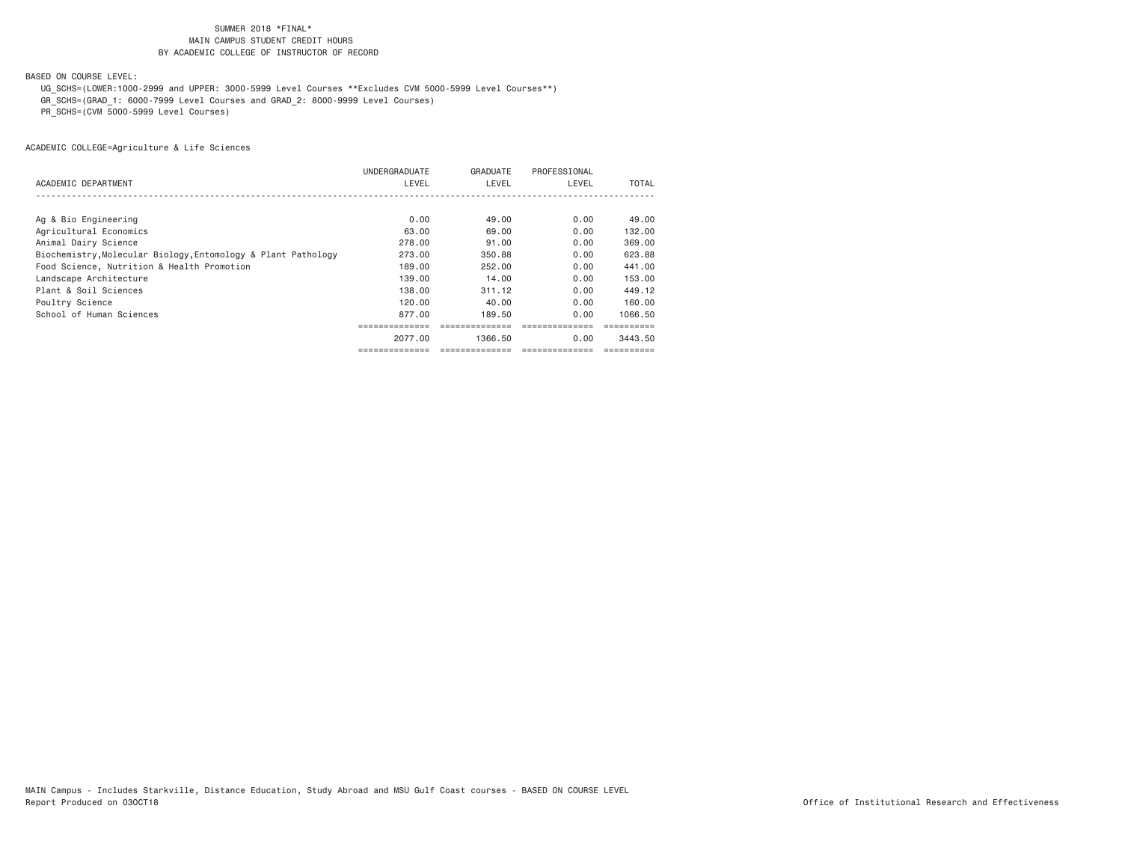BASED ON COURSE LEVEL:

UG\_SCHS=(LOWER:1000-2999 and UPPER: 3000-5999 Level Courses \*\*Excludes CVM 5000-5999 Level Courses\*\*)

GR\_SCHS=(GRAD\_1: 6000-7999 Level Courses and GRAD\_2: 8000-9999 Level Courses)

PR\_SCHS=(CVM 5000-5999 Level Courses)

|                                                               | UNDERGRADUATE | GRADUATE | PROFESSIONAL |         |
|---------------------------------------------------------------|---------------|----------|--------------|---------|
| ACADEMIC DEPARTMENT                                           | LEVEL         | LEVEL    | LEVEL        | TOTAL   |
|                                                               |               |          |              |         |
|                                                               |               |          |              |         |
| Ag & Bio Engineering                                          | 0.00          | 49.00    | 0.00         | 49.00   |
| Agricultural Economics                                        | 63.00         | 69.00    | 0.00         | 132.00  |
| Animal Dairy Science                                          | 278.00        | 91,00    | 0.00         | 369,00  |
| Biochemistry, Molecular Biology, Entomology & Plant Pathology | 273,00        | 350.88   | 0.00         | 623.88  |
| Food Science, Nutrition & Health Promotion                    | 189.00        | 252,00   | 0.00         | 441.00  |
| Landscape Architecture                                        | 139,00        | 14,00    | 0.00         | 153,00  |
| Plant & Soil Sciences                                         | 138,00        | 311.12   | 0.00         | 449.12  |
| Poultry Science                                               | 120.00        | 40.00    | 0.00         | 160.00  |
| School of Human Sciences                                      | 877.00        | 189.50   | 0.00         | 1066.50 |
|                                                               |               |          |              |         |
|                                                               | 2077.00       | 1366.50  | 0.00         | 3443.50 |
|                                                               |               |          |              |         |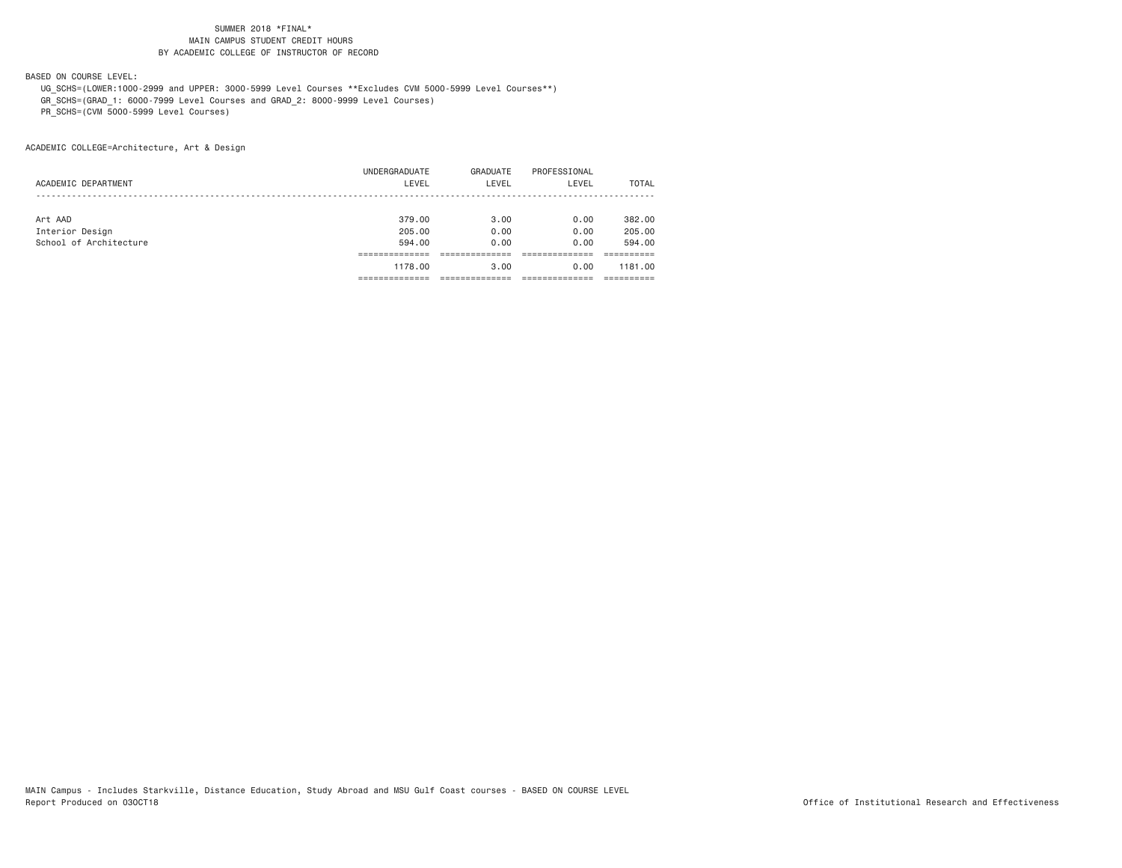BASED ON COURSE LEVEL:

 UG\_SCHS=(LOWER:1000-2999 and UPPER: 3000-5999 Level Courses \*\*Excludes CVM 5000-5999 Level Courses\*\*) GR\_SCHS=(GRAD\_1: 6000-7999 Level Courses and GRAD\_2: 8000-9999 Level Courses)

PR\_SCHS=(CVM 5000-5999 Level Courses)

|                        | UNDERGRADUATE | GRADUATE | PROFESSIONAL |              |
|------------------------|---------------|----------|--------------|--------------|
| ACADEMIC DEPARTMENT    | LEVEL         | LEVEL    | LEVEL        | <b>TOTAL</b> |
|                        |               |          |              |              |
|                        |               |          |              |              |
| Art AAD                | 379,00        | 3.00     | 0.00         | 382,00       |
| Interior Design        | 205,00        | 0.00     | 0.00         | 205,00       |
| School of Architecture | 594.00        | 0.00     | 0.00         | 594.00       |
|                        |               |          |              |              |
|                        | 1178.00       | 3.00     | 0.00         | 1181.00      |
|                        |               |          |              |              |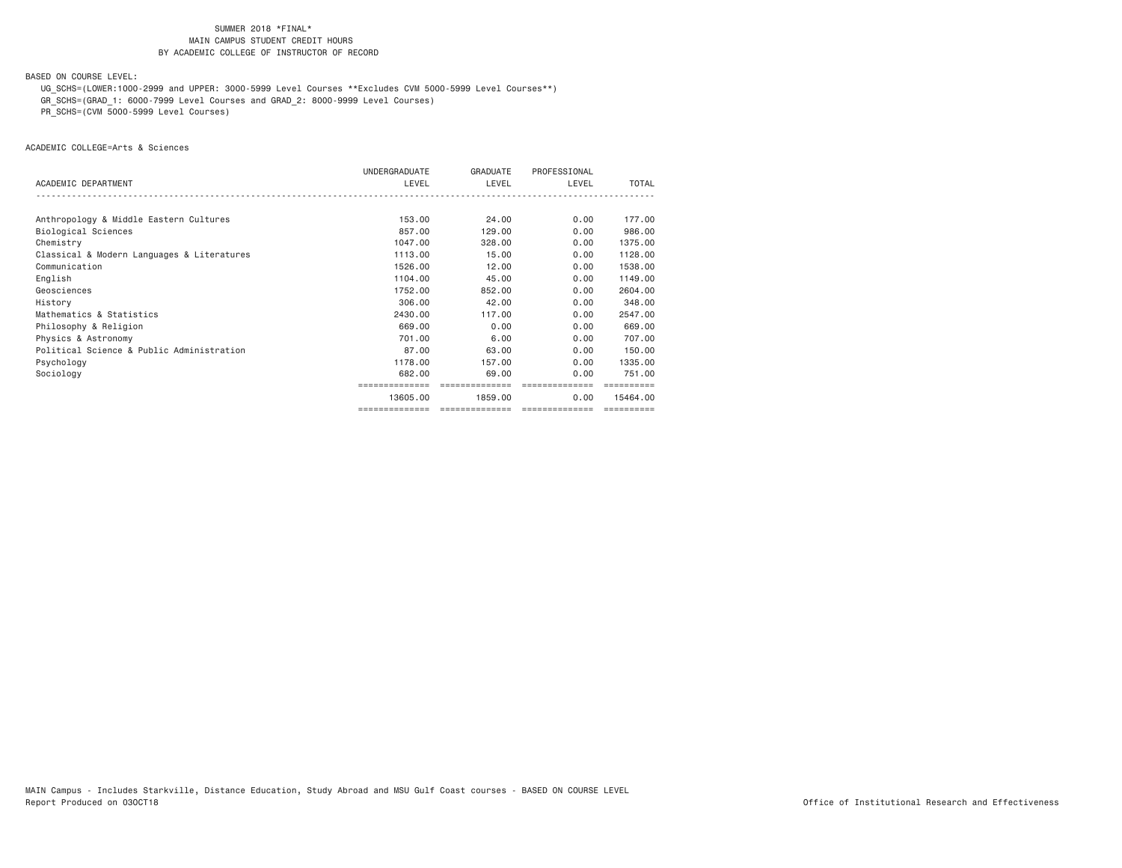BASED ON COURSE LEVEL:

UG\_SCHS=(LOWER:1000-2999 and UPPER: 3000-5999 Level Courses \*\*Excludes CVM 5000-5999 Level Courses\*\*)

GR\_SCHS=(GRAD\_1: 6000-7999 Level Courses and GRAD\_2: 8000-9999 Level Courses)

PR\_SCHS=(CVM 5000-5999 Level Courses)

ACADEMIC COLLEGE=Arts & Sciences

|                                            | UNDERGRADUATE  | GRADUATE       | PROFESSIONAL   |          |
|--------------------------------------------|----------------|----------------|----------------|----------|
| ACADEMIC DEPARTMENT                        | LEVEL          | LEVEL          | LEVEL          | TOTAL    |
|                                            |                |                |                |          |
| Anthropology & Middle Eastern Cultures     | 153,00         | 24,00          | 0.00           | 177.00   |
| Biological Sciences                        | 857,00         | 129,00         | 0.00           | 986,00   |
| Chemistry                                  | 1047.00        | 328,00         | 0.00           | 1375.00  |
| Classical & Modern Languages & Literatures | 1113.00        | 15,00          | 0.00           | 1128.00  |
| Communication                              | 1526.00        | 12.00          | 0.00           | 1538.00  |
| English                                    | 1104.00        | 45.00          | 0.00           | 1149.00  |
| Geosciences                                | 1752.00        | 852,00         | 0.00           | 2604.00  |
| History                                    | 306,00         | 42.00          | 0.00           | 348,00   |
| Mathematics & Statistics                   | 2430.00        | 117,00         | 0.00           | 2547.00  |
| Philosophy & Religion                      | 669,00         | 0.00           | 0.00           | 669,00   |
| Physics & Astronomy                        | 701.00         | 6.00           | 0.00           | 707.00   |
| Political Science & Public Administration  | 87.00          | 63,00          | 0.00           | 150,00   |
| Psychology                                 | 1178.00        | 157.00         | 0.00           | 1335,00  |
| Sociology                                  | 682,00         | 69,00          | 0.00           | 751.00   |
|                                            |                | ============== |                |          |
|                                            | 13605,00       | 1859,00        | 0.00           | 15464.00 |
|                                            | ============== | ============== | ============== |          |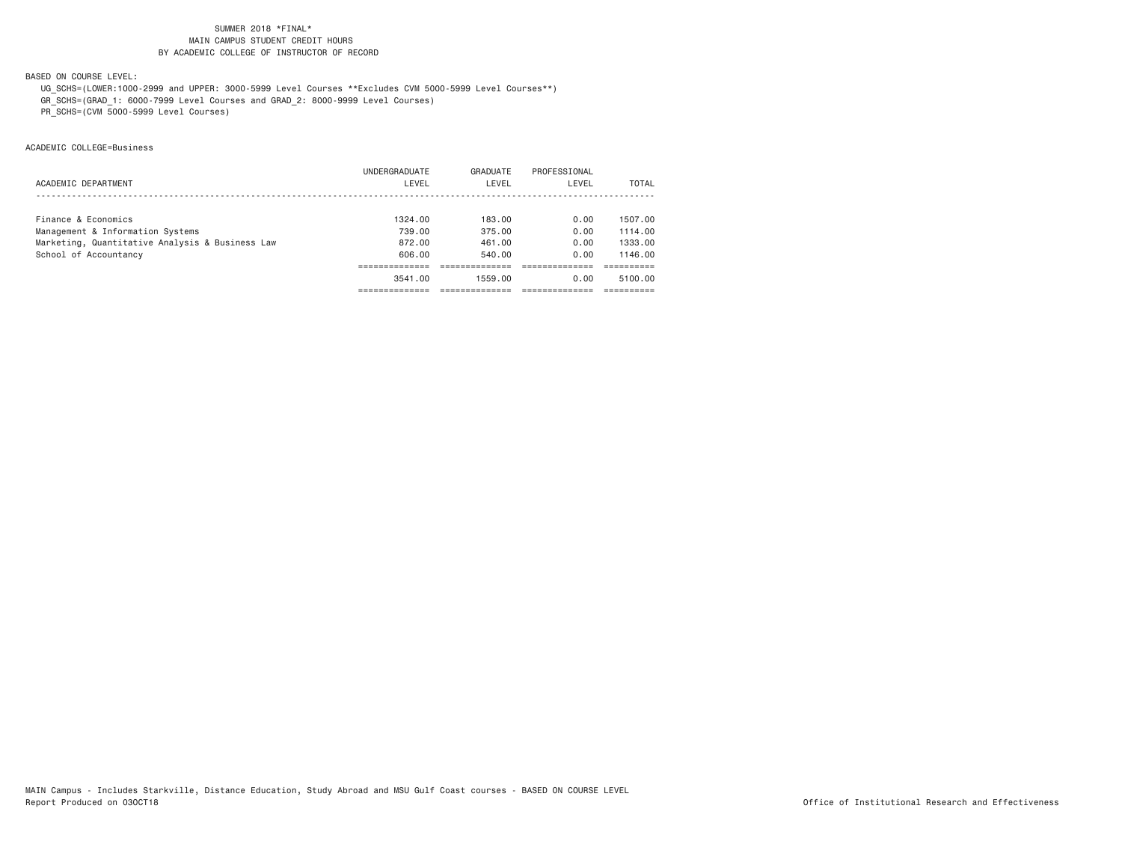BASED ON COURSE LEVEL:

UG\_SCHS=(LOWER:1000-2999 and UPPER: 3000-5999 Level Courses \*\*Excludes CVM 5000-5999 Level Courses\*\*)

GR\_SCHS=(GRAD\_1: 6000-7999 Level Courses and GRAD\_2: 8000-9999 Level Courses)

PR\_SCHS=(CVM 5000-5999 Level Courses)

ACADEMIC COLLEGE=Business

|                                                 | 3541.00             | 1559.00  | 0.00         | 5100.00 |
|-------------------------------------------------|---------------------|----------|--------------|---------|
|                                                 |                     |          |              |         |
| School of Accountancy                           | 606.00              | 540.00   | 0.00         | 1146.00 |
| Marketing, Quantitative Analysis & Business Law | 872.00              | 461.00   | 0.00         | 1333.00 |
| Management & Information Systems                | 739.00              | 375.00   | 0.00         | 1114.00 |
|                                                 |                     |          |              | 1507.00 |
|                                                 |                     |          |              |         |
| ACADEMIC DEPARTMENT                             | LEVEL               | LEVEL    | LEVEL        | TOTAL   |
|                                                 | UNDERGRADUATE       | GRADUATE | PROFESSIONAL |         |
|                                                 | Finance & Economics | 1324.00  | 183.00       | 0.00    |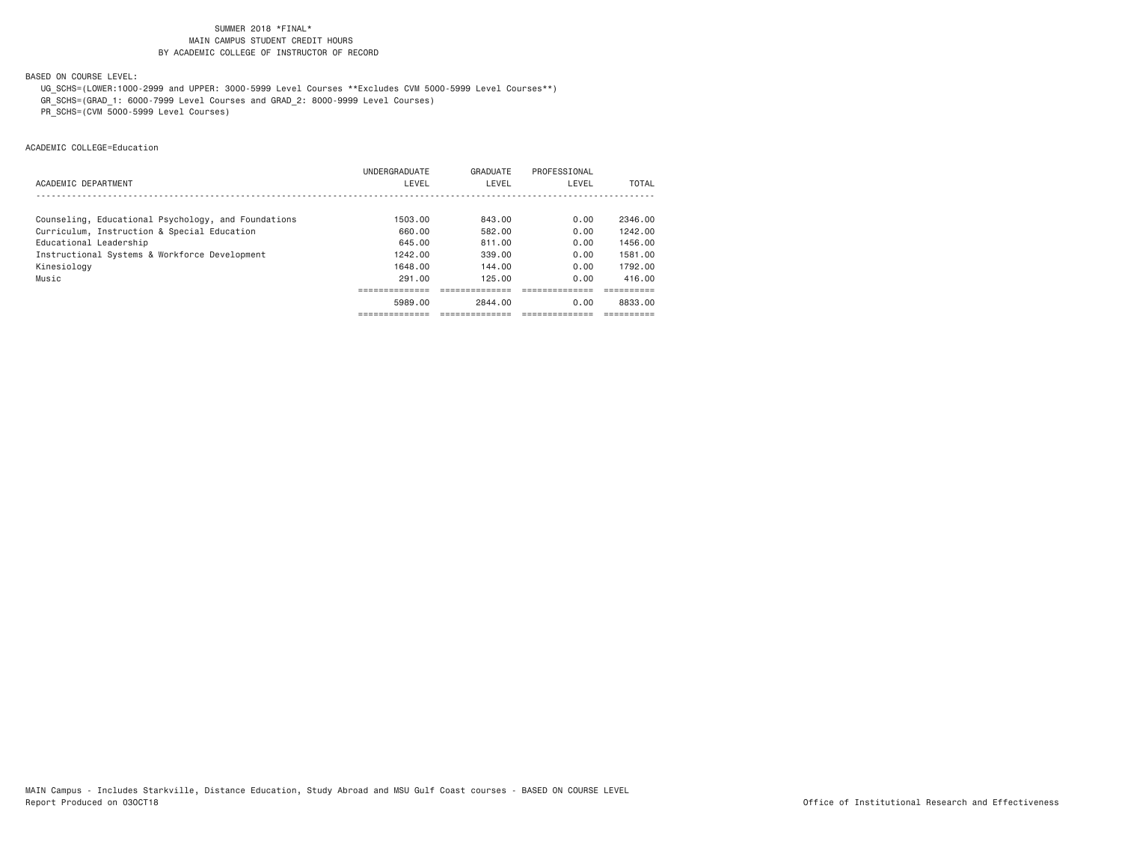BASED ON COURSE LEVEL:

UG\_SCHS=(LOWER:1000-2999 and UPPER: 3000-5999 Level Courses \*\*Excludes CVM 5000-5999 Level Courses\*\*)

GR\_SCHS=(GRAD\_1: 6000-7999 Level Courses and GRAD\_2: 8000-9999 Level Courses)

PR\_SCHS=(CVM 5000-5999 Level Courses)

ACADEMIC COLLEGE=Education

|                                                     | UNDERGRADUATE | GRADUATE | PROFESSIONAL |         |
|-----------------------------------------------------|---------------|----------|--------------|---------|
| ACADEMIC DEPARTMENT                                 | LEVEL         | LEVEL    | LEVEL        | TOTAL   |
|                                                     |               |          |              |         |
| Counseling, Educational Psychology, and Foundations | 1503.00       | 843.00   | 0.00         | 2346.00 |
| Curriculum, Instruction & Special Education         | 660.00        | 582.00   | 0.00         | 1242.00 |
| Educational Leadership                              | 645.00        | 811.00   | 0.00         | 1456.00 |
| Instructional Systems & Workforce Development       | 1242.00       | 339.00   | 0.00         | 1581.00 |
| Kinesiology                                         | 1648.00       | 144.00   | 0.00         | 1792.00 |
| Music                                               | 291.00        | 125.00   | 0.00         | 416.00  |
|                                                     |               |          |              |         |
|                                                     | 5989.00       | 2844.00  | 0.00         | 8833.00 |
|                                                     |               |          |              |         |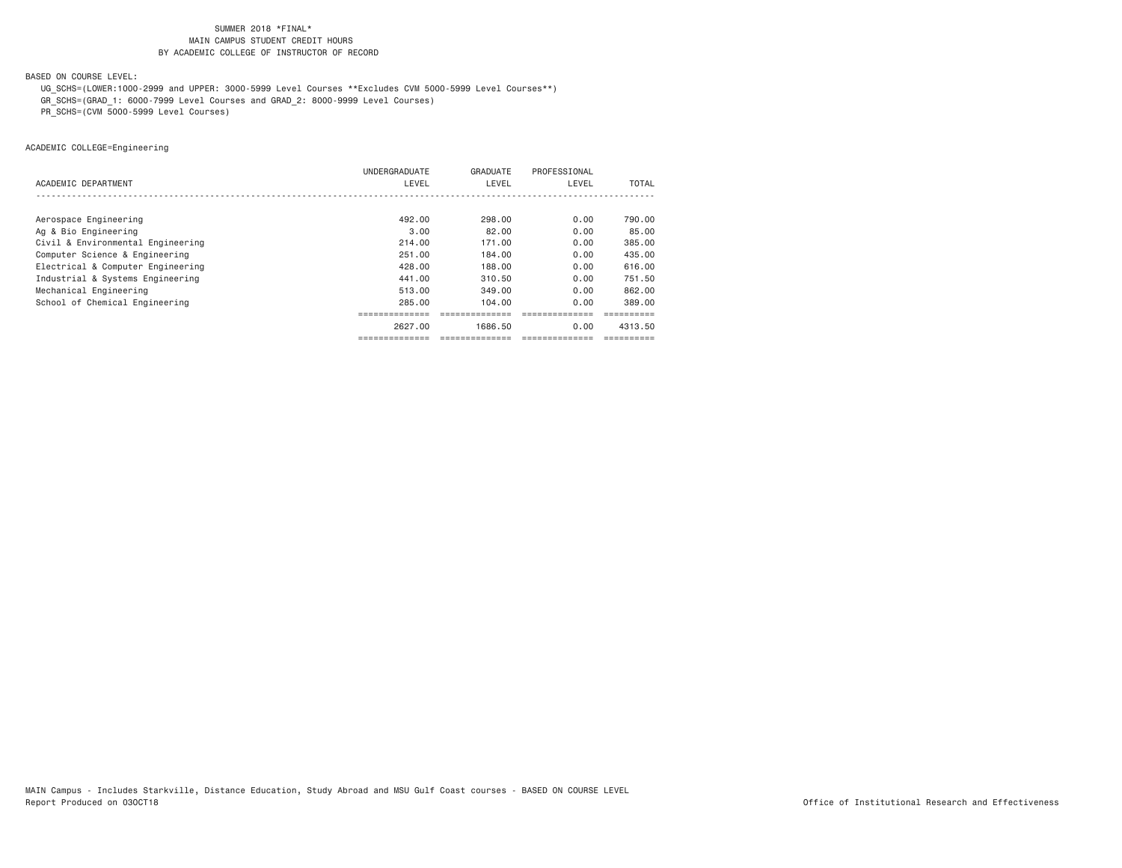BASED ON COURSE LEVEL:

UG\_SCHS=(LOWER:1000-2999 and UPPER: 3000-5999 Level Courses \*\*Excludes CVM 5000-5999 Level Courses\*\*)

GR\_SCHS=(GRAD\_1: 6000-7999 Level Courses and GRAD\_2: 8000-9999 Level Courses)

PR\_SCHS=(CVM 5000-5999 Level Courses)

ACADEMIC COLLEGE=Engineering

|                                   | UNDERGRADUATE | GRADUATE | PROFESSIONAL |         |
|-----------------------------------|---------------|----------|--------------|---------|
| ACADEMIC DEPARTMENT               | LEVEL         | LEVEL    | LEVEL        | TOTAL   |
|                                   |               |          |              |         |
|                                   | 492.00        | 298.00   | 0.00         | 790.00  |
| Aerospace Engineering             |               |          |              |         |
| Ag & Bio Engineering              | 3.00          | 82.00    | 0.00         | 85.00   |
| Civil & Environmental Engineering | 214.00        | 171.00   | 0.00         | 385.00  |
| Computer Science & Engineering    | 251,00        | 184,00   | 0.00         | 435,00  |
| Electrical & Computer Engineering | 428,00        | 188,00   | 0.00         | 616,00  |
| Industrial & Systems Engineering  | 441,00        | 310.50   | 0.00         | 751.50  |
| Mechanical Engineering            | 513,00        | 349,00   | 0.00         | 862.00  |
| School of Chemical Engineering    | 285.00        | 104.00   | 0.00         | 389.00  |
|                                   |               |          |              |         |
|                                   | 2627.00       | 1686.50  | 0.00         | 4313.50 |
|                                   |               |          |              |         |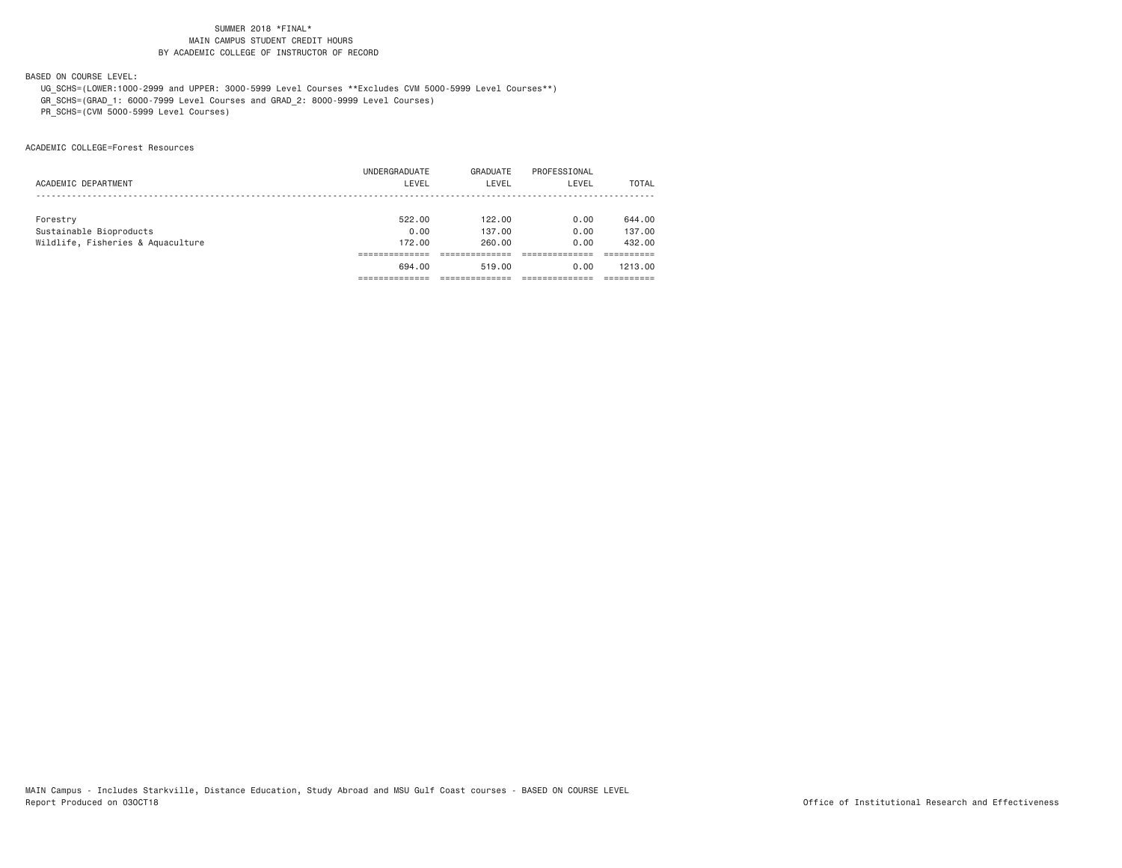BASED ON COURSE LEVEL:

 UG\_SCHS=(LOWER:1000-2999 and UPPER: 3000-5999 Level Courses \*\*Excludes CVM 5000-5999 Level Courses\*\*) GR\_SCHS=(GRAD\_1: 6000-7999 Level Courses and GRAD\_2: 8000-9999 Level Courses)

PR\_SCHS=(CVM 5000-5999 Level Courses)

ACADEMIC COLLEGE=Forest Resources

|                                   | UNDERGRADUATE | GRADUATE | PROFESSIONAL |         |
|-----------------------------------|---------------|----------|--------------|---------|
| ACADEMIC DEPARTMENT               | LEVEL         | LEVEL    | LEVEL        | TOTAL   |
|                                   |               |          |              |         |
| Forestry                          | 522.00        | 122.00   | 0.00         | 644.00  |
| Sustainable Bioproducts           | 0.00          | 137.00   | 0.00         | 137,00  |
| Wildlife, Fisheries & Aquaculture | 172,00        | 260.00   | 0.00         | 432.00  |
|                                   |               |          |              |         |
|                                   | 694.00        | 519.00   | 0.00         | 1213.00 |
|                                   |               |          |              |         |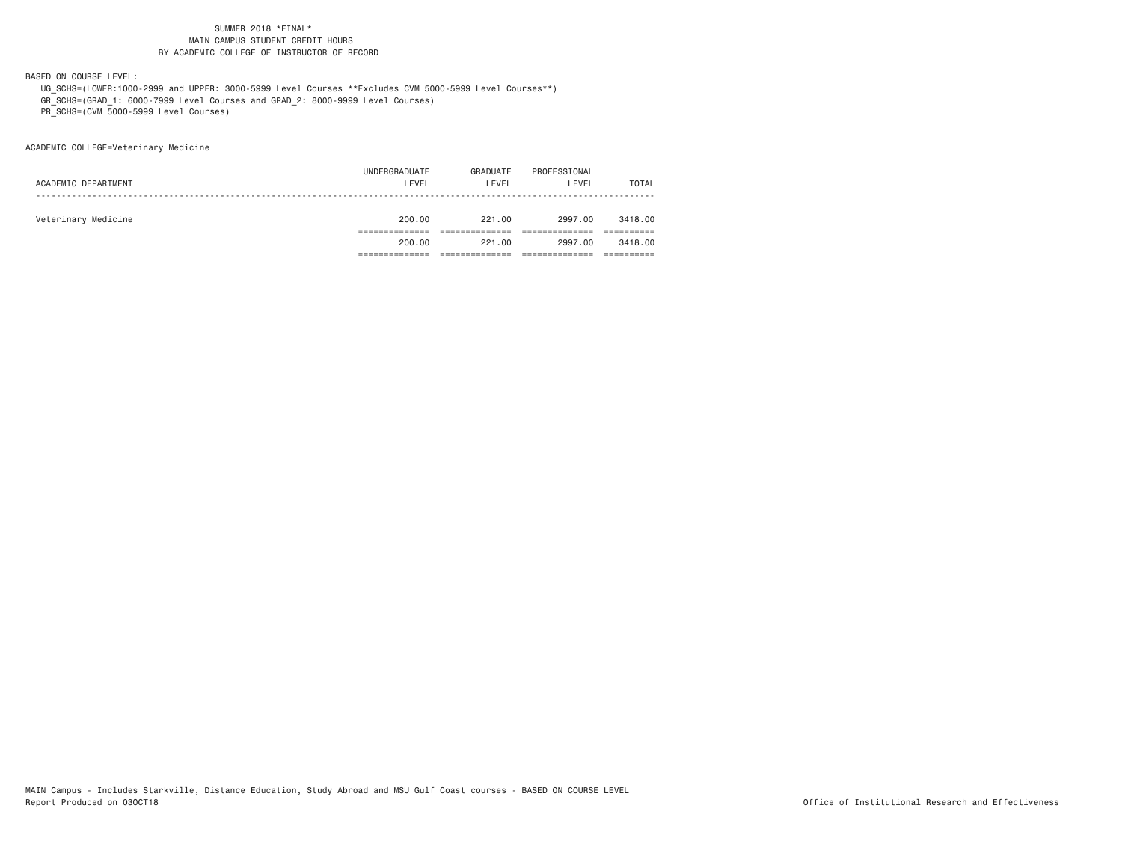BASED ON COURSE LEVEL:

 UG\_SCHS=(LOWER:1000-2999 and UPPER: 3000-5999 Level Courses \*\*Excludes CVM 5000-5999 Level Courses\*\*) GR\_SCHS=(GRAD\_1: 6000-7999 Level Courses and GRAD\_2: 8000-9999 Level Courses)

PR\_SCHS=(CVM 5000-5999 Level Courses)

ACADEMIC COLLEGE=Veterinary Medicine

|                     | 200.00              | 221.00   | 2997.00      | 3418,00      |
|---------------------|---------------------|----------|--------------|--------------|
|                     |                     |          |              |              |
|                     |                     |          |              |              |
| Veterinary Medicine | 200.00              | 221.00   | 2997.00      | 3418,00      |
|                     |                     |          |              |              |
|                     |                     |          |              | <b>TOTAL</b> |
|                     | UNDERGRADUATE       | GRADUATE | PROFESSIONAL |              |
|                     | ACADEMIC DEPARTMENT | LEVEL    | LEVEL        | LEVEL        |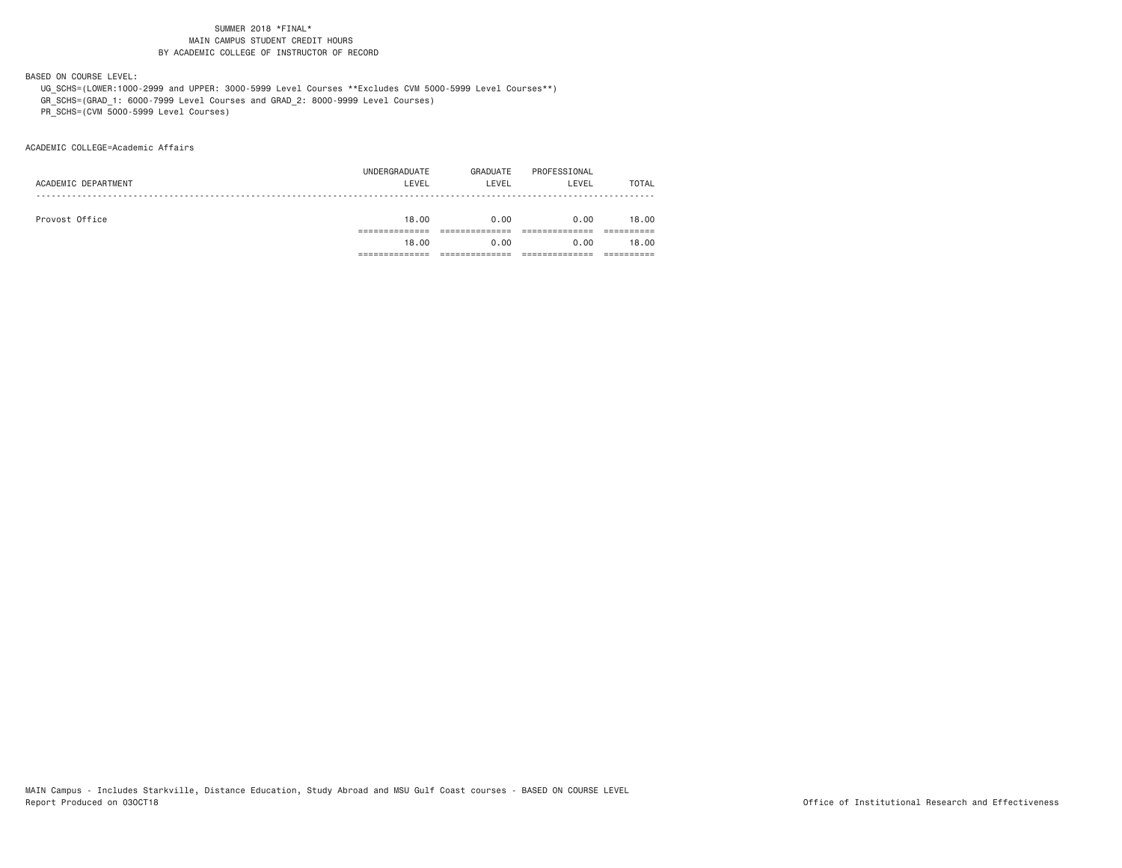BASED ON COURSE LEVEL:

 UG\_SCHS=(LOWER:1000-2999 and UPPER: 3000-5999 Level Courses \*\*Excludes CVM 5000-5999 Level Courses\*\*) GR\_SCHS=(GRAD\_1: 6000-7999 Level Courses and GRAD\_2: 8000-9999 Level Courses)

PR\_SCHS=(CVM 5000-5999 Level Courses)

ACADEMIC COLLEGE=Academic Affairs

|                | 18.00               | 0.00                   | 0.00              | 18.00                 |
|----------------|---------------------|------------------------|-------------------|-----------------------|
|                |                     |                        |                   |                       |
| Provost Office | 18.00               | 0.00                   | 0.00              | 18,00                 |
|                |                     |                        |                   |                       |
|                |                     |                        |                   | <b>TOTAL</b>          |
|                |                     |                        |                   |                       |
|                | ACADEMIC DEPARTMENT | UNDERGRADUATE<br>LEVEL | GRADUATE<br>LEVEL | PROFESSIONAL<br>LEVEL |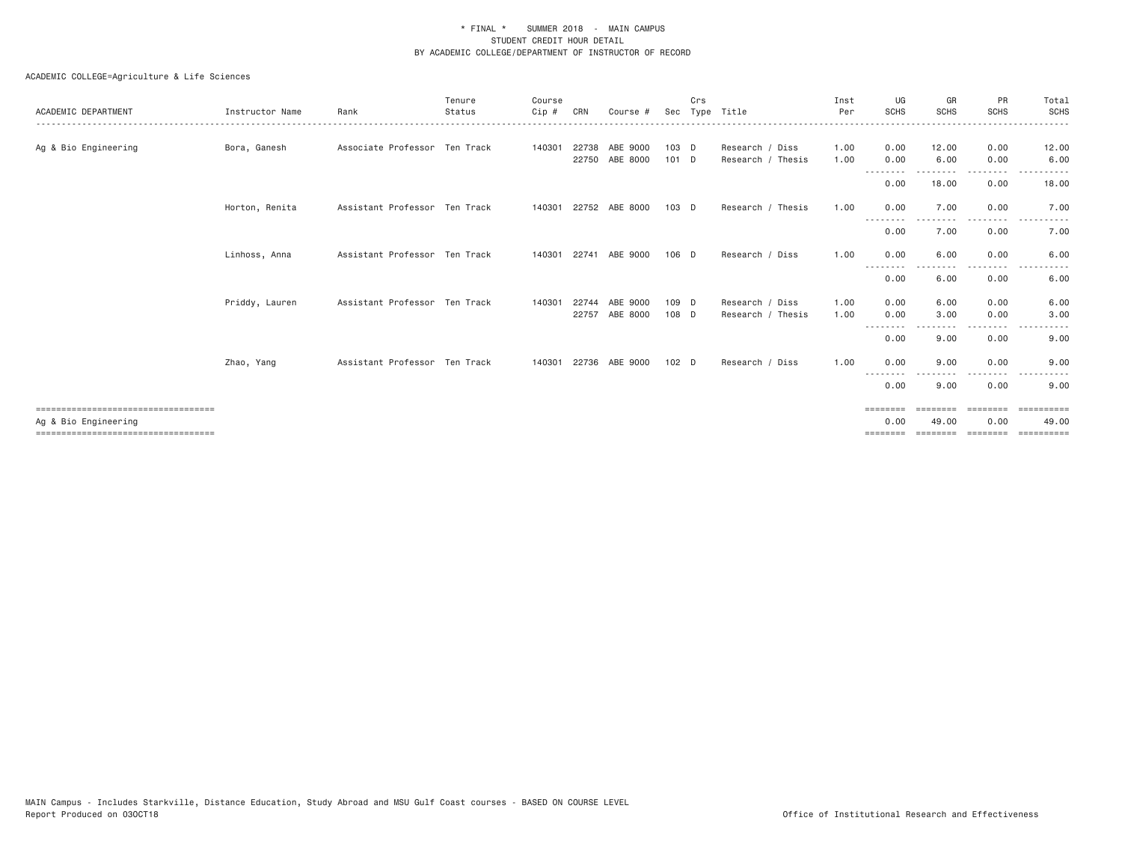| ACADEMIC DEPARTMENT                                            | Instructor Name | Rank                          | Tenure<br>Status<br>--------------------------------- | Course<br>Cip # | CRN   | Course                     | Sec              | Crs<br>Type | Title                                | Inst<br>Per  | UG<br><b>SCHS</b><br>----------------- | GR<br><b>SCHS</b>        | PR<br><b>SCHS</b><br>-----------                                                                                                                                                        | Total<br>SCHS<br>.                                                                                     |
|----------------------------------------------------------------|-----------------|-------------------------------|-------------------------------------------------------|-----------------|-------|----------------------------|------------------|-------------|--------------------------------------|--------------|----------------------------------------|--------------------------|-----------------------------------------------------------------------------------------------------------------------------------------------------------------------------------------|--------------------------------------------------------------------------------------------------------|
| Ag & Bio Engineering                                           | Bora, Ganesh    | Associate Professor Ten Track |                                                       | 140301          | 22738 | ABE 9000<br>22750 ABE 8000 | 103 D<br>$101$ D |             | Research / Diss<br>Research / Thesis | 1.00<br>1.00 | 0.00<br>0.00                           | 12.00<br>6.00            | 0.00<br>0.00                                                                                                                                                                            | 12.00<br>6.00                                                                                          |
|                                                                |                 |                               |                                                       |                 |       |                            |                  |             |                                      |              | ---------<br>0.00                      | - - - - - - - -<br>18.00 | .<br>0.00                                                                                                                                                                               | 18.00                                                                                                  |
|                                                                | Horton, Renita  | Assistant Professor Ten Track |                                                       | 140301          |       | 22752 ABE 8000             | $103$ D          |             | Research / Thesis                    | 1.00         | 0.00<br>---------                      | 7.00                     | 0.00<br>. <u>.</u> .                                                                                                                                                                    | 7.00<br>$- - -$                                                                                        |
|                                                                |                 |                               |                                                       |                 |       |                            |                  |             |                                      |              | 0.00                                   | 7.00                     | 0.00                                                                                                                                                                                    | 7.00                                                                                                   |
|                                                                | Linhoss, Anna   | Assistant Professor Ten Track |                                                       | 140301          | 22741 | ABE 9000                   | $106$ D          |             | Research / Diss                      | 1.00         | 0.00<br>$- - - -$                      | 6.00                     | 0.00                                                                                                                                                                                    | 6.00                                                                                                   |
|                                                                |                 |                               |                                                       |                 |       |                            |                  |             |                                      |              | 0.00                                   | 6.00                     | 0.00                                                                                                                                                                                    | 6.00                                                                                                   |
|                                                                | Priddy, Lauren  | Assistant Professor Ten Track |                                                       | 140301          | 22744 | ABE 9000                   | 109 D            |             | Research / Diss                      | 1.00         | 0.00                                   | 6.00                     | 0.00                                                                                                                                                                                    | 6.00                                                                                                   |
|                                                                |                 |                               |                                                       |                 | 22757 | ABE 8000                   | 108 D            |             | Research / Thesis                    | 1.00         | 0.00                                   | 3.00                     | 0.00<br>----                                                                                                                                                                            | 3.00                                                                                                   |
|                                                                |                 |                               |                                                       |                 |       |                            |                  |             |                                      |              | 0.00                                   | 9.00                     | 0.00                                                                                                                                                                                    | 9.00                                                                                                   |
|                                                                | Zhao, Yang      | Assistant Professor Ten Track |                                                       | 140301          |       | 22736 ABE 9000             | 102 <sub>D</sub> |             | Research / Diss                      | 1.00         | 0.00<br>----                           | 9.00                     | 0.00<br>$\frac{1}{2} \left( \frac{1}{2} \right) \left( \frac{1}{2} \right) \left( \frac{1}{2} \right) \left( \frac{1}{2} \right) \left( \frac{1}{2} \right) \left( \frac{1}{2} \right)$ | 9.00<br>$\frac{1}{2} \left( \frac{1}{2} \right) \left( \frac{1}{2} \right) \left( \frac{1}{2} \right)$ |
|                                                                |                 |                               |                                                       |                 |       |                            |                  |             |                                      |              | 0.00                                   | 9.00                     | 0.00                                                                                                                                                                                    | 9.00                                                                                                   |
| =====================================                          |                 |                               |                                                       |                 |       |                            |                  |             |                                      |              | $=$ = = = = = = =                      | ========                 | ========                                                                                                                                                                                | ==========                                                                                             |
| Ag & Bio Engineering<br>====================================== |                 |                               |                                                       |                 |       |                            |                  |             |                                      |              | 0.00<br>========                       | 49.00<br>========        | 0.00<br>========                                                                                                                                                                        | 49.00<br>-----------                                                                                   |
|                                                                |                 |                               |                                                       |                 |       |                            |                  |             |                                      |              |                                        |                          |                                                                                                                                                                                         |                                                                                                        |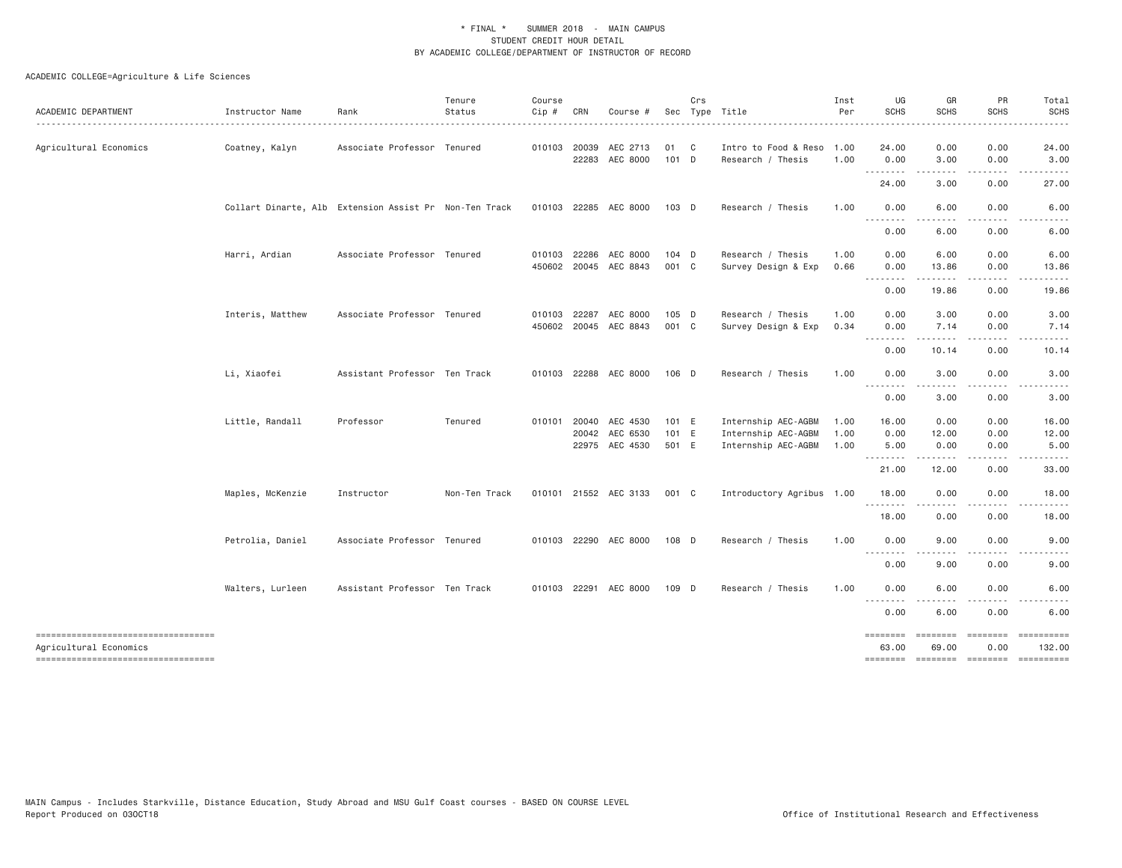| ACADEMIC DEPARTMENT                                          | Instructor Name                                        | Rank                          | Tenure<br>Status | Course<br>Cip # | CRN                            | Course #                          |                         | Crs          | Sec Type Title                                                    | Inst<br>Per          | UG<br><b>SCHS</b>                                                                                                                            | GR<br><b>SCHS</b>         | PR<br><b>SCHS</b>             | Total<br><b>SCHS</b>   |
|--------------------------------------------------------------|--------------------------------------------------------|-------------------------------|------------------|-----------------|--------------------------------|-----------------------------------|-------------------------|--------------|-------------------------------------------------------------------|----------------------|----------------------------------------------------------------------------------------------------------------------------------------------|---------------------------|-------------------------------|------------------------|
| Agricultural Economics                                       | Coatney, Kalyn                                         | Associate Professor Tenured   |                  |                 | 010103 20039                   | AEC 2713<br>22283 AEC 8000        | 01<br>101 D             | $\mathbf{C}$ | Intro to Food & Reso<br>Research / Thesis                         | 1.00<br>1.00         | 24.00<br>0.00                                                                                                                                | 0.00<br>3.00              | 0.00<br>0.00                  | 24.00<br>3.00          |
|                                                              |                                                        |                               |                  |                 |                                |                                   |                         |              |                                                                   |                      | $\cdots \cdots \cdots \cdots$<br>24.00                                                                                                       | .<br>3.00                 | .<br>0.00                     | 27.00                  |
|                                                              | Collart Dinarte, Alb Extension Assist Pr Non-Ten Track |                               |                  |                 |                                | 010103 22285 AEC 8000             | 103 D                   |              | Research / Thesis                                                 | 1.00                 | 0.00                                                                                                                                         | 6.00                      | 0.00                          | 6.00                   |
|                                                              |                                                        |                               |                  |                 |                                |                                   |                         |              |                                                                   |                      | $- - -$<br>$\frac{1}{2} \left( \frac{1}{2} \right) \left( \frac{1}{2} \right) \left( \frac{1}{2} \right) \left( \frac{1}{2} \right)$<br>0.00 | 6.00                      | 0.00                          | 6.00                   |
|                                                              | Harri, Ardian                                          | Associate Professor Tenured   |                  |                 | 010103 22286                   | AEC 8000<br>450602 20045 AEC 8843 | 104 D<br>001 C          |              | Research / Thesis<br>Survey Design & Exp                          | 1.00<br>0.66         | 0.00<br>0.00                                                                                                                                 | 6.00<br>13.86             | 0.00<br>0.00                  | 6.00<br>13.86          |
|                                                              |                                                        |                               |                  |                 |                                |                                   |                         |              |                                                                   |                      | .<br>0.00                                                                                                                                    | 19.86                     | 0.00                          | 19.86                  |
|                                                              | Interis, Matthew                                       | Associate Professor Tenured   |                  |                 | 010103 22287                   | AEC 8000<br>450602 20045 AEC 8843 | 105 D<br>001 C          |              | Research / Thesis<br>Survey Design & Exp                          | 1.00<br>0.34         | 0.00<br>0.00                                                                                                                                 | 3.00<br>7.14              | 0.00<br>0.00                  | 3.00<br>7.14           |
|                                                              |                                                        |                               |                  |                 |                                |                                   |                         |              |                                                                   |                      | .<br>0.00                                                                                                                                    | .<br>10.14                | .<br>0.00                     | $\cdots$<br>10.14      |
|                                                              | Li, Xiaofei                                            | Assistant Professor Ten Track |                  |                 |                                | 010103 22288 AEC 8000             | 106 D                   |              | Research / Thesis                                                 | 1.00                 | 0.00                                                                                                                                         | 3.00                      | 0.00                          | 3.00                   |
|                                                              |                                                        |                               |                  |                 |                                |                                   |                         |              |                                                                   |                      | --------<br>0.00                                                                                                                             | 3.00                      | 0.00                          | 3.00                   |
|                                                              | Little, Randall                                        | Professor                     | Tenured          |                 | 010101 20040<br>20042<br>22975 | AEC 4530<br>AEC 6530<br>AEC 4530  | 101 E<br>101 E<br>501 E |              | Internship AEC-AGBM<br>Internship AEC-AGBM<br>Internship AEC-AGBM | 1.00<br>1.00<br>1.00 | 16.00<br>0.00<br>5.00                                                                                                                        | 0.00<br>12.00<br>0.00     | 0.00<br>0.00<br>0.00          | 16.00<br>12.00<br>5.00 |
|                                                              |                                                        |                               |                  |                 |                                |                                   |                         |              |                                                                   |                      | 21.00                                                                                                                                        | 12.00                     | 0.00                          | 33.00                  |
|                                                              | Maples, McKenzie                                       | Instructor                    | Non-Ten Track    |                 |                                | 010101 21552 AEC 3133             | 001 C                   |              | Introductory Agribus 1.00                                         |                      | 18.00                                                                                                                                        | 0.00                      | 0.00                          | 18.00                  |
|                                                              |                                                        |                               |                  |                 |                                |                                   |                         |              |                                                                   |                      | <u> - - - - - - - -</u><br>18.00                                                                                                             | 0.00                      | .<br>0.00                     | 18.00                  |
|                                                              | Petrolia, Daniel                                       | Associate Professor Tenured   |                  |                 |                                | 010103 22290 AEC 8000             | 108 D                   |              | Research / Thesis                                                 | 1,00                 | 0.00                                                                                                                                         | 9.00                      | 0.00                          | 9.00                   |
|                                                              |                                                        |                               |                  |                 |                                |                                   |                         |              |                                                                   |                      | ---------<br>0.00                                                                                                                            | <u>.</u><br>9.00          | .<br>0.00                     | 9.00                   |
|                                                              | Walters, Lurleen                                       | Assistant Professor Ten Track |                  |                 | 010103 22291                   | AEC 8000                          | 109 D                   |              | Research / Thesis                                                 | 1.00                 | 0.00                                                                                                                                         | 6.00                      | 0.00                          | 6.00                   |
|                                                              |                                                        |                               |                  |                 |                                |                                   |                         |              |                                                                   |                      | 0.00                                                                                                                                         | 6.00                      | 0.00                          | 6.00                   |
| ----------------------------------<br>Agricultural Economics |                                                        |                               |                  |                 |                                |                                   |                         |              |                                                                   |                      | ========<br>63.00                                                                                                                            | <b>EDDEDEDER</b><br>69.00 | <b>EEEEEEE</b><br>0.00        | ----------<br>132.00   |
| -----------------------------------                          |                                                        |                               |                  |                 |                                |                                   |                         |              |                                                                   |                      | ========                                                                                                                                     |                           | ========= ======== ========== |                        |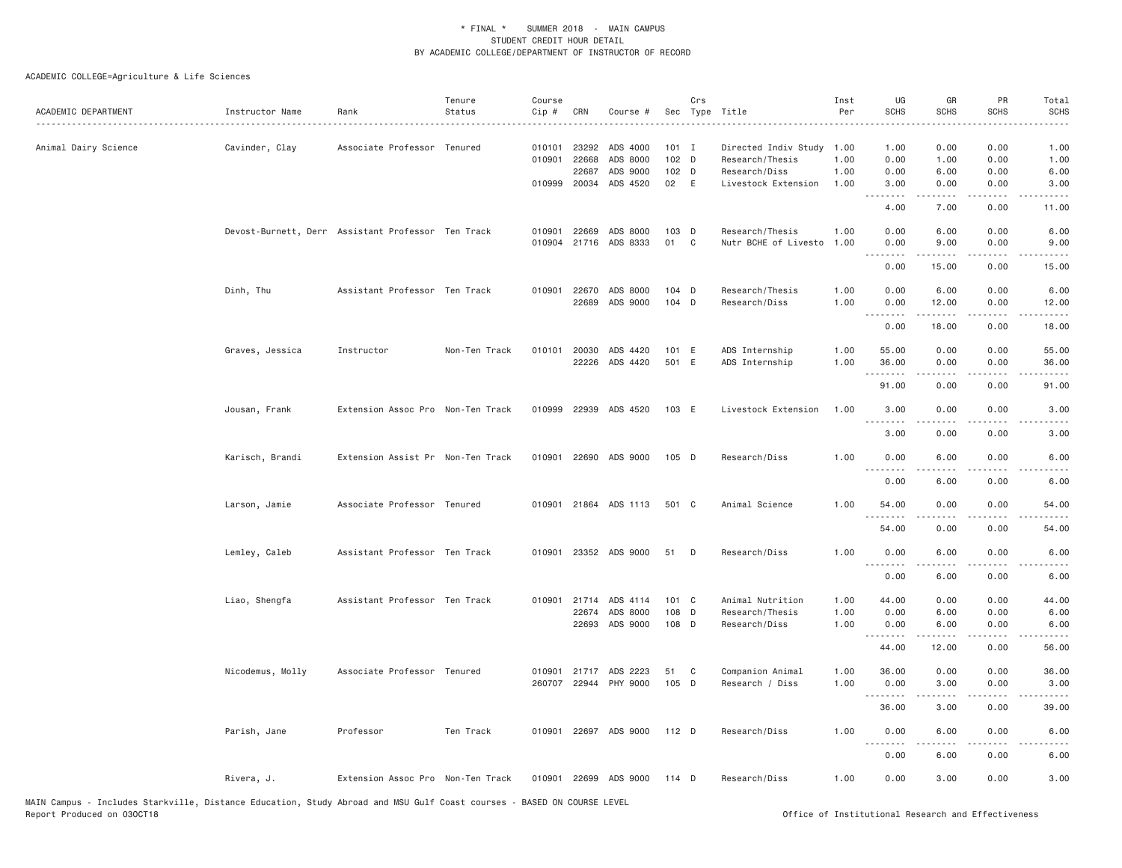| ACADEMIC DEPARTMENT  | Instructor Name  | Rank                                               | Tenure<br>Status | Course<br>Cip #  | CRN                                                   | Course #                                       |                                 | Crs          | Sec Type Title                                                                       | Inst<br>Per          | UG<br><b>SCHS</b>                         | GR<br><b>SCHS</b>                         | PR<br><b>SCHS</b>                                                                                                             | Total<br><b>SCHS</b>                               |
|----------------------|------------------|----------------------------------------------------|------------------|------------------|-------------------------------------------------------|------------------------------------------------|---------------------------------|--------------|--------------------------------------------------------------------------------------|----------------------|-------------------------------------------|-------------------------------------------|-------------------------------------------------------------------------------------------------------------------------------|----------------------------------------------------|
| Animal Dairy Science | Cavinder, Clay   | Associate Professor Tenured                        |                  |                  | 010101 23292<br>010901 22668<br>22687<br>010999 20034 | ADS 4000<br>ADS 8000<br>ADS 9000<br>ADS 4520   | $101$ I<br>102 D<br>102 D<br>02 | E            | Directed Indiv Study 1.00<br>Research/Thesis<br>Research/Diss<br>Livestock Extension | 1.00<br>1.00<br>1.00 | 1.00<br>0.00<br>0.00<br>3.00<br>.<br>4.00 | 0.00<br>1.00<br>6.00<br>0.00<br>.<br>7.00 | 0.00<br>0.00<br>0.00<br>0.00<br>$\frac{1}{2} \frac{1}{2} \frac{1}{2} \frac{1}{2} \frac{1}{2} \frac{1}{2} \frac{1}{2}$<br>0.00 | 1.00<br>1.00<br>6.00<br>3.00<br>$- - - -$<br>11.00 |
|                      |                  | Devost-Burnett, Derr Assistant Professor Ten Track |                  | 010901<br>010904 | 22669<br>21716                                        | ADS 8000<br>ADS 8333                           | 103 D<br>01                     | $\mathbf{C}$ | Research/Thesis<br>Nutr BCHE of Livesto                                              | 1.00<br>1.00         | 0.00<br>0.00<br>.                         | 6.00<br>9.00                              | 0.00<br>0.00                                                                                                                  | 6.00<br>9.00                                       |
|                      | Dinh, Thu        | Assistant Professor Ten Track                      |                  |                  | 010901 22670                                          | ADS 8000<br>22689 ADS 9000                     | 104 D<br>104 D                  |              | Research/Thesis<br>Research/Diss                                                     | 1.00<br>1.00         | 0.00<br>0.00<br>0.00<br>-----             | 15.00<br>6.00<br>12.00                    | 0.00<br>0.00<br>0.00<br>.                                                                                                     | 15.00<br>6.00<br>12.00                             |
|                      | Graves, Jessica  | Instructor                                         | Non-Ten Track    |                  | 010101 20030<br>22226                                 | ADS 4420<br>ADS 4420                           | 101 E<br>501 E                  |              | ADS Internship<br>ADS Internship                                                     | 1.00<br>1.00         | 0.00<br>55.00<br>36.00                    | 18.00<br>0.00<br>0.00                     | 0.00<br>0.00<br>0.00                                                                                                          | 18.00<br>55.00<br>36.00                            |
|                      | Jousan, Frank    | Extension Assoc Pro Non-Ten Track                  |                  | 010999           | 22939                                                 | ADS 4520                                       | 103 E                           |              | Livestock Extension                                                                  | 1.00                 | .<br>91.00<br>3.00<br>.                   | .<br>0.00<br>0.00<br>.                    | .<br>0.00<br>0.00                                                                                                             | .<br>91.00<br>3.00                                 |
|                      | Karisch, Brandi  | Extension Assist Pr Non-Ten Track                  |                  | 010901           | 22690                                                 | ADS 9000                                       | 105 D                           |              | Research/Diss                                                                        | 1.00                 | 3.00<br>0.00<br>0.00                      | 0.00<br>6.00<br>6.00                      | 0.00<br>0.00<br>0.00                                                                                                          | 3.00<br>6.00<br>6.00                               |
|                      | Larson, Jamie    | Associate Professor Tenured                        |                  |                  |                                                       | 010901 21864 ADS 1113                          | 501 C                           |              | Animal Science                                                                       | 1.00                 | 54.00<br>.<br>54.00                       | 0.00<br>0.00                              | 0.00<br>0.00                                                                                                                  | 54.00<br>54.00                                     |
|                      | Lemley, Caleb    | Assistant Professor Ten Track                      |                  |                  |                                                       | 010901 23352 ADS 9000                          | 51                              | D            | Research/Diss                                                                        | 1.00                 | 0.00<br>$- - -$<br>0.00                   | 6.00<br>6.00                              | 0.00<br>0.00                                                                                                                  | 6.00<br>6.00                                       |
|                      | Liao, Shengfa    | Assistant Professor Ten Track                      |                  |                  | 010901 21714<br>22674                                 | ADS 4114<br>ADS 8000<br>22693 ADS 9000         | 101 C<br>108 D<br>108 D         |              | Animal Nutrition<br>Research/Thesis<br>Research/Diss                                 | 1.00<br>1.00<br>1.00 | 44.00<br>0.00<br>0.00<br>.                | 0.00<br>6.00<br>6.00<br>$- - - - -$       | 0.00<br>0.00<br>0.00<br>.                                                                                                     | 44.00<br>6.00<br>6.00                              |
|                      | Nicodemus, Molly | Associate Professor Tenured                        |                  |                  |                                                       | 010901 21717 ADS 2223<br>260707 22944 PHY 9000 | 51<br>105 D                     | C            | Companion Animal<br>Research / Diss                                                  | 1.00<br>1.00         | 44.00<br>36.00<br>0.00                    | 12.00<br>0.00<br>3.00                     | 0.00<br>0.00<br>0.00                                                                                                          | 56.00<br>36.00<br>3.00                             |
|                      | Parish, Jane     | Professor                                          | Ten Track        |                  |                                                       | 010901 22697 ADS 9000                          | 112 D                           |              | Research/Diss                                                                        | 1.00                 | 36.00<br>0.00<br>$- - -$                  | 3.00<br>6.00                              | 0.00<br>0.00                                                                                                                  | 39.00<br>6.00                                      |
|                      | Rivera, J.       | Extension Assoc Pro Non-Ten Track                  |                  |                  |                                                       | 010901 22699 ADS 9000                          | 114 D                           |              | Research/Diss                                                                        | 1.00                 | 0.00<br>0.00                              | 6.00<br>3.00                              | 0.00<br>0.00                                                                                                                  | 6.00<br>3.00                                       |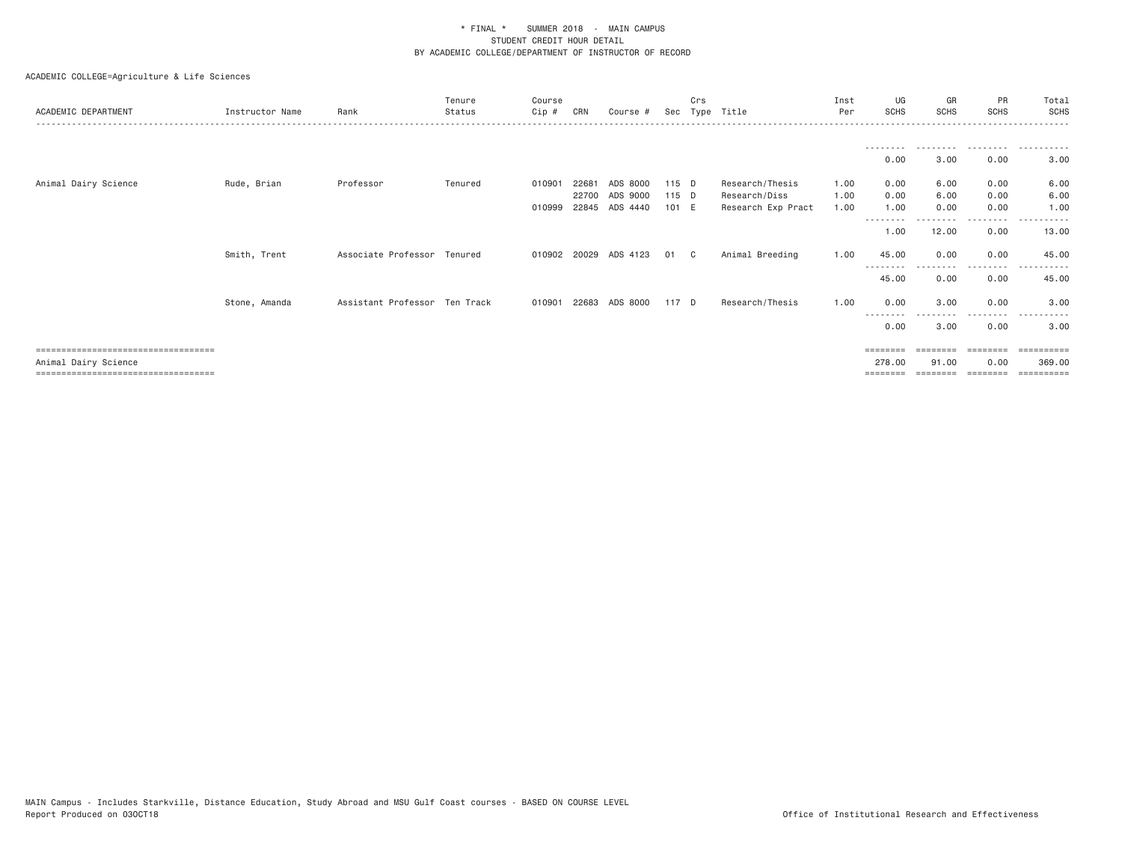| ACADEMIC DEPARTMENT                   | Instructor Name | Rank                          | Tenure<br>Status | Course<br>Cip # | CRN   | Course #              |       | Crs | Sec Type Title     | Inst<br>Per | UG<br><b>SCHS</b> | GR<br><b>SCHS</b> | PR<br><b>SCHS</b> | Total<br><b>SCHS</b> |
|---------------------------------------|-----------------|-------------------------------|------------------|-----------------|-------|-----------------------|-------|-----|--------------------|-------------|-------------------|-------------------|-------------------|----------------------|
|                                       |                 |                               |                  |                 |       |                       |       |     |                    |             | ---------<br>0.00 | ---------<br>3.00 | .<br>0.00         | .<br>3.00            |
| Animal Dairy Science                  | Rude, Brian     | Professor                     | Tenured          | 010901          | 22681 | ADS 8000              | 115 D |     | Research/Thesis    | 1.00        | 0.00              | 6.00              | 0.00              | 6.00                 |
|                                       |                 |                               |                  |                 | 22700 | ADS 9000              | 115 D |     | Research/Diss      | 1.00        | 0.00              | 6.00              | 0.00              | 6.00                 |
|                                       |                 |                               |                  | 010999          |       | 22845 ADS 4440        | 101 E |     | Research Exp Pract | 1.00        | 1.00<br>--------  | 0.00              | 0.00<br>.         | 1.00                 |
|                                       |                 |                               |                  |                 |       |                       |       |     |                    |             | 1.00              | 12.00             | 0.00              | 13.00                |
|                                       | Smith, Trent    | Associate Professor Tenured   |                  |                 |       | 010902 20029 ADS 4123 | 01 C  |     | Animal Breeding    | 1.00        | 45.00             | 0.00              | 0.00<br>- - - -   | 45.00                |
|                                       |                 |                               |                  |                 |       |                       |       |     |                    |             | 45.00             | 0.00              | 0.00              | 45.00                |
|                                       | Stone, Amanda   | Assistant Professor Ten Track |                  | 010901          | 22683 | ADS 8000              | 117 D |     | Research/Thesis    | 1.00        | 0.00              | 3.00              | 0.00              | 3.00                 |
|                                       |                 |                               |                  |                 |       |                       |       |     |                    |             | 0.00              | 3,00              | ---------<br>0.00 | $\cdots$<br>3.00     |
| ===================================== |                 |                               |                  |                 |       |                       |       |     |                    |             | ========          | --------          | ========          |                      |
| Animal Dairy Science                  |                 |                               |                  |                 |       |                       |       |     |                    |             | 278.00            | 91,00             | 0.00              | 369.00               |
| ===================================== |                 |                               |                  |                 |       |                       |       |     |                    |             |                   |                   | ========          |                      |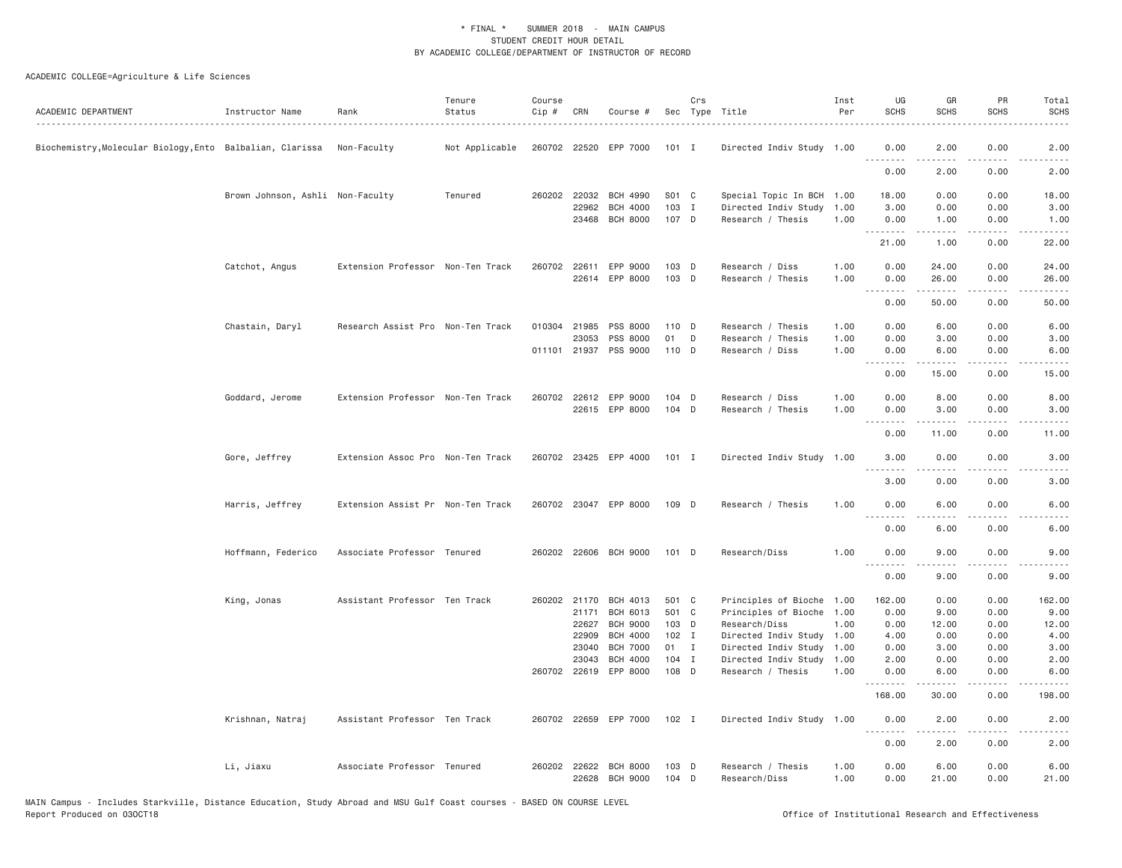| ACADEMIC DEPARTMENT                                                   | Instructor Name                  | Rank                              | Tenure<br>Status | Course<br>Cip # | CRN                   | Course #                           |                    | Crs | Sec Type Title                                    | Inst<br>Per  | UG<br><b>SCHS</b>               | GR<br><b>SCHS</b>                                                                                                                                             | PR<br><b>SCHS</b>                   | Total<br>SCHS  |
|-----------------------------------------------------------------------|----------------------------------|-----------------------------------|------------------|-----------------|-----------------------|------------------------------------|--------------------|-----|---------------------------------------------------|--------------|---------------------------------|---------------------------------------------------------------------------------------------------------------------------------------------------------------|-------------------------------------|----------------|
| Biochemistry, Molecular Biology, Ento Balbalian, Clarissa Non-Faculty |                                  |                                   | Not Applicable   |                 |                       | 260702 22520 EPP 7000              | 101 I              |     | Directed Indiv Study 1.00                         |              | 0.00                            | 2.00                                                                                                                                                          | 0.00                                | 2.00           |
|                                                                       |                                  |                                   |                  |                 |                       |                                    |                    |     |                                                   |              | 0.00                            | 2.00                                                                                                                                                          | 0.00                                | 2.00           |
|                                                                       | Brown Johnson, Ashli Non-Faculty |                                   | Tenured          |                 | 260202 22032          | <b>BCH 4990</b>                    | S01 C              |     | Special Topic In BCH 1.00                         |              | 18.00                           | 0.00                                                                                                                                                          | 0.00                                | 18.00          |
|                                                                       |                                  |                                   |                  |                 | 22962<br>23468        | <b>BCH 4000</b><br><b>BCH 8000</b> | 103 I<br>107 D     |     | Directed Indiv Study 1.00<br>Research / Thesis    | 1.00         | 3.00<br>0.00                    | 0.00<br>1.00                                                                                                                                                  | 0.00<br>0.00                        | 3.00<br>1.00   |
|                                                                       |                                  |                                   |                  |                 |                       |                                    |                    |     |                                                   |              | .<br>21.00                      | $\frac{1}{2} \left( \frac{1}{2} \right) \left( \frac{1}{2} \right) \left( \frac{1}{2} \right) \left( \frac{1}{2} \right)$<br>1.00                             | .<br>0.00                           | .<br>22.00     |
|                                                                       |                                  |                                   |                  |                 |                       |                                    |                    |     |                                                   |              |                                 |                                                                                                                                                               |                                     |                |
|                                                                       | Catchot, Angus                   | Extension Professor Non-Ten Track |                  | 260702          | 22611                 | EPP 9000<br>22614 EPP 8000         | $103$ D<br>$103$ D |     | Research / Diss<br>Research / Thesis              | 1.00<br>1.00 | 0.00<br>0.00                    | 24.00<br>26.00                                                                                                                                                | 0.00<br>0.00                        | 24.00<br>26.00 |
|                                                                       |                                  |                                   |                  |                 |                       |                                    |                    |     |                                                   |              | .<br>0.00                       | $\frac{1}{2} \left( \frac{1}{2} \right) \left( \frac{1}{2} \right) \left( \frac{1}{2} \right) \left( \frac{1}{2} \right) \left( \frac{1}{2} \right)$<br>50.00 | $\sim$ $\sim$ $\sim$ $\sim$<br>0.00 | .<br>50.00     |
|                                                                       |                                  |                                   |                  |                 |                       |                                    |                    |     |                                                   |              |                                 |                                                                                                                                                               |                                     |                |
|                                                                       | Chastain, Daryl                  | Research Assist Pro Non-Ten Track |                  |                 | 010304 21985<br>23053 | PSS 8000<br>PSS 8000               | 110 D<br>01        | D   | Research / Thesis<br>Research / Thesis            | 1.00<br>1.00 | 0.00<br>0.00                    | 6.00<br>3.00                                                                                                                                                  | 0.00<br>0.00                        | 6.00<br>3.00   |
|                                                                       |                                  |                                   |                  |                 | 011101 21937          | PSS 9000                           | 110 D              |     | Research / Diss                                   | 1.00         | 0.00                            | 6.00                                                                                                                                                          | 0.00                                | 6.00           |
|                                                                       |                                  |                                   |                  |                 |                       |                                    |                    |     |                                                   |              | .<br>0.00                       | .<br>15.00                                                                                                                                                    | 0.00                                | 15.00          |
|                                                                       | Goddard, Jerome                  | Extension Professor Non-Ten Track |                  |                 |                       | 260702 22612 EPP 9000              | $104$ D            |     | Research / Diss                                   | 1.00         | 0.00                            | 8.00                                                                                                                                                          | 0.00                                | 8.00           |
|                                                                       |                                  |                                   |                  |                 |                       | 22615 EPP 8000                     | 104 D              |     | Research / Thesis                                 | 1.00         | 0.00                            | 3.00                                                                                                                                                          | 0.00                                | 3.00           |
|                                                                       |                                  |                                   |                  |                 |                       |                                    |                    |     |                                                   |              | .<br>0.00                       | $\frac{1}{2} \left( \frac{1}{2} \right) \left( \frac{1}{2} \right) \left( \frac{1}{2} \right) \left( \frac{1}{2} \right) \left( \frac{1}{2} \right)$<br>11.00 | $\sim$ $\sim$ $\sim$ $\sim$<br>0.00 | 11.00          |
|                                                                       | Gore, Jeffrey                    | Extension Assoc Pro Non-Ten Track |                  |                 |                       | 260702 23425 EPP 4000              | 101 I              |     | Directed Indiv Study 1.00                         |              | 3.00                            | 0.00                                                                                                                                                          | 0.00                                | 3.00           |
|                                                                       |                                  |                                   |                  |                 |                       |                                    |                    |     |                                                   |              | $\omega$ is $\omega$ in<br>3,00 | 0.00                                                                                                                                                          | 0.00                                | 3.00           |
|                                                                       | Harris, Jeffrey                  | Extension Assist Pr Non-Ten Track |                  |                 |                       | 260702 23047 EPP 8000              | 109 D              |     | Research / Thesis                                 | 1.00         | 0.00                            | 6.00                                                                                                                                                          | 0.00                                | 6.00           |
|                                                                       |                                  |                                   |                  |                 |                       |                                    |                    |     |                                                   |              | .<br>0.00                       | $- - - - -$<br>6.00                                                                                                                                           | .<br>0.00                           | ----<br>6.00   |
|                                                                       | Hoffmann, Federico               | Associate Professor Tenured       |                  |                 |                       | 260202 22606 BCH 9000              | $101$ D            |     | Research/Diss                                     | 1.00         | 0.00                            | 9.00                                                                                                                                                          | 0.00                                | 9.00           |
|                                                                       |                                  |                                   |                  |                 |                       |                                    |                    |     |                                                   |              | .<br>0.00                       | .<br>9.00                                                                                                                                                     | .<br>0.00                           | 9.00           |
|                                                                       | King, Jonas                      | Assistant Professor Ten Track     |                  |                 | 260202 21170          | BCH 4013                           | 501 C              |     | Principles of Bioche 1.00                         |              | 162.00                          | 0.00                                                                                                                                                          | 0.00                                | 162.00         |
|                                                                       |                                  |                                   |                  |                 | 21171                 | <b>BCH 6013</b>                    | 501 C              |     | Principles of Bioche 1.00                         |              | 0.00                            | 9.00                                                                                                                                                          | 0.00                                | 9.00           |
|                                                                       |                                  |                                   |                  |                 | 22627                 | <b>BCH 9000</b>                    | 103 D              |     | Research/Diss                                     | 1.00         | 0.00                            | 12.00                                                                                                                                                         | 0.00                                | 12.00          |
|                                                                       |                                  |                                   |                  |                 | 22909<br>23040        | BCH 4000<br><b>BCH 7000</b>        | $102$ I<br>01 I    |     | Directed Indiv Study 1.00<br>Directed Indiv Study | 1.00         | 4.00<br>0.00                    | 0.00<br>3.00                                                                                                                                                  | 0.00<br>0.00                        | 4.00<br>3.00   |
|                                                                       |                                  |                                   |                  |                 | 23043                 | <b>BCH 4000</b>                    | $104$ I            |     | Directed Indiv Study 1.00                         |              | 2.00                            | 0.00                                                                                                                                                          | 0.00                                | 2.00           |
|                                                                       |                                  |                                   |                  |                 |                       | 260702 22619 EPP 8000              | 108 D              |     | Research / Thesis                                 | 1.00         | 0.00                            | 6.00                                                                                                                                                          | 0.00                                | 6.00           |
|                                                                       |                                  |                                   |                  |                 |                       |                                    |                    |     |                                                   |              | .<br>168.00                     | 30.00                                                                                                                                                         | .<br>0.00                           | 198.00         |
|                                                                       | Krishnan, Natraj                 | Assistant Professor Ten Track     |                  |                 |                       | 260702 22659 EPP 7000              | $102$ I            |     | Directed Indiv Study 1.00                         |              | 0.00                            | 2.00                                                                                                                                                          | 0.00                                | 2.00           |
|                                                                       |                                  |                                   |                  |                 |                       |                                    |                    |     |                                                   |              | .<br>0.00                       | .<br>2.00                                                                                                                                                     | $\sim$ $\sim$ $\sim$ $\sim$<br>0.00 | 2.00           |
|                                                                       | Li, Jiaxu                        | Associate Professor Tenured       |                  |                 | 22628                 | 260202 22622 BCH 8000<br>BCH 9000  | $103$ D<br>104 D   |     | Research / Thesis<br>Research/Diss                | 1.00<br>1.00 | 0.00<br>0.00                    | 6.00<br>21.00                                                                                                                                                 | 0.00<br>0.00                        | 6.00<br>21.00  |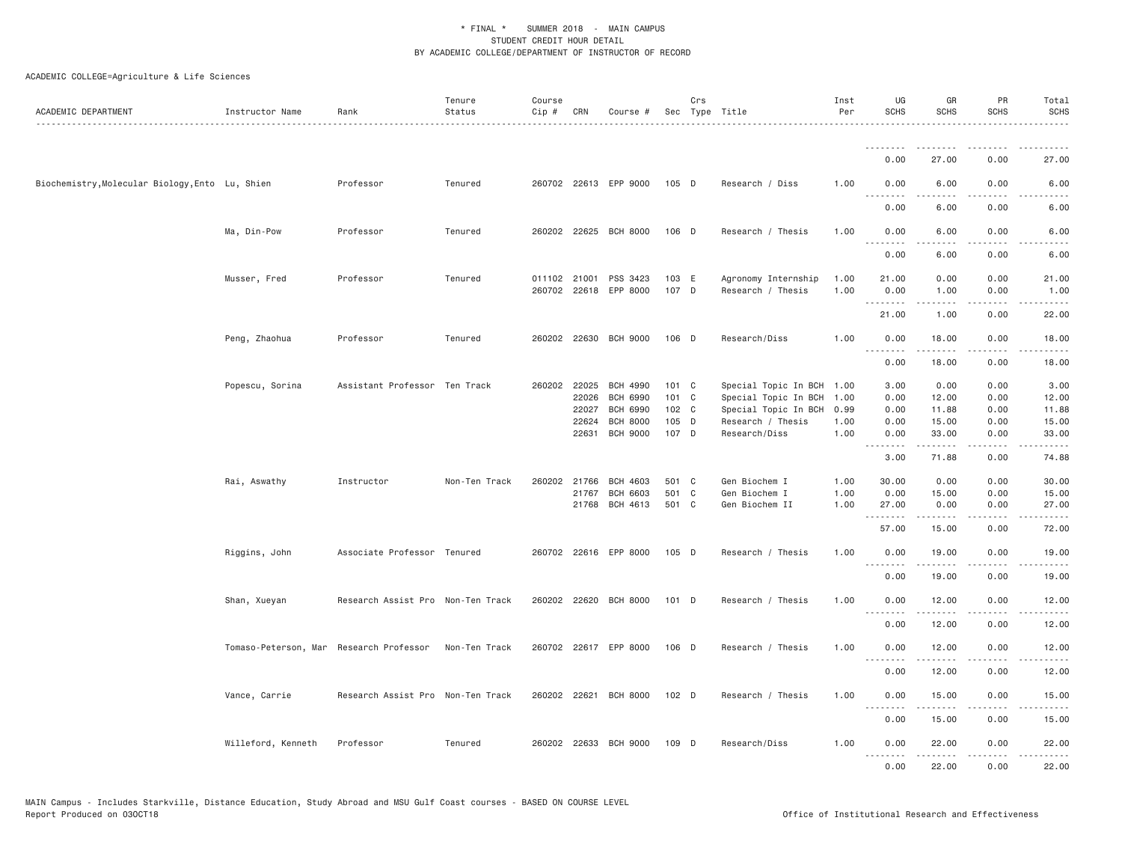| ACADEMIC DEPARTMENT                             | Instructor Name                         | Rank                              | Tenure<br>Status | Course<br>Cip# | CRN   | Course #              |         | Crs | Sec Type Title            | Inst<br>Per | UG<br><b>SCHS</b>               | GR<br><b>SCHS</b>                                                                                                                                             | PR<br><b>SCHS</b>                   | Total<br><b>SCHS</b><br>.                                                                                                                                     |
|-------------------------------------------------|-----------------------------------------|-----------------------------------|------------------|----------------|-------|-----------------------|---------|-----|---------------------------|-------------|---------------------------------|---------------------------------------------------------------------------------------------------------------------------------------------------------------|-------------------------------------|---------------------------------------------------------------------------------------------------------------------------------------------------------------|
|                                                 |                                         |                                   |                  |                |       |                       |         |     |                           |             | .                               |                                                                                                                                                               |                                     |                                                                                                                                                               |
|                                                 |                                         |                                   |                  |                |       |                       |         |     |                           |             | 0.00                            | 27.00                                                                                                                                                         | 0.00                                | 27.00                                                                                                                                                         |
| Biochemistry, Molecular Biology, Ento Lu, Shien |                                         | Professor                         | Tenured          |                |       | 260702 22613 EPP 9000 | 105 D   |     | Research / Diss           | 1.00        | 0.00                            | 6.00                                                                                                                                                          | 0.00                                | 6.00                                                                                                                                                          |
|                                                 |                                         |                                   |                  |                |       |                       |         |     |                           |             | 0.00                            | 6.00                                                                                                                                                          | 0.00                                | 6.00                                                                                                                                                          |
|                                                 | Ma, Din-Pow                             | Professor                         | Tenured          |                |       | 260202 22625 BCH 8000 | 106 D   |     | Research / Thesis         | 1.00        | 0.00<br>. <i>.</i>              | 6.00<br>.                                                                                                                                                     | 0.00<br>.                           | 6.00                                                                                                                                                          |
|                                                 |                                         |                                   |                  |                |       |                       |         |     |                           |             | 0.00                            | 6.00                                                                                                                                                          | 0.00                                | 6.00                                                                                                                                                          |
|                                                 | Musser, Fred                            | Professor                         | Tenured          | 011102 21001   |       | PSS 3423              | 103 E   |     | Agronomy Internship       | 1.00        | 21.00                           | 0.00                                                                                                                                                          | 0.00                                | 21.00                                                                                                                                                         |
|                                                 |                                         |                                   |                  | 260702         |       | 22618 EPP 8000        | 107 D   |     | Research / Thesis         | 1.00        | 0.00                            | 1.00                                                                                                                                                          | 0.00                                | 1.00                                                                                                                                                          |
|                                                 |                                         |                                   |                  |                |       |                       |         |     |                           |             | 21.00                           | .<br>1.00                                                                                                                                                     | $\sim$ $\sim$ $\sim$ $\sim$<br>0.00 | $\sim$ $\sim$ $\sim$ $\sim$ $\sim$<br>22.00                                                                                                                   |
|                                                 | Peng, Zhaohua                           | Professor                         | Tenured          |                |       | 260202 22630 BCH 9000 | 106 D   |     | Research/Diss             | 1.00        | 0.00                            | 18.00                                                                                                                                                         | 0.00                                | 18.00                                                                                                                                                         |
|                                                 |                                         |                                   |                  |                |       |                       |         |     |                           |             | .                               |                                                                                                                                                               | $\sim$ $\sim$ $\sim$                |                                                                                                                                                               |
|                                                 |                                         |                                   |                  |                |       |                       |         |     |                           |             | 0.00                            | 18.00                                                                                                                                                         | 0.00                                | 18.00                                                                                                                                                         |
|                                                 | Popescu, Sorina                         | Assistant Professor Ten Track     |                  | 260202 22025   |       | <b>BCH 4990</b>       | 101 C   |     | Special Topic In BCH 1.00 |             | 3.00                            | 0.00                                                                                                                                                          | 0.00                                | 3.00                                                                                                                                                          |
|                                                 |                                         |                                   |                  |                | 22026 | <b>BCH 6990</b>       | 101 C   |     | Special Topic In BCH      | 1.00        | 0.00                            | 12.00                                                                                                                                                         | 0.00                                | 12.00                                                                                                                                                         |
|                                                 |                                         |                                   |                  |                | 22027 | <b>BCH 6990</b>       | 102 C   |     | Special Topic In BCH      | 0.99        | 0.00                            | 11.88                                                                                                                                                         | 0.00                                | 11.88                                                                                                                                                         |
|                                                 |                                         |                                   |                  |                | 22624 | <b>BCH 8000</b>       | 105 D   |     | Research / Thesis         | 1.00        | 0.00                            | 15.00                                                                                                                                                         | 0.00                                | 15.00                                                                                                                                                         |
|                                                 |                                         |                                   |                  |                | 22631 | <b>BCH 9000</b>       | 107 D   |     | Research/Diss             | 1.00        | 0.00<br>.                       | 33.00<br>.                                                                                                                                                    | 0.00<br>.                           | 33.00<br>$\frac{1}{2} \left( \frac{1}{2} \right) \left( \frac{1}{2} \right) \left( \frac{1}{2} \right) \left( \frac{1}{2} \right) \left( \frac{1}{2} \right)$ |
|                                                 |                                         |                                   |                  |                |       |                       |         |     |                           |             | 3.00                            | 71.88                                                                                                                                                         | 0.00                                | 74.88                                                                                                                                                         |
|                                                 | Rai, Aswathy                            | Instructor                        | Non-Ten Track    | 260202         | 21766 | <b>BCH 4603</b>       | 501 C   |     | Gen Biochem I             | 1.00        | 30.00                           | 0.00                                                                                                                                                          | 0.00                                | 30.00                                                                                                                                                         |
|                                                 |                                         |                                   |                  |                | 21767 | <b>BCH 6603</b>       | 501 C   |     | Gen Biochem I             | 1.00        | 0.00                            | 15.00                                                                                                                                                         | 0.00                                | 15.00                                                                                                                                                         |
|                                                 |                                         |                                   |                  |                |       | 21768 BCH 4613        | 501 C   |     | Gen Biochem II            | 1.00        | 27.00<br>.                      | 0.00<br>.                                                                                                                                                     | 0.00<br>د د د د                     | 27.00<br>د د د د د                                                                                                                                            |
|                                                 |                                         |                                   |                  |                |       |                       |         |     |                           |             | 57.00                           | 15.00                                                                                                                                                         | 0.00                                | 72.00                                                                                                                                                         |
|                                                 | Riggins, John                           | Associate Professor Tenured       |                  |                |       | 260702 22616 EPP 8000 | 105 D   |     | Research / Thesis         | 1.00        | 0.00<br>.                       | 19.00<br>.                                                                                                                                                    | 0.00<br>$\sim$ $\sim$ $\sim$ $\sim$ | 19.00<br>$\frac{1}{2} \left( \frac{1}{2} \right) \left( \frac{1}{2} \right) \left( \frac{1}{2} \right) \left( \frac{1}{2} \right) \left( \frac{1}{2} \right)$ |
|                                                 |                                         |                                   |                  |                |       |                       |         |     |                           |             | 0.00                            | 19.00                                                                                                                                                         | 0.00                                | 19.00                                                                                                                                                         |
|                                                 | Shan, Xueyan                            | Research Assist Pro Non-Ten Track |                  |                |       | 260202 22620 BCH 8000 | 101 D   |     | Research / Thesis         | 1.00        | 0.00                            | 12.00                                                                                                                                                         | 0.00                                | 12.00                                                                                                                                                         |
|                                                 |                                         |                                   |                  |                |       |                       |         |     |                           |             | .<br>0.00                       | 12.00                                                                                                                                                         | 0.00                                | 12.00                                                                                                                                                         |
|                                                 | Tomaso-Peterson, Mar Research Professor |                                   | Non-Ten Track    |                |       | 260702 22617 EPP 8000 | 106 D   |     | Research / Thesis         | 1.00        | 0.00                            | 12.00                                                                                                                                                         | 0.00                                | 12.00                                                                                                                                                         |
|                                                 |                                         |                                   |                  |                |       |                       |         |     |                           |             | <u> - - - - - - - -</u><br>0.00 | 12.00                                                                                                                                                         | .<br>0.00                           | د د د د د<br>12.00                                                                                                                                            |
|                                                 | Vance, Carrie                           | Research Assist Pro Non-Ten Track |                  |                |       | 260202 22621 BCH 8000 | $102$ D |     | Research / Thesis         | 1.00        | 0.00                            | 15.00                                                                                                                                                         | 0.00                                | 15.00                                                                                                                                                         |
|                                                 |                                         |                                   |                  |                |       |                       |         |     |                           |             | 0.00                            | $\frac{1}{2} \left( \frac{1}{2} \right) \left( \frac{1}{2} \right) \left( \frac{1}{2} \right) \left( \frac{1}{2} \right) \left( \frac{1}{2} \right)$<br>15.00 | $\sim$ $\sim$ $\sim$ $\sim$<br>0.00 | 15.00                                                                                                                                                         |
|                                                 | Willeford, Kenneth                      | Professor                         | Tenured          |                |       | 260202 22633 BCH 9000 | 109 D   |     | Research/Diss             | 1.00        | 0.00                            | 22.00                                                                                                                                                         | 0.00                                | 22.00                                                                                                                                                         |
|                                                 |                                         |                                   |                  |                |       |                       |         |     |                           |             | .<br>0.00                       | <u>.</u><br>22,00                                                                                                                                             | .<br>0.00                           | .<br>22.00                                                                                                                                                    |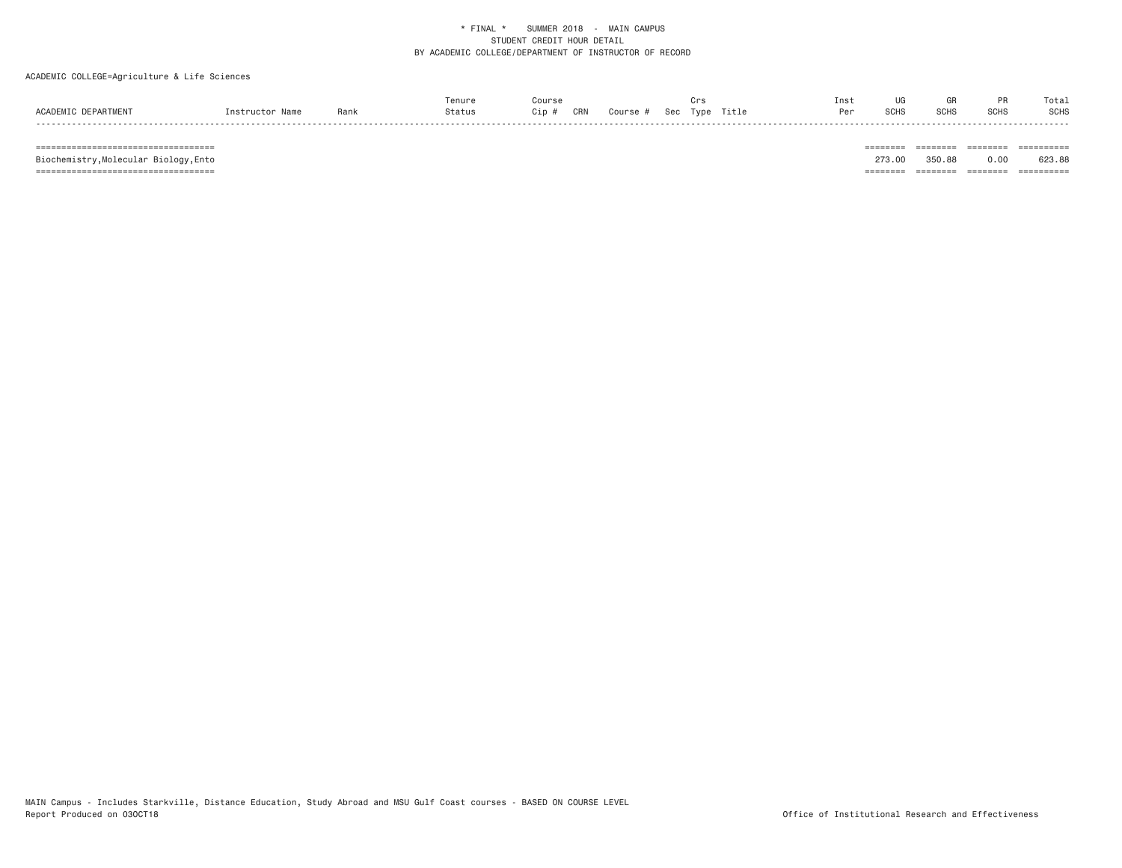## ACADEMIC COLLEGE=Agriculture & Life Sciences

|   |     |     |     |  |  | [ns | υu |      | Total |
|---|-----|-----|-----|--|--|-----|----|------|-------|
|   | Ran | ;ip | CRN |  |  |     |    | SCH: | SCHS  |
| . |     |     |     |  |  |     |    |      |       |

=================================== ======== ======== ======== ==========

Biochemistry, Molecular Biology, Ento

273.00 350.88 0.00 623.88 =================================== ======== ======== ======== ==========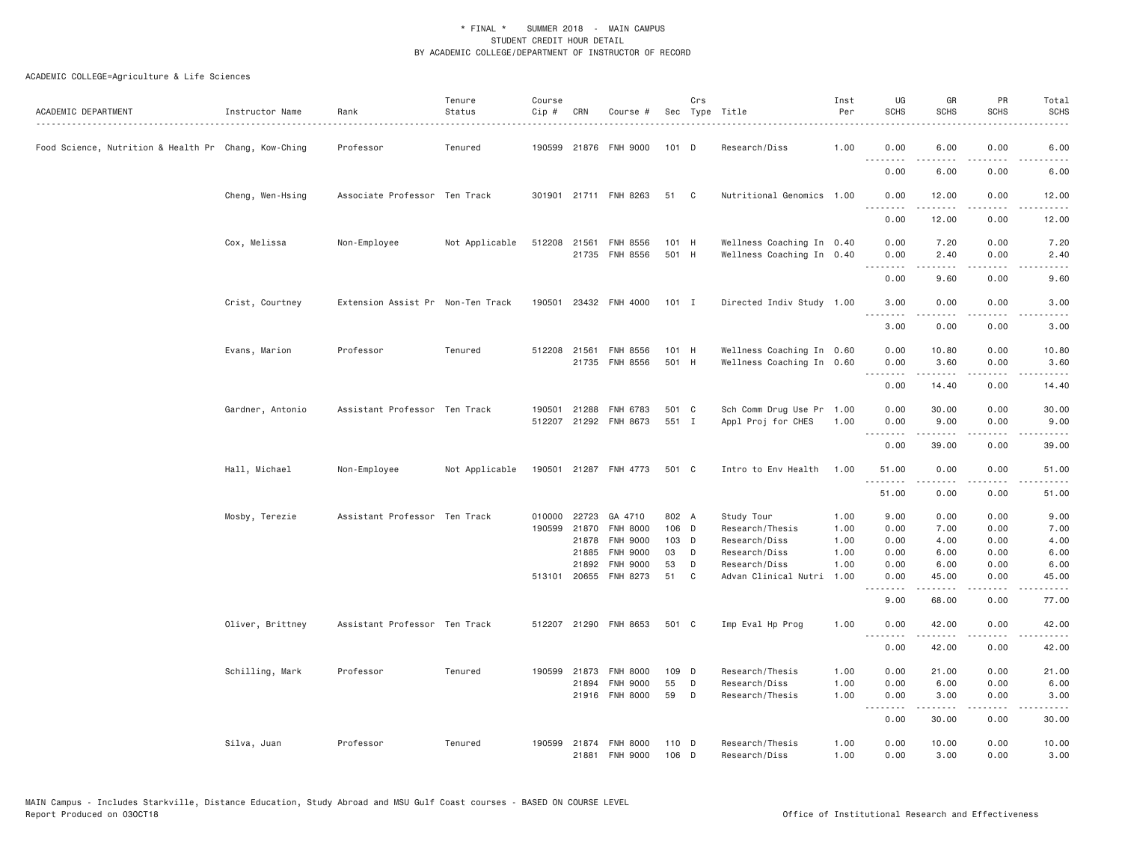| ACADEMIC DEPARTMENT                                  | Instructor Name  | Rank<br>.                         | Tenure<br>Status | Course<br>Cip # | CRN            | Course #                           |          | Crs    | Sec Type Title                 | Inst<br>Per  | UG<br><b>SCHS</b>                                                                                                                 | GR<br><b>SCHS</b>                                                                                                                                                                                                                                                                                                                            | PR<br><b>SCHS</b>                   | Total<br><b>SCHS</b>                                                                                                               |
|------------------------------------------------------|------------------|-----------------------------------|------------------|-----------------|----------------|------------------------------------|----------|--------|--------------------------------|--------------|-----------------------------------------------------------------------------------------------------------------------------------|----------------------------------------------------------------------------------------------------------------------------------------------------------------------------------------------------------------------------------------------------------------------------------------------------------------------------------------------|-------------------------------------|------------------------------------------------------------------------------------------------------------------------------------|
| Food Science, Nutrition & Health Pr Chang, Kow-Ching |                  | Professor                         | Tenured          |                 |                | 190599 21876 FNH 9000              | 101 D    |        | Research/Diss                  | 1.00         | 0.00<br>.                                                                                                                         | 6.00                                                                                                                                                                                                                                                                                                                                         | 0.00<br>.                           | 6.00                                                                                                                               |
|                                                      |                  |                                   |                  |                 |                |                                    |          |        |                                |              | 0.00                                                                                                                              | $\frac{1}{2}$<br>6.00                                                                                                                                                                                                                                                                                                                        | 0.00                                | 6.00                                                                                                                               |
|                                                      | Cheng, Wen-Hsing | Associate Professor Ten Track     |                  |                 |                | 301901 21711 FNH 8263              | 51       | C      | Nutritional Genomics 1.00      |              | 0.00                                                                                                                              | 12.00                                                                                                                                                                                                                                                                                                                                        | 0.00                                | 12.00                                                                                                                              |
|                                                      |                  |                                   |                  |                 |                |                                    |          |        |                                |              | $\frac{1}{2} \left( \frac{1}{2} \right) \left( \frac{1}{2} \right) \left( \frac{1}{2} \right) \left( \frac{1}{2} \right)$<br>0.00 | $\frac{1}{2} \left( \frac{1}{2} \right) \left( \frac{1}{2} \right) \left( \frac{1}{2} \right) \left( \frac{1}{2} \right) \left( \frac{1}{2} \right)$<br>12.00                                                                                                                                                                                | $\sim$ $\sim$ $\sim$ $\sim$<br>0.00 | المتمامين<br>12.00                                                                                                                 |
|                                                      | Cox, Melissa     | Non-Employee                      | Not Applicable   |                 | 512208 21561   | <b>FNH 8556</b>                    | 101 H    |        | Wellness Coaching In 0.40      |              | 0.00                                                                                                                              | 7.20                                                                                                                                                                                                                                                                                                                                         | 0.00                                | 7.20                                                                                                                               |
|                                                      |                  |                                   |                  |                 |                | 21735 FNH 8556                     | 501 H    |        | Wellness Coaching In 0.40      |              | 0.00<br>.                                                                                                                         | 2.40<br>.                                                                                                                                                                                                                                                                                                                                    | 0.00<br>$- - -$                     | 2.40                                                                                                                               |
|                                                      |                  |                                   |                  |                 |                |                                    |          |        |                                |              | 0.00                                                                                                                              | 9.60                                                                                                                                                                                                                                                                                                                                         | 0.00                                | 9.60                                                                                                                               |
|                                                      | Crist, Courtney  | Extension Assist Pr Non-Ten Track |                  | 190501          |                | 23432 FNH 4000                     | $101$ I  |        | Directed Indiv Study 1.00      |              | 3.00<br>.                                                                                                                         | 0.00<br>.                                                                                                                                                                                                                                                                                                                                    | 0.00<br>$\sim$ $\sim$ $\sim$ $\sim$ | 3.00<br>.                                                                                                                          |
|                                                      |                  |                                   |                  |                 |                |                                    |          |        |                                |              | 3.00                                                                                                                              | 0.00                                                                                                                                                                                                                                                                                                                                         | 0.00                                | 3.00                                                                                                                               |
|                                                      | Evans, Marion    | Professor                         | Tenured          |                 | 512208 21561   | FNH 8556                           | 101 H    |        | Wellness Coaching In 0.60      |              | 0.00                                                                                                                              | 10.80                                                                                                                                                                                                                                                                                                                                        | 0.00                                | 10.80                                                                                                                              |
|                                                      |                  |                                   |                  |                 |                | 21735 FNH 8556                     | 501 H    |        | Wellness Coaching In 0.60      |              | 0.00<br><u>.</u>                                                                                                                  | 3.60                                                                                                                                                                                                                                                                                                                                         | 0.00<br>.                           | 3.60                                                                                                                               |
|                                                      |                  |                                   |                  |                 |                |                                    |          |        |                                |              | 0.00                                                                                                                              | 14.40                                                                                                                                                                                                                                                                                                                                        | 0.00                                | 14.40                                                                                                                              |
|                                                      | Gardner, Antonio | Assistant Professor Ten Track     |                  | 190501          | 21288          | FNH 6783                           | 501 C    |        | Sch Comm Drug Use Pr 1.00      |              | 0.00                                                                                                                              | 30.00                                                                                                                                                                                                                                                                                                                                        | 0.00                                | 30.00                                                                                                                              |
|                                                      |                  |                                   |                  |                 |                | 512207 21292 FNH 8673              | 551 I    |        | Appl Proj for CHES             | 1,00         | 0.00<br>.                                                                                                                         | 9.00<br>-----                                                                                                                                                                                                                                                                                                                                | 0.00<br>.                           | 9.00<br>.                                                                                                                          |
|                                                      |                  |                                   |                  |                 |                |                                    |          |        |                                |              | 0.00                                                                                                                              | 39.00                                                                                                                                                                                                                                                                                                                                        | 0.00                                | 39.00                                                                                                                              |
|                                                      | Hall, Michael    | Non-Employee                      | Not Applicable   |                 |                | 190501 21287 FNH 4773              | 501 C    |        | Intro to Env Health            | 1.00         | 51.00<br>. <i>.</i>                                                                                                               | 0.00<br>.                                                                                                                                                                                                                                                                                                                                    | 0.00<br>$- - - -$                   | 51.00<br>$\frac{1}{2} \left( \frac{1}{2} \right) \left( \frac{1}{2} \right) \left( \frac{1}{2} \right) \left( \frac{1}{2} \right)$ |
|                                                      |                  |                                   |                  |                 |                |                                    |          |        |                                |              | 51.00                                                                                                                             | 0.00                                                                                                                                                                                                                                                                                                                                         | 0.00                                | 51.00                                                                                                                              |
|                                                      | Mosby, Terezie   | Assistant Professor Ten Track     |                  |                 |                | 010000 22723 GA 4710               | 802 A    |        | Study Tour                     | 1.00         | 9.00                                                                                                                              | 0.00                                                                                                                                                                                                                                                                                                                                         | 0.00                                | 9.00                                                                                                                               |
|                                                      |                  |                                   |                  |                 | 190599 21870   | <b>FNH 8000</b>                    | 106 D    |        | Research/Thesis                | 1.00         | 0.00                                                                                                                              | 7.00                                                                                                                                                                                                                                                                                                                                         | 0.00                                | 7.00                                                                                                                               |
|                                                      |                  |                                   |                  |                 | 21878          | <b>FNH 9000</b>                    | 103 D    |        | Research/Diss                  | 1.00         | 0.00                                                                                                                              | 4.00                                                                                                                                                                                                                                                                                                                                         | 0.00                                | 4.00                                                                                                                               |
|                                                      |                  |                                   |                  |                 | 21885<br>21892 | <b>FNH 9000</b><br><b>FNH 9000</b> | 03<br>53 | D<br>D | Research/Diss<br>Research/Diss | 1.00<br>1.00 | 0.00<br>0.00                                                                                                                      | 6.00<br>6.00                                                                                                                                                                                                                                                                                                                                 | 0.00<br>0.00                        | 6.00<br>6.00                                                                                                                       |
|                                                      |                  |                                   |                  |                 |                | 513101 20655 FNH 8273              | 51       | C      | Advan Clinical Nutri           | 1.00         | 0.00                                                                                                                              | 45.00                                                                                                                                                                                                                                                                                                                                        | 0.00                                | 45.00                                                                                                                              |
|                                                      |                  |                                   |                  |                 |                |                                    |          |        |                                |              | $\frac{1}{2}$<br>9.00                                                                                                             | $  -$<br>68.00                                                                                                                                                                                                                                                                                                                               | - - - -<br>0.00                     | 77.00                                                                                                                              |
|                                                      | Oliver, Brittney | Assistant Professor Ten Track     |                  |                 |                | 512207 21290 FNH 8653              | 501 C    |        | Imp Eval Hp Prog               | 1.00         | 0.00                                                                                                                              | 42.00                                                                                                                                                                                                                                                                                                                                        | 0.00                                | 42.00                                                                                                                              |
|                                                      |                  |                                   |                  |                 |                |                                    |          |        |                                |              | .<br>0.00                                                                                                                         | .<br>42.00                                                                                                                                                                                                                                                                                                                                   | .<br>0.00                           | .<br>42.00                                                                                                                         |
|                                                      | Schilling, Mark  | Professor                         | Tenured          |                 | 190599 21873   | <b>FNH 8000</b>                    | 109 D    |        | Research/Thesis                | 1.00         | 0.00                                                                                                                              | 21.00                                                                                                                                                                                                                                                                                                                                        | 0.00                                | 21.00                                                                                                                              |
|                                                      |                  |                                   |                  |                 | 21894          | <b>FNH 9000</b>                    | 55       | D      | Research/Diss                  | 1.00         | 0.00                                                                                                                              | 6.00                                                                                                                                                                                                                                                                                                                                         | 0.00                                | 6.00                                                                                                                               |
|                                                      |                  |                                   |                  |                 |                | 21916 FNH 8000                     | 59       | D      | Research/Thesis                | 1.00         | 0.00<br>.                                                                                                                         | 3.00<br>$\frac{1}{2} \left( \begin{array}{ccc} 1 & 0 & 0 & 0 \\ 0 & 0 & 0 & 0 \\ 0 & 0 & 0 & 0 \\ 0 & 0 & 0 & 0 \\ 0 & 0 & 0 & 0 \\ 0 & 0 & 0 & 0 \\ 0 & 0 & 0 & 0 \\ 0 & 0 & 0 & 0 \\ 0 & 0 & 0 & 0 \\ 0 & 0 & 0 & 0 \\ 0 & 0 & 0 & 0 & 0 \\ 0 & 0 & 0 & 0 & 0 \\ 0 & 0 & 0 & 0 & 0 \\ 0 & 0 & 0 & 0 & 0 \\ 0 & 0 & 0 & 0 & 0 \\ 0 & 0 & 0$ | 0.00<br>.                           | 3.00<br>$\omega$ is $\omega$ in                                                                                                    |
|                                                      |                  |                                   |                  |                 |                |                                    |          |        |                                |              | 0.00                                                                                                                              | 30.00                                                                                                                                                                                                                                                                                                                                        | 0.00                                | 30.00                                                                                                                              |
|                                                      | Silva, Juan      | Professor                         | Tenured          |                 |                | 190599 21874 FNH 8000              | 110 D    |        | Research/Thesis                | 1.00         | 0.00                                                                                                                              | 10.00                                                                                                                                                                                                                                                                                                                                        | 0.00                                | 10.00                                                                                                                              |
|                                                      |                  |                                   |                  |                 | 21881          | <b>FNH 9000</b>                    | 106 D    |        | Research/Diss                  | 1.00         | 0.00                                                                                                                              | 3,00                                                                                                                                                                                                                                                                                                                                         | 0.00                                | 3.00                                                                                                                               |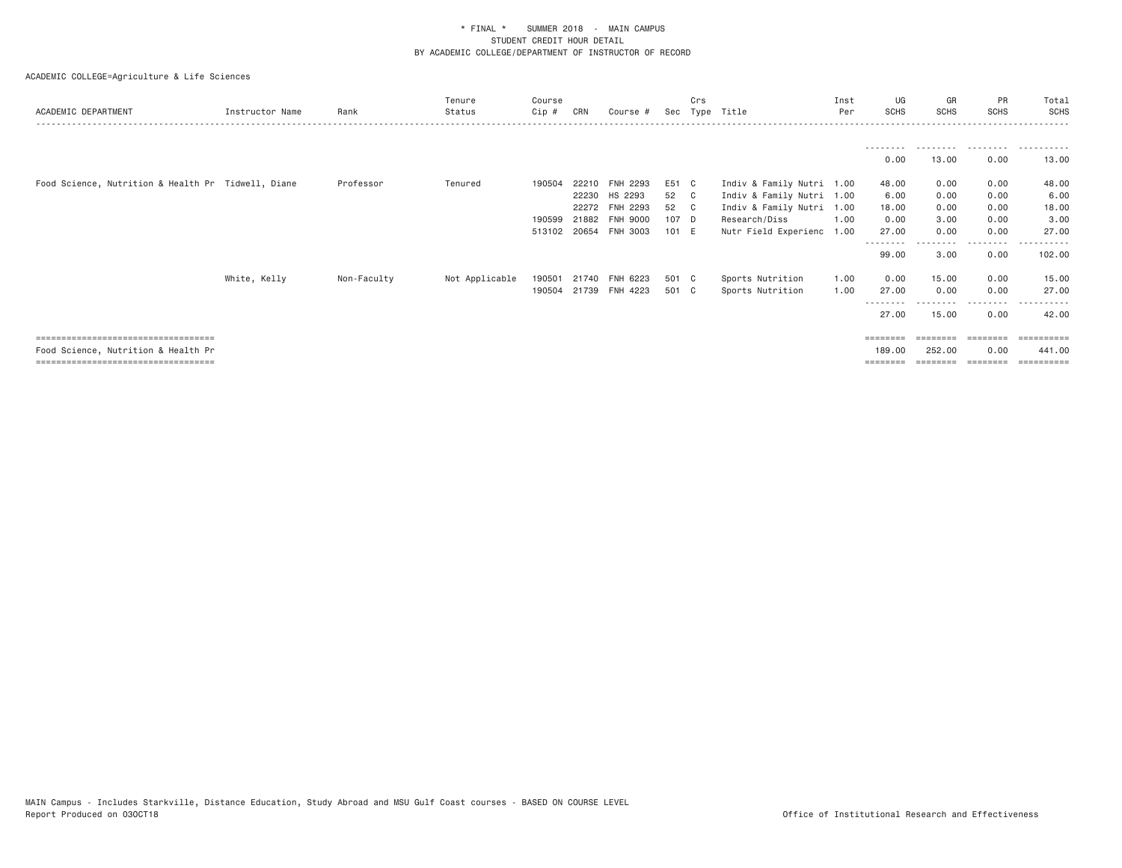| ACADEMIC DEPARTMENT                                | Instructor Name | Rank        | Tenure<br>Status | Course<br>Cip # | CRN   | Course #       | Sec   | Crs<br>Type | Title                     | Inst<br>Per | UG<br><b>SCHS</b> | GR<br><b>SCHS</b> | PR<br><b>SCHS</b> | Total<br><b>SCHS</b> |
|----------------------------------------------------|-----------------|-------------|------------------|-----------------|-------|----------------|-------|-------------|---------------------------|-------------|-------------------|-------------------|-------------------|----------------------|
|                                                    |                 |             |                  |                 |       |                |       |             |                           |             |                   |                   |                   |                      |
|                                                    |                 |             |                  |                 |       |                |       |             |                           |             | 0.00              | 13.00             | 0.00              | 13.00                |
| Food Science, Nutrition & Health Pr Tidwell, Diane |                 | Professor   | Tenured          | 190504          |       | 22210 FNH 2293 | E51 C |             | Indiv & Family Nutri 1.00 |             | 48.00             | 0.00              | 0.00              | 48.00                |
|                                                    |                 |             |                  |                 |       | 22230 HS 2293  | 52 C  |             | Indiv & Family Nutri 1.00 |             | 6.00              | 0.00              | 0.00              | 6.00                 |
|                                                    |                 |             |                  |                 |       | 22272 FNH 2293 | 52 C  |             | Indiv & Family Nutri 1.00 |             | 18.00             | 0.00              | 0.00              | 18.00                |
|                                                    |                 |             |                  | 190599          | 21882 | FNH 9000       | 107 D |             | Research/Diss             | 1.00        | 0.00              | 3.00              | 0.00              | 3.00                 |
|                                                    |                 |             |                  | 513102          | 20654 | FNH 3003       | 101 E |             | Nutr Field Experienc      | 1.00        | 27.00<br>-------- | 0.00              | 0.00<br>--------  | 27.00<br>------      |
|                                                    |                 |             |                  |                 |       |                |       |             |                           |             | 99.00             | 3.00              | 0.00              | 102.00               |
|                                                    | White, Kelly    | Non-Faculty | Not Applicable   | 190501          |       | 21740 FNH 6223 | 501 C |             | Sports Nutrition          | 1.00        | 0.00              | 15.00             | 0.00              | 15.00                |
|                                                    |                 |             |                  | 190504          |       | 21739 FNH 4223 | 501 C |             | Sports Nutrition          | 1.00        | 27.00             | 0.00              | 0.00              | 27.00                |
|                                                    |                 |             |                  |                 |       |                |       |             |                           |             | 27.00             | 15.00             | 0.00              | 42.00                |
| ====================================               |                 |             |                  |                 |       |                |       |             |                           |             | ========          |                   |                   | ==========           |
| Food Science, Nutrition & Health Pr                |                 |             |                  |                 |       |                |       |             |                           |             | 189,00            | 252,00            | 0.00              | 441,00               |
| ====================================               |                 |             |                  |                 |       |                |       |             |                           |             |                   |                   | ========          | ==========           |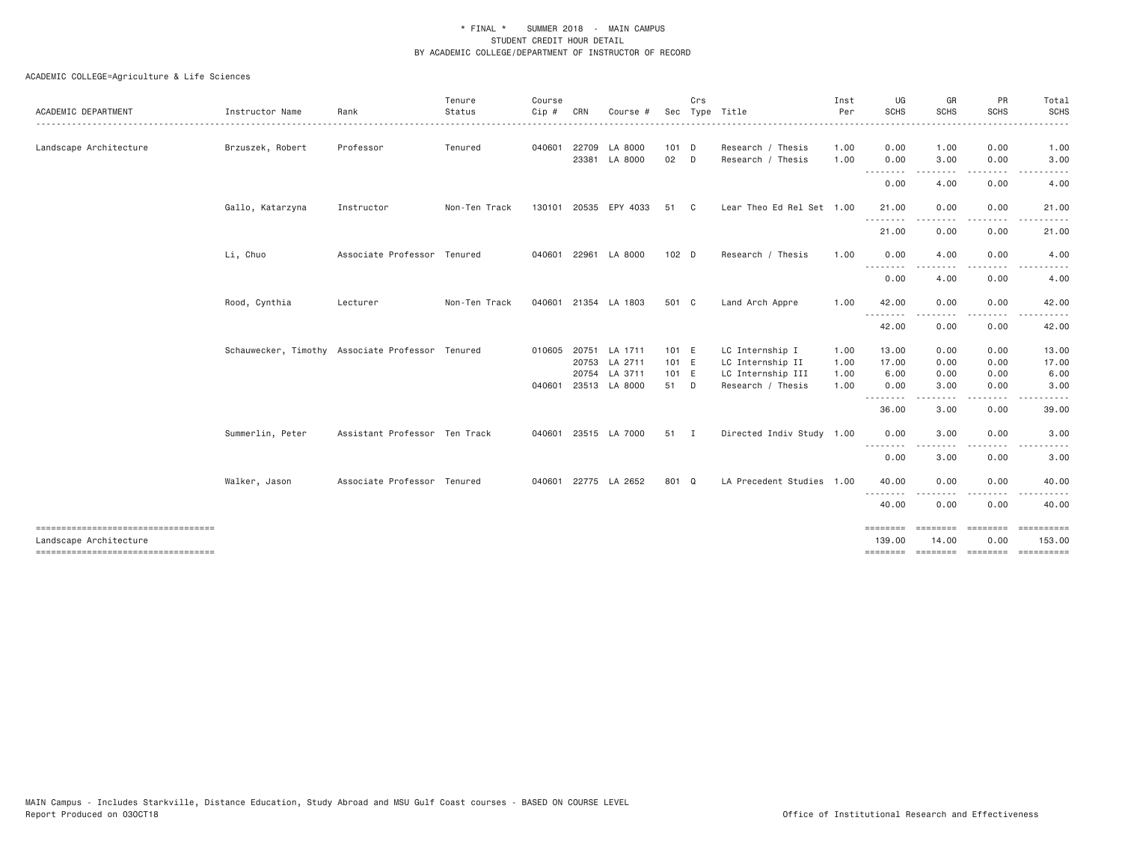| ACADEMIC DEPARTMENT                                            | Instructor Name                                  | Rank                          | Tenure<br>Status | Course<br>Cip # | CRN   | Course #                 |               | Crs          | Sec Type Title                         | Inst<br>Per  | UG<br>SCHS         | GR<br><b>SCHS</b> | PR<br><b>SCHS</b>                                                                                                                 | Total<br>SCHS<br>.         |
|----------------------------------------------------------------|--------------------------------------------------|-------------------------------|------------------|-----------------|-------|--------------------------|---------------|--------------|----------------------------------------|--------------|--------------------|-------------------|-----------------------------------------------------------------------------------------------------------------------------------|----------------------------|
| Landscape Architecture                                         | Brzuszek, Robert                                 | Professor                     | Tenured          | 040601          | 22709 | LA 8000<br>23381 LA 8000 | $101$ D<br>02 | $\Box$       | Research / Thesis<br>Research / Thesis | 1.00<br>1.00 | 0.00<br>0.00       | 1.00<br>3.00      | 0.00<br>0.00                                                                                                                      | 1.00<br>3.00               |
|                                                                |                                                  |                               |                  |                 |       |                          |               |              |                                        |              |                    | .                 | $- - - -$                                                                                                                         | - - - - -                  |
|                                                                |                                                  |                               |                  |                 |       |                          |               |              |                                        |              | 0.00               | 4.00              | 0.00                                                                                                                              | 4.00                       |
|                                                                | Gallo, Katarzyna                                 | Instructor                    | Non-Ten Track    |                 |       | 130101 20535 EPY 4033    | 51            | $\mathbf{C}$ | Lear Theo Ed Rel Set 1.00              |              | 21.00              | 0.00              | 0.00                                                                                                                              | 21.00                      |
|                                                                |                                                  |                               |                  |                 |       |                          |               |              |                                        |              | .<br>21.00         | 0.00              | 0.00                                                                                                                              | 21.00                      |
|                                                                | Li, Chuo                                         | Associate Professor Tenured   |                  |                 |       | 040601 22961 LA 8000     | $102$ D       |              | Research / Thesis                      | 1.00         | 0.00               | 4.00              | 0.00                                                                                                                              | 4.00                       |
|                                                                |                                                  |                               |                  |                 |       |                          |               |              |                                        |              | --------<br>0.00   | 4.00              | 0.00                                                                                                                              | 4.00                       |
|                                                                | Rood, Cynthia                                    | Lecturer                      | Non-Ten Track    |                 |       | 040601 21354 LA 1803     | 501 C         |              | Land Arch Appre                        | 1.00         | 42.00              | 0.00              | 0.00                                                                                                                              | 42.00                      |
|                                                                |                                                  |                               |                  |                 |       |                          |               |              |                                        |              | .<br>42.00         | .<br>0.00         | $- - - -$<br>0.00                                                                                                                 | 42.00                      |
|                                                                | Schauwecker, Timothy Associate Professor Tenured |                               |                  |                 |       | 010605 20751 LA 1711     | 101 E         |              | LC Internship I                        | 1.00         | 13.00              | 0.00              | 0.00                                                                                                                              | 13.00                      |
|                                                                |                                                  |                               |                  |                 |       | 20753 LA 2711            | 101 E         |              | LC Internship II                       | 1.00         | 17.00              | 0.00              | 0.00                                                                                                                              | 17.00                      |
|                                                                |                                                  |                               |                  |                 |       | 20754 LA 3711            | 101 E         |              | LC Internship III                      | 1.00         | 6.00               | 0.00              | 0.00                                                                                                                              | 6.00                       |
|                                                                |                                                  |                               |                  |                 |       | 040601 23513 LA 8000     | 51 D          |              | Research / Thesis                      | 1.00         | 0.00<br>.          | 3.00              | 0.00<br>$- - - -$                                                                                                                 | 3.00                       |
|                                                                |                                                  |                               |                  |                 |       |                          |               |              |                                        |              | 36.00              | 3.00              | 0.00                                                                                                                              | 39.00                      |
|                                                                | Summerlin, Peter                                 | Assistant Professor Ten Track |                  | 040601          |       | 23515 LA 7000            | 51 I          |              | Directed Indiv Study 1.00              |              | 0.00<br>.          | 3.00<br>-----     | 0.00<br>$\frac{1}{2} \left( \frac{1}{2} \right) \left( \frac{1}{2} \right) \left( \frac{1}{2} \right) \left( \frac{1}{2} \right)$ | 3.00<br>$\cdots$           |
|                                                                |                                                  |                               |                  |                 |       |                          |               |              |                                        |              | 0.00               | 3.00              | 0.00                                                                                                                              | 3.00                       |
|                                                                | Walker, Jason                                    | Associate Professor Tenured   |                  |                 |       | 040601 22775 LA 2652     | 801 Q         |              | LA Precedent Studies 1.00              |              | 40.00              | 0.00              | 0.00                                                                                                                              | 40.00                      |
|                                                                |                                                  |                               |                  |                 |       |                          |               |              |                                        |              | 40.00              | 0.00              | 0.00                                                                                                                              | 40.00                      |
| ====================================<br>Landscape Architecture |                                                  |                               |                  |                 |       |                          |               |              |                                        |              | ========<br>139.00 | 14.00             | 0.00                                                                                                                              | <b>EEEEEEEEE</b><br>153.00 |
| ----------------------------------                             |                                                  |                               |                  |                 |       |                          |               |              |                                        |              | <b>EEEEEEEE</b>    |                   | -------- -------                                                                                                                  |                            |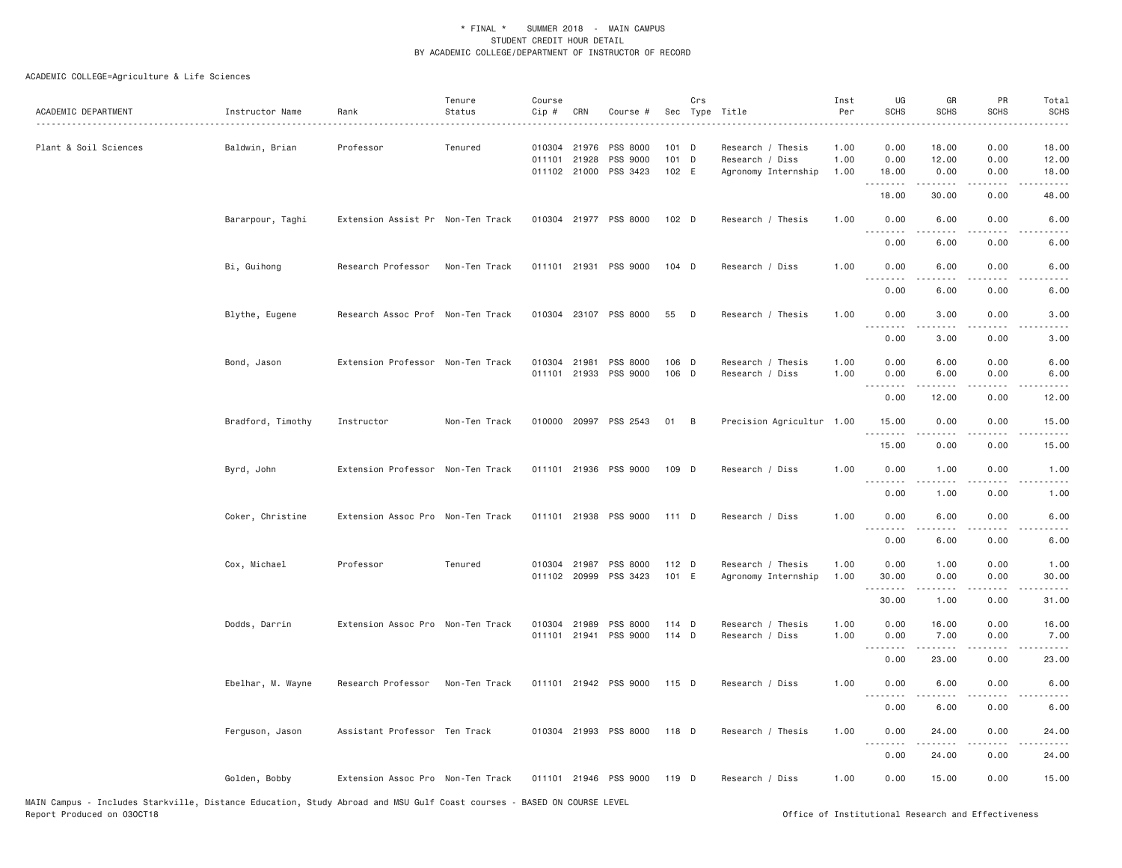| ACADEMIC DEPARTMENT   | Instructor Name<br>. <u>.</u> . | Rank                              | Tenure<br>Status | Course<br>Cip # | CRN                          | Course #                                      |                             | Crs            | Sec Type Title                                              | Inst<br>Per          | UG<br><b>SCHS</b>            | GR<br><b>SCHS</b>      | PR<br><b>SCHS</b>    | Total<br><b>SCHS</b>    |
|-----------------------|---------------------------------|-----------------------------------|------------------|-----------------|------------------------------|-----------------------------------------------|-----------------------------|----------------|-------------------------------------------------------------|----------------------|------------------------------|------------------------|----------------------|-------------------------|
| Plant & Soil Sciences | Baldwin, Brian                  | Professor                         | Tenured          |                 | 010304 21976<br>011101 21928 | PSS 8000<br>PSS 9000<br>011102 21000 PSS 3423 | $101$ D<br>$101$ D<br>102 E |                | Research / Thesis<br>Research / Diss<br>Agronomy Internship | 1.00<br>1.00<br>1.00 | 0.00<br>0.00<br>18.00        | 18.00<br>12.00<br>0.00 | 0.00<br>0.00<br>0.00 | 18.00<br>12.00<br>18.00 |
|                       |                                 |                                   |                  |                 |                              |                                               |                             |                |                                                             |                      | .<br>18.00                   | .<br>30.00             | .<br>0.00            | .<br>48.00              |
|                       | Bararpour, Taghi                | Extension Assist Pr Non-Ten Track |                  |                 |                              | 010304 21977 PSS 8000                         | $102$ D                     |                | Research / Thesis                                           | 1.00                 | 0.00<br>.                    | 6.00                   | 0.00                 | 6.00                    |
|                       |                                 |                                   |                  |                 |                              |                                               |                             |                |                                                             |                      | 0.00                         | 6.00                   | 0.00                 | 6.00                    |
|                       | Bi, Guihong                     | Research Professor                | Non-Ten Track    |                 |                              | 011101 21931 PSS 9000                         | 104 D                       |                | Research / Diss                                             | 1.00                 | 0.00<br>.                    | 6.00                   | 0.00                 | 6.00                    |
|                       |                                 |                                   |                  |                 |                              |                                               |                             |                |                                                             |                      | 0.00                         | 6.00                   | 0.00                 | 6.00                    |
|                       | Blythe, Eugene                  | Research Assoc Prof Non-Ten Track |                  |                 |                              | 010304 23107 PSS 8000                         | 55                          | $\mathsf{D}$   | Research / Thesis                                           | 1.00                 | 0.00<br>$\sim$ $\sim$ $\sim$ | 3.00<br>.              | 0.00                 | 3.00                    |
|                       |                                 |                                   |                  |                 |                              |                                               |                             |                |                                                             |                      | 0.00                         | 3.00                   | 0.00                 | 3.00                    |
|                       | Bond, Jason                     | Extension Professor Non-Ten Track |                  |                 | 010304 21981                 | PSS 8000<br>011101 21933 PSS 9000             | 106 D<br>106 D              |                | Research / Thesis<br>Research / Diss                        | 1.00<br>1.00         | 0.00<br>0.00                 | 6.00<br>6.00           | 0.00<br>0.00         | 6.00<br>6.00            |
|                       |                                 |                                   |                  |                 |                              |                                               |                             |                |                                                             |                      | $\sim$ $\sim$ $\sim$<br>0.00 | 12.00                  | 0.00                 | 12.00                   |
|                       | Bradford, Timothy               | Instructor                        | Non-Ten Track    |                 |                              | 010000 20997 PSS 2543                         | 01                          | $\overline{B}$ | Precision Agricultur 1.00                                   |                      | 15.00                        | 0.00                   | 0.00                 | 15.00                   |
|                       |                                 |                                   |                  |                 |                              |                                               |                             |                |                                                             |                      | 15.00                        | 0.00                   | 0.00                 | 15.00                   |
|                       | Byrd, John                      | Extension Professor Non-Ten Track |                  |                 |                              | 011101 21936 PSS 9000                         | 109 D                       |                | Research / Diss                                             | 1.00                 | 0.00<br>.                    | 1.00                   | 0.00                 | 1.00                    |
|                       |                                 |                                   |                  |                 |                              |                                               |                             |                |                                                             |                      | 0.00                         | 1.00                   | 0.00                 | 1.00                    |
|                       | Coker, Christine                | Extension Assoc Pro Non-Ten Track |                  |                 |                              | 011101 21938 PSS 9000                         | 111 D                       |                | Research / Diss                                             | 1.00                 | 0.00                         | 6.00                   | 0.00                 | 6.00                    |
|                       |                                 |                                   |                  |                 |                              |                                               |                             |                |                                                             |                      | 0.00                         | 6.00                   | 0.00                 | 6.00                    |
|                       | Cox, Michael                    | Professor                         | Tenured          |                 | 010304 21987                 | PSS 8000<br>011102 20999 PSS 3423             | 112 D<br>101 E              |                | Research / Thesis<br>Agronomy Internship                    | 1.00<br>1.00         | 0.00<br>30.00                | 1.00<br>0.00           | 0.00<br>0.00         | 1.00<br>30.00           |
|                       |                                 |                                   |                  |                 |                              |                                               |                             |                |                                                             |                      | .<br>30.00                   | 1.00                   | .<br>0.00            | 31.00                   |
|                       |                                 |                                   |                  |                 |                              |                                               |                             |                |                                                             |                      |                              |                        |                      |                         |
|                       | Dodds, Darrin                   | Extension Assoc Pro Non-Ten Track |                  |                 | 010304 21989<br>011101 21941 | PSS 8000<br>PSS 9000                          | 114 D<br>114 D              |                | Research / Thesis<br>Research / Diss                        | 1.00<br>1.00         | 0.00<br>0.00                 | 16.00<br>7.00          | 0.00<br>0.00         | 16.00<br>7.00           |
|                       |                                 |                                   |                  |                 |                              |                                               |                             |                |                                                             |                      | .<br>0.00                    | .<br>23.00             | المتماما<br>0.00     | 23.00                   |
|                       | Ebelhar, M. Wayne               | Research Professor                | Non-Ten Track    |                 |                              | 011101 21942 PSS 9000                         | 115 D                       |                | Research / Diss                                             | 1.00                 | 0.00<br>$\sim$ $\sim$ $\sim$ | 6.00<br>.              | 0.00                 | 6.00                    |
|                       |                                 |                                   |                  |                 |                              |                                               |                             |                |                                                             |                      | 0.00                         | 6.00                   | 0.00                 | 6.00                    |
|                       | Ferguson, Jason                 | Assistant Professor Ten Track     |                  |                 |                              | 010304 21993 PSS 8000                         | 118 D                       |                | Research / Thesis                                           | 1.00                 | 0.00                         | 24.00                  | 0.00                 | 24.00                   |
|                       |                                 |                                   |                  |                 |                              |                                               |                             |                |                                                             |                      | 0.00                         | 24.00                  | 0.00                 | 24.00                   |
|                       | Golden, Bobby                   | Extension Assoc Pro Non-Ten Track |                  |                 |                              | 011101 21946 PSS 9000                         | 119 D                       |                | Research / Diss                                             | 1.00                 | 0.00                         | 15.00                  | 0.00                 | 15.00                   |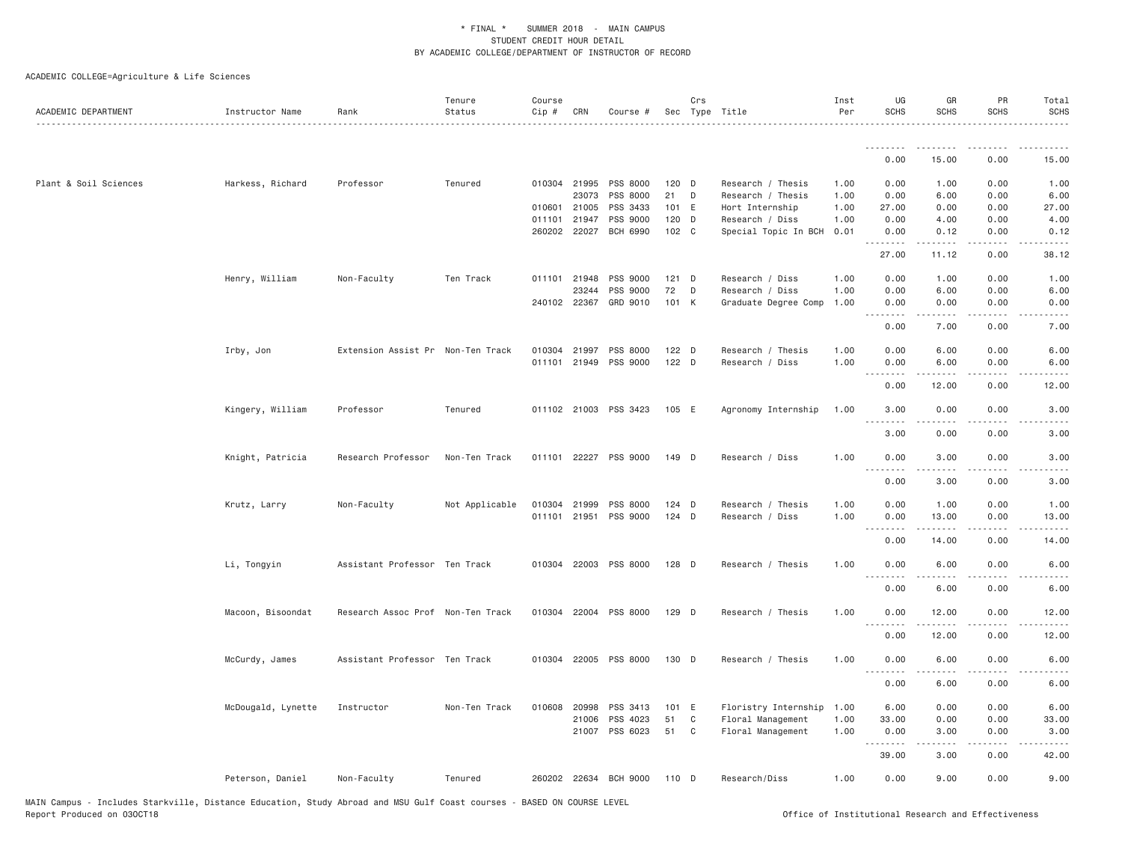| ACADEMIC DEPARTMENT   | Instructor Name    | Rank                              | Tenure<br>Status | Course<br>Cip # | CRN          | Course #              |         | Crs          | Sec Type Title       | Inst<br>Per | UG<br><b>SCHS</b>  | GR<br><b>SCHS</b>                                                                                                                                             | PR<br><b>SCHS</b>                   | Total<br><b>SCHS</b>                 |
|-----------------------|--------------------|-----------------------------------|------------------|-----------------|--------------|-----------------------|---------|--------------|----------------------|-------------|--------------------|---------------------------------------------------------------------------------------------------------------------------------------------------------------|-------------------------------------|--------------------------------------|
|                       |                    |                                   |                  |                 |              |                       |         |              |                      |             | .                  | .                                                                                                                                                             |                                     |                                      |
|                       |                    |                                   |                  |                 |              |                       |         |              |                      |             | 0.00               | 15.00                                                                                                                                                         | 0.00                                | 15.00                                |
| Plant & Soil Sciences | Harkess, Richard   | Professor                         | Tenured          |                 | 010304 21995 | PSS 8000              | 120 D   |              | Research / Thesis    | 1.00        | 0.00               | 1.00                                                                                                                                                          | 0.00                                | 1.00                                 |
|                       |                    |                                   |                  |                 | 23073        | PSS 8000              | 21      | D            | Research / Thesis    | 1.00        | 0.00               | 6.00                                                                                                                                                          | 0.00                                | 6.00                                 |
|                       |                    |                                   |                  | 010601          | 21005        | PSS 3433              | 101 E   |              | Hort Internship      | 1.00        | 27.00              | 0.00                                                                                                                                                          | 0.00                                | 27.00                                |
|                       |                    |                                   |                  |                 | 011101 21947 | PSS 9000              | $120$ D |              | Research / Diss      | 1.00        | 0.00               | 4.00                                                                                                                                                          | 0.00                                | 4.00                                 |
|                       |                    |                                   |                  |                 | 260202 22027 | <b>BCH 6990</b>       | 102 C   |              | Special Topic In BCH | 0.01        | 0.00<br>.          | 0.12<br>$- - - - -$                                                                                                                                           | 0.00<br>$\sim$ $\sim$ $\sim$ $\sim$ | 0.12                                 |
|                       |                    |                                   |                  |                 |              |                       |         |              |                      |             | 27.00              | 11.12                                                                                                                                                         | 0.00                                | 38.12                                |
|                       | Henry, William     | Non-Faculty                       | Ten Track        |                 | 011101 21948 | PSS 9000              | $121$ D |              | Research / Diss      | 1.00        | 0.00               | 1.00                                                                                                                                                          | 0.00                                | 1.00                                 |
|                       |                    |                                   |                  |                 | 23244        | PSS 9000              | 72      | D            | Research / Diss      | 1.00        | 0.00               | 6.00                                                                                                                                                          | 0.00                                | 6.00                                 |
|                       |                    |                                   |                  |                 |              | 240102 22367 GRD 9010 | 101 K   |              | Graduate Degree Comp | 1.00        | 0.00<br>.          | 0.00<br><u>.</u>                                                                                                                                              | 0.00<br>$\cdots$                    | 0.00<br>- - - -                      |
|                       |                    |                                   |                  |                 |              |                       |         |              |                      |             | 0.00               | 7.00                                                                                                                                                          | 0.00                                | 7.00                                 |
|                       | Irby, Jon          | Extension Assist Pr Non-Ten Track |                  |                 | 010304 21997 | PSS 8000              | $122$ D |              | Research / Thesis    | 1.00        | 0.00               | 6.00                                                                                                                                                          | 0.00                                | 6.00                                 |
|                       |                    |                                   |                  |                 | 011101 21949 | PSS 9000              | 122 D   |              | Research / Diss      | 1.00        | 0.00               | 6.00                                                                                                                                                          | 0.00                                | 6.00                                 |
|                       |                    |                                   |                  |                 |              |                       |         |              |                      |             | .<br>0.00          | $\frac{1}{2} \left( \frac{1}{2} \right) \left( \frac{1}{2} \right) \left( \frac{1}{2} \right) \left( \frac{1}{2} \right) \left( \frac{1}{2} \right)$<br>12.00 | .<br>0.00                           | $\sim$ $\sim$ $\sim$ $\sim$<br>12.00 |
|                       | Kingery, William   | Professor                         | Tenured          |                 |              | 011102 21003 PSS 3423 | 105 E   |              | Agronomy Internship  | 1.00        | 3.00<br>.          | 0.00<br>د د د د                                                                                                                                               | 0.00                                | 3.00                                 |
|                       |                    |                                   |                  |                 |              |                       |         |              |                      |             | 3.00               | 0.00                                                                                                                                                          | 0.00                                | 3.00                                 |
|                       | Knight, Patricia   | Research Professor                | Non-Ten Track    |                 | 011101 22227 | PSS 9000              | 149 D   |              | Research / Diss      | 1.00        | 0.00               | 3.00                                                                                                                                                          | 0.00                                | 3.00                                 |
|                       |                    |                                   |                  |                 |              |                       |         |              |                      |             | 0.00               | 3.00                                                                                                                                                          | 0.00                                | 3.00                                 |
|                       | Krutz, Larry       | Non-Faculty                       | Not Applicable   |                 | 010304 21999 | PSS 8000              | $124$ D |              | Research / Thesis    | 1.00        | 0.00               | 1.00                                                                                                                                                          | 0.00                                | 1.00                                 |
|                       |                    |                                   |                  |                 |              | 011101 21951 PSS 9000 | $124$ D |              | Research / Diss      | 1.00        | 0.00               | 13.00                                                                                                                                                         | 0.00                                | 13.00                                |
|                       |                    |                                   |                  |                 |              |                       |         |              |                      |             | .<br>0.00          | 14.00                                                                                                                                                         | 0.00                                | 14.00                                |
|                       |                    |                                   |                  |                 |              |                       |         |              |                      |             |                    |                                                                                                                                                               |                                     |                                      |
|                       | Li, Tongyin        | Assistant Professor Ten Track     |                  |                 |              | 010304 22003 PSS 8000 | $128$ D |              | Research / Thesis    | 1.00        | 0.00<br>.          | 6.00                                                                                                                                                          | 0.00                                | 6.00                                 |
|                       |                    |                                   |                  |                 |              |                       |         |              |                      |             | 0.00               | 6.00                                                                                                                                                          | 0.00                                | 6.00                                 |
|                       | Macoon, Bisoondat  | Research Assoc Prof Non-Ten Track |                  |                 |              | 010304 22004 PSS 8000 | 129 D   |              | Research / Thesis    | 1.00        | 0.00<br>.          | 12.00<br>$- - - - -$                                                                                                                                          | 0.00                                | 12.00                                |
|                       |                    |                                   |                  |                 |              |                       |         |              |                      |             | 0.00               | 12.00                                                                                                                                                         | 0.00                                | 12.00                                |
|                       | McCurdy, James     | Assistant Professor Ten Track     |                  |                 |              | 010304 22005 PSS 8000 | 130 D   |              | Research / Thesis    | 1.00        | 0.00<br>$  -$<br>. | 6.00                                                                                                                                                          | 0.00                                | 6.00                                 |
|                       |                    |                                   |                  |                 |              |                       |         |              |                      |             | 0.00               | 6.00                                                                                                                                                          | 0.00                                | 6.00                                 |
|                       | McDougald, Lynette | Instructor                        | Non-Ten Track    |                 | 010608 20998 | PSS 3413              | 101 E   |              | Floristry Internship | 1.00        | 6.00               | 0.00                                                                                                                                                          | 0.00                                | 6.00                                 |
|                       |                    |                                   |                  |                 | 21006        | PSS 4023              | 51      | $\mathtt{C}$ | Floral Management    | 1.00        | 33.00              | 0.00                                                                                                                                                          | 0.00                                | 33.00                                |
|                       |                    |                                   |                  |                 | 21007        | PSS 6023              | 51      | $\mathbf{C}$ | Floral Management    | 1.00        | 0.00               | 3.00                                                                                                                                                          | 0.00                                | 3.00                                 |
|                       |                    |                                   |                  |                 |              |                       |         |              |                      |             | .<br>39.00         | 3.00                                                                                                                                                          | 0.00                                | 42.00                                |
|                       | Peterson, Daniel   | Non-Faculty                       | Tenured          |                 |              | 260202 22634 BCH 9000 | 110 D   |              | Research/Diss        | 1.00        | 0.00               | 9.00                                                                                                                                                          | 0.00                                | 9.00                                 |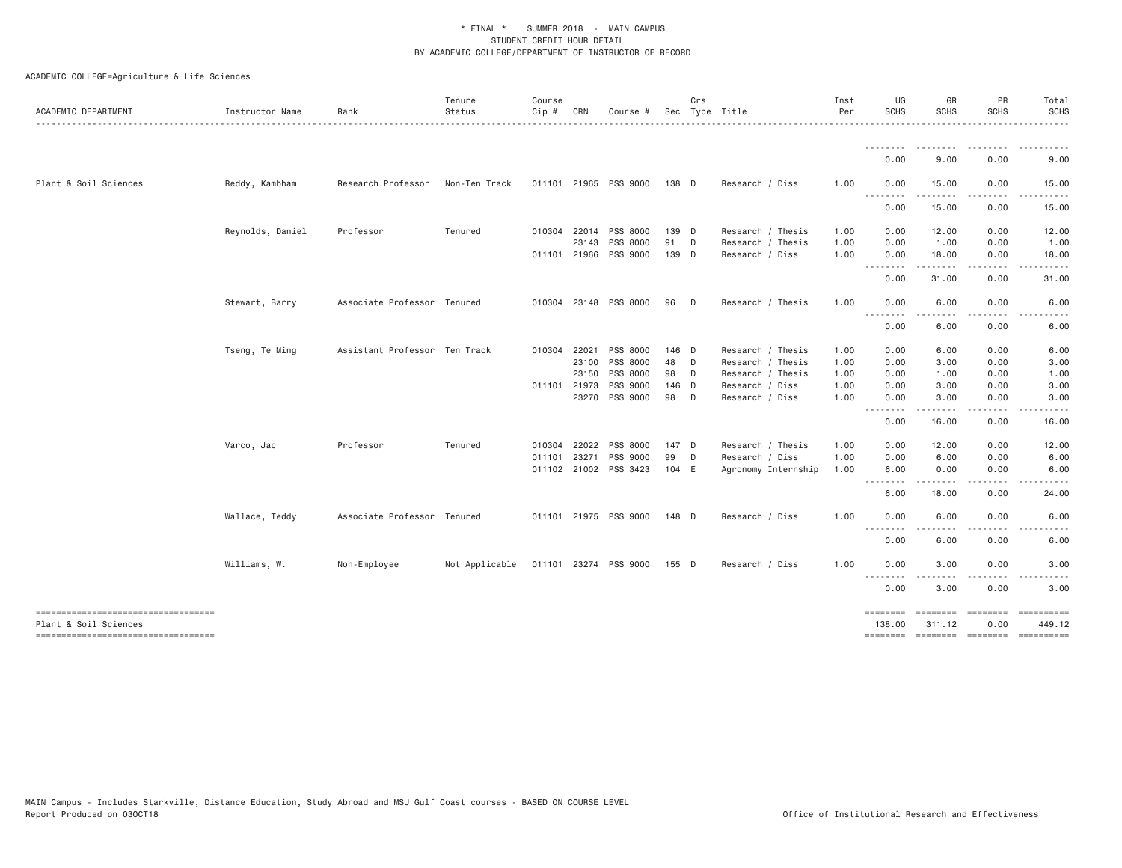| ACADEMIC DEPARTMENT                                         | Instructor Name  | Rank                          | Tenure<br>Status | Course<br>Cip # | CRN   | Course #              |       | Crs | Sec Type Title      | Inst<br>Per | UG<br><b>SCHS</b>          | GR<br><b>SCHS</b>                                                                                                                                                                       | PR<br>SCHS                                                                                                                        | Total<br><b>SCHS</b>                                                                                                              |
|-------------------------------------------------------------|------------------|-------------------------------|------------------|-----------------|-------|-----------------------|-------|-----|---------------------|-------------|----------------------------|-----------------------------------------------------------------------------------------------------------------------------------------------------------------------------------------|-----------------------------------------------------------------------------------------------------------------------------------|-----------------------------------------------------------------------------------------------------------------------------------|
|                                                             |                  |                               |                  |                 |       |                       |       |     |                     |             |                            |                                                                                                                                                                                         |                                                                                                                                   |                                                                                                                                   |
|                                                             |                  |                               |                  |                 |       |                       |       |     |                     |             | 0.00                       | 9.00                                                                                                                                                                                    | 0.00                                                                                                                              | 9.00                                                                                                                              |
| Plant & Soil Sciences                                       | Reddy, Kambham   | Research Professor            | Non-Ten Track    |                 |       | 011101 21965 PSS 9000 | 138 D |     | Research / Diss     | 1.00        | 0.00<br>.                  | 15.00<br><u>.</u>                                                                                                                                                                       | 0.00<br>.                                                                                                                         | 15.00<br>.                                                                                                                        |
|                                                             |                  |                               |                  |                 |       |                       |       |     |                     |             | 0.00                       | 15.00                                                                                                                                                                                   | 0.00                                                                                                                              | 15.00                                                                                                                             |
|                                                             | Reynolds, Daniel | Professor                     | Tenured          | 010304          | 22014 | PSS 8000              | 139 D |     | Research / Thesis   | 1.00        | 0.00                       | 12.00                                                                                                                                                                                   | 0.00                                                                                                                              | 12.00                                                                                                                             |
|                                                             |                  |                               |                  |                 | 23143 | PSS 8000              | 91    | D   | Research / Thesis   | 1.00        | 0.00                       | 1.00                                                                                                                                                                                    | 0.00                                                                                                                              | 1.00                                                                                                                              |
|                                                             |                  |                               |                  | 011101 21966    |       | PSS 9000              | 139 D |     | Research / Diss     | 1.00        | 0.00<br>. <b>.</b>         | 18.00<br>$- - - - -$                                                                                                                                                                    | 0.00<br>----                                                                                                                      | 18.00<br>$\frac{1}{2}$                                                                                                            |
|                                                             |                  |                               |                  |                 |       |                       |       |     |                     |             | 0.00                       | 31.00                                                                                                                                                                                   | 0.00                                                                                                                              | 31.00                                                                                                                             |
|                                                             | Stewart, Barry   | Associate Professor Tenured   |                  |                 |       | 010304 23148 PSS 8000 | 96    | D   | Research / Thesis   | 1.00        | 0.00                       | 6.00                                                                                                                                                                                    | 0.00                                                                                                                              | 6.00                                                                                                                              |
|                                                             |                  |                               |                  |                 |       |                       |       |     |                     |             | .<br>0.00                  | $\frac{1}{2} \left( \frac{1}{2} \right) \left( \frac{1}{2} \right) \left( \frac{1}{2} \right) \left( \frac{1}{2} \right) \left( \frac{1}{2} \right) \left( \frac{1}{2} \right)$<br>6.00 | $\frac{1}{2} \left( \frac{1}{2} \right) \left( \frac{1}{2} \right) \left( \frac{1}{2} \right) \left( \frac{1}{2} \right)$<br>0.00 | 6.00                                                                                                                              |
|                                                             | Tseng, Te Ming   | Assistant Professor Ten Track |                  | 010304          | 22021 | PSS 8000              | 146 D |     | Research / Thesis   | 1.00        | 0.00                       | 6.00                                                                                                                                                                                    | 0.00                                                                                                                              | 6.00                                                                                                                              |
|                                                             |                  |                               |                  |                 | 23100 | PSS 8000              | 48    | D   | Research / Thesis   | 1.00        | 0.00                       | 3.00                                                                                                                                                                                    | 0.00                                                                                                                              | 3.00                                                                                                                              |
|                                                             |                  |                               |                  |                 | 23150 | PSS 8000              | 98    | D   | Research / Thesis   | 1.00        | 0.00                       | 1.00                                                                                                                                                                                    | 0.00                                                                                                                              | 1.00                                                                                                                              |
|                                                             |                  |                               |                  | 011101 21973    |       | PSS 9000              | 146 D |     | Research / Diss     | 1.00        | 0.00                       | 3.00                                                                                                                                                                                    | 0.00                                                                                                                              | 3.00                                                                                                                              |
|                                                             |                  |                               |                  |                 | 23270 | PSS 9000              | 98    | D   | Research / Diss     | 1.00        | 0.00<br><u>.</u>           | 3.00<br>.                                                                                                                                                                               | 0.00<br>$- - - -$                                                                                                                 | 3.00<br>$\frac{1}{2} \left( \frac{1}{2} \right) \left( \frac{1}{2} \right) \left( \frac{1}{2} \right) \left( \frac{1}{2} \right)$ |
|                                                             |                  |                               |                  |                 |       |                       |       |     |                     |             | 0.00                       | 16.00                                                                                                                                                                                   | 0.00                                                                                                                              | 16.00                                                                                                                             |
|                                                             | Varco, Jac       | Professor                     | Tenured          | 010304          | 22022 | PSS 8000              | 147 D |     | Research / Thesis   | 1.00        | 0.00                       | 12.00                                                                                                                                                                                   | 0.00                                                                                                                              | 12.00                                                                                                                             |
|                                                             |                  |                               |                  | 011101          | 23271 | PSS 9000              | 99    | D   | Research / Diss     | 1.00        | 0.00                       | 6.00                                                                                                                                                                                    | 0.00                                                                                                                              | 6.00                                                                                                                              |
|                                                             |                  |                               |                  |                 |       | 011102 21002 PSS 3423 | 104 E |     | Agronomy Internship | 1.00        | 6.00<br>--------           | 0.00<br>$- - - - -$                                                                                                                                                                     | 0.00<br>$\frac{1}{2} \left( \frac{1}{2} \right) \left( \frac{1}{2} \right) \left( \frac{1}{2} \right) \left( \frac{1}{2} \right)$ | 6.00<br>.                                                                                                                         |
|                                                             |                  |                               |                  |                 |       |                       |       |     |                     |             | 6.00                       | 18.00                                                                                                                                                                                   | 0.00                                                                                                                              | 24.00                                                                                                                             |
|                                                             | Wallace, Teddy   | Associate Professor Tenured   |                  |                 |       | 011101 21975 PSS 9000 | 148 D |     | Research / Diss     | 1.00        | 0.00                       | 6.00                                                                                                                                                                                    | 0.00                                                                                                                              | 6.00                                                                                                                              |
|                                                             |                  |                               |                  |                 |       |                       |       |     |                     |             | .<br>0.00                  | 6.00                                                                                                                                                                                    | 0.00                                                                                                                              | 6.00                                                                                                                              |
|                                                             | Williams, W.     | Non-Employee                  | Not Applicable   |                 |       | 011101 23274 PSS 9000 | 155 D |     | Research / Diss     | 1.00        | 0.00                       | 3.00                                                                                                                                                                                    | 0.00                                                                                                                              | 3.00                                                                                                                              |
|                                                             |                  |                               |                  |                 |       |                       |       |     |                     |             | $- - -$<br>- - - -<br>0.00 | 3.00                                                                                                                                                                                    | 0.00                                                                                                                              | 3.00                                                                                                                              |
| ----------------------------------                          |                  |                               |                  |                 |       |                       |       |     |                     |             | ========                   | <b>ESSESSE</b>                                                                                                                                                                          | <b>ESSESSES</b>                                                                                                                   |                                                                                                                                   |
| Plant & Soil Sciences<br>---------------------------------- |                  |                               |                  |                 |       |                       |       |     |                     |             | 138.00                     | 311.12                                                                                                                                                                                  | 0.00                                                                                                                              | 449.12<br>-------- -------- -------- ----------                                                                                   |
|                                                             |                  |                               |                  |                 |       |                       |       |     |                     |             |                            |                                                                                                                                                                                         |                                                                                                                                   |                                                                                                                                   |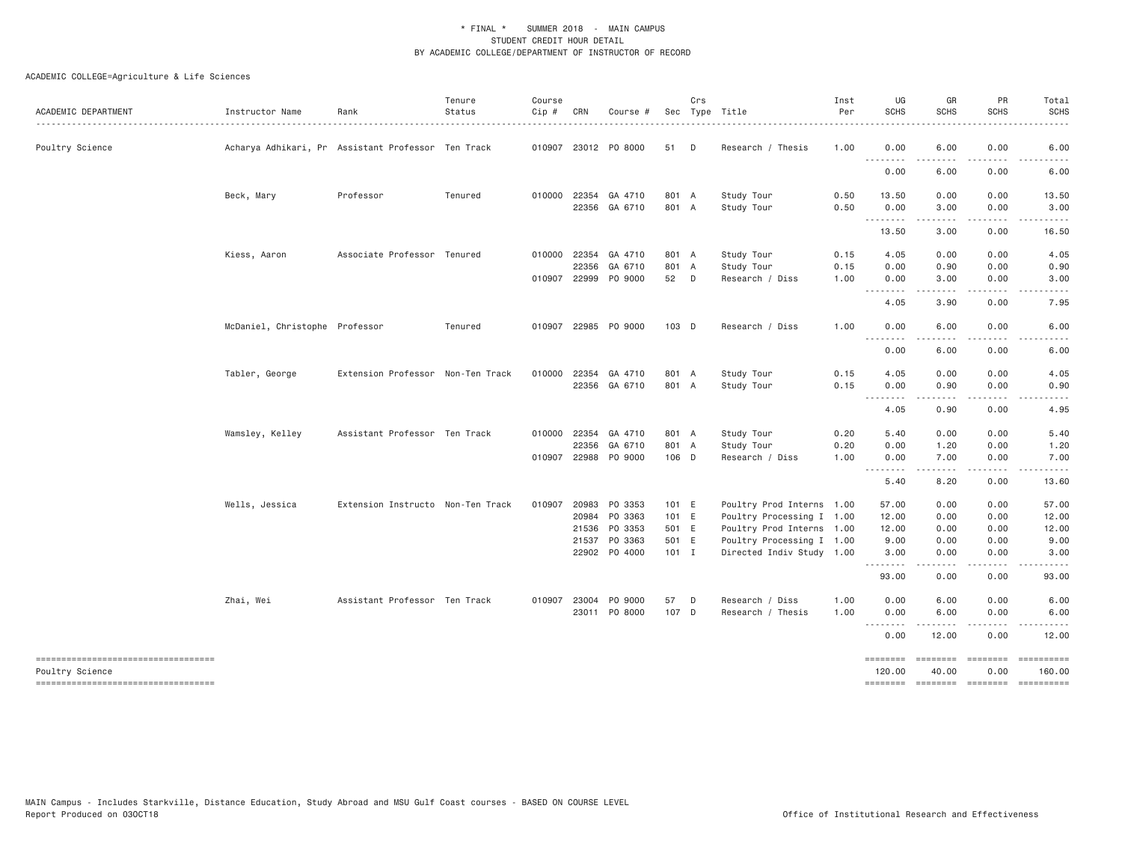| ACADEMIC DEPARTMENT                                                                         | Instructor Name                | Rank                                               | Tenure<br>Status | Course<br>Cip # | CRN                   | Course #                                                                |                                  | Crs          | Sec Type Title                                                                                                   | Inst<br>Per  | UG<br><b>SCHS</b>                                           | GR<br>SCHS                   | PR<br><b>SCHS</b>            | Total<br><b>SCHS</b>                                                                                                                                                                                                                                                                                                                                                                                                                       |
|---------------------------------------------------------------------------------------------|--------------------------------|----------------------------------------------------|------------------|-----------------|-----------------------|-------------------------------------------------------------------------|----------------------------------|--------------|------------------------------------------------------------------------------------------------------------------|--------------|-------------------------------------------------------------|------------------------------|------------------------------|--------------------------------------------------------------------------------------------------------------------------------------------------------------------------------------------------------------------------------------------------------------------------------------------------------------------------------------------------------------------------------------------------------------------------------------------|
| Poultry Science                                                                             |                                | Acharya Adhikari, Pr Assistant Professor Ten Track |                  |                 |                       | 010907 23012 P0 8000                                                    | 51                               | $\mathsf{D}$ | Research / Thesis                                                                                                | 1.00         | 0.00                                                        | 6.00                         | 0.00                         | 6.00                                                                                                                                                                                                                                                                                                                                                                                                                                       |
|                                                                                             |                                |                                                    |                  |                 |                       |                                                                         |                                  |              |                                                                                                                  |              | $\sim$ $\sim$ $\sim$<br>$\sim$ $\sim$ $\sim$ $\sim$<br>0.00 | 6.00                         | 0.00                         | 6.00                                                                                                                                                                                                                                                                                                                                                                                                                                       |
|                                                                                             | Beck, Mary                     | Professor                                          | Tenured          |                 |                       | 010000 22354 GA 4710<br>22356 GA 6710                                   | 801 A<br>801 A                   |              | Study Tour<br>Study Tour                                                                                         | 0.50<br>0.50 | 13.50<br>0.00                                               | 0.00<br>3.00                 | 0.00<br>0.00                 | 13.50<br>3.00                                                                                                                                                                                                                                                                                                                                                                                                                              |
|                                                                                             |                                |                                                    |                  |                 |                       |                                                                         |                                  |              |                                                                                                                  |              | .<br>13.50                                                  | 3.00                         | 0.00                         | 16.50                                                                                                                                                                                                                                                                                                                                                                                                                                      |
|                                                                                             | Kiess, Aaron                   | Associate Professor Tenured                        |                  | 010000          | 22354<br>22356        | GA 4710<br>GA 6710                                                      | 801 A<br>801 A                   |              | Study Tour<br>Study Tour                                                                                         | 0.15<br>0.15 | 4.05<br>0.00                                                | 0.00<br>0.90                 | 0.00<br>0.00                 | 4.05<br>0.90                                                                                                                                                                                                                                                                                                                                                                                                                               |
|                                                                                             |                                |                                                    |                  |                 |                       | 010907 22999 PO 9000                                                    | 52 D                             |              | Research / Diss                                                                                                  | 1.00         | 0.00                                                        | 3.00                         | 0.00                         | 3.00                                                                                                                                                                                                                                                                                                                                                                                                                                       |
|                                                                                             |                                |                                                    |                  |                 |                       |                                                                         |                                  |              |                                                                                                                  |              | 4.05                                                        | 3.90                         | 0.00                         | 7.95                                                                                                                                                                                                                                                                                                                                                                                                                                       |
|                                                                                             | McDaniel, Christophe Professor |                                                    | Tenured          |                 |                       | 010907 22985 PO 9000                                                    | 103 D                            |              | Research / Diss                                                                                                  | 1.00         | 0.00<br><u>.</u>                                            | 6.00                         | 0.00                         | 6.00                                                                                                                                                                                                                                                                                                                                                                                                                                       |
|                                                                                             |                                |                                                    |                  |                 |                       |                                                                         |                                  |              |                                                                                                                  |              | 0.00                                                        | 6.00                         | 0.00                         | 6.00                                                                                                                                                                                                                                                                                                                                                                                                                                       |
|                                                                                             | Tabler, George                 | Extension Professor Non-Ten Track                  |                  |                 |                       | 010000 22354 GA 4710<br>22356 GA 6710                                   | 801 A<br>801 A                   |              | Study Tour<br>Study Tour                                                                                         | 0.15<br>0.15 | 4.05<br>0.00                                                | 0.00<br>0.90                 | 0.00<br>0.00                 | 4.05<br>0.90                                                                                                                                                                                                                                                                                                                                                                                                                               |
|                                                                                             |                                |                                                    |                  |                 |                       |                                                                         |                                  |              |                                                                                                                  |              | $  -$<br>.<br>4.05                                          | 0.90                         | 0.00                         | 4.95                                                                                                                                                                                                                                                                                                                                                                                                                                       |
|                                                                                             | Wamsley, Kelley                | Assistant Professor Ten Track                      |                  |                 | 010000 22354<br>22356 | GA 4710<br>GA 6710                                                      | 801 A<br>801 A                   |              | Study Tour<br>Study Tour                                                                                         | 0.20<br>0.20 | 5.40<br>0.00                                                | 0.00<br>1.20                 | 0.00<br>0.00                 | 5.40<br>1.20                                                                                                                                                                                                                                                                                                                                                                                                                               |
|                                                                                             |                                |                                                    |                  | 010907          |                       | 22988 PO 9000                                                           | 106 D                            |              | Research / Diss                                                                                                  | 1.00         | 0.00<br><u>.</u>                                            | 7.00                         | 0.00                         | 7.00                                                                                                                                                                                                                                                                                                                                                                                                                                       |
|                                                                                             |                                |                                                    |                  |                 |                       |                                                                         |                                  |              |                                                                                                                  |              | 5.40                                                        | 8.20                         | 0.00                         | 13.60                                                                                                                                                                                                                                                                                                                                                                                                                                      |
|                                                                                             | Wells, Jessica                 | Extension Instructo Non-Ten Track                  |                  |                 |                       | 010907 20983 PO 3353<br>20984 PO 3363<br>21536 PO 3353<br>21537 PO 3363 | 101 E<br>101 E<br>501 E<br>501 E |              | Poultry Prod Interns 1.00<br>Poultry Processing I 1.00<br>Poultry Prod Interns 1.00<br>Poultry Processing I 1.00 |              | 57.00<br>12.00<br>12.00<br>9.00                             | 0.00<br>0.00<br>0.00<br>0.00 | 0.00<br>0.00<br>0.00<br>0.00 | 57.00<br>12.00<br>12.00<br>9.00                                                                                                                                                                                                                                                                                                                                                                                                            |
|                                                                                             |                                |                                                    |                  |                 |                       | 22902 PO 4000                                                           | $101$ I                          |              | Directed Indiv Study 1.00                                                                                        |              | 3.00<br><u>.</u>                                            | 0.00<br>----                 | 0.00                         | 3.00                                                                                                                                                                                                                                                                                                                                                                                                                                       |
|                                                                                             |                                |                                                    |                  |                 |                       |                                                                         |                                  |              |                                                                                                                  |              | 93.00                                                       | 0.00                         | 0.00                         | 93.00                                                                                                                                                                                                                                                                                                                                                                                                                                      |
|                                                                                             | Zhai, Wei                      | Assistant Professor Ten Track                      |                  |                 |                       | 010907 23004 PO 9000<br>23011 PO 8000                                   | 57<br>107 D                      | $\Box$       | Research / Diss<br>Research / Thesis                                                                             | 1.00<br>1.00 | 0.00<br>0.00                                                | 6.00<br>6.00                 | 0.00<br>0.00                 | 6.00<br>6.00                                                                                                                                                                                                                                                                                                                                                                                                                               |
|                                                                                             |                                |                                                    |                  |                 |                       |                                                                         |                                  |              |                                                                                                                  |              | ---------<br>0.00                                           | .<br>12.00                   | .<br>0.00                    | .<br>12.00                                                                                                                                                                                                                                                                                                                                                                                                                                 |
| ----------------------------------<br>Poultry Science<br>---------------------------------- |                                |                                                    |                  |                 |                       |                                                                         |                                  |              |                                                                                                                  |              | ========<br>120.00<br>-------- ------- -------- ---------   | ========<br>40.00            | <b>EDEDEDED</b><br>0.00      | $\begin{minipage}{0.9\linewidth} \hspace*{-0.2cm} \textbf{1} & \textbf{1} & \textbf{1} & \textbf{1} & \textbf{1} & \textbf{1} & \textbf{1} & \textbf{1} & \textbf{1} & \textbf{1} & \textbf{1} & \textbf{1} & \textbf{1} & \textbf{1} & \textbf{1} & \textbf{1} & \textbf{1} & \textbf{1} & \textbf{1} & \textbf{1} & \textbf{1} & \textbf{1} & \textbf{1} & \textbf{1} & \textbf{1} & \textbf{1} & \textbf{1} & \textbf{1} & \$<br>160.00 |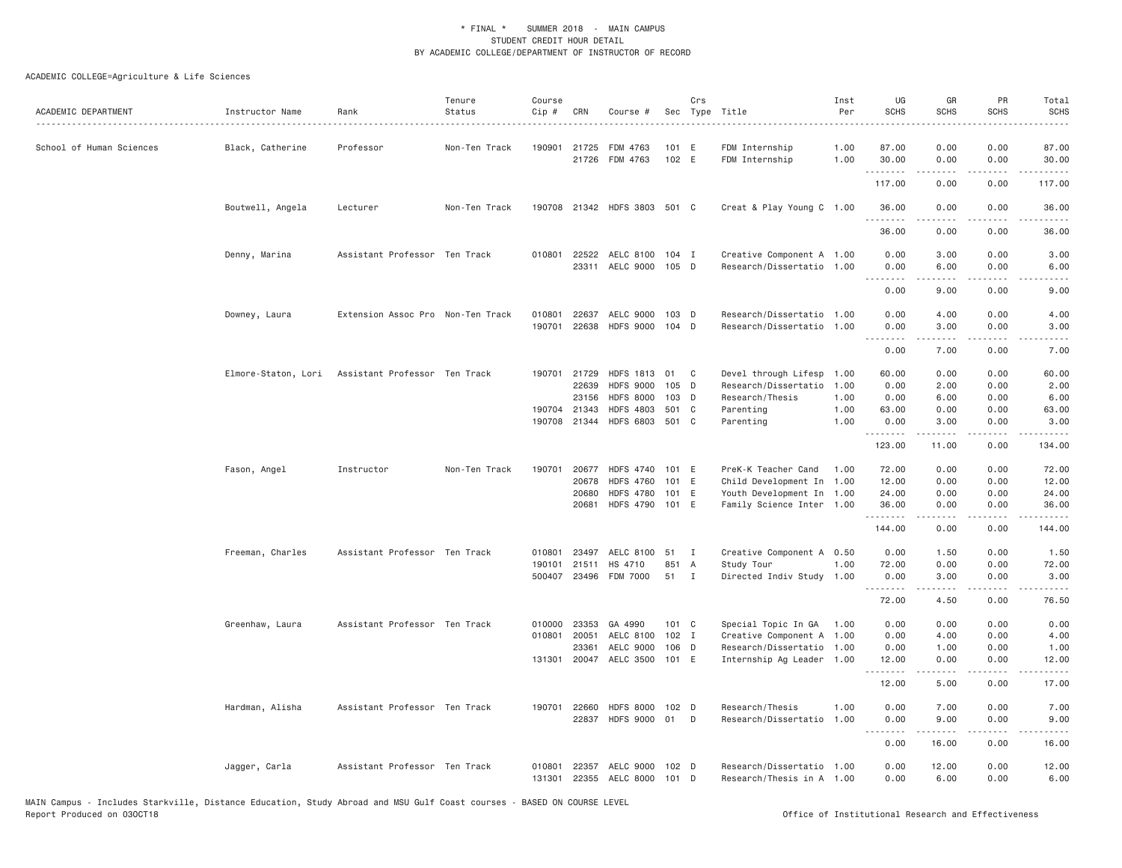| ACADEMIC DEPARTMENT      | Instructor Name  | Rank                                              | Tenure<br>Status | Course<br>Cip #  | CRN          | Course #                                        |                | Crs          | Sec Type Title                                         | Inst<br>Per  | UG<br><b>SCHS</b>      | GR<br><b>SCHS</b>       | PR<br><b>SCHS</b>                           | Total<br>SCHS                                                                                                                                                |
|--------------------------|------------------|---------------------------------------------------|------------------|------------------|--------------|-------------------------------------------------|----------------|--------------|--------------------------------------------------------|--------------|------------------------|-------------------------|---------------------------------------------|--------------------------------------------------------------------------------------------------------------------------------------------------------------|
| School of Human Sciences | Black, Catherine | Professor                                         | Non-Ten Track    |                  | 190901 21725 | FDM 4763<br>21726 FDM 4763                      | 101 E<br>102 E |              | FDM Internship<br>FDM Internship                       | 1.00<br>1.00 | 87.00<br>30.00<br>.    | 0.00<br>0.00            | 0.00<br>0.00<br>.                           | 87.00<br>30.00<br>.                                                                                                                                          |
|                          |                  |                                                   |                  |                  |              |                                                 |                |              |                                                        |              | 117.00                 | .<br>0.00               | 0.00                                        | 117.00                                                                                                                                                       |
|                          | Boutwell, Angela | Lecturer                                          | Non-Ten Track    |                  |              | 190708 21342 HDFS 3803 501 C                    |                |              | Creat & Play Young C 1.00                              |              | 36.00<br>.             | 0.00                    | 0.00<br>$\sim$ $\sim$ $\sim$                | 36.00                                                                                                                                                        |
|                          |                  |                                                   |                  |                  |              |                                                 |                |              |                                                        |              | 36.00                  | 0.00                    | 0.00                                        | 36.00                                                                                                                                                        |
|                          | Denny, Marina    | Assistant Professor Ten Track                     |                  |                  |              | 010801 22522 AELC 8100 104 I                    |                |              | Creative Component A 1.00                              |              | 0.00                   | 3.00                    | 0.00                                        | 3.00                                                                                                                                                         |
|                          |                  |                                                   |                  |                  |              | 23311 AELC 9000                                 | 105 D          |              | Research/Dissertatio 1.00                              |              | 0.00<br>.              | 6.00<br>.               | 0.00<br>$\frac{1}{2}$                       | 6.00<br>.                                                                                                                                                    |
|                          |                  |                                                   |                  |                  |              |                                                 |                |              |                                                        |              | 0.00                   | 9.00                    | 0.00                                        | 9.00                                                                                                                                                         |
|                          | Downey, Laura    | Extension Assoc Pro Non-Ten Track                 |                  | 010801<br>190701 | 22637        | AELC 9000 103 D<br>22638 HDFS 9000 104 D        |                |              | Research/Dissertatio 1.00<br>Research/Dissertatio 1.00 |              | 0.00<br>0.00           | 4.00<br>3.00            | 0.00<br>0.00                                | 4.00<br>3.00                                                                                                                                                 |
|                          |                  |                                                   |                  |                  |              |                                                 |                |              |                                                        |              | .<br>0.00              | -----<br>7.00           | .<br>0.00                                   | -----<br>7.00                                                                                                                                                |
|                          |                  | Elmore-Staton, Lori Assistant Professor Ten Track |                  | 190701           | 21729        | <b>HDFS 1813</b>                                | 01             | C            | Devel through Lifesp                                   | 1.00         | 60.00                  | 0.00                    | 0.00                                        | 60.00                                                                                                                                                        |
|                          |                  |                                                   |                  |                  | 22639        | <b>HDFS 9000</b>                                | 105 D          |              | Research/Dissertatio                                   | 1.00         | 0.00                   | 2.00                    | 0.00                                        | 2.00                                                                                                                                                         |
|                          |                  |                                                   |                  |                  | 23156        | <b>HDFS 8000</b>                                | 103 D          |              | Research/Thesis                                        | 1.00         | 0.00                   | 6.00                    | 0.00                                        | 6.00                                                                                                                                                         |
|                          |                  |                                                   |                  | 190704           | 21343        | <b>HDFS 4803</b>                                | 501 C          |              | Parenting                                              | 1.00         | 63.00                  | 0.00                    | 0.00                                        | 63.00                                                                                                                                                        |
|                          |                  |                                                   |                  |                  |              | 190708 21344 HDFS 6803 501 C                    |                |              | Parenting                                              | 1.00         | 0.00<br>.              | 3.00<br>$- - - - -$     | 0.00<br>.                                   | 3.00<br>.                                                                                                                                                    |
|                          |                  |                                                   |                  |                  |              |                                                 |                |              |                                                        |              | 123.00                 | 11.00                   | 0.00                                        | 134.00                                                                                                                                                       |
|                          | Fason, Angel     | Instructor                                        | Non-Ten Track    | 190701           | 20677        | HDFS 4740                                       | 101 E          |              | PreK-K Teacher Cand                                    | 1.00         | 72.00                  | 0.00                    | 0.00                                        | 72.00                                                                                                                                                        |
|                          |                  |                                                   |                  |                  | 20678        | <b>HDFS 4760</b>                                | 101 E          |              | Child Development In 1.00                              |              | 12.00                  | 0.00                    | 0.00                                        | 12.00                                                                                                                                                        |
|                          |                  |                                                   |                  |                  | 20680        | <b>HDFS 4780</b>                                | 101 E          |              | Youth Development In 1.00                              |              | 24.00                  | 0.00                    | 0.00                                        | 24.00                                                                                                                                                        |
|                          |                  |                                                   |                  |                  |              | 20681 HDFS 4790 101 E                           |                |              | Family Science Inter 1.00                              |              | 36.00<br>1.1.1.1.1.1.1 | 0.00<br><b>.</b>        | 0.00<br>.                                   | 36.00<br>.                                                                                                                                                   |
|                          |                  |                                                   |                  |                  |              |                                                 |                |              |                                                        |              | 144.00                 | 0.00                    | 0.00                                        | 144.00                                                                                                                                                       |
|                          | Freeman, Charles | Assistant Professor Ten Track                     |                  | 010801           |              | 23497 AELC 8100 51                              |                | $\mathbf I$  | Creative Component A 0.50                              |              | 0.00                   | 1.50                    | 0.00                                        | 1.50                                                                                                                                                         |
|                          |                  |                                                   |                  | 190101           | 21511        | HS 4710                                         | 851            | A            | Study Tour                                             | 1.00         | 72.00                  | 0.00                    | 0.00                                        | 72.00                                                                                                                                                        |
|                          |                  |                                                   |                  |                  |              | 500407 23496 FDM 7000                           | 51             | $\mathbf{I}$ | Directed Indiv Study 1.00                              |              | 0.00                   | 3,00<br>.               | 0.00<br>$\omega$ $\omega$ $\omega$ $\omega$ | 3.00<br>$\sim$ $\sim$ $\sim$ $\sim$ $\sim$                                                                                                                   |
|                          |                  |                                                   |                  |                  |              |                                                 |                |              |                                                        |              | 72.00                  | 4.50                    | 0.00                                        | 76.50                                                                                                                                                        |
|                          | Greenhaw, Laura  | Assistant Professor Ten Track                     |                  | 010000           | 23353        | GA 4990                                         | $101 \quad C$  |              | Special Topic In GA 1.00                               |              | 0.00                   | 0.00                    | 0.00                                        | 0.00                                                                                                                                                         |
|                          |                  |                                                   |                  | 010801           | 20051        | AELC 8100                                       | 102 I          |              | Creative Component A 1.00                              |              | 0.00                   | 4.00                    | 0.00                                        | 4.00                                                                                                                                                         |
|                          |                  |                                                   |                  |                  | 23361        | AELC 9000                                       | 106 D          |              | Research/Dissertatio 1.00                              |              | 0.00                   | 1.00                    | 0.00                                        | 1,00                                                                                                                                                         |
|                          |                  |                                                   |                  |                  |              | 131301 20047 AELC 3500                          | 101 E          |              | Internship Ag Leader 1.00                              |              | 12.00<br>.             | 0.00<br>$2 - 2 - 2 - 2$ | 0.00<br>.                                   | 12.00<br>.                                                                                                                                                   |
|                          |                  |                                                   |                  |                  |              |                                                 |                |              |                                                        |              | 12.00                  | 5.00                    | 0.00                                        | 17.00                                                                                                                                                        |
|                          | Hardman, Alisha  | Assistant Professor Ten Track                     |                  | 190701           | 22660        | HDFS 8000 102 D                                 |                |              | Research/Thesis                                        | 1.00         | 0.00                   | 7.00                    | 0.00                                        | 7.00                                                                                                                                                         |
|                          |                  |                                                   |                  |                  | 22837        | HDFS 9000 01                                    |                | D            | Research/Dissertatio 1.00                              |              | 0.00<br>.              | 9.00<br>.               | 0.00<br>الأنابات                            | 9.00<br>$\frac{1}{2} \left( \frac{1}{2} \right) \left( \frac{1}{2} \right) \left( \frac{1}{2} \right) \left( \frac{1}{2} \right) \left( \frac{1}{2} \right)$ |
|                          |                  |                                                   |                  |                  |              |                                                 |                |              |                                                        |              | 0.00                   | 16.00                   | 0.00                                        | 16.00                                                                                                                                                        |
|                          | Jagger, Carla    | Assistant Professor Ten Track                     |                  | 010801           | 22357        | AELC 9000 102 D<br>131301 22355 AELC 8000 101 D |                |              | Research/Dissertatio 1.00<br>Research/Thesis in A 1.00 |              | 0.00<br>0.00           | 12.00<br>6.00           | 0.00<br>0.00                                | 12.00<br>6.00                                                                                                                                                |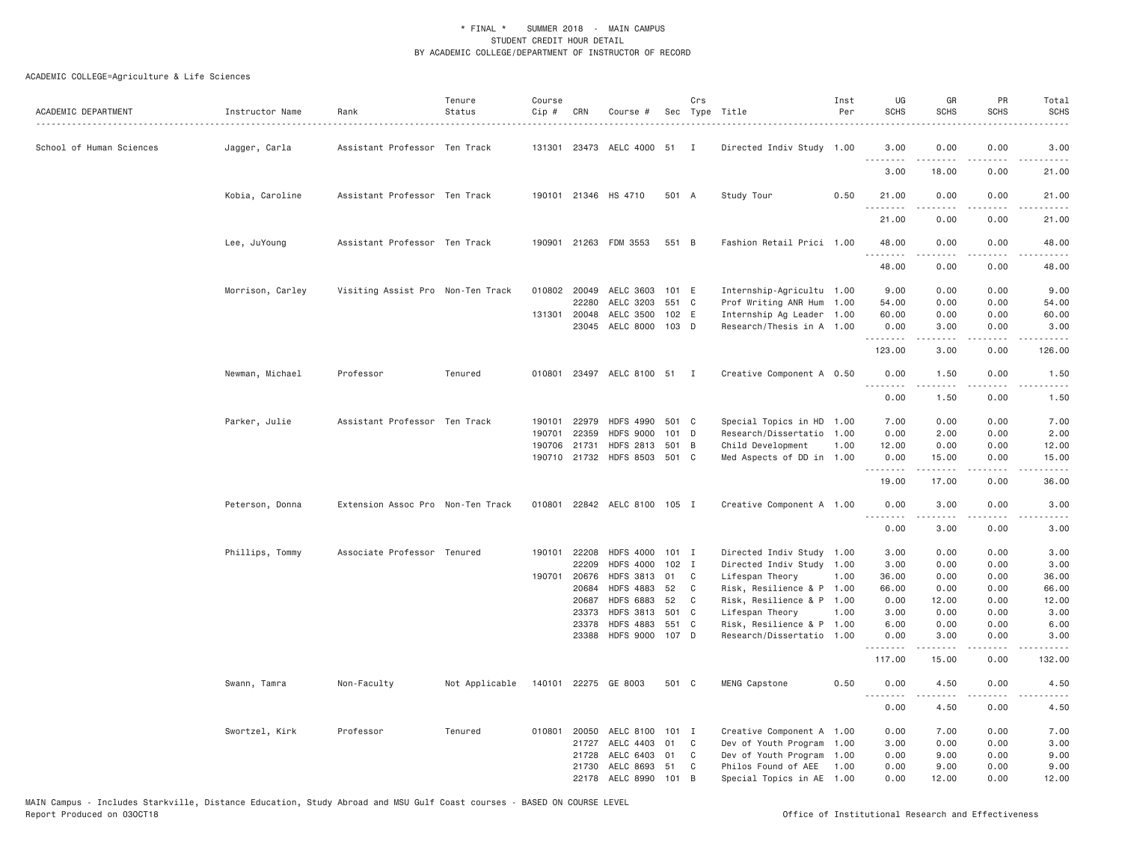| ACADEMIC DEPARTMENT      | Instructor Name  | Rank                              | Tenure<br>Status | Course<br>Cip # | CRN          | Course #                     |         | Crs | Sec Type Title            | Inst<br>Per | UG<br><b>SCHS</b> | GR<br><b>SCHS</b>                                                                                                                                            | PR<br><b>SCHS</b>            | Total<br><b>SCHS</b>                                                                                                              |
|--------------------------|------------------|-----------------------------------|------------------|-----------------|--------------|------------------------------|---------|-----|---------------------------|-------------|-------------------|--------------------------------------------------------------------------------------------------------------------------------------------------------------|------------------------------|-----------------------------------------------------------------------------------------------------------------------------------|
| School of Human Sciences | Jagger, Carla    | Assistant Professor Ten Track     |                  |                 |              | 131301 23473 AELC 4000 51 I  |         |     | Directed Indiv Study 1.00 |             | 3.00<br>.         | 0.00                                                                                                                                                         | 0.00                         | 3.00<br>$\frac{1}{2} \left( \frac{1}{2} \right) \left( \frac{1}{2} \right) \left( \frac{1}{2} \right) \left( \frac{1}{2} \right)$ |
|                          |                  |                                   |                  |                 |              |                              |         |     |                           |             | 3.00              | 18.00                                                                                                                                                        | 0.00                         | 21.00                                                                                                                             |
|                          | Kobia, Caroline  | Assistant Professor Ten Track     |                  |                 |              | 190101 21346 HS 4710         | 501 A   |     | Study Tour                | 0.50        | 21.00<br>.        | 0.00                                                                                                                                                         | 0.00<br>$\sim$ $\sim$ $\sim$ | 21.00<br>د د د د د                                                                                                                |
|                          |                  |                                   |                  |                 |              |                              |         |     |                           |             | 21.00             | 0.00                                                                                                                                                         | 0.00                         | 21.00                                                                                                                             |
|                          | Lee, JuYoung     | Assistant Professor Ten Track     |                  |                 |              | 190901 21263 FDM 3553        | 551 B   |     | Fashion Retail Prici 1.00 |             | 48.00             | 0.00<br>.                                                                                                                                                    | 0.00<br>----                 | 48.00<br>$\frac{1}{2}$                                                                                                            |
|                          |                  |                                   |                  |                 |              |                              |         |     |                           |             | 48.00             | 0.00                                                                                                                                                         | 0.00                         | 48.00                                                                                                                             |
|                          | Morrison, Carley | Visiting Assist Pro Non-Ten Track |                  |                 | 22280        | 010802 20049 AELC 3603 101 E |         |     | Internship-Agricultu 1.00 |             | 9.00              | 0.00                                                                                                                                                         | 0.00                         | 9.00                                                                                                                              |
|                          |                  |                                   |                  |                 |              | AELC 3203                    | 551 C   |     | Prof Writing ANR Hum 1.00 |             | 54.00             | 0.00                                                                                                                                                         | 0.00                         | 54.00                                                                                                                             |
|                          |                  |                                   |                  |                 | 131301 20048 | AELC 3500                    | 102 E   |     | Internship Ag Leader 1.00 |             | 60.00             | 0.00                                                                                                                                                         | 0.00                         | 60.00                                                                                                                             |
|                          |                  |                                   |                  |                 |              | 23045 AELC 8000 103 D        |         |     | Research/Thesis in A 1.00 |             | 0.00<br>.         | 3.00<br>.                                                                                                                                                    | 0.00<br>$   -$               | 3.00<br>.                                                                                                                         |
|                          |                  |                                   |                  |                 |              |                              |         |     |                           |             | 123.00            | 3.00                                                                                                                                                         | 0.00                         | 126.00                                                                                                                            |
|                          | Newman, Michael  | Professor                         | Tenured          |                 |              | 010801 23497 AELC 8100 51 I  |         |     | Creative Component A 0.50 |             | 0.00<br>.         | 1.50<br>$- - - - -$                                                                                                                                          | 0.00<br>.                    | 1.50<br>$- - - - -$                                                                                                               |
|                          |                  |                                   |                  |                 |              |                              |         |     |                           |             | 0.00              | 1.50                                                                                                                                                         | 0.00                         | 1.50                                                                                                                              |
|                          | Parker, Julie    | Assistant Professor Ten Track     |                  |                 | 190101 22979 | HDFS 4990 501 C              |         |     | Special Topics in HD 1.00 |             | 7.00              | 0.00                                                                                                                                                         | 0.00                         | 7.00                                                                                                                              |
|                          |                  |                                   |                  | 190701          | 22359        | <b>HDFS 9000</b>             | 101     | D   | Research/Dissertatio 1.00 |             | 0.00              | 2.00                                                                                                                                                         | 0.00                         | 2.00                                                                                                                              |
|                          |                  |                                   |                  | 190706          | 21731        | <b>HDFS 2813</b>             | 501 B   |     | Child Development         | 1.00        | 12.00             | 0.00                                                                                                                                                         | 0.00                         | 12.00                                                                                                                             |
|                          |                  |                                   |                  |                 |              | 190710 21732 HDFS 8503 501 C |         |     | Med Aspects of DD in 1.00 |             | 0.00              | 15.00<br>.                                                                                                                                                   | 0.00<br>د د د د              | 15.00<br>$    -$                                                                                                                  |
|                          |                  |                                   |                  |                 |              |                              |         |     |                           |             | .<br>19.00        | 17.00                                                                                                                                                        | 0.00                         | 36.00                                                                                                                             |
|                          | Peterson, Donna  | Extension Assoc Pro Non-Ten Track |                  |                 |              | 010801 22842 AELC 8100 105 I |         |     | Creative Component A 1.00 |             | 0.00<br>.         | 3.00<br>.                                                                                                                                                    | 0.00<br>.                    | 3.00<br>.                                                                                                                         |
|                          |                  |                                   |                  |                 |              |                              |         |     |                           |             | 0.00              | 3.00                                                                                                                                                         | 0.00                         | 3.00                                                                                                                              |
|                          | Phillips, Tommy  | Associate Professor Tenured       |                  |                 | 190101 22208 | <b>HDFS 4000</b>             | 101 I   |     | Directed Indiv Study 1.00 |             | 3.00              | 0.00                                                                                                                                                         | 0.00                         | 3.00                                                                                                                              |
|                          |                  |                                   |                  |                 | 22209        | <b>HDFS 4000</b>             | $102$ I |     | Directed Indiv Study 1.00 |             | 3.00              | 0.00                                                                                                                                                         | 0.00                         | 3.00                                                                                                                              |
|                          |                  |                                   |                  | 190701          | 20676        | <b>HDFS 3813</b>             | 01      | C   | Lifespan Theory           | 1.00        | 36.00             | 0.00                                                                                                                                                         | 0.00                         | 36.00                                                                                                                             |
|                          |                  |                                   |                  |                 | 20684        | <b>HDFS 4883</b>             | 52      | C   | Risk, Resilience & P 1.00 |             | 66.00             | 0.00                                                                                                                                                         | 0.00                         | 66.00                                                                                                                             |
|                          |                  |                                   |                  |                 | 20687        | <b>HDFS 6883</b>             | 52      | C   | Risk, Resilience & P 1.00 |             | 0.00              | 12.00                                                                                                                                                        | 0.00                         | 12.00                                                                                                                             |
|                          |                  |                                   |                  |                 | 23373        | <b>HDFS 3813</b>             | 501 C   |     | Lifespan Theory           | 1.00        | 3.00              | 0.00                                                                                                                                                         | 0.00                         | 3.00                                                                                                                              |
|                          |                  |                                   |                  |                 | 23378        | <b>HDFS 4883</b>             | 551 C   |     | Risk, Resilience & P 1.00 |             | 6.00              | 0.00                                                                                                                                                         | 0.00                         | 6.00                                                                                                                              |
|                          |                  |                                   |                  |                 | 23388        | <b>HDFS 9000</b>             | 107 D   |     | Research/Dissertatio 1.00 |             | 0.00<br>.         | 3,00<br>$\frac{1}{2} \left( \frac{1}{2} \right) \left( \frac{1}{2} \right) \left( \frac{1}{2} \right) \left( \frac{1}{2} \right) \left( \frac{1}{2} \right)$ | 0.00<br>.                    | 3.00<br>$\frac{1}{2}$                                                                                                             |
|                          |                  |                                   |                  |                 |              |                              |         |     |                           |             | 117.00            | 15.00                                                                                                                                                        | 0.00                         | 132.00                                                                                                                            |
|                          | Swann, Tamra     | Non-Faculty                       | Not Applicable   |                 |              | 140101 22275 GE 8003         | 501 C   |     | MENG Capstone             | 0.50        | 0.00              | 4.50                                                                                                                                                         | 0.00                         | 4.50                                                                                                                              |
|                          |                  |                                   |                  |                 |              |                              |         |     |                           |             | 0.00              | 4.50                                                                                                                                                         | 0.00                         | 4.50                                                                                                                              |
|                          | Swortzel, Kirk   | Professor                         | Tenured          |                 | 010801 20050 | AELC 8100                    | 101 I   |     | Creative Component A 1.00 |             | 0.00              | 7.00                                                                                                                                                         | 0.00                         | 7.00                                                                                                                              |
|                          |                  |                                   |                  |                 | 21727        | AELC 4403                    | 01      | C   | Dev of Youth Program 1.00 |             | 3.00              | 0.00                                                                                                                                                         | 0.00                         | 3.00                                                                                                                              |
|                          |                  |                                   |                  |                 | 21728        | AELC 6403 01                 |         | C   | Dev of Youth Program 1.00 |             | 0.00              | 9.00                                                                                                                                                         | 0.00                         | 9.00                                                                                                                              |
|                          |                  |                                   |                  |                 | 21730        | AELC 8693 51                 |         | C   | Philos Found of AEE       | 1.00        | 0.00              | 9,00                                                                                                                                                         | 0.00                         | 9,00                                                                                                                              |
|                          |                  |                                   |                  |                 |              | 22178 AELC 8990 101          |         | B   | Special Topics in AE 1.00 |             | 0.00              | 12.00                                                                                                                                                        | 0.00                         | 12.00                                                                                                                             |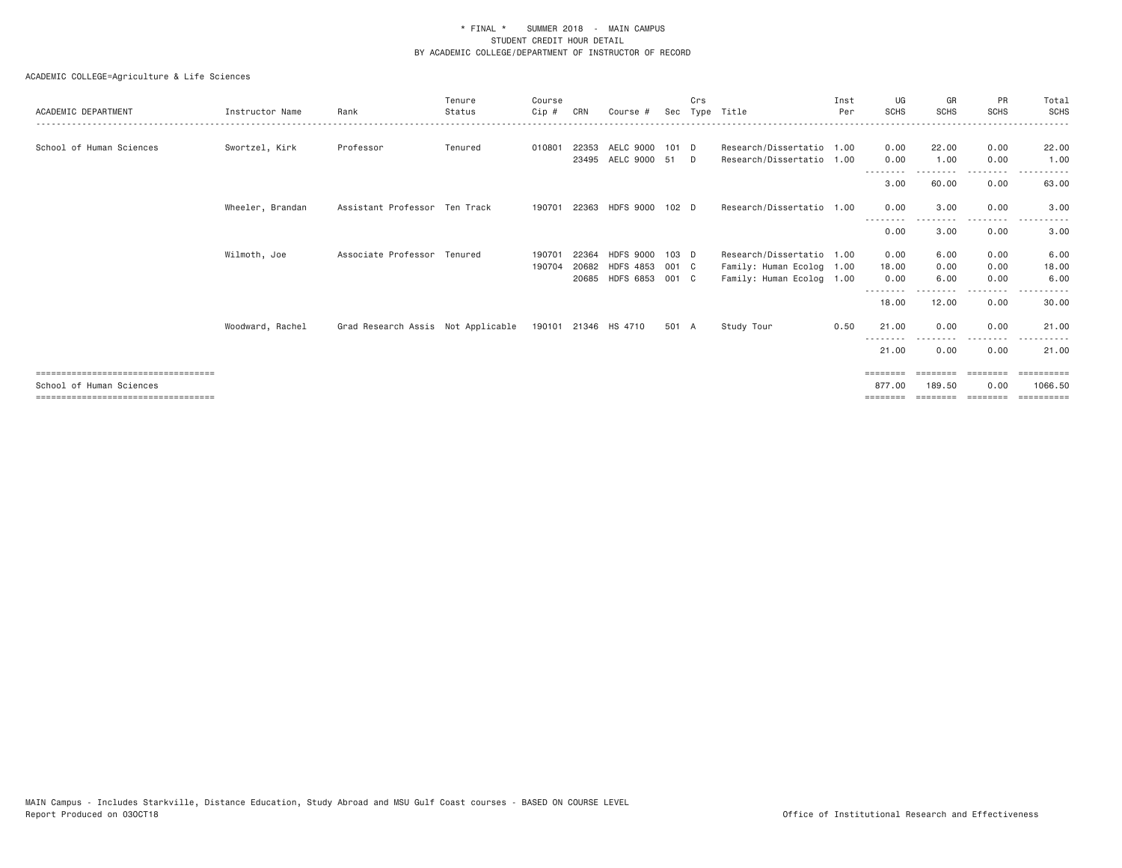| ACADEMIC DEPARTMENT                                                                                       | Instructor Name  | Rank                               | Tenure<br>Status | Course<br>Cip#   | CRN            | Course #                                                     |                  | Crs    | Sec Type Title                                                                      | Inst<br>Per | UG<br><b>SCHS</b>     | GR<br><b>SCHS</b>    | PR<br><b>SCHS</b>    | Total<br><b>SCHS</b>            |
|-----------------------------------------------------------------------------------------------------------|------------------|------------------------------------|------------------|------------------|----------------|--------------------------------------------------------------|------------------|--------|-------------------------------------------------------------------------------------|-------------|-----------------------|----------------------|----------------------|---------------------------------|
| School of Human Sciences                                                                                  | Swortzel, Kirk   | Professor                          | Tenured          | 010801           | 22353          | AELC 9000<br>23495 AELC 9000 51                              | 101 D            | $\Box$ | Research/Dissertatio 1.00<br>Research/Dissertatio 1.00                              |             | 0.00<br>0.00          | 22.00<br>1.00        | 0.00<br>0.00         | 22.00<br>1.00                   |
|                                                                                                           |                  |                                    |                  |                  |                |                                                              |                  |        |                                                                                     |             | 3.00                  | 60.00                | 0.00                 | 63.00                           |
|                                                                                                           | Wheeler, Brandan | Assistant Professor Ten Track      |                  | 190701           |                | 22363 HDFS 9000 102 D                                        |                  |        | Research/Dissertatio 1.00                                                           |             | 0.00                  | 3.00                 | 0.00<br>$- - - -$    | 3.00                            |
|                                                                                                           |                  |                                    |                  |                  |                |                                                              |                  |        |                                                                                     |             | 0.00                  | 3.00                 | 0.00                 | 3.00                            |
|                                                                                                           | Wilmoth, Joe     | Associate Professor Tenured        |                  | 190701<br>190704 | 22364<br>20682 | <b>HDFS 9000</b><br>HDFS 4853 001 C<br>20685 HDFS 6853 001 C | 103 <sub>D</sub> |        | Research/Dissertatio 1.00<br>Family: Human Ecolog 1.00<br>Family: Human Ecolog 1.00 |             | 0.00<br>18.00<br>0.00 | 6.00<br>0.00<br>6.00 | 0.00<br>0.00<br>0.00 | 6.00<br>18.00<br>6.00           |
|                                                                                                           |                  |                                    |                  |                  |                |                                                              |                  |        |                                                                                     |             | --------<br>18.00     | 12.00                | 0.00                 | 30.00                           |
|                                                                                                           | Woodward, Rachel | Grad Research Assis Not Applicable |                  |                  |                | 190101 21346 HS 4710                                         | 501 A            |        | Study Tour                                                                          | 0.50        | 21.00                 | 0.00                 | 0.00<br>.            | 21.00                           |
|                                                                                                           |                  |                                    |                  |                  |                |                                                              |                  |        |                                                                                     |             | 21.00                 | 0.00                 | 0.00                 | 21.00                           |
| =====================================<br>School of Human Sciences<br>==================================== |                  |                                    |                  |                  |                |                                                              |                  |        |                                                                                     |             | ========<br>877.00    | 189.50               | 0.00                 | ---------<br>1066.50<br>======= |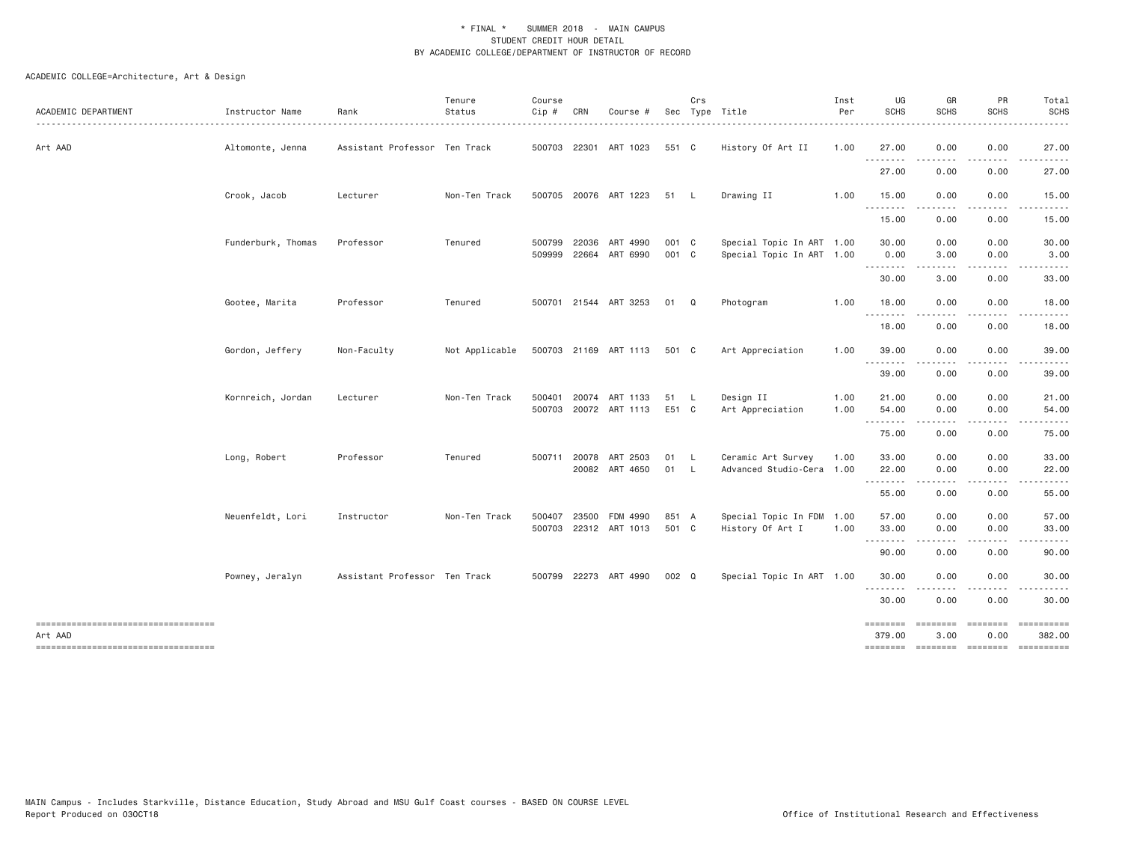| ACADEMIC DEPARTMENT                                                                    | Instructor Name    | Rank                          | Tenure<br>Status | Course<br>Cip #              | CRN   | Course #                                |                | Crs | Sec Type Title                                         | Inst<br>Per  | UG<br><b>SCHS</b>  | GR<br><b>SCHS</b>    | PR<br><b>SCHS</b>    | Total<br><b>SCHS</b>                                           |
|----------------------------------------------------------------------------------------|--------------------|-------------------------------|------------------|------------------------------|-------|-----------------------------------------|----------------|-----|--------------------------------------------------------|--------------|--------------------|----------------------|----------------------|----------------------------------------------------------------|
| Art AAD                                                                                | Altomonte, Jenna   | Assistant Professor Ten Track |                  |                              |       | 500703 22301 ART 1023                   | 551 C          |     | History Of Art II                                      | 1.00         | 27.00              | 0.00                 | 0.00                 | 27.00                                                          |
|                                                                                        |                    |                               |                  |                              |       |                                         |                |     |                                                        |              | .<br>27.00         | .<br>0.00            | .<br>0.00            | 27.00                                                          |
|                                                                                        | Crook, Jacob       | Lecturer                      | Non-Ten Track    |                              |       | 500705 20076 ART 1223                   | 51 L           |     | Drawing II                                             | 1.00         | 15.00              | 0.00                 | 0.00                 | 15.00                                                          |
|                                                                                        |                    |                               |                  |                              |       |                                         |                |     |                                                        |              | 15.00              | 0.00                 | 0.00                 | 15.00                                                          |
|                                                                                        | Funderburk, Thomas | Professor                     | Tenured          | 500799 22036<br>509999 22664 |       | ART 4990<br>ART 6990                    | 001 C<br>001 C |     | Special Topic In ART 1.00<br>Special Topic In ART 1.00 |              | 30.00<br>0.00      | 0.00<br>3.00         | 0.00<br>0.00         | 30.00<br>3.00                                                  |
|                                                                                        |                    |                               |                  |                              |       |                                         |                |     |                                                        |              | 30.00              | 3.00                 | 0.00                 | 33.00                                                          |
|                                                                                        | Gootee, Marita     | Professor                     | Tenured          |                              |       | 500701 21544 ART 3253                   | 01 Q           |     | Photogram                                              | 1.00         | 18.00<br><u>.</u>  | 0.00                 | 0.00                 | 18.00                                                          |
|                                                                                        |                    |                               |                  |                              |       |                                         |                |     |                                                        |              | 18.00              | 0.00                 | 0.00                 | 18.00                                                          |
|                                                                                        | Gordon, Jeffery    | Non-Faculty                   | Not Applicable   |                              |       | 500703 21169 ART 1113                   | 501 C          |     | Art Appreciation                                       | 1.00         | 39.00              | 0.00<br>.            | 0.00<br>.            | 39.00                                                          |
|                                                                                        |                    |                               |                  |                              |       |                                         |                |     |                                                        |              | 39.00              | 0.00                 | 0.00                 | 39.00                                                          |
|                                                                                        | Kornreich, Jordan  | Lecturer                      | Non-Ten Track    | 500401                       |       | 20074 ART 1133<br>500703 20072 ART 1113 | 51 L<br>E51 C  |     | Design II<br>Art Appreciation                          | 1.00<br>1.00 | 21.00<br>54.00     | 0.00<br>0.00         | 0.00<br>0.00         | 21.00<br>54.00                                                 |
|                                                                                        |                    |                               |                  |                              |       |                                         |                |     |                                                        |              | .<br>75.00         | 0.00                 | 0.00                 | 75.00                                                          |
|                                                                                        | Long, Robert       | Professor                     | Tenured          | 500711 20078                 |       | ART 2503                                | 01 L           |     | Ceramic Art Survey                                     | 1.00         | 33.00              | 0.00                 | 0.00                 | 33.00                                                          |
|                                                                                        |                    |                               |                  |                              |       | 20082 ART 4650                          | 01 L           |     | Advanced Studio-Cera 1.00                              |              | 22.00              | 0.00<br>- - - - -    | 0.00                 | 22.00                                                          |
|                                                                                        |                    |                               |                  |                              |       |                                         |                |     |                                                        |              | 55.00              | 0.00                 | 0.00                 | 55.00                                                          |
|                                                                                        | Neuenfeldt, Lori   | Instructor                    | Non-Ten Track    | 500407                       | 23500 | FDM 4990<br>500703 22312 ART 1013       | 851 A<br>501 C |     | Special Topic In FDM 1.00<br>History Of Art I          | 1.00         | 57.00<br>33.00     | 0.00<br>0.00         | 0.00<br>0.00         | 57.00<br>33.00                                                 |
|                                                                                        |                    |                               |                  |                              |       |                                         |                |     |                                                        |              | 90.00              | 0.00                 | 0.00                 | 90.00                                                          |
|                                                                                        | Powney, Jeralyn    | Assistant Professor Ten Track |                  |                              |       | 500799 22273 ART 4990                   | 002 Q          |     | Special Topic In ART 1.00                              |              | 30.00<br>.         | 0.00                 | 0.00<br>.            | 30.00                                                          |
|                                                                                        |                    |                               |                  |                              |       |                                         |                |     |                                                        |              | 30.00              | 0.00                 | 0.00                 | 30.00                                                          |
| -----------------------------------<br>Art AAD<br>==================================== |                    |                               |                  |                              |       |                                         |                |     |                                                        |              | ========<br>379.00 | $=$ ========<br>3.00 | $=$ ========<br>0.00 | - ==========<br>382.00<br>======== ======== ======== ========= |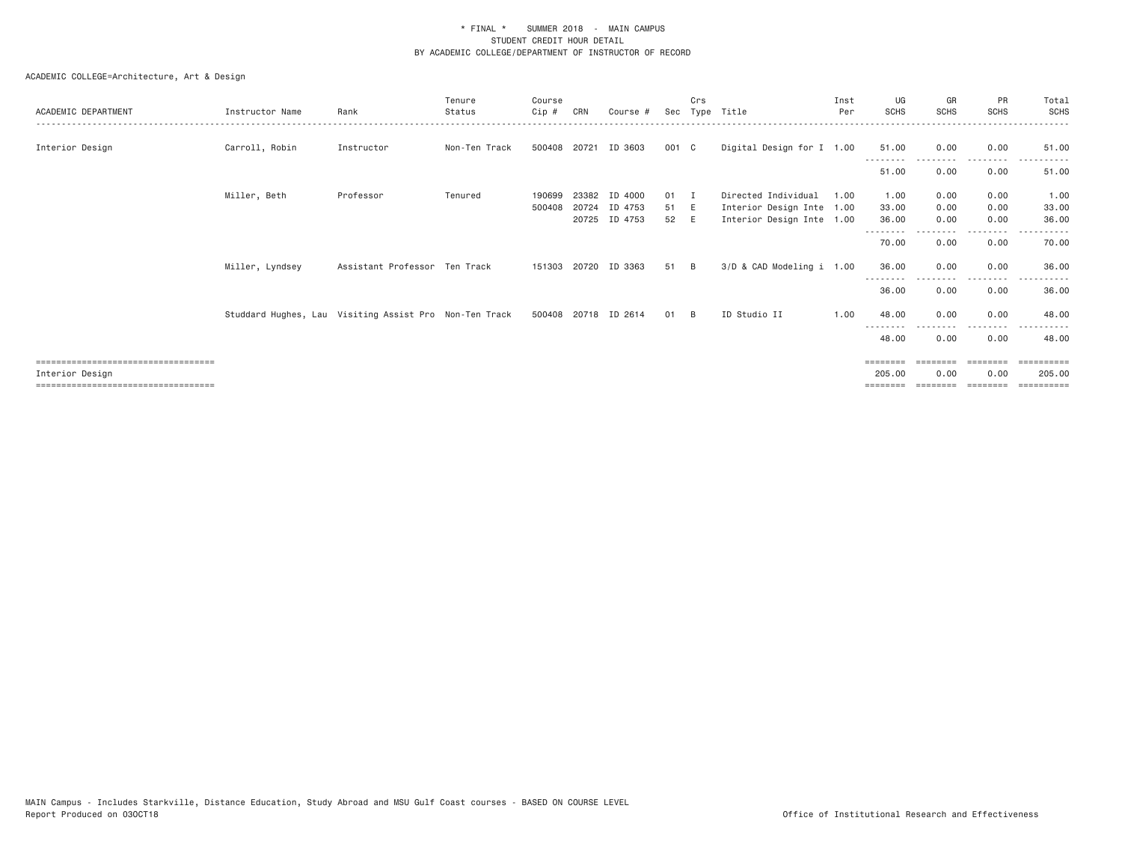|                                       |                                                        |                               | Tenure        | Course |              |                      |       | Crs         |                           | Inst | UG                | GR          | PR            | Total           |
|---------------------------------------|--------------------------------------------------------|-------------------------------|---------------|--------|--------------|----------------------|-------|-------------|---------------------------|------|-------------------|-------------|---------------|-----------------|
| ACADEMIC DEPARTMENT                   | Instructor Name                                        | Rank                          | Status        | Cip #  | CRN          | Course #             | Sec   |             | Type Title                | Per  | <b>SCHS</b>       | <b>SCHS</b> | <b>SCHS</b>   | <b>SCHS</b>     |
|                                       |                                                        |                               |               |        |              |                      |       |             |                           |      |                   |             |               |                 |
| Interior Design                       | Carroll, Robin                                         | Instructor                    | Non-Ten Track | 500408 | 20721        | ID 3603              | 001 C |             | Digital Design for I 1.00 |      | 51.00             | 0.00        | 0.00          | 51.00           |
|                                       |                                                        |                               |               |        |              |                      |       |             |                           |      | 51.00             | 0.00        | 0.00          | 51.00           |
|                                       | Miller, Beth                                           | Professor                     | Tenured       | 190699 | 23382        | ID 4000              | 01    | $\mathbf I$ | Directed Individual       | 1.00 | 1.00              | 0.00        | 0.00          | 1.00            |
|                                       |                                                        |                               |               | 500408 | 20724        | ID 4753              | 51 E  |             | Interior Design Inte 1.00 |      | 33.00             | 0.00        | 0.00          | 33.00           |
|                                       |                                                        |                               |               |        |              | 20725 ID 4753        | 52 E  |             | Interior Design Inte 1.00 |      | 36.00             | 0.00        | 0.00          | 36.00           |
|                                       |                                                        |                               |               |        |              |                      |       |             |                           |      |                   |             | .             |                 |
|                                       |                                                        |                               |               |        |              |                      |       |             |                           |      | 70.00             | 0.00        | 0.00          | 70.00           |
|                                       |                                                        |                               |               |        |              |                      |       |             |                           |      |                   |             |               |                 |
|                                       | Miller, Lyndsey                                        | Assistant Professor Ten Track |               |        | 151303 20720 | ID 3363              | 51    | <b>B</b>    | 3/D & CAD Modeling i 1.00 |      | 36.00             | 0.00        | 0.00          | 36.00           |
|                                       |                                                        |                               |               |        |              |                      |       |             |                           |      |                   |             | $\frac{1}{2}$ |                 |
|                                       |                                                        |                               |               |        |              |                      |       |             |                           |      | 36.00             | 0.00        | 0.00          | 36.00           |
|                                       |                                                        |                               |               |        |              |                      |       |             |                           |      |                   |             |               |                 |
|                                       | Studdard Hughes, Lau Visiting Assist Pro Non-Ten Track |                               |               |        |              | 500408 20718 ID 2614 | 01 B  |             | ID Studio II              | 1.00 | 48.00             | 0.00        | 0.00          | 48.00           |
|                                       |                                                        |                               |               |        |              |                      |       |             |                           |      | --------          |             |               |                 |
|                                       |                                                        |                               |               |        |              |                      |       |             |                           |      | 48.00             | 0.00        | 0.00          | 48.00           |
| ====================================  |                                                        |                               |               |        |              |                      |       |             |                           |      | $=$ = = = = = = = |             |               | :===== <b>:</b> |
| Interior Design                       |                                                        |                               |               |        |              |                      |       |             |                           |      | 205.00            | 0.00        | 0.00          | 205,00          |
| ===================================== |                                                        |                               |               |        |              |                      |       |             |                           |      |                   |             |               |                 |
|                                       |                                                        |                               |               |        |              |                      |       |             |                           |      |                   |             |               |                 |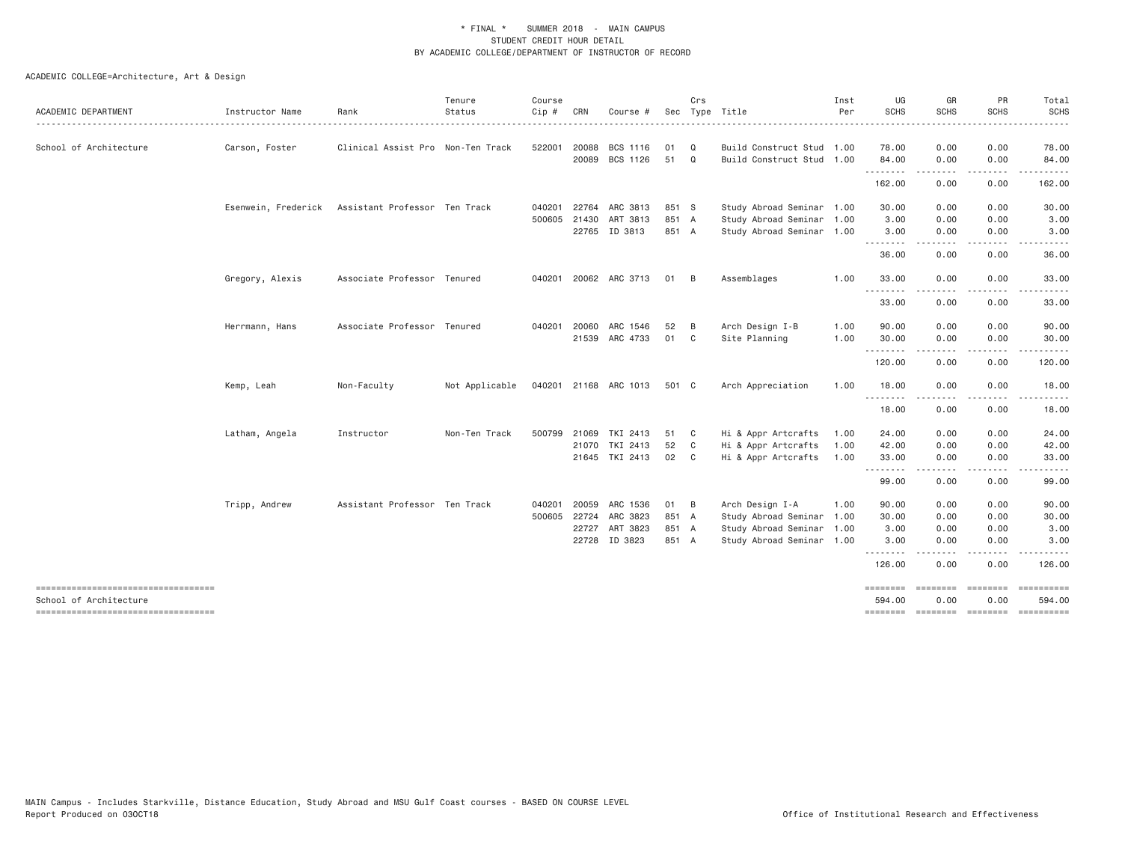|                                                              |                     |                                   | Tenure         | Course       |              |                       |       | Crs          |                           | Inst | UG                 | GR                     | PR                                                                                                                                                           | Total                                                                                                                                                        |
|--------------------------------------------------------------|---------------------|-----------------------------------|----------------|--------------|--------------|-----------------------|-------|--------------|---------------------------|------|--------------------|------------------------|--------------------------------------------------------------------------------------------------------------------------------------------------------------|--------------------------------------------------------------------------------------------------------------------------------------------------------------|
| ACADEMIC DEPARTMENT                                          | Instructor Name     | Rank                              | Status         | Cip #        | CRN          | Course #              |       |              | Sec Type Title            | Per  | <b>SCHS</b>        | SCHS                   | <b>SCHS</b>                                                                                                                                                  | SCHS<br>$\frac{1}{2} \left( \frac{1}{2} \right) \left( \frac{1}{2} \right) \left( \frac{1}{2} \right) \left( \frac{1}{2} \right) \left( \frac{1}{2} \right)$ |
| School of Architecture                                       | Carson, Foster      | Clinical Assist Pro Non-Ten Track |                | 522001       | 20088        | BCS 1116              | 01    | Q            | Build Construct Stud 1.00 |      | 78.00              | 0.00                   | 0.00                                                                                                                                                         | 78.00                                                                                                                                                        |
|                                                              |                     |                                   |                |              | 20089        | BCS 1126              | 51    | $\mathbf Q$  | Build Construct Stud 1.00 |      | 84.00              | 0.00                   | 0.00                                                                                                                                                         | 84.00                                                                                                                                                        |
|                                                              |                     |                                   |                |              |              |                       |       |              |                           |      | .<br>162.00        | 0.00                   | $\frac{1}{2}$<br>0.00                                                                                                                                        | 162.00                                                                                                                                                       |
|                                                              | Esenwein, Frederick | Assistant Professor Ten Track     |                |              |              | 040201 22764 ARC 3813 | 851 S |              | Study Abroad Seminar 1.00 |      | 30.00              | 0.00                   | 0.00                                                                                                                                                         | 30.00                                                                                                                                                        |
|                                                              |                     |                                   |                |              | 500605 21430 | ART 3813              | 851 A |              | Study Abroad Seminar 1.00 |      | 3.00               | 0.00                   | 0.00                                                                                                                                                         | 3.00                                                                                                                                                         |
|                                                              |                     |                                   |                |              | 22765        | ID 3813               | 851 A |              | Study Abroad Seminar 1.00 |      | 3.00               | 0.00                   | 0.00                                                                                                                                                         | 3.00                                                                                                                                                         |
|                                                              |                     |                                   |                |              |              |                       |       |              |                           |      | .<br>36.00         | 0.00                   | 0.00                                                                                                                                                         | 36.00                                                                                                                                                        |
|                                                              | Gregory, Alexis     | Associate Professor Tenured       |                |              |              | 040201 20062 ARC 3713 | 01    | - B          | Assemblages               | 1.00 | 33.00              | 0.00                   | 0.00                                                                                                                                                         | 33.00                                                                                                                                                        |
|                                                              |                     |                                   |                |              |              |                       |       |              |                           |      | <u>.</u><br>33.00  | 0.00                   | 0.00                                                                                                                                                         | 33.00                                                                                                                                                        |
|                                                              | Herrmann, Hans      | Associate Professor Tenured       |                | 040201 20060 |              | ARC 1546              | 52    | B            | Arch Design I-B           | 1.00 | 90.00              | 0.00                   | 0.00                                                                                                                                                         | 90.00                                                                                                                                                        |
|                                                              |                     |                                   |                |              |              | 21539 ARC 4733        | 01 C  |              | Site Planning             | 1.00 | 30.00              | 0.00                   | 0.00                                                                                                                                                         | 30.00                                                                                                                                                        |
|                                                              |                     |                                   |                |              |              |                       |       |              |                           |      | .<br>120.00        | .<br>0.00              | $\frac{1}{2} \left( \frac{1}{2} \right) \left( \frac{1}{2} \right) \left( \frac{1}{2} \right) \left( \frac{1}{2} \right) \left( \frac{1}{2} \right)$<br>0.00 | 120.00                                                                                                                                                       |
|                                                              | Kemp, Leah          | Non-Faculty                       | Not Applicable |              |              | 040201 21168 ARC 1013 | 501 C |              | Arch Appreciation         | 1.00 | 18.00              | 0.00                   | 0.00                                                                                                                                                         | 18.00                                                                                                                                                        |
|                                                              |                     |                                   |                |              |              |                       |       |              |                           |      | 18.00              | 0.00                   | 0.00                                                                                                                                                         | 18.00                                                                                                                                                        |
|                                                              | Latham, Angela      | Instructor                        | Non-Ten Track  | 500799       | 21069        | TKI 2413              | 51    | $\mathbf{C}$ | Hi & Appr Artcrafts       | 1.00 | 24.00              | 0.00                   | 0.00                                                                                                                                                         | 24.00                                                                                                                                                        |
|                                                              |                     |                                   |                |              | 21070        | TKI 2413              | 52    | $\mathsf{C}$ | Hi & Appr Artcrafts       | 1.00 | 42.00              | 0.00                   | 0.00                                                                                                                                                         | 42.00                                                                                                                                                        |
|                                                              |                     |                                   |                |              |              | 21645 TKI 2413        | 02    | C            | Hi & Appr Artcrafts       | 1.00 | 33.00<br>.         | 0.00                   | 0.00                                                                                                                                                         | 33.00                                                                                                                                                        |
|                                                              |                     |                                   |                |              |              |                       |       |              |                           |      | 99.00              | 0.00                   | 0.00                                                                                                                                                         | 99.00                                                                                                                                                        |
|                                                              | Tripp, Andrew       | Assistant Professor Ten Track     |                | 040201       | 20059        | ARC 1536              | 01 B  |              | Arch Design I-A           | 1.00 | 90.00              | 0.00                   | 0.00                                                                                                                                                         | 90.00                                                                                                                                                        |
|                                                              |                     |                                   |                | 500605 22724 |              | ARC 3823              | 851 A |              | Study Abroad Seminar 1.00 |      | 30.00              | 0.00                   | 0.00                                                                                                                                                         | 30.00                                                                                                                                                        |
|                                                              |                     |                                   |                |              | 22727        | ART 3823              | 851 A |              | Study Abroad Seminar 1.00 |      | 3.00               | 0.00                   | 0.00                                                                                                                                                         | 3.00                                                                                                                                                         |
|                                                              |                     |                                   |                |              |              | 22728 ID 3823         | 851 A |              | Study Abroad Seminar 1.00 |      | 3.00<br>.          | 0.00                   | 0.00                                                                                                                                                         | 3.00                                                                                                                                                         |
|                                                              |                     |                                   |                |              |              |                       |       |              |                           |      | 126.00             | 0.00                   | 0.00                                                                                                                                                         | 126.00                                                                                                                                                       |
| ----------------------------------<br>School of Architecture |                     |                                   |                |              |              |                       |       |              |                           |      | ========<br>594.00 | <b>EEEEEEE</b><br>0.00 | ========<br>0.00                                                                                                                                             | 594.00                                                                                                                                                       |
| -------------------------------------                        |                     |                                   |                |              |              |                       |       |              |                           |      |                    |                        |                                                                                                                                                              |                                                                                                                                                              |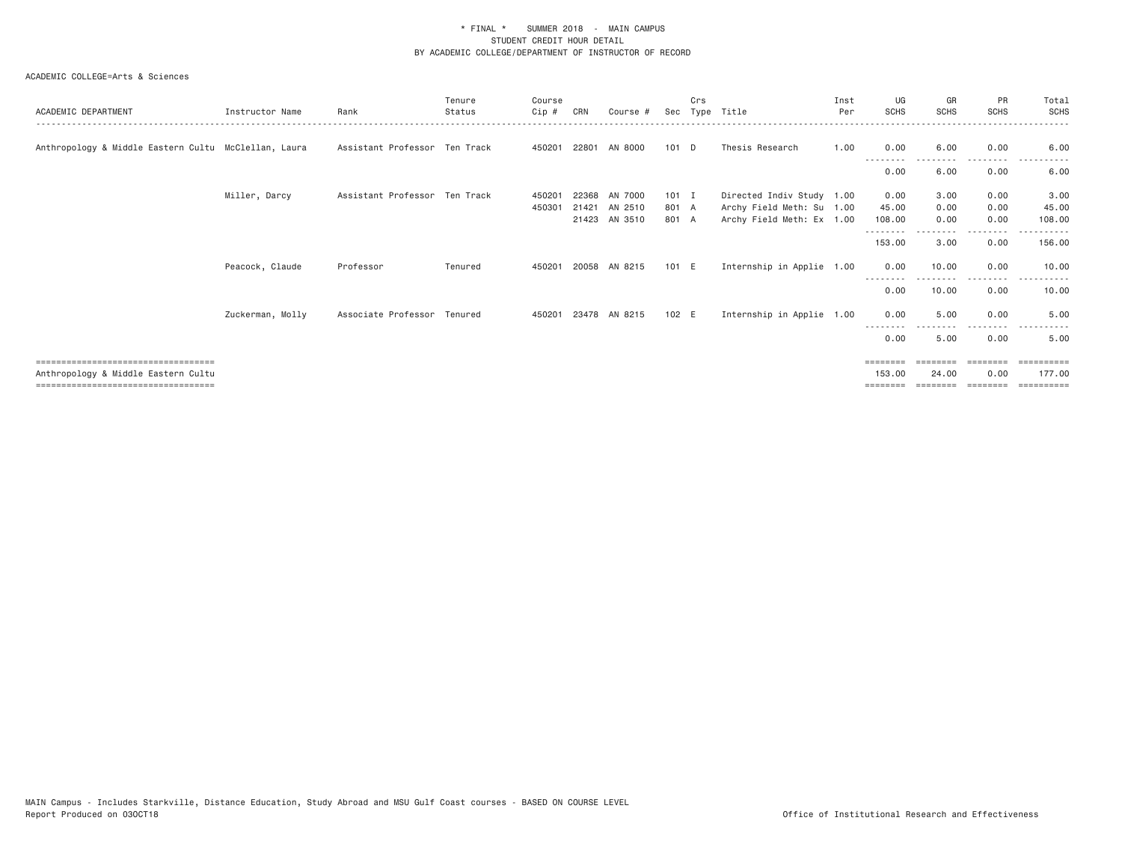#### ACADEMIC COLLEGE=Arts & Sciences

| ACADEMIC DEPARTMENT                                  | Instructor Name  | Rank                          | Tenure<br>Status | Course<br>$C$ ip # | CRN   | Course #      | Sec     | Crs | Type Title                | Inst<br>Per | UG<br><b>SCHS</b> | GR<br><b>SCHS</b> | PR<br><b>SCHS</b> | Total<br>SCHS |
|------------------------------------------------------|------------------|-------------------------------|------------------|--------------------|-------|---------------|---------|-----|---------------------------|-------------|-------------------|-------------------|-------------------|---------------|
|                                                      |                  |                               |                  |                    |       |               |         |     |                           |             |                   |                   |                   |               |
| Anthropology & Middle Eastern Cultu McClellan, Laura |                  | Assistant Professor Ten Track |                  | 450201             |       | 22801 AN 8000 | $101$ D |     | Thesis Research           | 1.00        | 0.00              | 6.00              | 0.00              | 6.00          |
|                                                      |                  |                               |                  |                    |       |               |         |     |                           |             | 0.00              | 6.00              | 0.00              | 6.00          |
|                                                      | Miller, Darcy    | Assistant Professor Ten Track |                  | 450201             | 22368 | AN 7000       | $101$ I |     | Directed Indiv Study 1.00 |             | 0.00              | 3.00              | 0.00              | 3.00          |
|                                                      |                  |                               |                  | 450301             |       | 21421 AN 2510 | 801 A   |     | Archy Field Meth: Su 1.00 |             | 45.00             | 0.00              | 0.00              | 45.00         |
|                                                      |                  |                               |                  |                    |       | 21423 AN 3510 | 801 A   |     | Archy Field Meth: Ex 1.00 |             | 108.00            | 0.00              | 0.00              | 108.00        |
|                                                      |                  |                               |                  |                    |       |               |         |     |                           |             | 153.00            | 3.00              | 0.00              | 156.00        |
|                                                      | Peacock, Claude  | Professor                     | Tenured          | 450201             |       | 20058 AN 8215 | 101 E   |     | Internship in Applie 1.00 |             | 0.00              | 10.00             | 0.00              | 10.00         |
|                                                      |                  |                               |                  |                    |       |               |         |     |                           |             | 0.00              | 10.00             | 0.00              | 10.00         |
|                                                      | Zuckerman, Molly | Associate Professor Tenured   |                  | 450201             |       | 23478 AN 8215 | 102 E   |     | Internship in Applie 1.00 |             | 0.00              | 5.00              | 0.00              | 5.00          |
|                                                      |                  |                               |                  |                    |       |               |         |     |                           |             | 0.00              | 5.00              | 0.00              | 5.00          |
| =====================================                |                  |                               |                  |                    |       |               |         |     |                           |             | --------          |                   |                   | ==========    |
| Anthropology & Middle Eastern Cultu                  |                  |                               |                  |                    |       |               |         |     |                           |             | 153,00            | 24,00             | 0.00              | 177,00        |
| =====================================                |                  |                               |                  |                    |       |               |         |     |                           |             |                   |                   |                   | ---------     |
|                                                      |                  |                               |                  |                    |       |               |         |     |                           |             |                   |                   |                   |               |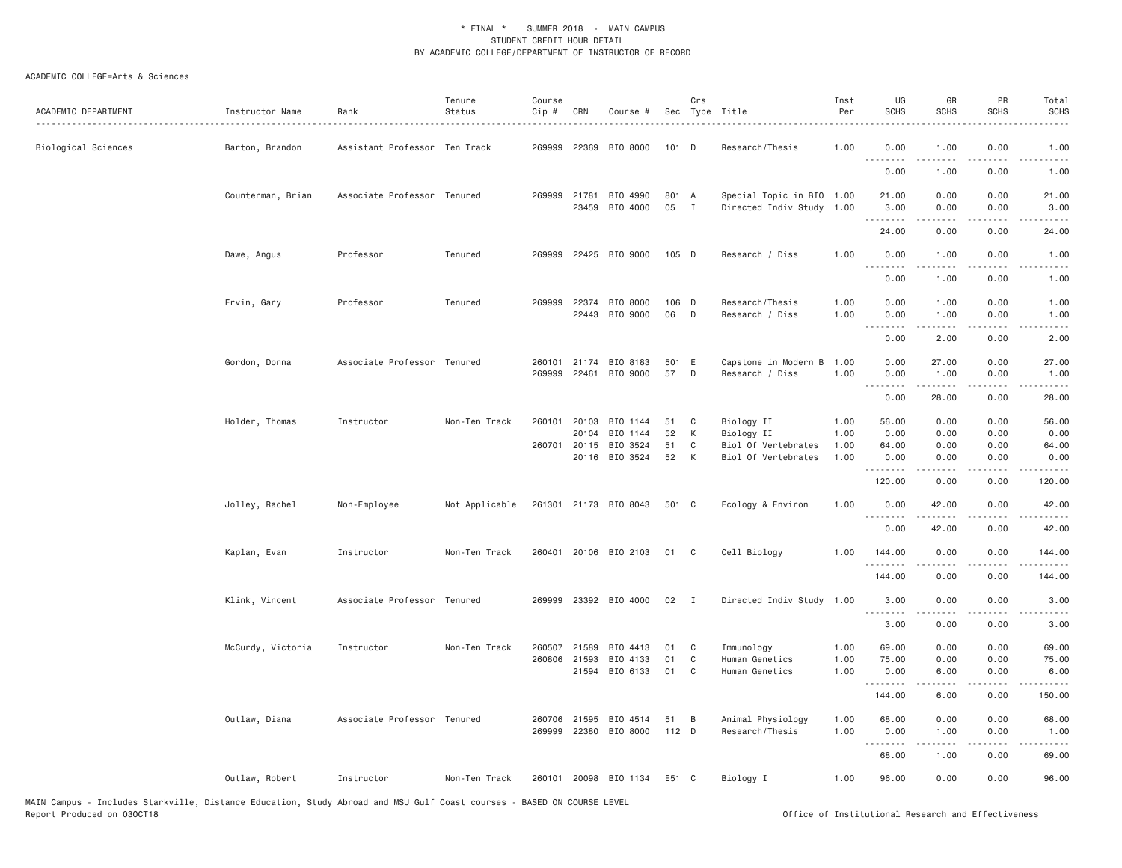| ACADEMIC DEPARTMENT | Instructor Name<br>. | Rank                          | Tenure<br>Status | Course<br>Cip #        | CRN            | Course #                   |             | Crs          | Sec Type Title                                         | Inst<br>Per  | UG<br><b>SCHS</b>         | GR<br><b>SCHS</b> | PR<br><b>SCHS</b>                   | Total<br><b>SCHS</b>       |
|---------------------|----------------------|-------------------------------|------------------|------------------------|----------------|----------------------------|-------------|--------------|--------------------------------------------------------|--------------|---------------------------|-------------------|-------------------------------------|----------------------------|
| Biological Sciences | Barton, Brandon      | Assistant Professor Ten Track |                  |                        |                | 269999 22369 BIO 8000      | $101$ D     |              | Research/Thesis                                        | 1.00         | 0.00<br>- - - -           | 1.00              | 0.00                                | 1.00                       |
|                     |                      |                               |                  |                        |                |                            |             |              |                                                        |              | 0.00                      | 1.00              | 0.00                                | 1.00                       |
|                     | Counterman, Brian    | Associate Professor Tenured   |                  | 269999 21781           |                | BIO 4990<br>23459 BIO 4000 | 801 A<br>05 | $\mathbf{I}$ | Special Topic in BIO 1.00<br>Directed Indiv Study 1.00 |              | 21.00<br>3.00<br><u>.</u> | 0.00<br>0.00<br>. | 0.00<br>0.00<br>.                   | 21.00<br>3.00<br>المتمامات |
|                     |                      |                               |                  |                        |                |                            |             |              |                                                        |              | 24.00                     | 0.00              | 0.00                                | 24.00                      |
|                     | Dawe, Angus          | Professor                     | Tenured          |                        |                | 269999 22425 BIO 9000      | $105$ D     |              | Research / Diss                                        | 1.00         | 0.00<br>.                 | 1.00              | 0.00<br>.                           | 1.00                       |
|                     |                      |                               |                  |                        |                |                            |             |              |                                                        |              | 0.00                      | 1.00              | 0.00                                | 1.00                       |
|                     | Ervin, Gary          | Professor                     | Tenured          | 269999                 | 22374<br>22443 | BIO 8000<br>BIO 9000       | 106 D<br>06 | D            | Research/Thesis<br>Research / Diss                     | 1.00<br>1.00 | 0.00<br>0.00              | 1.00<br>1.00      | 0.00<br>0.00<br>.                   | 1.00<br>1.00               |
|                     |                      |                               |                  |                        |                |                            |             |              |                                                        |              | .<br>0.00                 | -----<br>2.00     | 0.00                                | -----<br>2.00              |
|                     | Gordon, Donna        | Associate Professor Tenured   |                  | 260101<br>269999       | 21174<br>22461 | BIO 8183<br>BIO 9000       | 501 E<br>57 | D            | Capstone in Modern B<br>Research / Diss                | 1.00<br>1.00 | 0.00<br>0.00              | 27.00<br>1.00     | 0.00<br>0.00                        | 27.00<br>1.00              |
|                     |                      |                               |                  |                        |                |                            |             |              |                                                        |              | . <b>.</b><br>0.00        | 28.00             | 0.00                                | 28.00                      |
|                     | Holder, Thomas       | Instructor                    | Non-Ten Track    | 260101                 |                | 20103 BIO 1144             | 51          | C            | Biology II                                             | 1.00         | 56.00                     | 0.00              | 0.00                                | 56.00                      |
|                     |                      |                               |                  | 260701                 | 20104          | BIO 1144<br>20115 BIO 3524 | 52<br>51    | К<br>C       | Biology II<br>Biol Of Vertebrates                      | 1.00<br>1.00 | 0.00<br>64.00             | 0.00<br>0.00      | 0.00<br>0.00                        | 0.00<br>64.00              |
|                     |                      |                               |                  |                        |                | 20116 BIO 3524             | 52          | К            | Biol Of Vertebrates                                    | 1.00         | 0.00<br><u>.</u>          | 0.00<br><u>.</u>  | 0.00<br>.                           | 0.00<br>.                  |
|                     |                      |                               |                  |                        |                |                            |             |              |                                                        |              | 120.00                    | 0.00              | 0.00                                | 120.00                     |
|                     | Jolley, Rachel       | Non-Employee                  | Not Applicable   |                        |                | 261301 21173 BIO 8043      | 501 C       |              | Ecology & Environ                                      | 1.00         | 0.00                      | 42.00             | 0.00                                | 42.00<br>.                 |
|                     |                      |                               |                  |                        |                |                            |             |              |                                                        |              | 0.00                      | 42.00             | 0.00                                | 42.00                      |
|                     | Kaplan, Evan         | Instructor                    | Non-Ten Track    |                        |                | 260401 20106 BIO 2103      | 01          | C            | Cell Biology                                           | 1.00         | 144.00<br>.               | 0.00<br>.         | 0.00<br>.                           | 144.00<br>.                |
|                     |                      |                               |                  |                        |                |                            |             |              |                                                        |              | 144.00                    | 0.00              | 0.00                                | 144.00                     |
|                     | Klink, Vincent       | Associate Professor Tenured   |                  |                        |                | 269999 23392 BIO 4000      | 02          | I            | Directed Indiv Study 1.00                              |              | 3.00<br>.                 | 0.00<br>.         | 0.00<br>- - - -                     | 3.00                       |
|                     |                      |                               |                  |                        |                |                            |             |              |                                                        |              | 3.00                      | 0.00              | 0.00                                | 3.00                       |
|                     | McCurdy, Victoria    | Instructor                    | Non-Ten Track    | 260507<br>260806 21593 | 21589          | BIO 4413<br>BIO 4133       | 01<br>01    | C<br>C       | Immunology<br>Human Genetics                           | 1.00<br>1.00 | 69.00<br>75.00            | 0.00<br>0.00      | 0.00<br>0.00                        | 69.00<br>75.00             |
|                     |                      |                               |                  |                        | 21594          | BIO 6133                   | 01          | C            | Human Genetics                                         | 1.00         | 0.00<br><u>.</u>          | 6.00              | 0.00<br>$\sim$ $\sim$ $\sim$ $\sim$ | 6.00<br>.                  |
|                     |                      |                               |                  |                        |                |                            |             |              |                                                        |              | 144.00                    | 6.00              | 0.00                                | 150.00                     |
|                     | Outlaw, Diana        | Associate Professor Tenured   |                  |                        | 260706 21595   | BIO 4514                   | 51          | B            | Animal Physiology                                      | 1.00         | 68.00                     | 0.00              | 0.00                                | 68.00                      |
|                     |                      |                               |                  |                        |                | 269999 22380 BIO 8000      | $112$ D     |              | Research/Thesis                                        | 1.00         | 0.00<br><b></b>           | 1.00<br>.         | 0.00<br>$\cdots$                    | 1.00<br>.                  |
|                     |                      |                               |                  |                        |                |                            |             |              |                                                        |              | 68.00                     | 1.00              | 0.00                                | 69.00                      |
|                     | Outlaw, Robert       | Instructor                    | Non-Ten Track    |                        |                | 260101 20098 BIO 1134      | E51 C       |              | Biology I                                              | 1.00         | 96.00                     | 0.00              | 0.00                                | 96.00                      |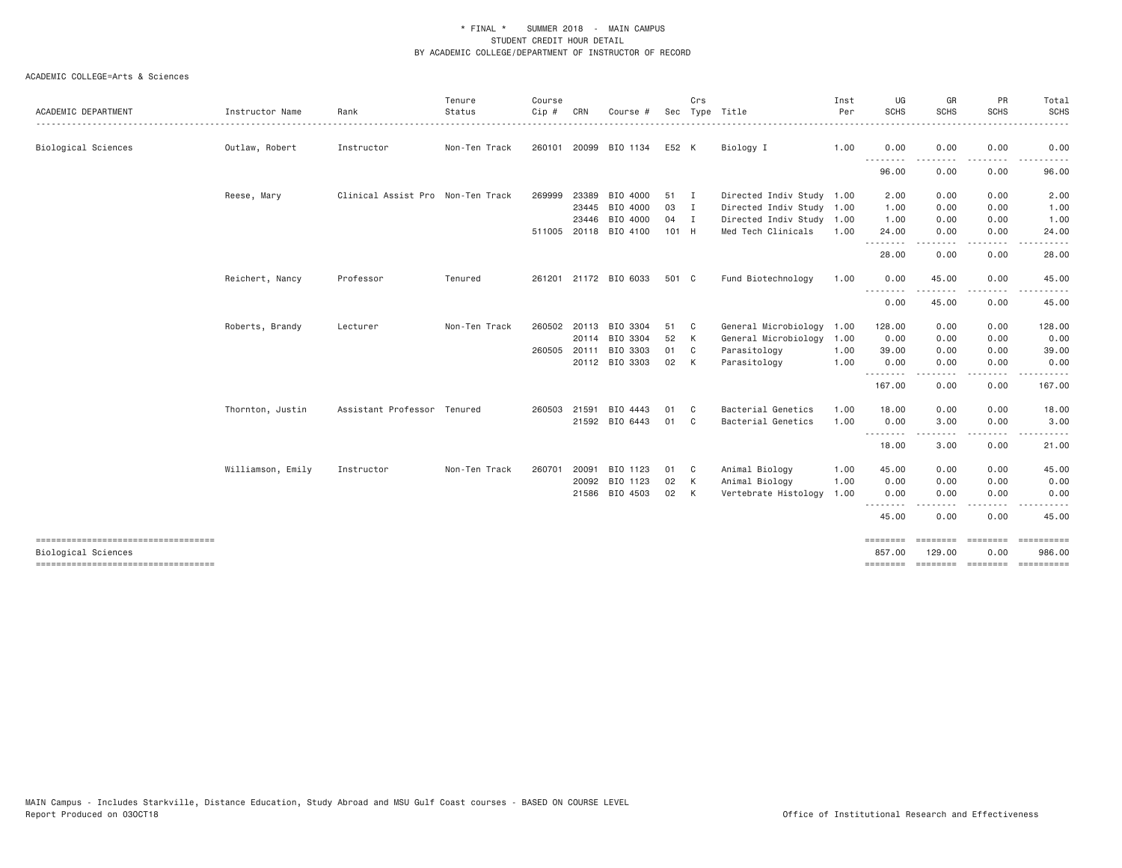|                                                              |                   |                                   | Tenure        | Course       |       |                       |       | Crs            |                           | Inst | UG                    | GR                   | PR                                                                                                                                | Total                                 |
|--------------------------------------------------------------|-------------------|-----------------------------------|---------------|--------------|-------|-----------------------|-------|----------------|---------------------------|------|-----------------------|----------------------|-----------------------------------------------------------------------------------------------------------------------------------|---------------------------------------|
| ACADEMIC DEPARTMENT                                          | Instructor Name   | Rank                              | Status        | Cip #        | CRN   | Course #              |       |                | Sec Type Title            | Per  | SCHS                  | <b>SCHS</b>          | <b>SCHS</b>                                                                                                                       | <b>SCHS</b>                           |
| Biological Sciences                                          | Outlaw, Robert    | Instructor                        | Non-Ten Track |              |       | 260101 20099 BIO 1134 | E52 K |                | Biology I                 | 1.00 | 0.00                  | 0.00                 | 0.00                                                                                                                              | 0.00                                  |
|                                                              |                   |                                   |               |              |       |                       |       |                |                           |      | <u>.</u><br>96.00     | 0.00                 | 0.00                                                                                                                              | 96.00                                 |
|                                                              | Reese, Mary       | Clinical Assist Pro Non-Ten Track |               | 269999       | 23389 | BIO 4000              | 51    | $\blacksquare$ | Directed Indiv Study 1.00 |      | 2.00                  | 0.00                 | 0.00                                                                                                                              | 2.00                                  |
|                                                              |                   |                                   |               |              | 23445 | BIO 4000              | 03    | I              | Directed Indiv Study 1.00 |      | 1.00                  | 0.00                 | 0.00                                                                                                                              | 1.00                                  |
|                                                              |                   |                                   |               |              | 23446 | BIO 4000              | 04    | $\blacksquare$ | Directed Indiv Study 1.00 |      | 1.00                  | 0.00                 | 0.00                                                                                                                              | 1.00                                  |
|                                                              |                   |                                   |               |              |       | 511005 20118 BIO 4100 | 101 H |                | Med Tech Clinicals        | 1.00 | 24.00<br>.            | 0.00                 | 0.00<br>$\frac{1}{2} \left( \frac{1}{2} \right) \left( \frac{1}{2} \right) \left( \frac{1}{2} \right) \left( \frac{1}{2} \right)$ | 24.00                                 |
|                                                              |                   |                                   |               |              |       |                       |       |                |                           |      | 28.00                 | 0.00                 | 0.00                                                                                                                              | 28.00                                 |
|                                                              | Reichert, Nancy   | Professor                         | Tenured       |              |       | 261201 21172 BIO 6033 | 501 C |                | Fund Biotechnology        | 1.00 | 0.00                  | 45.00                | 0.00                                                                                                                              | 45.00                                 |
|                                                              |                   |                                   |               |              |       |                       |       |                |                           |      | --------<br>0.00      | . <u>.</u><br>45.00  | $\cdots$<br>0.00                                                                                                                  | . <u>.</u> .<br>45.00                 |
|                                                              | Roberts, Brandy   | Lecturer                          | Non-Ten Track | 260502 20113 |       | BIO 3304              | 51    | C <sub>c</sub> | General Microbiology      | 1.00 | 128.00                | 0.00                 | 0.00                                                                                                                              | 128.00                                |
|                                                              |                   |                                   |               |              |       | 20114 BIO 3304        | 52    | K              | General Microbiology      | 1.00 | 0.00                  | 0.00                 | 0.00                                                                                                                              | 0.00                                  |
|                                                              |                   |                                   |               | 260505 20111 |       | BIO 3303              | 01    | C              | Parasitology              | 1.00 | 39.00                 | 0.00                 | 0.00                                                                                                                              | 39.00                                 |
|                                                              |                   |                                   |               |              |       | 20112 BIO 3303        | 02    | K              | Parasitology              | 1.00 | 0.00<br>.             | 0.00                 | 0.00<br>$- - - -$                                                                                                                 | 0.00                                  |
|                                                              |                   |                                   |               |              |       |                       |       |                |                           |      | 167.00                | .<br>0.00            | 0.00                                                                                                                              | 167.00                                |
|                                                              | Thornton, Justin  | Assistant Professor Tenured       |               | 260503 21591 |       | BIO 4443              | 01    | C.             | Bacterial Genetics        | 1.00 | 18.00                 | 0.00                 | 0.00                                                                                                                              | 18.00                                 |
|                                                              |                   |                                   |               |              |       | 21592 BIO 6443        | 01    | C.             | Bacterial Genetics        | 1.00 | 0.00                  | 3.00                 | 0.00                                                                                                                              | 3.00                                  |
|                                                              |                   |                                   |               |              |       |                       |       |                |                           |      | .<br>18.00            | . <b>.</b> .<br>3.00 | 0.00                                                                                                                              | 21.00                                 |
|                                                              | Williamson, Emily | Instructor                        | Non-Ten Track | 260701       | 20091 | BIO 1123              | 01    | C              | Animal Biology            | 1.00 | 45.00                 | 0.00                 | 0.00                                                                                                                              | 45.00                                 |
|                                                              |                   |                                   |               |              | 20092 | BIO 1123              | 02    | K              | Animal Biology            | 1.00 | 0.00                  | 0.00                 | 0.00                                                                                                                              | 0.00                                  |
|                                                              |                   |                                   |               |              |       | 21586 BIO 4503        | 02    | K              | Vertebrate Histology      | 1.00 | 0.00                  | 0.00                 | 0.00                                                                                                                              | 0.00                                  |
|                                                              |                   |                                   |               |              |       |                       |       |                |                           |      | - - -<br>45.00        | 0.00                 | $\frac{1}{2}$<br>0.00                                                                                                             | 45.00                                 |
| -------------------------------------<br>Biological Sciences |                   |                                   |               |              |       |                       |       |                |                           |      | $=$ =======<br>857.00 | ========<br>129.00   | ========<br>0.00                                                                                                                  | 986.00                                |
|                                                              |                   |                                   |               |              |       |                       |       |                |                           |      |                       |                      |                                                                                                                                   | ======== ======== ======== ========== |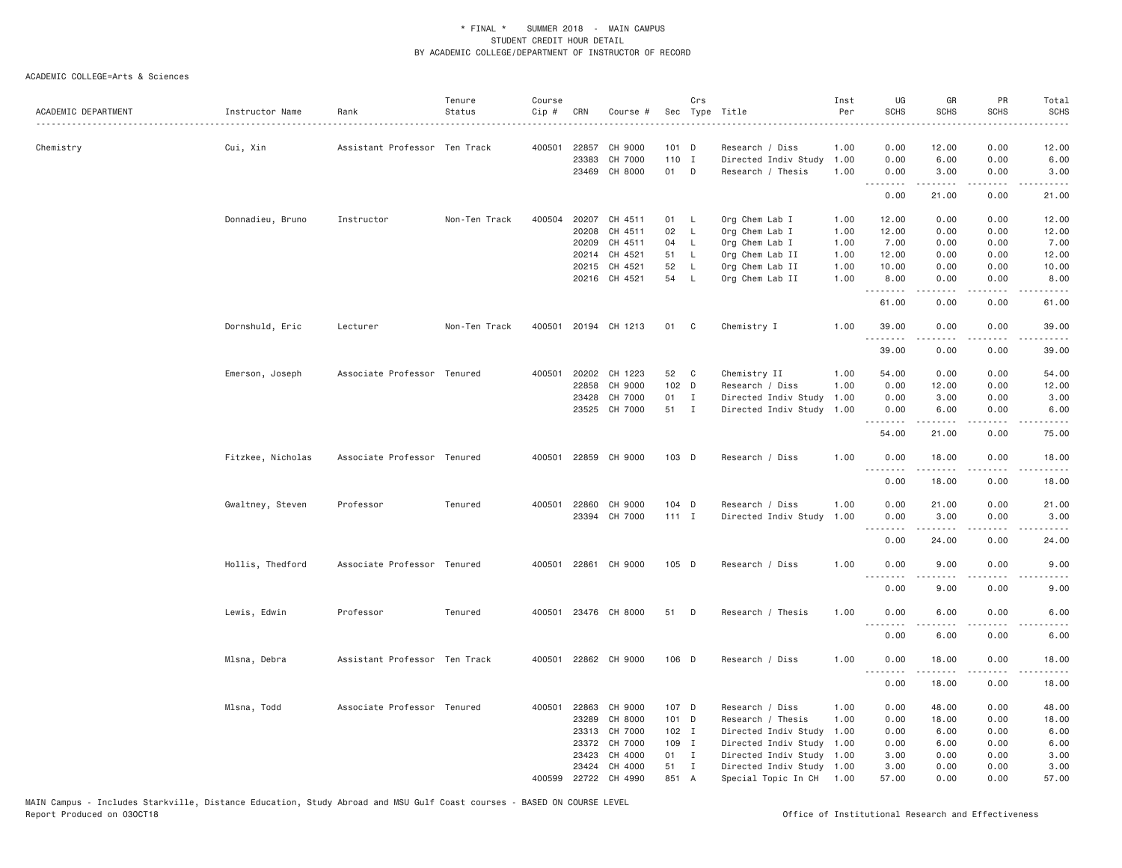|                     |                   |                               | Tenure        | Course |                |                      |                | Crs          |                                      | Inst         | UG                                | GR             | PR                             | Total                                                                                                                                                        |
|---------------------|-------------------|-------------------------------|---------------|--------|----------------|----------------------|----------------|--------------|--------------------------------------|--------------|-----------------------------------|----------------|--------------------------------|--------------------------------------------------------------------------------------------------------------------------------------------------------------|
| ACADEMIC DEPARTMENT | Instructor Name   | Rank                          | Status        | Cip #  | CRN            | Course #             |                |              | Sec Type Title                       | Per          | <b>SCHS</b>                       | <b>SCHS</b>    | <b>SCHS</b>                    | <b>SCHS</b>                                                                                                                                                  |
|                     |                   |                               |               |        |                |                      |                |              |                                      |              |                                   |                |                                |                                                                                                                                                              |
| Chemistry           | Cui, Xin          | Assistant Professor Ten Track |               | 400501 | 22857          | CH 9000              | 101 D          |              | Research / Diss                      | 1.00         | 0.00                              | 12.00          | 0.00                           | 12.00                                                                                                                                                        |
|                     |                   |                               |               |        | 23383          | CH 7000              | 110 I          |              | Directed Indiv Study                 | 1.00         | 0.00                              | 6.00           | 0.00                           | 6.00                                                                                                                                                         |
|                     |                   |                               |               |        |                | 23469 CH 8000        | 01 D           |              | Research / Thesis                    | 1.00         | 0.00<br><u>.</u>                  | 3.00           | 0.00<br>$\omega$ is $\omega$ . | 3.00                                                                                                                                                         |
|                     |                   |                               |               |        |                |                      |                |              |                                      |              | 0.00                              | 21.00          | 0.00                           | 21.00                                                                                                                                                        |
|                     | Donnadieu, Bruno  | Instructor                    | Non-Ten Track |        |                | 400504 20207 CH 4511 | 01 L           |              | Org Chem Lab I                       | 1.00         | 12.00                             | 0.00           | 0.00                           | 12.00                                                                                                                                                        |
|                     |                   |                               |               |        | 20208          | CH 4511              | 02             | $\mathsf{L}$ | Org Chem Lab I                       | 1.00         | 12.00                             | 0.00           | 0.00                           | 12.00                                                                                                                                                        |
|                     |                   |                               |               |        | 20209          | CH 4511              | 04             | L.           | Org Chem Lab I                       | 1.00         | 7.00                              | 0.00           | 0.00                           | 7.00                                                                                                                                                         |
|                     |                   |                               |               |        |                | 20214 CH 4521        | 51             | $\mathsf{L}$ | Org Chem Lab II                      | 1.00         | 12.00                             | 0.00           | 0.00                           | 12.00                                                                                                                                                        |
|                     |                   |                               |               |        |                | 20215 CH 4521        | 52             | - L          | Org Chem Lab II                      | 1.00         | 10.00                             | 0.00           | 0.00                           | 10.00                                                                                                                                                        |
|                     |                   |                               |               |        |                | 20216 CH 4521        | 54             | <b>L</b>     | Org Chem Lab II                      | 1.00         | 8.00<br><u>.</u>                  | 0.00           | 0.00                           | 8.00<br>$- - - - -$                                                                                                                                          |
|                     |                   |                               |               |        |                |                      |                |              |                                      |              | 61.00                             | 0.00           | 0.00                           | 61.00                                                                                                                                                        |
|                     | Dornshuld, Eric   | Lecturer                      | Non-Ten Track | 400501 |                | 20194 CH 1213        | 01             | C            | Chemistry I                          | 1.00         | 39.00<br>.                        | 0.00           | 0.00                           | 39.00                                                                                                                                                        |
|                     |                   |                               |               |        |                |                      |                |              |                                      |              | 39.00                             | 0.00           | 0.00                           | 39.00                                                                                                                                                        |
|                     | Emerson, Joseph   | Associate Professor Tenured   |               | 400501 | 20202          | CH 1223              | 52             | C            | Chemistry II                         | 1.00         | 54.00                             | 0.00           | 0.00                           | 54.00                                                                                                                                                        |
|                     |                   |                               |               |        | 22858          | CH 9000              | 102 D          |              | Research / Diss                      | 1.00         | 0.00                              | 12.00          | 0.00                           | 12.00                                                                                                                                                        |
|                     |                   |                               |               |        | 23428          | CH 7000              | 01 I           |              | Directed Indiv Study                 | 1.00         | 0.00                              | 3.00           | 0.00                           | 3.00                                                                                                                                                         |
|                     |                   |                               |               |        |                | 23525 CH 7000        | 51 I           |              | Directed Indiv Study                 | 1.00         | 0.00<br>.                         | 6.00<br>.      | 0.00<br>د د د د                | 6.00<br>$\frac{1}{2} \left( \frac{1}{2} \right) \left( \frac{1}{2} \right) \left( \frac{1}{2} \right) \left( \frac{1}{2} \right) \left( \frac{1}{2} \right)$ |
|                     |                   |                               |               |        |                |                      |                |              |                                      |              | 54.00                             | 21.00          | 0.00                           | 75.00                                                                                                                                                        |
|                     | Fitzkee, Nicholas | Associate Professor Tenured   |               | 400501 |                | 22859 CH 9000        | 103 D          |              | Research / Diss                      | 1.00         | 0.00                              | 18.00          | 0.00                           | 18.00                                                                                                                                                        |
|                     |                   |                               |               |        |                |                      |                |              |                                      |              | 0.00                              | 18.00          | 0.00                           | 18.00                                                                                                                                                        |
|                     | Gwaltney, Steven  | Professor                     | Tenured       |        | 400501 22860   | CH 9000              | 104 D          |              | Research / Diss                      | 1.00         | 0.00                              | 21.00          | 0.00                           | 21.00                                                                                                                                                        |
|                     |                   |                               |               |        | 23394          | CH 7000              | $111$ I        |              | Directed Indiv Study                 | 1.00         | 0.00                              | 3.00           | 0.00                           | 3.00                                                                                                                                                         |
|                     |                   |                               |               |        |                |                      |                |              |                                      |              | .                                 | .              | $\sim$ $\sim$ $\sim$ $\sim$    | $\frac{1}{2} \left( \frac{1}{2} \right) \left( \frac{1}{2} \right) \left( \frac{1}{2} \right) \left( \frac{1}{2} \right) \left( \frac{1}{2} \right)$         |
|                     |                   |                               |               |        |                |                      |                |              |                                      |              | 0.00                              | 24.00          | 0.00                           | 24.00                                                                                                                                                        |
|                     | Hollis, Thedford  | Associate Professor Tenured   |               |        |                | 400501 22861 CH 9000 | 105 D          |              | Research / Diss                      | 1.00         | 0.00<br>$- - -$                   | 9.00           | 0.00                           | 9.00                                                                                                                                                         |
|                     |                   |                               |               |        |                |                      |                |              |                                      |              | 0.00                              | 9.00           | 0.00                           | 9.00                                                                                                                                                         |
|                     | Lewis, Edwin      | Professor                     | Tenured       |        |                | 400501 23476 CH 8000 | 51             | D            | Research / Thesis                    | 1.00         | 0.00                              | 6.00           | 0.00                           | 6.00                                                                                                                                                         |
|                     |                   |                               |               |        |                |                      |                |              |                                      |              | $\omega$ is $\omega$ in .<br>0.00 | 6.00           | 0.00                           | 6.00                                                                                                                                                         |
|                     | Mlsna, Debra      | Assistant Professor Ten Track |               |        |                | 400501 22862 CH 9000 | 106 D          |              | Research / Diss                      | 1.00         | 0.00                              | 18.00          | 0.00                           | 18.00                                                                                                                                                        |
|                     |                   |                               |               |        |                |                      |                |              |                                      |              | .<br>0.00                         | .<br>18.00     | .<br>0.00                      | -----<br>18.00                                                                                                                                               |
|                     |                   |                               |               |        |                |                      |                |              |                                      |              |                                   |                |                                |                                                                                                                                                              |
|                     | Mlsna, Todd       | Associate Professor Tenured   |               | 400501 | 22863<br>23289 | CH 9000<br>CH 8000   | 107 D<br>101 D |              | Research / Diss<br>Research / Thesis | 1.00<br>1.00 | 0.00<br>0.00                      | 48.00<br>18.00 | 0.00<br>0.00                   | 48.00<br>18.00                                                                                                                                               |
|                     |                   |                               |               |        | 23313          | CH 7000              | 102 I          |              | Directed Indiv Study                 | 1.00         | 0.00                              | 6.00           | 0.00                           | 6.00                                                                                                                                                         |
|                     |                   |                               |               |        | 23372          | CH 7000              | 109 I          |              | Directed Indiv Study                 | 1.00         | 0.00                              | 6.00           | 0.00                           | 6.00                                                                                                                                                         |
|                     |                   |                               |               |        | 23423          | CH 4000              | 01 I           |              | Directed Indiv Study                 | 1.00         | 3.00                              | 0.00           | 0.00                           | 3.00                                                                                                                                                         |
|                     |                   |                               |               |        | 23424          | CH 4000              | 51             | $\mathbf{I}$ | Directed Indiv Study                 | 1.00         | 3.00                              | 0.00           | 0.00                           | 3.00                                                                                                                                                         |
|                     |                   |                               |               | 400599 |                | 22722 CH 4990        | 851 A          |              | Special Topic In CH                  | 1.00         | 57.00                             | 0.00           | 0.00                           | 57.00                                                                                                                                                        |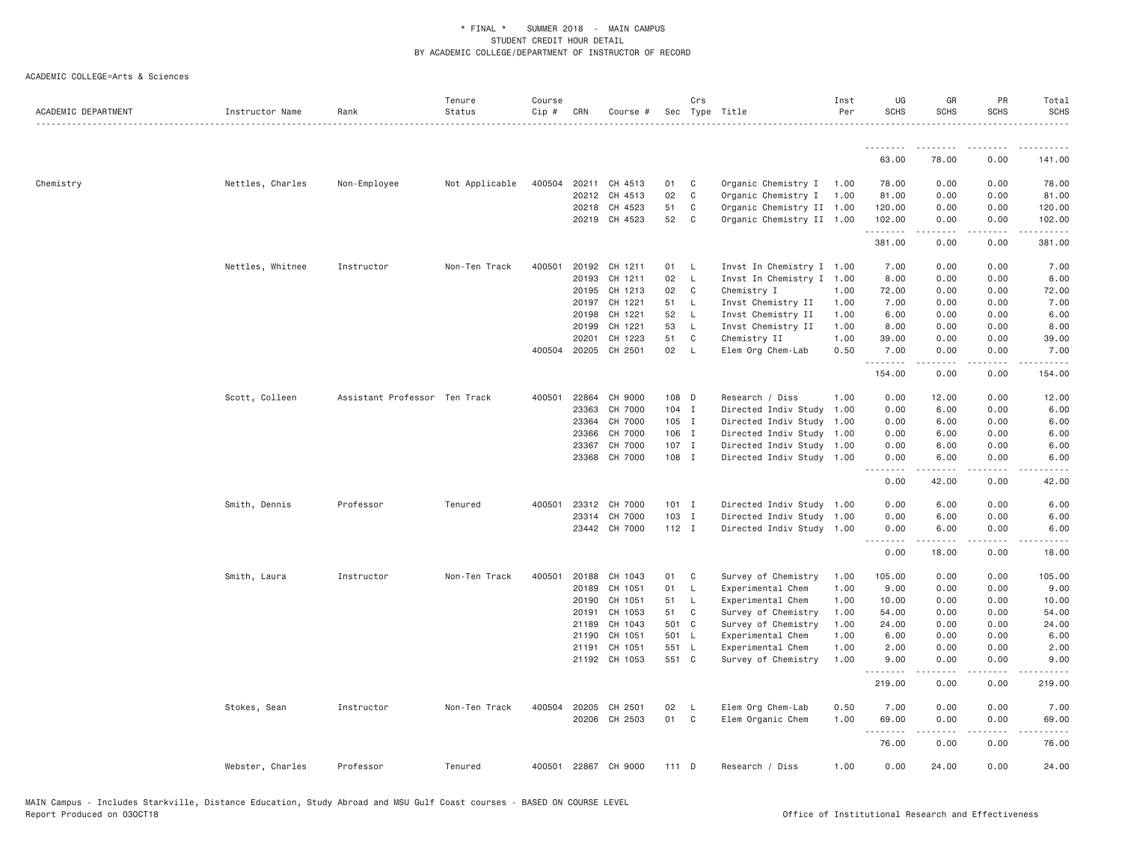| ACADEMIC DEPARTMENT | Instructor Name  | Rank                          | Tenure<br>Status | Course<br>Cip # | CRN   | Course #             |         | Crs          | Sec Type Title            | Inst<br>Per | UG<br><b>SCHS</b> | GR<br><b>SCHS</b> | PR<br><b>SCHS</b>            | Total<br><b>SCHS</b> |
|---------------------|------------------|-------------------------------|------------------|-----------------|-------|----------------------|---------|--------------|---------------------------|-------------|-------------------|-------------------|------------------------------|----------------------|
|                     |                  |                               |                  |                 |       |                      |         |              |                           |             | .                 | <u>.</u>          | .                            | .                    |
|                     |                  |                               |                  |                 |       |                      |         |              |                           |             | 63.00             | 78.00             | 0.00                         | 141.00               |
| Chemistry           | Nettles, Charles | Non-Employee                  | Not Applicable   | 400504          |       | 20211 CH 4513        | 01      | C            | Organic Chemistry I 1.00  |             | 78.00             | 0.00              | 0.00                         | 78.00                |
|                     |                  |                               |                  |                 | 20212 | CH 4513              | 02      | $\mathbb C$  | Organic Chemistry I       | 1.00        | 81.00             | 0.00              | 0.00                         | 81.00                |
|                     |                  |                               |                  |                 |       | 20218 CH 4523        | 51      | C            | Organic Chemistry II 1.00 |             | 120.00            | 0.00              | 0.00                         | 120.00               |
|                     |                  |                               |                  |                 |       | 20219 CH 4523        | 52      | C            | Organic Chemistry II 1.00 |             | 102.00<br>.       | 0.00              | 0.00<br>$\cdots$             | 102.00<br>.          |
|                     |                  |                               |                  |                 |       |                      |         |              |                           |             | 381.00            | 0.00              | 0.00                         | 381.00               |
|                     | Nettles, Whitnee | Instructor                    | Non-Ten Track    | 400501          | 20192 | CH 1211              | 01      | L            | Invst In Chemistry I 1.00 |             | 7.00              | 0.00              | 0.00                         | 7.00                 |
|                     |                  |                               |                  |                 | 20193 | CH 1211              | 02      | $\mathsf{L}$ | Invst In Chemistry I 1.00 |             | 8.00              | 0.00              | 0.00                         | 8.00                 |
|                     |                  |                               |                  |                 | 20195 | CH 1213              | 02      | C            | Chemistry I               | 1.00        | 72.00             | 0.00              | 0.00                         | 72.00                |
|                     |                  |                               |                  |                 | 20197 | CH 1221              | 51      | L.           | Invst Chemistry II        | 1.00        | 7.00              | 0.00              | 0.00                         | 7.00                 |
|                     |                  |                               |                  |                 | 20198 | CH 1221              | 52      | L            | Invst Chemistry II        | 1.00        | 6.00              | 0.00              | 0.00                         | 6.00                 |
|                     |                  |                               |                  |                 | 20199 | CH 1221              | 53      | $\mathsf{L}$ | Invst Chemistry II        | 1.00        | 8.00              | 0.00              | 0.00                         | 8.00                 |
|                     |                  |                               |                  |                 | 20201 | CH 1223              | 51      | C            | Chemistry II              | 1.00        | 39.00             | 0.00              | 0.00                         | 39.00                |
|                     |                  |                               |                  | 400504          | 20205 | CH 2501              | 02      | $\mathsf{L}$ | Elem Org Chem-Lab         | 0.50        | 7.00<br>.         | 0.00<br>.         | 0.00<br>$- - - -$            | 7.00<br>.            |
|                     |                  |                               |                  |                 |       |                      |         |              |                           |             | 154.00            | 0.00              | 0.00                         | 154.00               |
|                     | Scott, Colleen   | Assistant Professor Ten Track |                  | 400501          | 22864 | CH 9000              | 108 D   |              | Research / Diss           | 1.00        | 0.00              | 12.00             | 0.00                         | 12.00                |
|                     |                  |                               |                  |                 | 23363 | CH 7000              | $104$ I |              | Directed Indiv Study      | 1.00        | 0.00              | 6.00              | 0.00                         | 6.00                 |
|                     |                  |                               |                  |                 | 23364 | CH 7000              | 105 I   |              | Directed Indiv Study 1.00 |             | 0.00              | 6.00              | 0.00                         | 6.00                 |
|                     |                  |                               |                  |                 | 23366 | CH 7000              | 106 I   |              | Directed Indiv Study 1.00 |             | 0.00              | 6.00              | 0.00                         | 6.00                 |
|                     |                  |                               |                  |                 | 23367 | CH 7000              | 107 I   |              | Directed Indiv Study 1.00 |             | 0.00              | 6.00              | 0.00                         | 6.00                 |
|                     |                  |                               |                  |                 |       | 23368 CH 7000        | 108 I   |              | Directed Indiv Study 1.00 |             | 0.00              | 6.00<br>.         | 0.00<br>.                    | 6.00<br>.            |
|                     |                  |                               |                  |                 |       |                      |         |              |                           |             | 0.00              | 42.00             | 0.00                         | 42.00                |
|                     | Smith, Dennis    | Professor                     | Tenured          | 400501          |       | 23312 CH 7000        | $101$ I |              | Directed Indiv Study 1.00 |             | 0.00              | 6.00              | 0.00                         | 6.00                 |
|                     |                  |                               |                  |                 |       | 23314 CH 7000        | 103 I   |              | Directed Indiv Study 1.00 |             | 0.00              | 6.00              | 0.00                         | 6.00                 |
|                     |                  |                               |                  |                 |       | 23442 CH 7000        | $112$ I |              | Directed Indiv Study 1.00 |             | 0.00              | 6.00              | 0.00                         | 6.00                 |
|                     |                  |                               |                  |                 |       |                      |         |              |                           |             | 0.00              | 18.00             | 0.00                         | 18.00                |
|                     | Smith, Laura     | Instructor                    | Non-Ten Track    | 400501          | 20188 | CH 1043              | 01      | C            | Survey of Chemistry       | 1.00        | 105.00            | 0.00              | 0.00                         | 105.00               |
|                     |                  |                               |                  |                 | 20189 | CH 1051              | 01      | $\mathsf{L}$ | Experimental Chem         | 1.00        | 9.00              | 0.00              | 0.00                         | 9.00                 |
|                     |                  |                               |                  |                 | 20190 | CH 1051              | 51      | $\mathsf{L}$ | Experimental Chem         | 1.00        | 10.00             | 0.00              | 0.00                         | 10.00                |
|                     |                  |                               |                  |                 | 20191 | CH 1053              | 51      | C            | Survey of Chemistry       | 1.00        | 54.00             | 0.00              | 0.00                         | 54.00                |
|                     |                  |                               |                  |                 | 21189 | CH 1043              | 501 C   |              | Survey of Chemistry       | 1.00        | 24.00             | 0.00              | 0.00                         | 24.00                |
|                     |                  |                               |                  |                 | 21190 | CH 1051              | 501 L   |              | Experimental Chem         | 1.00        | 6.00              | 0.00              | 0.00                         | 6.00                 |
|                     |                  |                               |                  |                 | 21191 | CH 1051              | 551 L   |              | Experimental Chem         | 1.00        | 2.00              | 0.00              | 0.00                         | 2.00                 |
|                     |                  |                               |                  |                 |       | 21192 CH 1053        | 551 C   |              | Survey of Chemistry       | 1.00        | 9.00<br>.         | 0.00<br>د د د د   | 0.00<br>.                    | 9.00                 |
|                     |                  |                               |                  |                 |       |                      |         |              |                           |             | 219.00            | 0.00              | 0.00                         | 219.00               |
|                     | Stokes, Sean     | Instructor                    | Non-Ten Track    |                 |       | 400504 20205 CH 2501 | 02      | L            | Elem Org Chem-Lab         | 0.50        | 7.00              | 0.00              | 0.00                         | 7.00                 |
|                     |                  |                               |                  |                 | 20206 | CH 2503              | 01      | C            | Elem Organic Chem         | 1.00        | 69.00             | 0.00              | 0.00                         | 69.00                |
|                     |                  |                               |                  |                 |       |                      |         |              |                           |             | .<br>76.00        | .<br>0.00         | $\sim$ $\sim$ $\sim$<br>0.00 | المتماما<br>76.00    |
|                     |                  |                               |                  |                 |       |                      |         |              |                           |             |                   |                   |                              |                      |
|                     | Webster, Charles | Professor                     | Tenured          | 400501          |       | 22867 CH 9000        | 111 D   |              | Research / Diss           | 1.00        | 0.00              | 24.00             | 0.00                         | 24.00                |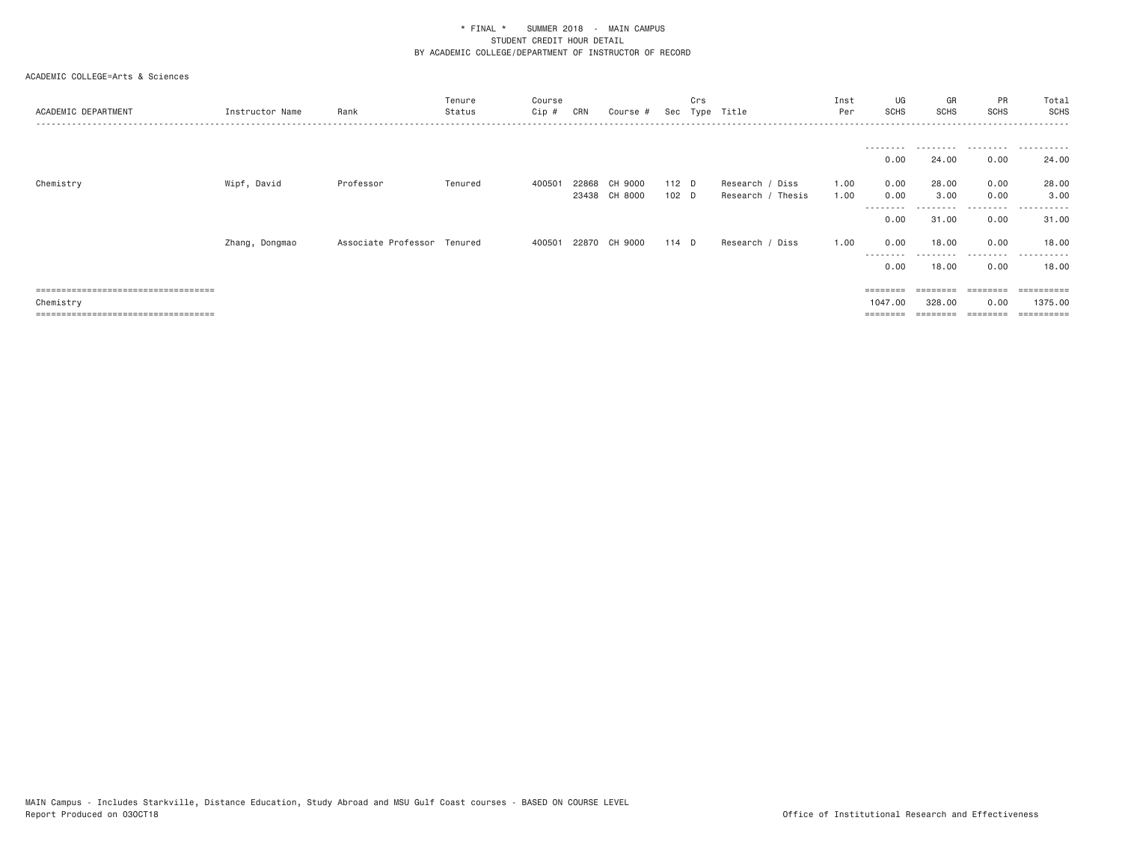| ACADEMIC DEPARTMENT                  | Instructor Name | Rank                        | Tenure<br>Status | Course<br>Cip # | CRN   | Course #      | Sec              | Crs<br>Type | Title             | Inst<br>Per  | UG<br>SCHS        | GR<br><b>SCHS</b>  | PR<br><b>SCHS</b> | Total<br>SCHS<br>.    |
|--------------------------------------|-----------------|-----------------------------|------------------|-----------------|-------|---------------|------------------|-------------|-------------------|--------------|-------------------|--------------------|-------------------|-----------------------|
|                                      |                 |                             |                  |                 |       |               |                  |             |                   |              |                   |                    |                   |                       |
|                                      |                 |                             |                  |                 |       |               |                  |             |                   |              | ---------<br>0.00 | ---------<br>24.00 | .<br>0.00         | .<br>$- - -$<br>24.00 |
| Chemistry                            | Wipf, David     | Professor                   | Tenured          | 400501          | 22868 | CH 9000       | $112$ D          |             | Research / Diss   | 1.00         | 0.00              | 28,00              | 0.00              | 28.00                 |
|                                      |                 |                             |                  |                 |       | 23438 CH 8000 | 102 <sub>D</sub> |             | Research / Thesis | 1.00         | 0.00<br>--------- | 3.00               | 0.00<br>--------- | 3.00<br>----------    |
|                                      |                 |                             |                  |                 |       |               |                  |             |                   |              | 0.00              | 31.00              | 0.00              | 31.00                 |
|                                      | Zhang, Dongmao  | Associate Professor Tenured |                  | 400501          | 22870 | CH 9000       | $114$ D          |             | Research /        | 1.00<br>Diss | 0.00<br>--------- | 18,00<br>--------- | 0.00<br>.         | 18,00<br>.            |
|                                      |                 |                             |                  |                 |       |               |                  |             |                   |              | 0.00              | 18,00              | 0.00              | 18.00                 |
| ===================================  |                 |                             |                  |                 |       |               |                  |             |                   |              | $=$ = = = = = = = |                    | $=$ = = = = = = = | $=$ = = = = = = = = = |
| Chemistry                            |                 |                             |                  |                 |       |               |                  |             |                   |              | 1047,00           | 328,00             | 0.00              | 1375,00               |
| ==================================== |                 |                             |                  |                 |       |               |                  |             |                   |              | $=$ = = = = = = = |                    |                   |                       |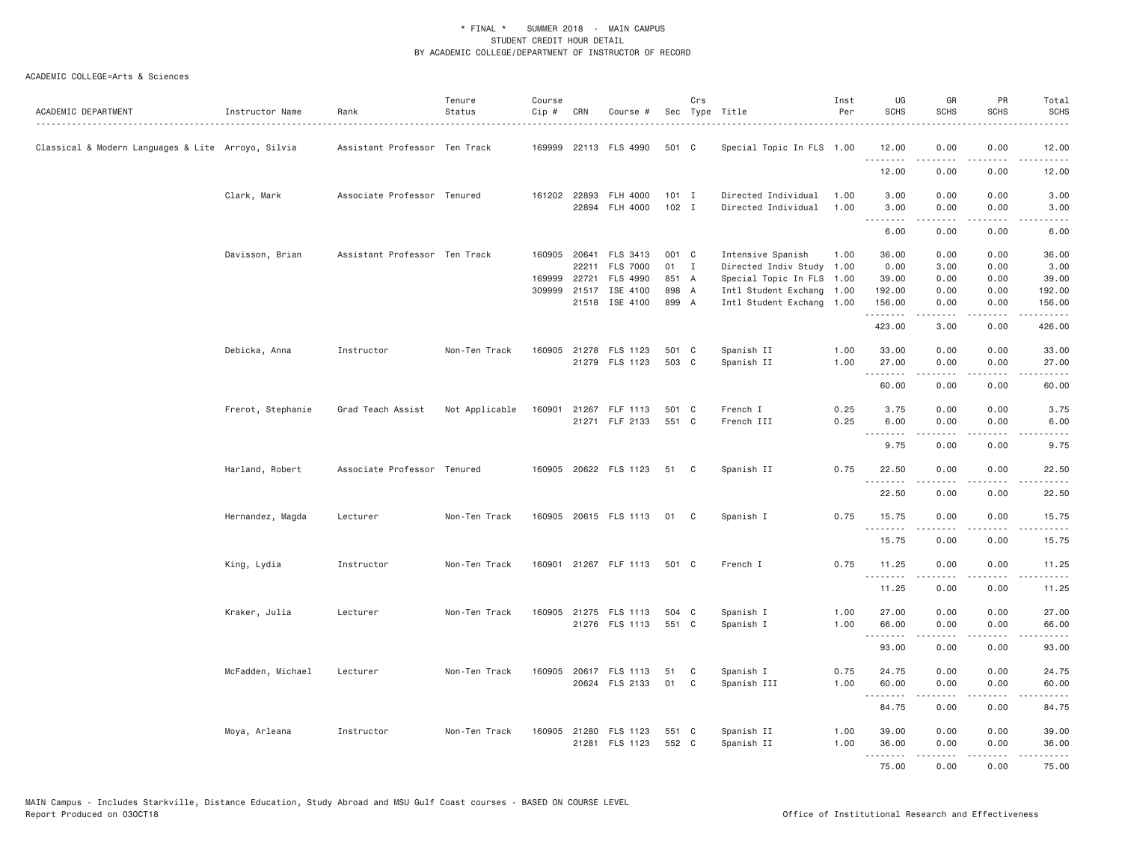| ACADEMIC DEPARTMENT                                | Instructor Name   | Rank                          | Tenure<br>Status | Course<br>Cip # | CRN          | Course #                                |                    | Crs          | Sec Type Title<br>.                        | Inst<br>Per  | UG<br><b>SCHS</b> | GR<br><b>SCHS</b> | PR<br>SCHS        | Total<br><b>SCHS</b><br>.                                                                                             |
|----------------------------------------------------|-------------------|-------------------------------|------------------|-----------------|--------------|-----------------------------------------|--------------------|--------------|--------------------------------------------|--------------|-------------------|-------------------|-------------------|-----------------------------------------------------------------------------------------------------------------------|
| Classical & Modern Languages & Lite Arroyo, Silvia |                   | Assistant Professor Ten Track |                  |                 |              | 169999 22113 FLS 4990                   | 501 C              |              | Special Topic In FLS 1.00                  |              | 12.00             | 0.00              | 0.00              | 12.00                                                                                                                 |
|                                                    |                   |                               |                  |                 |              |                                         |                    |              |                                            |              | 12.00             | 0.00              | 0.00              | $    -$<br>12.00                                                                                                      |
|                                                    | Clark, Mark       | Associate Professor Tenured   |                  |                 | 161202 22893 | FLH 4000<br>22894 FLH 4000              | $101$ I<br>$102$ I |              | Directed Individual<br>Directed Individual | 1.00<br>1.00 | 3.00<br>3.00      | 0.00<br>0.00      | 0.00<br>0.00      | 3.00<br>3.00                                                                                                          |
|                                                    |                   |                               |                  |                 |              |                                         |                    |              |                                            |              | .<br>6.00         | .<br>0.00         | .<br>0.00         | -----<br>6.00                                                                                                         |
|                                                    | Davisson, Brian   | Assistant Professor Ten Track |                  | 160905          | 20641        | FLS 3413                                | 001 C              |              | Intensive Spanish                          | 1.00         | 36.00             | 0.00              | 0.00              | 36.00                                                                                                                 |
|                                                    |                   |                               |                  |                 | 22211        | <b>FLS 7000</b>                         | 01                 | $\mathbf{I}$ | Directed Indiv Study 1.00                  |              | 0.00              | 3.00              | 0.00              | 3.00                                                                                                                  |
|                                                    |                   |                               |                  | 169999          |              | 22721 FLS 4990                          | 851 A              |              | Special Topic In FLS 1.00                  |              | 39.00             | 0.00              | 0.00              | 39.00                                                                                                                 |
|                                                    |                   |                               |                  | 309999          | 21517        | ISE 4100                                | 898 A              |              | Intl Student Exchang                       | 1.00         | 192.00            | 0.00              | 0.00              | 192.00                                                                                                                |
|                                                    |                   |                               |                  |                 |              | 21518 ISE 4100                          | 899 A              |              | Intl Student Exchang                       | 1.00         | 156.00<br>.       | 0.00<br>.         | 0.00<br>.         | 156.00<br>$\begin{array}{cccccccccc} \bullet & \bullet & \bullet & \bullet & \bullet & \bullet & \bullet \end{array}$ |
|                                                    |                   |                               |                  |                 |              |                                         |                    |              |                                            |              | 423.00            | 3.00              | 0.00              | 426.00                                                                                                                |
|                                                    | Debicka, Anna     | Instructor                    | Non-Ten Track    |                 |              | 160905 21278 FLS 1123<br>21279 FLS 1123 | 501<br>503 C       | $\mathbf{C}$ | Spanish II                                 | 1.00<br>1.00 | 33.00             | 0.00<br>0.00      | 0.00<br>0.00      | 33.00                                                                                                                 |
|                                                    |                   |                               |                  |                 |              |                                         |                    |              | Spanish II                                 |              | 27.00<br>.        | .                 | .                 | 27.00<br>.                                                                                                            |
|                                                    |                   |                               |                  |                 |              |                                         |                    |              |                                            |              | 60.00             | 0.00              | 0.00              | 60.00                                                                                                                 |
|                                                    | Frerot, Stephanie | Grad Teach Assist             | Not Applicable   | 160901          |              | 21267 FLF 1113<br>21271 FLF 2133        | 501 C<br>551 C     |              | French I<br>French III                     | 0.25<br>0.25 | 3.75<br>6.00      | 0.00<br>0.00      | 0.00<br>0.00      | 3.75<br>6.00                                                                                                          |
|                                                    |                   |                               |                  |                 |              |                                         |                    |              |                                            |              | .<br>9.75         | .<br>0.00         | $- - - -$<br>0.00 | .<br>9.75                                                                                                             |
|                                                    | Harland, Robert   | Associate Professor Tenured   |                  |                 |              | 160905 20622 FLS 1123                   | 51 C               |              | Spanish II                                 | 0.75         | 22.50             | 0.00              | 0.00              | 22.50                                                                                                                 |
|                                                    |                   |                               |                  |                 |              |                                         |                    |              |                                            |              | <u>.</u><br>22.50 | .<br>0.00         | .<br>0.00         | .<br>22.50                                                                                                            |
|                                                    | Hernandez, Magda  | Lecturer                      | Non-Ten Track    |                 |              | 160905 20615 FLS 1113                   | 01                 | $\mathbf{C}$ | Spanish I                                  | 0.75         | 15.75             | 0.00              | 0.00              | 15.75                                                                                                                 |
|                                                    |                   |                               |                  |                 |              |                                         |                    |              |                                            |              | <u>.</u>          | .                 | $\cdots$          | $   -$                                                                                                                |
|                                                    |                   |                               |                  |                 |              |                                         |                    |              |                                            |              | 15.75             | 0.00              | 0.00              | 15.75                                                                                                                 |
|                                                    | King, Lydia       | Instructor                    | Non-Ten Track    |                 |              | 160901 21267 FLF 1113                   | 501 C              |              | French I                                   | 0.75         | 11.25<br>.        | 0.00              | 0.00              | 11.25<br>.                                                                                                            |
|                                                    |                   |                               |                  |                 |              |                                         |                    |              |                                            |              | 11.25             | 0.00              | 0.00              | 11.25                                                                                                                 |
|                                                    | Kraker, Julia     | Lecturer                      | Non-Ten Track    |                 |              | 160905 21275 FLS 1113                   | 504 C              |              | Spanish I                                  | 1.00         | 27.00             | 0.00              | 0.00              | 27.00                                                                                                                 |
|                                                    |                   |                               |                  |                 |              | 21276 FLS 1113                          | 551 C              |              | Spanish I                                  | 1.00         | 66.00<br>.        | 0.00<br>.         | 0.00<br>.         | 66.00<br>$    -$                                                                                                      |
|                                                    |                   |                               |                  |                 |              |                                         |                    |              |                                            |              | 93.00             | 0.00              | 0.00              | 93.00                                                                                                                 |
|                                                    | McFadden, Michael | Lecturer                      | Non-Ten Track    | 160905          |              | 20617 FLS 1113                          | 51                 | C            | Spanish I                                  | 0.75         | 24.75             | 0.00              | 0.00              | 24.75                                                                                                                 |
|                                                    |                   |                               |                  |                 |              | 20624 FLS 2133                          | 01                 | C            | Spanish III                                | 1.00         | 60.00<br>.        | 0.00<br>.         | 0.00<br>22222     | 60.00<br>.                                                                                                            |
|                                                    |                   |                               |                  |                 |              |                                         |                    |              |                                            |              | 84.75             | 0.00              | 0.00              | 84.75                                                                                                                 |
|                                                    | Moya, Arleana     | Instructor                    | Non-Ten Track    | 160905          |              | 21280 FLS 1123                          | 551 C              |              | Spanish II                                 | 1.00         | 39.00             | 0.00              | 0.00              | 39.00                                                                                                                 |
|                                                    |                   |                               |                  |                 |              | 21281 FLS 1123                          | 552 C              |              | Spanish II                                 | 1,00         | 36.00<br>.        | 0.00<br>.         | 0.00<br>.         | 36.00<br>.                                                                                                            |
|                                                    |                   |                               |                  |                 |              |                                         |                    |              |                                            |              | 75.00             | 0.00              | 0.00              | 75.00                                                                                                                 |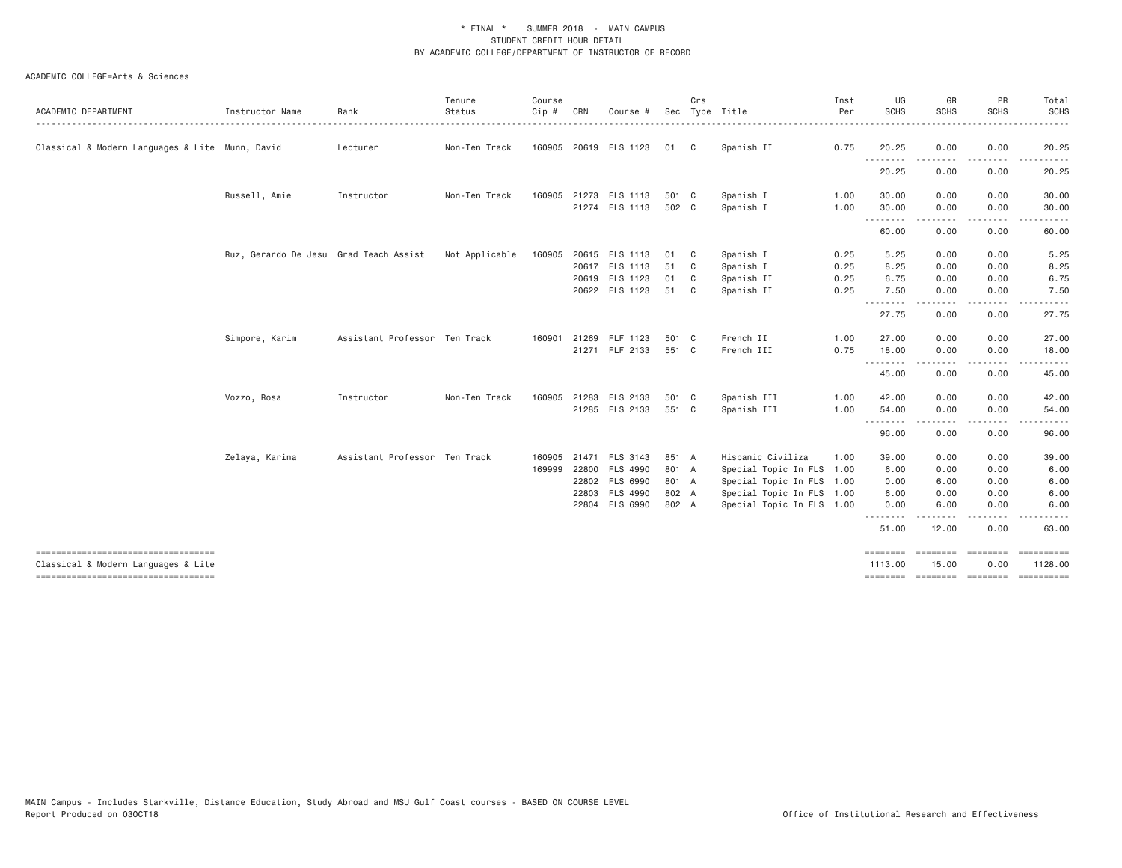| ACADEMIC DEPARTMENT                                                       | Instructor Name                        | Rank                          | Tenure<br>Status | Course<br>Cip # | CRN | Course #              |       | Crs            | Sec Type Title            | Inst<br>Per | UG<br>SCHS          | GR<br><b>SCHS</b>  | PR<br><b>SCHS</b>                                                                                                                 | Total<br><b>SCHS</b> |
|---------------------------------------------------------------------------|----------------------------------------|-------------------------------|------------------|-----------------|-----|-----------------------|-------|----------------|---------------------------|-------------|---------------------|--------------------|-----------------------------------------------------------------------------------------------------------------------------------|----------------------|
|                                                                           |                                        |                               |                  |                 |     |                       |       |                |                           |             |                     |                    |                                                                                                                                   |                      |
| Classical & Modern Languages & Lite Munn, David                           |                                        | Lecturer                      | Non-Ten Track    |                 |     | 160905 20619 FLS 1123 | 01    | C <sub>c</sub> | Spanish II                | 0.75        | 20.25<br>.          | 0.00               | 0.00                                                                                                                              | 20.25                |
|                                                                           |                                        |                               |                  |                 |     |                       |       |                |                           |             | 20.25               | 0.00               | 0.00                                                                                                                              | 20.25                |
|                                                                           | Russell, Amie                          | Instructor                    | Non-Ten Track    | 160905          |     | 21273 FLS 1113        | 501 C |                | Spanish I                 | 1.00        | 30.00               | 0.00               | 0.00                                                                                                                              | 30.00                |
|                                                                           |                                        |                               |                  |                 |     | 21274 FLS 1113        | 502 C |                | Spanish I                 | 1.00        | 30.00<br><u>.</u>   | 0.00               | 0.00                                                                                                                              | 30.00                |
|                                                                           |                                        |                               |                  |                 |     |                       |       |                |                           |             | 60.00               | 0.00               | 0.00                                                                                                                              | 60.00                |
|                                                                           | Ruz, Gerardo De Jesu Grad Teach Assist |                               | Not Applicable   | 160905          |     | 20615 FLS 1113        | 01    | C.             | Spanish I                 | 0.25        | 5.25                | 0.00               | 0.00                                                                                                                              | 5.25                 |
|                                                                           |                                        |                               |                  |                 |     | 20617 FLS 1113        | 51    | C.             | Spanish I                 | 0.25        | 8.25                | 0.00               | 0.00                                                                                                                              | 8.25                 |
|                                                                           |                                        |                               |                  |                 |     | 20619 FLS 1123        | 01    | C <sub>c</sub> | Spanish II                | 0.25        | 6.75                | 0.00               | 0.00                                                                                                                              | 6.75                 |
|                                                                           |                                        |                               |                  |                 |     | 20622 FLS 1123        | 51    | C.             | Spanish II                | 0.25        | 7.50<br>.           | 0.00<br><u>.</u>   | 0.00<br>$\frac{1}{2} \left( \frac{1}{2} \right) \left( \frac{1}{2} \right) \left( \frac{1}{2} \right) \left( \frac{1}{2} \right)$ | 7.50<br>.            |
|                                                                           |                                        |                               |                  |                 |     |                       |       |                |                           |             | 27.75               | 0.00               | 0.00                                                                                                                              | 27.75                |
|                                                                           | Simpore, Karim                         | Assistant Professor Ten Track |                  | 160901          |     | 21269 FLF 1123        | 501 C |                | French II                 | 1.00        | 27.00               | 0.00               | 0.00                                                                                                                              | 27.00                |
|                                                                           |                                        |                               |                  |                 |     | 21271 FLF 2133        | 551 C |                | French III                | 0.75        | 18.00               | 0.00               | 0.00                                                                                                                              | 18.00                |
|                                                                           |                                        |                               |                  |                 |     |                       |       |                |                           |             | .<br>45.00          | 0.00               | 0.00                                                                                                                              | 45.00                |
|                                                                           | Vozzo, Rosa                            | Instructor                    | Non-Ten Track    | 160905          |     | 21283 FLS 2133        | 501 C |                | Spanish III               | 1.00        | 42.00               | 0.00               | 0.00                                                                                                                              | 42.00                |
|                                                                           |                                        |                               |                  |                 |     | 21285 FLS 2133        | 551 C |                | Spanish III               | 1.00        | 54.00               | 0.00               | 0.00                                                                                                                              | 54.00                |
|                                                                           |                                        |                               |                  |                 |     |                       |       |                |                           |             | <u>.</u><br>96.00   | 0.00               | 0.00                                                                                                                              | .<br>96.00           |
|                                                                           | Zelaya, Karina                         | Assistant Professor Ten Track |                  | 160905          |     | 21471 FLS 3143        | 851 A |                | Hispanic Civiliza         | 1.00        | 39.00               | 0.00               | 0.00                                                                                                                              | 39.00                |
|                                                                           |                                        |                               |                  | 169999          |     | 22800 FLS 4990        | 801 A |                | Special Topic In FLS 1.00 |             | 6.00                | 0.00               | 0.00                                                                                                                              | 6.00                 |
|                                                                           |                                        |                               |                  |                 |     | 22802 FLS 6990        | 801 A |                | Special Topic In FLS 1.00 |             | 0.00                | 6.00               | 0.00                                                                                                                              | 6.00                 |
|                                                                           |                                        |                               |                  |                 |     | 22803 FLS 4990        | 802 A |                | Special Topic In FLS 1.00 |             | 6.00                | 0.00               | 0.00                                                                                                                              | 6.00                 |
|                                                                           |                                        |                               |                  |                 |     | 22804 FLS 6990        | 802 A |                | Special Topic In FLS 1.00 |             | 0.00                | 6.00               | 0.00                                                                                                                              | 6.00                 |
|                                                                           |                                        |                               |                  |                 |     |                       |       |                |                           |             | .<br>51.00          | 12.00              | 0.00                                                                                                                              | 63.00                |
| ----------------------------------<br>Classical & Modern Languages & Lite |                                        |                               |                  |                 |     |                       |       |                |                           |             | ========<br>1113.00 | ========<br>15.00  | $=$ ========<br>0.00                                                                                                              | 1128.00              |
| ----------------------------------                                        |                                        |                               |                  |                 |     |                       |       |                |                           |             | ========            | ================== |                                                                                                                                   | ==========           |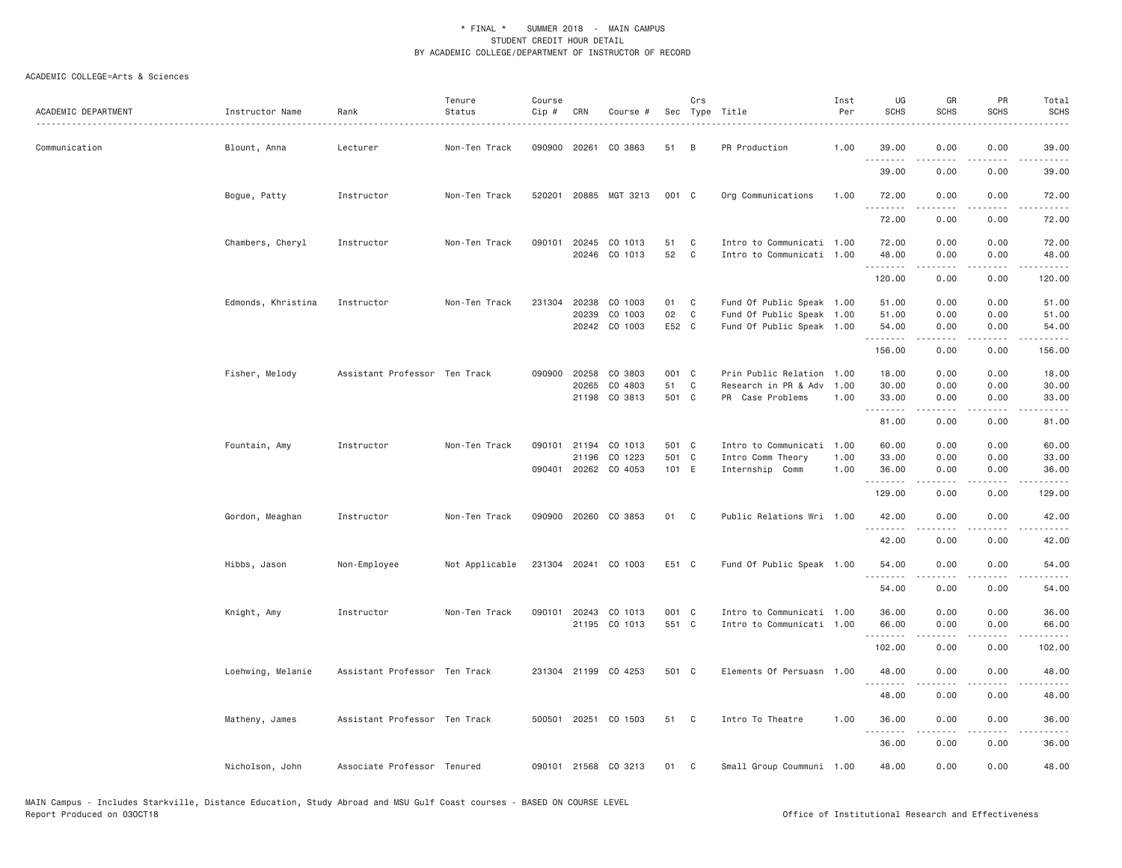| ACADEMIC DEPARTMENT | Instructor Name<br>. | Rank                          | Tenure<br>Status | Course<br>Cip # | CRN                     | Course #                                   |                         | Crs          | Sec Type Title                                                                      | Inst<br>Per          | UG<br><b>SCHS</b>       | GR<br><b>SCHS</b>                                                                                                                                                                       | PR<br>SCHS                          | Total<br><b>SCHS</b>                                                                                                                |
|---------------------|----------------------|-------------------------------|------------------|-----------------|-------------------------|--------------------------------------------|-------------------------|--------------|-------------------------------------------------------------------------------------|----------------------|-------------------------|-----------------------------------------------------------------------------------------------------------------------------------------------------------------------------------------|-------------------------------------|-------------------------------------------------------------------------------------------------------------------------------------|
| Communication       | Blount, Anna         | Lecturer                      | Non-Ten Track    |                 |                         | 090900 20261 CO 3863                       | 51                      | B            | PR Production                                                                       | 1.00                 | 39.00                   | 0.00                                                                                                                                                                                    | 0.00                                | 39.00                                                                                                                               |
|                     |                      |                               |                  |                 |                         |                                            |                         |              |                                                                                     |                      | 39.00                   | 0.00                                                                                                                                                                                    | 0.00                                | 39.00                                                                                                                               |
|                     | Bogue, Patty         | Instructor                    | Non-Ten Track    |                 |                         | 520201 20885 MGT 3213                      | 001 C                   |              | Org Communications                                                                  | 1.00                 | 72.00<br><u>.</u>       | 0.00                                                                                                                                                                                    | 0.00                                | 72.00<br>.                                                                                                                          |
|                     |                      |                               |                  |                 |                         |                                            |                         |              |                                                                                     |                      | 72.00                   | 0.00                                                                                                                                                                                    | 0.00                                | 72.00                                                                                                                               |
|                     | Chambers, Cheryl     | Instructor                    | Non-Ten Track    | 090101          | 20245<br>20246          | CO 1013<br>CO 1013                         | 51<br>52                | C<br>C       | Intro to Communicati 1.00<br>Intro to Communicati 1.00                              |                      | 72.00<br>48.00          | 0.00<br>0.00                                                                                                                                                                            | 0.00<br>0.00                        | 72.00<br>48.00                                                                                                                      |
|                     |                      |                               |                  |                 |                         |                                            |                         |              |                                                                                     |                      | . <u>.</u><br>120.00    | .<br>0.00                                                                                                                                                                               | $- - - -$<br>0.00                   | $\frac{1}{2} \left( \frac{1}{2} \right) \left( \frac{1}{2} \right) \left( \frac{1}{2} \right) \left( \frac{1}{2} \right)$<br>120.00 |
|                     | Edmonds, Khristina   | Instructor                    | Non-Ten Track    | 231304          | 20238<br>20239          | CO 1003<br>CO 1003<br>20242 CO 1003        | 01<br>02<br>E52 C       | C<br>C       | Fund Of Public Speak 1.00<br>Fund Of Public Speak 1.00<br>Fund Of Public Speak 1.00 |                      | 51.00<br>51.00<br>54.00 | 0.00<br>0.00<br>0.00                                                                                                                                                                    | 0.00<br>0.00<br>0.00                | 51.00<br>51.00<br>54.00                                                                                                             |
|                     |                      |                               |                  |                 |                         |                                            |                         |              |                                                                                     |                      | .<br>156.00             | $\frac{1}{2} \left( \frac{1}{2} \right) \left( \frac{1}{2} \right) \left( \frac{1}{2} \right) \left( \frac{1}{2} \right) \left( \frac{1}{2} \right) \left( \frac{1}{2} \right)$<br>0.00 | .<br>0.00                           | .<br>156.00                                                                                                                         |
|                     | Fisher, Melody       | Assistant Professor Ten Track |                  | 090900          | 20258<br>20265<br>21198 | CO 3803<br>CO 4803<br>CO 3813              | 001 C<br>51<br>501 C    | C            | Prin Public Relation<br>Research in PR & Adv<br>PR Case Problems                    | 1.00<br>1.00<br>1.00 | 18.00<br>30.00<br>33.00 | 0.00<br>0.00<br>0.00                                                                                                                                                                    | 0.00<br>0.00<br>0.00                | 18.00<br>30.00<br>33.00                                                                                                             |
|                     |                      |                               |                  |                 |                         |                                            |                         |              |                                                                                     |                      | .<br>81.00              | 0.00                                                                                                                                                                                    | 0.00                                | 81.00                                                                                                                               |
|                     | Fountain, Amy        | Instructor                    | Non-Ten Track    |                 | 090101 21194<br>21196   | CO 1013<br>CO 1223<br>090401 20262 CO 4053 | 501 C<br>501 C<br>101 E |              | Intro to Communicati<br>Intro Comm Theory<br>Internship Comm                        | 1.00<br>1.00<br>1.00 | 60.00<br>33.00<br>36.00 | 0.00<br>0.00<br>0.00                                                                                                                                                                    | 0.00<br>0.00<br>0.00                | 60.00<br>33.00<br>36.00                                                                                                             |
|                     |                      |                               |                  |                 |                         |                                            |                         |              |                                                                                     |                      | .<br>129.00             | .<br>0.00                                                                                                                                                                               | $\sim$ $\sim$ $\sim$ $\sim$<br>0.00 | .<br>129.00                                                                                                                         |
|                     | Gordon, Meaghan      | Instructor                    | Non-Ten Track    |                 |                         | 090900 20260 CO 3853                       | 01                      | $\mathbf{C}$ | Public Relations Wri 1.00                                                           |                      | 42.00                   | 0.00                                                                                                                                                                                    | 0.00                                | 42.00                                                                                                                               |
|                     |                      |                               |                  |                 |                         |                                            |                         |              |                                                                                     |                      | 42.00                   | 0.00                                                                                                                                                                                    | 0.00                                | 42.00                                                                                                                               |
|                     | Hibbs, Jason         | Non-Employee                  | Not Applicable   |                 |                         | 231304 20241 CO 1003                       | E51 C                   |              | Fund Of Public Speak 1.00                                                           |                      | 54.00<br>.              | 0.00<br>.                                                                                                                                                                               | 0.00<br>$\frac{1}{2}$               | 54.00<br>.                                                                                                                          |
|                     |                      |                               |                  |                 |                         |                                            |                         |              |                                                                                     |                      | 54.00                   | 0.00                                                                                                                                                                                    | 0.00                                | 54.00                                                                                                                               |
|                     | Knight, Amy          | Instructor                    | Non-Ten Track    |                 | 090101 20243            | CO 1013<br>21195 CO 1013                   | 001 C<br>551 C          |              | Intro to Communicati 1.00<br>Intro to Communicati 1.00                              |                      | 36.00<br>66.00          | 0.00<br>0.00                                                                                                                                                                            | 0.00<br>0.00                        | 36.00<br>66.00                                                                                                                      |
|                     |                      |                               |                  |                 |                         |                                            |                         |              |                                                                                     |                      | .<br>102.00             | 0.00                                                                                                                                                                                    | 0.00                                | 102.00                                                                                                                              |
|                     | Loehwing, Melanie    | Assistant Professor Ten Track |                  |                 |                         | 231304 21199 CO 4253                       | 501 C                   |              | Elements Of Persuasn 1.00                                                           |                      | 48.00                   | 0.00                                                                                                                                                                                    | 0.00                                | 48.00                                                                                                                               |
|                     |                      |                               |                  |                 |                         |                                            |                         |              |                                                                                     |                      | .<br>48.00              | 0.00                                                                                                                                                                                    | 0.00                                | $\frac{1}{2} \left( \frac{1}{2} \right) \left( \frac{1}{2} \right) \left( \frac{1}{2} \right) \left( \frac{1}{2} \right)$<br>48.00  |
|                     | Matheny, James       | Assistant Professor Ten Track |                  |                 |                         | 500501 20251 CO 1503                       | 51 C                    |              | Intro To Theatre                                                                    | 1.00                 | 36.00<br><u>.</u>       | 0.00<br>-----                                                                                                                                                                           | 0.00<br>.                           | 36.00                                                                                                                               |
|                     |                      |                               |                  |                 |                         |                                            |                         |              |                                                                                     |                      | 36.00                   | 0.00                                                                                                                                                                                    | 0.00                                | 36.00                                                                                                                               |
|                     | Nicholson, John      | Associate Professor Tenured   |                  |                 |                         | 090101 21568 CO 3213                       | 01                      | C            | Small Group Coummuni 1.00                                                           |                      | 48.00                   | 0.00                                                                                                                                                                                    | 0.00                                | 48.00                                                                                                                               |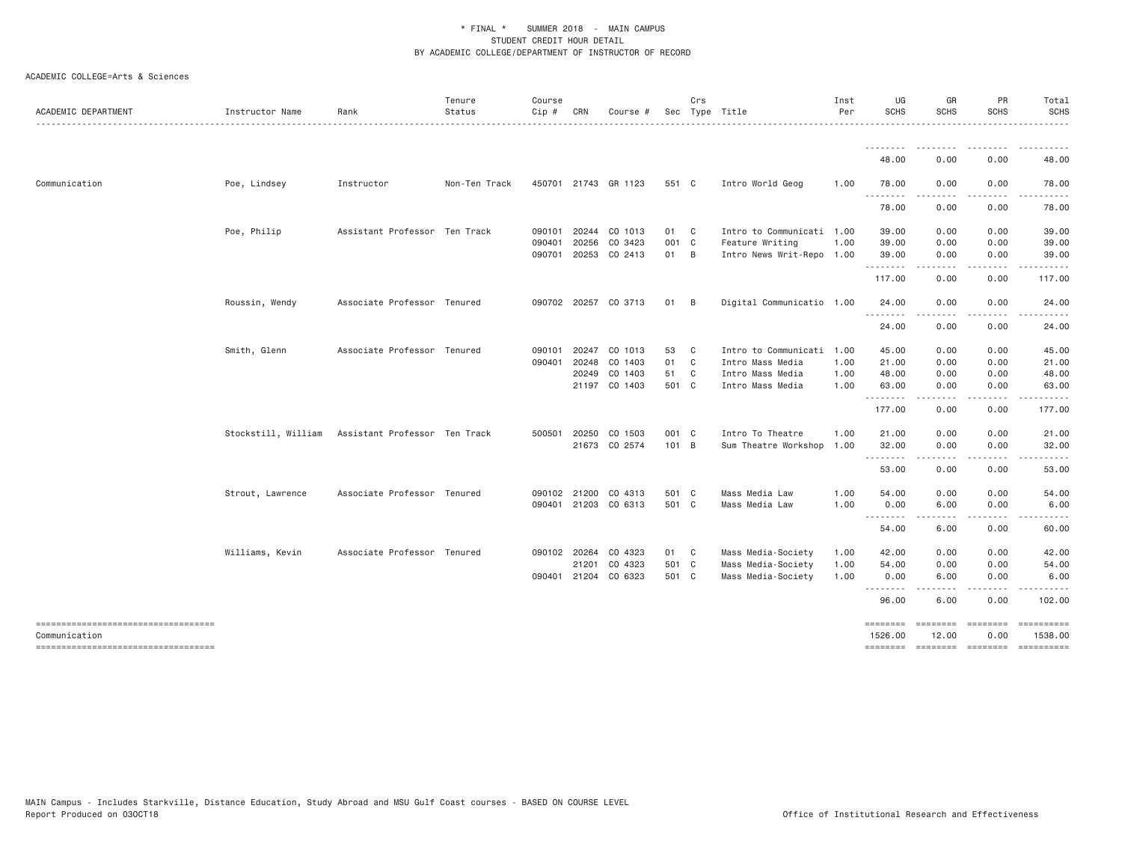| ACADEMIC DEPARTMENT                | Instructor Name     | Rank                          | Tenure<br>Status | Course<br>Cip # | CRN          | Course #             |       | Crs          | Sec Type Title            | Inst<br>Per | UG<br><b>SCHS</b>   | GR<br><b>SCHS</b>                                                                                                                                                                       | PR<br><b>SCHS</b> | Total<br><b>SCHS</b>                |
|------------------------------------|---------------------|-------------------------------|------------------|-----------------|--------------|----------------------|-------|--------------|---------------------------|-------------|---------------------|-----------------------------------------------------------------------------------------------------------------------------------------------------------------------------------------|-------------------|-------------------------------------|
|                                    |                     |                               |                  |                 |              |                      |       |              |                           |             | .                   |                                                                                                                                                                                         |                   | .                                   |
|                                    |                     |                               |                  |                 |              |                      |       |              |                           |             | 48.00               | 0.00                                                                                                                                                                                    | 0.00              | 48.00                               |
| Communication                      | Poe, Lindsey        | Instructor                    | Non-Ten Track    |                 |              | 450701 21743 GR 1123 | 551 C |              | Intro World Geog          | 1.00        | 78.00<br>. <b>.</b> | 0.00                                                                                                                                                                                    | 0.00              | 78.00                               |
|                                    |                     |                               |                  |                 |              |                      |       |              |                           |             | 78.00               | 0.00                                                                                                                                                                                    | 0.00              | 78.00                               |
|                                    | Poe, Philip         | Assistant Professor Ten Track |                  | 090101          | 20244        | CO 1013              | 01 C  |              | Intro to Communicati 1.00 |             | 39.00               | 0.00                                                                                                                                                                                    | 0.00              | 39.00                               |
|                                    |                     |                               |                  | 090401          | 20256        | CO 3423              | 001 C |              | Feature Writing           | 1.00        | 39.00               | 0.00                                                                                                                                                                                    | 0.00              | 39.00                               |
|                                    |                     |                               |                  | 090701          | 20253        | CO 2413              | 01 B  |              | Intro News Writ-Repo 1.00 |             | 39.00<br>.          | 0.00                                                                                                                                                                                    | 0.00              | 39.00                               |
|                                    |                     |                               |                  |                 |              |                      |       |              |                           |             | 117.00              | 0.00                                                                                                                                                                                    | 0.00              | 117.00                              |
|                                    | Roussin, Wendy      | Associate Professor Tenured   |                  |                 |              | 090702 20257 CO 3713 | 01 B  |              | Digital Communicatio 1.00 |             | 24.00<br><u>.</u>   | 0.00                                                                                                                                                                                    | 0.00              | 24.00                               |
|                                    |                     |                               |                  |                 |              |                      |       |              |                           |             | 24.00               | 0.00                                                                                                                                                                                    | 0.00              | 24.00                               |
|                                    | Smith, Glenn        | Associate Professor Tenured   |                  | 090101          | 20247        | CO 1013              | 53    | $\mathbf{C}$ | Intro to Communicati 1.00 |             | 45.00               | 0.00                                                                                                                                                                                    | 0.00              | 45.00                               |
|                                    |                     |                               |                  | 090401          | 20248        | CO 1403              | 01    | $\mathbf{C}$ | Intro Mass Media          | 1.00        | 21.00               | 0.00                                                                                                                                                                                    | 0.00              | 21.00                               |
|                                    |                     |                               |                  |                 | 20249        | CO 1403              | 51    | $\mathbb C$  | Intro Mass Media          | 1.00        | 48.00               | 0.00                                                                                                                                                                                    | 0.00              | 48.00                               |
|                                    |                     |                               |                  |                 |              | 21197 CO 1403        | 501 C |              | Intro Mass Media          | 1,00        | 63.00<br>.          | 0.00<br>$\frac{1}{2} \left( \frac{1}{2} \right) \left( \frac{1}{2} \right) \left( \frac{1}{2} \right) \left( \frac{1}{2} \right) \left( \frac{1}{2} \right) \left( \frac{1}{2} \right)$ | 0.00              | 63.00                               |
|                                    |                     |                               |                  |                 |              |                      |       |              |                           |             | 177.00              | 0.00                                                                                                                                                                                    | 0.00              | 177.00                              |
|                                    | Stockstill, William | Assistant Professor Ten Track |                  |                 | 500501 20250 | CO 1503              | 001 C |              | Intro To Theatre          | 1.00        | 21.00               | 0.00                                                                                                                                                                                    | 0.00              | 21.00                               |
|                                    |                     |                               |                  |                 |              | 21673 CO 2574        | 101 B |              | Sum Theatre Workshop 1.00 |             | 32.00<br>--------   | 0.00<br>.                                                                                                                                                                               | 0.00<br>.         | 32.00                               |
|                                    |                     |                               |                  |                 |              |                      |       |              |                           |             | 53.00               | 0.00                                                                                                                                                                                    | 0.00              | 53.00                               |
|                                    | Strout, Lawrence    | Associate Professor Tenured   |                  |                 |              | 090102 21200 CO 4313 | 501 C |              | Mass Media Law            | 1.00        | 54.00               | 0.00                                                                                                                                                                                    | 0.00              | 54.00                               |
|                                    |                     |                               |                  |                 |              | 090401 21203 CO 6313 | 501 C |              | Mass Media Law            | 1.00        | 0.00<br>.           | 6.00                                                                                                                                                                                    | 0.00              | 6.00                                |
|                                    |                     |                               |                  |                 |              |                      |       |              |                           |             | 54.00               | 6.00                                                                                                                                                                                    | 0.00              | 60.00                               |
|                                    | Williams, Kevin     | Associate Professor Tenured   |                  |                 | 090102 20264 | CO 4323              | 01 C  |              | Mass Media-Society        | 1.00        | 42.00               | 0.00                                                                                                                                                                                    | 0.00              | 42.00                               |
|                                    |                     |                               |                  |                 | 21201        | CO 4323              | 501 C |              | Mass Media-Society        | 1.00        | 54.00               | 0.00                                                                                                                                                                                    | 0.00              | 54.00                               |
|                                    |                     |                               |                  | 090401          | 21204        | CO 6323              | 501 C |              | Mass Media-Society        | 1.00        | 0.00<br>.           | 6.00                                                                                                                                                                                    | 0.00              | 6.00                                |
|                                    |                     |                               |                  |                 |              |                      |       |              |                           |             | 96.00               | 6.00                                                                                                                                                                                    | 0.00              | 102.00                              |
| ---------------------------------- |                     |                               |                  |                 |              |                      |       |              |                           |             | ========            | ========                                                                                                                                                                                | <b>EEEEEEE</b>    |                                     |
| Communication                      |                     |                               |                  |                 |              |                      |       |              |                           |             | 1526.00             | 12.00                                                                                                                                                                                   | 0.00              | 1538.00                             |
| ---------------------------------- |                     |                               |                  |                 |              |                      |       |              |                           |             |                     |                                                                                                                                                                                         |                   | -------- ------- -------- --------- |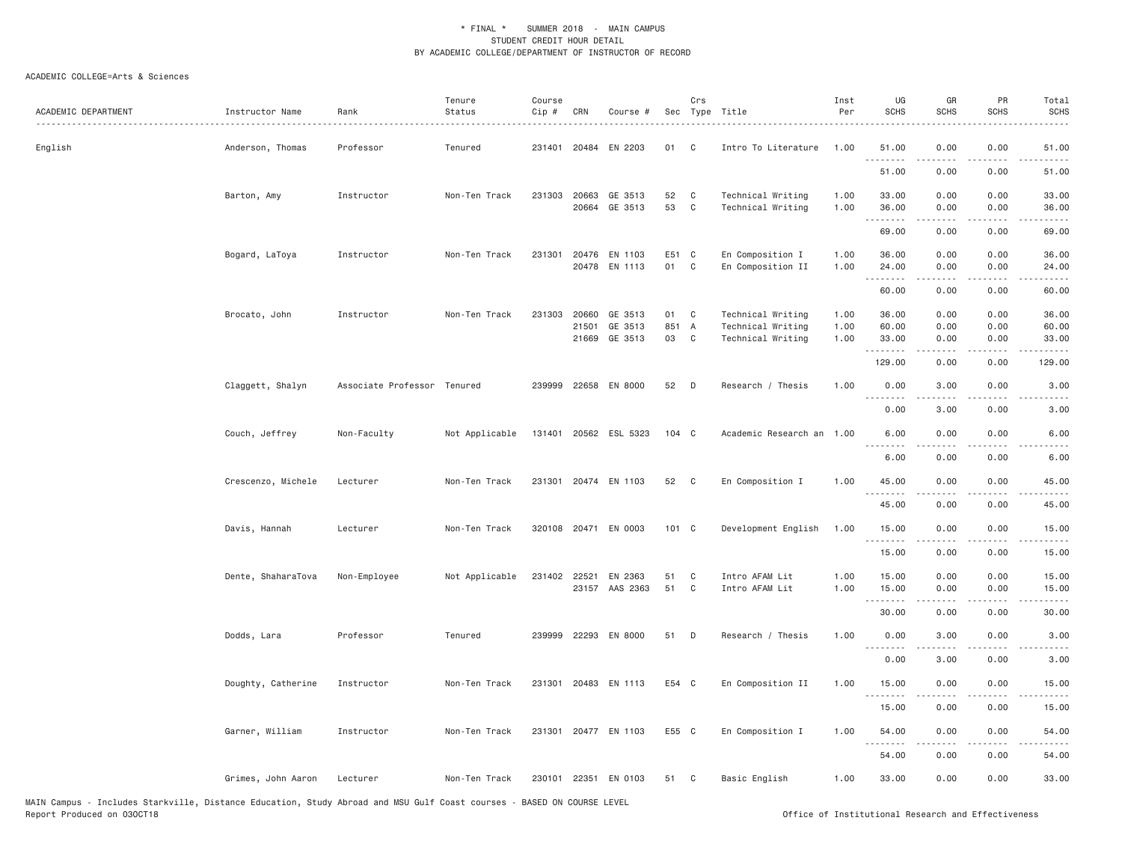| ACADEMIC DEPARTMENT | Instructor Name    | Rank<br>.                   | Tenure<br>Status | Course<br>Cip # | CRN            | Course #                 |                  | Crs                        | Sec Type Title                         | Inst<br>Per  | UG<br><b>SCHS</b>   | GR<br><b>SCHS</b>                                                                                                                                            | PR<br><b>SCHS</b>         | Total<br><b>SCHS</b> |
|---------------------|--------------------|-----------------------------|------------------|-----------------|----------------|--------------------------|------------------|----------------------------|----------------------------------------|--------------|---------------------|--------------------------------------------------------------------------------------------------------------------------------------------------------------|---------------------------|----------------------|
| English             | Anderson, Thomas   | Professor                   | Tenured          |                 |                | 231401 20484 EN 2203     | 01               | C <sub>1</sub>             | Intro To Literature                    | 1,00         | 51.00<br>.          | 0.00                                                                                                                                                         | 0.00                      | 51.00                |
|                     |                    |                             |                  |                 |                |                          |                  |                            |                                        |              | 51.00               | 0.00                                                                                                                                                         | 0.00                      | 51.00                |
|                     | Barton, Amy        | Instructor                  | Non-Ten Track    | 231303 20663    |                | GE 3513<br>20664 GE 3513 | 52<br>53         | $\mathbf{C}$<br>C          | Technical Writing<br>Technical Writing | 1.00<br>1.00 | 33.00<br>36.00<br>. | 0.00<br>0.00<br>.                                                                                                                                            | 0.00<br>0.00<br>$- - - -$ | 33.00<br>36.00<br>.  |
|                     |                    |                             |                  |                 |                |                          |                  |                            |                                        |              | 69.00               | 0.00                                                                                                                                                         | 0.00                      | 69.00                |
|                     | Bogard, LaToya     | Instructor                  | Non-Ten Track    |                 |                | 231301 20476 EN 1103     | E51 C            |                            | En Composition I                       | 1.00         | 36.00               | 0.00                                                                                                                                                         | 0.00                      | 36.00                |
|                     |                    |                             |                  |                 |                | 20478 EN 1113            | 01               | C                          | En Composition II                      | 1.00         | 24.00<br>.          | 0.00<br>.                                                                                                                                                    | 0.00<br>.                 | 24.00<br>.           |
|                     |                    |                             |                  |                 |                |                          |                  |                            |                                        |              | 60.00               | 0.00                                                                                                                                                         | 0.00                      | 60.00                |
|                     | Brocato, John      | Instructor                  | Non-Ten Track    | 231303          | 20660          | GE 3513                  | 01               | C                          | Technical Writing                      | 1.00         | 36.00               | 0.00                                                                                                                                                         | 0.00                      | 36.00                |
|                     |                    |                             |                  |                 | 21501<br>21669 | GE 3513<br>GE 3513       | 851 A<br>03      | $\mathbf{C}$               | Technical Writing<br>Technical Writing | 1.00<br>1.00 | 60.00<br>33.00      | 0.00<br>0.00                                                                                                                                                 | 0.00<br>0.00              | 60.00<br>33.00       |
|                     |                    |                             |                  |                 |                |                          |                  |                            |                                        |              | .                   |                                                                                                                                                              |                           |                      |
|                     |                    |                             |                  |                 |                |                          |                  |                            |                                        |              | 129.00              | 0.00                                                                                                                                                         | 0.00                      | 129.00               |
|                     | Claggett, Shalyn   | Associate Professor Tenured |                  |                 |                | 239999 22658 EN 8000     | 52               | D                          | Research / Thesis                      | 1.00         | 0.00<br>.           | 3.00                                                                                                                                                         | 0.00                      | 3.00                 |
|                     |                    |                             |                  |                 |                |                          |                  |                            |                                        |              | 0.00                | 3.00                                                                                                                                                         | 0.00                      | 3.00                 |
|                     | Couch, Jeffrey     | Non-Faculty                 | Not Applicable   |                 |                | 131401 20562 ESL 5323    | 104 <sub>C</sub> |                            | Academic Research an 1.00              |              | 6.00<br>.           | 0.00<br>.                                                                                                                                                    | 0.00                      | 6.00                 |
|                     |                    |                             |                  |                 |                |                          |                  |                            |                                        |              | 6.00                | 0.00                                                                                                                                                         | 0.00                      | 6.00                 |
|                     | Crescenzo, Michele | Lecturer                    | Non-Ten Track    |                 |                | 231301 20474 EN 1103     | 52               | C                          | En Composition I                       | 1.00         | 45.00               | 0.00                                                                                                                                                         | 0.00                      | 45.00                |
|                     |                    |                             |                  |                 |                |                          |                  |                            |                                        |              | 45.00               | 0.00                                                                                                                                                         | 0.00                      | 45.00                |
|                     | Davis, Hannah      | Lecturer                    | Non-Ten Track    |                 |                | 320108 20471 EN 0003     | 101 C            |                            | Development English                    | 1.00         | 15.00<br>.          | 0.00                                                                                                                                                         | 0.00                      | 15.00                |
|                     |                    |                             |                  |                 |                |                          |                  |                            |                                        |              | 15.00               | 0.00                                                                                                                                                         | 0.00                      | 15.00                |
|                     | Dente, ShaharaTova | Non-Employee                | Not Applicable   |                 |                | 231402 22521 EN 2363     | 51               | C                          | Intro AFAM Lit                         | 1.00         | 15.00               | 0.00                                                                                                                                                         | 0.00                      | 15.00                |
|                     |                    |                             |                  |                 |                | 23157 AAS 2363           | 51               | C                          | Intro AFAM Lit                         | 1.00         | 15.00<br>.          | 0.00<br>$\frac{1}{2} \left( \frac{1}{2} \right) \left( \frac{1}{2} \right) \left( \frac{1}{2} \right) \left( \frac{1}{2} \right) \left( \frac{1}{2} \right)$ | 0.00<br>.                 | 15.00<br>.           |
|                     |                    |                             |                  |                 |                |                          |                  |                            |                                        |              | 30.00               | 0.00                                                                                                                                                         | 0.00                      | 30.00                |
|                     | Dodds, Lara        | Professor                   | Tenured          | 239999          | 22293          | EN 8000                  | 51               | D                          | Research / Thesis                      | 1.00         | 0.00                | 3.00                                                                                                                                                         | 0.00                      | 3.00                 |
|                     |                    |                             |                  |                 |                |                          |                  |                            |                                        |              | .<br>0.00           | .<br>3.00                                                                                                                                                    | - - - -<br>0.00           | 3.00                 |
|                     | Doughty, Catherine | Instructor                  | Non-Ten Track    |                 |                | 231301 20483 EN 1113     | E54 C            |                            | En Composition II                      | 1.00         | 15.00<br>.          | 0.00                                                                                                                                                         | 0.00<br>- - - -           | 15.00                |
|                     |                    |                             |                  |                 |                |                          |                  |                            |                                        |              | 15.00               | 0.00                                                                                                                                                         | 0.00                      | 15.00                |
|                     | Garner, William    | Instructor                  | Non-Ten Track    |                 |                | 231301 20477 EN 1103     | E55 C            |                            | En Composition I                       | 1.00         | 54.00               | 0.00                                                                                                                                                         | 0.00                      | 54.00                |
|                     |                    |                             |                  |                 |                |                          |                  |                            |                                        |              | 54.00               | 0.00                                                                                                                                                         | 0.00                      | 54.00                |
|                     | Grimes, John Aaron | Lecturer                    | Non-Ten Track    |                 |                | 230101 22351 EN 0103     | 51               | $\overline{\phantom{a}}$ C | Basic English                          | 1.00         | 33.00               | 0.00                                                                                                                                                         | 0.00                      | 33.00                |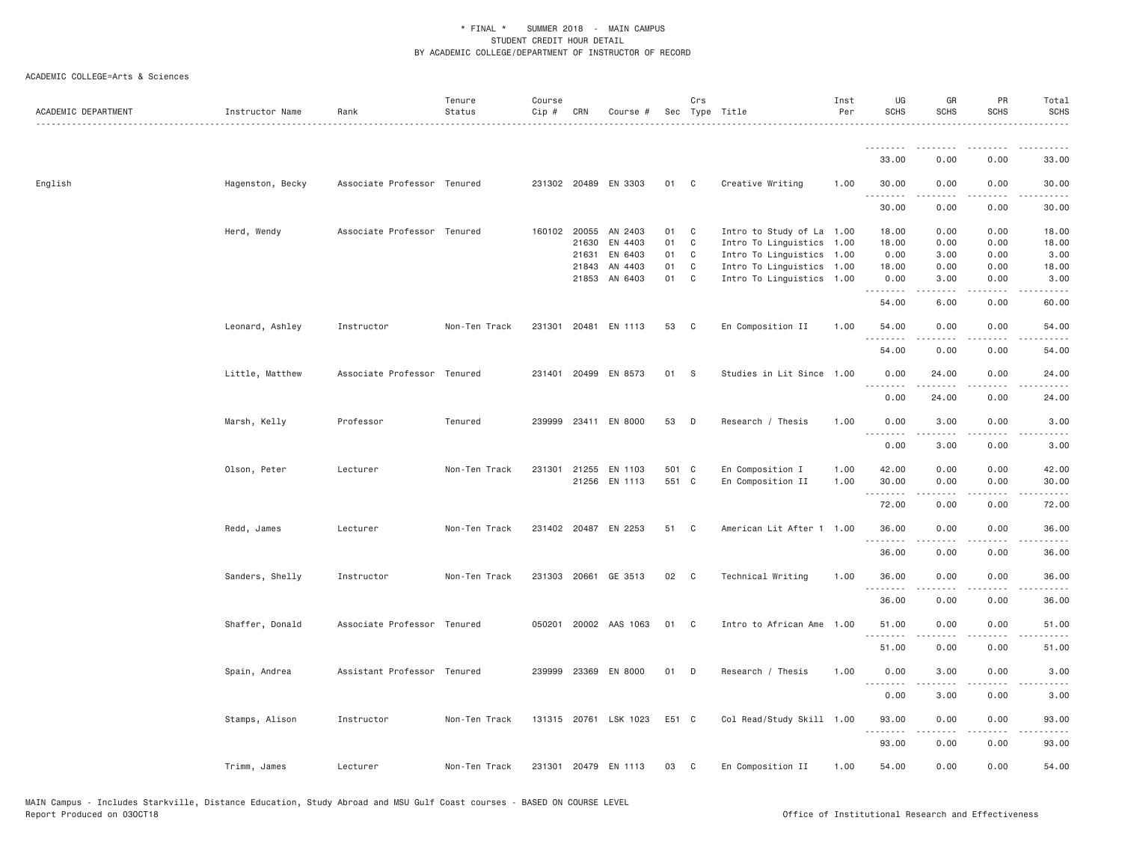| ACADEMIC DEPARTMENT | Instructor Name  | Rank                        | Tenure<br>Status<br>. | Course<br>Cip # | CRN   | Course #              |       | Crs          | Sec Type Title            | Inst<br>Per | UG<br><b>SCHS</b>   | GR<br><b>SCHS</b> | PR<br>SCHS                   | Total<br><b>SCHS</b><br>$\sim$ $\sim$ $\sim$ $\sim$ $\sim$ |
|---------------------|------------------|-----------------------------|-----------------------|-----------------|-------|-----------------------|-------|--------------|---------------------------|-------------|---------------------|-------------------|------------------------------|------------------------------------------------------------|
|                     |                  |                             |                       |                 |       |                       |       |              |                           |             | .<br>33,00          | 0.00              | 0.00                         | 33,00                                                      |
|                     |                  |                             |                       |                 |       |                       |       |              |                           |             |                     |                   |                              |                                                            |
| English             | Hagenston, Becky | Associate Professor Tenured |                       |                 |       | 231302 20489 EN 3303  | 01    | $\mathbf{C}$ | Creative Writing          | 1.00        | 30.00<br>.          | 0.00              | 0.00                         | 30.00                                                      |
|                     |                  |                             |                       |                 |       |                       |       |              |                           |             | 30.00               | 0.00              | 0.00                         | 30.00                                                      |
|                     | Herd, Wendy      | Associate Professor Tenured |                       |                 |       | 160102 20055 AN 2403  | 01    | C            | Intro to Study of La 1.00 |             | 18.00               | 0.00              | 0.00                         | 18.00                                                      |
|                     |                  |                             |                       |                 | 21630 | EN 4403               | 01    | C            | Intro To Linguistics 1.00 |             | 18.00               | 0.00              | 0.00                         | 18.00                                                      |
|                     |                  |                             |                       |                 | 21631 | EN 6403               | 01    | C            | Intro To Linguistics 1.00 |             | 0.00                | 3.00              | 0.00                         | 3.00                                                       |
|                     |                  |                             |                       |                 | 21843 | AN 4403               | 01    | C            | Intro To Linguistics 1.00 |             | 18.00               | 0.00              | 0.00                         | 18.00                                                      |
|                     |                  |                             |                       |                 |       | 21853 AN 6403         | 01    | C            | Intro To Linguistics 1.00 |             | 0.00<br>.           | 3.00<br>.         | 0.00<br>.                    | 3.00<br>$\cdots$                                           |
|                     |                  |                             |                       |                 |       |                       |       |              |                           |             | 54.00               | 6.00              | 0.00                         | 60.00                                                      |
|                     | Leonard, Ashley  | Instructor                  | Non-Ten Track         |                 |       | 231301 20481 EN 1113  | 53    | C            | En Composition II         | 1.00        | 54.00               | 0.00              | 0.00<br>$\sim$ $\sim$ $\sim$ | 54.00<br>.                                                 |
|                     |                  |                             |                       |                 |       |                       |       |              |                           |             | 54.00               | 0.00              | 0.00                         | 54.00                                                      |
|                     | Little, Matthew  | Associate Professor Tenured |                       | 231401          | 20499 | EN 8573               | 01    | <b>S</b>     | Studies in Lit Since 1.00 |             | 0.00                | 24.00             | 0.00                         | 24.00                                                      |
|                     |                  |                             |                       |                 |       |                       |       |              |                           |             | .<br>0.00           | 24.00             | 0.00                         | 24.00                                                      |
|                     | Marsh, Kelly     | Professor                   | Tenured               |                 |       | 239999 23411 EN 8000  | 53    | D            | Research / Thesis         | 1.00        | 0.00                | 3.00              | 0.00                         | 3.00                                                       |
|                     |                  |                             |                       |                 |       |                       |       |              |                           |             | <u>.</u><br>0.00    | 3.00              | 0.00                         | 3.00                                                       |
|                     | Olson, Peter     | Lecturer                    | Non-Ten Track         |                 |       | 231301 21255 EN 1103  | 501 C |              | En Composition I          | 1.00        | 42.00               | 0.00              | 0.00                         | 42.00                                                      |
|                     |                  |                             |                       |                 |       | 21256 EN 1113         | 551 C |              | En Composition II         | 1.00        | 30.00<br>.          | 0.00<br>-----     | 0.00<br>.                    | 30.00<br>.                                                 |
|                     |                  |                             |                       |                 |       |                       |       |              |                           |             | 72.00               | 0.00              | 0.00                         | 72.00                                                      |
|                     | Redd, James      | Lecturer                    | Non-Ten Track         |                 |       | 231402 20487 EN 2253  | 51    | C            | American Lit After 1 1.00 |             | 36.00               | 0.00              | 0.00                         | 36.00                                                      |
|                     |                  |                             |                       |                 |       |                       |       |              |                           |             | . <b>.</b><br>36.00 | .<br>0.00         | 0.00                         | $    -$<br>36.00                                           |
|                     | Sanders, Shelly  | Instructor                  | Non-Ten Track         |                 |       | 231303 20661 GE 3513  | 02    | $\mathbf{C}$ | Technical Writing         | 1.00        | 36.00               | 0.00              | 0.00                         | 36.00                                                      |
|                     |                  |                             |                       |                 |       |                       |       |              |                           |             | .<br>36.00          | 0.00              | 0.00                         | 36.00                                                      |
|                     | Shaffer, Donald  | Associate Professor Tenured |                       |                 |       | 050201 20002 AAS 1063 | 01    | C            | Intro to African Ame      | 1.00        | 51.00               | 0.00              | 0.00                         | 51.00                                                      |
|                     |                  |                             |                       |                 |       |                       |       |              |                           |             | 51.00               | 0.00              | 0.00                         | 51.00                                                      |
|                     | Spain, Andrea    | Assistant Professor Tenured |                       |                 |       | 239999 23369 EN 8000  | 01    | D            | Research / Thesis         | 1.00        | 0.00                | 3.00              | 0.00                         | 3.00                                                       |
|                     |                  |                             |                       |                 |       |                       |       |              |                           |             | .<br>0.00           | 3.00              | .<br>0.00                    | 3.00                                                       |
|                     | Stamps, Alison   | Instructor                  | Non-Ten Track         |                 |       | 131315 20761 LSK 1023 | E51 C |              | Col Read/Study Skill 1.00 |             | 93.00               | 0.00              | 0.00                         | 93.00                                                      |
|                     |                  |                             |                       |                 |       |                       |       |              |                           |             | <u>.</u>            | $- - - - -$       | .                            | .                                                          |
|                     |                  |                             |                       |                 |       |                       |       |              |                           |             | 93.00               | 0.00              | 0.00                         | 93.00                                                      |
|                     | Trimm, James     | Lecturer                    | Non-Ten Track         |                 |       | 231301 20479 EN 1113  | 03    | C            | En Composition II         | 1,00        | 54.00               | 0.00              | 0.00                         | 54.00                                                      |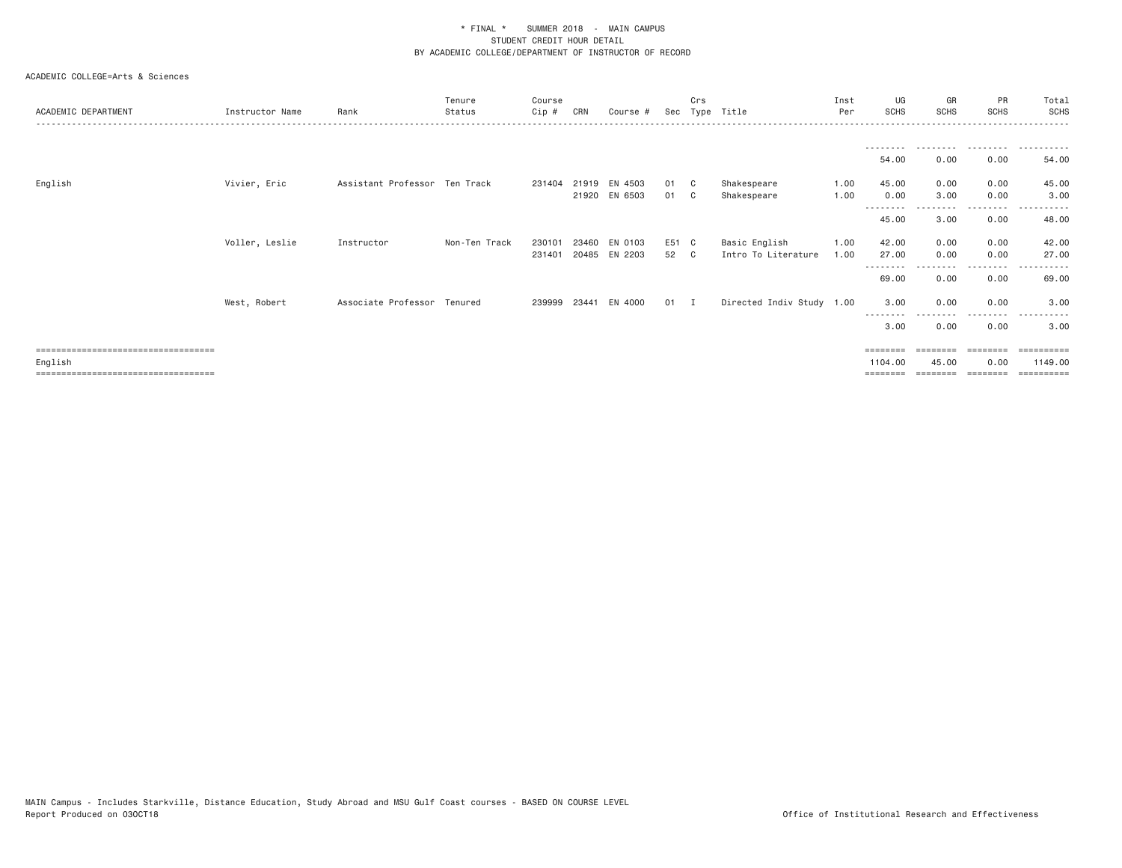| ACADEMIC DEPARTMENT                   | Instructor Name | Rank                          | Tenure<br>Status | Course<br>Cip# | CRN   | Course #             |        | Crs | Sec Type Title            | Inst<br>Per | UG<br><b>SCHS</b> | GR<br>SCHS | PR<br><b>SCHS</b> | Total<br><b>SCHS</b><br>. |
|---------------------------------------|-----------------|-------------------------------|------------------|----------------|-------|----------------------|--------|-----|---------------------------|-------------|-------------------|------------|-------------------|---------------------------|
|                                       |                 |                               |                  |                |       |                      |        |     |                           |             |                   |            |                   |                           |
|                                       |                 |                               |                  |                |       |                      |        |     |                           |             | 54.00             | 0.00       | 0.00              | 54.00                     |
| English                               | Vivier, Eric    | Assistant Professor Ten Track |                  | 231404         |       | 21919 EN 4503        | 01 C   |     | Shakespeare               | 1.00        | 45.00             | 0.00       | 0.00              | 45.00                     |
|                                       |                 |                               |                  |                |       | 21920 EN 6503        | 01 C   |     | Shakespeare               | 1.00        | 0.00              | 3.00       | 0.00<br>.         | 3.00                      |
|                                       |                 |                               |                  |                |       |                      |        |     |                           |             | 45.00             | 3.00       | 0.00              | 48.00                     |
|                                       | Voller, Leslie  | Instructor                    | Non-Ten Track    | 230101         | 23460 | EN 0103              | E51 C  |     | Basic English             | 1.00        | 42.00             | 0.00       | 0.00              | 42.00                     |
|                                       |                 |                               |                  | 231401         |       | 20485 EN 2203        | 52 C   |     | Intro To Literature       | 1.00        | 27.00             | 0.00       | 0.00              | 27.00                     |
|                                       |                 |                               |                  |                |       |                      |        |     |                           |             | 69.00             | 0.00       | ----<br>0.00      | 69.00                     |
|                                       | West, Robert    | Associate Professor Tenured   |                  |                |       | 239999 23441 EN 4000 | $01$ I |     | Directed Indiv Study 1.00 |             | 3.00              | 0.00       | 0.00              | 3.00                      |
|                                       |                 |                               |                  |                |       |                      |        |     |                           |             | 3.00              | 0.00       | 0.00              | 3.00                      |
| ===================================== |                 |                               |                  |                |       |                      |        |     |                           |             | ========          | ========   | ========          |                           |
| English                               |                 |                               |                  |                |       |                      |        |     |                           |             | 1104.00           | 45.00      | 0.00              | 1149.00                   |
| ====================================  |                 |                               |                  |                |       |                      |        |     |                           |             | ========          |            |                   | $=$ = = = = = = = = =     |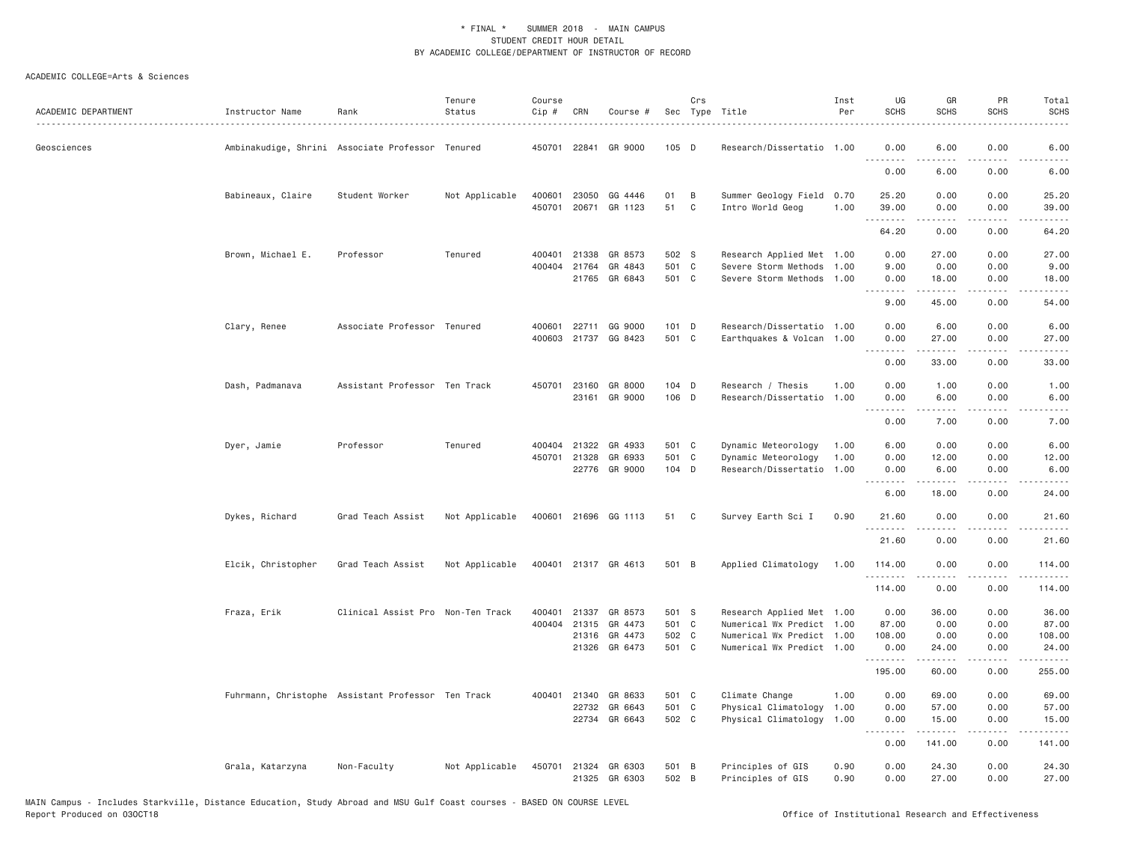| ACADEMIC DEPARTMENT<br>Instructor Name | Rank               |                                                    | Tenure<br>Status | Course<br>$Cip \#$ | CRN   | Course #                       |                | Crs | Sec Type Title                         | Inst<br>Per  | UG<br><b>SCHS</b> | GR<br><b>SCHS</b> | PR<br><b>SCHS</b>                   | Total<br><b>SCHS</b> |
|----------------------------------------|--------------------|----------------------------------------------------|------------------|--------------------|-------|--------------------------------|----------------|-----|----------------------------------------|--------------|-------------------|-------------------|-------------------------------------|----------------------|
| Geosciences                            |                    | Ambinakudige, Shrini Associate Professor Tenured   |                  | 450701 22841       |       | GR 9000                        | $105$ D        |     | Research/Dissertatio 1.00              |              | 0.00<br>.         | 6.00              | 0.00                                | 6.00                 |
|                                        |                    |                                                    |                  |                    |       |                                |                |     |                                        |              | 0.00              | 6.00              | 0.00                                | 6.00                 |
|                                        | Babineaux, Claire  | Student Worker                                     | Not Applicable   | 400601             | 23050 | GG 4446                        | 01             | B   | Summer Geology Field 0.70              |              | 25.20             | 0.00              | 0.00                                | 25.20                |
|                                        |                    |                                                    |                  | 450701             |       | 20671 GR 1123                  | 51             | C   | Intro World Geog                       | 1.00         | 39.00<br>.        | 0.00              | 0.00<br>.                           | 39.00                |
|                                        |                    |                                                    |                  |                    |       |                                |                |     |                                        |              | 64.20             | 0.00              | 0.00                                | 64.20                |
|                                        | Brown, Michael E.  | Professor                                          | Tenured          | 400401             | 21338 | GR 8573                        | 502 S          |     | Research Applied Met 1.00              |              | 0.00              | 27.00             | 0.00                                | 27.00                |
|                                        |                    |                                                    |                  | 400404             | 21764 | GR 4843                        | 501 C          |     | Severe Storm Methods                   | 1.00         | 9.00              | 0.00              | 0.00                                | 9.00                 |
|                                        |                    |                                                    |                  |                    | 21765 | GR 6843                        | 501 C          |     | Severe Storm Methods                   | 1,00         | 0.00<br><u>.</u>  | 18.00<br><u>.</u> | 0.00<br>.                           | 18.00                |
|                                        |                    |                                                    |                  |                    |       |                                |                |     |                                        |              | 9.00              | 45.00             | 0.00                                | 54.00                |
| Clary, Renee                           |                    | Associate Professor Tenured                        |                  | 400601             |       | 22711 GG 9000                  | 101 D          |     | Research/Dissertatio 1.00              |              | 0.00              | 6.00              | 0.00                                | 6.00                 |
|                                        |                    |                                                    |                  |                    |       | 400603 21737 GG 8423           | 501 C          |     | Earthquakes & Volcan 1.00              |              | 0.00<br>.         | 27.00<br>.        | 0.00<br>.                           | 27.00<br>.           |
|                                        |                    |                                                    |                  |                    |       |                                |                |     |                                        |              | 0.00              | 33.00             | 0.00                                | 33.00                |
|                                        | Dash, Padmanava    | Assistant Professor Ten Track                      |                  | 450701 23160       |       | GR 8000                        | 104 D          |     | Research / Thesis                      | 1.00         | 0.00              | 1.00              | 0.00                                | 1.00                 |
|                                        |                    |                                                    |                  |                    | 23161 | GR 9000                        | 106 D          |     | Research/Dissertatio                   | 1.00         | 0.00<br>.         | 6.00<br>-----     | 0.00<br>.                           | 6.00<br>.            |
|                                        |                    |                                                    |                  |                    |       |                                |                |     |                                        |              | 0.00              | 7.00              | 0.00                                | 7.00                 |
| Dyer, Jamie                            |                    | Professor                                          | Tenured          | 400404             | 21322 | GR 4933                        | 501 C          |     | Dynamic Meteorology                    | 1.00         | 6.00              | 0.00              | 0.00                                | 6.00                 |
|                                        |                    |                                                    |                  | 450701 21328       |       | GR 6933                        | 501 C          |     | Dynamic Meteorology                    | 1.00         | 0.00              | 12.00             | 0.00                                | 12.00                |
|                                        |                    |                                                    |                  |                    |       | 22776 GR 9000                  | 104 D          |     | Research/Dissertatio                   | 1.00         | 0.00<br>.         | 6.00<br>.         | 0.00<br>.                           | 6.00<br>.            |
|                                        |                    |                                                    |                  |                    |       |                                |                |     |                                        |              | 6.00              | 18.00             | 0.00                                | 24.00                |
| Dykes, Richard                         |                    | Grad Teach Assist                                  | Not Applicable   | 400601             |       | 21696 GG 1113                  | 51             | C   | Survey Earth Sci I                     | 0.90         | 21.60<br>.        | 0.00<br><u>.</u>  | 0.00<br>.                           | 21.60<br>.           |
|                                        |                    |                                                    |                  |                    |       |                                |                |     |                                        |              | 21.60             | 0.00              | 0.00                                | 21.60                |
|                                        | Elcik, Christopher | Grad Teach Assist                                  | Not Applicable   |                    |       | 400401 21317 GR 4613           | 501 B          |     | Applied Climatology                    | 1.00         | 114.00            | 0.00              | 0.00                                | 114.00               |
|                                        |                    |                                                    |                  |                    |       |                                |                |     |                                        |              | .<br>114.00       | 0.00              | $\sim$ $\sim$ $\sim$ $\sim$<br>0.00 | -----<br>114.00      |
| Fraza, Erik                            |                    | Clinical Assist Pro Non-Ten Track                  |                  | 400401             | 21337 | GR 8573                        | 501 S          |     | Research Applied Met 1.00              |              | 0.00              | 36.00             | 0.00                                | 36.00                |
|                                        |                    |                                                    |                  | 400404 21315       |       | GR 4473                        | 501 C          |     | Numerical Wx Predict 1.00              |              | 87.00             | 0.00              | 0.00                                | 87.00                |
|                                        |                    |                                                    |                  |                    |       | 21316 GR 4473                  | 502 C          |     | Numerical Wx Predict 1.00              |              | 108.00            | 0.00              | 0.00                                | 108.00               |
|                                        |                    |                                                    |                  |                    | 21326 | GR 6473                        | 501 C          |     | Numerical Wx Predict 1.00              |              | 0.00<br>.         | 24.00<br>.        | 0.00<br>$\sim$ $\sim$ $\sim$ $\sim$ | 24.00<br>.           |
|                                        |                    |                                                    |                  |                    |       |                                |                |     |                                        |              | 195.00            | 60.00             | 0.00                                | 255.00               |
|                                        |                    | Fuhrmann, Christophe Assistant Professor Ten Track |                  | 400401 21340       |       | GR 8633                        | 501 C          |     | Climate Change                         | 1.00         | 0.00              | 69.00             | 0.00                                | 69.00                |
|                                        |                    |                                                    |                  |                    | 22732 | GR 6643                        | 501 C          |     | Physical Climatology                   | 1.00         | 0.00              | 57.00             | 0.00                                | 57.00                |
|                                        |                    |                                                    |                  |                    |       | 22734 GR 6643                  | 502 C          |     | Physical Climatology 1.00              |              | 0.00<br>.         | 15.00<br>.        | 0.00<br>.                           | 15.00<br>.           |
|                                        |                    |                                                    |                  |                    |       |                                |                |     |                                        |              | 0.00              | 141.00            | 0.00                                | 141.00               |
|                                        | Grala, Katarzyna   | Non-Faculty                                        | Not Applicable   | 450701             |       | 21324 GR 6303<br>21325 GR 6303 | 501 B<br>502 B |     | Principles of GIS<br>Principles of GIS | 0.90<br>0.90 | 0.00<br>0.00      | 24.30<br>27.00    | 0.00<br>0.00                        | 24.30<br>27.00       |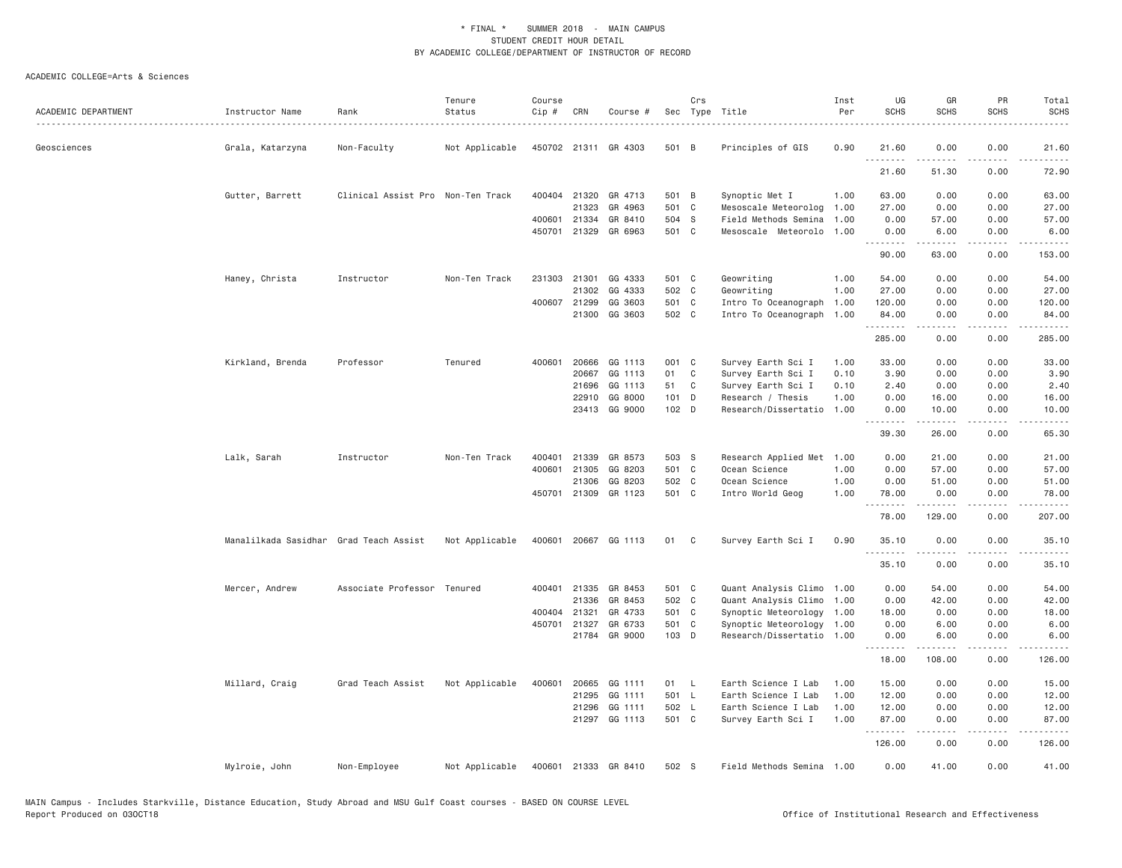|                     |                                        |                                   | Tenure         | Course                 |              |                      |                | Crs |                                                   | Inst | UG            | GR                    | PR                | Total                                                                                                                                                         |
|---------------------|----------------------------------------|-----------------------------------|----------------|------------------------|--------------|----------------------|----------------|-----|---------------------------------------------------|------|---------------|-----------------------|-------------------|---------------------------------------------------------------------------------------------------------------------------------------------------------------|
| ACADEMIC DEPARTMENT | Instructor Name                        | Rank                              | Status         | Cip #                  | CRN          | Course #             |                |     | Sec Type Title                                    | Per  | <b>SCHS</b>   | <b>SCHS</b>           | <b>SCHS</b>       | <b>SCHS</b>                                                                                                                                                   |
|                     |                                        |                                   |                |                        |              |                      |                |     |                                                   |      |               |                       |                   |                                                                                                                                                               |
| Geosciences         | Grala, Katarzyna                       | Non-Faculty                       | Not Applicable |                        |              | 450702 21311 GR 4303 | 501 B          |     | Principles of GIS                                 | 0.90 | 21.60<br>.    | 0.00                  | 0.00              | 21.60<br>.                                                                                                                                                    |
|                     |                                        |                                   |                |                        |              |                      |                |     |                                                   |      | 21.60         | 51.30                 | 0.00              | 72.90                                                                                                                                                         |
|                     | Gutter, Barrett                        | Clinical Assist Pro Non-Ten Track |                |                        | 400404 21320 | GR 4713              | 501 B          |     | Synoptic Met I                                    | 1.00 | 63.00         | 0.00                  | 0.00              | 63.00                                                                                                                                                         |
|                     |                                        |                                   |                |                        | 21323        | GR 4963              | 501 C          |     | Mesoscale Meteorolog                              | 1.00 | 27.00         | 0.00                  | 0.00              | 27.00                                                                                                                                                         |
|                     |                                        |                                   |                | 400601                 | 21334        | GR 8410              | 504 S          |     | Field Methods Semina                              | 1.00 | 0.00          | 57.00                 | 0.00              | 57.00                                                                                                                                                         |
|                     |                                        |                                   |                | 450701                 | 21329        | GR 6963              | 501 C          |     | Mesoscale Meteorolo                               | 1,00 | 0.00<br>.     | 6.00<br>.             | 0.00<br>.         | 6.00<br>$\frac{1}{2} \left( \frac{1}{2} \right) \left( \frac{1}{2} \right) \left( \frac{1}{2} \right) \left( \frac{1}{2} \right) \left( \frac{1}{2} \right)$  |
|                     |                                        |                                   |                |                        |              |                      |                |     |                                                   |      | 90.00         | 63.00                 | 0.00              | 153.00                                                                                                                                                        |
|                     | Haney, Christa                         | Instructor                        | Non-Ten Track  | 231303 21301           |              | GG 4333              | 501 C          |     | Geowriting                                        | 1.00 | 54.00         | 0.00                  | 0.00              | 54.00                                                                                                                                                         |
|                     |                                        |                                   |                |                        | 21302        | GG 4333              | 502 C          |     | Geowriting                                        | 1.00 | 27.00         | 0.00                  | 0.00              | 27.00                                                                                                                                                         |
|                     |                                        |                                   |                |                        | 400607 21299 | GG 3603              | 501 C          |     | Intro To Oceanograph                              | 1.00 | 120.00        | 0.00                  | 0.00              | 120.00                                                                                                                                                        |
|                     |                                        |                                   |                |                        | 21300        | GG 3603              | 502 C          |     | Intro To Oceanograph 1.00                         |      | 84.00<br>.    | 0.00<br>.             | 0.00<br>$- - - -$ | 84.00<br>$\frac{1}{2} \left( \frac{1}{2} \right) \left( \frac{1}{2} \right) \left( \frac{1}{2} \right) \left( \frac{1}{2} \right) \left( \frac{1}{2} \right)$ |
|                     |                                        |                                   |                |                        |              |                      |                |     |                                                   |      | 285.00        | 0.00                  | 0.00              | 285.00                                                                                                                                                        |
|                     | Kirkland, Brenda                       | Professor                         | Tenured        | 400601                 | 20666        | GG 1113              | 001 C          |     | Survey Earth Sci I                                | 1.00 | 33.00         | 0.00                  | 0.00              | 33.00                                                                                                                                                         |
|                     |                                        |                                   |                |                        | 20667        | GG 1113              | 01             | C   | Survey Earth Sci I                                | 0.10 | 3.90          | 0.00                  | 0.00              | 3.90                                                                                                                                                          |
|                     |                                        |                                   |                |                        | 21696        | GG 1113              | 51             | C   | Survey Earth Sci I                                | 0.10 | 2.40          | 0.00                  | 0.00              | 2.40                                                                                                                                                          |
|                     |                                        |                                   |                |                        | 22910        | GG 8000              | $101$ D        |     | Research / Thesis                                 | 1.00 | 0.00          | 16.00                 | 0.00              | 16.00                                                                                                                                                         |
|                     |                                        |                                   |                |                        |              | 23413 GG 9000        | 102 D          |     | Research/Dissertatio                              | 1.00 | 0.00<br>.     | 10.00<br>.            | 0.00<br>.         | 10.00<br>.                                                                                                                                                    |
|                     |                                        |                                   |                |                        |              |                      |                |     |                                                   |      | 39.30         | 26.00                 | 0.00              | 65.30                                                                                                                                                         |
|                     | Lalk, Sarah                            | Instructor                        | Non-Ten Track  | 400401                 | 21339        | GR 8573              | 503 S          |     | Research Applied Met                              | 1.00 | 0.00          | 21.00                 | 0.00              | 21.00                                                                                                                                                         |
|                     |                                        |                                   |                | 400601                 | 21305        | GG 8203              | 501 C          |     | Ocean Science                                     | 1.00 | 0.00          | 57.00                 | 0.00              | 57.00                                                                                                                                                         |
|                     |                                        |                                   |                |                        | 21306        | GG 8203              | 502 C          |     | Ocean Science                                     | 1.00 | 0.00          | 51.00                 | 0.00              | 51.00                                                                                                                                                         |
|                     |                                        |                                   |                | 450701                 | 21309        | GR 1123              | 501 C          |     | Intro World Geog                                  | 1.00 | 78.00         | 0.00                  | 0.00              | 78.00                                                                                                                                                         |
|                     |                                        |                                   |                |                        |              |                      |                |     |                                                   |      | 78.00         | 129.00                | 0.00              | 207.00                                                                                                                                                        |
|                     | Manalilkada Sasidhar Grad Teach Assist |                                   | Not Applicable | 400601                 |              | 20667 GG 1113        | 01             | C   | Survey Earth Sci I                                | 0.90 | 35.10         | 0.00                  | 0.00              | 35.10                                                                                                                                                         |
|                     |                                        |                                   |                |                        |              |                      |                |     |                                                   |      | .<br>35.10    | 0.00                  | 0.00              | 35.10                                                                                                                                                         |
|                     |                                        |                                   |                |                        |              |                      |                |     |                                                   |      |               |                       |                   |                                                                                                                                                               |
|                     | Mercer, Andrew                         | Associate Professor Tenured       |                | 400401                 | 21335        | GR 8453              | 501 C          |     | Quant Analysis Climo                              | 1.00 | 0.00          | 54.00                 | 0.00              | 54.00                                                                                                                                                         |
|                     |                                        |                                   |                |                        | 21336        | GR 8453              | 502 C          |     | Quant Analysis Climo                              | 1.00 | 0.00          | 42.00                 | 0.00              | 42.00                                                                                                                                                         |
|                     |                                        |                                   |                | 400404 21321<br>450701 | 21327        | GR 4733<br>GR 6733   | 501 C<br>501 C |     | Synoptic Meteorology<br>Synoptic Meteorology 1.00 | 1.00 | 18.00<br>0.00 | 0.00<br>6.00          | 0.00<br>0.00      | 18.00<br>6.00                                                                                                                                                 |
|                     |                                        |                                   |                |                        |              | 21784 GR 9000        | 103 D          |     | Research/Dissertatio 1.00                         |      | 0.00          | 6.00                  | 0.00              | 6.00                                                                                                                                                          |
|                     |                                        |                                   |                |                        |              |                      |                |     |                                                   |      | .             | .                     | .                 | .                                                                                                                                                             |
|                     |                                        |                                   |                |                        |              |                      |                |     |                                                   |      | 18.00         | 108.00                | 0.00              | 126.00                                                                                                                                                        |
|                     | Millard, Craig                         | Grad Teach Assist                 | Not Applicable | 400601                 | 20665        | GG 1111              | 01             | L,  | Earth Science I Lab                               | 1.00 | 15.00         | 0.00                  | 0.00              | 15.00                                                                                                                                                         |
|                     |                                        |                                   |                |                        | 21295        | GG 1111              | 501 L          |     | Earth Science I Lab                               | 1.00 | 12.00         | 0.00                  | 0.00              | 12.00                                                                                                                                                         |
|                     |                                        |                                   |                |                        | 21296        | GG 1111              | 502 L          |     | Earth Science I Lab                               | 1.00 | 12.00         | 0.00                  | 0.00              | 12.00                                                                                                                                                         |
|                     |                                        |                                   |                |                        |              | 21297 GG 1113        | 501 C          |     | Survey Earth Sci I                                | 1.00 | 87.00         | 0.00                  | 0.00              | 87.00                                                                                                                                                         |
|                     |                                        |                                   |                |                        |              |                      |                |     |                                                   |      | .<br>126.00   | $- - - - - -$<br>0.00 | .<br>0.00         | .<br>126.00                                                                                                                                                   |
|                     | Mylroie, John                          | Non-Employee                      | Not Applicable | 400601                 |              | 21333 GR 8410        | 502 S          |     | Field Methods Semina 1.00                         |      | 0.00          | 41.00                 | 0.00              | 41.00                                                                                                                                                         |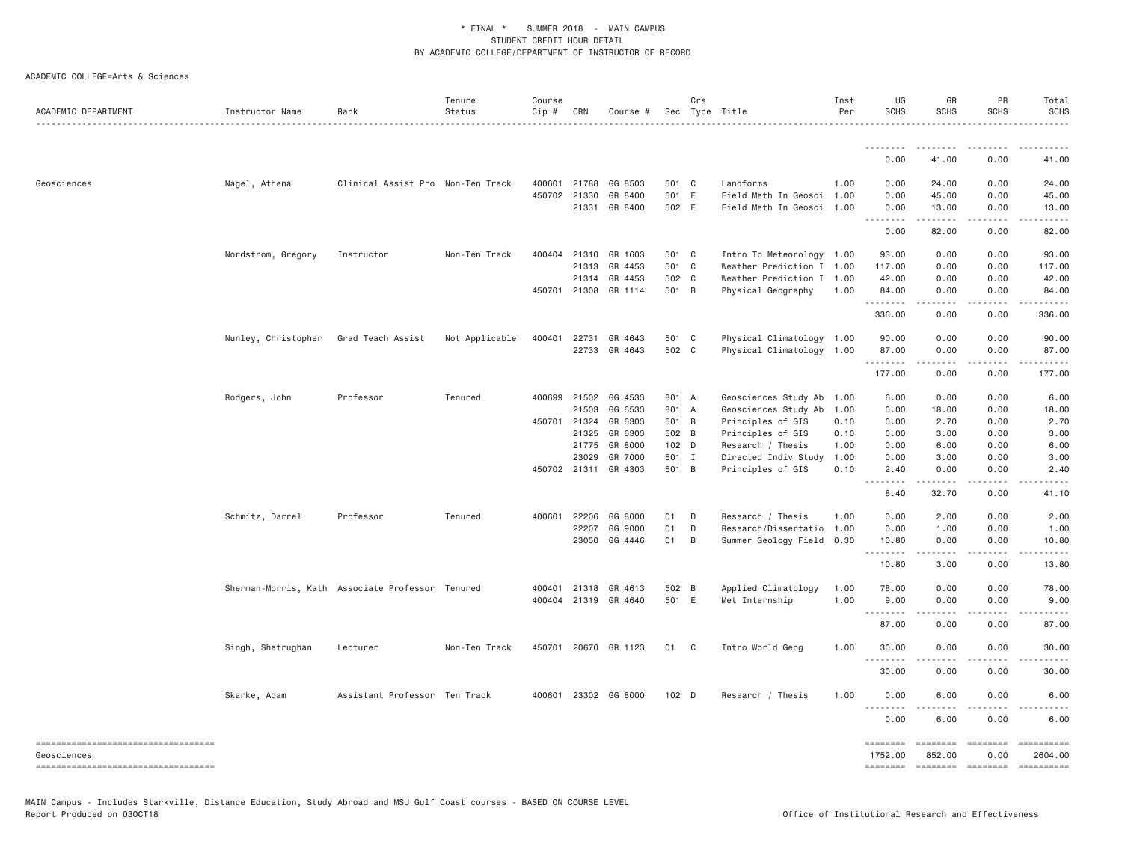| ACADEMIC DEPARTMENT                               | Instructor Name     | Rank                                             | Tenure<br>Status | Course<br>Cip # | CRN            | Course #             |                | Crs | Sec Type Title                            | Inst<br>Per  | UG<br><b>SCHS</b>                                | GR<br><b>SCHS</b>       | PR<br><b>SCHS</b>     | Total<br><b>SCHS</b>  |
|---------------------------------------------------|---------------------|--------------------------------------------------|------------------|-----------------|----------------|----------------------|----------------|-----|-------------------------------------------|--------------|--------------------------------------------------|-------------------------|-----------------------|-----------------------|
|                                                   |                     |                                                  |                  |                 |                |                      |                |     |                                           |              | ---------                                        |                         |                       |                       |
|                                                   |                     |                                                  |                  |                 |                |                      |                |     |                                           |              | 0.00                                             | 41.00                   | 0.00                  | 41.00                 |
| Geosciences                                       | Nagel, Athena       | Clinical Assist Pro Non-Ten Track                |                  |                 | 400601 21788   | GG 8503              | 501 C          |     | Landforms                                 | 1.00         | 0.00                                             | 24.00                   | 0.00                  | 24.00                 |
|                                                   |                     |                                                  |                  |                 | 450702 21330   | GR 8400              | 501 E          |     | Field Meth In Geosci 1.00                 |              | 0.00                                             | 45.00                   | 0.00                  | 45.00                 |
|                                                   |                     |                                                  |                  |                 | 21331          | GR 8400              | 502 E          |     | Field Meth In Geosci 1.00                 |              | 0.00<br><u>.</u>                                 | 13.00<br>.              | 0.00<br>.             | 13.00<br>.            |
|                                                   |                     |                                                  |                  |                 |                |                      |                |     |                                           |              | 0.00                                             | 82.00                   | 0.00                  | 82.00                 |
|                                                   | Nordstrom, Gregory  | Instructor                                       | Non-Ten Track    |                 | 400404 21310   | GR 1603              | 501 C          |     | Intro To Meteorology 1.00                 |              | 93.00                                            | 0.00                    | 0.00                  | 93.00                 |
|                                                   |                     |                                                  |                  |                 | 21313          | GR 4453              | 501 C          |     | Weather Prediction I 1.00                 |              | 117.00                                           | 0.00                    | 0.00                  | 117.00                |
|                                                   |                     |                                                  |                  |                 |                | 21314 GR 4453        | 502 C          |     | Weather Prediction I 1.00                 |              | 42.00                                            | 0.00                    | 0.00                  | 42.00                 |
|                                                   |                     |                                                  |                  |                 | 450701 21308   | GR 1114              | 501 B          |     | Physical Geography                        | 1.00         | 84.00<br>.                                       | 0.00                    | 0.00                  | 84.00                 |
|                                                   |                     |                                                  |                  |                 |                |                      |                |     |                                           |              | 336.00                                           | 0.00                    | 0.00                  | 336.00                |
|                                                   | Nunley, Christopher | Grad Teach Assist                                | Not Applicable   |                 | 400401 22731   | GR 4643              | 501 C          |     | Physical Climatology 1.00                 |              | 90.00                                            | 0.00                    | 0.00                  | 90.00                 |
|                                                   |                     |                                                  |                  |                 |                | 22733 GR 4643        | 502 C          |     | Physical Climatology 1.00                 |              | 87.00<br>.                                       | 0.00                    | 0.00                  | 87.00                 |
|                                                   |                     |                                                  |                  |                 |                |                      |                |     |                                           |              | 177.00                                           | 0.00                    | 0.00                  | 177.00                |
|                                                   | Rodgers, John       | Professor                                        | Tenured          |                 | 400699 21502   | GG 4533              | 801 A          |     | Geosciences Study Ab 1.00                 |              | 6.00                                             | 0.00                    | 0.00                  | 6.00                  |
|                                                   |                     |                                                  |                  |                 | 21503          | GG 6533              | 801 A          |     | Geosciences Study Ab                      | 1.00         | 0.00                                             | 18.00                   | 0.00                  | 18.00                 |
|                                                   |                     |                                                  |                  |                 | 450701 21324   | GR 6303              | 501 B          |     | Principles of GIS                         | 0.10         | 0.00                                             | 2.70                    | 0.00                  | 2.70                  |
|                                                   |                     |                                                  |                  |                 | 21325          | GR 6303              | 502 B          |     | Principles of GIS                         | 0.10         | 0.00                                             | 3.00                    | 0.00                  | 3.00                  |
|                                                   |                     |                                                  |                  |                 | 21775<br>23029 | GR 8000<br>GR 7000   | 102 D<br>501 I |     | Research / Thesis<br>Directed Indiv Study | 1.00<br>1.00 | 0.00<br>0.00                                     | 6.00<br>3.00            | 0.00<br>0.00          | 6.00<br>3.00          |
|                                                   |                     |                                                  |                  |                 |                | 450702 21311 GR 4303 | 501 B          |     | Principles of GIS                         | 0.10         | 2.40                                             | 0.00                    | 0.00                  | 2.40                  |
|                                                   |                     |                                                  |                  |                 |                |                      |                |     |                                           |              | $\omega$ is $\omega$ in<br>$\sim$ $\sim$<br>8.40 | .<br>32.70              | .<br>0.00             | 41.10                 |
|                                                   | Schmitz, Darrel     | Professor                                        | Tenured          |                 | 400601 22206   | GG 8000              | 01             | D   | Research / Thesis                         | 1.00         | 0.00                                             | 2.00                    | 0.00                  | 2.00                  |
|                                                   |                     |                                                  |                  |                 | 22207          | GG 9000              | 01             | D   | Research/Dissertatio 1.00                 |              | 0.00                                             | 1.00                    | 0.00                  | 1.00                  |
|                                                   |                     |                                                  |                  |                 | 23050          | GG 4446              | 01             | B   | Summer Geology Field 0.30                 |              | 10.80<br>.                                       | 0.00<br>.               | 0.00<br>.             | 10.80                 |
|                                                   |                     |                                                  |                  |                 |                |                      |                |     |                                           |              | 10.80                                            | 3.00                    | 0.00                  | 13.80                 |
|                                                   |                     | Sherman-Morris, Kath Associate Professor Tenured |                  |                 | 400401 21318   | GR 4613              | 502 B          |     | Applied Climatology                       | 1.00         | 78.00                                            | 0.00                    | 0.00                  | 78.00                 |
|                                                   |                     |                                                  |                  |                 |                | 400404 21319 GR 4640 | 501 E          |     | Met Internship                            | 1.00         | 9.00<br>. <i>.</i>                               | 0.00<br>.               | 0.00<br>.             | 9.00                  |
|                                                   |                     |                                                  |                  |                 |                |                      |                |     |                                           |              | 87.00                                            | 0.00                    | 0.00                  | 87.00                 |
|                                                   | Singh, Shatrughan   | Lecturer                                         | Non-Ten Track    |                 |                | 450701 20670 GR 1123 | 01 C           |     | Intro World Geog                          | 1.00         | 30,00                                            | 0.00                    | 0.00                  | 30.00                 |
|                                                   |                     |                                                  |                  |                 |                |                      |                |     |                                           |              | .<br>30.00                                       | 0.00                    | 0.00                  | 30.00                 |
|                                                   | Skarke, Adam        | Assistant Professor Ten Track                    |                  |                 |                | 400601 23302 GG 8000 | 102 D          |     | Research / Thesis                         | 1.00         | 0.00                                             | 6.00                    | 0.00                  | 6.00                  |
|                                                   |                     |                                                  |                  |                 |                |                      |                |     |                                           |              | .<br>0.00                                        | 6.00                    | 0.00                  | 6.00                  |
| ====================================              |                     |                                                  |                  |                 |                |                      |                |     |                                           |              | ========                                         | ========                | $=$ ========          | ==========            |
| Geosciences<br>---------------------------------- |                     |                                                  |                  |                 |                |                      |                |     |                                           |              | 1752.00<br><b>EEEEEEEE</b>                       | 852.00<br>$= 222222222$ | 0.00<br>$= 222222222$ | 2604.00<br>========== |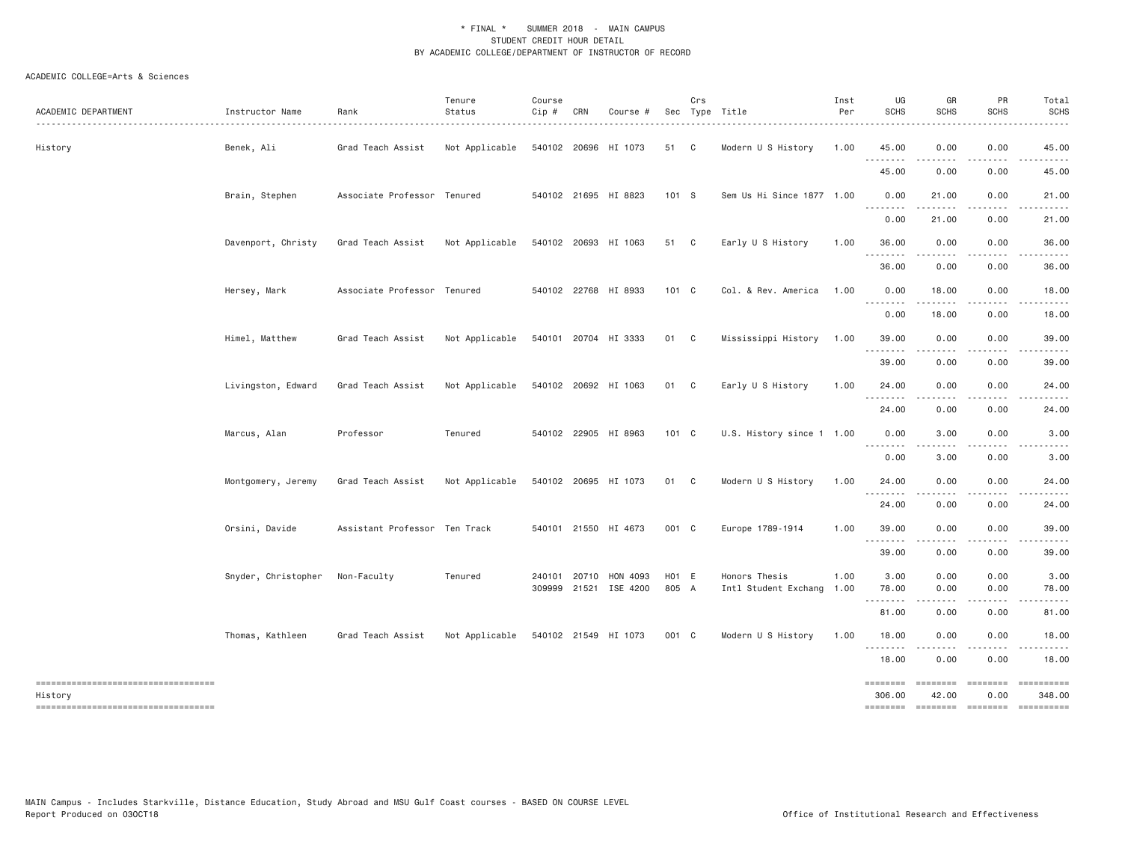| ACADEMIC DEPARTMENT                           | Instructor Name     | Rank                          | Tenure<br>Status | Course<br>Cip # | CRN          | Course #                          |                            | Crs | Sec Type Title                        | Inst<br>Per  | UG<br><b>SCHS</b>                                                                                                                                                                                                                                                                                                                                                                                                                                                                                | GR<br><b>SCHS</b>                                                                                                                 | PR<br><b>SCHS</b>                     | Total<br><b>SCHS</b> |
|-----------------------------------------------|---------------------|-------------------------------|------------------|-----------------|--------------|-----------------------------------|----------------------------|-----|---------------------------------------|--------------|--------------------------------------------------------------------------------------------------------------------------------------------------------------------------------------------------------------------------------------------------------------------------------------------------------------------------------------------------------------------------------------------------------------------------------------------------------------------------------------------------|-----------------------------------------------------------------------------------------------------------------------------------|---------------------------------------|----------------------|
| History                                       | Benek, Ali          | Grad Teach Assist             | Not Applicable   |                 |              | 540102 20696 HI 1073              | 51 C                       |     | Modern U S History                    | 1.00         | 45.00<br>.                                                                                                                                                                                                                                                                                                                                                                                                                                                                                       | 0.00<br>$- - - - - -$                                                                                                             | 0.00<br>.                             | 45.00<br>.           |
|                                               |                     |                               |                  |                 |              |                                   |                            |     |                                       |              | 45.00                                                                                                                                                                                                                                                                                                                                                                                                                                                                                            | 0.00                                                                                                                              | 0.00                                  | 45.00                |
|                                               | Brain, Stephen      | Associate Professor Tenured   |                  |                 |              | 540102 21695 HI 8823              | 101 S                      |     | Sem Us Hi Since 1877 1.00             |              | 0.00<br>.                                                                                                                                                                                                                                                                                                                                                                                                                                                                                        | 21.00<br>.                                                                                                                        | 0.00<br>-----                         | 21.00<br>.           |
|                                               |                     |                               |                  |                 |              |                                   |                            |     |                                       |              | 0.00                                                                                                                                                                                                                                                                                                                                                                                                                                                                                             | 21.00                                                                                                                             | 0.00                                  | 21.00                |
|                                               | Davenport, Christy  | Grad Teach Assist             | Not Applicable   |                 |              | 540102 20693 HI 1063              | 51 C                       |     | Early U S History                     | 1.00         | 36.00<br>.                                                                                                                                                                                                                                                                                                                                                                                                                                                                                       | 0.00                                                                                                                              | 0.00                                  | 36.00                |
|                                               |                     |                               |                  |                 |              |                                   |                            |     |                                       |              | 36.00                                                                                                                                                                                                                                                                                                                                                                                                                                                                                            | 0.00                                                                                                                              | 0.00                                  | 36.00                |
|                                               | Hersey, Mark        | Associate Professor Tenured   |                  |                 |              | 540102 22768 HI 8933              | 101 C                      |     | Col. & Rev. America                   | 1.00         | 0.00                                                                                                                                                                                                                                                                                                                                                                                                                                                                                             | 18.00                                                                                                                             | 0.00                                  | 18.00                |
|                                               |                     |                               |                  |                 |              |                                   |                            |     |                                       |              | 0.00                                                                                                                                                                                                                                                                                                                                                                                                                                                                                             | 18.00                                                                                                                             | 0.00                                  | 18.00                |
|                                               | Himel, Matthew      | Grad Teach Assist             | Not Applicable   |                 |              | 540101 20704 HI 3333              | 01 C                       |     | Mississippi History                   | 1.00         | 39.00                                                                                                                                                                                                                                                                                                                                                                                                                                                                                            | 0.00                                                                                                                              | 0.00                                  | 39.00                |
|                                               |                     |                               |                  |                 |              |                                   |                            |     |                                       |              | 39.00                                                                                                                                                                                                                                                                                                                                                                                                                                                                                            | 0.00                                                                                                                              | 0.00                                  | 39.00                |
|                                               | Livingston, Edward  | Grad Teach Assist             | Not Applicable   |                 |              | 540102 20692 HI 1063              | 01 C                       |     | Early U S History                     | 1.00         | 24.00<br>.                                                                                                                                                                                                                                                                                                                                                                                                                                                                                       | 0.00<br>$\frac{1}{2} \left( \frac{1}{2} \right) \left( \frac{1}{2} \right) \left( \frac{1}{2} \right) \left( \frac{1}{2} \right)$ | 0.00<br>.                             | 24.00                |
|                                               |                     |                               |                  |                 |              |                                   |                            |     |                                       |              | 24.00                                                                                                                                                                                                                                                                                                                                                                                                                                                                                            | 0.00                                                                                                                              | 0.00                                  | 24.00                |
|                                               | Marcus, Alan        | Professor                     | Tenured          |                 |              | 540102 22905 HI 8963              | 101 C                      |     | U.S. History since 1 1.00             |              | 0.00<br>----                                                                                                                                                                                                                                                                                                                                                                                                                                                                                     | 3.00                                                                                                                              | 0.00                                  | 3.00                 |
|                                               |                     |                               |                  |                 |              |                                   |                            |     |                                       |              | 0.00                                                                                                                                                                                                                                                                                                                                                                                                                                                                                             | 3.00                                                                                                                              | 0.00                                  | 3.00                 |
|                                               | Montgomery, Jeremy  | Grad Teach Assist             | Not Applicable   |                 |              | 540102 20695 HI 1073              | 01 C                       |     | Modern U S History                    | 1.00         | 24.00<br>.                                                                                                                                                                                                                                                                                                                                                                                                                                                                                       | 0.00                                                                                                                              | 0.00                                  | 24.00                |
|                                               |                     |                               |                  |                 |              |                                   |                            |     |                                       |              | 24.00                                                                                                                                                                                                                                                                                                                                                                                                                                                                                            | 0.00                                                                                                                              | 0.00                                  | 24.00                |
|                                               | Orsini, Davide      | Assistant Professor Ten Track |                  |                 |              | 540101 21550 HI 4673              | 001 C                      |     | Europe 1789-1914                      | 1.00         | 39,00                                                                                                                                                                                                                                                                                                                                                                                                                                                                                            | 0.00                                                                                                                              | 0.00                                  | 39.00                |
|                                               |                     |                               |                  |                 |              |                                   |                            |     |                                       |              | 39.00                                                                                                                                                                                                                                                                                                                                                                                                                                                                                            | 0.00                                                                                                                              | 0.00                                  | 39.00                |
|                                               | Snyder, Christopher | Non-Faculty                   | Tenured          |                 | 240101 20710 | HON 4093<br>309999 21521 ISE 4200 | H <sub>01</sub> E<br>805 A |     | Honors Thesis<br>Intl Student Exchang | 1.00<br>1.00 | 3.00<br>78.00                                                                                                                                                                                                                                                                                                                                                                                                                                                                                    | 0.00<br>0.00                                                                                                                      | 0.00<br>0.00                          | 3.00<br>78.00        |
|                                               |                     |                               |                  |                 |              |                                   |                            |     |                                       |              | 81.00                                                                                                                                                                                                                                                                                                                                                                                                                                                                                            | $- - - -$<br>0.00                                                                                                                 | . <b>.</b><br>0.00                    | $- - - - -$<br>81.00 |
|                                               | Thomas, Kathleen    | Grad Teach Assist             | Not Applicable   |                 |              | 540102 21549 HI 1073              | 001 C                      |     | Modern U S History                    | 1.00         | 18.00                                                                                                                                                                                                                                                                                                                                                                                                                                                                                            | 0.00                                                                                                                              | 0.00                                  | 18.00                |
|                                               |                     |                               |                  |                 |              |                                   |                            |     |                                       |              | 18.00                                                                                                                                                                                                                                                                                                                                                                                                                                                                                            | 0.00                                                                                                                              | 0.00                                  | 18.00                |
| ----------------------------------<br>History |                     |                               |                  |                 |              |                                   |                            |     |                                       |              | $\begin{array}{cccccccccc} \multicolumn{2}{c}{} & \multicolumn{2}{c}{} & \multicolumn{2}{c}{} & \multicolumn{2}{c}{} & \multicolumn{2}{c}{} & \multicolumn{2}{c}{} & \multicolumn{2}{c}{} & \multicolumn{2}{c}{} & \multicolumn{2}{c}{} & \multicolumn{2}{c}{} & \multicolumn{2}{c}{} & \multicolumn{2}{c}{} & \multicolumn{2}{c}{} & \multicolumn{2}{c}{} & \multicolumn{2}{c}{} & \multicolumn{2}{c}{} & \multicolumn{2}{c}{} & \multicolumn{2}{c}{} & \multicolumn{2}{c}{} & \mult$<br>306.00 | ========<br>42.00                                                                                                                 | $=$ ========<br>0.00                  | ==========<br>348.00 |
| -----------------------------------           |                     |                               |                  |                 |              |                                   |                            |     |                                       |              |                                                                                                                                                                                                                                                                                                                                                                                                                                                                                                  |                                                                                                                                   | ======== ======== ======== ========== |                      |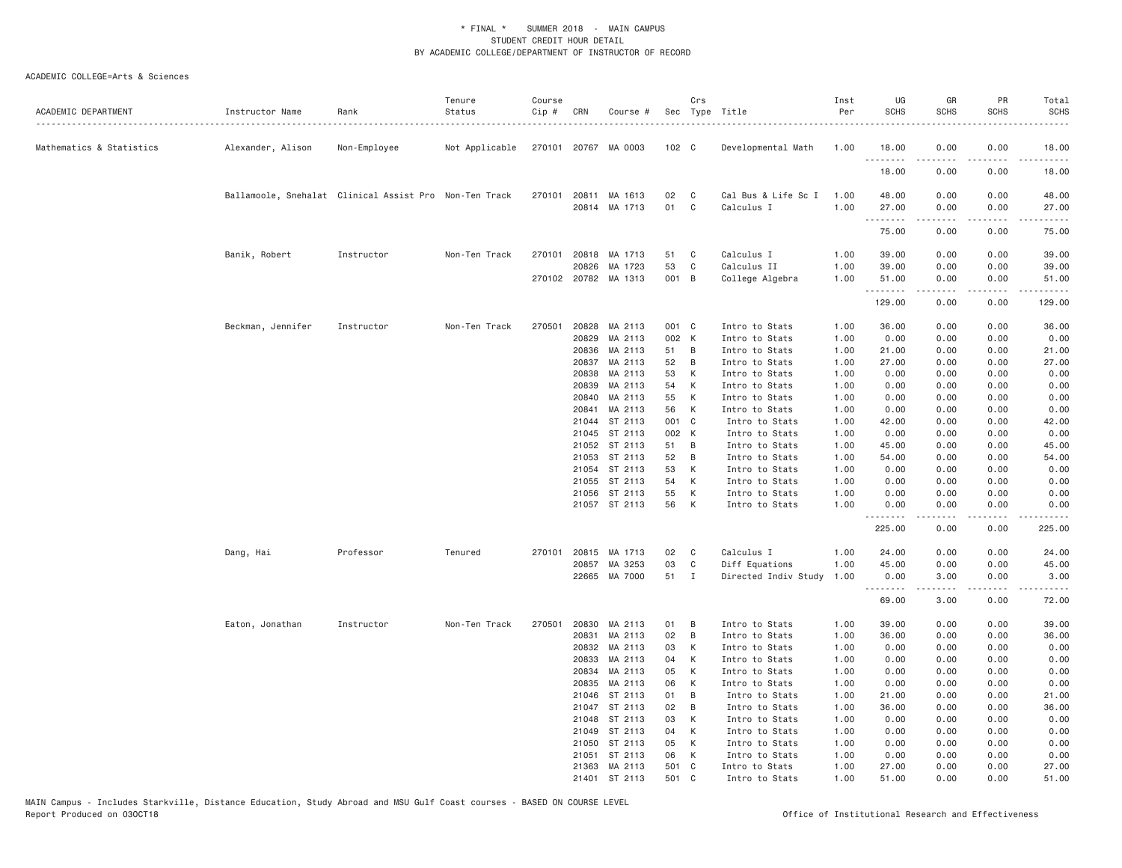| ACADEMIC DEPARTMENT      | Instructor Name   | Rank                                                   | Tenure<br>Status | Course<br>Cip # | CRN          | Course #                        |             | Crs          | Sec Type Title                    | Inst<br>Per  | UG<br><b>SCHS</b> | GR<br><b>SCHS</b>                                                                                                                                            | PR<br><b>SCHS</b>                   | Total<br><b>SCHS</b> |
|--------------------------|-------------------|--------------------------------------------------------|------------------|-----------------|--------------|---------------------------------|-------------|--------------|-----------------------------------|--------------|-------------------|--------------------------------------------------------------------------------------------------------------------------------------------------------------|-------------------------------------|----------------------|
| Mathematics & Statistics | Alexander, Alison | Non-Employee                                           | Not Applicable   |                 |              | 270101 20767 MA 0003            | 102 C       |              | Developmental Math                | 1.00         | 18.00<br><u>.</u> | 0.00<br>.                                                                                                                                                    | 0.00<br>.                           | 18.00<br>.           |
|                          |                   |                                                        |                  |                 |              |                                 |             |              |                                   |              | 18.00             | 0.00                                                                                                                                                         | 0.00                                | 18.00                |
|                          |                   | Ballamoole, Snehalat Clinical Assist Pro Non-Ten Track |                  |                 | 270101 20811 | MA 1613<br>20814 MA 1713        | 02<br>01    | C<br>C       | Cal Bus & Life Sc I<br>Calculus I | 1.00<br>1.00 | 48.00<br>27.00    | 0.00<br>0.00                                                                                                                                                 | 0.00<br>0.00                        | 48.00<br>27.00       |
|                          |                   |                                                        |                  |                 |              |                                 |             |              |                                   |              | 75.00             | -----<br>0.00                                                                                                                                                | .<br>0.00                           | .<br>75.00           |
|                          | Banik, Robert     | Instructor                                             | Non-Ten Track    | 270101          | 20818        | MA 1713                         | 51          | C            | Calculus I                        | 1.00         | 39.00             | 0.00                                                                                                                                                         | 0.00                                | 39.00                |
|                          |                   |                                                        |                  |                 | 20826        | MA 1723<br>270102 20782 MA 1313 | 53<br>001 B | C            | Calculus II<br>College Algebra    | 1.00<br>1.00 | 39.00<br>51.00    | 0.00<br>0.00                                                                                                                                                 | 0.00<br>0.00                        | 39.00<br>51.00       |
|                          |                   |                                                        |                  |                 |              |                                 |             |              |                                   |              | .<br>129.00       | 0.00                                                                                                                                                         | $\sim$ $\sim$ $\sim$<br>0.00        | د د د د<br>129.00    |
|                          | Beckman, Jennifer | Instructor                                             | Non-Ten Track    | 270501          |              | 20828 MA 2113                   | 001 C       |              | Intro to Stats                    | 1.00         | 36.00             | 0.00                                                                                                                                                         | 0.00                                | 36.00                |
|                          |                   |                                                        |                  |                 | 20829        | MA 2113                         | 002 K       |              | Intro to Stats                    | 1.00         | 0.00              | 0.00                                                                                                                                                         | 0.00                                | 0.00                 |
|                          |                   |                                                        |                  |                 | 20836        | MA 2113                         | 51          | B            | Intro to Stats                    | 1.00         | 21.00             | 0.00                                                                                                                                                         | 0.00                                | 21.00                |
|                          |                   |                                                        |                  |                 | 20837        | MA 2113                         | 52          | B            | Intro to Stats                    | 1.00         | 27.00             | 0.00                                                                                                                                                         | 0.00                                | 27.00                |
|                          |                   |                                                        |                  |                 | 20838        | MA 2113                         | 53          | К            | Intro to Stats                    | 1.00         | 0.00              | 0.00                                                                                                                                                         | 0.00                                | 0.00                 |
|                          |                   |                                                        |                  |                 | 20839        | MA 2113                         | 54          | К            | Intro to Stats                    | 1.00         | 0.00              | 0.00                                                                                                                                                         | 0.00                                | 0.00                 |
|                          |                   |                                                        |                  |                 | 20840        | MA 2113                         | 55          | К            | Intro to Stats                    | 1.00         | 0.00              | 0.00                                                                                                                                                         | 0.00                                | 0.00                 |
|                          |                   |                                                        |                  |                 | 20841        | MA 2113                         | 56          | К            | Intro to Stats                    | 1.00         | 0.00              | 0.00                                                                                                                                                         | 0.00                                | 0.00                 |
|                          |                   |                                                        |                  |                 | 21044        | ST 2113                         | 001         | C            | Intro to Stats                    | 1.00         | 42.00             | 0.00                                                                                                                                                         | 0.00                                | 42.00                |
|                          |                   |                                                        |                  |                 | 21045        | ST 2113                         | 002 K       |              | Intro to Stats                    | 1.00         | 0.00              | 0.00                                                                                                                                                         | 0.00                                | 0.00                 |
|                          |                   |                                                        |                  |                 | 21052        | ST 2113                         | 51          | B            | Intro to Stats                    | 1.00         | 45.00             | 0.00                                                                                                                                                         | 0.00                                | 45.00                |
|                          |                   |                                                        |                  |                 | 21053        | ST 2113                         | 52          | B            | Intro to Stats                    | 1.00         | 54.00             | 0.00                                                                                                                                                         | 0.00                                | 54.00                |
|                          |                   |                                                        |                  |                 | 21054        | ST 2113                         | 53          | К            | Intro to Stats                    | 1.00         | 0.00              | 0.00                                                                                                                                                         | 0.00                                | 0.00                 |
|                          |                   |                                                        |                  |                 |              |                                 |             |              |                                   |              |                   |                                                                                                                                                              |                                     |                      |
|                          |                   |                                                        |                  |                 | 21055        | ST 2113                         | 54          | К            | Intro to Stats                    | 1.00         | 0.00              | 0.00                                                                                                                                                         | 0.00                                | 0.00                 |
|                          |                   |                                                        |                  |                 | 21056        | ST 2113                         | 55          | К            | Intro to Stats                    | 1.00         | 0.00              | 0.00                                                                                                                                                         | 0.00                                | 0.00                 |
|                          |                   |                                                        |                  |                 |              | 21057 ST 2113                   | 56          | К            | Intro to Stats                    | 1.00         | 0.00<br>.         | 0.00                                                                                                                                                         | 0.00<br>$\sim$ $\sim$ $\sim$ $\sim$ | 0.00<br>المتمالين    |
|                          |                   |                                                        |                  |                 |              |                                 |             |              |                                   |              | 225.00            | 0.00                                                                                                                                                         | 0.00                                | 225.00               |
|                          | Dang, Hai         | Professor                                              | Tenured          |                 | 270101 20815 | MA 1713                         | 02          | C            | Calculus I                        | 1.00         | 24.00             | 0.00                                                                                                                                                         | 0.00                                | 24.00                |
|                          |                   |                                                        |                  |                 | 20857        | MA 3253                         | 03          | C            | Diff Equations                    | 1.00         | 45.00             | 0.00                                                                                                                                                         | 0.00                                | 45.00                |
|                          |                   |                                                        |                  |                 |              | 22665 MA 7000                   | 51          | $\mathbf{I}$ | Directed Indiv Study              | 1.00         | 0.00<br>.         | 3.00<br>$\frac{1}{2} \left( \frac{1}{2} \right) \left( \frac{1}{2} \right) \left( \frac{1}{2} \right) \left( \frac{1}{2} \right) \left( \frac{1}{2} \right)$ | 0.00<br>.                           | 3.00<br>.            |
|                          |                   |                                                        |                  |                 |              |                                 |             |              |                                   |              | 69.00             | 3.00                                                                                                                                                         | 0.00                                | 72.00                |
|                          | Eaton, Jonathan   | Instructor                                             | Non-Ten Track    | 270501          | 20830        | MA 2113                         | 01          | B            | Intro to Stats                    | 1.00         | 39.00             | 0.00                                                                                                                                                         | 0.00                                | 39.00                |
|                          |                   |                                                        |                  |                 | 20831        | MA 2113                         | 02          | B            | Intro to Stats                    | 1.00         | 36.00             | 0.00                                                                                                                                                         | 0.00                                | 36.00                |
|                          |                   |                                                        |                  |                 | 20832        | MA 2113                         | 03          | К            | Intro to Stats                    | 1.00         | 0.00              | 0.00                                                                                                                                                         | 0.00                                | 0.00                 |
|                          |                   |                                                        |                  |                 | 20833        | MA 2113                         | 04          | К            | Intro to Stats                    | 1.00         | 0.00              | 0.00                                                                                                                                                         | 0.00                                | 0.00                 |
|                          |                   |                                                        |                  |                 | 20834        | MA 2113                         | 05          | К            | Intro to Stats                    | 1.00         | 0.00              | 0.00                                                                                                                                                         | 0.00                                | 0.00                 |
|                          |                   |                                                        |                  |                 | 20835        | MA 2113                         | 06          | К            | Intro to Stats                    | 1.00         | 0.00              | 0.00                                                                                                                                                         | 0.00                                | 0.00                 |
|                          |                   |                                                        |                  |                 |              | 21046 ST 2113                   | 01          | B            | Intro to Stats                    | 1.00         | 21.00             | 0.00                                                                                                                                                         | 0.00                                | 21.00                |
|                          |                   |                                                        |                  |                 |              |                                 |             |              |                                   |              |                   |                                                                                                                                                              |                                     |                      |
|                          |                   |                                                        |                  |                 | 21047        | ST 2113                         | 02          | B            | Intro to Stats                    | 1.00         | 36.00             | 0.00                                                                                                                                                         | 0.00                                | 36.00                |
|                          |                   |                                                        |                  |                 | 21048        | ST 2113                         | 03          | К            | Intro to Stats                    | 1.00         | 0.00              | 0.00                                                                                                                                                         | 0.00                                | 0.00                 |
|                          |                   |                                                        |                  |                 | 21049        | ST 2113                         | 04          | К            | Intro to Stats                    | 1.00         | 0.00              | 0.00                                                                                                                                                         | 0.00                                | 0.00                 |
|                          |                   |                                                        |                  |                 | 21050        | ST 2113                         | 05          | К            | Intro to Stats                    | 1.00         | 0.00              | 0.00                                                                                                                                                         | 0.00                                | 0.00                 |
|                          |                   |                                                        |                  |                 | 21051        | ST 2113                         | 06          | К            | Intro to Stats                    | 1.00         | 0.00              | 0.00                                                                                                                                                         | 0.00                                | 0.00                 |
|                          |                   |                                                        |                  |                 |              | 21363 MA 2113                   | 501 C       |              | Intro to Stats                    | 1.00         | 27.00             | 0.00                                                                                                                                                         | 0.00                                | 27.00                |
|                          |                   |                                                        |                  |                 |              | 21401 ST 2113                   | 501         | C            | Intro to Stats                    | 1.00         | 51.00             | 0.00                                                                                                                                                         | 0.00                                | 51.00                |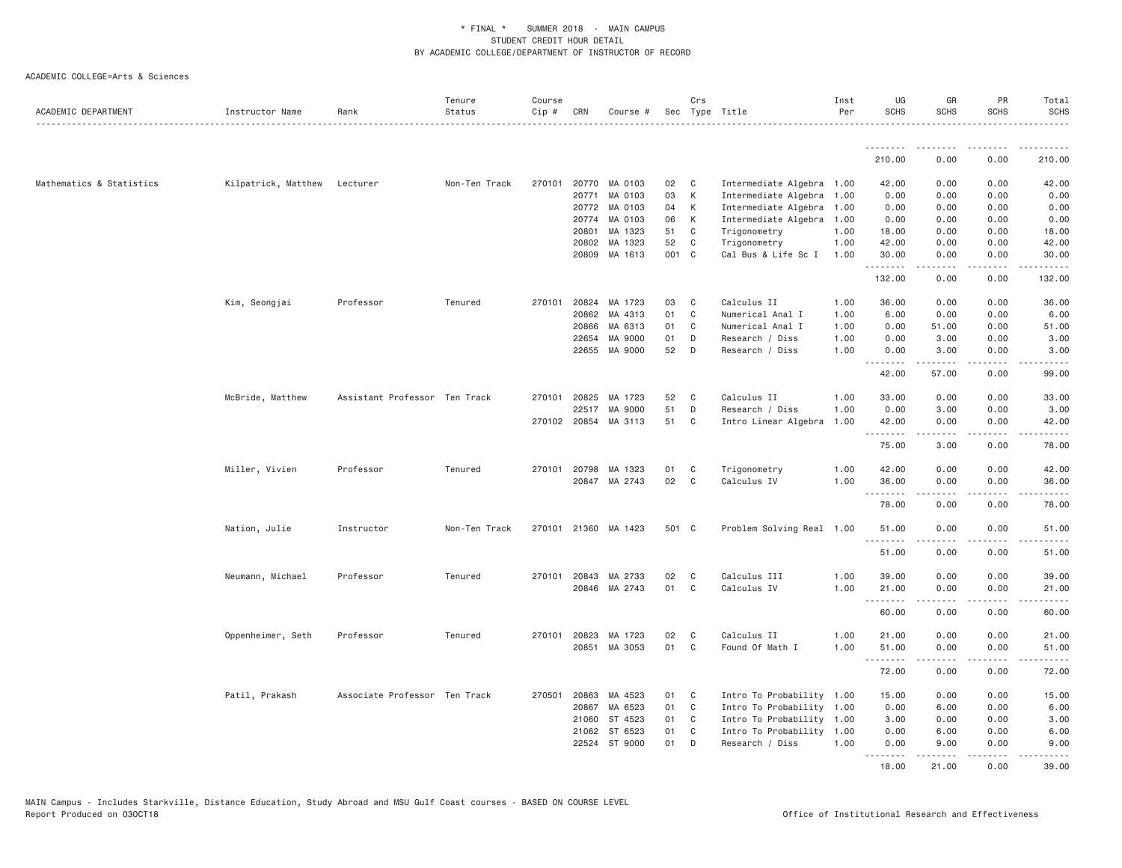| ACADEMIC DEPARTMENT      | Instructor Name              | Rank                          | Tenure<br>Status | Course<br>Cip# | CRN   | Course #             |       | Crs<br>Sec Type Title |                           | Inst<br>Per | UG<br><b>SCHS</b>   | GR<br><b>SCHS</b>   | PR<br><b>SCHS</b> | Total<br><b>SCHS</b>                        |
|--------------------------|------------------------------|-------------------------------|------------------|----------------|-------|----------------------|-------|-----------------------|---------------------------|-------------|---------------------|---------------------|-------------------|---------------------------------------------|
|                          |                              |                               |                  |                |       |                      |       |                       |                           |             | .                   | .                   | ----              |                                             |
|                          |                              |                               |                  |                |       |                      |       |                       |                           |             | 210.00              | 0.00                | 0.00              | 210.00                                      |
| Mathematics & Statistics | Kilpatrick, Matthew Lecturer |                               | Non-Ten Track    | 270101         |       | 20770 MA 0103        | 02    | $\mathbf{C}$          | Intermediate Algebra 1.00 |             | 42.00               | 0.00                | 0.00              | 42.00                                       |
|                          |                              |                               |                  |                | 20771 | MA 0103              | 03    | К                     | Intermediate Algebra      | 1.00        | 0.00                | 0.00                | 0.00              | 0.00                                        |
|                          |                              |                               |                  |                |       | 20772 MA 0103        | 04    | K                     | Intermediate Algebra      | 1.00        | 0.00                | 0.00                | 0.00              | 0.00                                        |
|                          |                              |                               |                  |                | 20774 | MA 0103              | 06    | K                     | Intermediate Algebra      | 1.00        | 0.00                | 0.00                | 0.00              | 0.00                                        |
|                          |                              |                               |                  |                | 20801 | MA 1323              | 51    | C                     | Trigonometry              | 1.00        | 18.00               | 0.00                | 0.00              | 18.00                                       |
|                          |                              |                               |                  |                | 20802 | MA 1323              | 52    | C                     | Trigonometry              | 1.00        | 42.00               | 0.00                | 0.00              | 42.00                                       |
|                          |                              |                               |                  |                |       | 20809 MA 1613        | 001 C |                       | Cal Bus & Life Sc I       | 1.00        | 30.00<br>.          | 0.00                | 0.00<br>.         | 30.00<br>.                                  |
|                          |                              |                               |                  |                |       |                      |       |                       |                           |             | 132.00              | 0.00                | 0.00              | 132.00                                      |
|                          | Kim, Seongjai                | Professor                     | Tenured          | 270101         | 20824 | MA 1723              | 03    | C                     | Calculus II               | 1.00        | 36.00               | 0.00                | 0.00              | 36.00                                       |
|                          |                              |                               |                  |                | 20862 | MA 4313              | 01    | C                     | Numerical Anal I          | 1.00        | 6.00                | 0.00                | 0.00              | 6.00                                        |
|                          |                              |                               |                  |                | 20866 | MA 6313              | 01    | C                     | Numerical Anal I          | 1.00        | 0.00                | 51.00               | 0.00              | 51.00                                       |
|                          |                              |                               |                  |                | 22654 | MA 9000              | 01    | D                     | Research / Diss           | 1.00        | 0.00                | 3.00                | 0.00              | 3.00                                        |
|                          |                              |                               |                  |                |       | 22655 MA 9000        | 52    | D                     | Research / Diss           | 1.00        | 0.00<br>. <i>.</i>  | 3.00<br>$- - - - -$ | 0.00<br>.         | 3.00<br>$- - - - -$                         |
|                          |                              |                               |                  |                |       |                      |       |                       |                           |             | 42.00               | 57.00               | 0.00              | 99.00                                       |
|                          | McBride, Matthew             | Assistant Professor Ten Track |                  | 270101         | 20825 | MA 1723              | 52    | C                     | Calculus II               | 1.00        | 33,00               | 0.00                | 0.00              | 33,00                                       |
|                          |                              |                               |                  |                | 22517 | MA 9000              | 51    | D                     | Research / Diss           | 1.00        | 0.00                | 3.00                | 0.00              | 3.00                                        |
|                          |                              |                               |                  |                |       | 270102 20854 MA 3113 | 51    | C                     | Intro Linear Algebra      | 1.00        | 42.00<br>. <b>.</b> | 0.00                | 0.00<br>.         | 42.00<br>$- - - - -$                        |
|                          |                              |                               |                  |                |       |                      |       |                       |                           |             | 75.00               | 3.00                | 0.00              | 78.00                                       |
|                          | Miller, Vivien               | Professor                     | Tenured          |                |       | 270101 20798 MA 1323 | 01    | C                     | Trigonometry              | 1.00        | 42.00               | 0.00                | 0.00              | 42.00                                       |
|                          |                              |                               |                  |                |       | 20847 MA 2743        | 02    | C                     | Calculus IV               | 1.00        | 36.00               | 0.00                | 0.00              | 36.00                                       |
|                          |                              |                               |                  |                |       |                      |       |                       |                           |             | .<br>78.00          | .<br>0.00           | .<br>0.00         | .<br>78.00                                  |
|                          | Nation, Julie                | Instructor                    | Non-Ten Track    |                |       | 270101 21360 MA 1423 | 501 C |                       | Problem Solving Real 1.00 |             | 51.00<br>.          | 0.00                | 0.00              | 51.00<br>$\sim$ $\sim$ $\sim$ $\sim$ $\sim$ |
|                          |                              |                               |                  |                |       |                      |       |                       |                           |             | 51.00               | 0.00                | 0.00              | 51.00                                       |
|                          | Neumann, Michael             | Professor                     | Tenured          |                |       | 270101 20843 MA 2733 | 02    | C                     | Calculus III              | 1.00        | 39.00               | 0.00                | 0.00              | 39.00                                       |
|                          |                              |                               |                  |                |       | 20846 MA 2743        | 01    | C                     | Calculus IV               | 1.00        | 21.00               | 0.00                | 0.00              | 21.00                                       |
|                          |                              |                               |                  |                |       |                      |       |                       |                           |             | <u>.</u><br>60.00   | .<br>0.00           | .<br>0.00         | .<br>60.00                                  |
|                          | Oppenheimer, Seth            | Professor                     | Tenured          | 270101         | 20823 | MA 1723              | 02    | C                     | Calculus II               | 1.00        | 21.00               | 0.00                | 0.00              | 21.00                                       |
|                          |                              |                               |                  |                |       | 20851 MA 3053        | 01    | C                     | Found Of Math I           | 1.00        | 51.00               | 0.00                | 0.00              | 51.00                                       |
|                          |                              |                               |                  |                |       |                      |       |                       |                           |             | .<br>72.00          | .<br>0.00           | د د د د<br>0.00   | .<br>72.00                                  |
|                          | Patil, Prakash               | Associate Professor Ten Track |                  | 270501         |       | 20863 MA 4523        | 01    | $\mathbf{C}$          | Intro To Probability 1.00 |             | 15.00               | 0.00                | 0.00              | 15.00                                       |
|                          |                              |                               |                  |                | 20867 | MA 6523              | 01    | C                     | Intro To Probability 1.00 |             | 0.00                | 6.00                | 0.00              | 6.00                                        |
|                          |                              |                               |                  |                |       | 21060 ST 4523        | 01    | C                     | Intro To Probability 1.00 |             | 3.00                | 0.00                | 0.00              | 3.00                                        |
|                          |                              |                               |                  |                | 21062 | ST 6523              | 01    | $\mathsf{C}$          | Intro To Probability 1.00 |             | 0.00                | 6.00                | 0.00              | 6.00                                        |
|                          |                              |                               |                  |                | 22524 | ST 9000              | 01    | D                     | Research / Diss           | 1.00        | 0.00<br>.           | 9.00<br>.           | 0.00<br>.         | 9.00<br>$\frac{1}{2}$                       |
|                          |                              |                               |                  |                |       |                      |       |                       |                           |             | 18,00               | 21.00               | 0.00              | 39,00                                       |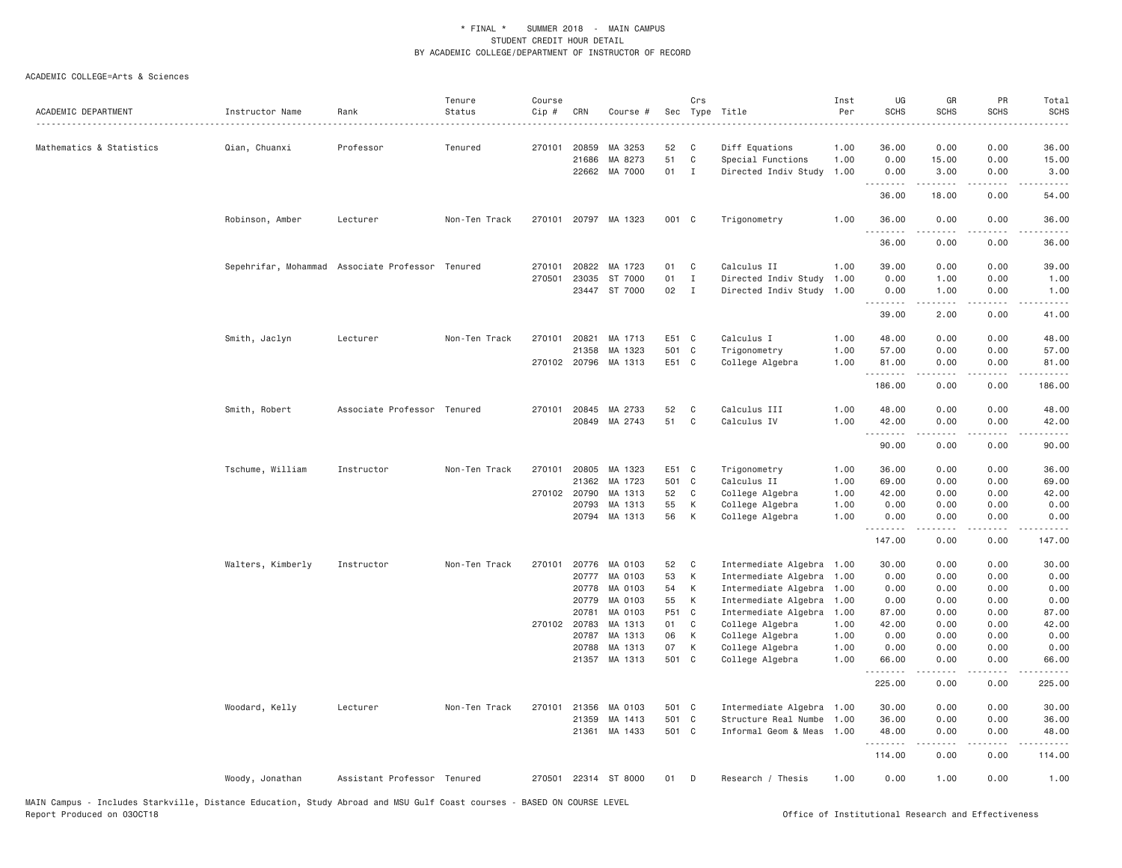| ACADEMIC DEPARTMENT      | Instructor Name   | Rank                                             | Tenure<br>Status | Course<br>Cip # | CRN   | Course #             | Sec   | Crs          | Type Title                | Inst<br>Per | UG<br><b>SCHS</b>  | GR<br><b>SCHS</b> | PR<br><b>SCHS</b>                                                                                                                 | Total<br><b>SCHS</b>                                                                                                                                          |
|--------------------------|-------------------|--------------------------------------------------|------------------|-----------------|-------|----------------------|-------|--------------|---------------------------|-------------|--------------------|-------------------|-----------------------------------------------------------------------------------------------------------------------------------|---------------------------------------------------------------------------------------------------------------------------------------------------------------|
|                          |                   |                                                  |                  |                 |       |                      |       |              |                           |             |                    |                   |                                                                                                                                   | $    -$                                                                                                                                                       |
| Mathematics & Statistics | Qian, Chuanxi     | Professor                                        | Tenured          | 270101          | 20859 | MA 3253              | 52    | C            | Diff Equations            | 1.00        | 36.00              | 0.00              | 0.00                                                                                                                              | 36.00                                                                                                                                                         |
|                          |                   |                                                  |                  |                 | 21686 | MA 8273              | 51    | $\mathtt{C}$ | Special Functions         | 1.00        | 0.00               | 15.00             | 0.00                                                                                                                              | 15.00                                                                                                                                                         |
|                          |                   |                                                  |                  |                 | 22662 | MA 7000              | 01    | $\mathbf{I}$ | Directed Indiv Study      | 1.00        | 0.00               | 3.00              | 0.00                                                                                                                              | 3.00                                                                                                                                                          |
|                          |                   |                                                  |                  |                 |       |                      |       |              |                           |             | .<br>36.00         | <b>.</b><br>18.00 | .<br>0.00                                                                                                                         | $\frac{1}{2} \left( \frac{1}{2} \right) \left( \frac{1}{2} \right) \left( \frac{1}{2} \right) \left( \frac{1}{2} \right) \left( \frac{1}{2} \right)$<br>54.00 |
|                          | Robinson, Amber   | Lecturer                                         | Non-Ten Track    |                 |       | 270101 20797 MA 1323 | 001 C |              | Trigonometry              | 1.00        | 36.00              | 0.00              | 0.00                                                                                                                              | 36.00                                                                                                                                                         |
|                          |                   |                                                  |                  |                 |       |                      |       |              |                           |             | 36.00              | 0.00              | $\frac{1}{2} \left( \frac{1}{2} \right) \left( \frac{1}{2} \right) \left( \frac{1}{2} \right) \left( \frac{1}{2} \right)$<br>0.00 | $\frac{1}{2} \left( \frac{1}{2} \right) \left( \frac{1}{2} \right) \left( \frac{1}{2} \right) \left( \frac{1}{2} \right) \left( \frac{1}{2} \right)$<br>36.00 |
|                          |                   |                                                  |                  |                 |       |                      |       |              |                           |             |                    |                   |                                                                                                                                   |                                                                                                                                                               |
|                          |                   | Sepehrifar, Mohammad Associate Professor Tenured |                  | 270101          | 20822 | MA 1723              | 01    | C            | Calculus II               | 1.00        | 39.00              | 0.00              | 0.00                                                                                                                              | 39.00                                                                                                                                                         |
|                          |                   |                                                  |                  | 270501          | 23035 | ST 7000              | 01    | $\mathbf{I}$ | Directed Indiv Study      | 1.00        | 0.00               | 1.00              | 0.00                                                                                                                              | 1.00                                                                                                                                                          |
|                          |                   |                                                  |                  |                 |       | 23447 ST 7000        | 02    | $\mathbf{I}$ | Directed Indiv Study 1.00 |             | 0.00<br>.          | 1.00<br>.         | 0.00<br>.                                                                                                                         | 1.00<br>$\frac{1}{2} \left( \frac{1}{2} \right) \left( \frac{1}{2} \right) \left( \frac{1}{2} \right) \left( \frac{1}{2} \right) \left( \frac{1}{2} \right)$  |
|                          |                   |                                                  |                  |                 |       |                      |       |              |                           |             | 39.00              | 2.00              | 0.00                                                                                                                              | 41.00                                                                                                                                                         |
|                          | Smith, Jaclyn     | Lecturer                                         | Non-Ten Track    | 270101          | 20821 | MA 1713              | E51 C |              | Calculus I                | 1.00        | 48.00              | 0.00              | 0.00                                                                                                                              | 48.00                                                                                                                                                         |
|                          |                   |                                                  |                  |                 | 21358 | MA 1323              | 501 C |              | Trigonometry              | 1.00        | 57.00              | 0.00              | 0.00                                                                                                                              | 57.00                                                                                                                                                         |
|                          |                   |                                                  |                  | 270102 20796    |       | MA 1313              | E51 C |              | College Algebra           | 1.00        | 81.00              | 0.00              | 0.00                                                                                                                              | 81.00                                                                                                                                                         |
|                          |                   |                                                  |                  |                 |       |                      |       |              |                           |             | .<br>186.00        | .<br>0.00         | .<br>0.00                                                                                                                         | .<br>186.00                                                                                                                                                   |
|                          | Smith, Robert     | Associate Professor Tenured                      |                  | 270101          | 20845 | MA 2733              | 52    | C            | Calculus III              | 1.00        | 48.00              | 0.00              | 0.00                                                                                                                              | 48.00                                                                                                                                                         |
|                          |                   |                                                  |                  |                 | 20849 | MA 2743              | 51    | $\mathbf{C}$ | Calculus IV               | 1.00        | 42.00              | 0.00              | 0.00                                                                                                                              | 42.00                                                                                                                                                         |
|                          |                   |                                                  |                  |                 |       |                      |       |              |                           |             | .<br>90.00         | 0.00              | د د د د<br>0.00                                                                                                                   | $\sim$ $\sim$ $\sim$ $\sim$<br>90.00                                                                                                                          |
|                          | Tschume, William  | Instructor                                       | Non-Ten Track    | 270101          | 20805 | MA 1323              | E51 C |              | Trigonometry              | 1.00        | 36.00              | 0.00              | 0.00                                                                                                                              | 36.00                                                                                                                                                         |
|                          |                   |                                                  |                  |                 | 21362 | MA 1723              | 501 C |              | Calculus II               | 1.00        | 69.00              | 0.00              | 0.00                                                                                                                              | 69.00                                                                                                                                                         |
|                          |                   |                                                  |                  | 270102 20790    |       | MA 1313              | 52    | C            | College Algebra           | 1.00        | 42.00              | 0.00              | 0.00                                                                                                                              | 42.00                                                                                                                                                         |
|                          |                   |                                                  |                  |                 | 20793 | MA 1313              | 55    | К            | College Algebra           | 1.00        | 0.00               | 0.00              | 0.00                                                                                                                              | 0.00                                                                                                                                                          |
|                          |                   |                                                  |                  |                 |       | 20794 MA 1313        | 56    | К            | College Algebra           | 1.00        | 0.00               | 0.00              | 0.00                                                                                                                              | 0.00                                                                                                                                                          |
|                          |                   |                                                  |                  |                 |       |                      |       |              |                           |             | <u>.</u><br>147.00 | .<br>0.00         | .<br>0.00                                                                                                                         | .<br>147.00                                                                                                                                                   |
|                          | Walters, Kimberly | Instructor                                       | Non-Ten Track    | 270101          | 20776 | MA 0103              | 52    | C            | Intermediate Algebra 1.00 |             | 30.00              | 0.00              | 0.00                                                                                                                              | 30.00                                                                                                                                                         |
|                          |                   |                                                  |                  |                 | 20777 | MA 0103              | 53    | K            | Intermediate Algebra 1.00 |             | 0.00               | 0.00              | 0.00                                                                                                                              | 0.00                                                                                                                                                          |
|                          |                   |                                                  |                  |                 | 20778 | MA 0103              | 54    | К            | Intermediate Algebra 1.00 |             | 0.00               | 0.00              | 0.00                                                                                                                              | 0.00                                                                                                                                                          |
|                          |                   |                                                  |                  |                 | 20779 | MA 0103              | 55    | К            | Intermediate Algebra 1.00 |             | 0.00               | 0.00              | 0.00                                                                                                                              | 0.00                                                                                                                                                          |
|                          |                   |                                                  |                  |                 | 20781 | MA 0103              | P51 C |              | Intermediate Algebra 1.00 |             | 87.00              | 0.00              | 0.00                                                                                                                              | 87.00                                                                                                                                                         |
|                          |                   |                                                  |                  | 270102 20783    |       | MA 1313              | 01    | C            | College Algebra           | 1.00        | 42.00              | 0.00              | 0.00                                                                                                                              | 42.00                                                                                                                                                         |
|                          |                   |                                                  |                  |                 | 20787 | MA 1313              | 06    | К            | College Algebra           | 1.00        | 0.00               | 0.00              | 0.00                                                                                                                              | 0.00                                                                                                                                                          |
|                          |                   |                                                  |                  |                 | 20788 | MA 1313              | 07    | К            | College Algebra           | 1.00        | 0.00               | 0.00              | 0.00                                                                                                                              | 0.00                                                                                                                                                          |
|                          |                   |                                                  |                  |                 |       | 21357 MA 1313        | 501 C |              | College Algebra           | 1.00        | 66.00<br>.         | 0.00<br>.         | 0.00<br>.                                                                                                                         | 66.00<br>.                                                                                                                                                    |
|                          |                   |                                                  |                  |                 |       |                      |       |              |                           |             | 225.00             | 0.00              | 0.00                                                                                                                              | 225.00                                                                                                                                                        |
|                          | Woodard, Kelly    | Lecturer                                         | Non-Ten Track    | 270101          | 21356 | MA 0103              | 501 C |              | Intermediate Algebra 1.00 |             | 30.00              | 0.00              | 0.00                                                                                                                              | 30.00                                                                                                                                                         |
|                          |                   |                                                  |                  |                 | 21359 | MA 1413              | 501   | $\mathbf{C}$ | Structure Real Numbe      | 1.00        | 36.00              | 0.00              | 0.00                                                                                                                              | 36.00                                                                                                                                                         |
|                          |                   |                                                  |                  |                 | 21361 | MA 1433              | 501 C |              | Informal Geom & Meas 1.00 |             | 48.00              | 0.00              | 0.00                                                                                                                              | 48.00                                                                                                                                                         |
|                          |                   |                                                  |                  |                 |       |                      |       |              |                           |             | .<br>114.00        | 0.00              | .<br>0.00                                                                                                                         | .<br>114,00                                                                                                                                                   |
|                          | Woody, Jonathan   | Assistant Professor Tenured                      |                  |                 |       | 270501 22314 ST 8000 | 01    | D            | Research / Thesis         | 1.00        | 0.00               | 1.00              | 0.00                                                                                                                              | 1.00                                                                                                                                                          |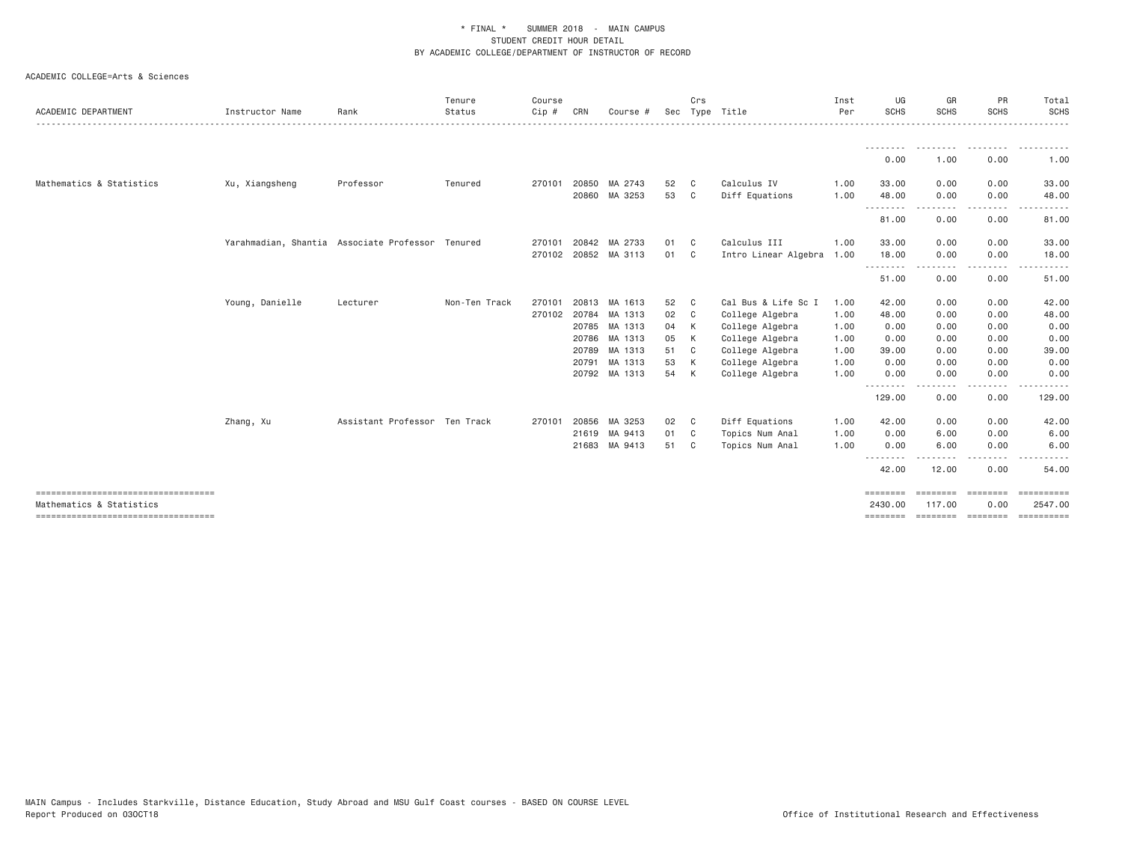| Xu, Xiangsheng<br>Professor                      | Tenured       |                               |       |                      |                                                                                   |                |                                        |      | ---------  | ---------         | .                  |                                                                                                                                                                                                                                                                                                                                                                                                                                                                                                |
|--------------------------------------------------|---------------|-------------------------------|-------|----------------------|-----------------------------------------------------------------------------------|----------------|----------------------------------------|------|------------|-------------------|--------------------|------------------------------------------------------------------------------------------------------------------------------------------------------------------------------------------------------------------------------------------------------------------------------------------------------------------------------------------------------------------------------------------------------------------------------------------------------------------------------------------------|
|                                                  |               |                               |       |                      |                                                                                   |                |                                        |      |            |                   |                    |                                                                                                                                                                                                                                                                                                                                                                                                                                                                                                |
|                                                  |               |                               |       |                      |                                                                                   |                |                                        |      | 0.00       | 1.00              | 0.00               | $\begin{array}{cccccccccccccc} \multicolumn{2}{c}{} & \multicolumn{2}{c}{} & \multicolumn{2}{c}{} & \multicolumn{2}{c}{} & \multicolumn{2}{c}{} & \multicolumn{2}{c}{} & \multicolumn{2}{c}{} & \multicolumn{2}{c}{} & \multicolumn{2}{c}{} & \multicolumn{2}{c}{} & \multicolumn{2}{c}{} & \multicolumn{2}{c}{} & \multicolumn{2}{c}{} & \multicolumn{2}{c}{} & \multicolumn{2}{c}{} & \multicolumn{2}{c}{} & \multicolumn{2}{c}{} & \multicolumn{2}{c}{} & \multicolumn{2}{c}{} & \$<br>1.00 |
|                                                  |               | 270101                        |       | 20850 MA 2743        | 52                                                                                | - C            | Calculus IV                            | 1.00 | 33.00      | 0.00              | 0.00               | 33.00                                                                                                                                                                                                                                                                                                                                                                                                                                                                                          |
|                                                  |               |                               | 20860 | MA 3253              | 53                                                                                | C              | Diff Equations                         | 1.00 | 48.00<br>. | 0.00<br>.         | 0.00<br>.          | 48.00<br>. <u>.</u> .                                                                                                                                                                                                                                                                                                                                                                                                                                                                          |
|                                                  |               |                               |       |                      |                                                                                   |                |                                        |      | 81.00      | 0.00              | 0.00               | 81.00                                                                                                                                                                                                                                                                                                                                                                                                                                                                                          |
| Yarahmadian, Shantia Associate Professor Tenured |               | 270101                        |       | 20842 MA 2733        | 01                                                                                | - C            | Calculus III                           | 1,00 | 33.00      | 0.00              | 0.00               | 33.00                                                                                                                                                                                                                                                                                                                                                                                                                                                                                          |
|                                                  |               |                               |       | 270102 20852 MA 3113 | 01                                                                                | C <sub>c</sub> | Intro Linear Algebra                   | 1.00 | 18.00      | 0.00<br>.         | 0.00<br>-----      | 18.00<br>.                                                                                                                                                                                                                                                                                                                                                                                                                                                                                     |
|                                                  |               |                               |       |                      |                                                                                   |                |                                        |      | .<br>51.00 | 0.00              | 0.00               | 51.00                                                                                                                                                                                                                                                                                                                                                                                                                                                                                          |
| Young, Danielle<br>Lecturer                      | Non-Ten Track | 270101                        |       | 20813 MA 1613        | 52                                                                                | C.             | Cal Bus & Life Sc I                    | 1.00 | 42.00      | 0.00              | 0.00               | 42.00                                                                                                                                                                                                                                                                                                                                                                                                                                                                                          |
|                                                  |               |                               |       | 270102 20784 MA 1313 | 02                                                                                | C <sub>c</sub> | College Algebra                        | 1.00 | 48.00      | 0.00              | 0.00               | 48.00                                                                                                                                                                                                                                                                                                                                                                                                                                                                                          |
|                                                  |               |                               |       | 20785 MA 1313        | 04                                                                                | K              | College Algebra                        | 1.00 | 0.00       | 0.00              | 0.00               | 0.00                                                                                                                                                                                                                                                                                                                                                                                                                                                                                           |
|                                                  |               |                               |       | 20786 MA 1313        | 05                                                                                | K              | College Algebra                        | 1.00 | 0.00       | 0.00              | 0.00               | 0.00                                                                                                                                                                                                                                                                                                                                                                                                                                                                                           |
|                                                  |               |                               |       | 20789 MA 1313        | 51                                                                                | C <sub>c</sub> | College Algebra                        | 1.00 | 39.00      | 0.00              | 0.00               | 39.00                                                                                                                                                                                                                                                                                                                                                                                                                                                                                          |
|                                                  |               |                               |       |                      | 53                                                                                |                | College Algebra                        | 1.00 | 0.00       | 0.00              | 0.00               | 0.00                                                                                                                                                                                                                                                                                                                                                                                                                                                                                           |
|                                                  |               |                               |       |                      | 54                                                                                |                | College Algebra                        | 1.00 | 0.00       | 0.00              | 0.00               | 0.00                                                                                                                                                                                                                                                                                                                                                                                                                                                                                           |
|                                                  |               |                               |       |                      |                                                                                   |                |                                        |      | 129.00     | 0.00              | 0.00               | 129.00                                                                                                                                                                                                                                                                                                                                                                                                                                                                                         |
|                                                  |               | 270101                        |       |                      | 02                                                                                |                | Diff Equations                         | 1.00 | 42.00      | 0.00              | 0.00               | 42.00                                                                                                                                                                                                                                                                                                                                                                                                                                                                                          |
|                                                  |               |                               |       |                      |                                                                                   |                | Topics Num Anal                        | 1.00 | 0.00       | 6.00              | 0.00               | 6.00                                                                                                                                                                                                                                                                                                                                                                                                                                                                                           |
|                                                  |               |                               |       |                      |                                                                                   |                | Topics Num Anal                        | 1.00 | 0.00       | 6.00              | 0.00               | 6.00                                                                                                                                                                                                                                                                                                                                                                                                                                                                                           |
|                                                  |               |                               |       |                      |                                                                                   |                |                                        |      | 42.00      | 12.00             | 0.00               | 54.00                                                                                                                                                                                                                                                                                                                                                                                                                                                                                          |
|                                                  |               |                               |       |                      |                                                                                   |                |                                        |      | ========   |                   |                    | 2547.00                                                                                                                                                                                                                                                                                                                                                                                                                                                                                        |
|                                                  |               | Assistant Professor Ten Track |       |                      | 20791 MA 1313<br>20792 MA 1313<br>20856 MA 3253<br>21619 MA 9413<br>21683 MA 9413 |                | K<br>K<br>$\mathbf{C}$<br>01 C<br>51 C |      |            | .<br>.<br>2430,00 | ========<br>117,00 | $- - - -$<br>.<br>========<br>0.00                                                                                                                                                                                                                                                                                                                                                                                                                                                             |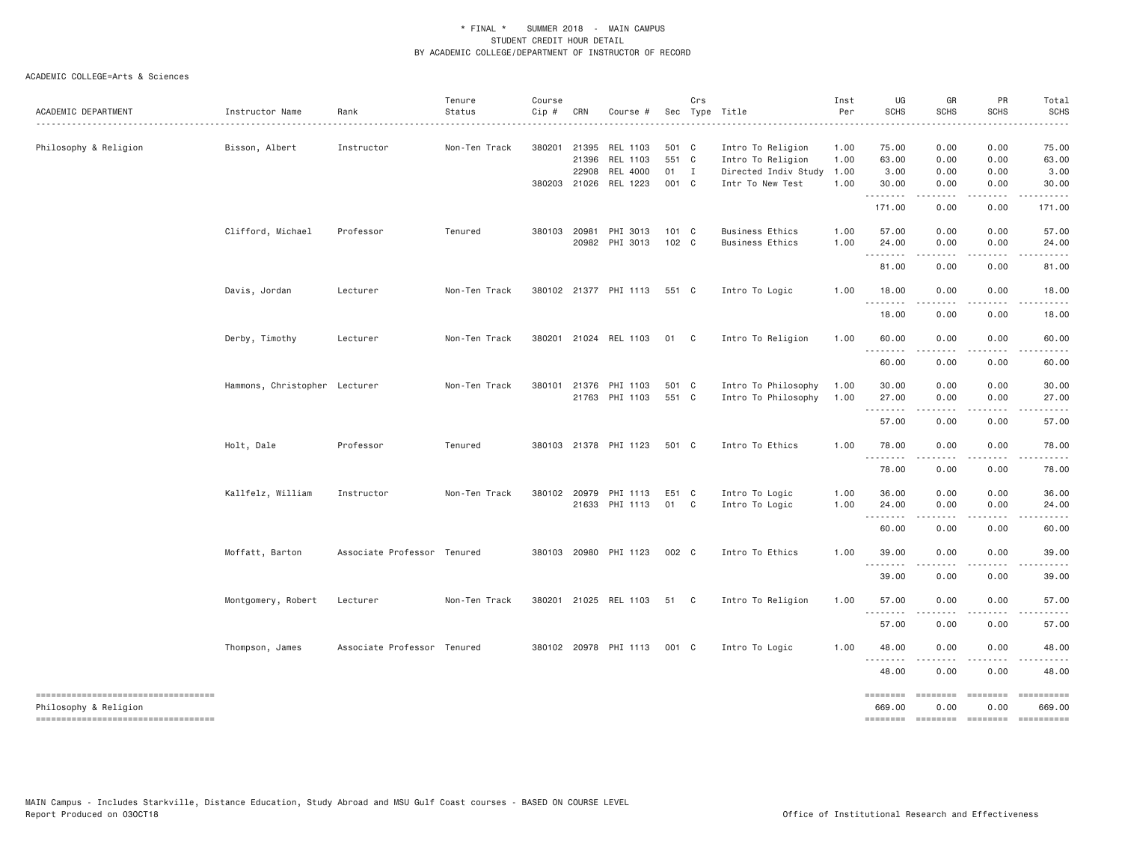| ACADEMIC DEPARTMENT                                         | Instructor Name               | Rank                        | Tenure<br>Status | Course<br>Cip # | CRN   | Course #                                |                | Crs | Sec Type Title                         | Inst<br>Per  | UG<br><b>SCHS</b>             | GR<br><b>SCHS</b>   | PR<br>SCHS       | Total<br><b>SCHS</b>  |
|-------------------------------------------------------------|-------------------------------|-----------------------------|------------------|-----------------|-------|-----------------------------------------|----------------|-----|----------------------------------------|--------------|-------------------------------|---------------------|------------------|-----------------------|
|                                                             |                               |                             |                  |                 |       |                                         |                |     |                                        |              |                               |                     |                  |                       |
| Philosophy & Religion                                       | Bisson, Albert                | Instructor                  | Non-Ten Track    | 380201 21395    | 21396 | REL 1103<br>REL 1103                    | 501 C<br>551 C |     | Intro To Religion<br>Intro To Religion | 1.00<br>1.00 | 75.00<br>63.00                | 0.00<br>0.00        | 0.00<br>0.00     | 75.00<br>63.00        |
|                                                             |                               |                             |                  |                 | 22908 | REL 4000                                | $01$ I         |     | Directed Indiv Study                   | 1.00         | 3.00                          | 0.00                | 0.00             | 3.00                  |
|                                                             |                               |                             |                  | 380203 21026    |       | REL 1223                                | 001 C          |     | Intr To New Test                       | 1.00         | 30.00<br>.                    | 0.00                | 0.00             | 30.00                 |
|                                                             |                               |                             |                  |                 |       |                                         |                |     |                                        |              | 171.00                        | 0.00                | 0.00             | 171.00                |
|                                                             | Clifford, Michael             | Professor                   | Tenured          | 380103 20981    |       | PHI 3013                                | $101 \quad C$  |     | Business Ethics                        | 1.00         | 57.00                         | 0.00                | 0.00             | 57.00                 |
|                                                             |                               |                             |                  |                 | 20982 | PHI 3013                                | 102 C          |     | Business Ethics                        | 1.00         | 24.00<br>$- - -$              | 0.00                | 0.00             | 24.00                 |
|                                                             |                               |                             |                  |                 |       |                                         |                |     |                                        |              | 81.00                         | 0.00                | 0.00             | 81.00                 |
|                                                             | Davis, Jordan                 | Lecturer                    | Non-Ten Track    |                 |       | 380102 21377 PHI 1113                   | 551 C          |     | Intro To Logic                         | 1.00         | 18.00<br>.                    | 0.00<br>.           | 0.00<br>.        | 18.00                 |
|                                                             |                               |                             |                  |                 |       |                                         |                |     |                                        |              | 18.00                         | 0.00                | 0.00             | 18.00                 |
|                                                             | Derby, Timothy                | Lecturer                    | Non-Ten Track    |                 |       | 380201 21024 REL 1103                   | 01 C           |     | Intro To Religion                      | 1.00         | 60.00<br>. <b>.</b>           | 0.00                | 0.00             | 60.00                 |
|                                                             |                               |                             |                  |                 |       |                                         |                |     |                                        |              | 60.00                         | 0.00                | 0.00             | 60.00                 |
|                                                             | Hammons, Christopher Lecturer |                             | Non-Ten Track    | 380101          | 21376 | PHI 1103                                | 501 C          |     | Intro To Philosophy                    | 1.00         | 30.00                         | 0.00                | 0.00             | 30.00                 |
|                                                             |                               |                             |                  |                 |       | 21763 PHI 1103                          | 551 C          |     | Intro To Philosophy                    | 1.00         | 27.00<br>.                    | 0.00<br>$- - - - -$ | 0.00<br>.        | 27.00<br>. <u>.</u> . |
|                                                             |                               |                             |                  |                 |       |                                         |                |     |                                        |              | 57.00                         | 0.00                | 0.00             | 57.00                 |
|                                                             | Holt, Dale                    | Professor                   | Tenured          |                 |       | 380103 21378 PHI 1123                   | 501 C          |     | Intro To Ethics                        | 1.00         | 78.00<br>$\sim$ $\sim$ $\sim$ | 0.00                | 0.00             | 78.00                 |
|                                                             |                               |                             |                  |                 |       |                                         |                |     |                                        |              | 78.00                         | 0.00                | 0.00             | 78.00                 |
|                                                             | Kallfelz, William             | Instructor                  | Non-Ten Track    |                 |       | 380102 20979 PHI 1113<br>21633 PHI 1113 | E51 C<br>01 C  |     | Intro To Logic<br>Intro To Logic       | 1.00<br>1.00 | 36.00<br>24.00                | 0.00<br>0.00        | 0.00<br>0.00     | 36.00<br>24.00        |
|                                                             |                               |                             |                  |                 |       |                                         |                |     |                                        |              | .                             |                     |                  |                       |
|                                                             |                               |                             |                  |                 |       |                                         |                |     |                                        |              | 60.00                         | 0.00                | 0.00             | 60.00                 |
|                                                             | Moffatt, Barton               | Associate Professor Tenured |                  |                 |       | 380103 20980 PHI 1123                   | 002 C          |     | Intro To Ethics                        | 1.00         | 39.00<br><u>.</u>             | 0.00<br>-----       | 0.00<br>.        | 39.00<br>. <u>.</u> . |
|                                                             |                               |                             |                  |                 |       |                                         |                |     |                                        |              | 39.00                         | 0.00                | 0.00             | 39.00                 |
|                                                             | Montgomery, Robert            | Lecturer                    | Non-Ten Track    |                 |       | 380201 21025 REL 1103                   | 51 C           |     | Intro To Religion                      | 1.00         | 57.00<br><u>.</u>             | 0.00                | 0.00             | 57.00                 |
|                                                             |                               |                             |                  |                 |       |                                         |                |     |                                        |              | 57.00                         | 0.00                | 0.00             | 57.00                 |
|                                                             | Thompson, James               | Associate Professor Tenured |                  |                 |       | 380102 20978 PHI 1113                   | 001 C          |     | Intro To Logic                         | 1.00         | 48.00<br>.                    | 0.00                | 0.00             | 48.00                 |
|                                                             |                               |                             |                  |                 |       |                                         |                |     |                                        |              | 48.00                         | 0.00                | 0.00             | 48.00                 |
| ----------------------------------<br>Philosophy & Religion |                               |                             |                  |                 |       |                                         |                |     |                                        |              | ========<br>669.00            | ========<br>0.00    | ========<br>0.00 | 669.00                |
| ===================================                         |                               |                             |                  |                 |       |                                         |                |     |                                        |              | ========                      | ========            | $=$ ========     | ==========            |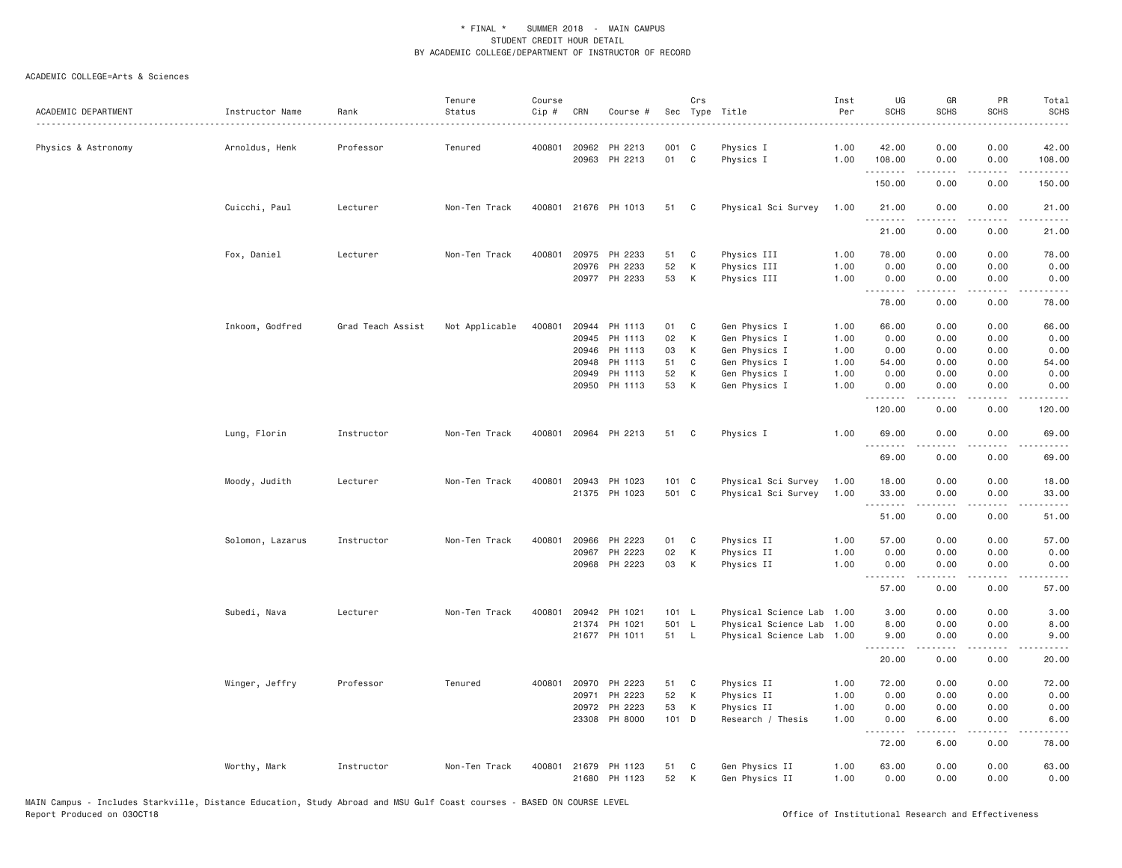|                     |                      |                   | Tenure         | Course |       |                      |               | Crs          |                           | Inst | UG          | GR          | PR                           | Total                                                                                                                                                         |
|---------------------|----------------------|-------------------|----------------|--------|-------|----------------------|---------------|--------------|---------------------------|------|-------------|-------------|------------------------------|---------------------------------------------------------------------------------------------------------------------------------------------------------------|
| ACADEMIC DEPARTMENT | Instructor Name<br>. | Rank              | Status         | Cip #  | CRN   | Course #             |               |              | Sec Type Title            | Per  | <b>SCHS</b> | <b>SCHS</b> | SCHS                         | <b>SCHS</b>                                                                                                                                                   |
|                     |                      |                   |                |        |       |                      |               |              |                           |      |             |             |                              |                                                                                                                                                               |
| Physics & Astronomy | Arnoldus, Henk       | Professor         | Tenured        | 400801 | 20962 | PH 2213              | 001 C         |              | Physics I                 | 1.00 | 42.00       | 0.00        | 0.00                         | 42.00                                                                                                                                                         |
|                     |                      |                   |                |        |       | 20963 PH 2213        | 01            | $\mathbf{C}$ | Physics I                 | 1.00 | 108.00<br>. | 0.00<br>.   | 0.00<br>.                    | 108.00<br>$\omega$ is $\omega$ in $\omega$ in                                                                                                                 |
|                     |                      |                   |                |        |       |                      |               |              |                           |      | 150.00      | 0.00        | 0.00                         | 150.00                                                                                                                                                        |
|                     | Cuicchi, Paul        | Lecturer          | Non-Ten Track  |        |       | 400801 21676 PH 1013 | 51            | $\mathbf{C}$ | Physical Sci Survey       | 1.00 | 21.00<br>.  | 0.00<br>.   | 0.00<br>.                    | 21.00<br>.                                                                                                                                                    |
|                     |                      |                   |                |        |       |                      |               |              |                           |      | 21.00       | 0.00        | 0.00                         | 21.00                                                                                                                                                         |
|                     | Fox, Daniel          | Lecturer          | Non-Ten Track  | 400801 |       | 20975 PH 2233        | 51            | C            | Physics III               | 1.00 | 78.00       | 0.00        | 0.00                         | 78.00                                                                                                                                                         |
|                     |                      |                   |                |        |       | 20976 PH 2233        | 52            | K            | Physics III               | 1.00 | 0.00        | 0.00        | 0.00                         | 0.00                                                                                                                                                          |
|                     |                      |                   |                |        |       | 20977 PH 2233        | 53            | K            | Physics III               | 1.00 | 0.00<br>.   | 0.00<br>.   | 0.00<br>.                    | 0.00<br>$\cdots$                                                                                                                                              |
|                     |                      |                   |                |        |       |                      |               |              |                           |      | 78.00       | 0.00        | 0.00                         | 78.00                                                                                                                                                         |
|                     | Inkoom, Godfred      | Grad Teach Assist | Not Applicable | 400801 |       | 20944 PH 1113        | 01            | C            | Gen Physics I             | 1.00 | 66.00       | 0.00        | 0.00                         | 66.00                                                                                                                                                         |
|                     |                      |                   |                |        | 20945 | PH 1113              | 02            | К            | Gen Physics I             | 1.00 | 0.00        | 0.00        | 0.00                         | 0.00                                                                                                                                                          |
|                     |                      |                   |                |        | 20946 | PH 1113              | 03            | K            | Gen Physics I             | 1.00 | 0.00        | 0.00        | 0.00                         | 0.00                                                                                                                                                          |
|                     |                      |                   |                |        |       | 20948 PH 1113        | 51            | C            | Gen Physics I             | 1.00 | 54.00       | 0.00        | 0.00                         | 54.00                                                                                                                                                         |
|                     |                      |                   |                |        | 20949 | PH 1113              | 52            | К            | Gen Physics I             | 1.00 | 0.00        | 0.00        | 0.00                         | 0.00                                                                                                                                                          |
|                     |                      |                   |                |        |       | 20950 PH 1113        | 53            | К            | Gen Physics I             | 1.00 | 0.00<br>.   | 0.00<br>.   | 0.00<br>.                    | 0.00<br>.                                                                                                                                                     |
|                     |                      |                   |                |        |       |                      |               |              |                           |      | 120.00      | 0.00        | 0.00                         | 120.00                                                                                                                                                        |
|                     | Lung, Florin         | Instructor        | Non-Ten Track  | 400801 |       | 20964 PH 2213        | 51            | C            | Physics I                 | 1.00 | 69.00<br>.  | 0.00<br>.   | 0.00<br>.                    | 69.00<br>.                                                                                                                                                    |
|                     |                      |                   |                |        |       |                      |               |              |                           |      | 69.00       | 0.00        | 0.00                         | 69.00                                                                                                                                                         |
|                     | Moody, Judith        | Lecturer          | Non-Ten Track  | 400801 |       | 20943 PH 1023        | $101 \quad C$ |              | Physical Sci Survey       | 1.00 | 18.00       | 0.00        | 0.00                         | 18.00                                                                                                                                                         |
|                     |                      |                   |                |        |       | 21375 PH 1023        | 501 C         |              | Physical Sci Survey       | 1.00 | 33.00       | 0.00        | 0.00                         | 33.00                                                                                                                                                         |
|                     |                      |                   |                |        |       |                      |               |              |                           |      |             | .           | .                            | .                                                                                                                                                             |
|                     |                      |                   |                |        |       |                      |               |              |                           |      | 51.00       | 0.00        | 0.00                         | 51.00                                                                                                                                                         |
|                     | Solomon, Lazarus     | Instructor        | Non-Ten Track  | 400801 | 20966 | PH 2223              | 01            | C            | Physics II                | 1.00 | 57.00       | 0.00        | 0.00                         | 57.00                                                                                                                                                         |
|                     |                      |                   |                |        |       | 20967 PH 2223        | 02            | К            | Physics II                | 1.00 | 0.00        | 0.00        | 0.00                         | 0.00                                                                                                                                                          |
|                     |                      |                   |                |        |       | 20968 PH 2223        | 03            | K            | Physics II                | 1.00 | 0.00        | 0.00        | 0.00                         | 0.00                                                                                                                                                          |
|                     |                      |                   |                |        |       |                      |               |              |                           |      | .<br>57.00  | 0.00        | $\sim$ $\sim$ $\sim$<br>0.00 | 57.00                                                                                                                                                         |
|                     | Subedi, Nava         | Lecturer          | Non-Ten Track  | 400801 |       | 20942 PH 1021        | 101 L         |              | Physical Science Lab 1.00 |      | 3.00        | 0.00        | 0.00                         | 3.00                                                                                                                                                          |
|                     |                      |                   |                |        |       | 21374 PH 1021        | 501 L         |              | Physical Science Lab 1.00 |      | 8.00        | 0.00        | 0.00                         | 8.00                                                                                                                                                          |
|                     |                      |                   |                |        |       | 21677 PH 1011        | 51 L          |              | Physical Science Lab 1.00 |      | 9.00        | 0.00        | 0.00                         | 9.00                                                                                                                                                          |
|                     |                      |                   |                |        |       |                      |               |              |                           |      | .<br>20.00  | .<br>0.00   | د د د د<br>0.00              | $\frac{1}{2} \left( \frac{1}{2} \right) \left( \frac{1}{2} \right) \left( \frac{1}{2} \right) \left( \frac{1}{2} \right) \left( \frac{1}{2} \right)$<br>20.00 |
|                     | Winger, Jeffry       | Professor         | Tenured        | 400801 |       | 20970 PH 2223        | 51            | C            | Physics II                | 1.00 | 72.00       | 0.00        | 0.00                         | 72.00                                                                                                                                                         |
|                     |                      |                   |                |        | 20971 | PH 2223              | 52            | K            | Physics II                | 1.00 | 0.00        | 0.00        | 0.00                         | 0.00                                                                                                                                                          |
|                     |                      |                   |                |        | 20972 | PH 2223              | 53            | К            | Physics II                | 1.00 | 0.00        | 0.00        | 0.00                         | 0.00                                                                                                                                                          |
|                     |                      |                   |                |        |       | 23308 PH 8000        | 101 D         |              | Research / Thesis         | 1.00 | 0.00        | 6.00        | 0.00                         | 6.00                                                                                                                                                          |
|                     |                      |                   |                |        |       |                      |               |              |                           |      | 72.00       | .<br>6.00   | د د د د<br>0.00              | $\frac{1}{2} \left( \frac{1}{2} \right) \left( \frac{1}{2} \right) \left( \frac{1}{2} \right) \left( \frac{1}{2} \right) \left( \frac{1}{2} \right)$<br>78.00 |
|                     | Worthy, Mark         | Instructor        | Non-Ten Track  | 400801 |       | 21679 PH 1123        | 51            | C            | Gen Physics II            | 1.00 | 63.00       | 0.00        | 0.00                         | 63.00                                                                                                                                                         |
|                     |                      |                   |                |        |       | 21680 PH 1123        | 52            | К            | Gen Physics II            | 1.00 | 0.00        | 0.00        | 0.00                         | 0.00                                                                                                                                                          |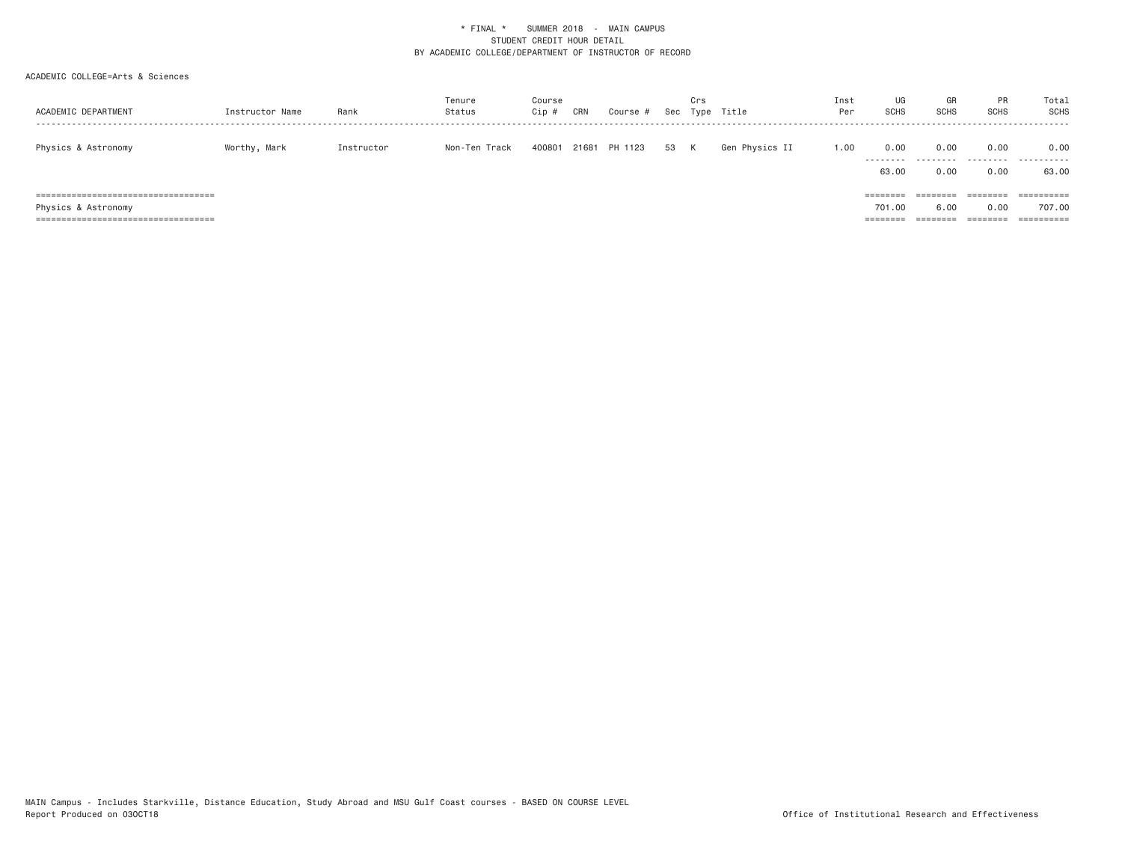| ACADEMIC DEPARTMENT                                                                                     | Instructor Name | Rank       | Tenure<br>Status | Course<br>Cip | CRN   | Course # | Sec | Crs<br>Type | Title          | Inst<br>Per | UG<br>SCHS                     | GR<br>SCHS                   | PR<br><b>SCHS</b>            | Total<br>SCHS                                 |
|---------------------------------------------------------------------------------------------------------|-----------------|------------|------------------|---------------|-------|----------|-----|-------------|----------------|-------------|--------------------------------|------------------------------|------------------------------|-----------------------------------------------|
| Physics & Astronomy                                                                                     | Worthy, Mark    | Instructor | Non-Ten Track    | 400801        | 21681 | PH 1123  | 53  | K           | Gen Physics II | 1.00        | 0.00<br>.<br>63.00             | 0.00<br>---------<br>0.00    | 0.00<br>.<br>0.00            | 0.00<br>.<br>63.00                            |
| ======================================<br>Physics & Astronomy<br>====================================== |                 |            |                  |               |       |          |     |             |                |             | ========<br>701.00<br>======== | ========<br>6.00<br>======== | --------<br>0.00<br>======== | ==========<br>707.00<br>$=$ = = = = = = = = = |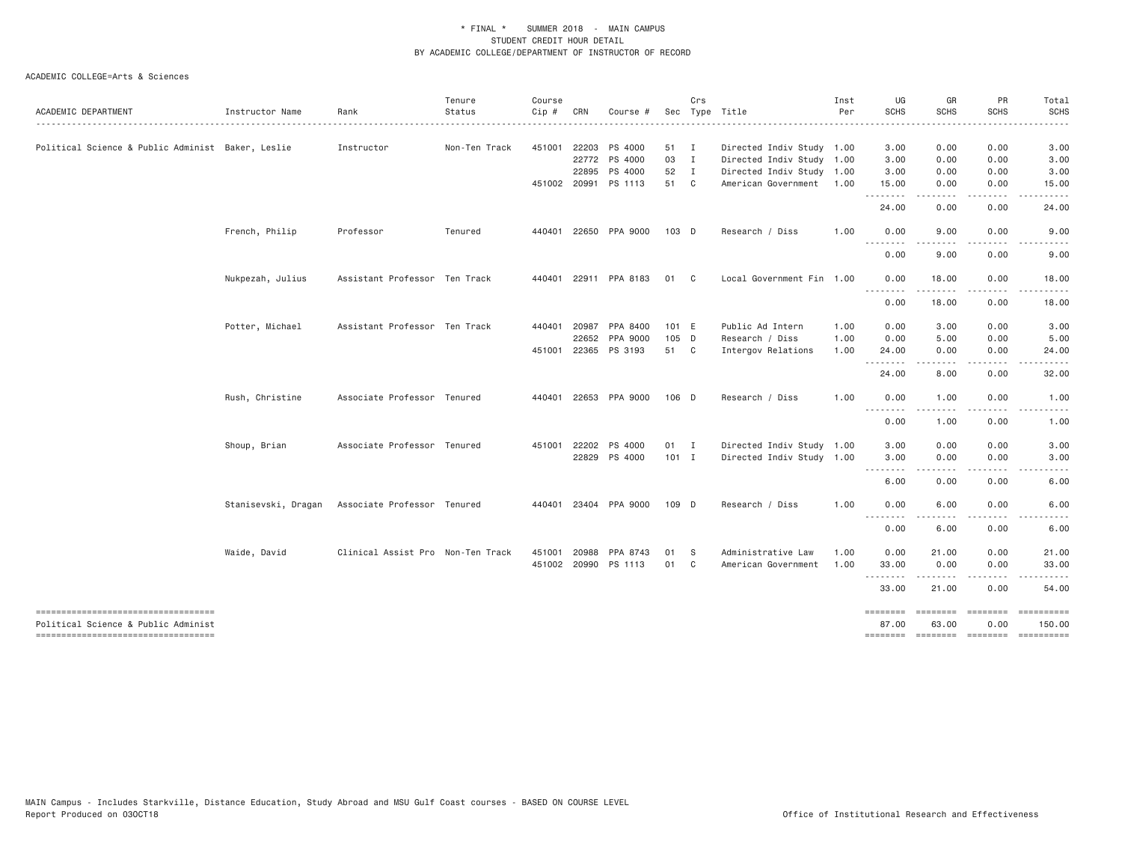| UG<br>GR<br>PR<br>Inst<br><b>SCHS</b><br><b>SCHS</b><br><b>SCHS</b><br>Per                                                                                   | Sec Type Title            | Crs            |         | Course #              | CRN          | Course<br>Cip # | Tenure<br>Status | Rank                                            | Instructor Name  | ACADEMIC DEPARTMENT                                                        |
|--------------------------------------------------------------------------------------------------------------------------------------------------------------|---------------------------|----------------|---------|-----------------------|--------------|-----------------|------------------|-------------------------------------------------|------------------|----------------------------------------------------------------------------|
|                                                                                                                                                              |                           |                |         |                       |              |                 |                  |                                                 |                  |                                                                            |
| 3.00<br>0.00<br>0.00                                                                                                                                         | Directed Indiv Study 1.00 |                | 51 I    | PS 4000               | 451001 22203 |                 | Non-Ten Track    | Instructor                                      |                  | Political Science & Public Administ Baker, Leslie                          |
| 0.00<br>3.00<br>0.00                                                                                                                                         | Directed Indiv Study 1.00 | $\mathbf{I}$   | 03      | 22772 PS 4000         |              |                 |                  |                                                 |                  |                                                                            |
| 3.00<br>0.00<br>0.00                                                                                                                                         | Directed Indiv Study 1.00 | $\blacksquare$ | 52      | PS 4000               | 22895        |                 |                  |                                                 |                  |                                                                            |
| 15.00<br>0.00<br>0.00<br>.<br>.<br>$\frac{1}{2} \left( \frac{1}{2} \right) \left( \frac{1}{2} \right) \left( \frac{1}{2} \right) \left( \frac{1}{2} \right)$ | American Government 1.00  | $\mathbf{C}$   | 51      | 451002 20991 PS 1113  |              |                 |                  |                                                 |                  |                                                                            |
| 24.00<br>0.00<br>0.00                                                                                                                                        |                           |                |         |                       |              |                 |                  |                                                 |                  |                                                                            |
| 1,00<br>9.00<br>0.00<br>0.00<br>--------                                                                                                                     | Research / Diss           |                | 103 D   | 22650 PPA 9000        |              | 440401          | Tenured          | Professor                                       | French, Philip   |                                                                            |
| 0.00<br>9.00<br>0.00                                                                                                                                         |                           |                |         |                       |              |                 |                  |                                                 |                  |                                                                            |
| 0.00<br>18.00<br>0.00<br>.<br>$- - - -$<br>-----                                                                                                             | Local Government Fin 1.00 | C              | 01      | 22911 PPA 8183        |              | 440401          |                  | Assistant Professor Ten Track                   | Nukpezah, Julius |                                                                            |
| 0.00<br>18.00<br>0.00                                                                                                                                        |                           |                |         |                       |              |                 |                  |                                                 |                  |                                                                            |
| 1.00<br>0.00<br>3.00<br>0.00                                                                                                                                 | Public Ad Intern          |                | 101 E   | PPA 8400              | 20987        | 440401          |                  | Assistant Professor Ten Track                   | Potter, Michael  |                                                                            |
| 1.00<br>0.00<br>5.00<br>0.00                                                                                                                                 | Research / Diss           |                | 105 D   | PPA 9000              | 22652        |                 |                  |                                                 |                  |                                                                            |
| 1.00<br>24.00<br>0.00<br>0.00<br><u>.</u><br>-----<br>.                                                                                                      | Intergov Relations        |                | 51 C    | 451001 22365 PS 3193  |              |                 |                  |                                                 |                  |                                                                            |
| 24.00<br>8.00<br>0.00                                                                                                                                        |                           |                |         |                       |              |                 |                  |                                                 |                  |                                                                            |
| 1.00<br>0.00<br>1.00<br>0.00<br>.<br>$\cdots$<br>-----                                                                                                       | Research / Diss           |                | 106 D   | 440401 22653 PPA 9000 |              |                 |                  | Associate Professor Tenured                     | Rush, Christine  |                                                                            |
| 0.00<br>1.00<br>0.00                                                                                                                                         |                           |                |         |                       |              |                 |                  |                                                 |                  |                                                                            |
| 3.00<br>0.00<br>0.00                                                                                                                                         | Directed Indiv Study 1.00 |                | 01 I    | PS 4000               | 451001 22202 |                 |                  | Associate Professor Tenured                     | Shoup, Brian     |                                                                            |
| 3.00<br>0.00<br>0.00                                                                                                                                         | Directed Indiv Study 1.00 |                | $101$ I | 22829 PS 4000         |              |                 |                  |                                                 |                  |                                                                            |
| --------<br><u>.</u><br>$\cdots$<br>0.00<br>6.00<br>0.00                                                                                                     |                           |                |         |                       |              |                 |                  |                                                 |                  |                                                                            |
| 1.00<br>0.00<br>6.00<br>0.00<br>.                                                                                                                            | Research / Diss           |                | 109 D   | 440401 23404 PPA 9000 |              |                 |                  | Stanisevski, Dragan Associate Professor Tenured |                  |                                                                            |
| 0.00<br>6.00<br>0.00                                                                                                                                         |                           |                |         |                       |              |                 |                  |                                                 |                  |                                                                            |
| 0.00                                                                                                                                                         | Administrative Law        | S              | 01      | PPA 8743              | 20988        | 451001          |                  |                                                 |                  |                                                                            |
| 1.00<br>33.00<br>0.00<br>0.00                                                                                                                                | American Government       | C              | 01      | PS 1113               |              | 451002 20990    |                  |                                                 |                  |                                                                            |
| 33.00<br>21.00<br>0.00                                                                                                                                       |                           |                |         |                       |              |                 |                  |                                                 |                  |                                                                            |
| ========<br>========<br>========<br>63,00<br>0.00<br>87.00                                                                                                   |                           |                |         |                       |              |                 |                  |                                                 |                  | -----------------------------------<br>Political Science & Public Administ |
| 1.00<br>0.00<br>21.00<br>.<br><b>EEEEEEEE</b><br>-------- -------- ---------                                                                                 |                           |                |         |                       |              |                 |                  | Clinical Assist Pro Non-Ten Track               | Waide, David     | ----------------------------------                                         |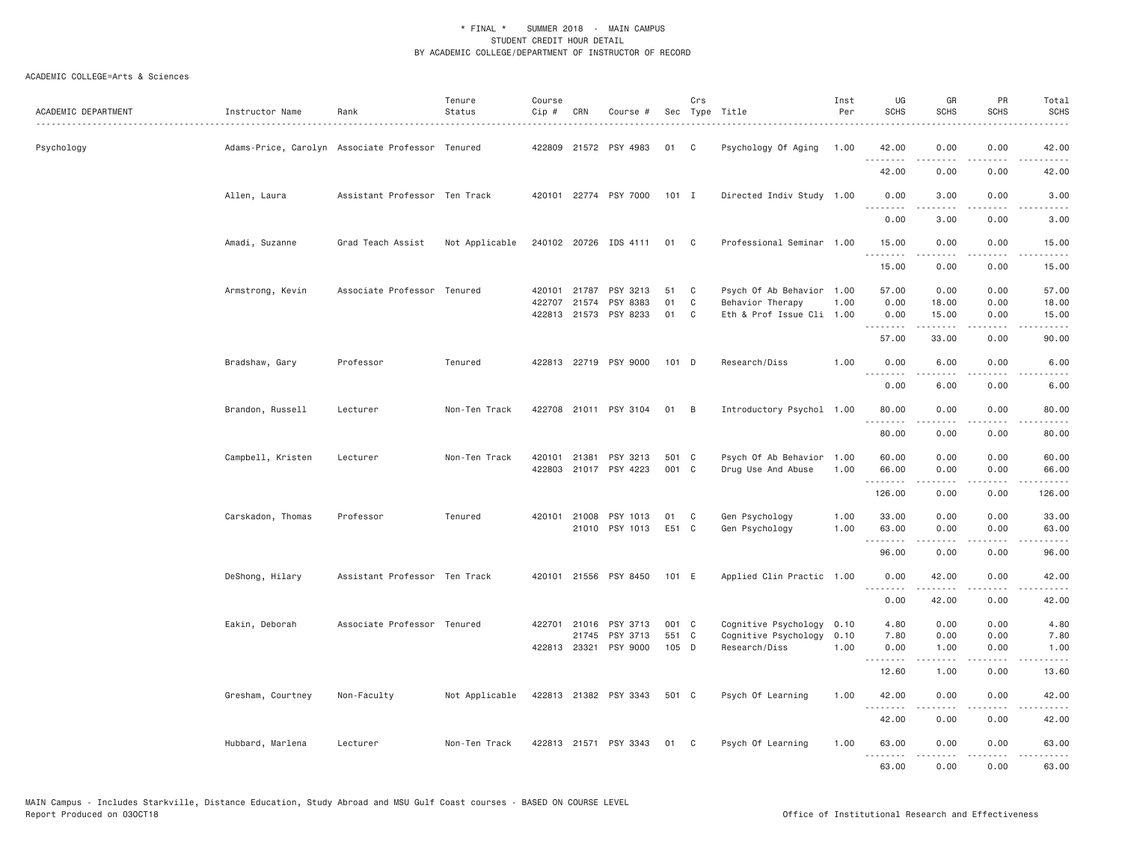| ACADEMIC DEPARTMENT | Instructor Name                                  | Rank                          | Tenure<br>Status | Course<br>$Cip \#$ | CRN          | Course #              |         | Crs | Sec Type Title            | Inst<br>Per | UG<br><b>SCHS</b> | GR<br><b>SCHS</b>                                                                                                                                            | PR<br><b>SCHS</b>                                                                                                                 | Total<br><b>SCHS</b> |
|---------------------|--------------------------------------------------|-------------------------------|------------------|--------------------|--------------|-----------------------|---------|-----|---------------------------|-------------|-------------------|--------------------------------------------------------------------------------------------------------------------------------------------------------------|-----------------------------------------------------------------------------------------------------------------------------------|----------------------|
| Psychology          | Adams-Price, Carolyn Associate Professor Tenured |                               |                  |                    |              | 422809 21572 PSY 4983 | 01      | C   | Psychology Of Aging       | 1.00        | 42.00             | 0.00                                                                                                                                                         | 0.00                                                                                                                              | 42.00                |
|                     |                                                  |                               |                  |                    |              |                       |         |     |                           |             | 42.00             | 0.00                                                                                                                                                         | 0.00                                                                                                                              | 42.00                |
|                     | Allen, Laura                                     | Assistant Professor Ten Track |                  |                    |              | 420101 22774 PSY 7000 | $101$ I |     | Directed Indiv Study 1.00 |             | 0.00<br>.         | 3.00<br>-----                                                                                                                                                | 0.00<br>$\frac{1}{2} \left( \frac{1}{2} \right) \left( \frac{1}{2} \right) \left( \frac{1}{2} \right) \left( \frac{1}{2} \right)$ | 3.00<br>-----        |
|                     |                                                  |                               |                  |                    |              |                       |         |     |                           |             | 0.00              | 3.00                                                                                                                                                         | 0.00                                                                                                                              | 3.00                 |
|                     | Amadi, Suzanne                                   | Grad Teach Assist             | Not Applicable   |                    |              | 240102 20726 IDS 4111 | 01 C    |     | Professional Seminar 1.00 |             | 15.00<br>.        | 0.00<br>.                                                                                                                                                    | 0.00<br>.                                                                                                                         | 15.00<br>.           |
|                     |                                                  |                               |                  |                    |              |                       |         |     |                           |             | 15.00             | 0.00                                                                                                                                                         | 0.00                                                                                                                              | 15.00                |
|                     | Armstrong, Kevin                                 | Associate Professor Tenured   |                  |                    | 420101 21787 | PSY 3213              | 51      | C   | Psych Of Ab Behavior 1.00 |             | 57.00             | 0.00                                                                                                                                                         | 0.00                                                                                                                              | 57.00                |
|                     |                                                  |                               |                  |                    | 422707 21574 | PSY 8383              | 01      | C   | Behavior Therapy          | 1.00        | 0.00              | 18.00                                                                                                                                                        | 0.00                                                                                                                              | 18.00                |
|                     |                                                  |                               |                  |                    |              | 422813 21573 PSY 8233 | 01      | C   | Eth & Prof Issue Cli 1.00 |             | 0.00<br><u>.</u>  | 15.00                                                                                                                                                        | 0.00<br>$\frac{1}{2}$                                                                                                             | 15.00                |
|                     |                                                  |                               |                  |                    |              |                       |         |     |                           |             | 57.00             | 33.00                                                                                                                                                        | 0.00                                                                                                                              | 90.00                |
|                     | Bradshaw, Gary                                   | Professor                     | Tenured          |                    |              | 422813 22719 PSY 9000 | 101 D   |     | Research/Diss             | 1.00        | 0.00<br>د د د د   | 6.00<br>.                                                                                                                                                    | 0.00<br>$\sim$ $\sim$ $\sim$                                                                                                      | 6.00                 |
|                     |                                                  |                               |                  |                    |              |                       |         |     |                           |             | 0.00              | 6.00                                                                                                                                                         | 0.00                                                                                                                              | 6.00                 |
|                     | Brandon, Russell                                 | Lecturer                      | Non-Ten Track    |                    |              | 422708 21011 PSY 3104 | 01      | B   | Introductory Psychol 1.00 |             | 80.00<br>.        | 0.00                                                                                                                                                         | 0.00<br>----                                                                                                                      | 80.00                |
|                     |                                                  |                               |                  |                    |              |                       |         |     |                           |             | 80.00             | 0.00                                                                                                                                                         | 0.00                                                                                                                              | 80.00                |
|                     | Campbell, Kristen                                | Lecturer                      | Non-Ten Track    |                    | 420101 21381 | PSY 3213              | 501 C   |     | Psych Of Ab Behavior 1.00 |             | 60.00             | 0.00                                                                                                                                                         | 0.00                                                                                                                              | 60.00                |
|                     |                                                  |                               |                  |                    |              | 422803 21017 PSY 4223 | 001 C   |     | Drug Use And Abuse        | 1.00        | 66.00<br>.        | 0.00                                                                                                                                                         | 0.00<br>$\sim$ $\sim$ $\sim$ $\sim$                                                                                               | 66.00                |
|                     |                                                  |                               |                  |                    |              |                       |         |     |                           |             | 126.00            | 0.00                                                                                                                                                         | 0.00                                                                                                                              | 126.00               |
|                     | Carskadon, Thomas                                | Professor                     | Tenured          |                    | 420101 21008 | PSY 1013              | 01      | C   | Gen Psychology            | 1.00        | 33.00             | 0.00                                                                                                                                                         | 0.00                                                                                                                              | 33.00                |
|                     |                                                  |                               |                  |                    |              | 21010 PSY 1013        | E51 C   |     | Gen Psychology            | 1,00        | 63.00<br><u>.</u> | 0.00                                                                                                                                                         | 0.00                                                                                                                              | 63.00                |
|                     |                                                  |                               |                  |                    |              |                       |         |     |                           |             | 96.00             | 0.00                                                                                                                                                         | 0.00                                                                                                                              | 96.00                |
|                     | DeShong, Hilary                                  | Assistant Professor Ten Track |                  |                    |              | 420101 21556 PSY 8450 | 101 E   |     | Applied Clin Practic 1.00 |             | 0.00<br>.         | 42.00<br>.                                                                                                                                                   | 0.00                                                                                                                              | 42.00<br>$\cdots$    |
|                     |                                                  |                               |                  |                    |              |                       |         |     |                           |             | 0.00              | 42.00                                                                                                                                                        | 0.00                                                                                                                              | 42.00                |
|                     | Eakin, Deborah                                   | Associate Professor Tenured   |                  |                    | 422701 21016 | PSY 3713              | 001 C   |     | Cognitive Psychology      | 0.10        | 4.80              | 0.00                                                                                                                                                         | 0.00                                                                                                                              | 4.80                 |
|                     |                                                  |                               |                  |                    | 21745        | PSY 3713              | 551 C   |     | Cognitive Psychology      | 0.10        | 7.80              | 0.00                                                                                                                                                         | 0.00                                                                                                                              | 7.80                 |
|                     |                                                  |                               |                  |                    |              | 422813 23321 PSY 9000 | 105 D   |     | Research/Diss             | 1.00        | 0.00<br>.         | 1.00<br>$\frac{1}{2} \left( \frac{1}{2} \right) \left( \frac{1}{2} \right) \left( \frac{1}{2} \right) \left( \frac{1}{2} \right) \left( \frac{1}{2} \right)$ | 0.00<br>.                                                                                                                         | 1.00<br>.            |
|                     |                                                  |                               |                  |                    |              |                       |         |     |                           |             | 12.60             | 1.00                                                                                                                                                         | 0.00                                                                                                                              | 13.60                |
|                     | Gresham, Courtney                                | Non-Faculty                   | Not Applicable   |                    |              | 422813 21382 PSY 3343 | 501 C   |     | Psych Of Learning         | 1.00        | 42.00<br>.        | 0.00                                                                                                                                                         | 0.00<br>.                                                                                                                         | 42.00                |
|                     |                                                  |                               |                  |                    |              |                       |         |     |                           |             | 42.00             | 0.00                                                                                                                                                         | 0.00                                                                                                                              | 42.00                |
|                     | Hubbard, Marlena                                 | Lecturer                      | Non-Ten Track    |                    |              | 422813 21571 PSY 3343 | 01      | C.  | Psych Of Learning         | 1.00        | 63.00<br>.        | 0.00<br>.                                                                                                                                                    | 0.00<br>.                                                                                                                         | 63.00<br>.           |
|                     |                                                  |                               |                  |                    |              |                       |         |     |                           |             | 63.00             | 0.00                                                                                                                                                         | 0.00                                                                                                                              | 63.00                |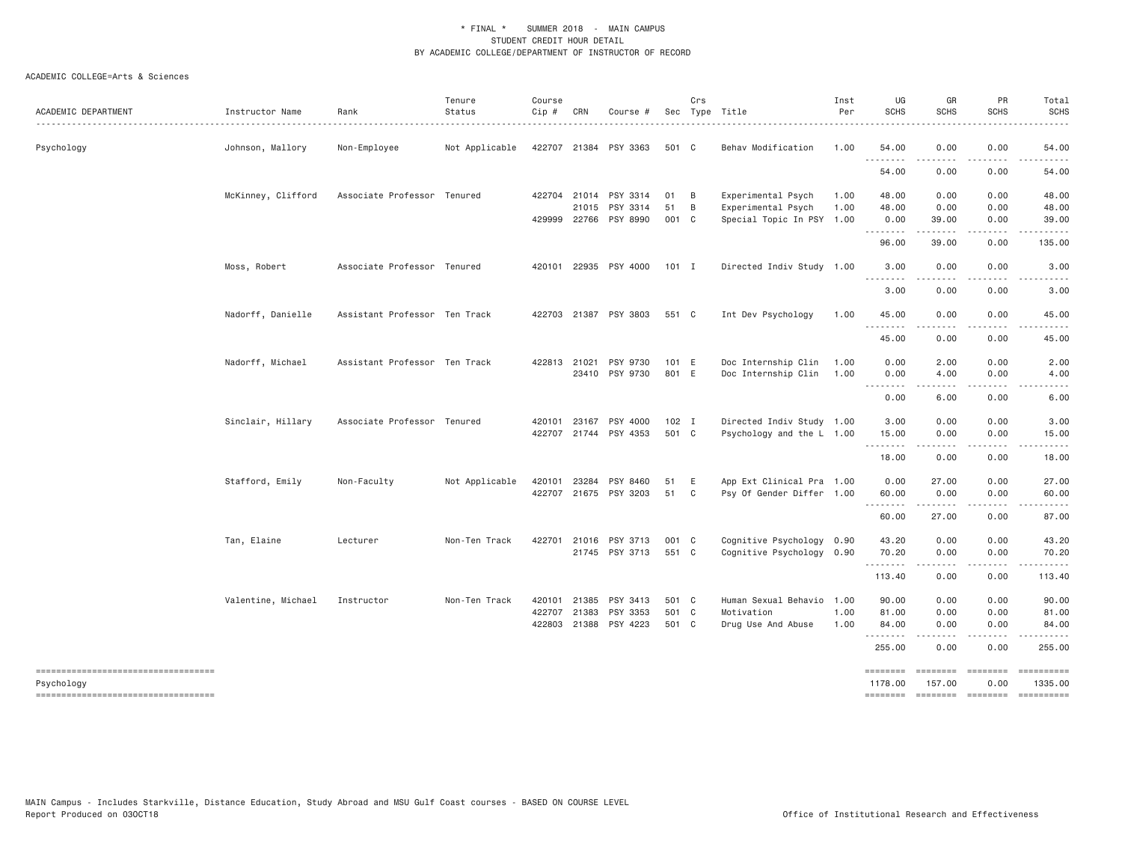| ACADEMIC DEPARTMENT                              | Instructor Name<br>. | Rank                          | Tenure<br>Status | Course<br>Cip # | CRN          | Course #              |         | Crs | Sec Type Title            | Inst<br>Per | UG<br><b>SCHS</b>                                                                                                                                            | GR<br><b>SCHS</b>                                                                                                                 | PR<br><b>SCHS</b> | Total<br><b>SCHS</b>                                                                                                                                                                                                                                                                                                                                                                                                                                                                              |
|--------------------------------------------------|----------------------|-------------------------------|------------------|-----------------|--------------|-----------------------|---------|-----|---------------------------|-------------|--------------------------------------------------------------------------------------------------------------------------------------------------------------|-----------------------------------------------------------------------------------------------------------------------------------|-------------------|---------------------------------------------------------------------------------------------------------------------------------------------------------------------------------------------------------------------------------------------------------------------------------------------------------------------------------------------------------------------------------------------------------------------------------------------------------------------------------------------------|
| Psychology                                       | Johnson, Mallory     | Non-Employee                  | Not Applicable   |                 |              | 422707 21384 PSY 3363 | 501 C   |     | Behav Modification        | 1.00        | 54.00                                                                                                                                                        | 0.00                                                                                                                              | 0.00              | 54.00                                                                                                                                                                                                                                                                                                                                                                                                                                                                                             |
|                                                  |                      |                               |                  |                 |              |                       |         |     |                           |             | 54.00                                                                                                                                                        | 0.00                                                                                                                              | 0.00              | 54.00                                                                                                                                                                                                                                                                                                                                                                                                                                                                                             |
|                                                  | McKinney, Clifford   | Associate Professor Tenured   |                  |                 | 422704 21014 | PSY 3314              | 01      | B   | Experimental Psych        | 1.00        | 48.00                                                                                                                                                        | 0.00                                                                                                                              | 0.00              | 48.00                                                                                                                                                                                                                                                                                                                                                                                                                                                                                             |
|                                                  |                      |                               |                  |                 | 21015        | PSY 3314              | 51      | B   | Experimental Psych        | 1.00        | 48.00                                                                                                                                                        | 0.00                                                                                                                              | 0.00              | 48.00                                                                                                                                                                                                                                                                                                                                                                                                                                                                                             |
|                                                  |                      |                               |                  |                 |              | 429999 22766 PSY 8990 | 001 C   |     | Special Topic In PSY 1.00 |             | 0.00                                                                                                                                                         | 39.00<br>.                                                                                                                        | 0.00              | 39.00                                                                                                                                                                                                                                                                                                                                                                                                                                                                                             |
|                                                  |                      |                               |                  |                 |              |                       |         |     |                           |             | 96.00                                                                                                                                                        | 39.00                                                                                                                             | 0.00              | 135.00                                                                                                                                                                                                                                                                                                                                                                                                                                                                                            |
|                                                  | Moss, Robert         | Associate Professor Tenured   |                  |                 |              | 420101 22935 PSY 4000 | $101$ I |     | Directed Indiv Study 1.00 |             | 3.00<br>$\frac{1}{2} \left( \frac{1}{2} \right) \left( \frac{1}{2} \right) \left( \frac{1}{2} \right) \left( \frac{1}{2} \right) \left( \frac{1}{2} \right)$ | 0.00<br><u>.</u>                                                                                                                  | 0.00              | 3.00                                                                                                                                                                                                                                                                                                                                                                                                                                                                                              |
|                                                  |                      |                               |                  |                 |              |                       |         |     |                           |             | 3.00                                                                                                                                                         | 0.00                                                                                                                              | 0.00              | 3.00                                                                                                                                                                                                                                                                                                                                                                                                                                                                                              |
|                                                  | Nadorff, Danielle    | Assistant Professor Ten Track |                  |                 |              | 422703 21387 PSY 3803 | 551 C   |     | Int Dev Psychology        | 1.00        | 45.00                                                                                                                                                        | 0.00                                                                                                                              | 0.00              | 45.00                                                                                                                                                                                                                                                                                                                                                                                                                                                                                             |
|                                                  |                      |                               |                  |                 |              |                       |         |     |                           |             | .<br>45.00                                                                                                                                                   | $\frac{1}{2} \left( \frac{1}{2} \right) \left( \frac{1}{2} \right) \left( \frac{1}{2} \right) \left( \frac{1}{2} \right)$<br>0.00 | .<br>0.00         | 45.00                                                                                                                                                                                                                                                                                                                                                                                                                                                                                             |
|                                                  | Nadorff, Michael     | Assistant Professor Ten Track |                  |                 | 422813 21021 | PSY 9730              | 101 E   |     | Doc Internship Clin       | 1.00        | 0.00                                                                                                                                                         | 2.00                                                                                                                              | 0.00              | 2.00                                                                                                                                                                                                                                                                                                                                                                                                                                                                                              |
|                                                  |                      |                               |                  |                 |              | 23410 PSY 9730        | 801 E   |     | Doc Internship Clin       | 1.00        | 0.00<br>.                                                                                                                                                    | 4.00                                                                                                                              | 0.00              | 4.00                                                                                                                                                                                                                                                                                                                                                                                                                                                                                              |
|                                                  |                      |                               |                  |                 |              |                       |         |     |                           |             | 0.00                                                                                                                                                         | 6.00                                                                                                                              | 0.00              | 6.00                                                                                                                                                                                                                                                                                                                                                                                                                                                                                              |
|                                                  | Sinclair, Hillary    | Associate Professor Tenured   |                  | 420101          | 23167        | PSY 4000              | $102$ I |     | Directed Indiv Study 1.00 |             | 3.00                                                                                                                                                         | 0.00                                                                                                                              | 0.00              | 3.00                                                                                                                                                                                                                                                                                                                                                                                                                                                                                              |
|                                                  |                      |                               |                  |                 |              | 422707 21744 PSY 4353 | 501 C   |     | Psychology and the L 1.00 |             | 15.00                                                                                                                                                        | 0.00                                                                                                                              | 0.00              | 15.00                                                                                                                                                                                                                                                                                                                                                                                                                                                                                             |
|                                                  |                      |                               |                  |                 |              |                       |         |     |                           |             | 18.00                                                                                                                                                        | 0.00                                                                                                                              | 0.00              | 18.00                                                                                                                                                                                                                                                                                                                                                                                                                                                                                             |
|                                                  | Stafford, Emily      | Non-Faculty                   | Not Applicable   | 420101          | 23284        | PSY 8460              | 51      | E   | App Ext Clinical Pra 1.00 |             | 0.00                                                                                                                                                         | 27.00                                                                                                                             | 0.00              | 27.00                                                                                                                                                                                                                                                                                                                                                                                                                                                                                             |
|                                                  |                      |                               |                  |                 |              | 422707 21675 PSY 3203 | 51      | C   | Psy Of Gender Differ 1.00 |             | 60.00<br>.                                                                                                                                                   | 0.00<br>.                                                                                                                         | 0.00<br>.         | 60.00<br>$\frac{1}{2} \left( \frac{1}{2} \right) \left( \frac{1}{2} \right) \left( \frac{1}{2} \right) \left( \frac{1}{2} \right) \left( \frac{1}{2} \right) \left( \frac{1}{2} \right)$                                                                                                                                                                                                                                                                                                          |
|                                                  |                      |                               |                  |                 |              |                       |         |     |                           |             | 60.00                                                                                                                                                        | 27.00                                                                                                                             | 0.00              | 87.00                                                                                                                                                                                                                                                                                                                                                                                                                                                                                             |
|                                                  | Tan, Elaine          | Lecturer                      | Non-Ten Track    |                 |              | 422701 21016 PSY 3713 | 001 C   |     | Cognitive Psychology 0.90 |             | 43.20                                                                                                                                                        | 0.00                                                                                                                              | 0.00              | 43.20                                                                                                                                                                                                                                                                                                                                                                                                                                                                                             |
|                                                  |                      |                               |                  |                 |              | 21745 PSY 3713        | 551 C   |     | Cognitive Psychology 0.90 |             | 70.20<br>.                                                                                                                                                   | 0.00                                                                                                                              | 0.00              | 70.20                                                                                                                                                                                                                                                                                                                                                                                                                                                                                             |
|                                                  |                      |                               |                  |                 |              |                       |         |     |                           |             | 113.40                                                                                                                                                       | 0.00                                                                                                                              | 0.00              | 113.40                                                                                                                                                                                                                                                                                                                                                                                                                                                                                            |
|                                                  | Valentine, Michael   | Instructor                    | Non-Ten Track    | 420101          | 21385        | PSY 3413              | 501 C   |     | Human Sexual Behavio 1.00 |             | 90.00                                                                                                                                                        | 0.00                                                                                                                              | 0.00              | 90.00                                                                                                                                                                                                                                                                                                                                                                                                                                                                                             |
|                                                  |                      |                               |                  | 422707          | 21383        | PSY 3353              | 501 C   |     | Motivation                | 1.00        | 81.00                                                                                                                                                        | 0.00                                                                                                                              | 0.00              | 81.00                                                                                                                                                                                                                                                                                                                                                                                                                                                                                             |
|                                                  |                      |                               |                  | 422803          | 21388        | PSY 4223              | 501 C   |     | Drug Use And Abuse        | 1.00        | 84.00<br>.                                                                                                                                                   | 0.00                                                                                                                              | 0.00              | 84.00                                                                                                                                                                                                                                                                                                                                                                                                                                                                                             |
|                                                  |                      |                               |                  |                 |              |                       |         |     |                           |             | 255.00                                                                                                                                                       | 0.00                                                                                                                              | 0.00              | 255.00                                                                                                                                                                                                                                                                                                                                                                                                                                                                                            |
| ----------------------------------<br>Psychology |                      |                               |                  |                 |              |                       |         |     |                           |             | ========<br>1178.00                                                                                                                                          | <b>ESSESSEE</b><br>157.00                                                                                                         | ========<br>0.00  | $\begin{array}{cccccccccc} \multicolumn{2}{c}{} & \multicolumn{2}{c}{} & \multicolumn{2}{c}{} & \multicolumn{2}{c}{} & \multicolumn{2}{c}{} & \multicolumn{2}{c}{} & \multicolumn{2}{c}{} & \multicolumn{2}{c}{} & \multicolumn{2}{c}{} & \multicolumn{2}{c}{} & \multicolumn{2}{c}{} & \multicolumn{2}{c}{} & \multicolumn{2}{c}{} & \multicolumn{2}{c}{} & \multicolumn{2}{c}{} & \multicolumn{2}{c}{} & \multicolumn{2}{c}{} & \multicolumn{2}{c}{} & \multicolumn{2}{c}{} & \mult$<br>1335.00 |
| -----------------------------------              |                      |                               |                  |                 |              |                       |         |     |                           |             | ========                                                                                                                                                     | ======== ========                                                                                                                 |                   | $\begin{array}{cccccccccc} \multicolumn{2}{c}{} & \multicolumn{2}{c}{} & \multicolumn{2}{c}{} & \multicolumn{2}{c}{} & \multicolumn{2}{c}{} & \multicolumn{2}{c}{} & \multicolumn{2}{c}{} & \multicolumn{2}{c}{} & \multicolumn{2}{c}{} & \multicolumn{2}{c}{} & \multicolumn{2}{c}{} & \multicolumn{2}{c}{} & \multicolumn{2}{c}{} & \multicolumn{2}{c}{} & \multicolumn{2}{c}{} & \multicolumn{2}{c}{} & \multicolumn{2}{c}{} & \multicolumn{2}{c}{} & \multicolumn{2}{c}{} & \mult$            |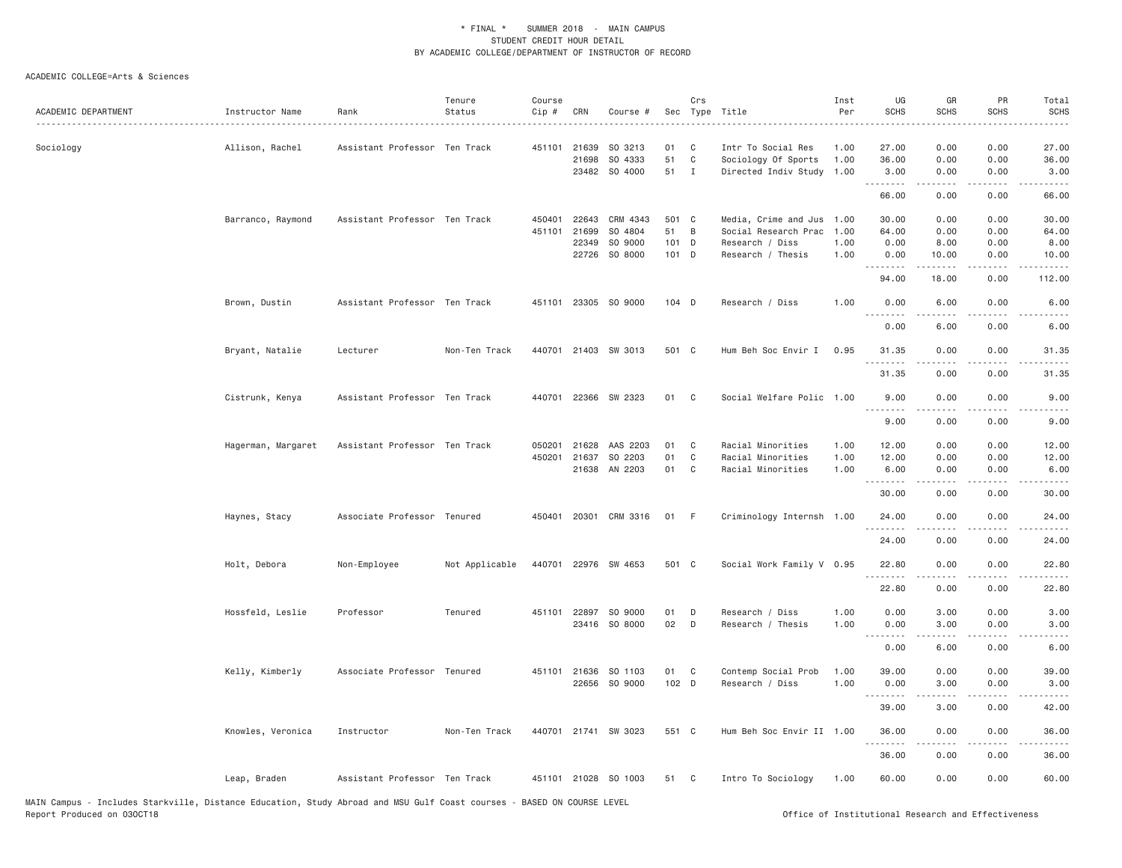| ACADEMIC DEPARTMENT | Instructor Name    | Rank                          | Tenure<br>Status | Course<br>Cip # | CRN   | Course #              |       | Crs            | Sec Type Title            | Inst<br>Per | UG<br><b>SCHS</b> | GR<br><b>SCHS</b>        | PR<br><b>SCHS</b> | Total<br><b>SCHS</b> |
|---------------------|--------------------|-------------------------------|------------------|-----------------|-------|-----------------------|-------|----------------|---------------------------|-------------|-------------------|--------------------------|-------------------|----------------------|
|                     |                    |                               |                  |                 |       |                       |       |                |                           |             |                   |                          |                   |                      |
| Sociology           | Allison, Rachel    | Assistant Professor Ten Track |                  | 451101          | 21639 | SO 3213               | 01    | C              | Intr To Social Res        | 1.00        | 27.00             | 0.00                     | 0.00              | 27.00                |
|                     |                    |                               |                  |                 | 21698 | SO 4333               | 51    | C              | Sociology Of Sports       | 1.00        | 36.00             | 0.00                     | 0.00              | 36.00                |
|                     |                    |                               |                  |                 |       | 23482 SO 4000         | 51 I  |                | Directed Indiv Study 1.00 |             | 3.00<br>.         | 0.00<br>.                | 0.00<br>$- - - -$ | 3.00                 |
|                     |                    |                               |                  |                 |       |                       |       |                |                           |             | 66.00             | 0.00                     | 0.00              | 66.00                |
|                     | Barranco, Raymond  | Assistant Professor Ten Track |                  | 450401          | 22643 | CRM 4343              | 501 C |                | Media, Crime and Jus 1.00 |             | 30.00             | 0.00                     | 0.00              | 30.00                |
|                     |                    |                               |                  | 451101          | 21699 | SO 4804               | 51    | $\overline{B}$ | Social Research Prac      | 1.00        | 64.00             | 0.00                     | 0.00              | 64.00                |
|                     |                    |                               |                  |                 | 22349 | SO 9000               | 101 D |                | Research / Diss           | 1.00        | 0.00              | 8.00                     | 0.00              | 8.00                 |
|                     |                    |                               |                  |                 | 22726 | SO 8000               | 101 D |                | Research / Thesis         | 1.00        | 0.00<br>.         | 10.00<br>المتمام المتعاد | 0.00<br>.         | 10.00<br>.           |
|                     |                    |                               |                  |                 |       |                       |       |                |                           |             | 94.00             | 18.00                    | 0.00              | 112.00               |
|                     | Brown, Dustin      | Assistant Professor Ten Track |                  |                 |       | 451101 23305 SO 9000  | 104 D |                | Research / Diss           | 1.00        | 0.00<br>$- - - -$ | 6.00                     | 0.00              | 6.00                 |
|                     |                    |                               |                  |                 |       |                       |       |                |                           |             | 0.00              | 6.00                     | 0.00              | 6.00                 |
|                     | Bryant, Natalie    | Lecturer                      | Non-Ten Track    |                 |       | 440701 21403 SW 3013  | 501 C |                | Hum Beh Soc Envir I       | 0.95        | 31.35             | 0.00                     | 0.00              | 31.35                |
|                     |                    |                               |                  |                 |       |                       |       |                |                           |             | 31.35             | 0.00                     | 0.00              | 31.35                |
|                     | Cistrunk, Kenya    | Assistant Professor Ten Track |                  |                 |       | 440701 22366 SW 2323  | 01 C  |                | Social Welfare Polic 1.00 |             | 9.00<br>.         | 0.00<br>.                | 0.00<br>.         | 9.00<br>----         |
|                     |                    |                               |                  |                 |       |                       |       |                |                           |             | 9.00              | 0.00                     | 0.00              | 9.00                 |
|                     | Hagerman, Margaret | Assistant Professor Ten Track |                  |                 |       | 050201 21628 AAS 2203 | 01    | $\mathbf{C}$   | Racial Minorities         | 1.00        | 12.00             | 0.00                     | 0.00              | 12.00                |
|                     |                    |                               |                  | 450201          | 21637 | SO 2203               | 01    | C              | Racial Minorities         | 1.00        | 12.00             | 0.00                     | 0.00              | 12.00                |
|                     |                    |                               |                  |                 |       | 21638 AN 2203         | 01    | $\mathbf{C}$   | Racial Minorities         | 1.00        | 6.00<br><b></b>   | 0.00                     | 0.00              | 6.00<br>.            |
|                     |                    |                               |                  |                 |       |                       |       |                |                           |             | 30.00             | 0.00                     | 0.00              | 30.00                |
|                     | Haynes, Stacy      | Associate Professor Tenured   |                  |                 |       | 450401 20301 CRM 3316 | 01    | - F            | Criminology Internsh 1.00 |             | 24.00             | 0.00                     | 0.00              | 24.00                |
|                     |                    |                               |                  |                 |       |                       |       |                |                           |             | 24.00             | 0.00                     | 0.00              | 24.00                |
|                     | Holt, Debora       | Non-Employee                  | Not Applicable   |                 |       | 440701 22976 SW 4653  | 501 C |                | Social Work Family V 0.95 |             | 22.80<br>.        | 0.00                     | 0.00              | 22.80<br>د د د د د   |
|                     |                    |                               |                  |                 |       |                       |       |                |                           |             | 22.80             | 0.00                     | 0.00              | 22.80                |
|                     | Hossfeld, Leslie   | Professor                     | Tenured          |                 |       | 451101 22897 SO 9000  | 01    | D              | Research / Diss           | 1.00        | 0.00              | 3.00                     | 0.00              | 3.00                 |
|                     |                    |                               |                  |                 |       | 23416 SO 8000         | 02 D  |                | Research / Thesis         | 1.00        | 0.00              | 3.00                     | 0.00              | 3.00                 |
|                     |                    |                               |                  |                 |       |                       |       |                |                           |             | <u>.</u><br>0.00  | .<br>6.00                | .<br>0.00         | .<br>6.00            |
|                     | Kelly, Kimberly    | Associate Professor Tenured   |                  |                 |       | 451101 21636 SO 1103  | 01 C  |                | Contemp Social Prob       | 1.00        | 39.00             | 0.00                     | 0.00              | 39.00                |
|                     |                    |                               |                  |                 | 22656 | SO 9000               | 102 D |                | Research / Diss           | 1.00        | 0.00              | 3.00                     | 0.00              | 3.00                 |
|                     |                    |                               |                  |                 |       |                       |       |                |                           |             | <u>.</u><br>39.00 | .<br>3.00                | .<br>0.00         | .<br>42.00           |
|                     | Knowles, Veronica  | Instructor                    | Non-Ten Track    |                 |       | 440701 21741 SW 3023  | 551 C |                | Hum Beh Soc Envir II 1.00 |             | 36.00             | 0.00                     | 0.00              | 36.00                |
|                     |                    |                               |                  |                 |       |                       |       |                |                           |             | .                 |                          |                   |                      |
|                     |                    |                               |                  |                 |       |                       |       |                |                           |             | 36.00             | 0.00                     | 0.00              | 36.00                |
|                     | Leap, Braden       | Assistant Professor Ten Track |                  |                 |       | 451101 21028 SO 1003  | 51 C  |                | Intro To Sociology        | 1.00        | 60.00             | 0.00                     | 0.00              | 60.00                |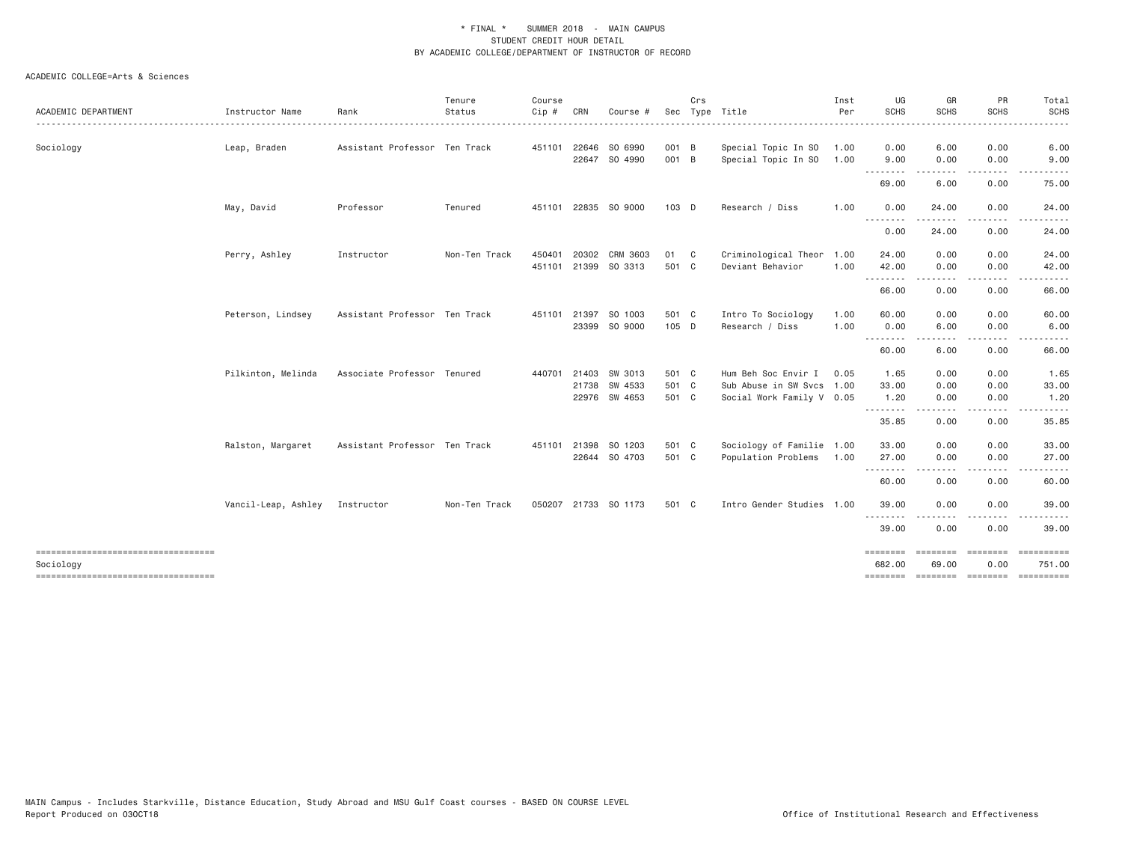|                                                 |                     |                               | Tenure        | Course |              |                      |         | Crs |                           | Inst | UG                 | GR                         | PR                                                                                                                                | Total                        |
|-------------------------------------------------|---------------------|-------------------------------|---------------|--------|--------------|----------------------|---------|-----|---------------------------|------|--------------------|----------------------------|-----------------------------------------------------------------------------------------------------------------------------------|------------------------------|
| ACADEMIC DEPARTMENT                             | Instructor Name     | Rank                          | Status        | Cip #  | CRN          | Course #             |         |     | Sec Type Title            | Per  | <b>SCHS</b>        | <b>SCHS</b>                | <b>SCHS</b>                                                                                                                       | <b>SCHS</b>                  |
| Sociology                                       | Leap, Braden        | Assistant Professor Ten Track |               |        |              | 451101 22646 SO 6990 | 001 B   |     | Special Topic In SO       | 1.00 | 0.00               | 6.00                       | 0.00                                                                                                                              | 6.00                         |
|                                                 |                     |                               |               |        |              | 22647 SO 4990        | 001 B   |     | Special Topic In SO       | 1.00 | 9.00<br>.          | 0.00<br><u>.</u>           | 0.00<br>$\frac{1}{2} \left( \frac{1}{2} \right) \left( \frac{1}{2} \right) \left( \frac{1}{2} \right) \left( \frac{1}{2} \right)$ | 9.00                         |
|                                                 |                     |                               |               |        |              |                      |         |     |                           |      | 69.00              | 6.00                       | 0.00                                                                                                                              | 75.00                        |
|                                                 | May, David          | Professor                     | Tenured       |        |              | 451101 22835 SO 9000 | $103$ D |     | Research / Diss           | 1.00 | 0.00<br>.          | 24.00                      | 0.00                                                                                                                              | 24.00                        |
|                                                 |                     |                               |               |        |              |                      |         |     |                           |      | 0.00               | 24.00                      | 0.00                                                                                                                              | 24.00                        |
|                                                 | Perry, Ashley       | Instructor                    | Non-Ten Track | 450401 | 20302        | CRM 3603             | 01 C    |     | Criminological Theor      | 1.00 | 24.00              | 0.00                       | 0.00                                                                                                                              | 24.00                        |
|                                                 |                     |                               |               |        |              | 451101 21399 SO 3313 | 501 C   |     | Deviant Behavior          | 1.00 | 42.00<br>.         | 0.00<br>.                  | 0.00<br>.                                                                                                                         | 42.00<br>.                   |
|                                                 |                     |                               |               |        |              |                      |         |     |                           |      | 66.00              | 0.00                       | 0.00                                                                                                                              | 66.00                        |
|                                                 | Peterson, Lindsey   | Assistant Professor Ten Track |               |        | 451101 21397 | SO 1003              | 501 C   |     | Intro To Sociology        | 1.00 | 60.00              | 0.00                       | 0.00                                                                                                                              | 60.00                        |
|                                                 |                     |                               |               |        |              | 23399 SO 9000        | 105 D   |     | Research / Diss           | 1.00 | 0.00<br>.          | 6.00                       | 0.00                                                                                                                              | 6.00                         |
|                                                 |                     |                               |               |        |              |                      |         |     |                           |      | 60.00              | 6.00                       | 0.00                                                                                                                              | 66.00                        |
|                                                 | Pilkinton, Melinda  | Associate Professor Tenured   |               | 440701 | 21403        | SW 3013              | 501 C   |     | Hum Beh Soc Envir I       | 0.05 | 1.65               | 0.00                       | 0.00                                                                                                                              | 1.65                         |
|                                                 |                     |                               |               |        |              | 21738 SW 4533        | 501 C   |     | Sub Abuse in SW Svcs 1.00 |      | 33.00              | 0.00                       | 0.00                                                                                                                              | 33.00                        |
|                                                 |                     |                               |               |        |              | 22976 SW 4653        | 501 C   |     | Social Work Family V 0.05 |      | 1.20               | 0.00                       | 0.00                                                                                                                              | 1.20                         |
|                                                 |                     |                               |               |        |              |                      |         |     |                           |      | .<br>35.85         | 0.00                       | 0.00                                                                                                                              | 35.85                        |
|                                                 | Ralston, Margaret   | Assistant Professor Ten Track |               |        |              | 451101 21398 SO 1203 | 501 C   |     | Sociology of Familie 1.00 |      | 33.00              | 0.00                       | 0.00                                                                                                                              | 33.00                        |
|                                                 |                     |                               |               |        |              | 22644 SO 4703        | 501 C   |     | Population Problems       | 1.00 | 27.00              | 0.00                       | 0.00                                                                                                                              | 27.00                        |
|                                                 |                     |                               |               |        |              |                      |         |     |                           |      | .<br>60.00         | - - - - -<br>0.00          | $- - - -$<br>0.00                                                                                                                 | 60.00                        |
|                                                 | Vancil-Leap, Ashley | Instructor                    | Non-Ten Track |        |              | 050207 21733 SO 1173 | 501 C   |     | Intro Gender Studies 1.00 |      | 39.00              | 0.00                       | 0.00                                                                                                                              | 39.00                        |
|                                                 |                     |                               |               |        |              |                      |         |     |                           |      | <u>.</u><br>39,00  | .<br>0.00                  | ----<br>0.00                                                                                                                      | 39.00                        |
| ----------------------------------<br>Sociology |                     |                               |               |        |              |                      |         |     |                           |      | ========<br>682.00 | $=$ = = = = = = =<br>69.00 | ========<br>0.00                                                                                                                  | 751.00                       |
| ----------------------------------              |                     |                               |               |        |              |                      |         |     |                           |      | ========           |                            |                                                                                                                                   | --------- -------- --------- |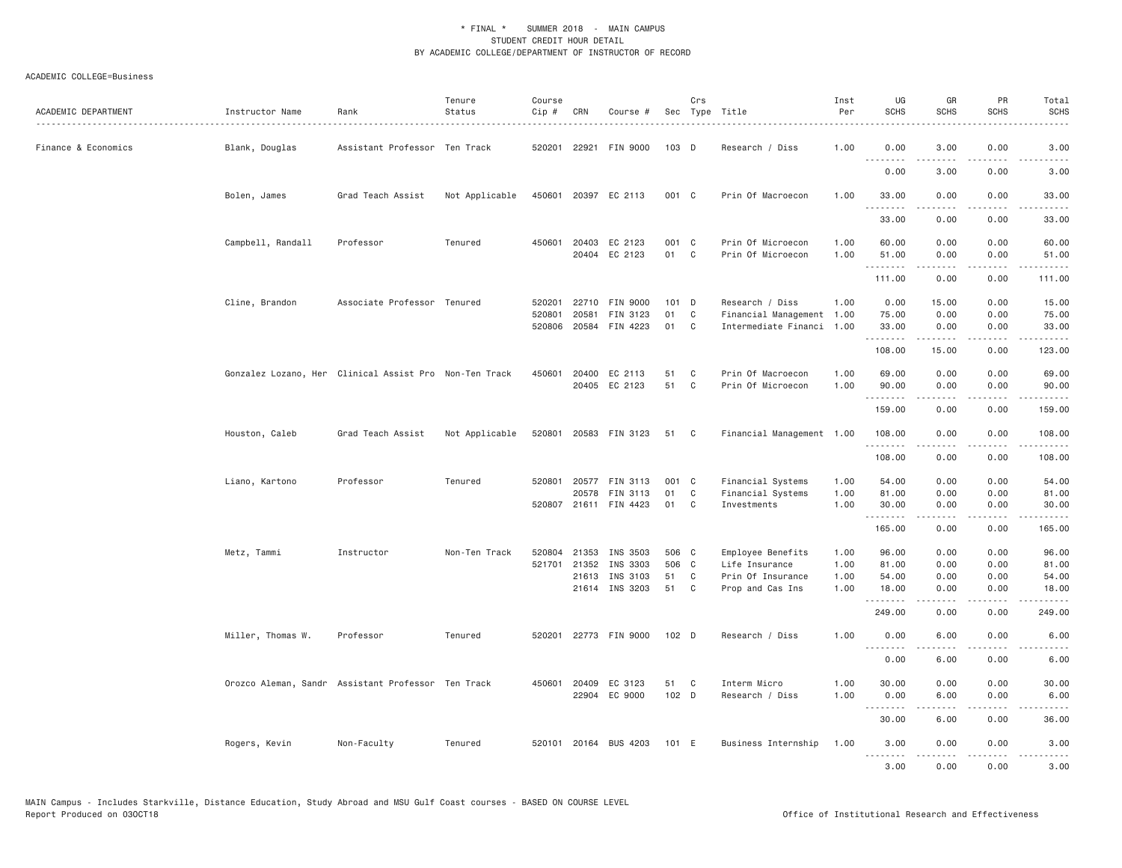| ACADEMIC DEPARTMENT | Instructor Name<br>. <u>.</u> . | Rank                                                   | Tenure<br>Status | Course<br>$Cip \#$ | CRN          | Course #                         |                  | Crs          | Sec Type Title                        | Inst<br>Per  | UG<br><b>SCHS</b>     | GR<br><b>SCHS</b>                                                                                                                                            | PR<br><b>SCHS</b>                   | Total<br><b>SCHS</b>  |
|---------------------|---------------------------------|--------------------------------------------------------|------------------|--------------------|--------------|----------------------------------|------------------|--------------|---------------------------------------|--------------|-----------------------|--------------------------------------------------------------------------------------------------------------------------------------------------------------|-------------------------------------|-----------------------|
| Finance & Economics | Blank, Douglas                  | Assistant Professor Ten Track                          |                  |                    | 520201 22921 | FIN 9000                         | 103 D            |              | Research / Diss                       | 1.00         | 0.00<br>1.1.1.1.1.1.1 | 3.00                                                                                                                                                         | 0.00                                | 3.00                  |
|                     |                                 |                                                        |                  |                    |              |                                  |                  |              |                                       |              | 0.00                  | 3.00                                                                                                                                                         | 0.00                                | 3.00                  |
|                     | Bolen, James                    | Grad Teach Assist                                      | Not Applicable   |                    |              | 450601 20397 EC 2113             | 001 C            |              | Prin Of Macroecon                     | 1.00         | 33.00<br>.            | 0.00                                                                                                                                                         | 0.00<br>.                           | 33.00                 |
|                     |                                 |                                                        |                  |                    |              |                                  |                  |              |                                       |              | 33.00                 | 0.00                                                                                                                                                         | 0.00                                | 33.00                 |
|                     | Campbell, Randall               | Professor                                              | Tenured          |                    | 450601 20403 | EC 2123                          | 001 C            |              | Prin Of Microecon                     | 1.00         | 60.00                 | 0.00                                                                                                                                                         | 0.00                                | 60.00                 |
|                     |                                 |                                                        |                  |                    |              | 20404 EC 2123                    | 01 C             |              | Prin Of Microecon                     | 1.00         | 51.00<br>.            | 0.00                                                                                                                                                         | 0.00<br>د د د د                     | 51.00                 |
|                     |                                 |                                                        |                  |                    |              |                                  |                  |              |                                       |              | 111.00                | 0.00                                                                                                                                                         | 0.00                                | 111.00                |
|                     | Cline, Brandon                  | Associate Professor Tenured                            |                  | 520201             | 22710        | FIN 9000                         | $101$ D          |              | Research / Diss                       | 1.00         | 0.00                  | 15.00                                                                                                                                                        | 0.00                                | 15.00                 |
|                     |                                 |                                                        |                  | 520801             | 20581        | FIN 3123                         | 01               | C            | Financial Management 1.00             |              | 75.00                 | 0.00                                                                                                                                                         | 0.00                                | 75.00                 |
|                     |                                 |                                                        |                  | 520806             | 20584        | FIN 4223                         | 01               | C            | Intermediate Financi 1.00             |              | 33.00<br>.            | 0.00<br>.                                                                                                                                                    | 0.00<br>.                           | 33.00<br>.            |
|                     |                                 |                                                        |                  |                    |              |                                  |                  |              |                                       |              | 108.00                | 15.00                                                                                                                                                        | 0.00                                | 123.00                |
|                     |                                 | Gonzalez Lozano, Her Clinical Assist Pro Non-Ten Track |                  |                    |              | 450601 20400 EC 2113             | 51               | C            | Prin Of Macroecon                     | 1.00         | 69.00                 | 0.00                                                                                                                                                         | 0.00                                | 69.00                 |
|                     |                                 |                                                        |                  |                    |              | 20405 EC 2123                    | 51               | C            | Prin Of Microecon                     | 1.00         | 90.00<br>.            | 0.00<br>.                                                                                                                                                    | 0.00<br>$\sim$ $\sim$ $\sim$        | 90.00<br>.            |
|                     |                                 |                                                        |                  |                    |              |                                  |                  |              |                                       |              | 159.00                | 0.00                                                                                                                                                         | 0.00                                | 159.00                |
|                     | Houston, Caleb                  | Grad Teach Assist                                      | Not Applicable   |                    |              | 520801 20583 FIN 3123            | 51               | $\mathbf{C}$ | Financial Management 1.00             |              | 108.00<br>.           | 0.00<br>.                                                                                                                                                    | 0.00<br>.                           | 108.00<br>$- - - - -$ |
|                     |                                 |                                                        |                  |                    |              |                                  |                  |              |                                       |              | 108.00                | 0.00                                                                                                                                                         | 0.00                                | 108.00                |
|                     | Liano, Kartono                  | Professor                                              | Tenured          | 520801             | 20577        | FIN 3113                         | 001 C            |              | Financial Systems                     | 1.00         | 54.00                 | 0.00                                                                                                                                                         | 0.00                                | 54.00                 |
|                     |                                 |                                                        |                  |                    | 20578        | FIN 3113                         | 01               | C            | Financial Systems                     | 1.00         | 81.00                 | 0.00                                                                                                                                                         | 0.00                                | 81.00                 |
|                     |                                 |                                                        |                  |                    |              | 520807 21611 FIN 4423            | 01               | C            | Investments                           | 1.00         | 30.00<br>.            | 0.00<br>$\frac{1}{2} \left( \frac{1}{2} \right) \left( \frac{1}{2} \right) \left( \frac{1}{2} \right) \left( \frac{1}{2} \right) \left( \frac{1}{2} \right)$ | 0.00<br>.                           | 30.00<br>.            |
|                     |                                 |                                                        |                  |                    |              |                                  |                  |              |                                       |              | 165.00                | 0.00                                                                                                                                                         | 0.00                                | 165.00                |
|                     | Metz, Tammi                     | Instructor                                             | Non-Ten Track    | 520804             | 21353        | INS 3503                         | 506 C            |              | Employee Benefits                     | 1.00         | 96.00                 | 0.00                                                                                                                                                         | 0.00                                | 96.00                 |
|                     |                                 |                                                        |                  |                    | 521701 21352 | INS 3303                         | 506 C            |              | Life Insurance                        | 1.00         | 81.00                 | 0.00                                                                                                                                                         | 0.00                                | 81.00                 |
|                     |                                 |                                                        |                  |                    |              | 21613 INS 3103<br>21614 INS 3203 | 51<br>51         | C<br>C       | Prin Of Insurance<br>Prop and Cas Ins | 1.00<br>1.00 | 54.00<br>18.00        | 0.00<br>0.00                                                                                                                                                 | 0.00<br>0.00                        | 54.00<br>18.00        |
|                     |                                 |                                                        |                  |                    |              |                                  |                  |              |                                       |              | .<br>249.00           | -----<br>0.00                                                                                                                                                | .<br>0.00                           | .<br>249.00           |
|                     |                                 |                                                        |                  |                    |              |                                  |                  |              |                                       |              |                       |                                                                                                                                                              |                                     |                       |
|                     | Miller, Thomas W.               | Professor                                              | Tenured          | 520201             |              | 22773 FIN 9000                   | 102 <sub>D</sub> |              | Research / Diss                       | 1.00         | 0.00<br><u>.</u>      | 6.00                                                                                                                                                         | 0.00                                | 6.00                  |
|                     |                                 |                                                        |                  |                    |              |                                  |                  |              |                                       |              | 0.00                  | 6.00                                                                                                                                                         | 0.00                                | 6.00                  |
|                     |                                 | Orozco Aleman, Sandr Assistant Professor Ten Track     |                  |                    |              | 450601 20409 EC 3123             | 51               | $\mathbf{C}$ | Interm Micro                          | 1.00         | 30.00                 | 0.00                                                                                                                                                         | 0.00                                | 30.00                 |
|                     |                                 |                                                        |                  |                    |              | 22904 EC 9000                    | $102$ D          |              | Research / Diss                       | 1.00         | 0.00<br>.             | 6.00                                                                                                                                                         | 0.00<br>$\sim$ $\sim$ $\sim$ $\sim$ | 6.00                  |
|                     |                                 |                                                        |                  |                    |              |                                  |                  |              |                                       |              | 30.00                 | 6.00                                                                                                                                                         | 0.00                                | 36.00                 |
|                     | Rogers, Kevin                   | Non-Faculty                                            | Tenured          |                    |              | 520101 20164 BUS 4203            | 101 E            |              | Business Internship                   | 1.00         | 3.00<br>.             | 0.00<br>$\frac{1}{2} \left( \frac{1}{2} \right) \left( \frac{1}{2} \right) \left( \frac{1}{2} \right) \left( \frac{1}{2} \right) \left( \frac{1}{2} \right)$ | 0.00<br>.                           | 3.00<br>.             |
|                     |                                 |                                                        |                  |                    |              |                                  |                  |              |                                       |              | 3,00                  | 0.00                                                                                                                                                         | 0.00                                | 3.00                  |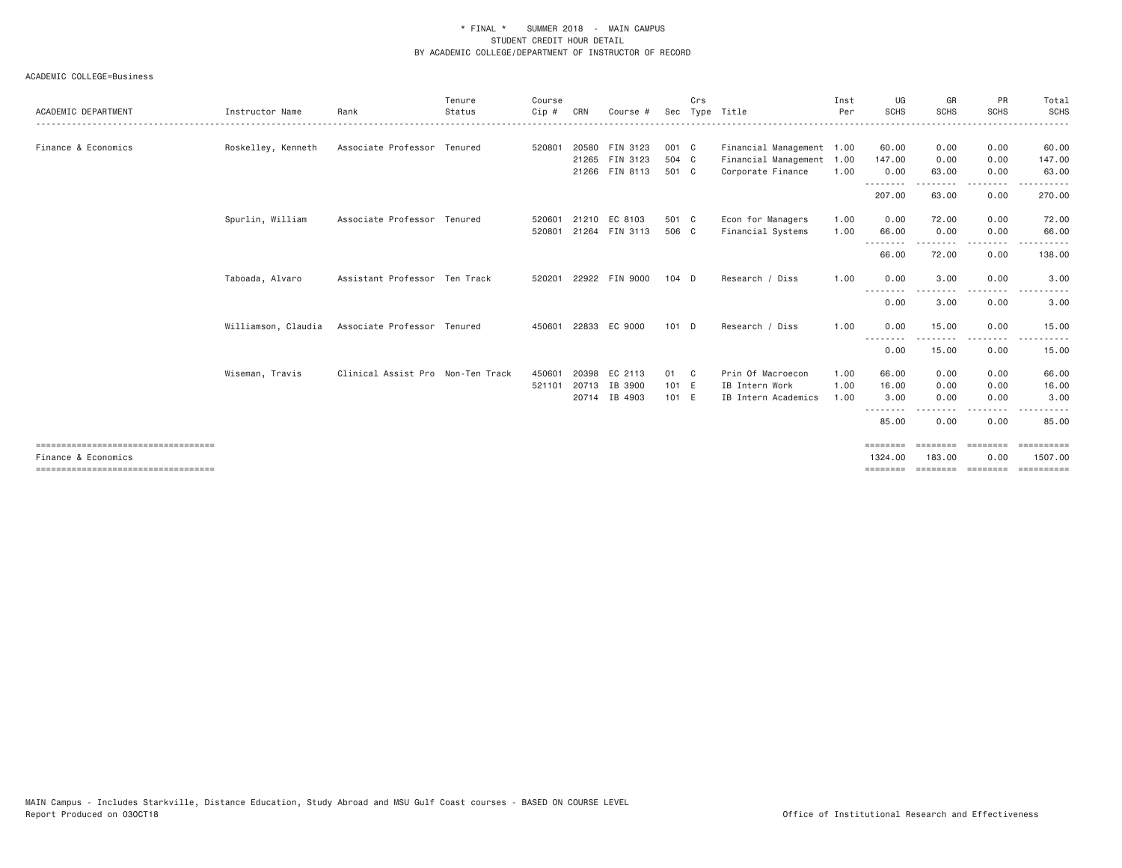|                                                              |                     |                                   | Tenure | Course  |       |                |         | Crs |                           | Inst | UG                      | GR                 | <b>PR</b>                                                                                                                         | Total                 |
|--------------------------------------------------------------|---------------------|-----------------------------------|--------|---------|-------|----------------|---------|-----|---------------------------|------|-------------------------|--------------------|-----------------------------------------------------------------------------------------------------------------------------------|-----------------------|
| ACADEMIC DEPARTMENT                                          | Instructor Name     | Rank                              | Status | $Cip$ # | CRN   | Course #       |         |     | Sec Type Title            | Per  | <b>SCHS</b>             | <b>SCHS</b>        | <b>SCHS</b>                                                                                                                       | SCHS<br>.             |
|                                                              |                     |                                   |        |         |       |                |         |     |                           |      |                         |                    |                                                                                                                                   |                       |
| Finance & Economics                                          | Roskelley, Kenneth  | Associate Professor Tenured       |        | 520801  |       | 20580 FIN 3123 | 001 C   |     | Financial Management 1.00 |      | 60.00                   | 0.00               | 0.00                                                                                                                              | 60.00                 |
|                                                              |                     |                                   |        |         |       | 21265 FIN 3123 | 504 C   |     | Financial Management 1.00 |      | 147.00                  | 0.00               | 0.00                                                                                                                              | 147.00                |
|                                                              |                     |                                   |        |         |       | 21266 FIN 8113 | 501 C   |     | Corporate Finance         | 1.00 | 0.00<br>--------        | 63.00<br>.         | 0.00<br>.                                                                                                                         | 63.00                 |
|                                                              |                     |                                   |        |         |       |                |         |     |                           |      | 207.00                  | 63.00              | 0.00                                                                                                                              | 270.00                |
|                                                              | Spurlin, William    | Associate Professor Tenured       |        | 520601  |       | 21210 EC 8103  | 501 C   |     | Econ for Managers         | 1.00 | 0.00                    | 72.00              | 0.00                                                                                                                              | 72.00                 |
|                                                              |                     |                                   |        | 520801  |       | 21264 FIN 3113 | 506 C   |     | Financial Systems         | 1.00 | 66.00                   | 0.00               | 0.00                                                                                                                              | 66.00                 |
|                                                              |                     |                                   |        |         |       |                |         |     |                           |      | 66.00                   | 72.00              | $\frac{1}{2} \left( \frac{1}{2} \right) \left( \frac{1}{2} \right) \left( \frac{1}{2} \right) \left( \frac{1}{2} \right)$<br>0.00 | 138.00                |
|                                                              | Taboada, Alvaro     | Assistant Professor Ten Track     |        | 520201  |       | 22922 FIN 9000 | $104$ D |     | Research / Diss           | 1.00 | 0.00                    | 3,00               | 0.00                                                                                                                              | 3.00                  |
|                                                              |                     |                                   |        |         |       |                |         |     |                           |      | --------<br>0.00        | 3.00               | .<br>0.00                                                                                                                         | 3.00                  |
|                                                              | Williamson, Claudia | Associate Professor Tenured       |        | 450601  |       | 22833 EC 9000  | $101$ D |     | Research / Diss           | 1.00 | 0.00<br>- - - - - - - - | 15.00<br><u>.</u>  | 0.00<br>- - - - -                                                                                                                 | 15.00                 |
|                                                              |                     |                                   |        |         |       |                |         |     |                           |      | 0.00                    | 15.00              | 0.00                                                                                                                              | 15.00                 |
|                                                              | Wiseman, Travis     | Clinical Assist Pro Non-Ten Track |        | 450601  | 20398 | EC 2113        | 01 C    |     | Prin Of Macroecon         | 1.00 | 66.00                   | 0.00               | 0.00                                                                                                                              | 66.00                 |
|                                                              |                     |                                   |        | 521101  | 20713 | IB 3900        | 101 E   |     | IB Intern Work            | 1.00 | 16.00                   | 0.00               | 0.00                                                                                                                              | 16.00                 |
|                                                              |                     |                                   |        |         |       | 20714 IB 4903  | 101 E   |     | IB Intern Academics       | 1.00 | 3.00                    | 0.00               | 0.00                                                                                                                              | 3.00                  |
|                                                              |                     |                                   |        |         |       |                |         |     |                           |      | 85.00                   | 0.00               | 0.00                                                                                                                              | 85.00                 |
| ====================================                         |                     |                                   |        |         |       |                |         |     |                           |      | $=$ = = = = = = =       | ========           | - eessesses                                                                                                                       |                       |
| Finance & Economics<br>===================================== |                     |                                   |        |         |       |                |         |     |                           |      | 1324,00                 | 183,00<br>======== | 0.00                                                                                                                              | 1507.00<br>========== |
|                                                              |                     |                                   |        |         |       |                |         |     |                           |      |                         |                    |                                                                                                                                   |                       |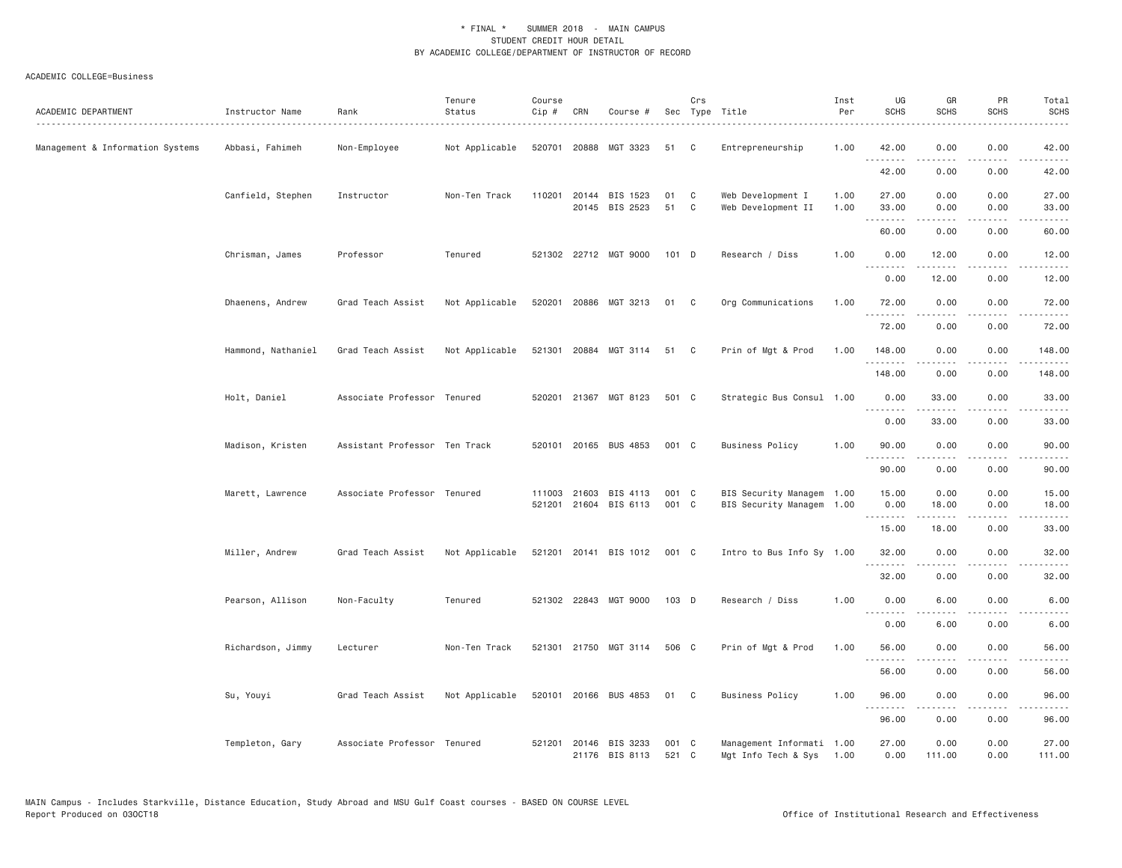| ACADEMIC DEPARTMENT              | Instructor Name    | Rank                          | Tenure<br>Status | Course<br>Cip # | CRN | Course #                                       |                | Crs               | Sec Type Title                                         | Inst<br>Per  | UG<br><b>SCHS</b>      | GR<br><b>SCHS</b> | PR<br><b>SCHS</b>            | Total<br><b>SCHS</b>                                                                                                               |
|----------------------------------|--------------------|-------------------------------|------------------|-----------------|-----|------------------------------------------------|----------------|-------------------|--------------------------------------------------------|--------------|------------------------|-------------------|------------------------------|------------------------------------------------------------------------------------------------------------------------------------|
| Management & Information Systems | Abbasi, Fahimeh    | Non-Employee                  | Not Applicable   |                 |     | 520701 20888 MGT 3323                          | 51 C           |                   | Entrepreneurship                                       | 1.00         | 42.00<br>.             | 0.00              | 0.00<br>.                    | 42.00<br>$\frac{1}{2} \left( \frac{1}{2} \right) \left( \frac{1}{2} \right) \left( \frac{1}{2} \right) \left( \frac{1}{2} \right)$ |
|                                  |                    |                               |                  |                 |     |                                                |                |                   |                                                        |              | 42.00                  | 0.00              | 0.00                         | 42.00                                                                                                                              |
|                                  | Canfield, Stephen  | Instructor                    | Non-Ten Track    | 110201          |     | 20144 BIS 1523<br>20145 BIS 2523               | 01<br>51       | C<br>$\mathbf{C}$ | Web Development I<br>Web Development II                | 1.00<br>1.00 | 27.00<br>33.00         | 0.00<br>0.00      | 0.00<br>0.00                 | 27.00<br>33.00                                                                                                                     |
|                                  |                    |                               |                  |                 |     |                                                |                |                   |                                                        |              | <u>.</u><br>60.00      | 0.00              | 0.00                         | .<br>60.00                                                                                                                         |
|                                  | Chrisman, James    | Professor                     | Tenured          |                 |     | 521302 22712 MGT 9000                          | 101 D          |                   | Research / Diss                                        | 1.00         | 0.00                   | 12.00             | 0.00                         | 12.00                                                                                                                              |
|                                  |                    |                               |                  |                 |     |                                                |                |                   |                                                        |              | $- - -$<br>.<br>0.00   | <b>.</b><br>12.00 | د د د د<br>0.00              | والمناصبات<br>12.00                                                                                                                |
|                                  | Dhaenens, Andrew   | Grad Teach Assist             | Not Applicable   | 520201          |     | 20886 MGT 3213                                 | 01             | C <sub>1</sub>    | Org Communications                                     | 1.00         | 72.00                  | 0.00              | 0.00                         | 72.00                                                                                                                              |
|                                  |                    |                               |                  |                 |     |                                                |                |                   |                                                        |              | .<br>72.00             | .<br>0.00         | .<br>0.00                    | .<br>72.00                                                                                                                         |
|                                  | Hammond, Nathaniel | Grad Teach Assist             | Not Applicable   |                 |     | 521301 20884 MGT 3114 51 C                     |                |                   | Prin of Mgt & Prod                                     | 1.00         | 148.00                 | 0.00              | 0.00                         | 148.00                                                                                                                             |
|                                  |                    |                               |                  |                 |     |                                                |                |                   |                                                        |              | .<br>148.00            | 0.00              | 0.00                         | .<br>148.00                                                                                                                        |
|                                  | Holt, Daniel       | Associate Professor Tenured   |                  |                 |     | 520201 21367 MGT 8123                          | 501 C          |                   | Strategic Bus Consul 1.00                              |              | 0.00                   | 33.00             | 0.00                         | 33.00                                                                                                                              |
|                                  |                    |                               |                  |                 |     |                                                |                |                   |                                                        |              | 0.00                   | 33.00             | $\sim$ $\sim$ $\sim$<br>0.00 | 33.00                                                                                                                              |
|                                  | Madison, Kristen   | Assistant Professor Ten Track |                  |                 |     | 520101 20165 BUS 4853                          | 001 C          |                   | <b>Business Policy</b>                                 | 1,00         | 90.00<br>.             | 0.00<br>.         | 0.00<br>.                    | 90.00<br>.                                                                                                                         |
|                                  |                    |                               |                  |                 |     |                                                |                |                   |                                                        |              | 90.00                  | 0.00              | 0.00                         | 90.00                                                                                                                              |
|                                  | Marett, Lawrence   | Associate Professor Tenured   |                  |                 |     | 111003 21603 BIS 4113<br>521201 21604 BIS 6113 | 001 C<br>001 C |                   | BIS Security Managem 1.00<br>BIS Security Managem 1.00 |              | 15.00<br>0.00          | 0.00<br>18.00     | 0.00<br>0.00                 | 15.00<br>18.00                                                                                                                     |
|                                  |                    |                               |                  |                 |     |                                                |                |                   |                                                        |              | .<br>15.00             | 18.00             | 0.00                         | 33.00                                                                                                                              |
|                                  | Miller, Andrew     | Grad Teach Assist             | Not Applicable   |                 |     | 521201 20141 BIS 1012                          | 001 C          |                   | Intro to Bus Info Sy 1.00                              |              | 32.00                  | 0.00              | 0.00                         | 32.00                                                                                                                              |
|                                  |                    |                               |                  |                 |     |                                                |                |                   |                                                        |              | .<br>32.00             | .<br>0.00         | .<br>0.00                    | .<br>32.00                                                                                                                         |
|                                  | Pearson, Allison   | Non-Faculty                   | Tenured          |                 |     | 521302 22843 MGT 9000                          | 103 D          |                   | Research / Diss                                        | 1.00         | 0.00                   | 6.00              | 0.00                         | 6.00                                                                                                                               |
|                                  |                    |                               |                  |                 |     |                                                |                |                   |                                                        |              | .<br>0.00              | 6.00              | 0.00                         | والمناصبات<br>6.00                                                                                                                 |
|                                  | Richardson, Jimmy  | Lecturer                      | Non-Ten Track    |                 |     | 521301 21750 MGT 3114                          | 506 C          |                   | Prin of Mgt & Prod                                     | 1.00         | 56.00<br>1.1.1.1.1.1.1 | 0.00<br>.         | 0.00<br>د د د د              | 56.00<br>والمناصبات                                                                                                                |
|                                  |                    |                               |                  |                 |     |                                                |                |                   |                                                        |              | 56.00                  | 0.00              | 0.00                         | 56.00                                                                                                                              |
|                                  | Su, Youyi          | Grad Teach Assist             | Not Applicable   |                 |     | 520101 20166 BUS 4853                          | 01             | C.                | <b>Business Policy</b>                                 | 1.00         | 96.00                  | 0.00              | 0.00<br>.                    | 96.00                                                                                                                              |
|                                  |                    |                               |                  |                 |     |                                                |                |                   |                                                        |              | <u>.</u><br>96.00      | .<br>0.00         | 0.00                         | .<br>96.00                                                                                                                         |
|                                  | Templeton, Gary    | Associate Professor Tenured   |                  |                 |     | 521201 20146 BIS 3233<br>21176 BIS 8113        | 001 C<br>521 C |                   | Management Informati 1.00<br>Mgt Info Tech & Sys       | 1.00         | 27.00<br>0.00          | 0.00<br>111.00    | 0.00<br>0.00                 | 27.00<br>111.00                                                                                                                    |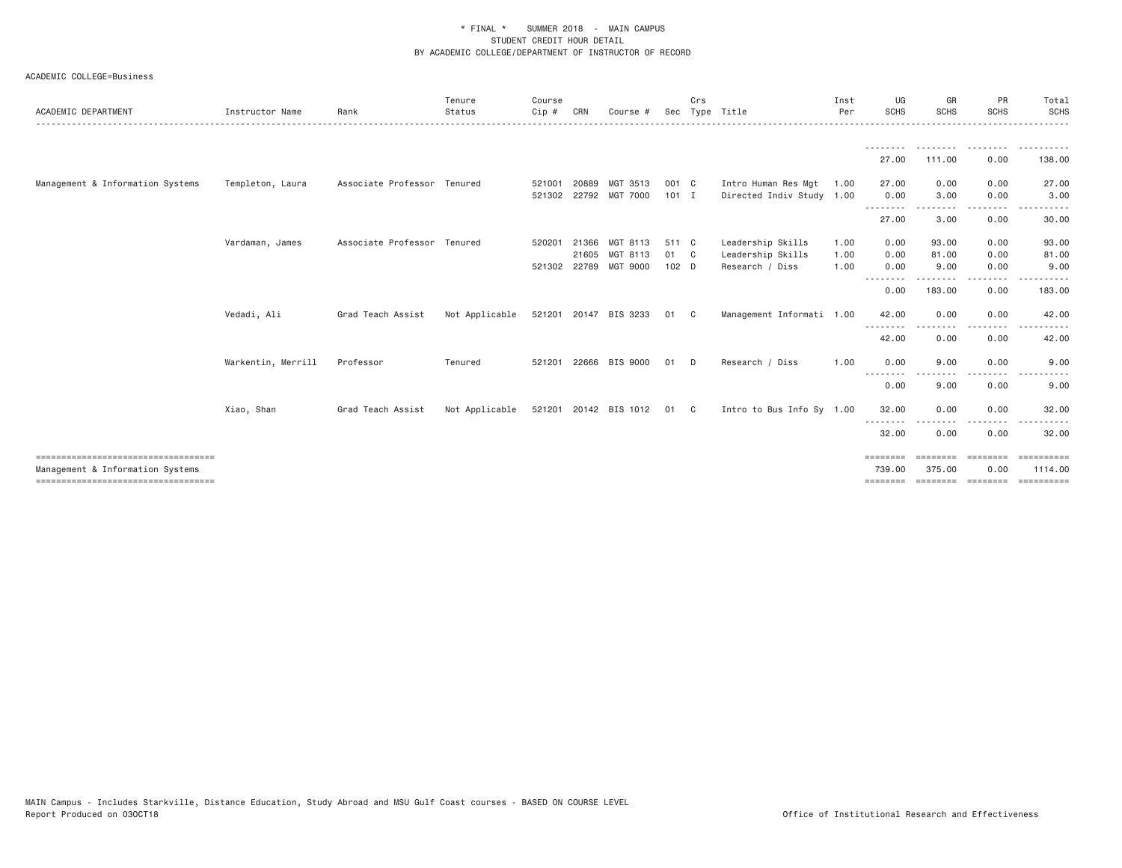| ACADEMIC DEPARTMENT                   | Instructor Name    | Rank                        | Tenure<br>Status | Course<br>Cip# | CRN   | Course #              |                  | Crs         | Sec Type Title            | Inst<br>Per | UG<br>SCHS         | GR<br><b>SCHS</b>   | PR<br><b>SCHS</b> | Total<br><b>SCHS</b>  |
|---------------------------------------|--------------------|-----------------------------|------------------|----------------|-------|-----------------------|------------------|-------------|---------------------------|-------------|--------------------|---------------------|-------------------|-----------------------|
|                                       |                    |                             |                  |                |       |                       |                  |             |                           |             |                    |                     |                   | -------               |
|                                       |                    |                             |                  |                |       |                       |                  |             |                           |             | 27.00              | 111.00              | 0.00              | 138.00                |
| Management & Information Systems      | Templeton, Laura   | Associate Professor Tenured |                  | 521001         | 20889 | MGT 3513              | 001 C            |             | Intro Human Res Mgt       | 1.00        | 27.00              | 0.00                | 0.00              | 27.00                 |
|                                       |                    |                             |                  |                |       | 521302 22792 MGT 7000 | $101$ I          |             | Directed Indiv Study 1.00 |             | 0.00<br>--------   | 3.00                | 0.00              | 3.00                  |
|                                       |                    |                             |                  |                |       |                       |                  |             |                           |             | 27.00              | 3.00                | 0.00              | 30.00                 |
|                                       | Vardaman, James    | Associate Professor Tenured |                  | 520201         | 21366 | MGT 8113              | 511 C            |             | Leadership Skills         | 1.00        | 0.00               | 93,00               | 0.00              | 93.00                 |
|                                       |                    |                             |                  |                | 21605 | MGT 8113              | 01 C             |             | Leadership Skills         | 1.00        | 0.00               | 81.00               | 0.00              | 81.00                 |
|                                       |                    |                             |                  |                |       | 521302 22789 MGT 9000 | 102 <sub>D</sub> |             | Research / Diss           | 1.00        | 0.00<br>$\cdots$   | 9.00                | 0.00              | 9.00                  |
|                                       |                    |                             |                  |                |       |                       |                  |             |                           |             | 0.00               | 183.00              | 0.00              | 183.00                |
|                                       | Vedadi, Ali        | Grad Teach Assist           | Not Applicable   |                |       | 521201 20147 BIS 3233 | 01               | C.          | Management Informati 1.00 |             | 42.00              | 0.00                | 0.00              | 42.00                 |
|                                       |                    |                             |                  |                |       |                       |                  |             |                           |             | --------<br>42.00  | 0.00                | 0.00              | 42.00                 |
|                                       | Warkentin, Merrill | Professor                   | Tenured          | 521201         |       | 22666 BIS 9000        | 01               | D.          | Research / Diss           | 1.00        | 0.00               | 9.00                | 0.00              | 9.00                  |
|                                       |                    |                             |                  |                |       |                       |                  |             |                           |             | --------<br>0.00   | 9.00                | .<br>0.00         | 9.00                  |
|                                       | Xiao, Shan         | Grad Teach Assist           | Not Applicable   |                |       | 521201 20142 BIS 1012 | 01               | $\mathbb C$ | Intro to Bus Info Sy 1.00 |             | 32.00              | 0.00                | 0.00              | 32.00                 |
|                                       |                    |                             |                  |                |       |                       |                  |             |                           |             | --------<br>32.00  | 0.00                | 0.00              | 32.00                 |
| Management & Information Systems      |                    |                             |                  |                |       |                       |                  |             |                           |             | ========<br>739.00 | ---------<br>375.00 | ---------<br>0.00 | ==========<br>1114.00 |
| ===================================== |                    |                             |                  |                |       |                       |                  |             |                           |             | ========           |                     | ================= | ==========            |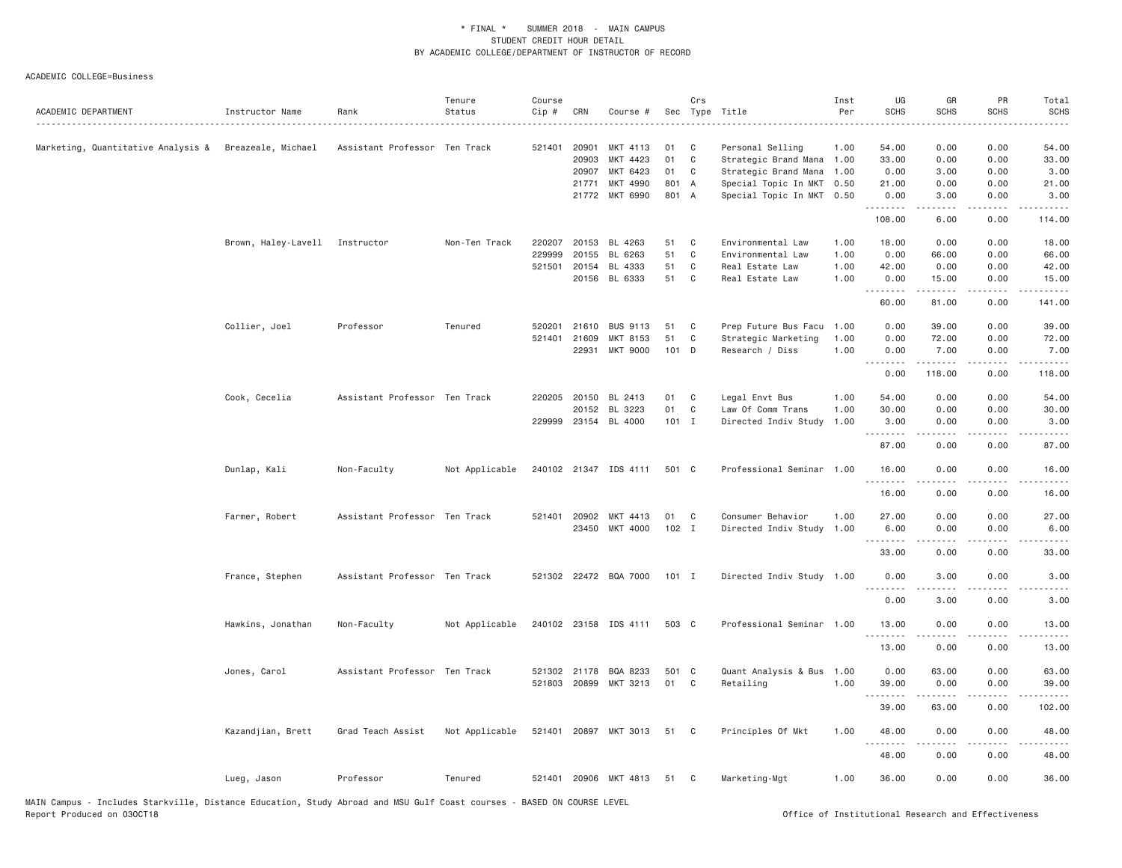| ACADEMIC DEPARTMENT                                   | Instructor Name                | Rank                          | Tenure<br>Status | Course<br>Cip # | CRN          | Course #              |          | Crs          | Sec Type Title                           | Inst<br>Per<br><u>.</u> | UG<br><b>SCHS</b> | GR<br><b>SCHS</b>                                                                                                                                            | PR<br><b>SCHS</b><br>. | Total<br><b>SCHS</b><br>$- - - -$                                                                                                                            |
|-------------------------------------------------------|--------------------------------|-------------------------------|------------------|-----------------|--------------|-----------------------|----------|--------------|------------------------------------------|-------------------------|-------------------|--------------------------------------------------------------------------------------------------------------------------------------------------------------|------------------------|--------------------------------------------------------------------------------------------------------------------------------------------------------------|
| Marketing, Quantitative Analysis & Breazeale, Michael |                                | Assistant Professor Ten Track |                  | 521401 20901    | 20903        | MKT 4113<br>MKT 4423  | 01<br>01 | C<br>C       | Personal Selling<br>Strategic Brand Mana | 1.00<br>1.00            | 54.00<br>33.00    | 0.00<br>0.00                                                                                                                                                 | 0.00<br>0.00           | 54.00<br>33.00                                                                                                                                               |
|                                                       |                                |                               |                  |                 | 20907        | MKT 6423              | 01       | C            | Strategic Brand Mana                     | 1.00                    | 0.00              | 3.00                                                                                                                                                         | 0.00                   | 3.00                                                                                                                                                         |
|                                                       |                                |                               |                  |                 | 21771        | MKT 4990              | 801 A    |              | Special Topic In MKT                     | 0.50                    | 21.00             | 0.00                                                                                                                                                         | 0.00                   | 21.00                                                                                                                                                        |
|                                                       |                                |                               |                  |                 |              | 21772 MKT 6990        | 801 A    |              | Special Topic In MKT 0.50                |                         | 0.00<br>.         | 3.00<br>$\frac{1}{2} \left( \frac{1}{2} \right) \left( \frac{1}{2} \right) \left( \frac{1}{2} \right) \left( \frac{1}{2} \right) \left( \frac{1}{2} \right)$ | 0.00<br>د د د د        | 3.00<br>$\frac{1}{2} \left( \frac{1}{2} \right) \left( \frac{1}{2} \right) \left( \frac{1}{2} \right) \left( \frac{1}{2} \right) \left( \frac{1}{2} \right)$ |
|                                                       |                                |                               |                  |                 |              |                       |          |              |                                          |                         | 108.00            | 6.00                                                                                                                                                         | 0.00                   | 114.00                                                                                                                                                       |
|                                                       | Brown, Haley-Lavell Instructor |                               | Non-Ten Track    | 220207          | 20153        | BL 4263               | 51       | C            | Environmental Law                        | 1.00                    | 18.00             | 0.00                                                                                                                                                         | 0.00                   | 18.00                                                                                                                                                        |
|                                                       |                                |                               |                  | 229999          | 20155        | BL 6263               | 51       | $\mathbb C$  | Environmental Law                        | 1.00                    | 0.00              | 66.00                                                                                                                                                        | 0.00                   | 66.00                                                                                                                                                        |
|                                                       |                                |                               |                  | 521501          | 20154        | BL 4333               | 51       | C            | Real Estate Law                          | 1.00                    | 42.00             | 0.00                                                                                                                                                         | 0.00                   | 42.00                                                                                                                                                        |
|                                                       |                                |                               |                  |                 |              | 20156 BL 6333         | 51       | $\mathbf{C}$ | Real Estate Law                          | 1,00                    | 0.00              | 15.00                                                                                                                                                        | 0.00                   | 15.00                                                                                                                                                        |
|                                                       |                                |                               |                  |                 |              |                       |          |              |                                          |                         | .<br>60.00        | .<br>81.00                                                                                                                                                   | .<br>0.00              | .<br>141.00                                                                                                                                                  |
|                                                       | Collier, Joel                  | Professor                     | Tenured          | 520201          | 21610        | <b>BUS 9113</b>       | 51       | C            | Prep Future Bus Facu                     | 1.00                    | 0.00              | 39.00                                                                                                                                                        | 0.00                   | 39.00                                                                                                                                                        |
|                                                       |                                |                               |                  | 521401          | 21609        | MKT 8153              | 51       | C            | Strategic Marketing                      | 1.00                    | 0.00              | 72.00                                                                                                                                                        | 0.00                   | 72.00                                                                                                                                                        |
|                                                       |                                |                               |                  |                 | 22931        | MKT 9000              | 101 D    |              | Research / Diss                          | 1.00                    | 0.00              | 7.00                                                                                                                                                         | 0.00                   | 7.00                                                                                                                                                         |
|                                                       |                                |                               |                  |                 |              |                       |          |              |                                          |                         | <u>.</u><br>0.00  | .<br>118.00                                                                                                                                                  | .<br>0.00              | .<br>118.00                                                                                                                                                  |
|                                                       | Cook, Cecelia                  | Assistant Professor Ten Track |                  |                 | 220205 20150 | BL 2413               | 01       | C            | Legal Envt Bus                           | 1.00                    | 54.00             | 0.00                                                                                                                                                         | 0.00                   | 54.00                                                                                                                                                        |
|                                                       |                                |                               |                  |                 | 20152        | BL 3223               | 01       | C            | Law Of Comm Trans                        | 1.00                    | 30.00             | 0.00                                                                                                                                                         | 0.00                   | 30.00                                                                                                                                                        |
|                                                       |                                |                               |                  |                 |              | 229999 23154 BL 4000  | 101 I    |              | Directed Indiv Study                     | 1.00                    | 3.00              | 0.00                                                                                                                                                         | 0.00                   | 3.00                                                                                                                                                         |
|                                                       |                                |                               |                  |                 |              |                       |          |              |                                          |                         | .                 | $\frac{1}{2} \left( \frac{1}{2} \right) \left( \frac{1}{2} \right) \left( \frac{1}{2} \right) \left( \frac{1}{2} \right) \left( \frac{1}{2} \right)$         | بالمحام                | .                                                                                                                                                            |
|                                                       |                                |                               |                  |                 |              |                       |          |              |                                          |                         | 87.00             | 0.00                                                                                                                                                         | 0.00                   | 87.00                                                                                                                                                        |
|                                                       | Dunlap, Kali                   | Non-Faculty                   | Not Applicable   |                 |              | 240102 21347 IDS 4111 | 501 C    |              | Professional Seminar                     | 1.00                    | 16.00<br>.        | 0.00<br>$\frac{1}{2} \left( \frac{1}{2} \right) \left( \frac{1}{2} \right) \left( \frac{1}{2} \right) \left( \frac{1}{2} \right) \left( \frac{1}{2} \right)$ | 0.00                   | 16,00<br>.                                                                                                                                                   |
|                                                       |                                |                               |                  |                 |              |                       |          |              |                                          |                         | 16.00             | 0.00                                                                                                                                                         | 0.00                   | 16.00                                                                                                                                                        |
|                                                       | Farmer, Robert                 | Assistant Professor Ten Track |                  |                 |              | 521401 20902 MKT 4413 | 01       | C            | Consumer Behavior                        | 1.00                    | 27.00             | 0.00                                                                                                                                                         | 0.00                   | 27.00                                                                                                                                                        |
|                                                       |                                |                               |                  |                 |              | 23450 MKT 4000        | $102$ I  |              | Directed Indiv Study 1.00                |                         | 6.00              | 0.00                                                                                                                                                         | 0.00                   | 6.00                                                                                                                                                         |
|                                                       |                                |                               |                  |                 |              |                       |          |              |                                          |                         | .<br>33.00        | -----<br>0.00                                                                                                                                                | .<br>0.00              | .<br>33.00                                                                                                                                                   |
|                                                       | France, Stephen                | Assistant Professor Ten Track |                  |                 |              | 521302 22472 BQA 7000 | $101$ I  |              | Directed Indiv Study 1.00                |                         | 0.00              | 3.00                                                                                                                                                         | 0.00                   | 3.00                                                                                                                                                         |
|                                                       |                                |                               |                  |                 |              |                       |          |              |                                          |                         | <u>.</u><br>0.00  | -----<br>3.00                                                                                                                                                | .<br>0.00              | $\frac{1}{2} \left( \frac{1}{2} \right) \left( \frac{1}{2} \right) \left( \frac{1}{2} \right) \left( \frac{1}{2} \right)$<br>3.00                            |
|                                                       | Hawkins, Jonathan              | Non-Faculty                   | Not Applicable   |                 |              | 240102 23158 IDS 4111 | 503 C    |              | Professional Seminar 1.00                |                         | 13.00             | 0.00                                                                                                                                                         | 0.00                   | 13.00                                                                                                                                                        |
|                                                       |                                |                               |                  |                 |              |                       |          |              |                                          |                         | .<br>13.00        | .<br>0.00                                                                                                                                                    | .<br>0.00              | .<br>13.00                                                                                                                                                   |
|                                                       |                                |                               |                  |                 |              |                       |          |              |                                          |                         |                   |                                                                                                                                                              |                        |                                                                                                                                                              |
|                                                       | Jones, Carol                   | Assistant Professor Ten Track |                  |                 |              | 521302 21178 BQA 8233 | 501 C    |              | Quant Analysis & Bus 1.00                |                         | 0.00              | 63.00                                                                                                                                                        | 0.00                   | 63.00                                                                                                                                                        |
|                                                       |                                |                               |                  |                 |              | 521803 20899 MKT 3213 | 01       | C            | Retailing                                | 1.00                    | 39.00             | 0.00                                                                                                                                                         | 0.00                   | 39.00                                                                                                                                                        |
|                                                       |                                |                               |                  |                 |              |                       |          |              |                                          |                         | .<br>39.00        | <b>.</b><br>63.00                                                                                                                                            | د د د د<br>0.00        | .<br>102.00                                                                                                                                                  |
|                                                       | Kazandjian, Brett              | Grad Teach Assist             | Not Applicable   |                 |              | 521401 20897 MKT 3013 | 51       | C            | Principles Of Mkt                        | 1,00                    | 48.00             | 0.00                                                                                                                                                         | 0.00                   | 48.00                                                                                                                                                        |
|                                                       |                                |                               |                  |                 |              |                       |          |              |                                          |                         | .<br>48.00        | 0.00                                                                                                                                                         | 0.00                   | 48.00                                                                                                                                                        |
|                                                       | Lueg, Jason                    | Professor                     | Tenured          |                 |              | 521401 20906 MKT 4813 | 51       | $\mathbf{C}$ | Marketing-Mgt                            | 1.00                    | 36.00             | 0.00                                                                                                                                                         | 0.00                   | 36.00                                                                                                                                                        |
|                                                       |                                |                               |                  |                 |              |                       |          |              |                                          |                         |                   |                                                                                                                                                              |                        |                                                                                                                                                              |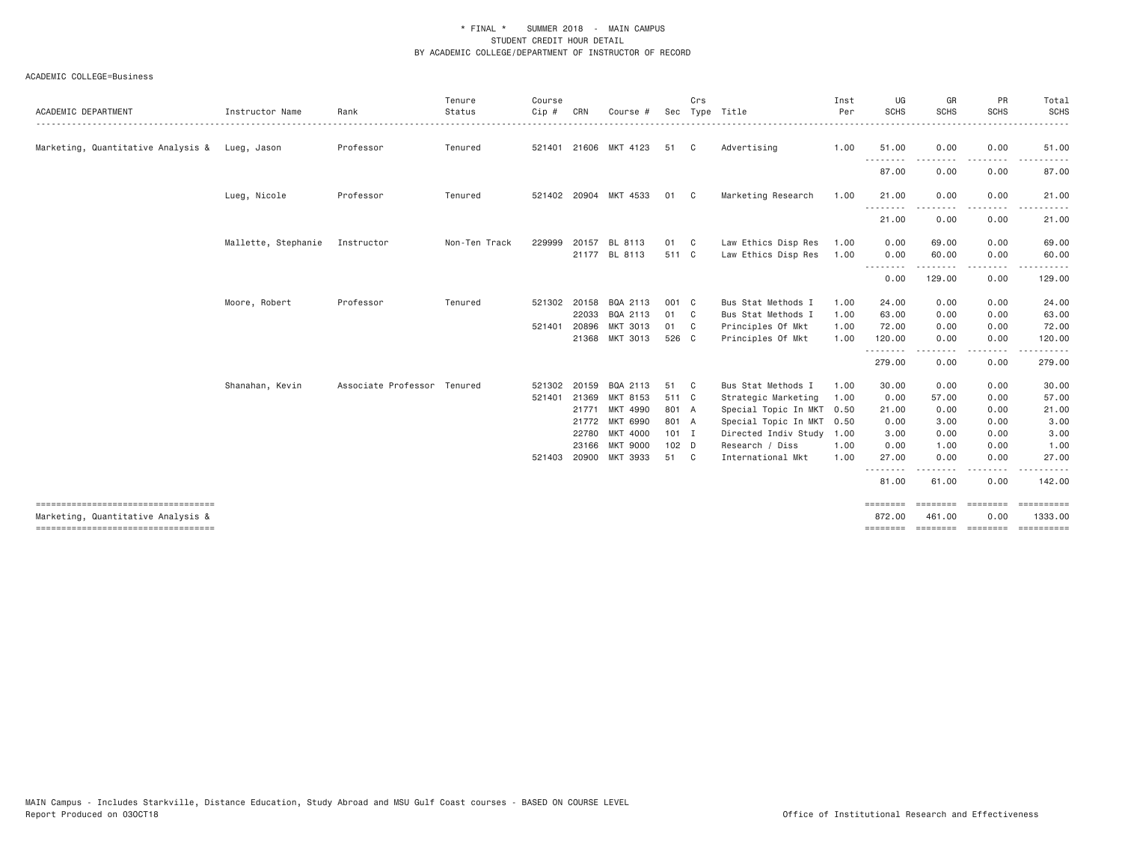| ACADEMIC DEPARTMENT                                                        | Instructor Name     | Rank                        | Tenure<br>Status | Course<br>Cip# | CRN   | Course #              |         | Crs          | Sec Type Title       | Inst<br>Per | UG<br><b>SCHS</b>                | GR<br><b>SCHS</b>        | PR<br><b>SCHS</b>    | Total<br>SCHS                                                                                                                                                                                                                                                                                                                                                                                                                                                                                     |
|----------------------------------------------------------------------------|---------------------|-----------------------------|------------------|----------------|-------|-----------------------|---------|--------------|----------------------|-------------|----------------------------------|--------------------------|----------------------|---------------------------------------------------------------------------------------------------------------------------------------------------------------------------------------------------------------------------------------------------------------------------------------------------------------------------------------------------------------------------------------------------------------------------------------------------------------------------------------------------|
| Marketing, Quantitative Analysis & Lueg, Jason                             |                     | Professor                   | Tenured          |                |       | 521401 21606 MKT 4123 | 51      | C            | Advertising          | 1.00        | 51.00<br>$\frac{1}{2}$           | 0.00                     | 0.00                 | 51.00                                                                                                                                                                                                                                                                                                                                                                                                                                                                                             |
|                                                                            |                     |                             |                  |                |       |                       |         |              |                      |             | 87.00                            | 0.00                     | 0.00                 | 87.00                                                                                                                                                                                                                                                                                                                                                                                                                                                                                             |
|                                                                            | Lueg, Nicole        | Professor                   | Tenured          |                |       | 521402 20904 MKT 4533 | 01      | - C          | Marketing Research   | 1.00        | 21.00                            | 0.00                     | 0.00                 | 21.00                                                                                                                                                                                                                                                                                                                                                                                                                                                                                             |
|                                                                            |                     |                             |                  |                |       |                       |         |              |                      |             | $- - - -$<br>21.00               | 0.00                     | 0.00                 | 21.00                                                                                                                                                                                                                                                                                                                                                                                                                                                                                             |
|                                                                            | Mallette, Stephanie | Instructor                  | Non-Ten Track    | 229999         | 20157 | BL 8113               | 01      | $\mathbf{C}$ | Law Ethics Disp Res  | 1.00        | 0.00                             | 69.00                    | 0.00                 | 69.00                                                                                                                                                                                                                                                                                                                                                                                                                                                                                             |
|                                                                            |                     |                             |                  |                |       | 21177 BL 8113         | 511 C   |              | Law Ethics Disp Res  | 1.00        | 0.00<br>--------                 | 60.00<br>-----           | 0.00<br>.            | 60.00                                                                                                                                                                                                                                                                                                                                                                                                                                                                                             |
|                                                                            |                     |                             |                  |                |       |                       |         |              |                      |             | 0.00                             | 129.00                   | 0.00                 | 129.00                                                                                                                                                                                                                                                                                                                                                                                                                                                                                            |
|                                                                            | Moore, Robert       | Professor                   | Tenured          | 521302         | 20158 | BQA 2113              | 001 C   |              | Bus Stat Methods I   | 1.00        | 24.00                            | 0.00                     | 0.00                 | 24.00                                                                                                                                                                                                                                                                                                                                                                                                                                                                                             |
|                                                                            |                     |                             |                  |                | 22033 | BQA 2113              | 01      | C            | Bus Stat Methods I   | 1.00        | 63.00                            | 0.00                     | 0.00                 | 63.00                                                                                                                                                                                                                                                                                                                                                                                                                                                                                             |
|                                                                            |                     |                             |                  | 521401         | 20896 | MKT 3013              | 01      | C            | Principles Of Mkt    | 1.00        | 72.00                            | 0.00                     | 0.00                 | 72.00                                                                                                                                                                                                                                                                                                                                                                                                                                                                                             |
|                                                                            |                     |                             |                  |                | 21368 | MKT 3013              | 526 C   |              | Principles Of Mkt    | 1.00        | 120.00<br>. <u>.</u>             | 0.00                     | 0.00                 | 120.00                                                                                                                                                                                                                                                                                                                                                                                                                                                                                            |
|                                                                            |                     |                             |                  |                |       |                       |         |              |                      |             | 279.00                           | 0.00                     | 0.00                 | 279.00                                                                                                                                                                                                                                                                                                                                                                                                                                                                                            |
|                                                                            | Shanahan, Kevin     | Associate Professor Tenured |                  | 521302 20159   |       | BQA 2113              | 51      | $\mathbf{C}$ | Bus Stat Methods I   | 1.00        | 30.00                            | 0.00                     | 0.00                 | 30.00                                                                                                                                                                                                                                                                                                                                                                                                                                                                                             |
|                                                                            |                     |                             |                  | 521401         | 21369 | MKT 8153              | 511 C   |              | Strategic Marketing  | 1.00        | 0.00                             | 57.00                    | 0.00                 | 57.00                                                                                                                                                                                                                                                                                                                                                                                                                                                                                             |
|                                                                            |                     |                             |                  |                |       | 21771 MKT 4990        | 801 A   |              | Special Topic In MKT | 0.50        | 21.00                            | 0.00                     | 0.00                 | 21.00                                                                                                                                                                                                                                                                                                                                                                                                                                                                                             |
|                                                                            |                     |                             |                  |                |       | 21772 MKT 6990        | 801 A   |              | Special Topic In MKT | 0.50        | 0.00                             | 3.00                     | 0.00                 | 3.00                                                                                                                                                                                                                                                                                                                                                                                                                                                                                              |
|                                                                            |                     |                             |                  |                |       | 22780 MKT 4000        | $101$ I |              | Directed Indiv Study | 1.00        | 3.00                             | 0.00                     | 0.00                 | 3.00                                                                                                                                                                                                                                                                                                                                                                                                                                                                                              |
|                                                                            |                     |                             |                  |                | 23166 | <b>MKT 9000</b>       | 102 D   |              | Research / Diss      | 1.00        | 0.00                             | 1.00                     | 0.00                 | 1.00                                                                                                                                                                                                                                                                                                                                                                                                                                                                                              |
|                                                                            |                     |                             |                  | 521403         |       | 20900 MKT 3933        | 51 C    |              | International Mkt    | 1.00        | 27.00<br><u> - - - - - - - -</u> | 0.00                     | 0.00<br>. <b>.</b> . | 27.00                                                                                                                                                                                                                                                                                                                                                                                                                                                                                             |
|                                                                            |                     |                             |                  |                |       |                       |         |              |                      |             | 81.00                            | 61.00                    | 0.00                 | 142.00                                                                                                                                                                                                                                                                                                                                                                                                                                                                                            |
| ------------------------------------<br>Marketing, Quantitative Analysis & |                     |                             |                  |                |       |                       |         |              |                      |             | ========<br>872.00               | <b>EBBEREE</b><br>461.00 | eeeeeee<br>0.00      | $\begin{array}{cccccccccc} \multicolumn{3}{c}{} & \multicolumn{3}{c}{} & \multicolumn{3}{c}{} & \multicolumn{3}{c}{} & \multicolumn{3}{c}{} & \multicolumn{3}{c}{} & \multicolumn{3}{c}{} & \multicolumn{3}{c}{} & \multicolumn{3}{c}{} & \multicolumn{3}{c}{} & \multicolumn{3}{c}{} & \multicolumn{3}{c}{} & \multicolumn{3}{c}{} & \multicolumn{3}{c}{} & \multicolumn{3}{c}{} & \multicolumn{3}{c}{} & \multicolumn{3}{c}{} & \multicolumn{3}{c}{} & \multicolumn{3}{c}{} & \mult$<br>1333.00 |
| ------------------------------------                                       |                     |                             |                  |                |       |                       |         |              |                      |             | ========                         |                          | =================    | ==========                                                                                                                                                                                                                                                                                                                                                                                                                                                                                        |
|                                                                            |                     |                             |                  |                |       |                       |         |              |                      |             |                                  |                          |                      |                                                                                                                                                                                                                                                                                                                                                                                                                                                                                                   |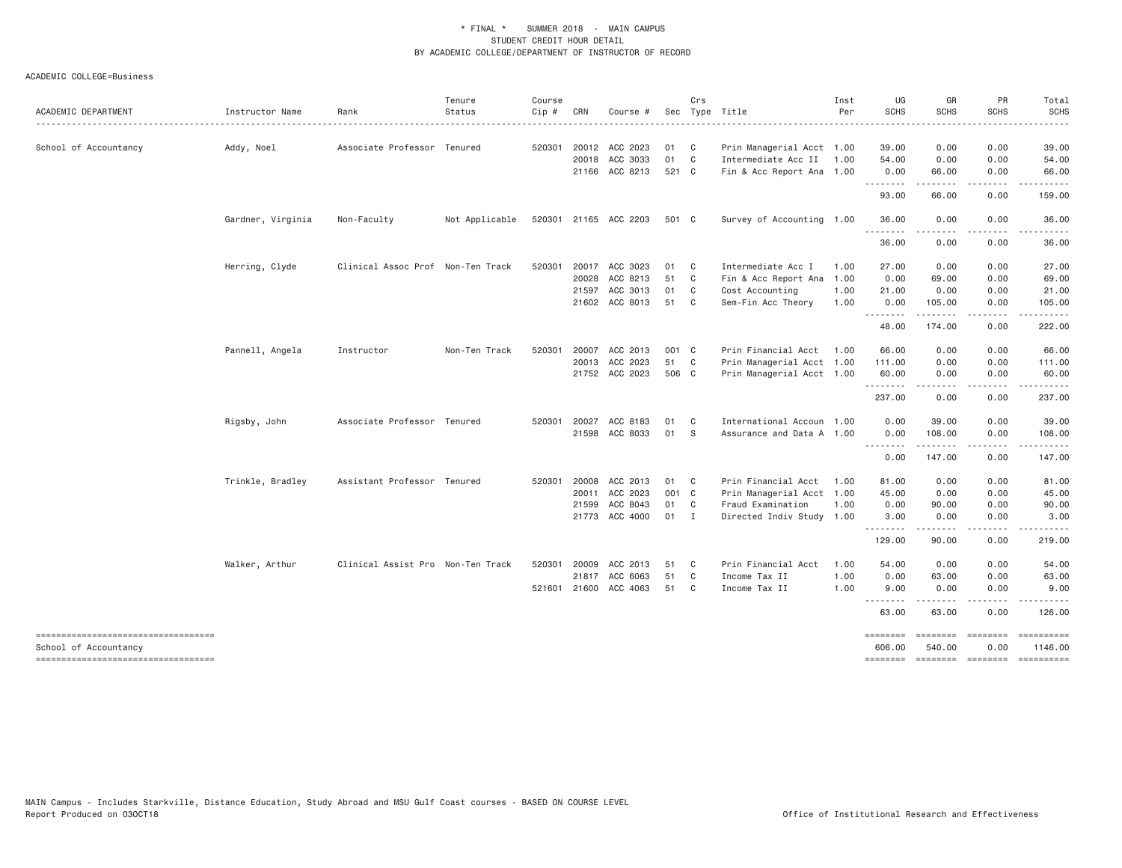|                                                             |                      |                                   | Tenure         | Course |       |                                         |          | Crs               |                                                  | Inst | UG                                                                                | GR                                                                        | PR                                                                              | Total                       |
|-------------------------------------------------------------|----------------------|-----------------------------------|----------------|--------|-------|-----------------------------------------|----------|-------------------|--------------------------------------------------|------|-----------------------------------------------------------------------------------|---------------------------------------------------------------------------|---------------------------------------------------------------------------------|-----------------------------|
| ACADEMIC DEPARTMENT                                         | Instructor Name<br>. | Rank                              | Status         | Cip #  | CRN   | Course #                                |          |                   | Sec Type Title                                   | Per  | <b>SCHS</b>                                                                       | <b>SCHS</b>                                                               | <b>SCHS</b>                                                                     | <b>SCHS</b>                 |
|                                                             |                      |                                   |                |        |       |                                         |          |                   |                                                  |      |                                                                                   |                                                                           |                                                                                 |                             |
| School of Accountancy                                       | Addy, Noel           | Associate Professor Tenured       |                |        |       | 520301 20012 ACC 2023<br>20018 ACC 3033 | 01<br>01 | C<br>$\mathbf{C}$ | Prin Managerial Acct 1.00<br>Intermediate Acc II | 1.00 | 39.00<br>54.00                                                                    | 0.00<br>0.00                                                              | 0.00<br>0.00                                                                    | 39.00<br>54.00              |
|                                                             |                      |                                   |                |        |       | 21166 ACC 8213                          | 521 C    |                   | Fin & Acc Report Ana 1.00                        |      | 0.00                                                                              | 66.00                                                                     | 0.00                                                                            | 66.00                       |
|                                                             |                      |                                   |                |        |       |                                         |          |                   |                                                  |      | ---------                                                                         | .                                                                         | .                                                                               | .                           |
|                                                             |                      |                                   |                |        |       |                                         |          |                   |                                                  |      | 93.00                                                                             | 66.00                                                                     | 0.00                                                                            | 159.00                      |
|                                                             | Gardner, Virginia    | Non-Faculty                       | Not Applicable |        |       | 520301 21165 ACC 2203                   | 501 C    |                   | Survey of Accounting 1.00                        |      | 36.00<br>.                                                                        | 0.00<br>.                                                                 | 0.00<br>.                                                                       | 36.00<br>.                  |
|                                                             |                      |                                   |                |        |       |                                         |          |                   |                                                  |      | 36.00                                                                             | 0.00                                                                      | 0.00                                                                            | 36.00                       |
|                                                             | Herring, Clyde       | Clinical Assoc Prof Non-Ten Track |                | 520301 |       | 20017 ACC 3023                          | 01       | C.                | Intermediate Acc I                               | 1.00 | 27.00                                                                             | 0.00                                                                      | 0.00                                                                            | 27.00                       |
|                                                             |                      |                                   |                |        | 20028 | ACC 8213                                | 51       | C                 | Fin & Acc Report Ana                             | 1.00 | 0.00                                                                              | 69.00                                                                     | 0.00                                                                            | 69.00                       |
|                                                             |                      |                                   |                |        | 21597 | ACC 3013                                | 01       | C                 | Cost Accounting                                  | 1.00 | 21.00                                                                             | 0.00                                                                      | 0.00                                                                            | 21.00                       |
|                                                             |                      |                                   |                |        |       | 21602 ACC 8013                          | 51       | C <sub>c</sub>    | Sem-Fin Acc Theory                               | 1.00 | 0.00<br>.                                                                         | 105.00<br>.                                                               | 0.00<br>.                                                                       | 105.00                      |
|                                                             |                      |                                   |                |        |       |                                         |          |                   |                                                  |      | 48.00                                                                             | 174.00                                                                    | 0.00                                                                            | 222.00                      |
|                                                             | Pannell, Angela      | Instructor                        | Non-Ten Track  | 520301 |       | 20007 ACC 2013                          | 001 C    |                   | Prin Financial Acct                              | 1.00 | 66.00                                                                             | 0.00                                                                      | 0.00                                                                            | 66.00                       |
|                                                             |                      |                                   |                |        |       | 20013 ACC 2023                          | 51       | C <sub>1</sub>    | Prin Managerial Acct 1.00                        |      | 111.00                                                                            | 0.00                                                                      | 0.00                                                                            | 111.00                      |
|                                                             |                      |                                   |                |        |       | 21752 ACC 2023                          | 506 C    |                   | Prin Managerial Acct 1.00                        |      | 60.00                                                                             | 0.00                                                                      | 0.00                                                                            | 60.00                       |
|                                                             |                      |                                   |                |        |       |                                         |          |                   |                                                  |      | .<br>237.00                                                                       | .<br>0.00                                                                 | .<br>0.00                                                                       | . <b>.</b> .<br>237.00      |
|                                                             | Rigsby, John         | Associate Professor Tenured       |                | 520301 | 20027 | ACC 8183                                | 01       | - C               | International Accoun 1.00                        |      | 0.00                                                                              | 39.00                                                                     | 0.00                                                                            | 39.00                       |
|                                                             |                      |                                   |                |        |       | 21598 ACC 8033                          | 01       | <b>S</b>          | Assurance and Data A 1.00                        |      | 0.00                                                                              | 108.00                                                                    | 0.00                                                                            | 108.00                      |
|                                                             |                      |                                   |                |        |       |                                         |          |                   |                                                  |      | .<br>0.00                                                                         | <u>.</u><br>147.00                                                        | .<br>0.00                                                                       | .<br>147.00                 |
|                                                             | Trinkle, Bradley     | Assistant Professor Tenured       |                | 520301 | 20008 | ACC 2013                                | 01       | C <sub>c</sub>    | Prin Financial Acct                              | 1.00 | 81.00                                                                             | 0.00                                                                      | 0.00                                                                            | 81.00                       |
|                                                             |                      |                                   |                |        |       | 20011 ACC 2023                          | 001 C    |                   | Prin Managerial Acct 1.00                        |      | 45.00                                                                             | 0.00                                                                      | 0.00                                                                            | 45.00                       |
|                                                             |                      |                                   |                |        | 21599 | ACC 8043                                | 01       | C.                | Fraud Examination                                | 1.00 | 0.00                                                                              | 90.00                                                                     | 0.00                                                                            | 90.00                       |
|                                                             |                      |                                   |                |        |       | 21773 ACC 4000                          | 01 I     |                   | Directed Indiv Study 1.00                        |      | 3.00<br>.                                                                         | 0.00<br>.                                                                 | 0.00<br>.                                                                       | 3.00                        |
|                                                             |                      |                                   |                |        |       |                                         |          |                   |                                                  |      | 129.00                                                                            | 90.00                                                                     | 0.00                                                                            | 219.00                      |
|                                                             | Walker, Arthur       | Clinical Assist Pro Non-Ten Track |                | 520301 | 20009 | ACC 2013                                | 51       | C.                | Prin Financial Acct                              | 1.00 | 54.00                                                                             | 0.00                                                                      | 0.00                                                                            | 54.00                       |
|                                                             |                      |                                   |                |        |       | 21817 ACC 6063                          | 51       | C                 | Income Tax II                                    | 1.00 | 0.00                                                                              | 63.00                                                                     | 0.00                                                                            | 63.00                       |
|                                                             |                      |                                   |                |        |       | 521601 21600 ACC 4063                   | 51       | C.                | Income Tax II                                    | 1.00 | 9.00<br><u>.</u>                                                                  | 0.00<br>.                                                                 | 0.00<br>.                                                                       | 9.00                        |
|                                                             |                      |                                   |                |        |       |                                         |          |                   |                                                  |      | 63.00                                                                             | 63.00                                                                     | 0.00                                                                            | 126.00                      |
| ----------------------------------<br>School of Accountancy |                      |                                   |                |        |       |                                         |          |                   |                                                  |      | $\qquad \qquad \equiv \equiv \equiv \equiv \equiv \equiv \equiv \equiv$<br>606.00 | $\begin{array}{cccccc} = & = & = & = & = & = & = & \end{array}$<br>540.00 | $\qquad \qquad \equiv \equiv \equiv \equiv \equiv \equiv \equiv \equiv$<br>0.00 | <b>EEEEEEEEE</b><br>1146.00 |
| ----------------------------------                          |                      |                                   |                |        |       |                                         |          |                   |                                                  |      | ========                                                                          | ========                                                                  | <b>ESSESSES</b>                                                                 |                             |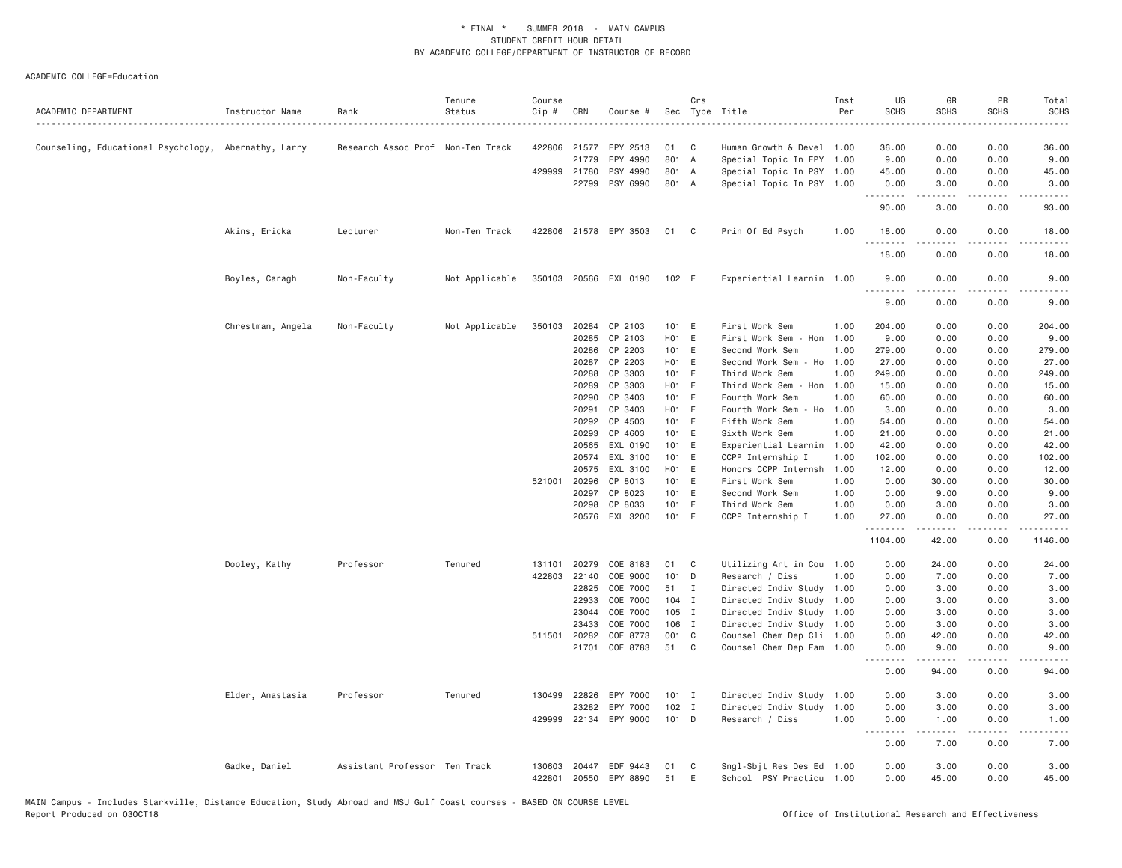#### ACADEMIC COLLEGE=Education

| ACADEMIC DEPARTMENT                                  | Instructor Name   | Rank                              | Tenure<br>Status | Course<br>Cip #  | CRN          | Course #                   | Sec      | Crs          | Type Title                                            | Inst<br>Per | UG<br><b>SCHS</b>  | GR<br><b>SCHS</b> | PR<br><b>SCHS</b>                   | Total<br><b>SCHS</b>                                                                                                                                         |
|------------------------------------------------------|-------------------|-----------------------------------|------------------|------------------|--------------|----------------------------|----------|--------------|-------------------------------------------------------|-------------|--------------------|-------------------|-------------------------------------|--------------------------------------------------------------------------------------------------------------------------------------------------------------|
|                                                      |                   |                                   |                  |                  |              |                            |          |              |                                                       |             |                    |                   |                                     |                                                                                                                                                              |
| Counseling, Educational Psychology, Abernathy, Larry |                   | Research Assoc Prof Non-Ten Track |                  | 422806           | 21577        | EPY 2513                   | 01       | C            | Human Growth & Devel 1.00                             |             | 36.00              | 0.00              | 0.00                                | 36.00                                                                                                                                                        |
|                                                      |                   |                                   |                  |                  | 21779        | EPY 4990                   | 801 A    |              | Special Topic In EPY 1.00                             |             | 9.00               | 0.00              | 0.00                                | 9.00                                                                                                                                                         |
|                                                      |                   |                                   |                  |                  | 429999 21780 | PSY 4990                   | 801 A    |              | Special Topic In PSY 1.00                             |             | 45.00              | 0.00              | 0.00                                | 45.00                                                                                                                                                        |
|                                                      |                   |                                   |                  |                  | 22799        | PSY 6990                   | 801 A    |              | Special Topic In PSY 1.00                             |             | 0.00<br>.          | 3.00<br>.         | 0.00<br>.                           | 3.00<br>$\frac{1}{2} \left( \frac{1}{2} \right) \left( \frac{1}{2} \right) \left( \frac{1}{2} \right) \left( \frac{1}{2} \right) \left( \frac{1}{2} \right)$ |
|                                                      |                   |                                   |                  |                  |              |                            |          |              |                                                       |             | 90.00              | 3.00              | 0.00                                | 93.00                                                                                                                                                        |
|                                                      | Akins, Ericka     | Lecturer                          | Non-Ten Track    | 422806           |              | 21578 EPY 3503             | 01 C     |              | Prin Of Ed Psych                                      | 1.00        | 18,00<br>.         | 0.00              | 0.00<br>$\sim$ $\sim$ $\sim$ $\sim$ | 18,00                                                                                                                                                        |
|                                                      |                   |                                   |                  |                  |              |                            |          |              |                                                       |             | 18.00              | 0.00              | 0.00                                | 18.00                                                                                                                                                        |
|                                                      | Boyles, Caragh    | Non-Faculty                       | Not Applicable   |                  |              | 350103 20566 EXL 0190      | 102 E    |              | Experiential Learnin 1.00                             |             | 9.00<br>.          | 0.00              | 0.00                                | 9.00                                                                                                                                                         |
|                                                      |                   |                                   |                  |                  |              |                            |          |              |                                                       |             | 9.00               | 0.00              | 0.00                                | 9.00                                                                                                                                                         |
|                                                      | Chrestman, Angela | Non-Faculty                       | Not Applicable   | 350103           |              | 20284 CP 2103              | 101 E    |              | First Work Sem                                        | 1.00        | 204.00             | 0.00              | 0.00                                | 204.00                                                                                                                                                       |
|                                                      |                   |                                   |                  |                  | 20285        | CP 2103                    | H01 E    |              | First Work Sem - Hon                                  | 1.00        | 9.00               | 0.00              | 0.00                                | 9.00                                                                                                                                                         |
|                                                      |                   |                                   |                  |                  | 20286        | CP 2203                    | 101 E    |              | Second Work Sem                                       | 1.00        | 279.00             | 0.00              | 0.00                                | 279.00                                                                                                                                                       |
|                                                      |                   |                                   |                  |                  | 20287        | CP 2203                    | HO1 E    |              | Second Work Sem<br>- Ho                               | 1.00        | 27.00              | 0.00              | 0.00                                | 27.00                                                                                                                                                        |
|                                                      |                   |                                   |                  |                  | 20288        | CP 3303                    | 101 E    |              | Third Work Sem                                        | 1.00        | 249.00             | 0.00              | 0.00                                | 249.00                                                                                                                                                       |
|                                                      |                   |                                   |                  |                  | 20289        | CP 3303                    | HO1 E    |              | Third Work Sem - Hon                                  | 1.00        | 15.00              | 0.00              | 0.00                                | 15.00                                                                                                                                                        |
|                                                      |                   |                                   |                  |                  | 20290        | CP 3403                    | 101 E    |              | Fourth Work Sem                                       | 1.00        | 60.00              | 0.00              | 0.00                                | 60.00                                                                                                                                                        |
|                                                      |                   |                                   |                  |                  | 20291        | CP 3403                    | HO1 E    |              | Fourth Work Sem - Ho                                  | 1.00        | 3.00               | 0.00              | 0.00                                | 3.00                                                                                                                                                         |
|                                                      |                   |                                   |                  |                  | 20292        | CP 4503                    | 101 E    |              | Fifth Work Sem                                        | 1.00        | 54.00              | 0.00              | 0.00                                | 54.00                                                                                                                                                        |
|                                                      |                   |                                   |                  |                  | 20293        | CP 4603                    | 101 E    |              | Sixth Work Sem                                        | 1.00        | 21.00              | 0.00              | 0.00                                | 21.00                                                                                                                                                        |
|                                                      |                   |                                   |                  |                  | 20565        | EXL 0190                   | 101 E    |              | Experiential Learnin                                  | 1.00        | 42.00              | 0.00              | 0.00                                | 42.00                                                                                                                                                        |
|                                                      |                   |                                   |                  |                  | 20574        | EXL 3100                   | 101 E    |              | CCPP Internship I                                     | 1.00        | 102.00             | 0.00              | 0.00                                | 102.00                                                                                                                                                       |
|                                                      |                   |                                   |                  |                  | 20575        | EXL 3100                   | HO1 E    |              | Honors CCPP Internsh                                  | 1.00        | 12.00              | 0.00              | 0.00                                | 12.00                                                                                                                                                        |
|                                                      |                   |                                   |                  | 521001           | 20296        | CP 8013                    | 101 E    |              | First Work Sem                                        | 1.00        | 0.00               | 30.00             | 0.00                                | 30.00                                                                                                                                                        |
|                                                      |                   |                                   |                  |                  | 20297        | CP 8023                    | 101 E    |              | Second Work Sem                                       | 1.00        | 0.00               | 9.00              | 0.00                                | 9.00                                                                                                                                                         |
|                                                      |                   |                                   |                  |                  | 20298        | CP 8033                    | 101 E    |              | Third Work Sem                                        | 1.00        | 0.00               | 3.00              | 0.00                                | 3.00                                                                                                                                                         |
|                                                      |                   |                                   |                  |                  |              | 20576 EXL 3200             | 101 E    |              | CCPP Internship I                                     | 1.00        | 27.00<br>.         | 0.00<br>.         | 0.00<br>.                           | 27.00<br>.                                                                                                                                                   |
|                                                      |                   |                                   |                  |                  |              |                            |          |              |                                                       |             | 1104.00            | 42.00             | 0.00                                | 1146.00                                                                                                                                                      |
|                                                      | Dooley, Kathy     | Professor                         | Tenured          | 131101           | 20279        | COE 8183                   | 01       | C            | Utilizing Art in Cou 1.00                             |             | 0.00               | 24.00             | 0.00                                | 24.00                                                                                                                                                        |
|                                                      |                   |                                   |                  | 422803           | 22140        | COE 9000                   | 101      | D            | Research / Diss                                       | 1.00        | 0.00               | 7.00              | 0.00                                | 7.00                                                                                                                                                         |
|                                                      |                   |                                   |                  |                  | 22825        | COE 7000                   | 51       | $\mathbf{I}$ | Directed Indiv Study 1.00                             |             | 0.00               | 3.00              | 0.00                                | 3.00                                                                                                                                                         |
|                                                      |                   |                                   |                  |                  | 22933        | COE 7000                   | $104$ I  |              | Directed Indiv Study 1.00                             |             | 0.00               | 3.00              | 0.00                                | 3.00                                                                                                                                                         |
|                                                      |                   |                                   |                  |                  | 23044        | COE 7000                   | 105 I    |              | Directed Indiv Study 1.00                             |             | 0.00               | 3.00              | 0.00                                | 3.00                                                                                                                                                         |
|                                                      |                   |                                   |                  |                  | 23433        | COE 7000                   | 106 I    |              | Directed Indiv Study 1.00                             |             | 0.00               | 3.00              | 0.00                                | 3.00                                                                                                                                                         |
|                                                      |                   |                                   |                  |                  | 511501 20282 | COE 8773                   | 001 C    |              | Counsel Chem Dep Cli 1.00                             |             | 0.00               | 42.00             | 0.00                                | 42.00                                                                                                                                                        |
|                                                      |                   |                                   |                  |                  | 21701        | COE 8783                   | 51       | C            | Counsel Chem Dep Fam                                  | 1.00        | 0.00<br>.          | 9.00              | 0.00<br>.                           | 9.00                                                                                                                                                         |
|                                                      |                   |                                   |                  |                  |              |                            |          |              |                                                       |             | 0.00               | 94.00             | 0.00                                | 94.00                                                                                                                                                        |
|                                                      | Elder, Anastasia  | Professor                         | Tenured          | 130499           | 22826        | EPY 7000                   | $101$ I  |              | Directed Indiv Study 1.00                             |             | 0.00               | 3.00              | 0.00                                | 3.00                                                                                                                                                         |
|                                                      |                   |                                   |                  |                  | 23282        | EPY 7000                   | 102 I    |              | Directed Indiv Study                                  | 1.00        | 0.00               | 3.00              | 0.00                                | 3.00                                                                                                                                                         |
|                                                      |                   |                                   |                  | 429999           |              | 22134 EPY 9000             | 101 D    |              | Research / Diss                                       | 1.00        | 0.00<br><b>.</b> . | 1.00<br>.         | 0.00<br>.                           | 1.00<br>.                                                                                                                                                    |
|                                                      |                   |                                   |                  |                  |              |                            |          |              |                                                       |             | 0.00               | 7.00              | 0.00                                | 7.00                                                                                                                                                         |
|                                                      | Gadke, Daniel     | Assistant Professor Ten Track     |                  | 130603<br>422801 | 20447        | EDF 9443<br>20550 EPY 8890 | 01<br>51 | C<br>E       | Sngl-Sbjt Res Des Ed 1.00<br>School PSY Practicu 1.00 |             | 0.00<br>0.00       | 3.00<br>45.00     | 0.00<br>0.00                        | 3.00<br>45.00                                                                                                                                                |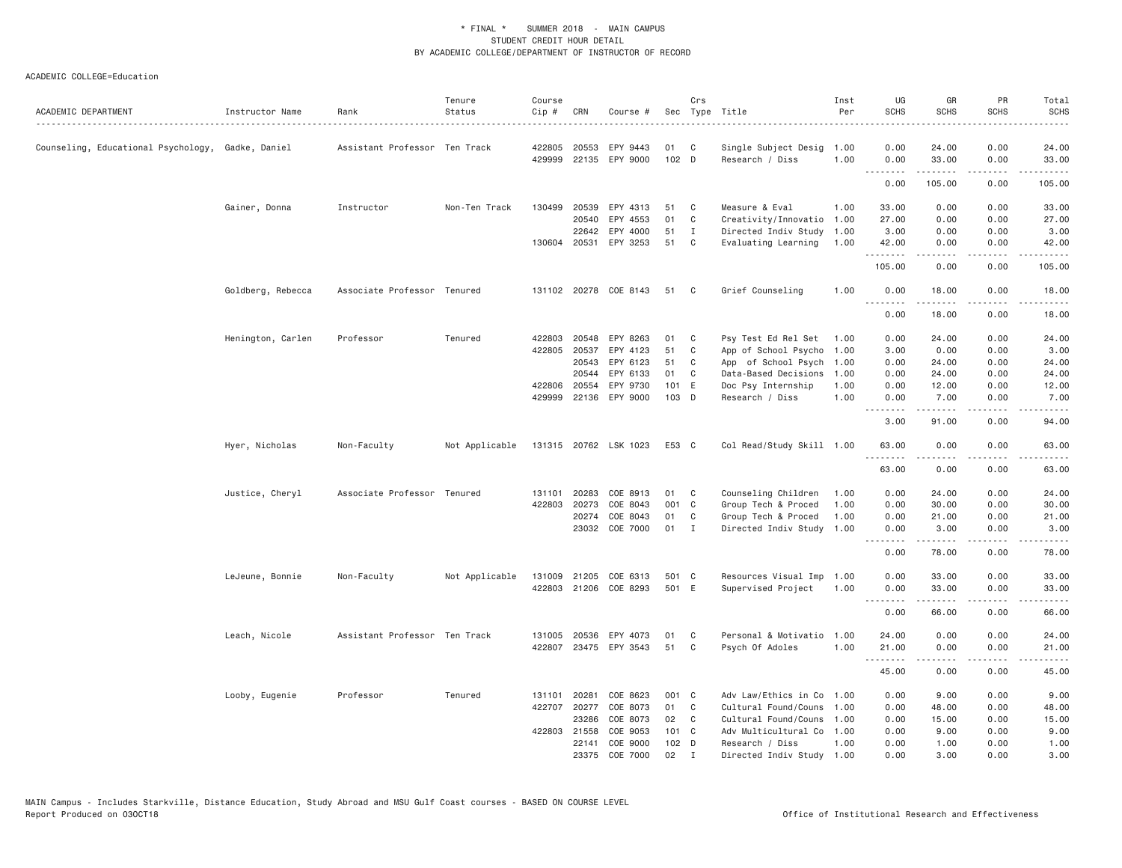| ACADEMIC DEPARTMENT                               | Instructor Name   | Rank                          | Tenure<br>Status | Course<br>Cip # | CRN   | Course #              |               | Crs            | Sec Type Title            | Inst<br>Per | UG<br><b>SCHS</b>  | GR<br><b>SCHS</b> | PR<br><b>SCHS</b>                   | Total<br><b>SCHS</b>                                                                                                                                                                     |
|---------------------------------------------------|-------------------|-------------------------------|------------------|-----------------|-------|-----------------------|---------------|----------------|---------------------------|-------------|--------------------|-------------------|-------------------------------------|------------------------------------------------------------------------------------------------------------------------------------------------------------------------------------------|
|                                                   |                   |                               |                  |                 |       |                       |               |                |                           |             |                    |                   |                                     | $\frac{1}{2}$                                                                                                                                                                            |
| Counseling, Educational Psychology, Gadke, Daniel |                   | Assistant Professor Ten Track |                  | 422805          | 20553 | EPY 9443              | 01            | C              | Single Subject Desig 1.00 |             | 0.00               | 24.00             | 0.00                                | 24.00                                                                                                                                                                                    |
|                                                   |                   |                               |                  | 429999          |       | 22135 EPY 9000        | 102 D         |                | Research / Diss           | 1.00        | 0.00               | 33.00             | 0.00                                | 33.00                                                                                                                                                                                    |
|                                                   |                   |                               |                  |                 |       |                       |               |                |                           |             | 0.00               | .<br>105.00       | .<br>0.00                           | .<br>105.00                                                                                                                                                                              |
|                                                   | Gainer, Donna     | Instructor                    | Non-Ten Track    | 130499          | 20539 | EPY 4313              | 51            | C              | Measure & Eval            | 1.00        | 33.00              | 0.00              | 0.00                                | 33.00                                                                                                                                                                                    |
|                                                   |                   |                               |                  |                 | 20540 | EPY 4553              | 01            | C              | Creativity/Innovatio      | 1.00        | 27.00              | 0.00              | 0.00                                | 27.00                                                                                                                                                                                    |
|                                                   |                   |                               |                  |                 | 22642 | EPY 4000              | 51            | $\mathbf{I}$   | Directed Indiv Study      | 1.00        | 3.00               | 0.00              | 0.00                                | 3.00                                                                                                                                                                                     |
|                                                   |                   |                               |                  |                 |       | 130604 20531 EPY 3253 | 51            | C              | Evaluating Learning       | 1.00        | 42.00              | 0.00              | 0.00                                | 42.00                                                                                                                                                                                    |
|                                                   |                   |                               |                  |                 |       |                       |               |                |                           |             | .<br>105.00        | .<br>0.00         | .<br>0.00                           | .<br>105.00                                                                                                                                                                              |
|                                                   | Goldberg, Rebecca | Associate Professor Tenured   |                  |                 |       | 131102 20278 COE 8143 | 51            | C <sub>1</sub> | Grief Counseling          | 1.00        | 0.00               | 18.00             | 0.00                                | 18.00                                                                                                                                                                                    |
|                                                   |                   |                               |                  |                 |       |                       |               |                |                           |             | . <i>.</i><br>0.00 | <b>.</b><br>18.00 | $   -$<br>0.00                      | $\frac{1}{2}$<br>18.00                                                                                                                                                                   |
|                                                   | Henington, Carlen | Professor                     | Tenured          | 422803          |       | 20548 EPY 8263        | 01            | C              | Psy Test Ed Rel Set       | 1.00        | 0.00               | 24.00             | 0.00                                | 24.00                                                                                                                                                                                    |
|                                                   |                   |                               |                  | 422805          | 20537 | EPY 4123              | 51            | C              | App of School Psycho      | 1.00        | 3.00               | 0.00              | 0.00                                | 3.00                                                                                                                                                                                     |
|                                                   |                   |                               |                  |                 | 20543 | EPY 6123              | 51            | C              | App of School Psych       | 1.00        | 0.00               | 24.00             | 0.00                                | 24.00                                                                                                                                                                                    |
|                                                   |                   |                               |                  |                 | 20544 | EPY 6133              | 01            | C              | Data-Based Decisions      | 1.00        | 0.00               | 24.00             | 0.00                                | 24.00                                                                                                                                                                                    |
|                                                   |                   |                               |                  | 422806          | 20554 | EPY 9730              | 101 E         |                | Doc Psy Internship        | 1.00        | 0.00               | 12.00             | 0.00                                | 12.00                                                                                                                                                                                    |
|                                                   |                   |                               |                  | 429999          |       | 22136 EPY 9000        | 103 D         |                | Research / Diss           | 1.00        | 0.00               | 7.00              | 0.00                                | 7.00                                                                                                                                                                                     |
|                                                   |                   |                               |                  |                 |       |                       |               |                |                           |             | . <b>.</b><br>3.00 | .<br>91.00        | .<br>0.00                           | 94.00                                                                                                                                                                                    |
|                                                   | Hyer, Nicholas    | Non-Faculty                   | Not Applicable   |                 |       | 131315 20762 LSK 1023 | E53 C         |                | Col Read/Study Skill 1.00 |             | 63.00              | 0.00              | 0.00                                | 63.00                                                                                                                                                                                    |
|                                                   |                   |                               |                  |                 |       |                       |               |                |                           |             | <b>.</b><br>63.00  | .<br>0.00         | $\sim$ $\sim$ $\sim$ $\sim$<br>0.00 | $\frac{1}{2} \left( \frac{1}{2} \right) \left( \frac{1}{2} \right) \left( \frac{1}{2} \right) \left( \frac{1}{2} \right) \left( \frac{1}{2} \right)$<br>63.00                            |
|                                                   | Justice, Cheryl   | Associate Professor Tenured   |                  | 131101          | 20283 | COE 8913              | 01            | C              | Counseling Children       | 1.00        | 0.00               | 24.00             | 0.00                                | 24.00                                                                                                                                                                                    |
|                                                   |                   |                               |                  | 422803          | 20273 | COE 8043              | 001           | $\mathbf{C}$   | Group Tech & Proced       | 1.00        | 0.00               | 30.00             | 0.00                                | 30.00                                                                                                                                                                                    |
|                                                   |                   |                               |                  |                 | 20274 | COE 8043              | 01            | C              | Group Tech & Proced       | 1.00        | 0.00               | 21.00             | 0.00                                | 21.00                                                                                                                                                                                    |
|                                                   |                   |                               |                  |                 |       | 23032 COE 7000        | 01 I          |                | Directed Indiv Study      | 1.00        | 0.00               | 3.00              | 0.00                                | 3.00                                                                                                                                                                                     |
|                                                   |                   |                               |                  |                 |       |                       |               |                |                           |             | .<br>0.00          | .<br>78.00        | .<br>0.00                           | .<br>78.00                                                                                                                                                                               |
|                                                   | LeJeune, Bonnie   | Non-Faculty                   | Not Applicable   | 131009          | 21205 | COE 6313              | 501 C         |                | Resources Visual Imp      | 1.00        | 0.00               | 33.00             | 0.00                                | 33.00                                                                                                                                                                                    |
|                                                   |                   |                               |                  | 422803          |       | 21206 COE 8293        | 501 E         |                | Supervised Project        | 1.00        | 0.00               | 33,00             | 0.00                                | 33.00                                                                                                                                                                                    |
|                                                   |                   |                               |                  |                 |       |                       |               |                |                           |             | .<br>0.00          | .<br>66.00        | .<br>0.00                           | $\frac{1}{2} \left( \frac{1}{2} \right) \left( \frac{1}{2} \right) \left( \frac{1}{2} \right) \left( \frac{1}{2} \right) \left( \frac{1}{2} \right) \left( \frac{1}{2} \right)$<br>66.00 |
|                                                   | Leach, Nicole     | Assistant Professor Ten Track |                  |                 |       | 131005 20536 EPY 4073 | 01            | C              | Personal & Motivatio 1.00 |             | 24.00              | 0.00              | 0.00                                | 24.00                                                                                                                                                                                    |
|                                                   |                   |                               |                  |                 |       | 422807 23475 EPY 3543 | 51            | C              | Psych Of Adoles           | 1.00        | 21.00              | 0.00              | 0.00                                | 21.00                                                                                                                                                                                    |
|                                                   |                   |                               |                  |                 |       |                       |               |                |                           |             | .<br>45.00         | .<br>0.00         | د د د د<br>0.00                     | $\sim$ $\sim$ $\sim$ $\sim$<br>45.00                                                                                                                                                     |
|                                                   | Looby, Eugenie    | Professor                     | Tenured          | 131101          | 20281 | COE 8623              | 001 C         |                | Adv Law/Ethics in Co      | 1.00        | 0.00               | 9.00              | 0.00                                | 9.00                                                                                                                                                                                     |
|                                                   |                   |                               |                  | 422707          | 20277 | COE 8073              | 01            | C              | Cultural Found/Couns      | 1.00        | 0.00               | 48.00             | 0.00                                | 48.00                                                                                                                                                                                    |
|                                                   |                   |                               |                  |                 | 23286 | COE 8073              | 02            | C              | Cultural Found/Couns      | 1.00        | 0.00               | 15.00             | 0.00                                | 15.00                                                                                                                                                                                    |
|                                                   |                   |                               |                  | 422803          | 21558 | COE 9053              | $101 \quad C$ |                | Adv Multicultural Co      | 1.00        | 0.00               | 9.00              | 0.00                                | 9.00                                                                                                                                                                                     |
|                                                   |                   |                               |                  |                 | 22141 | COE 9000              | 102 D         |                | Research / Diss           | 1.00        | 0.00               | 1.00              | 0.00                                | 1.00                                                                                                                                                                                     |
|                                                   |                   |                               |                  |                 | 23375 | COE 7000              | 02            | $\mathbf I$    | Directed Indiv Study 1.00 |             | 0.00               | 3,00              | 0.00                                | 3,00                                                                                                                                                                                     |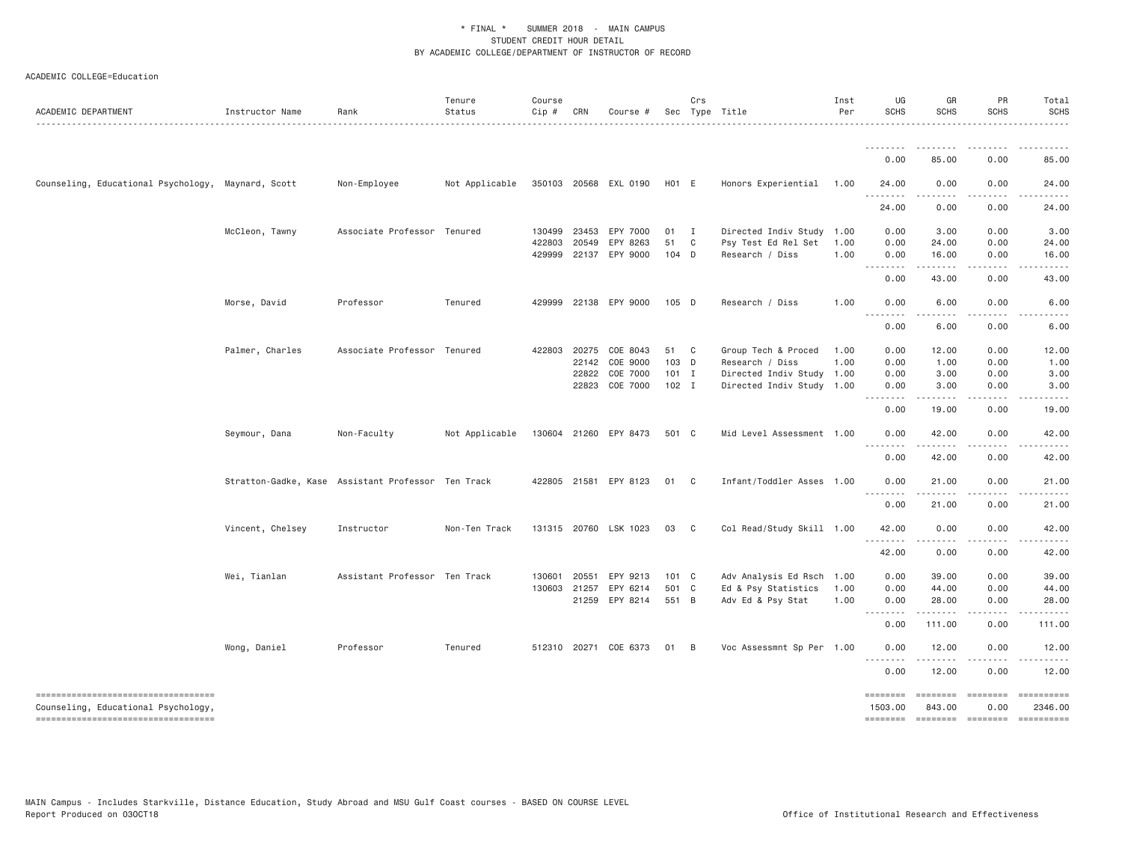| ACADEMIC DEPARTMENT                                                       | Instructor Name  | Rank                                               | Tenure<br>Status | Course<br>$Cip$ # | CRN          | Course #              |                    | Crs            | Sec Type Title            | Inst<br>Per | UG<br><b>SCHS</b>                             | GR<br><b>SCHS</b>  | PR<br><b>SCHS</b> | Total<br><b>SCHS</b>                                                                                                                                                                                                                                                                                                                                                                                                                                                                                                      |
|---------------------------------------------------------------------------|------------------|----------------------------------------------------|------------------|-------------------|--------------|-----------------------|--------------------|----------------|---------------------------|-------------|-----------------------------------------------|--------------------|-------------------|---------------------------------------------------------------------------------------------------------------------------------------------------------------------------------------------------------------------------------------------------------------------------------------------------------------------------------------------------------------------------------------------------------------------------------------------------------------------------------------------------------------------------|
|                                                                           |                  | .                                                  | .                |                   |              |                       |                    |                |                           |             |                                               |                    |                   | .                                                                                                                                                                                                                                                                                                                                                                                                                                                                                                                         |
|                                                                           |                  |                                                    |                  |                   |              |                       |                    |                |                           |             | 0.00                                          | 85.00              | 0.00              | 85.00                                                                                                                                                                                                                                                                                                                                                                                                                                                                                                                     |
| Counseling, Educational Psychology, Maynard, Scott                        |                  | Non-Employee                                       | Not Applicable   |                   |              | 350103 20568 EXL 0190 | H <sub>0</sub> 1 E |                | Honors Experiential       | 1.00        | 24.00<br>.<br>$\sim$ $\sim$ $\sim$            | 0.00<br>$- - - -$  | 0.00              | 24.00                                                                                                                                                                                                                                                                                                                                                                                                                                                                                                                     |
|                                                                           |                  |                                                    |                  |                   |              |                       |                    |                |                           |             | 24.00                                         | 0.00               | 0.00              | 24.00                                                                                                                                                                                                                                                                                                                                                                                                                                                                                                                     |
|                                                                           | McCleon, Tawny   | Associate Professor Tenured                        |                  | 130499            | 23453        | EPY 7000              | $01$ I             |                | Directed Indiv Study 1.00 |             | 0.00                                          | 3.00               | 0.00              | 3.00                                                                                                                                                                                                                                                                                                                                                                                                                                                                                                                      |
|                                                                           |                  |                                                    |                  | 422803            | 20549        | EPY 8263              | 51                 | C              | Psy Test Ed Rel Set       | 1.00        | 0.00                                          | 24.00              | 0.00              | 24.00                                                                                                                                                                                                                                                                                                                                                                                                                                                                                                                     |
|                                                                           |                  |                                                    |                  | 429999            |              | 22137 EPY 9000        | 104 D              |                | Research / Diss           | 1.00        | 0.00                                          | 16.00<br>.         | 0.00<br>.         | 16.00<br>.                                                                                                                                                                                                                                                                                                                                                                                                                                                                                                                |
|                                                                           |                  |                                                    |                  |                   |              |                       |                    |                |                           |             | 0.00                                          | 43.00              | 0.00              | 43.00                                                                                                                                                                                                                                                                                                                                                                                                                                                                                                                     |
|                                                                           | Morse, David     | Professor                                          | Tenured          |                   |              | 429999 22138 EPY 9000 | 105 D              |                | Research / Diss           | 1.00        | 0.00<br>$\sim$ $\sim$<br>$\sim$ $\sim$ $\sim$ | 6.00               | 0.00              | 6.00                                                                                                                                                                                                                                                                                                                                                                                                                                                                                                                      |
|                                                                           |                  |                                                    |                  |                   |              |                       |                    |                |                           |             | 0.00                                          | 6.00               | 0.00              | 6.00                                                                                                                                                                                                                                                                                                                                                                                                                                                                                                                      |
|                                                                           | Palmer, Charles  | Associate Professor Tenured                        |                  | 422803            | 20275        | COE 8043              | 51 C               |                | Group Tech & Proced       | 1.00        | 0.00                                          | 12.00              | 0.00              | 12.00                                                                                                                                                                                                                                                                                                                                                                                                                                                                                                                     |
|                                                                           |                  |                                                    |                  |                   | 22142        | COE 9000              | 103 D              |                | Research / Diss           | 1.00        | 0.00                                          | 1.00               | 0.00              | 1.00                                                                                                                                                                                                                                                                                                                                                                                                                                                                                                                      |
|                                                                           |                  |                                                    |                  |                   | 22822        | COE 7000              | $101$ I            |                | Directed Indiv Study 1.00 |             | 0.00                                          | 3.00               | 0.00              | 3.00                                                                                                                                                                                                                                                                                                                                                                                                                                                                                                                      |
|                                                                           |                  |                                                    |                  |                   |              | 22823 COE 7000        | $102$ I            |                | Directed Indiv Study 1.00 |             | 0.00<br>$\frac{1}{2}$                         | 3.00<br>.          | 0.00<br>.         | 3.00                                                                                                                                                                                                                                                                                                                                                                                                                                                                                                                      |
|                                                                           |                  |                                                    |                  |                   |              |                       |                    |                |                           |             | 0.00                                          | 19.00              | 0.00              | 19.00                                                                                                                                                                                                                                                                                                                                                                                                                                                                                                                     |
|                                                                           | Seymour, Dana    | Non-Faculty                                        | Not Applicable   |                   |              | 130604 21260 EPY 8473 | 501 C              |                | Mid Level Assessment 1.00 |             | 0.00                                          | 42.00              | 0.00              | 42.00                                                                                                                                                                                                                                                                                                                                                                                                                                                                                                                     |
|                                                                           |                  |                                                    |                  |                   |              |                       |                    |                |                           |             | 0.00                                          | 42.00              | 0.00              | 42.00                                                                                                                                                                                                                                                                                                                                                                                                                                                                                                                     |
|                                                                           |                  | Stratton-Gadke, Kase Assistant Professor Ten Track |                  |                   |              | 422805 21581 EPY 8123 | 01 C               |                | Infant/Toddler Asses 1.00 |             | 0.00<br>$\sim$ $\sim$ $\sim$<br>.             | 21.00<br>.         | 0.00<br>.         | 21.00                                                                                                                                                                                                                                                                                                                                                                                                                                                                                                                     |
|                                                                           |                  |                                                    |                  |                   |              |                       |                    |                |                           |             | 0.00                                          | 21.00              | 0.00              | 21.00                                                                                                                                                                                                                                                                                                                                                                                                                                                                                                                     |
|                                                                           | Vincent, Chelsey | Instructor                                         | Non-Ten Track    |                   |              | 131315 20760 LSK 1023 | 03                 | $\overline{c}$ | Col Read/Study Skill 1.00 |             | 42.00                                         | 0.00               | 0.00              | 42.00                                                                                                                                                                                                                                                                                                                                                                                                                                                                                                                     |
|                                                                           |                  |                                                    |                  |                   |              |                       |                    |                |                           |             | 42.00                                         | 0.00               | 0.00              | 42.00                                                                                                                                                                                                                                                                                                                                                                                                                                                                                                                     |
|                                                                           | Wei, Tianlan     | Assistant Professor Ten Track                      |                  | 130601            | 20551        | EPY 9213              | $101 \quad C$      |                | Adv Analysis Ed Rsch 1.00 |             | 0.00                                          | 39.00              | 0.00              | 39.00                                                                                                                                                                                                                                                                                                                                                                                                                                                                                                                     |
|                                                                           |                  |                                                    |                  |                   | 130603 21257 | EPY 6214              | 501 C              |                | Ed & Psy Statistics       | 1.00        | 0.00                                          | 44.00              | 0.00              | 44.00                                                                                                                                                                                                                                                                                                                                                                                                                                                                                                                     |
|                                                                           |                  |                                                    |                  |                   |              | 21259 EPY 8214        | 551 B              |                | Adv Ed & Psy Stat         | 1.00        | 0.00<br>$\sim$ $\sim$ $\sim$ $\sim$           | 28.00<br><b></b>   | 0.00<br>.         | 28.00                                                                                                                                                                                                                                                                                                                                                                                                                                                                                                                     |
|                                                                           |                  |                                                    |                  |                   |              |                       |                    |                |                           |             | 0.00                                          | 111.00             | 0.00              | 111.00                                                                                                                                                                                                                                                                                                                                                                                                                                                                                                                    |
|                                                                           | Wong, Daniel     | Professor                                          | Tenured          |                   |              | 512310 20271 COE 6373 | 01                 | $\overline{B}$ | Voc Assessmnt Sp Per 1.00 |             | 0.00                                          | 12.00              | 0.00              | 12.00                                                                                                                                                                                                                                                                                                                                                                                                                                                                                                                     |
|                                                                           |                  |                                                    |                  |                   |              |                       |                    |                |                           |             | .<br>0.00                                     | 12.00              | 0.00              | 12.00                                                                                                                                                                                                                                                                                                                                                                                                                                                                                                                     |
| ----------------------------------<br>Counseling, Educational Psychology, |                  |                                                    |                  |                   |              |                       |                    |                |                           |             | ========<br>1503.00                           | ========<br>843.00 | ========<br>0.00  | 2346.00                                                                                                                                                                                                                                                                                                                                                                                                                                                                                                                   |
| -----------------------------------                                       |                  |                                                    |                  |                   |              |                       |                    |                |                           |             | ========                                      | ======== ========  |                   | $\begin{array}{c} \multicolumn{3}{c} {\small \texttt{m}} = \multicolumn{3}{c} {\small \texttt{m}} = \multicolumn{3}{c} {\small \texttt{m}} = \multicolumn{3}{c} {\small \texttt{m}} = \multicolumn{3}{c} {\small \texttt{m}} = \multicolumn{3}{c} {\small \texttt{m}} = \multicolumn{3}{c} {\small \texttt{m}} = \multicolumn{3}{c} {\small \texttt{m}} = \multicolumn{3}{c} {\small \texttt{m}} = \multicolumn{3}{c} {\small \texttt{m}} = \multicolumn{3}{c} {\small \texttt{m}} = \multicolumn{3}{c} {\small \texttt{$ |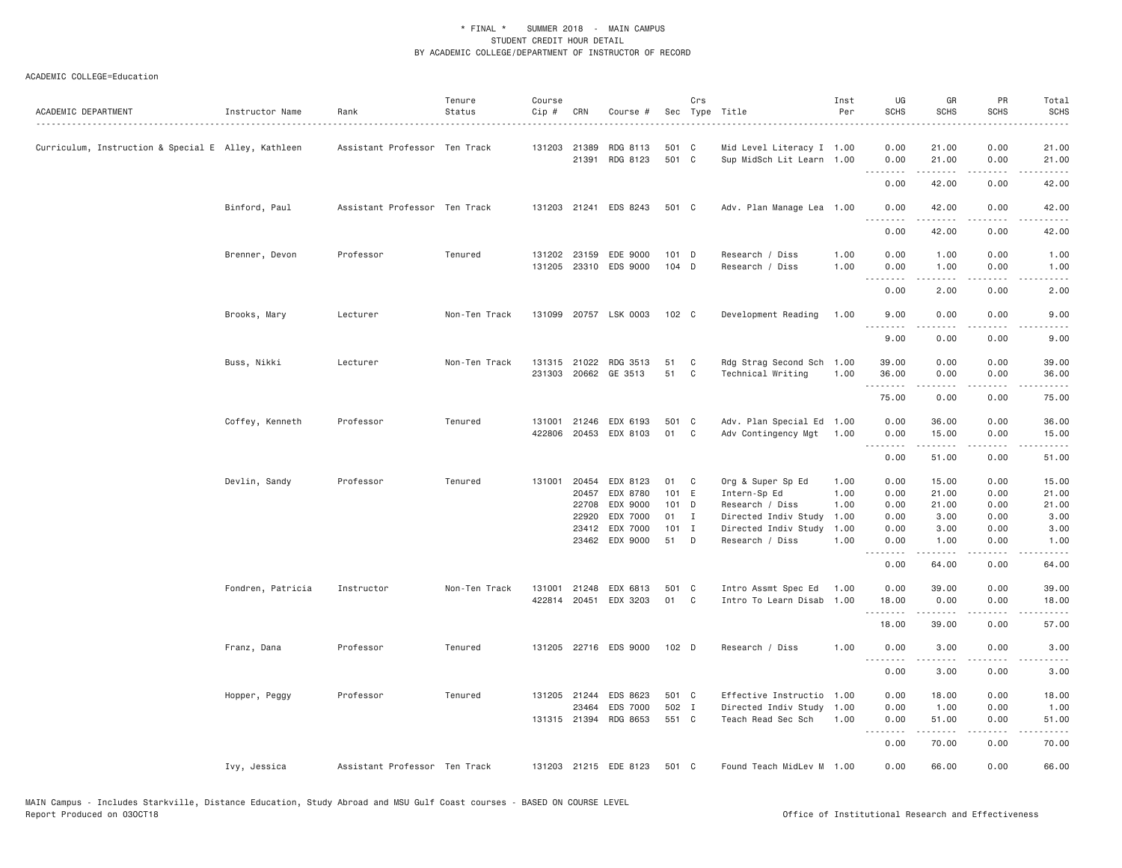| ACADEMIC DEPARTMENT                                 | Instructor Name   | Rank                          | Tenure<br>Status | Course<br>Cip # | CRN          | Course #                          |                  | Crs            | Sec Type Title                                        | Inst<br>Per  | UG<br><b>SCHS</b> | GR<br><b>SCHS</b>       | PR<br><b>SCHS</b> | Total<br><b>SCHS</b> |
|-----------------------------------------------------|-------------------|-------------------------------|------------------|-----------------|--------------|-----------------------------------|------------------|----------------|-------------------------------------------------------|--------------|-------------------|-------------------------|-------------------|----------------------|
| Curriculum, Instruction & Special E Alley, Kathleen |                   | Assistant Professor Ten Track |                  |                 | 131203 21389 | RDG 8113                          | 501 C            |                | Mid Level Literacy I 1.00                             |              | 0.00              | 21.00                   | 0.00              | 21.00                |
|                                                     |                   |                               |                  |                 | 21391        | RDG 8123                          | 501 C            |                | Sup MidSch Lit Learn 1.00                             |              | 0.00<br>.         | 21.00<br>.              | 0.00<br>.         | 21.00<br>المستبدا    |
|                                                     |                   |                               |                  |                 |              |                                   |                  |                |                                                       |              | 0.00              | 42.00                   | 0.00              | 42.00                |
|                                                     | Binford, Paul     | Assistant Professor Ten Track |                  |                 |              | 131203 21241 EDS 8243             | 501 C            |                | Adv. Plan Manage Lea 1.00                             |              | 0.00<br>.         | 42.00<br>.              | 0.00<br>.         | 42.00<br>ه د د د د   |
|                                                     |                   |                               |                  |                 |              |                                   |                  |                |                                                       |              | 0.00              | 42.00                   | 0.00              | 42.00                |
|                                                     | Brenner, Devon    | Professor                     | Tenured          | 131202          | 23159        | EDE 9000<br>131205 23310 EDS 9000 | $101$ D<br>104 D |                | Research / Diss<br>Research / Diss                    | 1.00<br>1.00 | 0.00<br>0.00      | 1.00<br>1.00            | 0.00<br>0.00      | 1.00<br>1.00         |
|                                                     |                   |                               |                  |                 |              |                                   |                  |                |                                                       |              | .<br>0.00         | .<br>2.00               | .<br>0.00         | .<br>2.00            |
|                                                     | Brooks, Mary      | Lecturer                      | Non-Ten Track    |                 |              | 131099 20757 LSK 0003             | 102 C            |                | Development Reading                                   | 1.00         | 9.00              | 0.00                    | 0.00<br>.         | 9.00                 |
|                                                     |                   |                               |                  |                 |              |                                   |                  |                |                                                       |              | 9.00              | .<br>0.00               | 0.00              | ----<br>9.00         |
|                                                     | Buss, Nikki       | Lecturer                      | Non-Ten Track    |                 |              | 131315 21022 RDG 3513             | 51               | C              | Rdg Strag Second Sch 1.00                             |              | 39.00             | 0.00                    | 0.00              | 39.00                |
|                                                     |                   |                               |                  |                 |              | 231303 20662 GE 3513              | 51               | C <sub>1</sub> | Technical Writing                                     | 1.00         | 36.00<br>.        | 0.00<br>.               | 0.00<br>.         | 36.00<br>.           |
|                                                     |                   |                               |                  |                 |              |                                   |                  |                |                                                       |              | 75.00             | 0.00                    | 0.00              | 75.00                |
|                                                     | Coffey, Kenneth   | Professor                     | Tenured          | 131001          | 21246        | EDX 6193<br>422806 20453 EDX 8103 | 501 C<br>01 C    |                | Adv. Plan Special Ed 1.00<br>Adv Contingency Mgt 1.00 |              | 0.00<br>0.00      | 36.00<br>15.00          | 0.00<br>0.00      | 36.00<br>15.00       |
|                                                     |                   |                               |                  |                 |              |                                   |                  |                |                                                       |              | .<br>0.00         | 51.00                   | .<br>0.00         | .<br>51.00           |
|                                                     | Devlin, Sandy     | Professor                     | Tenured          | 131001          | 20454        | EDX 8123                          | 01               | $\mathbf{C}$   | Org & Super Sp Ed                                     | 1.00         | 0.00              | 15.00                   | 0.00              | 15.00                |
|                                                     |                   |                               |                  |                 | 20457        | EDX 8780                          | 101 E            |                | Intern-Sp Ed                                          | 1.00         | 0.00              | 21.00                   | 0.00              | 21.00                |
|                                                     |                   |                               |                  |                 | 22708        | EDX 9000                          | 101 D            |                | Research / Diss                                       | 1.00         | 0.00              | 21.00                   | 0.00              | 21.00                |
|                                                     |                   |                               |                  |                 | 22920        | EDX 7000                          | 01               | $\mathbf{I}$   | Directed Indiv Study                                  | 1.00         | 0.00              | 3.00                    | 0.00              | 3.00                 |
|                                                     |                   |                               |                  |                 | 23412        | EDX 7000<br>23462 EDX 9000        | $101$ I<br>51    | D              | Directed Indiv Study<br>Research / Diss               | 1.00<br>1.00 | 0.00<br>0.00      | 3.00<br>1.00            | 0.00<br>0.00      | 3.00<br>1.00         |
|                                                     |                   |                               |                  |                 |              |                                   |                  |                |                                                       |              | .<br>0.00         | .<br>64.00              | .<br>0.00         | .<br>64.00           |
|                                                     | Fondren, Patricia | Instructor                    | Non-Ten Track    | 131001          | 21248        | EDX 6813                          | 501 C            |                | Intro Assmt Spec Ed                                   | 1.00         | 0.00              | 39.00                   | 0.00              | 39.00                |
|                                                     |                   |                               |                  | 422814          | 20451        | EDX 3203                          | 01               | C              | Intro To Learn Disab                                  | 1.00         | 18.00<br>.        | 0.00<br>المتمام المتعاد | 0.00<br>د د د د   | 18.00<br>د د د د د   |
|                                                     |                   |                               |                  |                 |              |                                   |                  |                |                                                       |              | 18.00             | 39.00                   | 0.00              | 57.00                |
|                                                     | Franz, Dana       | Professor                     | Tenured          |                 |              | 131205 22716 EDS 9000             | 102 D            |                | Research / Diss                                       | 1.00         | 0.00<br><u>.</u>  | 3.00                    | 0.00              | 3.00                 |
|                                                     |                   |                               |                  |                 |              |                                   |                  |                |                                                       |              | 0.00              | 3.00                    | 0.00              | 3.00                 |
|                                                     | Hopper, Peggy     | Professor                     | Tenured          |                 | 131205 21244 | EDS 8623                          | 501 C            |                | Effective Instructio 1.00                             |              | 0.00              | 18.00                   | 0.00              | 18.00                |
|                                                     |                   |                               |                  |                 | 23464        | EDS 7000                          | 502 I            |                | Directed Indiv Study 1.00                             |              | 0.00              | 1.00                    | 0.00              | 1.00                 |
|                                                     |                   |                               |                  |                 | 131315 21394 | RDG 8653                          | 551 C            |                | Teach Read Sec Sch                                    | 1.00         | 0.00<br>.         | 51.00<br>د د د د د      | 0.00<br>د د د د   | 51.00<br>والمناصبات  |
|                                                     |                   |                               |                  |                 |              |                                   |                  |                |                                                       |              | 0.00              | 70.00                   | 0.00              | 70.00                |
|                                                     | Ivy, Jessica      | Assistant Professor Ten Track |                  |                 |              | 131203 21215 EDE 8123             | 501 C            |                | Found Teach MidLev M 1.00                             |              | 0.00              | 66.00                   | 0.00              | 66.00                |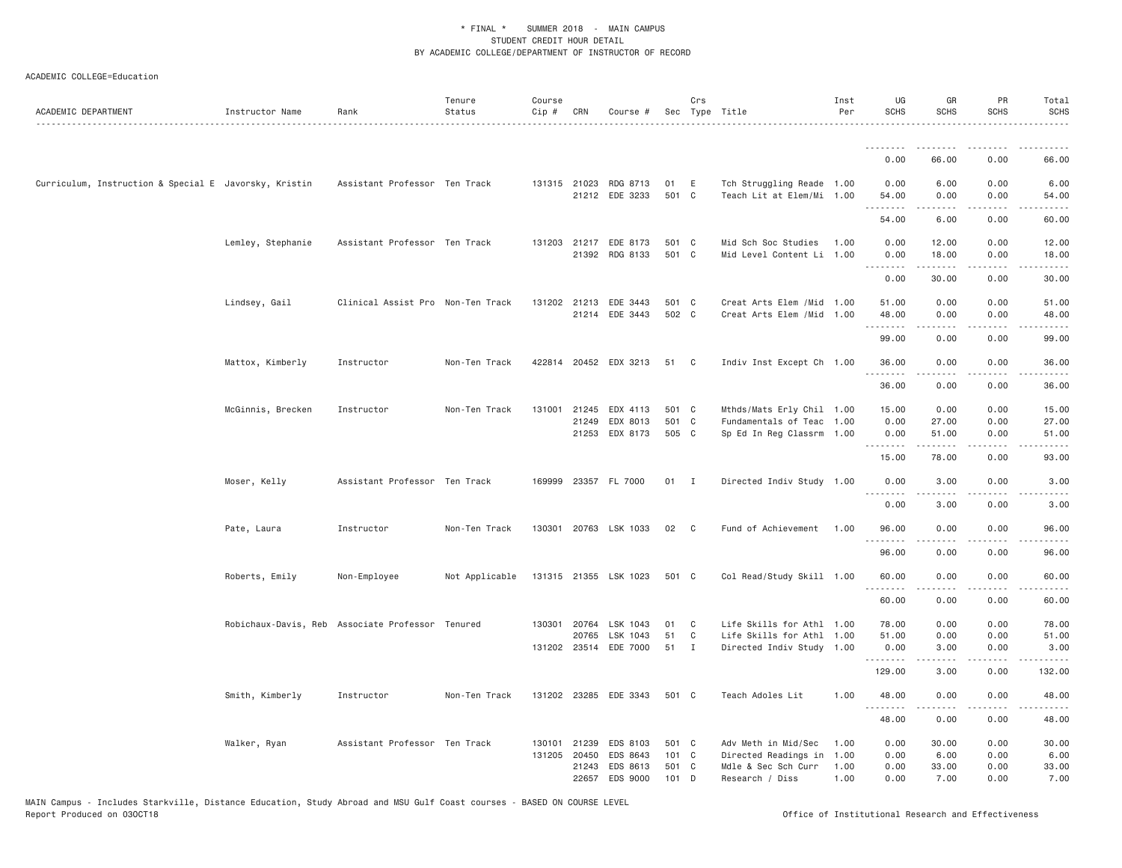| ACADEMIC DEPARTMENT                                   | Instructor Name                                  | Rank                              | Tenure<br>Status | Course<br>Cip # | CRN                   | Course #                                |                        | Crs          | Sec Type Title                                           | Inst<br>Per  | UG<br><b>SCHS</b>   | GR<br><b>SCHS</b>    | PR<br><b>SCHS</b>     | Total<br><b>SCHS</b><br>.                                                                                                                                     |
|-------------------------------------------------------|--------------------------------------------------|-----------------------------------|------------------|-----------------|-----------------------|-----------------------------------------|------------------------|--------------|----------------------------------------------------------|--------------|---------------------|----------------------|-----------------------|---------------------------------------------------------------------------------------------------------------------------------------------------------------|
|                                                       |                                                  |                                   |                  |                 |                       |                                         |                        |              |                                                          |              | .                   | $- - - - -$          | $- - - -$             |                                                                                                                                                               |
|                                                       |                                                  |                                   |                  |                 |                       |                                         |                        |              |                                                          |              | 0.00                | 66.00                | 0.00                  | 66.00                                                                                                                                                         |
| Curriculum, Instruction & Special E Javorsky, Kristin |                                                  | Assistant Professor Ten Track     |                  |                 |                       | 131315 21023 RDG 8713<br>21212 EDE 3233 | 01<br>501 C            | E            | Tch Struggling Reade 1.00<br>Teach Lit at Elem/Mi 1.00   |              | 0.00<br>54.00       | 6.00<br>0.00         | 0.00<br>0.00          | 6.00<br>54.00                                                                                                                                                 |
|                                                       |                                                  |                                   |                  |                 |                       |                                         |                        |              |                                                          |              | .<br>54.00          | .<br>6.00            | .<br>0.00             | $- - - - -$<br>60.00                                                                                                                                          |
|                                                       | Lemley, Stephanie                                | Assistant Professor Ten Track     |                  |                 |                       | 131203 21217 EDE 8173<br>21392 RDG 8133 | 501<br>501 C           | $\mathbf{C}$ | Mid Sch Soc Studies<br>Mid Level Content Li 1.00         | 1.00         | 0.00<br>0.00        | 12.00<br>18.00       | 0.00<br>0.00          | 12.00<br>18.00                                                                                                                                                |
|                                                       |                                                  |                                   |                  |                 |                       |                                         |                        |              |                                                          |              | .<br>0.00           | .<br>30.00           | .<br>0.00             | .<br>30.00                                                                                                                                                    |
|                                                       | Lindsey, Gail                                    | Clinical Assist Pro Non-Ten Track |                  | 131202          | 21213                 | EDE 3443<br>21214 EDE 3443              | 501 C<br>502 C         |              | Creat Arts Elem / Mid 1.00<br>Creat Arts Elem / Mid 1.00 |              | 51.00<br>48.00      | 0.00<br>0.00         | 0.00<br>0.00          | 51.00<br>48.00                                                                                                                                                |
|                                                       |                                                  |                                   |                  |                 |                       |                                         |                        |              |                                                          |              | 99.00               | 0.00                 | $   -$<br>0.00        | وبالمستريث<br>99.00                                                                                                                                           |
|                                                       | Mattox, Kimberly                                 | Instructor                        | Non-Ten Track    |                 |                       | 422814 20452 EDX 3213                   | 51                     | $\mathbf{C}$ | Indiv Inst Except Ch 1.00                                |              | 36.00<br>.          | 0.00<br>.            | 0.00<br>$\frac{1}{2}$ | 36.00<br>$\frac{1}{2}$                                                                                                                                        |
|                                                       |                                                  |                                   |                  |                 |                       |                                         |                        |              |                                                          |              | 36.00               | 0.00                 | 0.00                  | 36.00                                                                                                                                                         |
|                                                       | McGinnis, Brecken                                | Instructor                        | Non-Ten Track    | 131001          |                       | 21245 EDX 4113                          | 501 C                  |              | Mthds/Mats Erly Chil 1.00                                |              | 15.00               | 0.00                 | 0.00                  | 15.00                                                                                                                                                         |
|                                                       |                                                  |                                   |                  |                 | 21249                 | EDX 8013<br>21253 EDX 8173              | 501 C<br>505 C         |              | Fundamentals of Teac 1.00<br>Sp Ed In Reg Classrm 1.00   |              | 0.00<br>0.00        | 27.00<br>51.00       | 0.00<br>0.00          | 27.00<br>51.00                                                                                                                                                |
|                                                       |                                                  |                                   |                  |                 |                       |                                         |                        |              |                                                          |              | <u>.</u><br>15.00   | $- - - - -$<br>78.00 | .<br>0.00             | $- - - - -$<br>93.00                                                                                                                                          |
|                                                       | Moser, Kelly                                     | Assistant Professor Ten Track     |                  | 169999          |                       | 23357 FL 7000                           | 01                     | $\mathbf{I}$ | Directed Indiv Study 1.00                                |              | 0.00<br>.           | 3.00<br>.            | 0.00<br>.             | 3.00<br>$\frac{1}{2} \left( \frac{1}{2} \right) \left( \frac{1}{2} \right) \left( \frac{1}{2} \right) \left( \frac{1}{2} \right) \left( \frac{1}{2} \right)$  |
|                                                       |                                                  |                                   |                  |                 |                       |                                         |                        |              |                                                          |              | 0.00                | 3.00                 | 0.00                  | 3.00                                                                                                                                                          |
|                                                       | Pate, Laura                                      | Instructor                        | Non-Ten Track    |                 |                       | 130301 20763 LSK 1033                   | 02                     | $\mathbf{C}$ | Fund of Achievement 1.00                                 |              | 96.00<br>.          | 0.00<br>.            | 0.00<br>$\frac{1}{2}$ | 96.00<br>$\frac{1}{2} \left( \frac{1}{2} \right) \left( \frac{1}{2} \right) \left( \frac{1}{2} \right) \left( \frac{1}{2} \right) \left( \frac{1}{2} \right)$ |
|                                                       |                                                  |                                   |                  |                 |                       |                                         |                        |              |                                                          |              | 96.00               | 0.00                 | 0.00                  | 96.00                                                                                                                                                         |
|                                                       | Roberts, Emily                                   | Non-Employee                      | Not Applicable   |                 |                       | 131315 21355 LSK 1023                   | 501 C                  |              | Col Read/Study Skill 1.00                                |              | 60.00<br>. <i>.</i> | 0.00<br><u>.</u>     | 0.00<br>.             | 60.00<br>$\frac{1}{2} \left( \frac{1}{2} \right) \left( \frac{1}{2} \right) \left( \frac{1}{2} \right) \left( \frac{1}{2} \right) \left( \frac{1}{2} \right)$ |
|                                                       |                                                  |                                   |                  |                 |                       |                                         |                        |              |                                                          |              | 60.00               | 0.00                 | 0.00                  | 60.00                                                                                                                                                         |
|                                                       | Robichaux-Davis, Reb Associate Professor Tenured |                                   |                  |                 | 130301 20764<br>20765 | LSK 1043<br>LSK 1043                    | 01<br>51               | C<br>C       | Life Skills for Athl 1.00<br>Life Skills for Athl 1.00   |              | 78.00<br>51.00      | 0.00<br>0.00         | 0.00<br>0.00          | 78.00<br>51.00                                                                                                                                                |
|                                                       |                                                  |                                   |                  |                 |                       | 131202 23514 EDE 7000                   | 51                     | $\mathbf{I}$ | Directed Indiv Study 1.00                                |              | 0.00                | 3.00                 | 0.00                  | 3.00                                                                                                                                                          |
|                                                       |                                                  |                                   |                  |                 |                       |                                         |                        |              |                                                          |              | .<br>129.00         | .<br>3.00            | د د د د<br>0.00       | .<br>132.00                                                                                                                                                   |
|                                                       | Smith, Kimberly                                  | Instructor                        | Non-Ten Track    |                 |                       | 131202 23285 EDE 3343                   | 501 C                  |              | Teach Adoles Lit                                         | 1.00         | 48.00<br>.          | 0.00                 | 0.00<br>.             | 48.00<br>$- - - - -$                                                                                                                                          |
|                                                       |                                                  |                                   |                  |                 |                       |                                         |                        |              |                                                          |              | 48.00               | 0.00                 | 0.00                  | 48.00                                                                                                                                                         |
|                                                       | Walker, Ryan                                     | Assistant Professor Ten Track     |                  |                 | 130101 21239          | EDS 8103                                | 501 C                  |              | Adv Meth in Mid/Sec                                      | 1.00         | 0.00                | 30.00                | 0.00                  | 30.00                                                                                                                                                         |
|                                                       |                                                  |                                   |                  | 131205          | 20450                 | <b>FDS 8643</b><br>21243 EDS 8613       | $101 \quad C$<br>501 C |              | Directed Readings in<br>Mdle & Sec Sch Curr              | 1.00<br>1.00 | 0.00<br>0.00        | 6.00<br>33.00        | 0.00<br>0.00          | 6.00<br>33.00                                                                                                                                                 |
|                                                       |                                                  |                                   |                  |                 | 22657                 | EDS 9000                                | 101                    | D            | Research / Diss                                          | 1.00         | 0.00                | 7.00                 | 0.00                  | 7.00                                                                                                                                                          |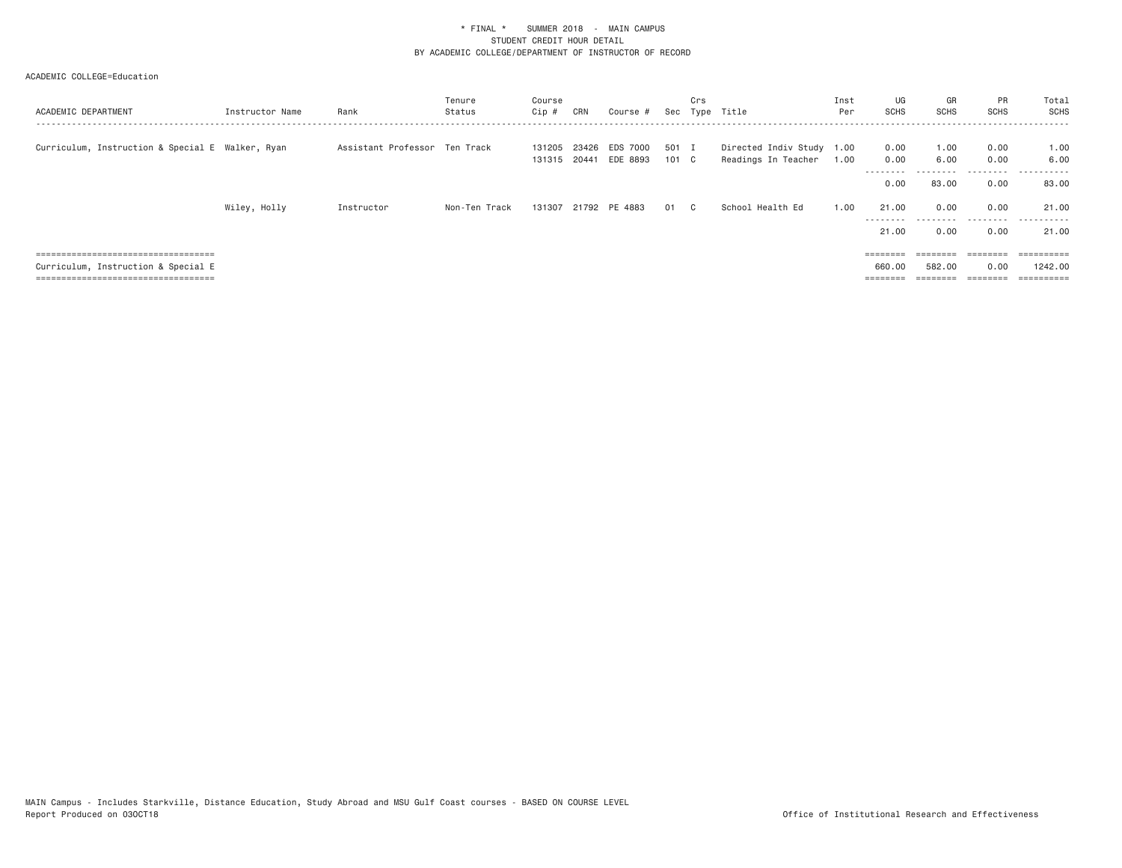| ACADEMIC DEPARTMENT                              | Instructor Name | Rank                          | Tenure<br>Status | Course<br>Cip #  | CRN            | Course #             |                | Crs | Sec Type Title                                   | Inst<br>Per | UG<br><b>SCHS</b>      | GR<br><b>SCHS</b> | <b>PR</b><br><b>SCHS</b> | Total<br>SCHS          |
|--------------------------------------------------|-----------------|-------------------------------|------------------|------------------|----------------|----------------------|----------------|-----|--------------------------------------------------|-------------|------------------------|-------------------|--------------------------|------------------------|
| Curriculum, Instruction & Special E Walker, Ryan |                 | Assistant Professor Ten Track |                  | 131205<br>131315 | 23426<br>20441 | EDS 7000<br>EDE 8893 | 501 I<br>101 C |     | Directed Indiv Study 1.00<br>Readings In Teacher | 1.00        | 0.00<br>0.00<br>------ | 1.00<br>6.00      | 0.00<br>0.00<br>-------- | 1.00<br>6.00<br>------ |
|                                                  |                 |                               |                  |                  |                |                      |                |     |                                                  |             | 0.00                   | 83.00             | 0.00                     | 83.00                  |
|                                                  | Wiley, Holly    | Instructor                    | Non-Ten Track    |                  |                | 131307 21792 PE 4883 | 01 C           |     | School Health Ed                                 | 1,00        | 21.00<br>---------     | 0.00<br>.         | 0.00<br>.                | 21.00<br>.             |
|                                                  |                 |                               |                  |                  |                |                      |                |     |                                                  |             | 21.00                  | 0.00              | 0.00                     | 21.00                  |
| =====================================            |                 |                               |                  |                  |                |                      |                |     |                                                  |             | $=$ = = = = = = =      | $=$               | --------<br>--------     | ==========             |
| Curriculum, Instruction & Special E              |                 |                               |                  |                  |                |                      |                |     |                                                  |             | 660,00                 | 582.00            | 0.00                     | 1242.00                |
| =====================================            |                 |                               |                  |                  |                |                      |                |     |                                                  |             | ========               |                   |                          | $=$ ==========         |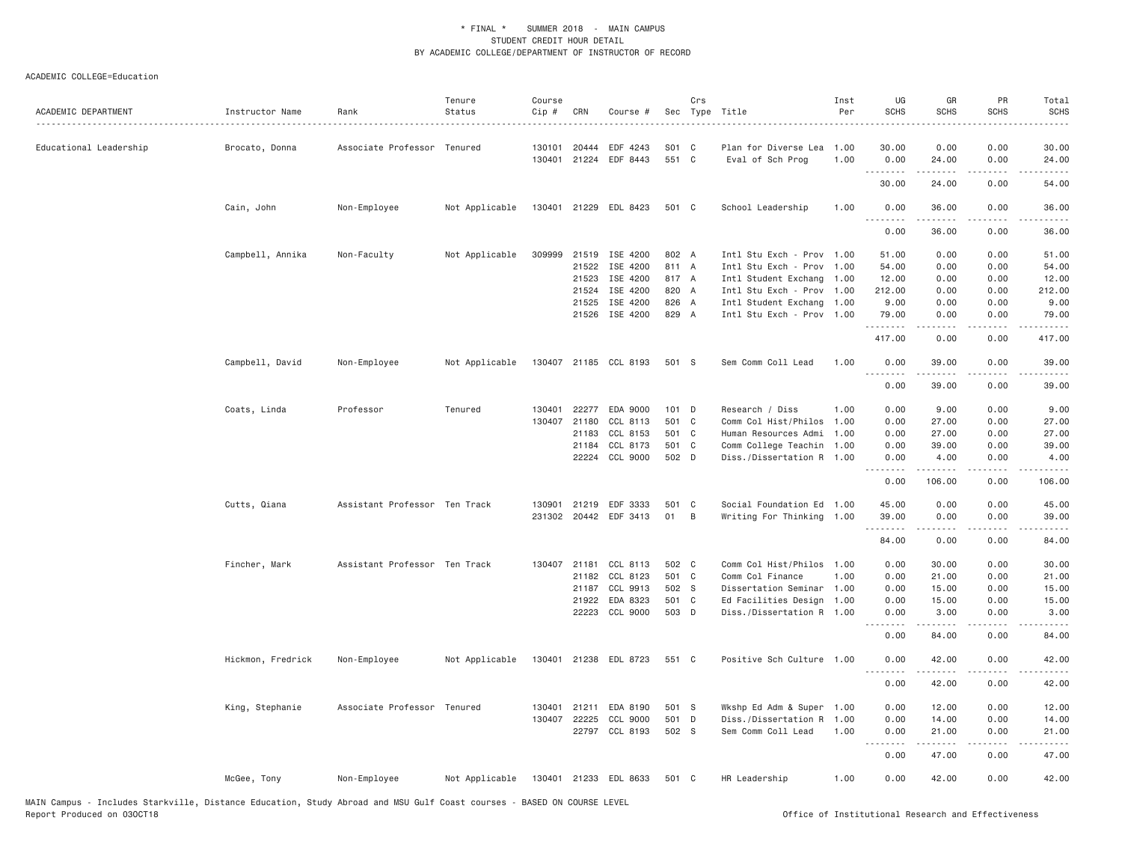|                                          | Rank                          | Status         | Cip #            | CRN            | Course #              |              |              | Sec Type Title                           | Per          | <b>SCHS</b>      | <b>SCHS</b>                                                                                                                                                   | <b>SCHS</b>                         | Total<br>SCHS                               |
|------------------------------------------|-------------------------------|----------------|------------------|----------------|-----------------------|--------------|--------------|------------------------------------------|--------------|------------------|---------------------------------------------------------------------------------------------------------------------------------------------------------------|-------------------------------------|---------------------------------------------|
| Educational Leadership<br>Brocato, Donna | Associate Professor Tenured   |                | 130101<br>130401 | 20444<br>21224 | EDF 4243<br>EDF 8443  | S01<br>551 C | C            | Plan for Diverse Lea<br>Eval of Sch Prog | 1.00<br>1.00 | 30.00<br>0.00    | 0.00<br>24.00                                                                                                                                                 | 0.00<br>0.00                        | 30.00<br>24.00                              |
|                                          |                               |                |                  |                |                       |              |              |                                          |              | 30.00            | $\frac{1}{2} \left( \frac{1}{2} \right) \left( \frac{1}{2} \right) \left( \frac{1}{2} \right) \left( \frac{1}{2} \right) \left( \frac{1}{2} \right)$<br>24.00 | .<br>0.00                           | .<br>54.00                                  |
| Cain, John                               | Non-Employee                  | Not Applicable |                  |                | 130401 21229 EDL 8423 | 501 C        |              | School Leadership                        | 1.00         | 0.00             | 36.00                                                                                                                                                         | 0.00                                | 36.00                                       |
|                                          |                               |                |                  |                |                       |              |              |                                          |              | .<br>0.00        | 36.00                                                                                                                                                         | 0.00                                | $\sim$ $\sim$ $\sim$ $\sim$ $\sim$<br>36.00 |
|                                          |                               |                |                  |                |                       |              |              |                                          |              |                  |                                                                                                                                                               |                                     |                                             |
| Campbell, Annika                         | Non-Faculty                   | Not Applicable | 309999           |                | 21519 ISE 4200        | 802 A        |              | Intl Stu Exch - Prov 1.00                |              | 51.00            | 0.00                                                                                                                                                          | 0.00                                | 51.00                                       |
|                                          |                               |                |                  |                | 21522 ISE 4200        | 811 A        |              | Intl Stu Exch - Prov                     | 1.00         | 54.00            | 0.00                                                                                                                                                          | 0.00                                | 54.00                                       |
|                                          |                               |                |                  | 21523          | ISE 4200              | 817 A        |              | Intl Student Exchang                     | 1.00         | 12.00            | 0.00                                                                                                                                                          | 0.00                                | 12.00                                       |
|                                          |                               |                |                  | 21524          | ISE 4200              | 820 A        |              | Intl Stu Exch - Prov 1.00                |              | 212.00           | 0.00                                                                                                                                                          | 0.00                                | 212.00                                      |
|                                          |                               |                |                  | 21525          | ISE 4200              | 826 A        |              | Intl Student Exchang                     | 1.00         | 9.00             | 0.00                                                                                                                                                          | 0.00                                | 9.00                                        |
|                                          |                               |                |                  |                | 21526 ISE 4200        | 829 A        |              | Intl Stu Exch - Prov                     | 1.00         | 79.00<br>.       | 0.00<br>.                                                                                                                                                     | 0.00<br>.                           | 79.00<br><u>.</u>                           |
|                                          |                               |                |                  |                |                       |              |              |                                          |              | 417.00           | 0.00                                                                                                                                                          | 0.00                                | 417.00                                      |
| Campbell, David                          | Non-Employee                  | Not Applicable |                  |                | 130407 21185 CCL 8193 | 501 S        |              | Sem Comm Coll Lead                       | 1.00         | 0.00<br><u>.</u> | 39.00<br>.                                                                                                                                                    | 0.00<br>.                           | 39.00<br>.                                  |
|                                          |                               |                |                  |                |                       |              |              |                                          |              | 0.00             | 39.00                                                                                                                                                         | 0.00                                | 39.00                                       |
| Coats, Linda                             | Professor                     | Tenured        | 130401           |                | 22277 EDA 9000        | 101 D        |              | Research / Diss                          | 1.00         | 0.00             | 9.00                                                                                                                                                          | 0.00                                | 9.00                                        |
|                                          |                               |                | 130407           | 21180          | CCL 8113              | 501 C        |              | Comm Col Hist/Philos                     | 1.00         | 0.00             | 27.00                                                                                                                                                         | 0.00                                | 27.00                                       |
|                                          |                               |                |                  | 21183          | CCL 8153              | 501 C        |              | Human Resources Admi                     | 1.00         | 0.00             | 27.00                                                                                                                                                         | 0.00                                | 27.00                                       |
|                                          |                               |                |                  | 21184          | CCL 8173              | 501 C        |              | Comm College Teachin                     | 1.00         | 0.00             | 39.00                                                                                                                                                         | 0.00                                | 39.00                                       |
|                                          |                               |                |                  | 22224          | CCL 9000              | 502 D        |              | Diss./Dissertation R 1.00                |              | 0.00             | 4.00                                                                                                                                                          | 0.00                                | 4.00                                        |
|                                          |                               |                |                  |                |                       |              |              |                                          |              | <u>.</u><br>0.00 | -----<br>106.00                                                                                                                                               | $\sim$ $\sim$ $\sim$ $\sim$<br>0.00 | $\frac{1}{2}$<br>106.00                     |
|                                          | Assistant Professor Ten Track |                | 130901           | 21219          | EDF 3333              | 501          | $\mathbf{C}$ | Social Foundation Ed 1.00                |              | 45.00            | 0.00                                                                                                                                                          | 0.00                                | 45.00                                       |
| Cutts, Qiana                             |                               |                |                  |                |                       |              |              |                                          |              |                  |                                                                                                                                                               |                                     |                                             |
|                                          |                               |                |                  |                | 231302 20442 EDF 3413 | 01           | B            | Writing For Thinking 1.00                |              | 39.00<br>.       | 0.00                                                                                                                                                          | 0.00<br>.                           | 39.00<br>.                                  |
|                                          |                               |                |                  |                |                       |              |              |                                          |              | 84.00            | 0.00                                                                                                                                                          | 0.00                                | 84.00                                       |
| Fincher, Mark                            | Assistant Professor Ten Track |                |                  | 130407 21181   | CCL 8113              | 502 C        |              | Comm Col Hist/Philos                     | 1.00         | 0.00             | 30.00                                                                                                                                                         | 0.00                                | 30.00                                       |
|                                          |                               |                |                  |                | 21182 CCL 8123        | 501 C        |              | Comm Col Finance                         | 1.00         | 0.00             | 21.00                                                                                                                                                         | 0.00                                | 21.00                                       |
|                                          |                               |                |                  | 21187          | CCL 9913              | 502 S        |              | Dissertation Seminar 1.00                |              | 0.00             | 15.00                                                                                                                                                         | 0.00                                | 15.00                                       |
|                                          |                               |                |                  | 21922          | EDA 8323              | 501 C        |              | Ed Facilities Design 1.00                |              | 0.00             | 15.00                                                                                                                                                         | 0.00                                | 15.00                                       |
|                                          |                               |                |                  |                | 22223 CCL 9000        | 503 D        |              | Diss./Dissertation R 1.00                |              | 0.00<br>.        | 3.00<br>$\omega$ is a set of                                                                                                                                  | 0.00<br>$\sim$ $\sim$ $\sim$ $\sim$ | 3.00<br>.                                   |
|                                          |                               |                |                  |                |                       |              |              |                                          |              | 0.00             | 84.00                                                                                                                                                         | 0.00                                | 84.00                                       |
| Hickmon, Fredrick                        | Non-Employee                  | Not Applicable |                  |                | 130401 21238 EDL 8723 | 551 C        |              | Positive Sch Culture 1.00                |              | 0.00<br>.        | 42.00<br>1.1.1.1.1                                                                                                                                            | 0.00<br>د د د د                     | 42.00<br>د د د د د                          |
|                                          |                               |                |                  |                |                       |              |              |                                          |              | 0.00             | 42.00                                                                                                                                                         | 0.00                                | 42.00                                       |
| King, Stephanie                          | Associate Professor Tenured   |                |                  |                | 130401 21211 EDA 8190 | 501 S        |              | Wkshp Ed Adm & Super 1.00                |              | 0.00             | 12.00                                                                                                                                                         | 0.00                                | 12.00                                       |
|                                          |                               |                | 130407           | 22225          | CCL 9000              | 501 D        |              | Diss./Dissertation R 1.00                |              | 0.00             | 14.00                                                                                                                                                         | 0.00                                | 14.00                                       |
|                                          |                               |                |                  | 22797          | CCL 8193              | 502 S        |              | Sem Comm Coll Lead                       | 1.00         | 0.00             | 21.00                                                                                                                                                         | 0.00                                | 21.00                                       |
|                                          |                               |                |                  |                |                       |              |              |                                          |              | .<br>0.00        | 47.00                                                                                                                                                         | .<br>0.00                           | .<br>47.00                                  |
| McGee, Tony                              | Non-Employee                  | Not Applicable |                  |                | 130401 21233 EDL 8633 | 501 C        |              | HR Leadership                            | 1.00         | 0.00             | 42.00                                                                                                                                                         | 0.00                                | 42.00                                       |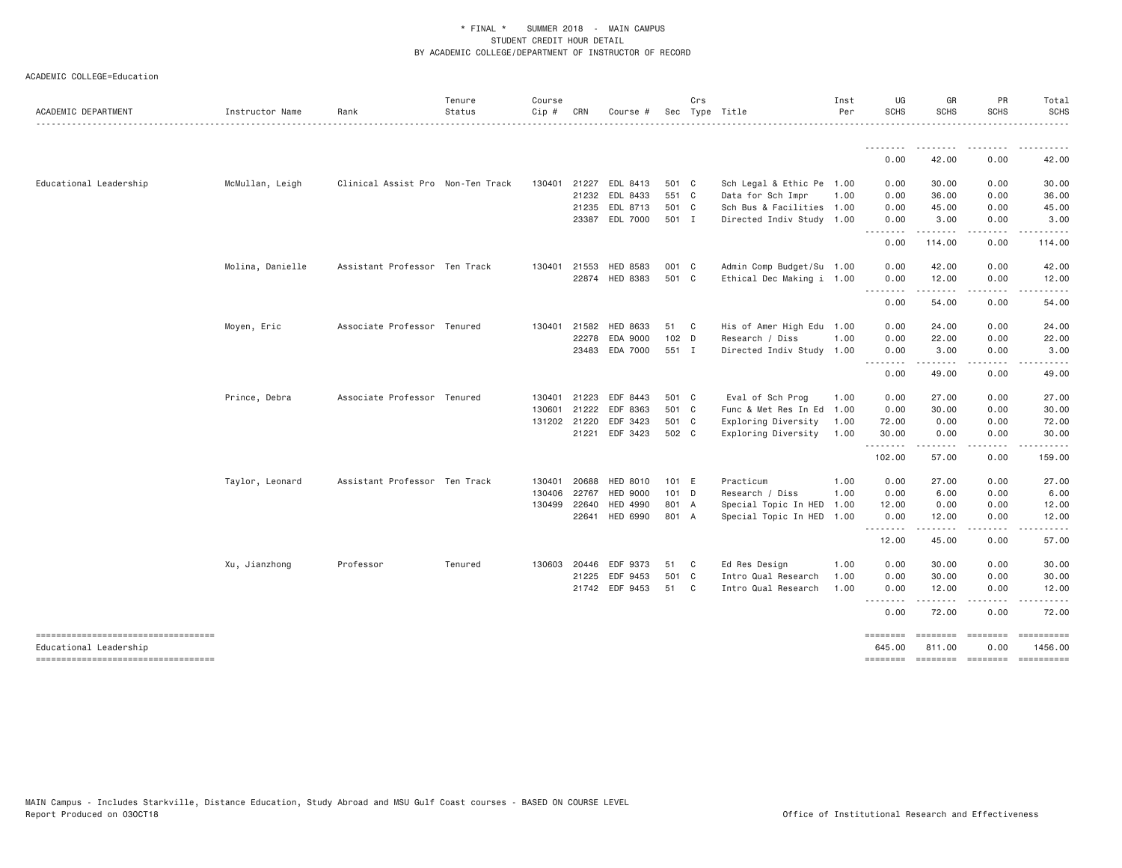|  | ACADEMIC COLLEGE=Education |
|--|----------------------------|
|--|----------------------------|

| ACADEMIC DEPARTMENT                                          | Instructor Name  | Rank                              | Tenure<br>Status | Course<br>Cip # | CRN          | Course #        |       | Crs          | Sec Type Title            | Inst<br>Per | UG<br><b>SCHS</b>               | GR<br><b>SCHS</b>                                                                                                                                             | PR<br><b>SCHS</b>    | Total<br><b>SCHS</b><br>------        |
|--------------------------------------------------------------|------------------|-----------------------------------|------------------|-----------------|--------------|-----------------|-------|--------------|---------------------------|-------------|---------------------------------|---------------------------------------------------------------------------------------------------------------------------------------------------------------|----------------------|---------------------------------------|
|                                                              |                  |                                   |                  |                 |              |                 |       |              |                           |             | <u> - - - - - - - -</u>         |                                                                                                                                                               |                      |                                       |
|                                                              |                  |                                   |                  |                 |              |                 |       |              |                           |             | 0.00                            | 42.00                                                                                                                                                         | 0.00                 | 42.00                                 |
| Educational Leadership                                       | McMullan, Leigh  | Clinical Assist Pro Non-Ten Track |                  |                 | 130401 21227 | EDL 8413        | 501 C |              | Sch Legal & Ethic Pe 1.00 |             | 0.00                            | 30.00                                                                                                                                                         | 0.00                 | 30.00                                 |
|                                                              |                  |                                   |                  |                 | 21232        | EDL 8433        | 551 C |              | Data for Sch Impr         | 1.00        | 0.00                            | 36.00                                                                                                                                                         | 0.00                 | 36.00                                 |
|                                                              |                  |                                   |                  |                 | 21235        | EDL 8713        | 501 C |              | Sch Bus & Facilities 1.00 |             | 0.00                            | 45.00                                                                                                                                                         | 0.00                 | 45.00                                 |
|                                                              |                  |                                   |                  |                 | 23387        | EDL 7000        | 501 I |              | Directed Indiv Study 1.00 |             | 0.00<br><u> - - - - - - - -</u> | 3.00                                                                                                                                                          | 0.00<br>. <u>.</u> . | 3.00                                  |
|                                                              |                  |                                   |                  |                 |              |                 |       |              |                           |             | 0.00                            | 114.00                                                                                                                                                        | 0.00                 | 114.00                                |
|                                                              | Molina, Danielle | Assistant Professor Ten Track     |                  | 130401          | 21553        | HED 8583        | 001 C |              | Admin Comp Budget/Su 1.00 |             | 0.00                            | 42.00                                                                                                                                                         | 0.00                 | 42.00                                 |
|                                                              |                  |                                   |                  |                 |              | 22874 HED 8383  | 501 C |              | Ethical Dec Making i 1.00 |             | 0.00                            | 12.00                                                                                                                                                         | 0.00                 | 12.00                                 |
|                                                              |                  |                                   |                  |                 |              |                 |       |              |                           |             | .<br>0.00                       | المستمالات<br>54.00                                                                                                                                           | .<br>0.00            | 54.00                                 |
|                                                              | Moyen, Eric      | Associate Professor Tenured       |                  | 130401 21582    |              | HED 8633        | 51 C  |              | His of Amer High Edu 1.00 |             | 0.00                            | 24.00                                                                                                                                                         | 0.00                 | 24.00                                 |
|                                                              |                  |                                   |                  |                 | 22278        | EDA 9000        | 102 D |              | Research / Diss           | 1.00        | 0.00                            | 22.00                                                                                                                                                         | 0.00                 | 22.00                                 |
|                                                              |                  |                                   |                  |                 | 23483        | EDA 7000        | 551 I |              | Directed Indiv Study 1.00 |             | 0.00                            | 3.00                                                                                                                                                          | 0.00                 | 3.00                                  |
|                                                              |                  |                                   |                  |                 |              |                 |       |              |                           |             | $\frac{1}{2}$<br>$  -$<br>0.00  | 49,00                                                                                                                                                         | 0.00                 | 49.00                                 |
|                                                              | Prince, Debra    | Associate Professor Tenured       |                  | 130401 21223    |              | EDF 8443        | 501 C |              | Eval of Sch Prog          | 1.00        | 0.00                            | 27.00                                                                                                                                                         | 0.00                 | 27.00                                 |
|                                                              |                  |                                   |                  | 130601          | 21222        | EDF 8363        | 501 C |              | Func & Met Res In Ed 1.00 |             | 0.00                            | 30.00                                                                                                                                                         | 0.00                 | 30.00                                 |
|                                                              |                  |                                   |                  | 131202 21220    |              | EDF 3423        | 501 C |              | Exploring Diversity       | 1.00        | 72.00                           | 0.00                                                                                                                                                          | 0.00                 | 72.00                                 |
|                                                              |                  |                                   |                  |                 | 21221        | EDF 3423        | 502 C |              | Exploring Diversity       | 1.00        | 30.00                           | 0.00                                                                                                                                                          | 0.00                 | 30.00                                 |
|                                                              |                  |                                   |                  |                 |              |                 |       |              |                           |             | .<br>102.00                     | .<br>57.00                                                                                                                                                    | .<br>0.00            | .<br>159.00                           |
|                                                              | Taylor, Leonard  | Assistant Professor Ten Track     |                  | 130401          | 20688        | HED 8010        | 101 E |              | Practicum                 | 1.00        | 0.00                            | 27.00                                                                                                                                                         | 0.00                 | 27.00                                 |
|                                                              |                  |                                   |                  | 130406          | 22767        | <b>HED 9000</b> | 101 D |              | Research / Diss           | 1.00        | 0.00                            | 6.00                                                                                                                                                          | 0.00                 | 6.00                                  |
|                                                              |                  |                                   |                  | 130499 22640    |              | <b>HED 4990</b> | 801 A |              | Special Topic In HED      | 1.00        | 12.00                           | 0.00                                                                                                                                                          | 0.00                 | 12.00                                 |
|                                                              |                  |                                   |                  |                 | 22641        | HED 6990        | 801 A |              | Special Topic In HED 1.00 |             | 0.00<br>.                       | 12.00<br>$\frac{1}{2} \left( \frac{1}{2} \right) \left( \frac{1}{2} \right) \left( \frac{1}{2} \right) \left( \frac{1}{2} \right) \left( \frac{1}{2} \right)$ | 0.00<br>.            | 12.00                                 |
|                                                              |                  |                                   |                  |                 |              |                 |       |              |                           |             | 12.00                           | 45.00                                                                                                                                                         | 0.00                 | 57.00                                 |
|                                                              | Xu, Jianzhong    | Professor                         | Tenured          |                 | 130603 20446 | EDF 9373        | 51    | $\mathbf{C}$ | Ed Res Design             | 1.00        | 0.00                            | 30.00                                                                                                                                                         | 0.00                 | 30.00                                 |
|                                                              |                  |                                   |                  |                 | 21225        | EDF 9453        | 501 C |              | Intro Qual Research       | 1.00        | 0.00                            | 30.00                                                                                                                                                         | 0.00                 | 30.00                                 |
|                                                              |                  |                                   |                  |                 |              | 21742 EDF 9453  | 51 C  |              | Intro Qual Research       | 1.00        | 0.00<br>.                       | 12.00<br>.                                                                                                                                                    | 0.00<br>.            | 12.00                                 |
|                                                              |                  |                                   |                  |                 |              |                 |       |              |                           |             | 0.00                            | 72.00                                                                                                                                                         | 0.00                 | 72.00                                 |
| ----------------------------------<br>Educational Leadership |                  |                                   |                  |                 |              |                 |       |              |                           |             | ========<br>645.00              | ========<br>811.00                                                                                                                                            | ========<br>0.00     | 1456.00                               |
| ----------------------------------                           |                  |                                   |                  |                 |              |                 |       |              |                           |             |                                 |                                                                                                                                                               |                      | -------- -------- -------- ---------- |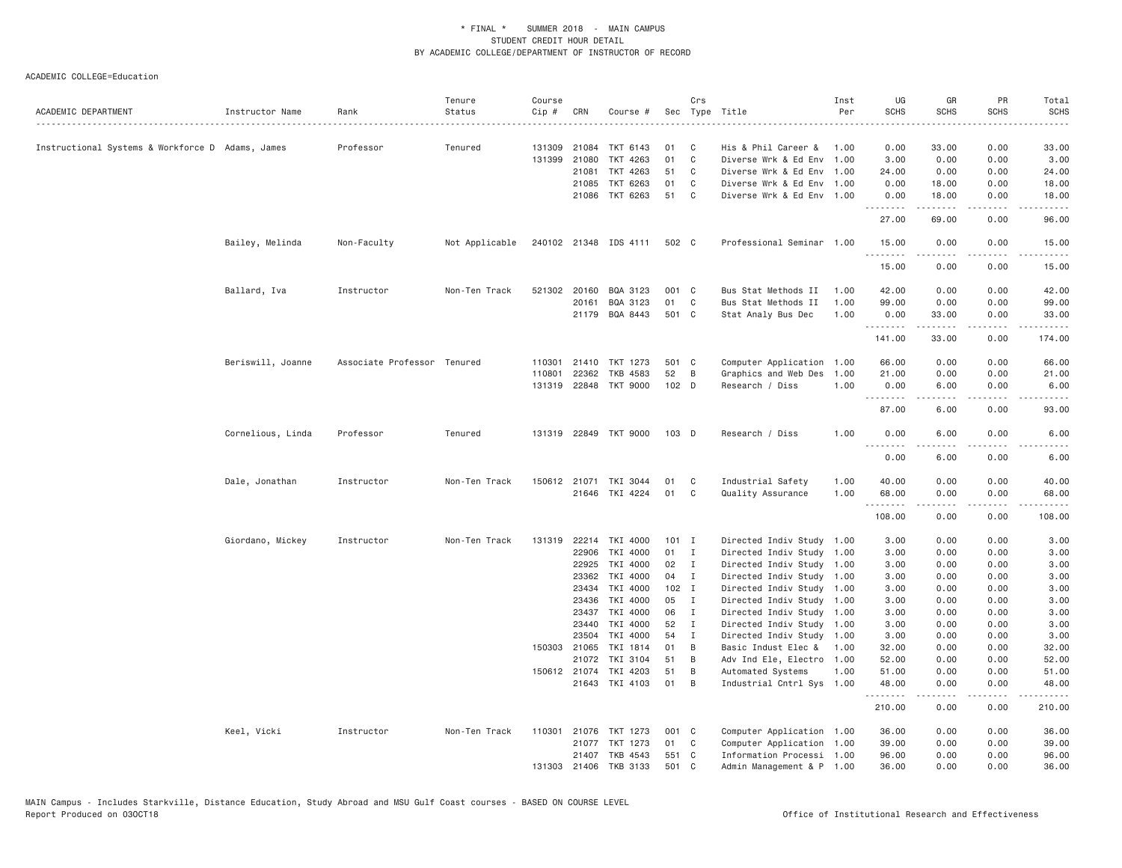|                                                  |                   |                             | Tenure         | Course |                |                       |         | Crs          |                                                        | Inst | UG            | GR                  | PR              | Total          |
|--------------------------------------------------|-------------------|-----------------------------|----------------|--------|----------------|-----------------------|---------|--------------|--------------------------------------------------------|------|---------------|---------------------|-----------------|----------------|
| ACADEMIC DEPARTMENT                              | Instructor Name   | Rank                        | Status         | Cip #  | CRN            | Course #              | Sec     |              | Type Title                                             | Per  | <b>SCHS</b>   | <b>SCHS</b>         | <b>SCHS</b>     | <b>SCHS</b>    |
|                                                  |                   | Professor                   |                |        | 131309 21084   | TKT 6143              | 01      | C            | His & Phil Career &                                    | 1.00 | 0.00          | 33.00               | 0.00            | 33.00          |
| Instructional Systems & Workforce D Adams, James |                   |                             | Tenured        | 131399 |                |                       | 01      | C            |                                                        |      |               |                     |                 |                |
|                                                  |                   |                             |                |        | 21080<br>21081 | TKT 4263<br>TKT 4263  | 51      | C            | Diverse Wrk & Ed Env 1.00<br>Diverse Wrk & Ed Env 1.00 |      | 3.00<br>24.00 | 0.00<br>0.00        | 0.00<br>0.00    | 3.00           |
|                                                  |                   |                             |                |        | 21085          | TKT 6263              | 01      | C            | Diverse Wrk & Ed Env 1.00                              |      | 0.00          | 18.00               | 0.00            | 24.00<br>18.00 |
|                                                  |                   |                             |                |        | 21086          | TKT 6263              | 51      | C            | Diverse Wrk & Ed Env 1.00                              |      |               | 18.00               | 0.00            | 18.00          |
|                                                  |                   |                             |                |        |                |                       |         |              |                                                        |      | 0.00<br>.     | .                   | .               | .              |
|                                                  |                   |                             |                |        |                |                       |         |              |                                                        |      | 27.00         | 69.00               | 0.00            | 96.00          |
|                                                  | Bailey, Melinda   | Non-Faculty                 | Not Applicable |        |                | 240102 21348 IDS 4111 | 502 C   |              | Professional Seminar 1.00                              |      | 15.00<br>.    | 0.00<br>$- - - - -$ | 0.00<br>.       | 15.00<br>.     |
|                                                  |                   |                             |                |        |                |                       |         |              |                                                        |      | 15.00         | 0.00                | 0.00            | 15.00          |
|                                                  | Ballard, Iva      | Instructor                  | Non-Ten Track  |        | 521302 20160   | BQA 3123              | 001 C   |              | Bus Stat Methods II                                    | 1.00 | 42.00         | 0.00                | 0.00            | 42.00          |
|                                                  |                   |                             |                |        | 20161          | BQA 3123              | 01      | C            | Bus Stat Methods II                                    | 1.00 | 99.00         | 0.00                | 0.00            | 99.00          |
|                                                  |                   |                             |                |        |                | 21179 BQA 8443        | 501 C   |              | Stat Analy Bus Dec                                     | 1.00 | 0.00<br>.     | 33.00<br>.          | 0.00<br>.       | 33.00<br>.     |
|                                                  |                   |                             |                |        |                |                       |         |              |                                                        |      | 141.00        | 33.00               | 0.00            | 174.00         |
|                                                  | Beriswill, Joanne | Associate Professor Tenured |                |        | 110301 21410   | TKT 1273              | 501 C   |              | Computer Application 1.00                              |      | 66.00         | 0.00                | 0.00            | 66.00          |
|                                                  |                   |                             |                | 110801 | 22362          | TKB 4583              | 52      | B            | Graphics and Web Des                                   | 1.00 | 21.00         | 0.00                | 0.00            | 21.00          |
|                                                  |                   |                             |                |        |                | 131319 22848 TKT 9000 | $102$ D |              | Research / Diss                                        | 1.00 | 0.00<br>.     | 6.00<br>.           | 0.00<br>$- - -$ | 6.00           |
|                                                  |                   |                             |                |        |                |                       |         |              |                                                        |      | 87.00         | 6.00                | 0.00            | 93.00          |
|                                                  | Cornelious, Linda | Professor                   | Tenured        |        |                | 131319 22849 TKT 9000 | 103 D   |              | Research / Diss                                        | 1.00 | 0.00<br>.     | 6.00                | 0.00<br>د د د د | 6.00           |
|                                                  |                   |                             |                |        |                |                       |         |              |                                                        |      | 0.00          | 6.00                | 0.00            | 6.00           |
|                                                  | Dale, Jonathan    | Instructor                  | Non-Ten Track  |        | 150612 21071   | TKI 3044              | 01      | C            | Industrial Safety                                      | 1.00 | 40.00         | 0.00                | 0.00            | 40.00          |
|                                                  |                   |                             |                |        |                | 21646 TKI 4224        | 01      | C            | Quality Assurance                                      | 1.00 | 68.00<br>.    | 0.00<br>.           | 0.00            | 68.00          |
|                                                  |                   |                             |                |        |                |                       |         |              |                                                        |      | 108.00        | 0.00                | 0.00            | 108.00         |
|                                                  | Giordano, Mickey  | Instructor                  | Non-Ten Track  |        |                | 131319 22214 TKI 4000 | $101$ I |              | Directed Indiv Study 1.00                              |      | 3.00          | 0.00                | 0.00            | 3.00           |
|                                                  |                   |                             |                |        | 22906          | TKI 4000              | 01      | $\mathbf{I}$ | Directed Indiv Study 1.00                              |      | 3.00          | 0.00                | 0.00            | 3.00           |
|                                                  |                   |                             |                |        | 22925          | TKI 4000              | 02      | I            | Directed Indiv Study 1.00                              |      | 3.00          | 0.00                | 0.00            | 3.00           |
|                                                  |                   |                             |                |        | 23362          | TKI 4000              | 04      | $\mathbf I$  | Directed Indiv Study 1.00                              |      | 3.00          | 0.00                | 0.00            | 3.00           |
|                                                  |                   |                             |                |        | 23434          | TKI 4000              | $102$ I |              | Directed Indiv Study 1.00                              |      | 3.00          | 0.00                | 0.00            | 3.00           |
|                                                  |                   |                             |                |        | 23436          | TKI 4000              | 05      | $\mathbf{I}$ | Directed Indiv Study 1.00                              |      | 3.00          | 0.00                | 0.00            | 3.00           |
|                                                  |                   |                             |                |        | 23437          | TKI 4000              | 06      | $\mathbf{I}$ | Directed Indiv Study 1.00                              |      | 3.00          | 0.00                | 0.00            | 3.00           |
|                                                  |                   |                             |                |        | 23440          | TKI 4000              | 52      | $\mathbf{I}$ | Directed Indiv Study 1.00                              |      | 3.00          | 0.00                | 0.00            | 3.00           |
|                                                  |                   |                             |                |        | 23504          | TKI 4000              | 54      | Ι.           | Directed Indiv Study 1.00                              |      | 3.00          | 0.00                | 0.00            | 3.00           |
|                                                  |                   |                             |                |        | 150303 21065   | TKI 1814              | 01      | B            | Basic Indust Elec &                                    | 1.00 | 32.00         | 0.00                | 0.00            | 32.00          |
|                                                  |                   |                             |                |        | 21072          | TKI 3104              | 51      | B            | Adv Ind Ele, Electro 1.00                              |      | 52.00         | 0.00                | 0.00            | 52.00          |
|                                                  |                   |                             |                |        | 150612 21074   | TKI 4203              | 51      | B            | Automated Systems                                      | 1.00 | 51.00         | 0.00                | 0.00            | 51.00          |
|                                                  |                   |                             |                |        |                | 21643 TKI 4103        | 01      | B            | Industrial Cntrl Sys 1.00                              |      | 48.00<br>.    | 0.00<br>.           | 0.00<br>.       | 48.00<br>.     |
|                                                  |                   |                             |                |        |                |                       |         |              |                                                        |      | 210.00        | 0.00                | 0.00            | 210.00         |
|                                                  | Keel, Vicki       | Instructor                  | Non-Ten Track  |        |                | 110301 21076 TKT 1273 | 001 C   |              | Computer Application 1.00                              |      | 36.00         | 0.00                | 0.00            | 36.00          |
|                                                  |                   |                             |                |        |                | 21077 TKT 1273        | 01      | C            | Computer Application 1.00                              |      | 39.00         | 0.00                | 0.00            | 39.00          |
|                                                  |                   |                             |                |        |                | 21407 TKB 4543        | 551 C   |              | Information Processi 1.00                              |      | 96.00         | 0.00                | 0.00            | 96.00          |
|                                                  |                   |                             |                |        | 131303 21406   | TKB 3133              | 501     | C            | Admin Management & P 1.00                              |      | 36.00         | 0.00                | 0.00            | 36,00          |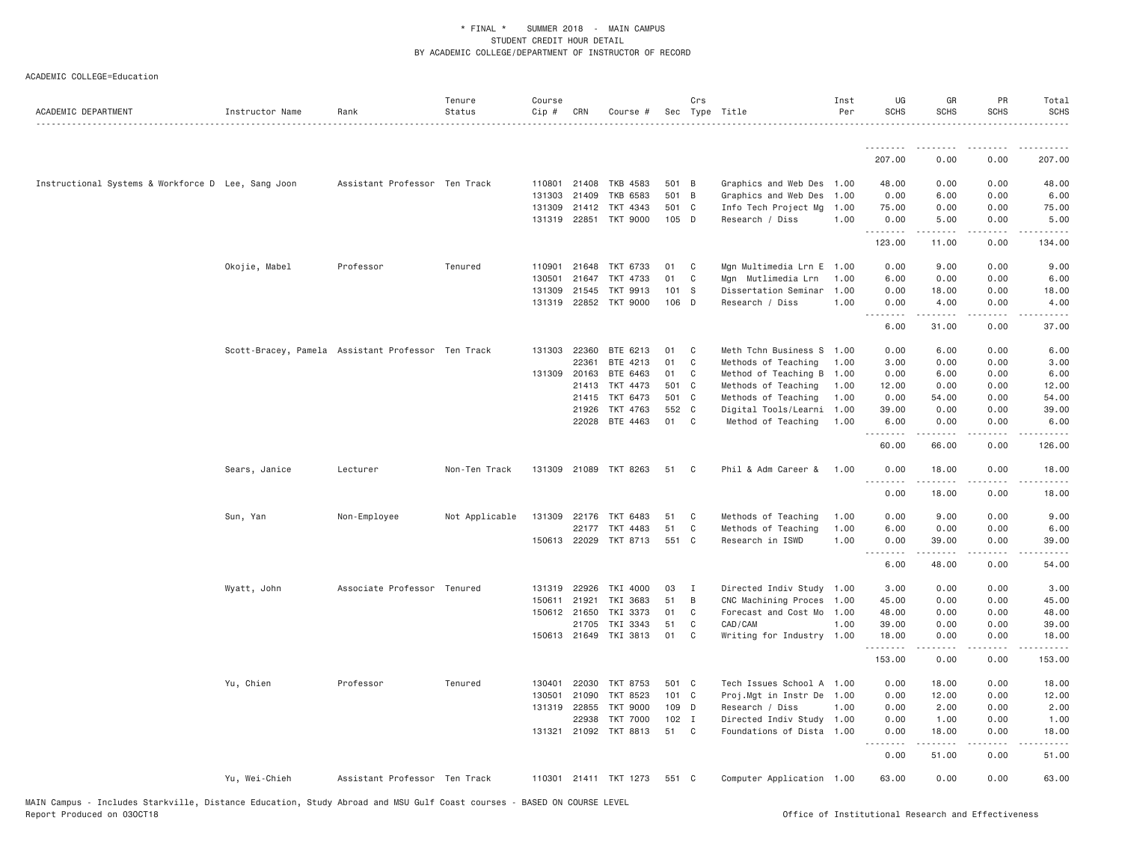| ACADEMIC DEPARTMENT                                | Instructor Name | Rank                                               | Tenure<br>Status | Course<br>Cip # | CRN                   | Course #              |          | Crs          | Sec Type Title                       | Inst<br>Per | UG<br><b>SCHS</b>  | GR<br><b>SCHS</b> | PR<br><b>SCHS</b> | Total<br><b>SCHS</b> |
|----------------------------------------------------|-----------------|----------------------------------------------------|------------------|-----------------|-----------------------|-----------------------|----------|--------------|--------------------------------------|-------------|--------------------|-------------------|-------------------|----------------------|
|                                                    |                 |                                                    |                  |                 |                       |                       |          |              |                                      |             |                    |                   |                   |                      |
|                                                    |                 |                                                    |                  |                 |                       |                       |          |              |                                      |             | 207.00             | 0.00              | 0.00              | 207.00               |
| Instructional Systems & Workforce D Lee, Sang Joon |                 | Assistant Professor Ten Track                      |                  | 110801          | 21408                 | TKB 4583              | 501 B    |              | Graphics and Web Des 1.00            |             | 48.00              | 0.00              | 0.00              | 48.00                |
|                                                    |                 |                                                    |                  | 131303          | 21409                 | <b>TKB 6583</b>       | 501 B    |              | Graphics and Web Des                 | 1.00        | 0.00               | 6.00              | 0.00              | 6.00                 |
|                                                    |                 |                                                    |                  | 131309          | 21412                 | TKT 4343              | 501      | C            | Info Tech Project Mg                 | 1.00        | 75.00              | 0.00              | 0.00              | 75.00                |
|                                                    |                 |                                                    |                  |                 | 131319 22851          | <b>TKT 9000</b>       | 105 D    |              | Research / Diss                      | 1.00        | 0.00               | 5.00<br>.         | 0.00<br>.         | 5.00<br>.            |
|                                                    |                 |                                                    |                  |                 |                       |                       |          |              |                                      |             | 123.00             | 11.00             | 0.00              | 134.00               |
|                                                    | Okojie, Mabel   | Professor                                          | Tenured          | 110901          | 21648                 | TKT 6733              | 01       | C            | Mgn Multimedia Lrn E                 | 1.00        | 0.00               | 9.00              | 0.00              | 9.00                 |
|                                                    |                 |                                                    |                  | 130501          | 21647                 | TKT 4733              | 01       | C            | Mgn Mutlimedia Lrn                   | 1.00        | 6.00               | 0.00              | 0.00              | 6.00                 |
|                                                    |                 |                                                    |                  | 131309          | 21545                 | TKT 9913              | 101 S    |              | Dissertation Seminar                 | 1,00        | 0.00               | 18.00             | 0.00              | 18.00                |
|                                                    |                 |                                                    |                  |                 |                       | 131319 22852 TKT 9000 | 106 D    |              | Research / Diss                      | 1.00        | 0.00<br>. <i>.</i> | 4.00<br>.         | 0.00<br>.         | 4.00<br>.            |
|                                                    |                 |                                                    |                  |                 |                       |                       |          |              |                                      |             | 6.00               | 31.00             | 0.00              | 37.00                |
|                                                    |                 | Scott-Bracey, Pamela Assistant Professor Ten Track |                  |                 | 131303 22360          | BTE 6213              | 01       | C            | Meth Tchn Business S                 | 1.00        | 0.00               | 6.00              | 0.00              | 6.00                 |
|                                                    |                 |                                                    |                  |                 | 22361                 | BTE 4213              | 01       | C            | Methods of Teaching                  | 1.00        | 3.00               | 0.00              | 0.00              | 3.00                 |
|                                                    |                 |                                                    |                  | 131309          | 20163                 | BTE 6463              | 01       | C            | Method of Teaching B                 | 1.00        | 0.00               | 6.00              | 0.00              | 6.00                 |
|                                                    |                 |                                                    |                  |                 | 21413                 | TKT 4473              | 501      | C            | Methods of Teaching                  | 1.00        | 12.00              | 0.00              | 0.00              | 12.00                |
|                                                    |                 |                                                    |                  |                 | 21415                 | TKT 6473              | 501 C    |              | Methods of Teaching                  | 1.00        | 0.00               | 54.00             | 0.00              | 54.00                |
|                                                    |                 |                                                    |                  |                 | 21926                 | TKT 4763              | 552 C    |              | Digital Tools/Learni                 | 1.00        | 39.00              | 0.00              | 0.00              | 39.00                |
|                                                    |                 |                                                    |                  |                 |                       | 22028 BTE 4463        | 01       | C            | Method of Teaching                   | 1.00        | 6.00<br>.          | 0.00<br>.         | 0.00<br>.         | 6.00<br><u>.</u>     |
|                                                    |                 |                                                    |                  |                 |                       |                       |          |              |                                      |             | 60.00              | 66.00             | 0.00              | 126.00               |
|                                                    | Sears, Janice   | Lecturer                                           | Non-Ten Track    |                 |                       | 131309 21089 TKT 8263 | 51       | C            | Phil & Adm Career &                  | 1.00        | 0.00<br>. <i>.</i> | 18.00<br>.        | 0.00<br>.         | 18.00<br>.           |
|                                                    |                 |                                                    |                  |                 |                       |                       |          |              |                                      |             | 0.00               | 18.00             | 0.00              | 18.00                |
|                                                    | Sun, Yan        | Non-Employee                                       | Not Applicable   |                 | 131309 22176          | TKT 6483              | 51       | C            | Methods of Teaching                  | 1.00        | 0.00               | 9.00              | 0.00              | 9.00                 |
|                                                    |                 |                                                    |                  |                 | 22177                 | TKT 4483              | 51       | $\mathbb C$  | Methods of Teaching                  | 1.00        | 6.00               | 0.00              | 0.00              | 6.00                 |
|                                                    |                 |                                                    |                  |                 | 150613 22029          | TKT 8713              | 551 C    |              | Research in ISWD                     | 1.00        | 0.00               | 39.00             | 0.00              | 39.00                |
|                                                    |                 |                                                    |                  |                 |                       |                       |          |              |                                      |             | . <b>.</b><br>6.00 | 48.00             | $- - -$<br>0.00   | 54.00                |
|                                                    |                 |                                                    |                  |                 |                       |                       |          |              |                                      |             |                    |                   |                   |                      |
|                                                    | Wyatt, John     | Associate Professor Tenured                        |                  |                 | 131319 22926          | TKI 4000              | 03       | $\mathbf{I}$ | Directed Indiv Study 1.00            |             | 3.00               | 0.00              | 0.00              | 3.00                 |
|                                                    |                 |                                                    |                  | 150611          | 21921                 | TKI 3683              | 51       | B            | CNC Machining Proces                 | 1.00        | 45.00              | 0.00              | 0.00              | 45.00                |
|                                                    |                 |                                                    |                  |                 | 150612 21650          | TKI 3373              | 01       | C            | Forecast and Cost Mo 1.00            |             | 48.00              | 0.00              | 0.00              | 48.00                |
|                                                    |                 |                                                    |                  |                 | 21705<br>150613 21649 | TKI 3343<br>TKI 3813  | 51<br>01 | C<br>C       | CAD/CAM<br>Writing for Industry 1.00 | 1.00        | 39.00<br>18.00     | 0.00<br>0.00      | 0.00<br>0.00      | 39.00<br>18.00       |
|                                                    |                 |                                                    |                  |                 |                       |                       |          |              |                                      |             | .<br>153.00        | .<br>0.00         | .<br>0.00         | .<br>153.00          |
|                                                    | Yu, Chien       | Professor                                          | Tenured          | 130401          | 22030                 | TKT 8753              | 501 C    |              | Tech Issues School A 1.00            |             | 0.00               | 18.00             | 0.00              | 18.00                |
|                                                    |                 |                                                    |                  | 130501          | 21090                 | TKT 8523              | 101 C    |              | Proj.Mgt in Instr De                 | 1.00        | 0.00               | 12.00             | 0.00              | 12.00                |
|                                                    |                 |                                                    |                  |                 | 131319 22855          | <b>TKT 9000</b>       | 109 D    |              | Research / Diss                      | 1.00        | 0.00               | 2.00              | 0.00              | 2.00                 |
|                                                    |                 |                                                    |                  |                 | 22938                 | <b>TKT 7000</b>       | $102$ I  |              | Directed Indiv Study 1.00            |             | 0.00               | 1.00              | 0.00              | 1.00                 |
|                                                    |                 |                                                    |                  |                 | 131321 21092          | TKT 8813              | 51       | C            | Foundations of Dista 1.00            |             | 0.00<br>. <i>.</i> | 18.00<br><b>.</b> | 0.00<br>.         | 18.00<br>.           |
|                                                    |                 |                                                    |                  |                 |                       |                       |          |              |                                      |             | 0.00               | 51.00             | 0.00              | 51.00                |
|                                                    | Yu, Wei-Chieh   | Assistant Professor Ten Track                      |                  |                 |                       | 110301 21411 TKT 1273 | 551 C    |              | Computer Application 1.00            |             | 63.00              | 0.00              | 0.00              | 63.00                |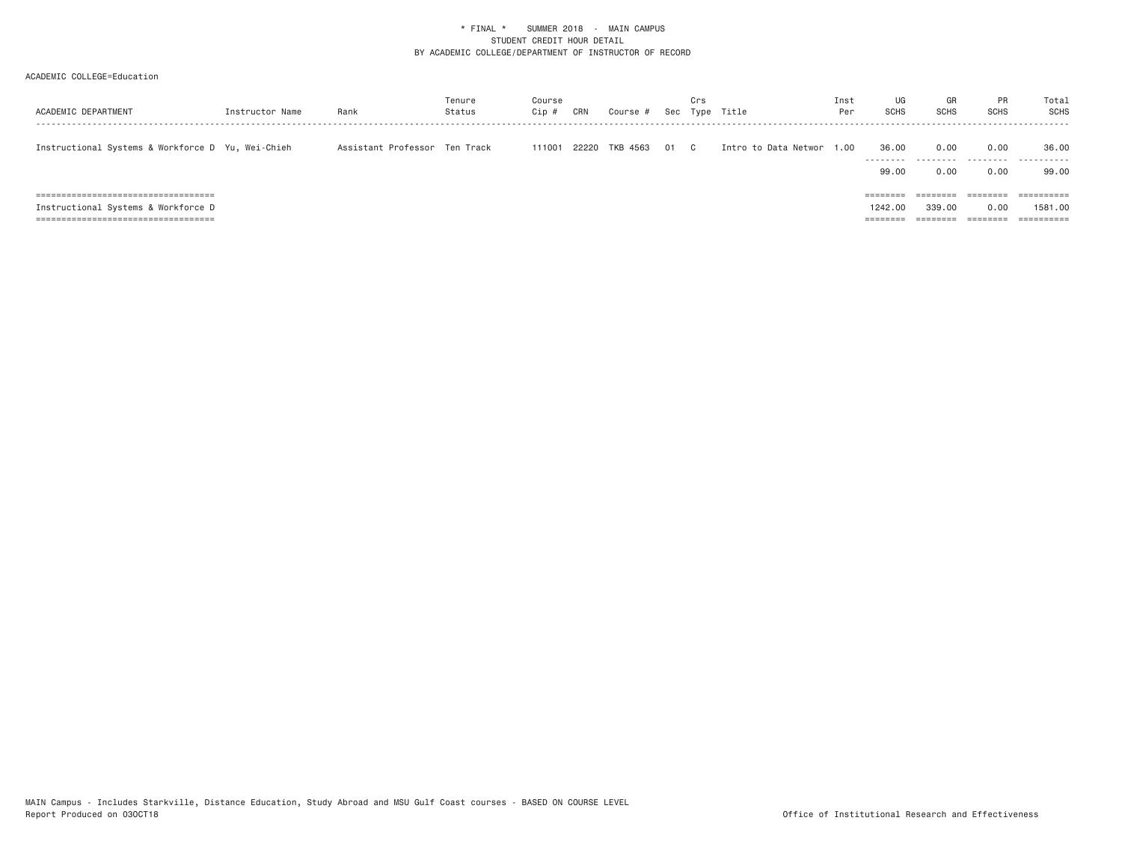|                                                   |                 |                               | Tenure | Course |       |          |    | Crs          |                      | Inst | UG                 | GR                | <b>PR</b>         | Total                 |
|---------------------------------------------------|-----------------|-------------------------------|--------|--------|-------|----------|----|--------------|----------------------|------|--------------------|-------------------|-------------------|-----------------------|
| ACADEMIC DEPARTMENT                               | Instructor Name | Rank                          | Status | Cip #  | CRN   | Course # |    |              | Sec Type Title       | Per  | <b>SCHS</b>        | <b>SCHS</b>       | <b>SCHS</b>       | SCHS                  |
|                                                   |                 |                               |        |        |       |          |    |              |                      |      |                    |                   |                   |                       |
| Instructional Systems & Workforce D Yu, Wei-Chieh |                 | Assistant Professor Ten Track |        | 111001 | 22220 | TKB 4563 | 01 | $\mathbb{C}$ | Intro to Data Networ | 1,00 | 36.00              | 0.00              | 0.00              | 36.00                 |
|                                                   |                 |                               |        |        |       |          |    |              |                      |      | ---------<br>99.00 | ---------<br>0.00 | ---------<br>0.00 | .<br>99,00            |
|                                                   |                 |                               |        |        |       |          |    |              |                      |      |                    |                   |                   |                       |
| ==============================<br>=====           |                 |                               |        |        |       |          |    |              |                      |      | ========           |                   | =====             | ==========            |
| Instructional Systems & Workforce D               |                 |                               |        |        |       |          |    |              |                      |      | 1242.00            | 339,00            | 0.00              | 1581.00               |
| ======================================            |                 |                               |        |        |       |          |    |              |                      |      | ========           | --------          | ========          | $=$ = = = = = = = = = |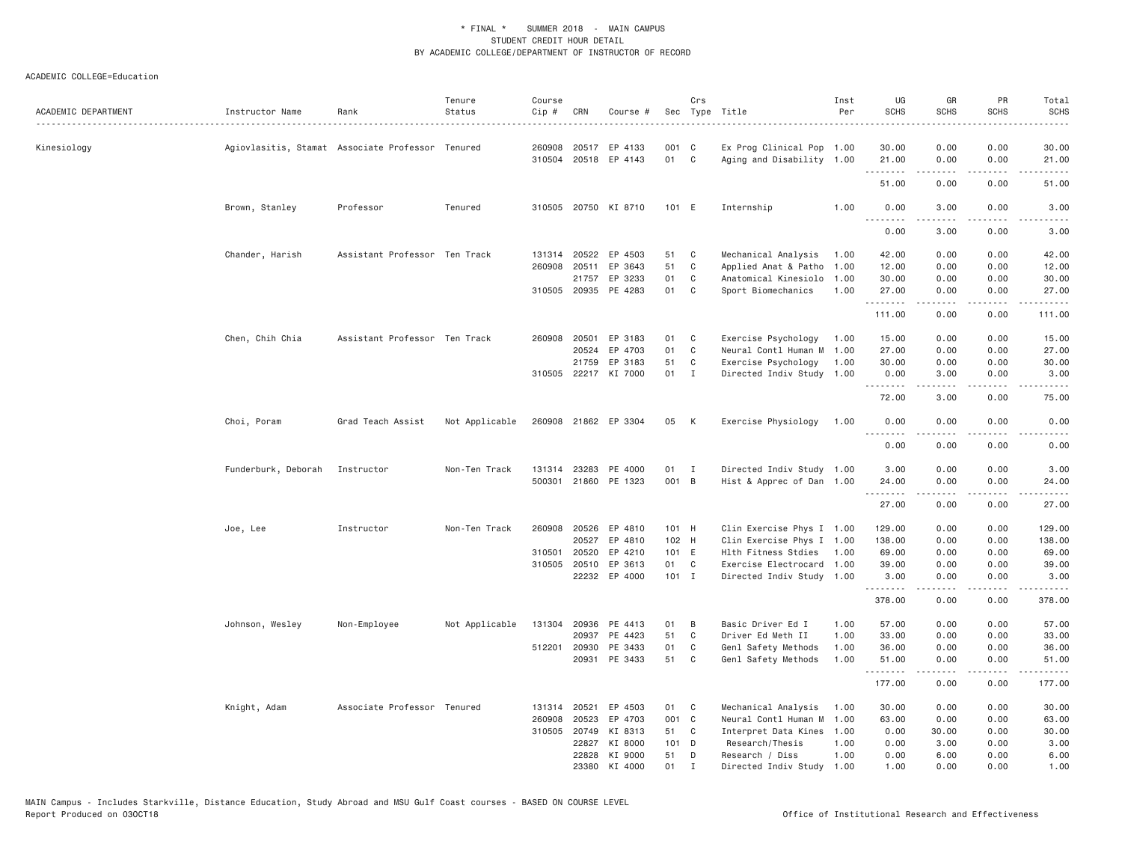| ACADEMIC DEPARTMENT | Instructor Name     | Rank                                             | Tenure<br>Status | Course<br>Cip # | CRN          | Course #             |         | Crs            | Sec Type Title            | Inst<br>Per | UG<br><b>SCHS</b> | GR<br><b>SCHS</b> | PR<br><b>SCHS</b> | Total<br><b>SCHS</b>                                                                                                                                         |
|---------------------|---------------------|--------------------------------------------------|------------------|-----------------|--------------|----------------------|---------|----------------|---------------------------|-------------|-------------------|-------------------|-------------------|--------------------------------------------------------------------------------------------------------------------------------------------------------------|
|                     |                     |                                                  |                  |                 |              |                      |         |                |                           |             |                   |                   |                   | $\frac{1}{2}$                                                                                                                                                |
| Kinesiology         |                     | Agiovlasitis, Stamat Associate Professor Tenured |                  | 260908          |              | 20517 EP 4133        | 001 C   |                | Ex Prog Clinical Pop 1.00 |             | 30.00             | 0.00              | 0.00              | 30.00                                                                                                                                                        |
|                     |                     |                                                  |                  |                 |              | 310504 20518 EP 4143 | 01 C    |                | Aging and Disability 1.00 |             | 21.00<br>-------- | 0.00<br>-----     | 0.00<br>.         | 21.00<br>.                                                                                                                                                   |
|                     |                     |                                                  |                  |                 |              |                      |         |                |                           |             | 51.00             | 0.00              | 0.00              | 51.00                                                                                                                                                        |
|                     | Brown, Stanley      | Professor                                        | Tenured          |                 |              | 310505 20750 KI 8710 | 101 E   |                | Internship                | 1.00        | 0.00              | 3.00              | 0.00              | 3.00                                                                                                                                                         |
|                     |                     |                                                  |                  |                 |              |                      |         |                |                           |             | .<br>0.00         | .<br>3.00         | د د د د<br>0.00   | $\frac{1}{2} \left( \frac{1}{2} \right) \left( \frac{1}{2} \right) \left( \frac{1}{2} \right) \left( \frac{1}{2} \right) \left( \frac{1}{2} \right)$<br>3.00 |
|                     | Chander, Harish     | Assistant Professor Ten Track                    |                  |                 | 131314 20522 | EP 4503              | 51      | C              | Mechanical Analysis       | 1.00        | 42.00             | 0.00              | 0.00              | 42.00                                                                                                                                                        |
|                     |                     |                                                  |                  | 260908          | 20511        | EP 3643              | 51      | C              | Applied Anat & Patho      | 1.00        | 12.00             | 0.00              | 0.00              | 12.00                                                                                                                                                        |
|                     |                     |                                                  |                  |                 | 21757        | EP 3233              | 01      | $\mathbf{C}$   | Anatomical Kinesiolo      | 1.00        | 30.00             | 0.00              | 0.00              | 30.00                                                                                                                                                        |
|                     |                     |                                                  |                  |                 |              | 310505 20935 PE 4283 | 01      | C <sub>1</sub> | Sport Biomechanics        | 1.00        | 27.00<br>.        | 0.00<br>.         | 0.00<br>د د د د   | 27.00<br>.                                                                                                                                                   |
|                     |                     |                                                  |                  |                 |              |                      |         |                |                           |             | 111.00            | 0.00              | 0.00              | 111.00                                                                                                                                                       |
|                     | Chen, Chih Chia     | Assistant Professor Ten Track                    |                  |                 | 260908 20501 | EP 3183              | 01      | C              | Exercise Psychology       | 1.00        | 15.00             | 0.00              | 0.00              | 15.00                                                                                                                                                        |
|                     |                     |                                                  |                  |                 | 20524        | EP 4703              | 01      | C <sub>1</sub> | Neural Contl Human M 1.00 |             | 27.00             | 0.00              | 0.00              | 27.00                                                                                                                                                        |
|                     |                     |                                                  |                  |                 | 21759        | EP 3183              | 51      | $\mathbf{C}$   | Exercise Psychology       | 1.00        | 30.00             | 0.00              | 0.00              | 30.00                                                                                                                                                        |
|                     |                     |                                                  |                  |                 |              | 310505 22217 KI 7000 | 01      | $\mathbf{I}$   | Directed Indiv Study 1.00 |             | 0.00<br>.         | 3.00<br>.         | 0.00<br>.         | 3.00<br>د د د د د                                                                                                                                            |
|                     |                     |                                                  |                  |                 |              |                      |         |                |                           |             | 72.00             | 3.00              | 0.00              | 75.00                                                                                                                                                        |
|                     | Choi, Poram         | Grad Teach Assist                                | Not Applicable   |                 |              | 260908 21862 EP 3304 | 05      | K              | Exercise Physiology       | 1.00        | 0.00<br>$- - -$   | 0.00              | 0.00<br>$- - -$   | 0.00                                                                                                                                                         |
|                     |                     |                                                  |                  |                 |              |                      |         |                |                           |             | 0.00              | 0.00              | 0.00              | 0.00                                                                                                                                                         |
|                     | Funderburk, Deborah | Instructor                                       | Non-Ten Track    |                 |              | 131314 23283 PE 4000 | 01 I    |                | Directed Indiv Study 1.00 |             | 3.00              | 0.00              | 0.00              | 3.00                                                                                                                                                         |
|                     |                     |                                                  |                  |                 |              | 500301 21860 PE 1323 | 001 B   |                | Hist & Apprec of Dan 1.00 |             | 24.00<br>.        | 0.00<br>-----     | 0.00<br>.         | 24.00<br>.                                                                                                                                                   |
|                     |                     |                                                  |                  |                 |              |                      |         |                |                           |             | 27.00             | 0.00              | 0.00              | 27.00                                                                                                                                                        |
|                     | Joe, Lee            | Instructor                                       | Non-Ten Track    | 260908          | 20526        | EP 4810              | 101 H   |                | Clin Exercise Phys I 1.00 |             | 129.00            | 0.00              | 0.00              | 129.00                                                                                                                                                       |
|                     |                     |                                                  |                  |                 | 20527        | EP 4810              | 102 H   |                | Clin Exercise Phys I 1.00 |             | 138.00            | 0.00              | 0.00              | 138.00                                                                                                                                                       |
|                     |                     |                                                  |                  | 310501          | 20520        | EP 4210              | 101 E   |                | Hlth Fitness Stdies       | 1.00        | 69.00             | 0.00              | 0.00              | 69.00                                                                                                                                                        |
|                     |                     |                                                  |                  | 310505          | 20510        | EP 3613              | 01 C    |                | Exercise Electrocard 1.00 |             | 39.00             | 0.00              | 0.00              | 39.00                                                                                                                                                        |
|                     |                     |                                                  |                  |                 |              | 22232 EP 4000        | $101$ I |                | Directed Indiv Study 1.00 |             | 3.00<br>.         | 0.00<br>.         | 0.00<br>.         | 3.00<br>$- - - - - -$                                                                                                                                        |
|                     |                     |                                                  |                  |                 |              |                      |         |                |                           |             | 378.00            | 0.00              | 0.00              | 378.00                                                                                                                                                       |
|                     | Johnson, Wesley     | Non-Employee                                     | Not Applicable   | 131304          | 20936        | PE 4413              | 01      | B              | Basic Driver Ed I         | 1.00        | 57.00             | 0.00              | 0.00              | 57.00                                                                                                                                                        |
|                     |                     |                                                  |                  |                 | 20937        | PE 4423              | 51      | C              | Driver Ed Meth II         | 1.00        | 33.00             | 0.00              | 0.00              | 33.00                                                                                                                                                        |
|                     |                     |                                                  |                  | 512201          | 20930        | PE 3433              | 01      | C              | Genl Safety Methods       | 1.00        | 36.00             | 0.00              | 0.00              | 36.00                                                                                                                                                        |
|                     |                     |                                                  |                  |                 | 20931        | PE 3433              | 51      | $\mathbf{C}$   | Genl Safety Methods       | 1.00        | 51.00<br>.        | 0.00<br>.         | 0.00<br>الأعامات  | 51.00<br>.                                                                                                                                                   |
|                     |                     |                                                  |                  |                 |              |                      |         |                |                           |             | 177.00            | 0.00              | 0.00              | 177.00                                                                                                                                                       |
|                     | Knight, Adam        | Associate Professor Tenured                      |                  | 131314          | 20521        | EP 4503              | 01      | C <sub>1</sub> | Mechanical Analysis       | 1.00        | 30.00             | 0.00              | 0.00              | 30.00                                                                                                                                                        |
|                     |                     |                                                  |                  | 260908          | 20523        | EP 4703              | 001 C   |                | Neural Contl Human M 1.00 |             | 63.00             | 0.00              | 0.00              | 63.00                                                                                                                                                        |
|                     |                     |                                                  |                  |                 | 310505 20749 | KI 8313              | 51 C    |                | Interpret Data Kines 1.00 |             | 0.00              | 30.00             | 0.00              | 30.00                                                                                                                                                        |
|                     |                     |                                                  |                  |                 | 22827        | KI 8000              | 101 D   |                | Research/Thesis           | 1.00        | 0.00              | 3.00              | 0.00              | 3.00                                                                                                                                                         |
|                     |                     |                                                  |                  |                 | 22828        | KI 9000              | 51      | D              | Research / Diss           | 1.00        | 0.00              | 6.00              | 0.00              | 6.00                                                                                                                                                         |
|                     |                     |                                                  |                  |                 |              | 23380 KI 4000        | 01      | $\mathbf{I}$   | Directed Indiv Study 1.00 |             | 1.00              | 0.00              | 0.00              | 1.00                                                                                                                                                         |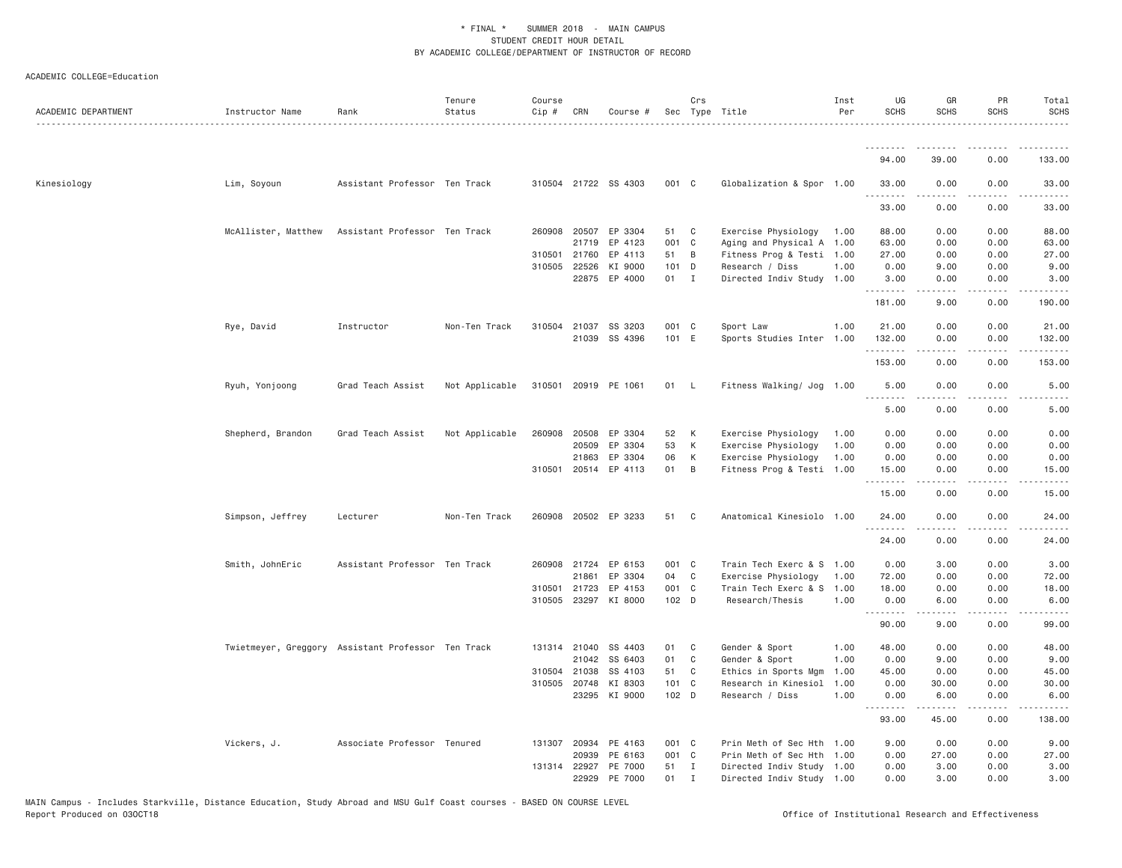| ACADEMIC DEPARTMENT | Instructor Name                                    | Rank                          | Tenure<br>Status | Course<br>$Cip$ # | CRN          | Course #             |       | Crs          | Sec Type Title            | Inst<br>Per | UG<br><b>SCHS</b>            | GR<br><b>SCHS</b>                                                                                                                                            | PR<br><b>SCHS</b>                   | Total<br><b>SCHS</b> |
|---------------------|----------------------------------------------------|-------------------------------|------------------|-------------------|--------------|----------------------|-------|--------------|---------------------------|-------------|------------------------------|--------------------------------------------------------------------------------------------------------------------------------------------------------------|-------------------------------------|----------------------|
|                     |                                                    |                               |                  |                   |              |                      |       |              |                           |             |                              |                                                                                                                                                              |                                     |                      |
|                     |                                                    |                               |                  |                   |              |                      |       |              |                           |             | 94.00                        | 39.00                                                                                                                                                        | 0.00                                | 133.00               |
| Kinesiology         | Lim, Soyoun                                        | Assistant Professor Ten Track |                  |                   |              | 310504 21722 SS 4303 | 001 C |              | Globalization & Spor 1.00 |             | 33.00                        | 0.00                                                                                                                                                         | 0.00                                | 33.00                |
|                     |                                                    |                               |                  |                   |              |                      |       |              |                           |             | .<br>33.00                   | 0.00                                                                                                                                                         | 0.00                                | 33.00                |
|                     | McAllister, Matthew                                | Assistant Professor Ten Track |                  |                   |              | 260908 20507 EP 3304 | 51    | C            | Exercise Physiology       | 1.00        | 88.00                        | 0.00                                                                                                                                                         | 0.00                                | 88.00                |
|                     |                                                    |                               |                  |                   |              | 21719 EP 4123        | 001 C |              | Aging and Physical A 1.00 |             | 63.00                        | 0.00                                                                                                                                                         | 0.00                                | 63.00                |
|                     |                                                    |                               |                  | 310501            | 21760        | EP 4113              | 51    | B            | Fitness Prog & Testi 1.00 |             | 27.00                        | 0.00                                                                                                                                                         | 0.00                                | 27.00                |
|                     |                                                    |                               |                  |                   | 310505 22526 | KI 9000              | 101 D |              | Research / Diss           | 1.00        | 0.00                         | 9.00                                                                                                                                                         | 0.00                                | 9.00                 |
|                     |                                                    |                               |                  |                   |              | 22875 EP 4000        | 01 I  |              | Directed Indiv Study 1.00 |             | 3.00<br>.                    | 0.00                                                                                                                                                         | 0.00<br>$\sim$ $\sim$ $\sim$ $\sim$ | 3.00                 |
|                     |                                                    |                               |                  |                   |              |                      |       |              |                           |             | 181.00                       | 9.00                                                                                                                                                         | 0.00                                | 190.00               |
|                     | Rye, David                                         | Instructor                    | Non-Ten Track    |                   |              | 310504 21037 SS 3203 | 001 C |              | Sport Law                 | 1.00        | 21.00                        | 0.00                                                                                                                                                         | 0.00                                | 21.00                |
|                     |                                                    |                               |                  |                   |              | 21039 SS 4396        | 101 E |              | Sports Studies Inter 1.00 |             | 132.00<br>.                  | 0.00<br>.                                                                                                                                                    | 0.00<br>.                           | 132.00<br><u>.</u>   |
|                     |                                                    |                               |                  |                   |              |                      |       |              |                           |             | 153.00                       | 0.00                                                                                                                                                         | 0.00                                | 153.00               |
|                     | Ryuh, Yonjoong                                     | Grad Teach Assist             | Not Applicable   |                   |              | 310501 20919 PE 1061 | 01    | - L          | Fitness Walking/ Jog 1.00 |             | 5.00<br>$\sim$ $\sim$ $\sim$ | 0.00                                                                                                                                                         | 0.00                                | 5.00                 |
|                     |                                                    |                               |                  |                   |              |                      |       |              |                           |             | 5.00                         | 0.00                                                                                                                                                         | 0.00                                | 5.00                 |
|                     | Shepherd, Brandon                                  | Grad Teach Assist             | Not Applicable   |                   | 260908 20508 | EP 3304              | 52    | K            | Exercise Physiology       | 1.00        | 0.00                         | 0.00                                                                                                                                                         | 0.00                                | 0.00                 |
|                     |                                                    |                               |                  |                   | 20509        | EP 3304              | 53    | K            | Exercise Physiology       | 1.00        | 0.00                         | 0.00                                                                                                                                                         | 0.00                                | 0.00                 |
|                     |                                                    |                               |                  |                   |              | 21863 EP 3304        | 06    | K            | Exercise Physiology       | 1.00        | 0.00                         | 0.00                                                                                                                                                         | 0.00                                | 0.00                 |
|                     |                                                    |                               |                  |                   |              | 310501 20514 EP 4113 | 01    | B            | Fitness Prog & Testi 1.00 |             | 15.00<br>.                   | 0.00                                                                                                                                                         | 0.00                                | 15.00                |
|                     |                                                    |                               |                  |                   |              |                      |       |              |                           |             | 15.00                        | 0.00                                                                                                                                                         | 0.00                                | 15.00                |
|                     | Simpson, Jeffrey                                   | Lecturer                      | Non-Ten Track    |                   |              | 260908 20502 EP 3233 | 51    | C            | Anatomical Kinesiolo 1.00 |             | 24.00<br>.                   | 0.00                                                                                                                                                         | 0.00                                | 24.00                |
|                     |                                                    |                               |                  |                   |              |                      |       |              |                           |             | 24.00                        | 0.00                                                                                                                                                         | 0.00                                | 24.00                |
|                     | Smith, JohnEric                                    | Assistant Professor Ten Track |                  |                   |              | 260908 21724 EP 6153 | 001 C |              | Train Tech Exerc & S 1.00 |             | 0.00                         | 3.00                                                                                                                                                         | 0.00                                | 3.00                 |
|                     |                                                    |                               |                  |                   | 21861        | EP 3304              | 04    | C            | Exercise Physiology       | 1.00        | 72.00                        | 0.00                                                                                                                                                         | 0.00                                | 72.00                |
|                     |                                                    |                               |                  | 310501            | 21723        | EP 4153              | 001 C |              | Train Tech Exerc & S      | 1.00        | 18.00                        | 0.00                                                                                                                                                         | 0.00                                | 18.00                |
|                     |                                                    |                               |                  |                   |              | 310505 23297 KI 8000 | 102 D |              | Research/Thesis           | 1.00        | 0.00<br>.                    | 6.00<br>المتمالين                                                                                                                                            | 0.00<br>.                           | 6.00<br>.            |
|                     |                                                    |                               |                  |                   |              |                      |       |              |                           |             | 90.00                        | 9.00                                                                                                                                                         | 0.00                                | 99.00                |
|                     | Twietmeyer, Greggory Assistant Professor Ten Track |                               |                  |                   | 131314 21040 | SS 4403              | 01    | C            | Gender & Sport            | 1.00        | 48.00                        | 0.00                                                                                                                                                         | 0.00                                | 48.00                |
|                     |                                                    |                               |                  |                   |              | 21042 SS 6403        | 01    | C            | Gender & Sport            | 1.00        | 0.00                         | 9.00                                                                                                                                                         | 0.00                                | 9.00                 |
|                     |                                                    |                               |                  |                   | 310504 21038 | SS 4103              | 51    | C            | Ethics in Sports Mgm      | 1.00        | 45.00                        | 0.00                                                                                                                                                         | 0.00                                | 45.00                |
|                     |                                                    |                               |                  |                   | 310505 20748 | KI 8303              | 101 C |              | Research in Kinesiol      | 1.00        | 0.00                         | 30.00                                                                                                                                                        | 0.00                                | 30.00                |
|                     |                                                    |                               |                  |                   |              | 23295 KI 9000        | 102 D |              | Research / Diss           | 1.00        | 0.00<br>.                    | 6.00<br>$\frac{1}{2} \left( \frac{1}{2} \right) \left( \frac{1}{2} \right) \left( \frac{1}{2} \right) \left( \frac{1}{2} \right) \left( \frac{1}{2} \right)$ | 0.00<br>د د د د                     | 6.00                 |
|                     |                                                    |                               |                  |                   |              |                      |       |              |                           |             | 93.00                        | 45.00                                                                                                                                                        | 0.00                                | 138.00               |
|                     | Vickers, J.                                        | Associate Professor Tenured   |                  |                   |              | 131307 20934 PE 4163 | 001 C |              | Prin Meth of Sec Hth 1.00 |             | 9.00                         | 0.00                                                                                                                                                         | 0.00                                | 9.00                 |
|                     |                                                    |                               |                  |                   | 20939        | PE 6163              | 001 C |              | Prin Meth of Sec Hth 1.00 |             | 0.00                         | 27.00                                                                                                                                                        | 0.00                                | 27.00                |
|                     |                                                    |                               |                  |                   |              | 131314 22927 PE 7000 | 51    | $\mathbf{I}$ | Directed Indiv Study 1.00 |             | 0.00                         | 3,00                                                                                                                                                         | 0.00                                | 3.00                 |
|                     |                                                    |                               |                  |                   | 22929        | PE 7000              | 01    | Ι.           | Directed Indiv Study 1.00 |             | 0.00                         | 3,00                                                                                                                                                         | 0.00                                | 3.00                 |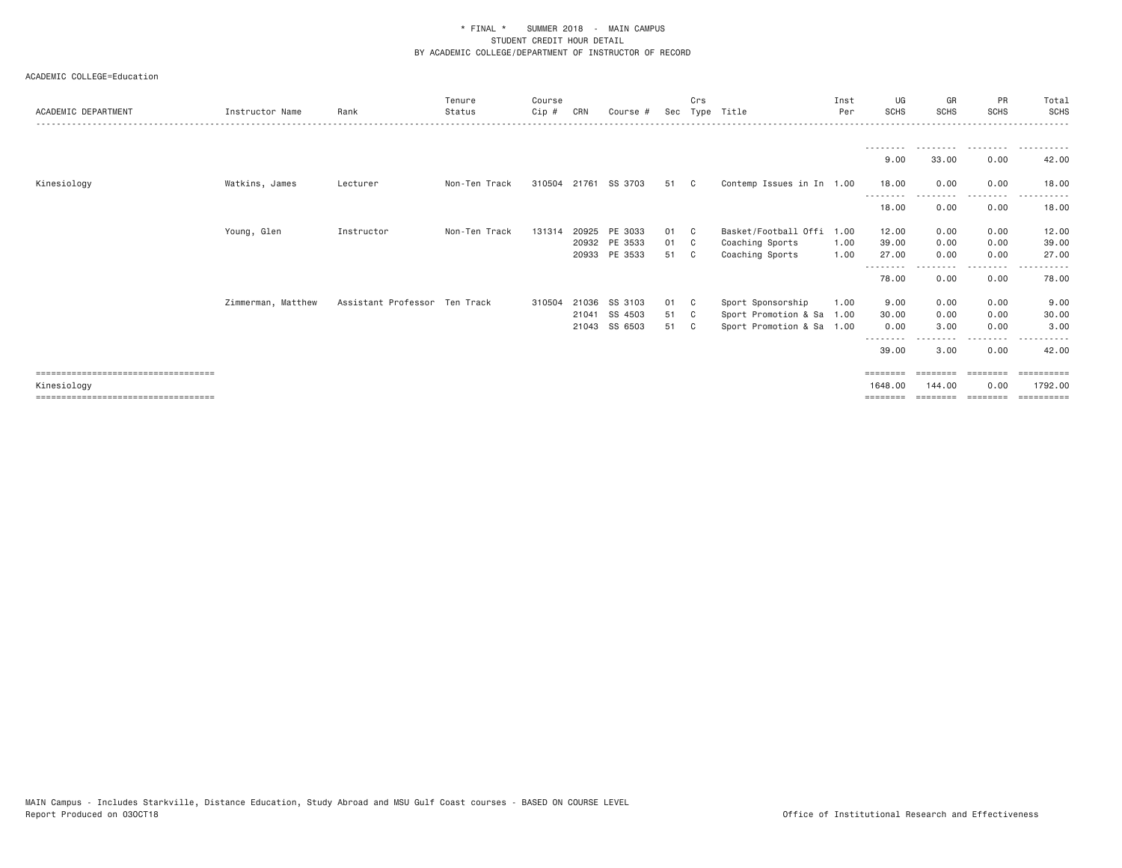| ACADEMIC DEPARTMENT                   | Instructor Name    | Rank                          | Tenure<br>Status | Course<br>Cip # | CRN | Course #             | Sec  | Crs | Type Title                | Inst<br>Per | UG<br><b>SCHS</b> | GR<br><b>SCHS</b> | PR<br><b>SCHS</b> | Total<br>SCHS |
|---------------------------------------|--------------------|-------------------------------|------------------|-----------------|-----|----------------------|------|-----|---------------------------|-------------|-------------------|-------------------|-------------------|---------------|
|                                       |                    |                               |                  |                 |     |                      |      |     |                           |             |                   |                   |                   |               |
|                                       |                    |                               |                  |                 |     |                      |      |     |                           |             |                   |                   |                   |               |
|                                       |                    |                               |                  |                 |     |                      |      |     |                           |             |                   |                   |                   |               |
|                                       |                    |                               |                  |                 |     |                      |      |     |                           |             | 9.00              | 33.00             | 0.00              | 42.00         |
| Kinesiology                           | Watkins, James     | Lecturer                      | Non-Ten Track    |                 |     | 310504 21761 SS 3703 | 51 C |     | Contemp Issues in In 1.00 |             | 18.00             | 0.00              | 0.00              | 18.00         |
|                                       |                    |                               |                  |                 |     |                      |      |     |                           |             | ---------         | - - - - - - - - - | ---------         | .             |
|                                       |                    |                               |                  |                 |     |                      |      |     |                           |             | 18.00             | 0.00              | 0.00              | 18.00         |
|                                       |                    |                               |                  |                 |     |                      |      |     |                           |             |                   |                   |                   |               |
|                                       | Young, Glen        | Instructor                    | Non-Ten Track    | 131314          |     | 20925 PE 3033        | 01 C |     | Basket/Football Offi      | 1.00        | 12.00             | 0.00              | 0.00              | 12.00         |
|                                       |                    |                               |                  |                 |     | 20932 PE 3533        | 01 C |     | Coaching Sports           | 1.00        | 39.00             | 0.00              | 0.00              | 39.00         |
|                                       |                    |                               |                  |                 |     | 20933 PE 3533        | 51 C |     | Coaching Sports           | 1.00        | 27.00             | 0.00              | 0.00              | 27.00         |
|                                       |                    |                               |                  |                 |     |                      |      |     |                           |             |                   |                   | $- - - -$         |               |
|                                       |                    |                               |                  |                 |     |                      |      |     |                           |             | 78.00             | 0.00              | 0.00              | 78.00         |
|                                       | Zimmerman, Matthew | Assistant Professor Ten Track |                  | 310504          |     | 21036 SS 3103        | 01 C |     | Sport Sponsorship         | 1.00        | 9.00              | 0.00              | 0.00              | 9.00          |
|                                       |                    |                               |                  |                 |     | 21041 SS 4503        | 51 C |     | Sport Promotion & Sa 1.00 |             | 30.00             | 0.00              | 0.00              | 30.00         |
|                                       |                    |                               |                  |                 |     | 21043 SS 6503        | 51 C |     | Sport Promotion & Sa 1.00 |             | 0.00              | 3.00              | 0.00              | 3.00          |
|                                       |                    |                               |                  |                 |     |                      |      |     |                           |             | --------          |                   | . <b>.</b>        |               |
|                                       |                    |                               |                  |                 |     |                      |      |     |                           |             | 39.00             | 3.00              | 0.00              | 42.00         |
|                                       |                    |                               |                  |                 |     |                      |      |     |                           |             |                   |                   |                   |               |
| ====================================  |                    |                               |                  |                 |     |                      |      |     |                           |             | ========          |                   | ========          | ==========    |
| Kinesiology                           |                    |                               |                  |                 |     |                      |      |     |                           |             | 1648,00           | 144.00            | 0.00              | 1792.00       |
| ===================================== |                    |                               |                  |                 |     |                      |      |     |                           |             | $=$ = = = = = = = | ========          | ========          | ==========    |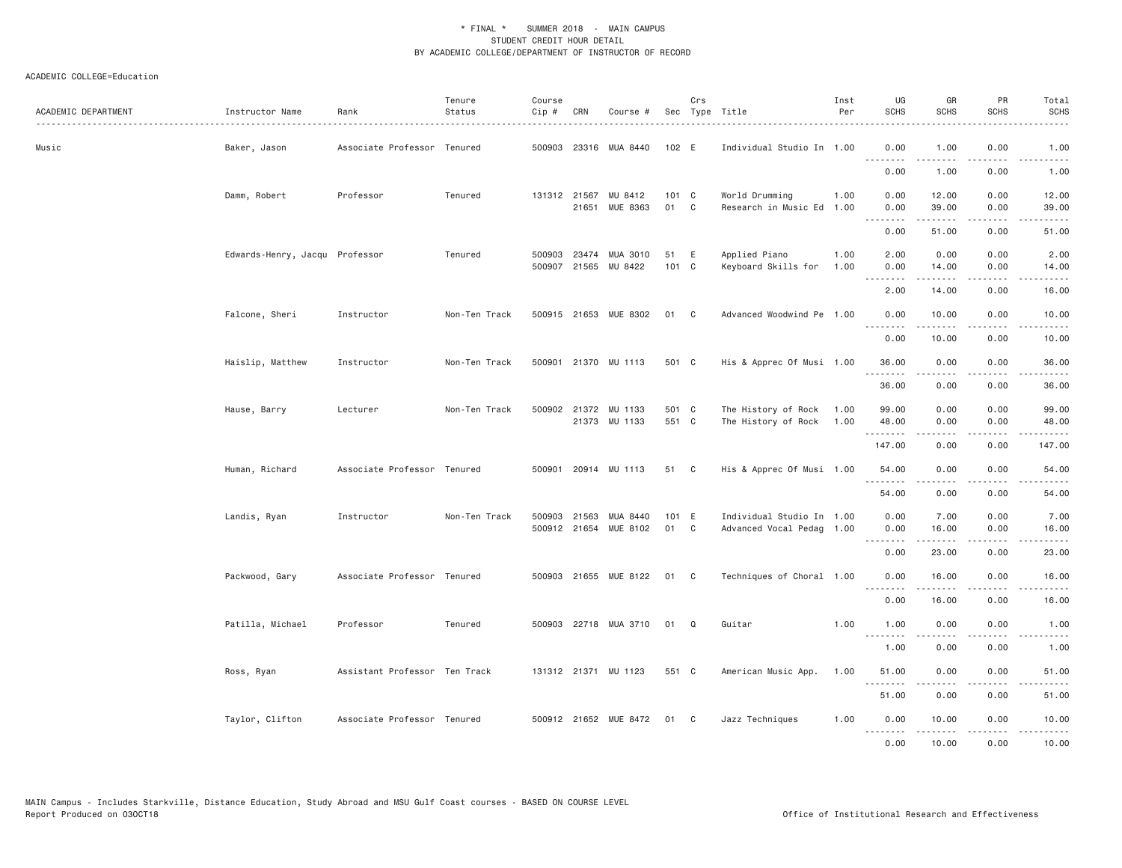| ACADEMIC DEPARTMENT | Instructor Name                | Rank                          | Tenure<br>Status | Course<br>Cip # | CRN                   | Course #                              |                | Crs | Sec Type Title                             | Inst<br>Per  | UG<br><b>SCHS</b>                     | GR<br><b>SCHS</b>               | PR<br><b>SCHS</b>                   | Total<br><b>SCHS</b> |
|---------------------|--------------------------------|-------------------------------|------------------|-----------------|-----------------------|---------------------------------------|----------------|-----|--------------------------------------------|--------------|---------------------------------------|---------------------------------|-------------------------------------|----------------------|
| Music               | Baker, Jason                   | Associate Professor Tenured   |                  | 500903          |                       | 23316 MUA 8440                        | 102 E          |     | Individual Studio In 1.00                  |              | 0.00<br>.                             | 1.00<br>.                       | 0.00<br>$\sim$ $\sim$ $\sim$ $\sim$ | 1.00<br>.            |
|                     |                                |                               |                  |                 |                       |                                       |                |     |                                            |              | 0.00                                  | 1.00                            | 0.00                                | 1.00                 |
|                     | Damm, Robert                   | Professor                     | Tenured          |                 | 131312 21567<br>21651 | MU 8412<br>MUE 8363                   | 101 C<br>01    | C   | World Drumming<br>Research in Music Ed     | 1.00<br>1.00 | 0.00<br>0.00<br>.                     | 12.00<br>39.00<br>.             | 0.00<br>0.00<br>.                   | 12.00<br>39.00<br>.  |
|                     |                                |                               |                  |                 |                       |                                       |                |     |                                            |              | 0.00                                  | 51.00                           | 0.00                                | 51.00                |
|                     | Edwards-Henry, Jacqu Professor |                               | Tenured          | 500903          | 23474                 | MUA 3010<br>500907 21565 MU 8422      | 51<br>101 C    | Ε   | Applied Piano<br>Keyboard Skills for       | 1.00<br>1.00 | 2.00<br>0.00<br><u>.</u>              | 0.00<br>14.00                   | 0.00<br>0.00<br>$- - - -$           | 2.00<br>14.00<br>.   |
|                     |                                |                               |                  |                 |                       |                                       |                |     |                                            |              | 2.00                                  | 14.00                           | 0.00                                | 16.00                |
|                     | Falcone, Sheri                 | Instructor                    | Non-Ten Track    |                 |                       | 500915 21653 MUE 8302                 | 01             | C   | Advanced Woodwind Pe 1.00                  |              | 0.00<br>.                             | 10.00<br>$\cdots \cdots \cdots$ | 0.00<br>$\sim$ $\sim$ $\sim$ $\sim$ | 10.00                |
|                     |                                |                               |                  |                 |                       |                                       |                |     |                                            |              | 0.00                                  | 10.00                           | 0.00                                | 10.00                |
|                     | Haislip, Matthew               | Instructor                    | Non-Ten Track    | 500901          |                       | 21370 MU 1113                         | 501 C          |     | His & Apprec Of Musi 1.00                  |              | 36.00<br>.                            | 0.00                            | 0.00<br>.                           | 36.00                |
|                     |                                |                               |                  |                 |                       |                                       |                |     |                                            |              | 36.00                                 | 0.00                            | 0.00                                | 36.00                |
|                     | Hause, Barry                   | Lecturer                      | Non-Ten Track    |                 |                       | 500902 21372 MU 1133<br>21373 MU 1133 | 501 C<br>551 C |     | The History of Rock<br>The History of Rock | 1.00<br>1.00 | 99.00<br>48.00                        | 0.00<br>0.00                    | 0.00<br>0.00                        | 99.00<br>48.00       |
|                     |                                |                               |                  |                 |                       |                                       |                |     |                                            |              | .<br>147.00                           | .<br>0.00                       | .<br>0.00                           | .<br>147.00          |
|                     | Human, Richard                 | Associate Professor Tenured   |                  |                 |                       | 500901 20914 MU 1113                  | 51 C           |     | His & Apprec Of Musi 1.00                  |              | 54.00                                 | 0.00                            | 0.00                                | 54.00                |
|                     |                                |                               |                  |                 |                       |                                       |                |     |                                            |              | .<br>54.00                            | 0.00                            | .<br>0.00                           | .<br>54.00           |
|                     | Landis, Ryan                   | Instructor                    | Non-Ten Track    | 500903          | 21563                 | MUA 8440                              | 101 E          |     | Individual Studio In 1.00                  |              | 0.00                                  | 7.00                            | 0.00                                | 7.00                 |
|                     |                                |                               |                  |                 | 500912 21654          | MUE 8102                              | 01             | C   | Advanced Vocal Pedag 1.00                  |              | 0.00<br>$\cdots \cdots \cdots \cdots$ | 16.00<br>.                      | 0.00<br>$\sim$ $\sim$ $\sim$ $\sim$ | 16.00<br>المستبدا    |
|                     |                                |                               |                  |                 |                       |                                       |                |     |                                            |              | 0.00                                  | 23.00                           | 0.00                                | 23.00                |
|                     | Packwood, Gary                 | Associate Professor Tenured   |                  |                 |                       | 500903 21655 MUE 8122                 | 01             | C   | Techniques of Choral 1.00                  |              | 0.00<br>.                             | 16.00<br>.                      | 0.00<br>$- - -$                     | 16.00<br>$- - - -$   |
|                     |                                |                               |                  |                 |                       |                                       |                |     |                                            |              | 0.00                                  | 16.00                           | 0.00                                | 16.00                |
|                     | Patilla, Michael               | Professor                     | Tenured          |                 |                       | 500903 22718 MUA 3710                 | 01             | Q   | Guitar                                     | 1.00         | 1.00<br>.                             | 0.00<br>.                       | 0.00<br>.                           | 1.00<br>.            |
|                     |                                |                               |                  |                 |                       |                                       |                |     |                                            |              | 1.00                                  | 0.00                            | 0.00                                | 1.00                 |
|                     | Ross, Ryan                     | Assistant Professor Ten Track |                  |                 |                       | 131312 21371 MU 1123                  | 551 C          |     | American Music App.                        | 1.00         | 51.00<br>.                            | 0.00                            | 0.00                                | 51.00                |
|                     |                                |                               |                  |                 |                       |                                       |                |     |                                            |              | 51.00                                 | 0.00                            | 0.00                                | 51.00                |
|                     | Taylor, Clifton                | Associate Professor Tenured   |                  |                 |                       | 500912 21652 MUE 8472                 | 01 C           |     | Jazz Techniques                            | 1.00         | 0.00<br>.                             | 10.00<br>.                      | 0.00<br>.                           | 10.00<br>.           |
|                     |                                |                               |                  |                 |                       |                                       |                |     |                                            |              | 0.00                                  | 10.00                           | 0.00                                | 10.00                |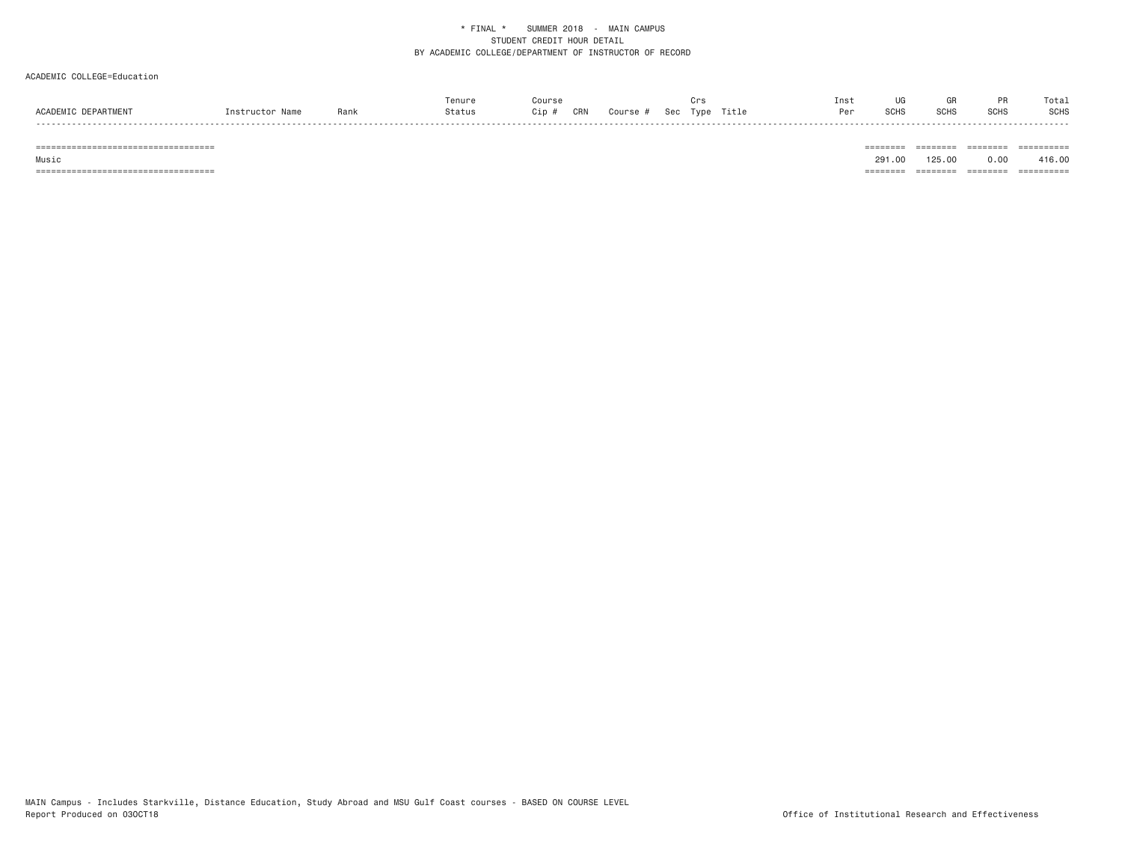## ACADEMIC COLLEGE=Education

|                 |                   |      | Tenure |            |        |     |      |       | Inst | UG          |      |             | Total       |
|-----------------|-------------------|------|--------|------------|--------|-----|------|-------|------|-------------|------|-------------|-------------|
| <b>ACADEMTC</b> | blan<br>$n$ ctruc | Rank | 3tatus | CRN<br>Jip | Course | Sec | Type | Title | Per  | <b>SCHS</b> | SCH: | <b>SCHS</b> | <b>SCHS</b> |
|                 |                   |      |        |            |        |     |      |       |      |             |      |             |             |

=================================== ======== ======== ======== ==========

 Music 291.00 125.00 0.00 416.00=================================== ======== ======== ======== ==========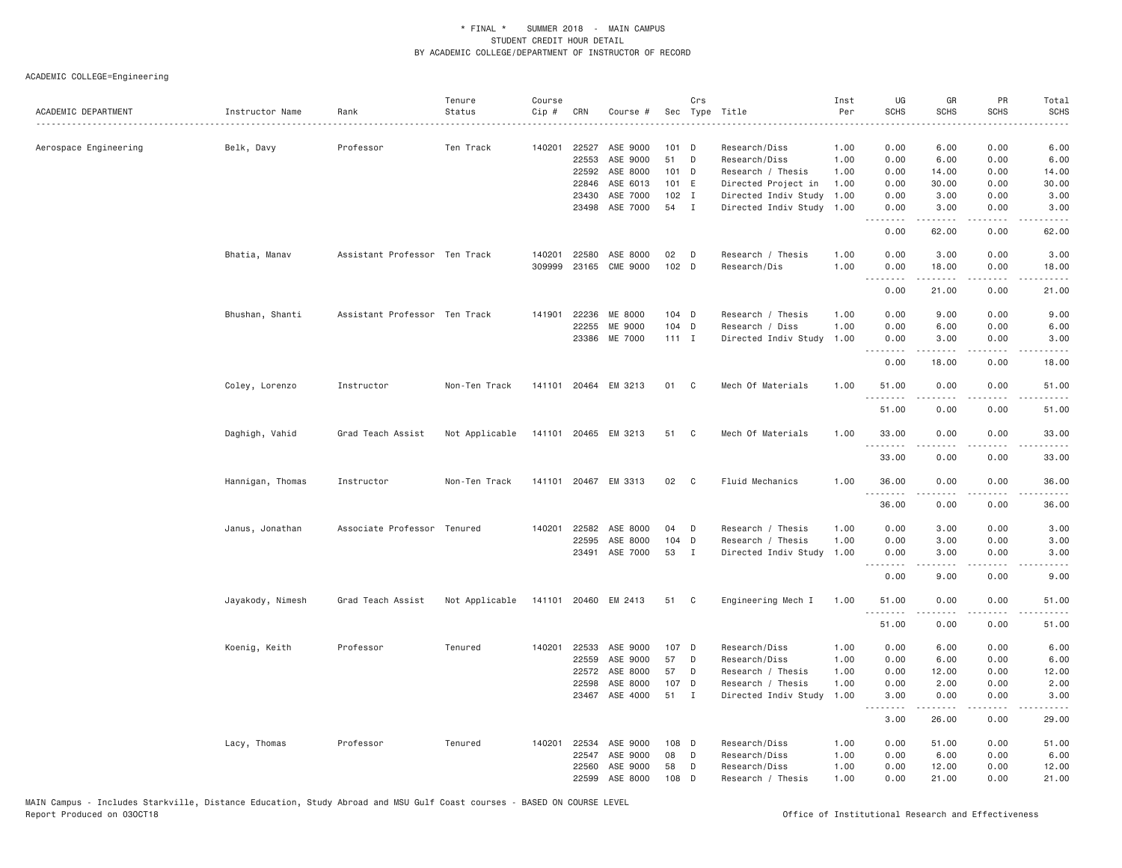| ACADEMIC DEPARTMENT   | Instructor Name  | Rank                          | Tenure<br>Status | Course<br>Cip # | CRN            | Course #                   |               | Crs          | Sec Type Title                            | Inst<br>Per  | UG<br><b>SCHS</b> | GR<br><b>SCHS</b> | PR<br><b>SCHS</b>                   | Total<br><b>SCHS</b><br>.                                                                                                          |
|-----------------------|------------------|-------------------------------|------------------|-----------------|----------------|----------------------------|---------------|--------------|-------------------------------------------|--------------|-------------------|-------------------|-------------------------------------|------------------------------------------------------------------------------------------------------------------------------------|
| Aerospace Engineering | Belk, Davy       | Professor                     | Ten Track        |                 | 140201 22527   | ASE 9000                   | $101$ D       |              | Research/Diss                             | 1.00         | 0.00              | 6.00              | 0.00                                | 6.00                                                                                                                               |
|                       |                  |                               |                  |                 | 22553          | ASE 9000                   | 51            | D            | Research/Diss                             | 1.00         | 0.00              | 6.00              | 0.00                                | 6.00                                                                                                                               |
|                       |                  |                               |                  |                 | 22592          | ASE 8000                   | 101 D         |              | Research / Thesis                         | 1.00         | 0.00              | 14.00             | 0.00                                | 14.00                                                                                                                              |
|                       |                  |                               |                  |                 | 22846          | ASE 6013                   | 101 E         |              | Directed Project in                       | 1.00         | 0.00              | 30.00             | 0.00                                | 30.00                                                                                                                              |
|                       |                  |                               |                  |                 | 23430          | ASE 7000                   | $102$ I       |              | Directed Indiv Study                      | 1.00         | 0.00              | 3.00              | 0.00                                | 3.00                                                                                                                               |
|                       |                  |                               |                  |                 |                | 23498 ASE 7000             | 54 I          |              | Directed Indiv Study 1.00                 |              | 0.00<br><u>.</u>  | 3.00<br>-----     | 0.00<br>بالأباد                     | 3.00<br>$- - - - -$                                                                                                                |
|                       |                  |                               |                  |                 |                |                            |               |              |                                           |              | 0.00              | 62.00             | 0.00                                | 62.00                                                                                                                              |
|                       | Bhatia, Manav    | Assistant Professor Ten Track |                  | 140201          | 22580          | ASE 8000                   | 02            | D            | Research / Thesis                         | 1.00         | 0.00              | 3.00              | 0.00                                | 3.00                                                                                                                               |
|                       |                  |                               |                  | 309999          |                | 23165 CME 9000             | 102 D         |              | Research/Dis                              | 1.00         | 0.00<br>.         | 18.00<br>.        | 0.00<br>$\sim$ $\sim$ $\sim$        | 18.00<br>$- - - - -$                                                                                                               |
|                       |                  |                               |                  |                 |                |                            |               |              |                                           |              | 0.00              | 21.00             | 0.00                                | 21.00                                                                                                                              |
|                       | Bhushan, Shanti  | Assistant Professor Ten Track |                  |                 | 141901 22236   | ME 8000                    | 104 D         |              | Research / Thesis                         | 1.00         | 0.00              | 9.00              | 0.00                                | 9.00                                                                                                                               |
|                       |                  |                               |                  |                 | 22255          | ME 9000                    | 104 D         |              | Research / Diss                           | 1.00         | 0.00              | 6.00              | 0.00                                | 6.00                                                                                                                               |
|                       |                  |                               |                  |                 |                | 23386 ME 7000              | $111$ I       |              | Directed Indiv Study                      | 1.00         | 0.00<br>.         | 3.00<br><u>.</u>  | 0.00<br>.                           | 3.00<br><u>.</u>                                                                                                                   |
|                       |                  |                               |                  |                 |                |                            |               |              |                                           |              | 0.00              | 18.00             | 0.00                                | 18.00                                                                                                                              |
|                       | Coley, Lorenzo   | Instructor                    | Non-Ten Track    |                 |                | 141101 20464 EM 3213       | 01            | C            | Mech Of Materials                         | 1.00         | 51.00<br>.        | 0.00<br>.         | 0.00<br>$\sim$ $\sim$ $\sim$ $\sim$ | 51.00<br>$\sim$ $\sim$ $\sim$ $\sim$ $\sim$                                                                                        |
|                       |                  |                               |                  |                 |                |                            |               |              |                                           |              | 51.00             | 0.00              | 0.00                                | 51.00                                                                                                                              |
|                       | Daghigh, Vahid   | Grad Teach Assist             | Not Applicable   |                 |                | 141101 20465 EM 3213       | 51 C          |              | Mech Of Materials                         | 1.00         | 33.00<br><u>.</u> | 0.00              | 0.00<br>.                           | 33.00<br><u>.</u>                                                                                                                  |
|                       |                  |                               |                  |                 |                |                            |               |              |                                           |              | 33.00             | 0.00              | 0.00                                | 33.00                                                                                                                              |
|                       | Hannigan, Thomas | Instructor                    | Non-Ten Track    |                 |                | 141101 20467 EM 3313       | 02            | $\mathbf{C}$ | Fluid Mechanics                           | 1.00         | 36.00             | 0.00              | 0.00                                | 36.00                                                                                                                              |
|                       |                  |                               |                  |                 |                |                            |               |              |                                           |              | .<br>36.00        | 0.00              | 0.00                                | $\frac{1}{2} \left( \frac{1}{2} \right) \left( \frac{1}{2} \right) \left( \frac{1}{2} \right) \left( \frac{1}{2} \right)$<br>36.00 |
|                       | Janus, Jonathan  | Associate Professor Tenured   |                  | 140201          | 22582          | ASE 8000                   | 04            | D            | Research / Thesis                         | 1.00         | 0.00              | 3.00              | 0.00                                | 3.00                                                                                                                               |
|                       |                  |                               |                  |                 | 22595          | ASE 8000                   | 104           | D            | Research / Thesis                         | 1.00         | 0.00              | 3.00              | 0.00                                | 3.00                                                                                                                               |
|                       |                  |                               |                  |                 | 23491          | ASE 7000                   | 53            | $\mathbf{I}$ | Directed Indiv Study                      | 1.00         | 0.00<br>.         | 3.00<br>.         | 0.00<br>$\sim$ $\sim$ $\sim$        | 3.00<br>.                                                                                                                          |
|                       |                  |                               |                  |                 |                |                            |               |              |                                           |              | 0.00              | 9.00              | 0.00                                | 9.00                                                                                                                               |
|                       | Jayakody, Nimesh | Grad Teach Assist             | Not Applicable   |                 |                | 141101 20460 EM 2413       | 51 C          |              | Engineering Mech I                        | 1.00         | 51.00<br>.        | 0.00<br>.         | 0.00<br>$\frac{1}{2}$               | 51.00<br>$\frac{1}{2}$                                                                                                             |
|                       |                  |                               |                  |                 |                |                            |               |              |                                           |              | 51.00             | 0.00              | 0.00                                | 51.00                                                                                                                              |
|                       | Koenig, Keith    | Professor                     | Tenured          | 140201          | 22533          | ASE 9000                   | 107 D         |              | Research/Diss                             | 1.00         | 0.00              | 6.00              | 0.00                                | 6.00                                                                                                                               |
|                       |                  |                               |                  |                 | 22559          | ASE 9000                   | 57            | D            | Research/Diss                             | 1.00         | 0.00              | 6.00              | 0.00                                | 6.00                                                                                                                               |
|                       |                  |                               |                  |                 | 22572          | ASE 8000                   | 57            | D            | Research / Thesis                         | 1.00         | 0.00              | 12.00             | 0.00                                | 12.00                                                                                                                              |
|                       |                  |                               |                  |                 | 22598          | ASE 8000<br>23467 ASE 4000 | 107 D<br>51 I |              | Research / Thesis<br>Directed Indiv Study | 1.00<br>1.00 | 0.00<br>3.00      | 2.00<br>0.00      | 0.00<br>0.00                        | 2.00<br>3.00                                                                                                                       |
|                       |                  |                               |                  |                 |                |                            |               |              |                                           |              | .<br>3.00         | <b>.</b><br>26.00 | .<br>0.00                           | $\frac{1}{2}$<br>29.00                                                                                                             |
|                       |                  |                               |                  |                 |                |                            |               |              |                                           |              |                   |                   |                                     |                                                                                                                                    |
|                       | Lacy, Thomas     | Professor                     | Tenured          | 140201          | 22534<br>22547 | ASE 9000<br>ASE 9000       | 108 D<br>08   | D            | Research/Diss                             | 1.00         | 0.00<br>0.00      | 51.00<br>6.00     | 0.00<br>0.00                        | 51.00<br>6.00                                                                                                                      |
|                       |                  |                               |                  |                 | 22560          | ASE 9000                   | 58            | D            | Research/Diss<br>Research/Diss            | 1.00<br>1.00 | 0.00              | 12.00             | 0.00                                | 12.00                                                                                                                              |
|                       |                  |                               |                  |                 | 22599          | ASE 8000                   | 108 D         |              | Research / Thesis                         | 1.00         | 0.00              | 21.00             | 0.00                                | 21.00                                                                                                                              |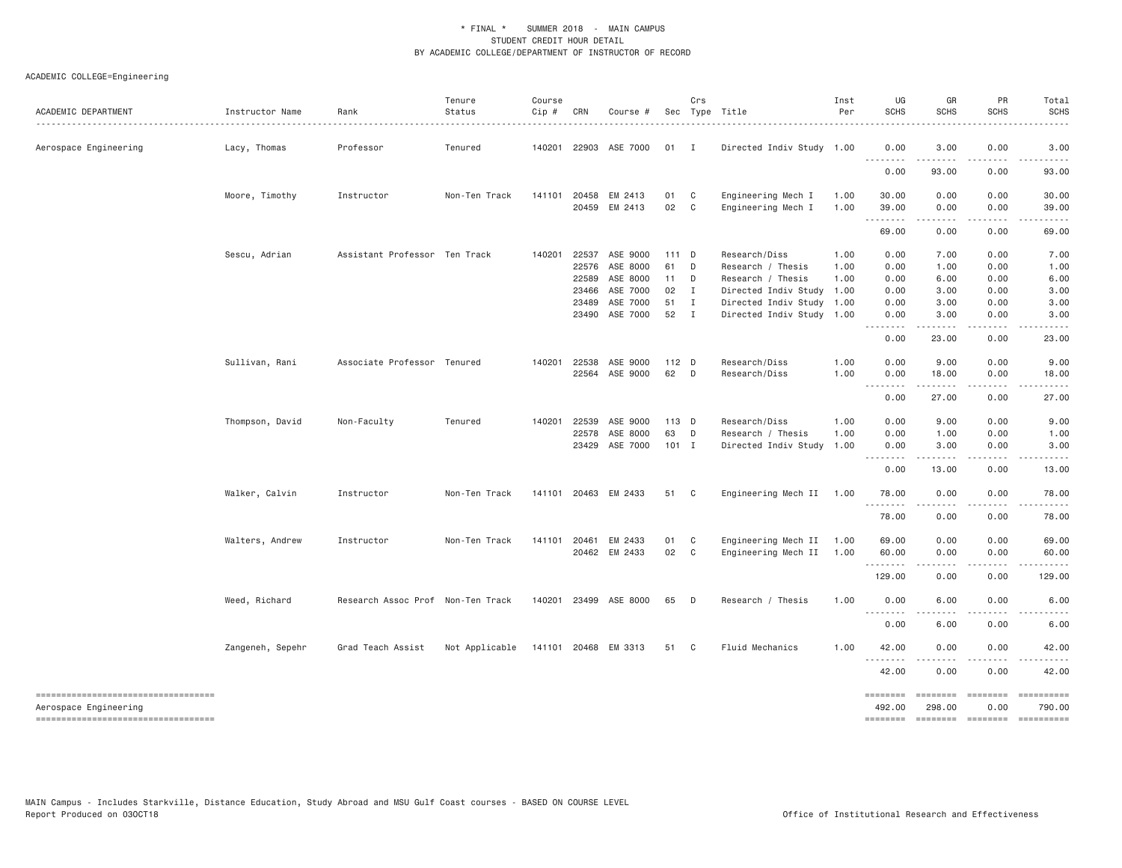| ACADEMIC DEPARTMENT                                          | Instructor Name  | Rank                              | Tenure<br>Status                    | Course<br>$Cip$ # | CRN          | Course #              |         | Crs          | Sec Type Title            | Inst<br>Per | UG<br><b>SCHS</b>  | GR<br><b>SCHS</b>                                                                                                                                                                       | PR<br><b>SCHS</b>     | Total<br><b>SCHS</b>                                                                                                                                                                     |
|--------------------------------------------------------------|------------------|-----------------------------------|-------------------------------------|-------------------|--------------|-----------------------|---------|--------------|---------------------------|-------------|--------------------|-----------------------------------------------------------------------------------------------------------------------------------------------------------------------------------------|-----------------------|------------------------------------------------------------------------------------------------------------------------------------------------------------------------------------------|
| Aerospace Engineering                                        | Lacy, Thomas     | Professor                         | Tenured                             | 140201            |              | 22903 ASE 7000        | 01      | $\mathbf{I}$ | Directed Indiv Study 1.00 |             | 0.00<br>.          | 3.00<br>------                                                                                                                                                                          | 0.00<br>.             | 3.00<br>.                                                                                                                                                                                |
|                                                              |                  |                                   |                                     |                   |              |                       |         |              |                           |             | 0.00               | 93.00                                                                                                                                                                                   | 0.00                  | 93.00                                                                                                                                                                                    |
|                                                              | Moore, Timothy   | Instructor                        | Non-Ten Track                       |                   | 141101 20458 | EM 2413               | 01      | $\mathbf{C}$ | Engineering Mech I        | 1.00        | 30.00              | 0.00                                                                                                                                                                                    | 0.00                  | 30.00                                                                                                                                                                                    |
|                                                              |                  |                                   |                                     |                   |              | 20459 EM 2413         | 02 C    |              | Engineering Mech I        | 1.00        | 39.00<br>.         | 0.00<br>.                                                                                                                                                                               | 0.00<br>$\frac{1}{2}$ | 39.00<br>. <u>.</u>                                                                                                                                                                      |
|                                                              |                  |                                   |                                     |                   |              |                       |         |              |                           |             | 69.00              | 0.00                                                                                                                                                                                    | 0.00                  | 69.00                                                                                                                                                                                    |
|                                                              | Sescu, Adrian    | Assistant Professor Ten Track     |                                     | 140201            | 22537        | ASE 9000              | 111 D   |              | Research/Diss             | 1.00        | 0.00               | 7.00                                                                                                                                                                                    | 0.00                  | 7.00                                                                                                                                                                                     |
|                                                              |                  |                                   |                                     |                   | 22576        | ASE 8000              | 61      | $\Box$       | Research / Thesis         | 1.00        | 0.00               | 1.00                                                                                                                                                                                    | 0.00                  | 1.00                                                                                                                                                                                     |
|                                                              |                  |                                   |                                     |                   | 22589        | ASE 8000              | 11      | D            | Research / Thesis         | 1.00        | 0.00               | 6.00                                                                                                                                                                                    | 0.00                  | 6.00                                                                                                                                                                                     |
|                                                              |                  |                                   |                                     |                   | 23466        | ASE 7000              | 02 I    |              | Directed Indiv Study 1.00 |             | 0.00               | 3.00                                                                                                                                                                                    | 0.00                  | 3.00                                                                                                                                                                                     |
|                                                              |                  |                                   |                                     |                   | 23489        | ASE 7000              | 51 I    |              | Directed Indiv Study 1.00 |             | 0.00               | 3.00                                                                                                                                                                                    | 0.00                  | 3.00                                                                                                                                                                                     |
|                                                              |                  |                                   |                                     |                   | 23490        | ASE 7000              | 52 I    |              | Directed Indiv Study 1.00 |             | 0.00<br>.          | 3.00                                                                                                                                                                                    | 0.00                  | 3.00                                                                                                                                                                                     |
|                                                              |                  |                                   |                                     |                   |              |                       |         |              |                           |             | 0.00               | . <u>.</u> .<br>23.00                                                                                                                                                                   | .<br>0.00             | $\frac{1}{2} \left( \frac{1}{2} \right) \left( \frac{1}{2} \right) \left( \frac{1}{2} \right) \left( \frac{1}{2} \right) \left( \frac{1}{2} \right) \left( \frac{1}{2} \right)$<br>23.00 |
|                                                              | Sullivan, Rani   | Associate Professor Tenured       |                                     |                   | 140201 22538 | ASE 9000              | 112 D   |              | Research/Diss             | 1.00        | 0.00               | 9.00                                                                                                                                                                                    | 0.00                  | 9.00                                                                                                                                                                                     |
|                                                              |                  |                                   |                                     |                   |              | 22564 ASE 9000        | 62 D    |              | Research/Diss             | 1.00        | 0.00<br>.          | 18.00<br>.                                                                                                                                                                              | 0.00<br>.             | 18.00<br>------                                                                                                                                                                          |
|                                                              |                  |                                   |                                     |                   |              |                       |         |              |                           |             | 0.00               | 27.00                                                                                                                                                                                   | 0.00                  | 27.00                                                                                                                                                                                    |
|                                                              | Thompson, David  | Non-Faculty                       | Tenured                             |                   | 140201 22539 | ASE 9000              | 113 D   |              | Research/Diss             | 1.00        | 0.00               | 9.00                                                                                                                                                                                    | 0.00                  | 9.00                                                                                                                                                                                     |
|                                                              |                  |                                   |                                     |                   | 22578        | ASE 8000              | 63 D    |              | Research / Thesis         | 1.00        | 0.00               | 1.00                                                                                                                                                                                    | 0.00                  | 1.00                                                                                                                                                                                     |
|                                                              |                  |                                   |                                     |                   | 23429        | ASE 7000              | $101$ I |              | Directed Indiv Study 1.00 |             | 0.00<br>.          | 3.00                                                                                                                                                                                    | 0.00                  | 3.00                                                                                                                                                                                     |
|                                                              |                  |                                   |                                     |                   |              |                       |         |              |                           |             | 0.00               | 13.00                                                                                                                                                                                   | 0.00                  | 13.00                                                                                                                                                                                    |
|                                                              | Walker, Calvin   | Instructor                        | Non-Ten Track                       |                   |              | 141101 20463 EM 2433  | 51 C    |              | Engineering Mech II 1.00  |             | 78.00<br>.         | 0.00<br>.                                                                                                                                                                               | 0.00<br>.             | 78.00<br>.                                                                                                                                                                               |
|                                                              |                  |                                   |                                     |                   |              |                       |         |              |                           |             | 78.00              | 0.00                                                                                                                                                                                    | 0.00                  | 78.00                                                                                                                                                                                    |
|                                                              | Walters, Andrew  | Instructor                        | Non-Ten Track                       |                   | 141101 20461 | EM 2433               | 01      | $\mathbf{C}$ | Engineering Mech II       | 1.00        | 69.00              | 0.00                                                                                                                                                                                    | 0.00                  | 69.00                                                                                                                                                                                    |
|                                                              |                  |                                   |                                     |                   |              | 20462 EM 2433         | 02 C    |              | Engineering Mech II 1.00  |             | 60.00<br>--------- | 0.00<br>$\frac{1}{2} \left( \frac{1}{2} \right) \left( \frac{1}{2} \right) \left( \frac{1}{2} \right) \left( \frac{1}{2} \right) \left( \frac{1}{2} \right) \left( \frac{1}{2} \right)$ | 0.00<br>.             | 60.00                                                                                                                                                                                    |
|                                                              |                  |                                   |                                     |                   |              |                       |         |              |                           |             | 129.00             | 0.00                                                                                                                                                                                    | 0.00                  | 129.00                                                                                                                                                                                   |
|                                                              | Weed, Richard    | Research Assoc Prof Non-Ten Track |                                     |                   |              | 140201 23499 ASE 8000 | 65      | $\Box$       | Research / Thesis         | 1.00        | 0.00               | 6.00                                                                                                                                                                                    | 0.00                  | 6.00                                                                                                                                                                                     |
|                                                              |                  |                                   |                                     |                   |              |                       |         |              |                           |             | .<br>0.00          | 6.00                                                                                                                                                                                    | 0.00                  | 6.00                                                                                                                                                                                     |
|                                                              | Zangeneh, Sepehr | Grad Teach Assist                 | Not Applicable 141101 20468 EM 3313 |                   |              |                       | 51 C    |              | Fluid Mechanics           | 1,00        | 42.00              | 0.00                                                                                                                                                                                    | 0.00                  | 42.00                                                                                                                                                                                    |
|                                                              |                  |                                   |                                     |                   |              |                       |         |              |                           |             | .<br>42.00         | 0.00                                                                                                                                                                                    | 0.00                  | 42.00                                                                                                                                                                                    |
| -----------------------------------                          |                  |                                   |                                     |                   |              |                       |         |              |                           |             | ========           | $=$ ========                                                                                                                                                                            |                       |                                                                                                                                                                                          |
|                                                              |                  |                                   |                                     |                   |              |                       |         |              |                           |             | 492.00             | 298.00                                                                                                                                                                                  | 0.00                  | 790.00                                                                                                                                                                                   |
| Aerospace Engineering<br>----------------------------------- |                  |                                   |                                     |                   |              |                       |         |              |                           |             | ========           |                                                                                                                                                                                         | --------- --------    | - ==========                                                                                                                                                                             |
|                                                              |                  |                                   |                                     |                   |              |                       |         |              |                           |             |                    |                                                                                                                                                                                         |                       |                                                                                                                                                                                          |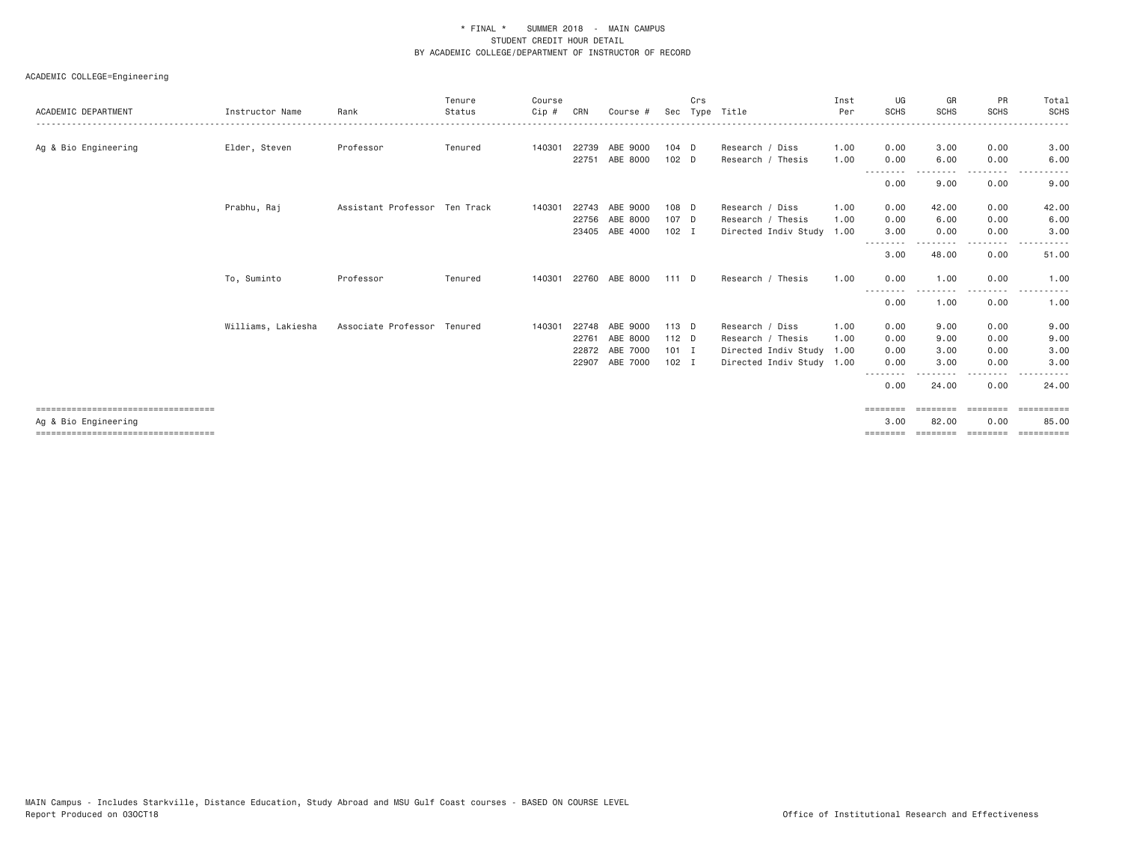|                                                             |                    |                               | Tenure  | Course   |       |                |         | Crs |                           | Inst | UG                        | GR                | <b>PR</b>                                                                                                                         | Total               |
|-------------------------------------------------------------|--------------------|-------------------------------|---------|----------|-------|----------------|---------|-----|---------------------------|------|---------------------------|-------------------|-----------------------------------------------------------------------------------------------------------------------------------|---------------------|
| ACADEMIC DEPARTMENT                                         | Instructor Name    | Rank                          | Status  | $C$ ip # | CRN   | Course #       |         |     | Sec Type Title            | Per  | <b>SCHS</b>               | <b>SCHS</b>       | <b>SCHS</b>                                                                                                                       | <b>SCHS</b>         |
| Ag & Bio Engineering                                        | Elder, Steven      | Professor                     | Tenured | 140301   | 22739 | ABE 9000       | $104$ D |     | Research / Diss           | 1.00 | 0.00                      | 3,00              | 0.00                                                                                                                              | 3.00                |
|                                                             |                    |                               |         |          |       | 22751 ABE 8000 | $102$ D |     | Research / Thesis         | 1.00 | 0.00<br>- - - - - - - - - | 6.00<br>--------- | 0.00<br>--------                                                                                                                  | 6.00                |
|                                                             |                    |                               |         |          |       |                |         |     |                           |      | 0.00                      | 9.00              | 0.00                                                                                                                              | 9.00                |
|                                                             | Prabhu, Raj        | Assistant Professor Ten Track |         | 140301   | 22743 | ABE 9000       | 108 D   |     | Research / Diss           | 1.00 | 0.00                      | 42.00             | 0.00                                                                                                                              | 42.00               |
|                                                             |                    |                               |         |          | 22756 | ABE 8000       | 107 D   |     | Research / Thesis         | 1.00 | 0.00                      | 6.00              | 0.00                                                                                                                              | 6.00                |
|                                                             |                    |                               |         |          |       | 23405 ABE 4000 | $102$ I |     | Directed Indiv Study 1.00 |      | 3.00<br>- - - - - - - -   | 0.00              | 0.00<br>$- - - -$                                                                                                                 | 3.00                |
|                                                             |                    |                               |         |          |       |                |         |     |                           |      | 3.00                      | 48.00             | 0.00                                                                                                                              | 51.00               |
|                                                             | To, Suminto        | Professor                     | Tenured | 140301   |       | 22760 ABE 8000 | 111 D   |     | Research / Thesis         | 1.00 | 0.00                      | 1,00              | 0.00<br>$\frac{1}{2} \left( \frac{1}{2} \right) \left( \frac{1}{2} \right) \left( \frac{1}{2} \right) \left( \frac{1}{2} \right)$ | 1.00                |
|                                                             |                    |                               |         |          |       |                |         |     |                           |      | 0.00                      | 1.00              | 0.00                                                                                                                              | 1.00                |
|                                                             | Williams, Lakiesha | Associate Professor Tenured   |         | 140301   | 22748 | ABE 9000       | 113 D   |     | Research / Diss           | 1.00 | 0.00                      | 9.00              | 0.00                                                                                                                              | 9.00                |
|                                                             |                    |                               |         |          | 22761 | ABE 8000       | 112 D   |     | Research / Thesis         | 1.00 | 0.00                      | 9.00              | 0.00                                                                                                                              | 9.00                |
|                                                             |                    |                               |         |          |       | 22872 ABE 7000 | $101$ I |     | Directed Indiv Study 1.00 |      | 0.00                      | 3.00              | 0.00                                                                                                                              | 3.00                |
|                                                             |                    |                               |         |          | 22907 | ABE 7000       | $102$ I |     | Directed Indiv Study 1.00 |      | 0.00                      | 3.00              | 0.00                                                                                                                              | 3.00                |
|                                                             |                    |                               |         |          |       |                |         |     |                           |      | --------<br>0.00          | 24.00             | 0.00                                                                                                                              | 24.00               |
| ===================================<br>Ag & Bio Engineering |                    |                               |         |          |       |                |         |     |                           |      | ========<br>3,00          | 82.00             | ========<br>0.00                                                                                                                  | ==========<br>85.00 |
| =====================================                       |                    |                               |         |          |       |                |         |     |                           |      |                           |                   |                                                                                                                                   |                     |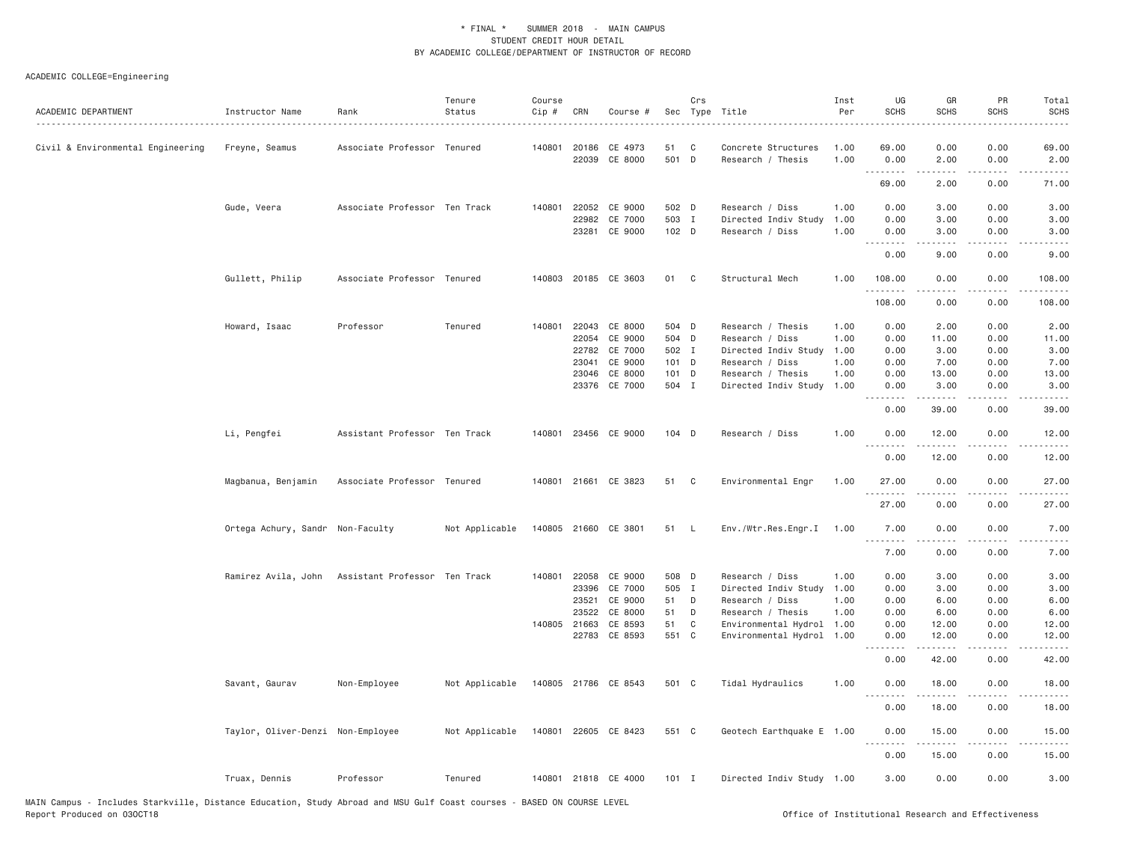| Associate Professor Tenured<br>140801 20186<br>CE 4973<br>1.00<br>69,00<br>0.00<br>0.00<br>69.00<br>Civil & Environmental Engineering<br>Freyne, Seamus<br>51<br>C<br>Concrete Structures<br>22039<br>CE 8000<br>501 D<br>Research / Thesis<br>1.00<br>0.00<br>2.00<br>0.00<br>2.00<br>.<br>.<br>.<br>-----<br>69.00<br>2.00<br>0.00<br>71.00<br>Gude, Veera<br>Associate Professor Ten Track<br>140801<br>22052<br>CE 9000<br>502 D<br>1.00<br>0.00<br>3.00<br>0.00<br>3.00<br>Research / Diss<br>503 I<br>22982<br>CE 7000<br>Directed Indiv Study<br>1.00<br>0.00<br>3.00<br>0.00<br>3.00<br>23281<br>CE 9000<br>102 D<br>Research / Diss<br>1.00<br>0.00<br>3.00<br>0.00<br>3.00<br>.<br>.<br>$- - - -$<br>.<br>0.00<br>9.00<br>0.00<br>9.00<br>Gullett, Philip<br>Associate Professor Tenured<br>140803<br>20185 CE 3603<br>01<br>C<br>Structural Mech<br>1.00<br>108.00<br>0.00<br>0.00<br>108.00<br>108.00<br>0.00<br>0.00<br>108.00<br>Professor<br>Tenured<br>140801<br>22043<br>CE 8000<br>504 D<br>0.00<br>2.00<br>Howard, Isaac<br>Research / Thesis<br>1.00<br>0.00<br>2.00<br>CE 9000<br>504 D<br>1.00<br>0.00<br>22054<br>Research / Diss<br>11.00<br>0.00<br>11.00<br>22782<br>CE 7000<br>502 I<br>Directed Indiv Study<br>1.00<br>0.00<br>3.00<br>0.00<br>3.00<br>23041<br>CE 9000<br>101 D<br>1.00<br>0.00<br>7.00<br>0.00<br>7.00<br>Research / Diss<br>CE 8000<br>101 D<br>0.00<br>0.00<br>13.00<br>23046<br>Research / Thesis<br>1.00<br>13.00<br>23376 CE 7000<br>504 I<br>Directed Indiv Study 1.00<br>0.00<br>3.00<br>0.00<br>3.00<br>.<br>.<br>.<br>.<br>0.00<br>39.00<br>0.00<br>39.00<br>Li, Pengfei<br>Assistant Professor Ten Track<br>23456 CE 9000<br>104 D<br>1.00<br>0.00<br>140801<br>Research / Diss<br>12.00<br>0.00<br>12.00<br>. <b>.</b><br>.<br>$- - - -$<br>$\frac{1}{2}$<br>0.00<br>12.00<br>0.00<br>12.00<br>Environmental Engr<br>Magbanua, Benjamin<br>Associate Professor Tenured<br>140801 21661 CE 3823<br>51<br>C<br>1.00<br>27.00<br>0.00<br>0.00<br>27.00<br>27.00<br>0.00<br>0.00<br>27.00<br>Ortega Achury, Sandr Non-Faculty<br>Not Applicable<br>140805 21660 CE 3801<br>51 L<br>Env./Wtr.Res.Engr.I<br>1.00<br>7.00<br>0.00<br>0.00<br>7.00<br>. <i>.</i><br>.<br><u>.</u><br>$- - - -$<br>7.00<br>7.00<br>0.00<br>0.00<br>Ramirez Avila, John Assistant Professor Ten Track<br>140801 22058 CE 9000<br>508 D<br>Research / Diss<br>0.00<br>3.00<br>0.00<br>3.00<br>1.00<br>23396<br>CE 7000<br>505 I<br>Directed Indiv Study<br>1.00<br>0.00<br>3.00<br>0.00<br>3.00<br>23521<br>CE 9000<br>51<br>1.00<br>0.00<br>6.00<br>0.00<br>6.00<br>D<br>Research / Diss<br>23522<br>CE 8000<br>51<br>D<br>Research / Thesis<br>1.00<br>0.00<br>6.00<br>0.00<br>6.00<br>140805 21663<br>CE 8593<br>51<br>C<br>Environmental Hydrol<br>0.00<br>12.00<br>0.00<br>12.00<br>1.00<br>22783<br>CE 8593<br>551 C<br>Environmental Hydrol<br>1.00<br>0.00<br>12.00<br>0.00<br>12.00<br>$\sim$ $\sim$ $\sim$ $\sim$<br>.<br>$- - -$<br>$\frac{1}{2}$<br>0.00<br>42.00<br>0.00<br>42.00<br>Savant, Gaurav<br>Non-Employee<br>Not Applicable<br>140805 21786 CE 8543<br>501 C<br>Tidal Hydraulics<br>1.00<br>0.00<br>18.00<br>0.00<br>18.00<br>0.00<br>18.00<br>0.00<br>18.00<br>Taylor, Oliver-Denzi Non-Employee<br>Not Applicable<br>140801 22605 CE 8423<br>551 C<br>Geotech Earthquake E<br>0.00<br>15.00<br>0.00<br>15.00<br>1.00<br>0.00<br>15.00<br>0.00<br>15.00<br>140801 21818 CE 4000<br>3.00<br>0.00<br>0.00<br>3.00<br>Truax, Dennis<br>Professor<br>Tenured<br>$101$ I<br>Directed Indiv Study 1.00 | ACADEMIC DEPARTMENT | Instructor Name | Rank | Tenure<br>Status | Course<br>Cip # | CRN | Course # | Crs | Sec Type Title | Inst<br>Per | UG<br><b>SCHS</b> | GR<br><b>SCHS</b> | PR<br><b>SCHS</b> | Total<br><b>SCHS</b> |
|--------------------------------------------------------------------------------------------------------------------------------------------------------------------------------------------------------------------------------------------------------------------------------------------------------------------------------------------------------------------------------------------------------------------------------------------------------------------------------------------------------------------------------------------------------------------------------------------------------------------------------------------------------------------------------------------------------------------------------------------------------------------------------------------------------------------------------------------------------------------------------------------------------------------------------------------------------------------------------------------------------------------------------------------------------------------------------------------------------------------------------------------------------------------------------------------------------------------------------------------------------------------------------------------------------------------------------------------------------------------------------------------------------------------------------------------------------------------------------------------------------------------------------------------------------------------------------------------------------------------------------------------------------------------------------------------------------------------------------------------------------------------------------------------------------------------------------------------------------------------------------------------------------------------------------------------------------------------------------------------------------------------------------------------------------------------------------------------------------------------------------------------------------------------------------------------------------------------------------------------------------------------------------------------------------------------------------------------------------------------------------------------------------------------------------------------------------------------------------------------------------------------------------------------------------------------------------------------------------------------------------------------------------------------------------------------------------------------------------------------------------------------------------------------------------------------------------------------------------------------------------------------------------------------------------------------------------------------------------------------------------------------------------------------------------------------------------------------------------------------------------------------------------------------------------------------------------------------------------------------------------------------------------------------------------------------------------------------------------------------------------------------------------------------------------------------------------------------------------------------------------------------------------------------------------|---------------------|-----------------|------|------------------|-----------------|-----|----------|-----|----------------|-------------|-------------------|-------------------|-------------------|----------------------|
|                                                                                                                                                                                                                                                                                                                                                                                                                                                                                                                                                                                                                                                                                                                                                                                                                                                                                                                                                                                                                                                                                                                                                                                                                                                                                                                                                                                                                                                                                                                                                                                                                                                                                                                                                                                                                                                                                                                                                                                                                                                                                                                                                                                                                                                                                                                                                                                                                                                                                                                                                                                                                                                                                                                                                                                                                                                                                                                                                                                                                                                                                                                                                                                                                                                                                                                                                                                                                                                                                                                                                        |                     |                 |      |                  |                 |     |          |     |                |             |                   |                   |                   |                      |
|                                                                                                                                                                                                                                                                                                                                                                                                                                                                                                                                                                                                                                                                                                                                                                                                                                                                                                                                                                                                                                                                                                                                                                                                                                                                                                                                                                                                                                                                                                                                                                                                                                                                                                                                                                                                                                                                                                                                                                                                                                                                                                                                                                                                                                                                                                                                                                                                                                                                                                                                                                                                                                                                                                                                                                                                                                                                                                                                                                                                                                                                                                                                                                                                                                                                                                                                                                                                                                                                                                                                                        |                     |                 |      |                  |                 |     |          |     |                |             |                   |                   |                   |                      |
|                                                                                                                                                                                                                                                                                                                                                                                                                                                                                                                                                                                                                                                                                                                                                                                                                                                                                                                                                                                                                                                                                                                                                                                                                                                                                                                                                                                                                                                                                                                                                                                                                                                                                                                                                                                                                                                                                                                                                                                                                                                                                                                                                                                                                                                                                                                                                                                                                                                                                                                                                                                                                                                                                                                                                                                                                                                                                                                                                                                                                                                                                                                                                                                                                                                                                                                                                                                                                                                                                                                                                        |                     |                 |      |                  |                 |     |          |     |                |             |                   |                   |                   |                      |
|                                                                                                                                                                                                                                                                                                                                                                                                                                                                                                                                                                                                                                                                                                                                                                                                                                                                                                                                                                                                                                                                                                                                                                                                                                                                                                                                                                                                                                                                                                                                                                                                                                                                                                                                                                                                                                                                                                                                                                                                                                                                                                                                                                                                                                                                                                                                                                                                                                                                                                                                                                                                                                                                                                                                                                                                                                                                                                                                                                                                                                                                                                                                                                                                                                                                                                                                                                                                                                                                                                                                                        |                     |                 |      |                  |                 |     |          |     |                |             |                   |                   |                   |                      |
|                                                                                                                                                                                                                                                                                                                                                                                                                                                                                                                                                                                                                                                                                                                                                                                                                                                                                                                                                                                                                                                                                                                                                                                                                                                                                                                                                                                                                                                                                                                                                                                                                                                                                                                                                                                                                                                                                                                                                                                                                                                                                                                                                                                                                                                                                                                                                                                                                                                                                                                                                                                                                                                                                                                                                                                                                                                                                                                                                                                                                                                                                                                                                                                                                                                                                                                                                                                                                                                                                                                                                        |                     |                 |      |                  |                 |     |          |     |                |             |                   |                   |                   |                      |
|                                                                                                                                                                                                                                                                                                                                                                                                                                                                                                                                                                                                                                                                                                                                                                                                                                                                                                                                                                                                                                                                                                                                                                                                                                                                                                                                                                                                                                                                                                                                                                                                                                                                                                                                                                                                                                                                                                                                                                                                                                                                                                                                                                                                                                                                                                                                                                                                                                                                                                                                                                                                                                                                                                                                                                                                                                                                                                                                                                                                                                                                                                                                                                                                                                                                                                                                                                                                                                                                                                                                                        |                     |                 |      |                  |                 |     |          |     |                |             |                   |                   |                   |                      |
|                                                                                                                                                                                                                                                                                                                                                                                                                                                                                                                                                                                                                                                                                                                                                                                                                                                                                                                                                                                                                                                                                                                                                                                                                                                                                                                                                                                                                                                                                                                                                                                                                                                                                                                                                                                                                                                                                                                                                                                                                                                                                                                                                                                                                                                                                                                                                                                                                                                                                                                                                                                                                                                                                                                                                                                                                                                                                                                                                                                                                                                                                                                                                                                                                                                                                                                                                                                                                                                                                                                                                        |                     |                 |      |                  |                 |     |          |     |                |             |                   |                   |                   |                      |
|                                                                                                                                                                                                                                                                                                                                                                                                                                                                                                                                                                                                                                                                                                                                                                                                                                                                                                                                                                                                                                                                                                                                                                                                                                                                                                                                                                                                                                                                                                                                                                                                                                                                                                                                                                                                                                                                                                                                                                                                                                                                                                                                                                                                                                                                                                                                                                                                                                                                                                                                                                                                                                                                                                                                                                                                                                                                                                                                                                                                                                                                                                                                                                                                                                                                                                                                                                                                                                                                                                                                                        |                     |                 |      |                  |                 |     |          |     |                |             |                   |                   |                   |                      |
|                                                                                                                                                                                                                                                                                                                                                                                                                                                                                                                                                                                                                                                                                                                                                                                                                                                                                                                                                                                                                                                                                                                                                                                                                                                                                                                                                                                                                                                                                                                                                                                                                                                                                                                                                                                                                                                                                                                                                                                                                                                                                                                                                                                                                                                                                                                                                                                                                                                                                                                                                                                                                                                                                                                                                                                                                                                                                                                                                                                                                                                                                                                                                                                                                                                                                                                                                                                                                                                                                                                                                        |                     |                 |      |                  |                 |     |          |     |                |             |                   |                   |                   |                      |
|                                                                                                                                                                                                                                                                                                                                                                                                                                                                                                                                                                                                                                                                                                                                                                                                                                                                                                                                                                                                                                                                                                                                                                                                                                                                                                                                                                                                                                                                                                                                                                                                                                                                                                                                                                                                                                                                                                                                                                                                                                                                                                                                                                                                                                                                                                                                                                                                                                                                                                                                                                                                                                                                                                                                                                                                                                                                                                                                                                                                                                                                                                                                                                                                                                                                                                                                                                                                                                                                                                                                                        |                     |                 |      |                  |                 |     |          |     |                |             |                   |                   |                   |                      |
|                                                                                                                                                                                                                                                                                                                                                                                                                                                                                                                                                                                                                                                                                                                                                                                                                                                                                                                                                                                                                                                                                                                                                                                                                                                                                                                                                                                                                                                                                                                                                                                                                                                                                                                                                                                                                                                                                                                                                                                                                                                                                                                                                                                                                                                                                                                                                                                                                                                                                                                                                                                                                                                                                                                                                                                                                                                                                                                                                                                                                                                                                                                                                                                                                                                                                                                                                                                                                                                                                                                                                        |                     |                 |      |                  |                 |     |          |     |                |             |                   |                   |                   |                      |
|                                                                                                                                                                                                                                                                                                                                                                                                                                                                                                                                                                                                                                                                                                                                                                                                                                                                                                                                                                                                                                                                                                                                                                                                                                                                                                                                                                                                                                                                                                                                                                                                                                                                                                                                                                                                                                                                                                                                                                                                                                                                                                                                                                                                                                                                                                                                                                                                                                                                                                                                                                                                                                                                                                                                                                                                                                                                                                                                                                                                                                                                                                                                                                                                                                                                                                                                                                                                                                                                                                                                                        |                     |                 |      |                  |                 |     |          |     |                |             |                   |                   |                   |                      |
|                                                                                                                                                                                                                                                                                                                                                                                                                                                                                                                                                                                                                                                                                                                                                                                                                                                                                                                                                                                                                                                                                                                                                                                                                                                                                                                                                                                                                                                                                                                                                                                                                                                                                                                                                                                                                                                                                                                                                                                                                                                                                                                                                                                                                                                                                                                                                                                                                                                                                                                                                                                                                                                                                                                                                                                                                                                                                                                                                                                                                                                                                                                                                                                                                                                                                                                                                                                                                                                                                                                                                        |                     |                 |      |                  |                 |     |          |     |                |             |                   |                   |                   |                      |
|                                                                                                                                                                                                                                                                                                                                                                                                                                                                                                                                                                                                                                                                                                                                                                                                                                                                                                                                                                                                                                                                                                                                                                                                                                                                                                                                                                                                                                                                                                                                                                                                                                                                                                                                                                                                                                                                                                                                                                                                                                                                                                                                                                                                                                                                                                                                                                                                                                                                                                                                                                                                                                                                                                                                                                                                                                                                                                                                                                                                                                                                                                                                                                                                                                                                                                                                                                                                                                                                                                                                                        |                     |                 |      |                  |                 |     |          |     |                |             |                   |                   |                   |                      |
|                                                                                                                                                                                                                                                                                                                                                                                                                                                                                                                                                                                                                                                                                                                                                                                                                                                                                                                                                                                                                                                                                                                                                                                                                                                                                                                                                                                                                                                                                                                                                                                                                                                                                                                                                                                                                                                                                                                                                                                                                                                                                                                                                                                                                                                                                                                                                                                                                                                                                                                                                                                                                                                                                                                                                                                                                                                                                                                                                                                                                                                                                                                                                                                                                                                                                                                                                                                                                                                                                                                                                        |                     |                 |      |                  |                 |     |          |     |                |             |                   |                   |                   |                      |
|                                                                                                                                                                                                                                                                                                                                                                                                                                                                                                                                                                                                                                                                                                                                                                                                                                                                                                                                                                                                                                                                                                                                                                                                                                                                                                                                                                                                                                                                                                                                                                                                                                                                                                                                                                                                                                                                                                                                                                                                                                                                                                                                                                                                                                                                                                                                                                                                                                                                                                                                                                                                                                                                                                                                                                                                                                                                                                                                                                                                                                                                                                                                                                                                                                                                                                                                                                                                                                                                                                                                                        |                     |                 |      |                  |                 |     |          |     |                |             |                   |                   |                   |                      |
|                                                                                                                                                                                                                                                                                                                                                                                                                                                                                                                                                                                                                                                                                                                                                                                                                                                                                                                                                                                                                                                                                                                                                                                                                                                                                                                                                                                                                                                                                                                                                                                                                                                                                                                                                                                                                                                                                                                                                                                                                                                                                                                                                                                                                                                                                                                                                                                                                                                                                                                                                                                                                                                                                                                                                                                                                                                                                                                                                                                                                                                                                                                                                                                                                                                                                                                                                                                                                                                                                                                                                        |                     |                 |      |                  |                 |     |          |     |                |             |                   |                   |                   |                      |
|                                                                                                                                                                                                                                                                                                                                                                                                                                                                                                                                                                                                                                                                                                                                                                                                                                                                                                                                                                                                                                                                                                                                                                                                                                                                                                                                                                                                                                                                                                                                                                                                                                                                                                                                                                                                                                                                                                                                                                                                                                                                                                                                                                                                                                                                                                                                                                                                                                                                                                                                                                                                                                                                                                                                                                                                                                                                                                                                                                                                                                                                                                                                                                                                                                                                                                                                                                                                                                                                                                                                                        |                     |                 |      |                  |                 |     |          |     |                |             |                   |                   |                   |                      |
|                                                                                                                                                                                                                                                                                                                                                                                                                                                                                                                                                                                                                                                                                                                                                                                                                                                                                                                                                                                                                                                                                                                                                                                                                                                                                                                                                                                                                                                                                                                                                                                                                                                                                                                                                                                                                                                                                                                                                                                                                                                                                                                                                                                                                                                                                                                                                                                                                                                                                                                                                                                                                                                                                                                                                                                                                                                                                                                                                                                                                                                                                                                                                                                                                                                                                                                                                                                                                                                                                                                                                        |                     |                 |      |                  |                 |     |          |     |                |             |                   |                   |                   |                      |
|                                                                                                                                                                                                                                                                                                                                                                                                                                                                                                                                                                                                                                                                                                                                                                                                                                                                                                                                                                                                                                                                                                                                                                                                                                                                                                                                                                                                                                                                                                                                                                                                                                                                                                                                                                                                                                                                                                                                                                                                                                                                                                                                                                                                                                                                                                                                                                                                                                                                                                                                                                                                                                                                                                                                                                                                                                                                                                                                                                                                                                                                                                                                                                                                                                                                                                                                                                                                                                                                                                                                                        |                     |                 |      |                  |                 |     |          |     |                |             |                   |                   |                   |                      |
|                                                                                                                                                                                                                                                                                                                                                                                                                                                                                                                                                                                                                                                                                                                                                                                                                                                                                                                                                                                                                                                                                                                                                                                                                                                                                                                                                                                                                                                                                                                                                                                                                                                                                                                                                                                                                                                                                                                                                                                                                                                                                                                                                                                                                                                                                                                                                                                                                                                                                                                                                                                                                                                                                                                                                                                                                                                                                                                                                                                                                                                                                                                                                                                                                                                                                                                                                                                                                                                                                                                                                        |                     |                 |      |                  |                 |     |          |     |                |             |                   |                   |                   |                      |
|                                                                                                                                                                                                                                                                                                                                                                                                                                                                                                                                                                                                                                                                                                                                                                                                                                                                                                                                                                                                                                                                                                                                                                                                                                                                                                                                                                                                                                                                                                                                                                                                                                                                                                                                                                                                                                                                                                                                                                                                                                                                                                                                                                                                                                                                                                                                                                                                                                                                                                                                                                                                                                                                                                                                                                                                                                                                                                                                                                                                                                                                                                                                                                                                                                                                                                                                                                                                                                                                                                                                                        |                     |                 |      |                  |                 |     |          |     |                |             |                   |                   |                   |                      |
|                                                                                                                                                                                                                                                                                                                                                                                                                                                                                                                                                                                                                                                                                                                                                                                                                                                                                                                                                                                                                                                                                                                                                                                                                                                                                                                                                                                                                                                                                                                                                                                                                                                                                                                                                                                                                                                                                                                                                                                                                                                                                                                                                                                                                                                                                                                                                                                                                                                                                                                                                                                                                                                                                                                                                                                                                                                                                                                                                                                                                                                                                                                                                                                                                                                                                                                                                                                                                                                                                                                                                        |                     |                 |      |                  |                 |     |          |     |                |             |                   |                   |                   |                      |
|                                                                                                                                                                                                                                                                                                                                                                                                                                                                                                                                                                                                                                                                                                                                                                                                                                                                                                                                                                                                                                                                                                                                                                                                                                                                                                                                                                                                                                                                                                                                                                                                                                                                                                                                                                                                                                                                                                                                                                                                                                                                                                                                                                                                                                                                                                                                                                                                                                                                                                                                                                                                                                                                                                                                                                                                                                                                                                                                                                                                                                                                                                                                                                                                                                                                                                                                                                                                                                                                                                                                                        |                     |                 |      |                  |                 |     |          |     |                |             |                   |                   |                   |                      |
|                                                                                                                                                                                                                                                                                                                                                                                                                                                                                                                                                                                                                                                                                                                                                                                                                                                                                                                                                                                                                                                                                                                                                                                                                                                                                                                                                                                                                                                                                                                                                                                                                                                                                                                                                                                                                                                                                                                                                                                                                                                                                                                                                                                                                                                                                                                                                                                                                                                                                                                                                                                                                                                                                                                                                                                                                                                                                                                                                                                                                                                                                                                                                                                                                                                                                                                                                                                                                                                                                                                                                        |                     |                 |      |                  |                 |     |          |     |                |             |                   |                   |                   |                      |
|                                                                                                                                                                                                                                                                                                                                                                                                                                                                                                                                                                                                                                                                                                                                                                                                                                                                                                                                                                                                                                                                                                                                                                                                                                                                                                                                                                                                                                                                                                                                                                                                                                                                                                                                                                                                                                                                                                                                                                                                                                                                                                                                                                                                                                                                                                                                                                                                                                                                                                                                                                                                                                                                                                                                                                                                                                                                                                                                                                                                                                                                                                                                                                                                                                                                                                                                                                                                                                                                                                                                                        |                     |                 |      |                  |                 |     |          |     |                |             |                   |                   |                   |                      |
|                                                                                                                                                                                                                                                                                                                                                                                                                                                                                                                                                                                                                                                                                                                                                                                                                                                                                                                                                                                                                                                                                                                                                                                                                                                                                                                                                                                                                                                                                                                                                                                                                                                                                                                                                                                                                                                                                                                                                                                                                                                                                                                                                                                                                                                                                                                                                                                                                                                                                                                                                                                                                                                                                                                                                                                                                                                                                                                                                                                                                                                                                                                                                                                                                                                                                                                                                                                                                                                                                                                                                        |                     |                 |      |                  |                 |     |          |     |                |             |                   |                   |                   |                      |
|                                                                                                                                                                                                                                                                                                                                                                                                                                                                                                                                                                                                                                                                                                                                                                                                                                                                                                                                                                                                                                                                                                                                                                                                                                                                                                                                                                                                                                                                                                                                                                                                                                                                                                                                                                                                                                                                                                                                                                                                                                                                                                                                                                                                                                                                                                                                                                                                                                                                                                                                                                                                                                                                                                                                                                                                                                                                                                                                                                                                                                                                                                                                                                                                                                                                                                                                                                                                                                                                                                                                                        |                     |                 |      |                  |                 |     |          |     |                |             |                   |                   |                   |                      |
|                                                                                                                                                                                                                                                                                                                                                                                                                                                                                                                                                                                                                                                                                                                                                                                                                                                                                                                                                                                                                                                                                                                                                                                                                                                                                                                                                                                                                                                                                                                                                                                                                                                                                                                                                                                                                                                                                                                                                                                                                                                                                                                                                                                                                                                                                                                                                                                                                                                                                                                                                                                                                                                                                                                                                                                                                                                                                                                                                                                                                                                                                                                                                                                                                                                                                                                                                                                                                                                                                                                                                        |                     |                 |      |                  |                 |     |          |     |                |             |                   |                   |                   |                      |
|                                                                                                                                                                                                                                                                                                                                                                                                                                                                                                                                                                                                                                                                                                                                                                                                                                                                                                                                                                                                                                                                                                                                                                                                                                                                                                                                                                                                                                                                                                                                                                                                                                                                                                                                                                                                                                                                                                                                                                                                                                                                                                                                                                                                                                                                                                                                                                                                                                                                                                                                                                                                                                                                                                                                                                                                                                                                                                                                                                                                                                                                                                                                                                                                                                                                                                                                                                                                                                                                                                                                                        |                     |                 |      |                  |                 |     |          |     |                |             |                   |                   |                   |                      |
|                                                                                                                                                                                                                                                                                                                                                                                                                                                                                                                                                                                                                                                                                                                                                                                                                                                                                                                                                                                                                                                                                                                                                                                                                                                                                                                                                                                                                                                                                                                                                                                                                                                                                                                                                                                                                                                                                                                                                                                                                                                                                                                                                                                                                                                                                                                                                                                                                                                                                                                                                                                                                                                                                                                                                                                                                                                                                                                                                                                                                                                                                                                                                                                                                                                                                                                                                                                                                                                                                                                                                        |                     |                 |      |                  |                 |     |          |     |                |             |                   |                   |                   |                      |
|                                                                                                                                                                                                                                                                                                                                                                                                                                                                                                                                                                                                                                                                                                                                                                                                                                                                                                                                                                                                                                                                                                                                                                                                                                                                                                                                                                                                                                                                                                                                                                                                                                                                                                                                                                                                                                                                                                                                                                                                                                                                                                                                                                                                                                                                                                                                                                                                                                                                                                                                                                                                                                                                                                                                                                                                                                                                                                                                                                                                                                                                                                                                                                                                                                                                                                                                                                                                                                                                                                                                                        |                     |                 |      |                  |                 |     |          |     |                |             |                   |                   |                   |                      |
|                                                                                                                                                                                                                                                                                                                                                                                                                                                                                                                                                                                                                                                                                                                                                                                                                                                                                                                                                                                                                                                                                                                                                                                                                                                                                                                                                                                                                                                                                                                                                                                                                                                                                                                                                                                                                                                                                                                                                                                                                                                                                                                                                                                                                                                                                                                                                                                                                                                                                                                                                                                                                                                                                                                                                                                                                                                                                                                                                                                                                                                                                                                                                                                                                                                                                                                                                                                                                                                                                                                                                        |                     |                 |      |                  |                 |     |          |     |                |             |                   |                   |                   |                      |
|                                                                                                                                                                                                                                                                                                                                                                                                                                                                                                                                                                                                                                                                                                                                                                                                                                                                                                                                                                                                                                                                                                                                                                                                                                                                                                                                                                                                                                                                                                                                                                                                                                                                                                                                                                                                                                                                                                                                                                                                                                                                                                                                                                                                                                                                                                                                                                                                                                                                                                                                                                                                                                                                                                                                                                                                                                                                                                                                                                                                                                                                                                                                                                                                                                                                                                                                                                                                                                                                                                                                                        |                     |                 |      |                  |                 |     |          |     |                |             |                   |                   |                   |                      |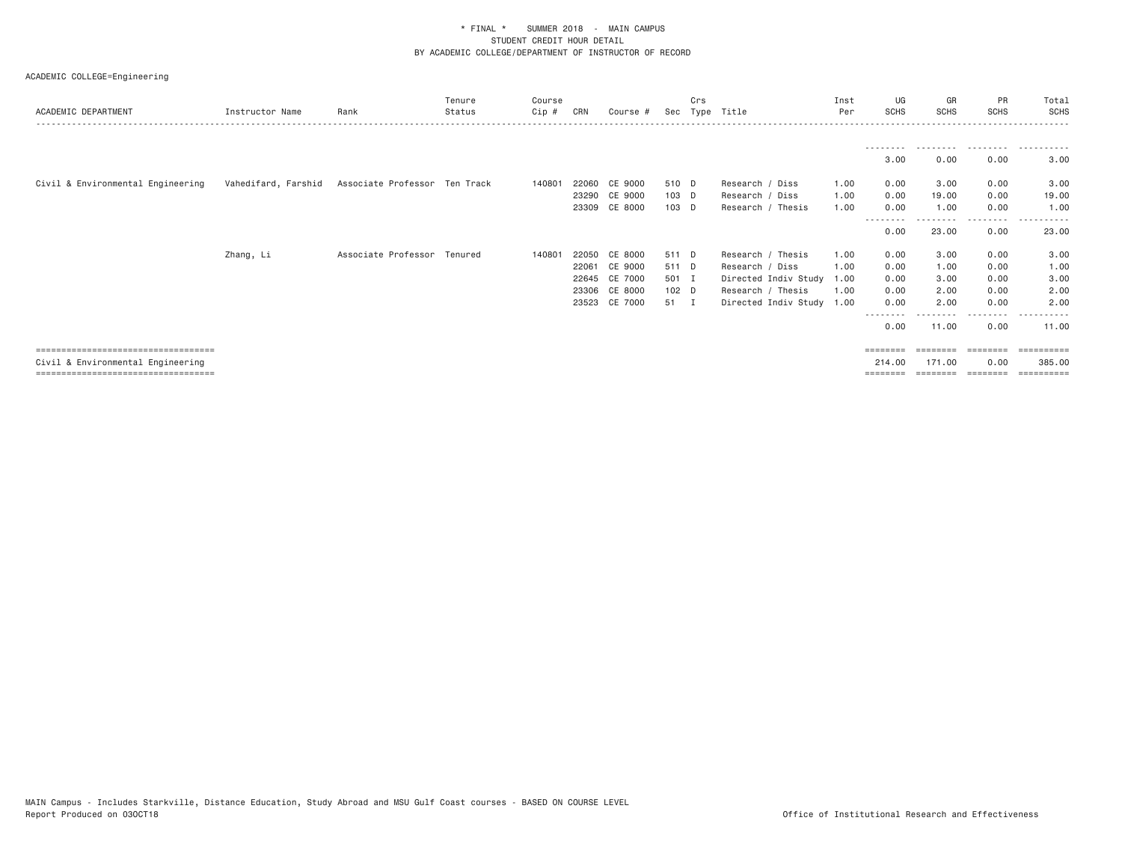| ACADEMIC DEPARTMENT                    | Instructor Name | Rank                                              | Tenure<br>Status | Course<br>Cip # | CRN   | Course #      | Sec     | Crs<br>Type | Title                | Inst<br>Per | UG<br><b>SCHS</b> | GR<br><b>SCHS</b> | PR<br><b>SCHS</b> | Total<br><b>SCHS</b>  |
|----------------------------------------|-----------------|---------------------------------------------------|------------------|-----------------|-------|---------------|---------|-------------|----------------------|-------------|-------------------|-------------------|-------------------|-----------------------|
|                                        |                 |                                                   |                  |                 |       |               |         |             |                      |             |                   |                   |                   |                       |
|                                        |                 |                                                   |                  |                 |       |               |         |             |                      |             | 3.00              | 0.00              | 0.00              | 3.00                  |
| Civil & Environmental Engineering      |                 | Vahedifard, Farshid Associate Professor Ten Track |                  | 140801          |       | 22060 CE 9000 | 510 D   |             | Research / Diss      | 1.00        | 0.00              | 3.00              | 0.00              | 3.00                  |
|                                        |                 |                                                   |                  |                 |       | 23290 CE 9000 | $103$ D |             | Research / Diss      | 1.00        | 0.00              | 19.00             | 0.00              | 19.00                 |
|                                        |                 |                                                   |                  |                 |       | 23309 CE 8000 | 103 D   |             | Research / Thesis    | 1.00        | 0.00              | 1.00              | 0.00<br>.         | 1.00<br>. <u>.</u> .  |
|                                        |                 |                                                   |                  |                 |       |               |         |             |                      |             | --------<br>0.00  | 23.00             | 0.00              | 23.00                 |
|                                        | Zhang, Li       | Associate Professor Tenured                       |                  | 140801          | 22050 | CE 8000       | 511 D   |             | Research / Thesis    | 1.00        | 0.00              | 3.00              | 0.00              | 3.00                  |
|                                        |                 |                                                   |                  |                 | 22061 | CE 9000       | 511 D   |             | Research / Diss      | 1.00        | 0.00              | 1.00              | 0.00              | 1.00                  |
|                                        |                 |                                                   |                  |                 |       | 22645 CE 7000 | 501 I   |             | Directed Indiv Study | 1.00        | 0.00              | 3.00              | 0.00              | 3.00                  |
|                                        |                 |                                                   |                  |                 |       | 23306 CE 8000 | 102 D   |             | Research / Thesis    | 1.00        | 0.00              | 2.00              | 0.00              | 2.00                  |
|                                        |                 |                                                   |                  |                 |       | 23523 CE 7000 | 51 I    |             | Directed Indiv Study | 1.00        | 0.00              | 2.00              | 0.00              | 2.00                  |
|                                        |                 |                                                   |                  |                 |       |               |         |             |                      |             | --------<br>0.00  | 11.00             | 0.00              | 11.00                 |
| ====================================   |                 |                                                   |                  |                 |       |               |         |             |                      |             | ========          |                   | ========          | $=$ = = = = = = = = : |
| Civil & Environmental Engineering      |                 |                                                   |                  |                 |       |               |         |             |                      |             | 214,00            | 171,00            | 0.00              | 385,00                |
| ====================================== |                 |                                                   |                  |                 |       |               |         |             |                      |             | ========          |                   |                   | =========             |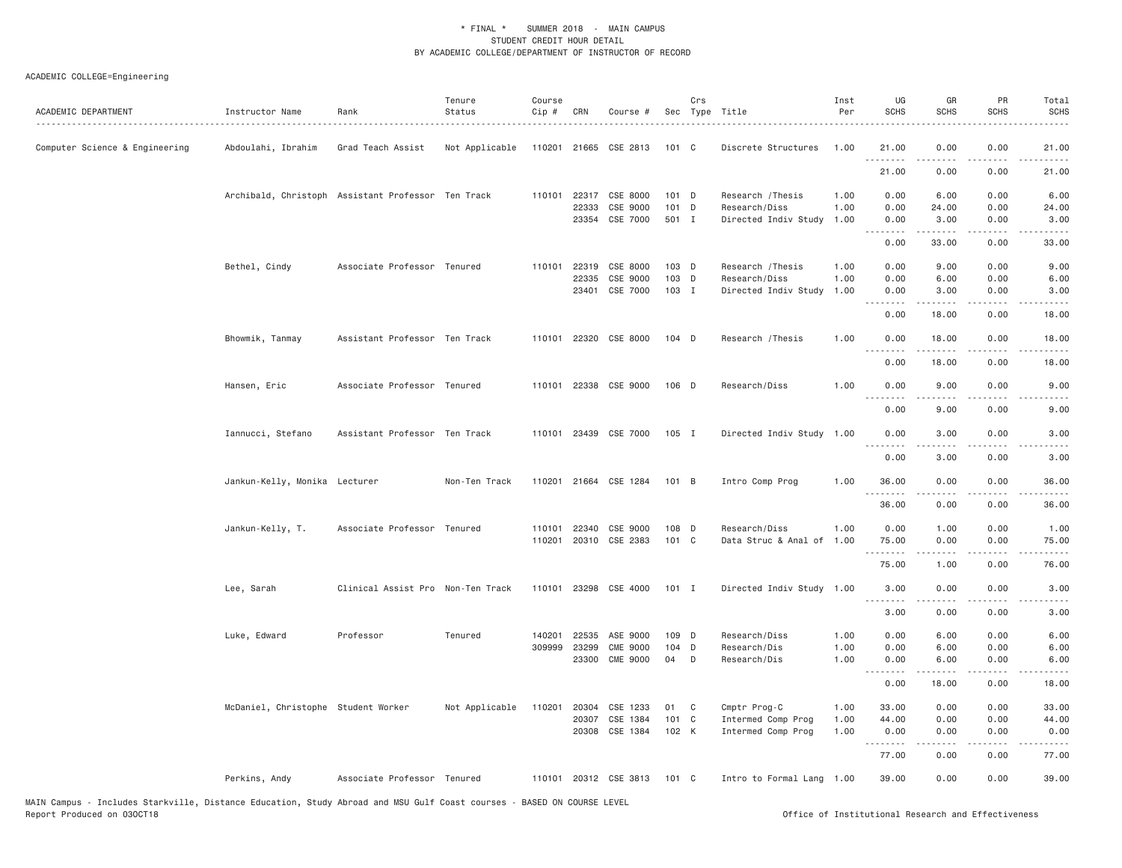| ACADEMIC DEPARTMENT            | Instructor Name                     | Rank                                               | Tenure<br>Status | Course<br>Cip #  | CRN            | Course #                   |                | Crs | Sec Type Title                        | Inst<br>Per  | UG<br><b>SCHS</b>                   | GR<br><b>SCHS</b>                                                                                                                                                                                                                                                                                                                             | PR<br><b>SCHS</b>                   | Total<br><b>SCHS</b>                       |
|--------------------------------|-------------------------------------|----------------------------------------------------|------------------|------------------|----------------|----------------------------|----------------|-----|---------------------------------------|--------------|-------------------------------------|-----------------------------------------------------------------------------------------------------------------------------------------------------------------------------------------------------------------------------------------------------------------------------------------------------------------------------------------------|-------------------------------------|--------------------------------------------|
| Computer Science & Engineering | Abdoulahi, Ibrahim                  | Grad Teach Assist                                  | Not Applicable   |                  |                | 110201 21665 CSE 2813      | 101 C          |     | Discrete Structures                   | 1.00         | 21.00<br><u>.</u>                   | 0.00                                                                                                                                                                                                                                                                                                                                          | 0.00                                | 21.00                                      |
|                                |                                     |                                                    |                  |                  |                |                            |                |     |                                       |              | 21.00                               | 0.00                                                                                                                                                                                                                                                                                                                                          | 0.00                                | 21.00                                      |
|                                |                                     | Archibald, Christoph Assistant Professor Ten Track |                  | 110101           | 22317          | CSE 8000                   | $101$ D        |     | Research / Thesis                     | 1.00         | 0.00                                | 6.00                                                                                                                                                                                                                                                                                                                                          | 0.00                                | 6.00                                       |
|                                |                                     |                                                    |                  |                  | 22333<br>23354 | CSE 9000<br>CSE 7000       | 101 D<br>501 I |     | Research/Diss<br>Directed Indiv Study | 1.00<br>1.00 | 0.00<br>0.00                        | 24.00<br>3.00                                                                                                                                                                                                                                                                                                                                 | 0.00<br>0.00                        | 24.00<br>3.00                              |
|                                |                                     |                                                    |                  |                  |                |                            |                |     |                                       |              | .<br>0.00                           | $\frac{1}{2} \left( \begin{array}{ccc} 1 & 0 & 0 & 0 \\ 0 & 0 & 0 & 0 \\ 0 & 0 & 0 & 0 \\ 0 & 0 & 0 & 0 \\ 0 & 0 & 0 & 0 \\ 0 & 0 & 0 & 0 \\ 0 & 0 & 0 & 0 \\ 0 & 0 & 0 & 0 \\ 0 & 0 & 0 & 0 \\ 0 & 0 & 0 & 0 \\ 0 & 0 & 0 & 0 & 0 \\ 0 & 0 & 0 & 0 & 0 \\ 0 & 0 & 0 & 0 & 0 \\ 0 & 0 & 0 & 0 & 0 \\ 0 & 0 & 0 & 0 & 0 \\ 0 & 0 & 0$<br>33.00 | $\sim$ $\sim$ $\sim$ $\sim$<br>0.00 | $\omega$ is a set<br>33.00                 |
|                                |                                     |                                                    |                  |                  |                |                            |                |     |                                       |              |                                     |                                                                                                                                                                                                                                                                                                                                               |                                     |                                            |
|                                | Bethel, Cindy                       | Associate Professor Tenured                        |                  | 110101           | 22319<br>22335 | CSE 8000<br>CSE 9000       | 103 D<br>103 D |     | Research / Thesis<br>Research/Diss    | 1.00<br>1.00 | 0.00<br>0.00                        | 9.00<br>6.00                                                                                                                                                                                                                                                                                                                                  | 0.00<br>0.00                        | 9.00<br>6.00                               |
|                                |                                     |                                                    |                  |                  | 23401          | CSE 7000                   | 103 I          |     | Directed Indiv Study                  | 1.00         | 0.00                                | 3.00                                                                                                                                                                                                                                                                                                                                          | 0.00                                | 3.00                                       |
|                                |                                     |                                                    |                  |                  |                |                            |                |     |                                       |              | <u>.</u>                            | . <u>.</u>                                                                                                                                                                                                                                                                                                                                    | .                                   | .                                          |
|                                |                                     |                                                    |                  |                  |                |                            |                |     |                                       |              | 0.00                                | 18.00                                                                                                                                                                                                                                                                                                                                         | 0.00                                | 18.00                                      |
|                                | Bhowmik, Tanmay                     | Assistant Professor Ten Track                      |                  | 110101           |                | 22320 CSE 8000             | $104$ D        |     | Research / Thesis                     | 1.00         | 0.00<br>$\sim$ $\sim$ $\sim$ $\sim$ | 18.00                                                                                                                                                                                                                                                                                                                                         | 0.00                                | 18.00                                      |
|                                |                                     |                                                    |                  |                  |                |                            |                |     |                                       |              | 0.00                                | 18.00                                                                                                                                                                                                                                                                                                                                         | 0.00                                | 18.00                                      |
|                                | Hansen, Eric                        | Associate Professor Tenured                        |                  |                  |                | 110101 22338 CSE 9000      | 106 D          |     | Research/Diss                         | 1.00         | 0.00                                | 9.00                                                                                                                                                                                                                                                                                                                                          | 0.00                                | 9.00                                       |
|                                |                                     |                                                    |                  |                  |                |                            |                |     |                                       |              | $- - -$<br>0.00                     | 9.00                                                                                                                                                                                                                                                                                                                                          | $\sim$ $\sim$ $\sim$ $\sim$<br>0.00 | 9.00                                       |
|                                | Iannucci, Stefano                   | Assistant Professor Ten Track                      |                  |                  |                | 110101 23439 CSE 7000      | 105 I          |     | Directed Indiv Study 1.00             |              | 0.00                                | 3.00                                                                                                                                                                                                                                                                                                                                          | 0.00                                | 3.00                                       |
|                                |                                     |                                                    |                  |                  |                |                            |                |     |                                       |              | .<br>0.00                           | -----<br>3.00                                                                                                                                                                                                                                                                                                                                 | .<br>0.00                           | $- - - -$<br>3.00                          |
|                                | Jankun-Kelly, Monika Lecturer       |                                                    | Non-Ten Track    |                  |                | 110201 21664 CSE 1284      | 101 B          |     | Intro Comp Prog                       | 1.00         | 36.00                               | 0.00                                                                                                                                                                                                                                                                                                                                          | 0.00                                | 36.00                                      |
|                                |                                     |                                                    |                  |                  |                |                            |                |     |                                       |              | .<br>36.00                          | .<br>0.00                                                                                                                                                                                                                                                                                                                                     | $\sim$ $\sim$ $\sim$ $\sim$<br>0.00 | الداعات الدار<br>36,00                     |
|                                |                                     |                                                    |                  |                  |                |                            |                |     |                                       |              |                                     |                                                                                                                                                                                                                                                                                                                                               |                                     |                                            |
|                                | Jankun-Kelly, T.                    | Associate Professor Tenured                        |                  | 110101<br>110201 | 22340          | CSE 9000<br>20310 CSE 2383 | 108 D<br>101 C |     | Research/Diss<br>Data Struc & Anal of | 1.00<br>1.00 | 0.00<br>75.00                       | 1.00<br>0.00                                                                                                                                                                                                                                                                                                                                  | 0.00<br>0.00                        | 1.00<br>75.00                              |
|                                |                                     |                                                    |                  |                  |                |                            |                |     |                                       |              | <u>.</u>                            |                                                                                                                                                                                                                                                                                                                                               | د د د د                             | .                                          |
|                                |                                     |                                                    |                  |                  |                |                            |                |     |                                       |              | 75.00                               | 1.00                                                                                                                                                                                                                                                                                                                                          | 0.00                                | 76.00                                      |
|                                | Lee, Sarah                          | Clinical Assist Pro Non-Ten Track                  |                  |                  |                | 110101 23298 CSE 4000      | $101$ I        |     | Directed Indiv Study 1.00             |              | 3.00                                | 0.00                                                                                                                                                                                                                                                                                                                                          | 0.00                                | 3.00                                       |
|                                |                                     |                                                    |                  |                  |                |                            |                |     |                                       |              | 3.00                                | 0.00                                                                                                                                                                                                                                                                                                                                          | 0.00                                | 3.00                                       |
|                                | Luke, Edward                        | Professor                                          | Tenured          | 140201           | 22535          | ASE 9000                   | 109 D          |     | Research/Diss                         | 1.00         | 0.00                                | 6.00                                                                                                                                                                                                                                                                                                                                          | 0.00                                | 6.00                                       |
|                                |                                     |                                                    |                  |                  | 309999 23299   | <b>CME 9000</b>            | 104 D          |     | Research/Dis                          | 1.00         | 0.00                                | 6.00                                                                                                                                                                                                                                                                                                                                          | 0.00                                | 6.00                                       |
|                                |                                     |                                                    |                  |                  | 23300          | <b>CME 9000</b>            | 04             | D   | Research/Dis                          | 1.00         | 0.00<br>.                           | 6.00<br>.                                                                                                                                                                                                                                                                                                                                     | 0.00<br>.                           | 6.00<br>$\sim$ $\sim$ $\sim$ $\sim$ $\sim$ |
|                                |                                     |                                                    |                  |                  |                |                            |                |     |                                       |              | 0.00                                | 18.00                                                                                                                                                                                                                                                                                                                                         | 0.00                                | 18.00                                      |
|                                | McDaniel, Christophe Student Worker |                                                    | Not Applicable   | 110201           | 20304          | CSE 1233                   | 01             | C   | Cmptr Prog-C                          | 1.00         | 33.00                               | 0.00                                                                                                                                                                                                                                                                                                                                          | 0.00                                | 33.00                                      |
|                                |                                     |                                                    |                  |                  | 20307          | CSE 1384                   | 101 C          |     | Intermed Comp Prog                    | 1.00         | 44.00                               | 0.00                                                                                                                                                                                                                                                                                                                                          | 0.00                                | 44.00                                      |
|                                |                                     |                                                    |                  |                  |                | 20308 CSE 1384             | 102 K          |     | Intermed Comp Prog                    | 1.00         | 0.00<br><u>.</u>                    | 0.00                                                                                                                                                                                                                                                                                                                                          | 0.00<br>$- - - -$                   | 0.00<br>$\sim$ $\sim$ $\sim$ $\sim$ $\sim$ |
|                                |                                     |                                                    |                  |                  |                |                            |                |     |                                       |              | 77.00                               | 0.00                                                                                                                                                                                                                                                                                                                                          | 0.00                                | 77.00                                      |
|                                | Perkins, Andy                       | Associate Professor Tenured                        |                  |                  |                | 110101 20312 CSE 3813      | 101 C          |     | Intro to Formal Lang 1.00             |              | 39.00                               | 0.00                                                                                                                                                                                                                                                                                                                                          | 0.00                                | 39.00                                      |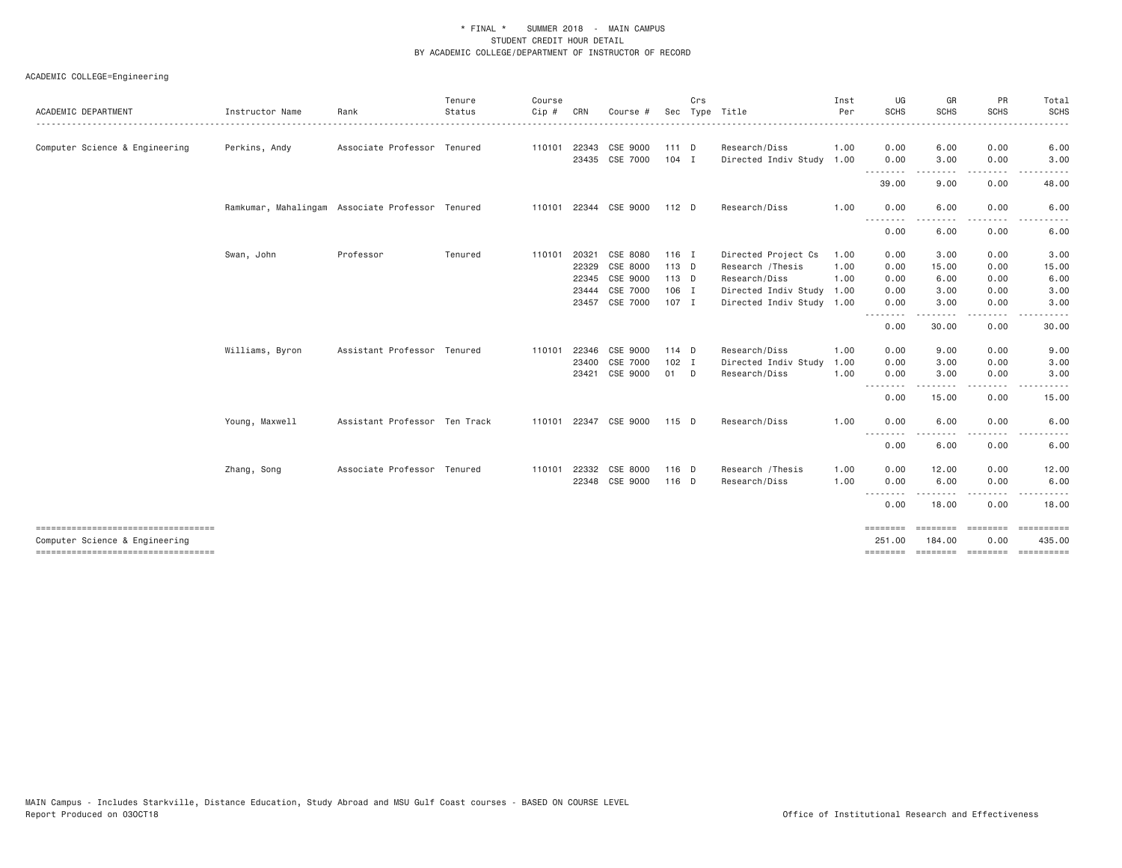| <b>ACADEMIC DEPARTMENT</b>                                             | Instructor Name | Rank                                             | Tenure<br>Status | Course<br>Cip # | CRN   | Course #                   |                    | Crs    | Sec Type Title                        | Inst<br>Per  | UG<br>SCHS                | GR<br><b>SCHS</b>         | PR<br><b>SCHS</b> | Total<br>SCHS                                                                                                                                        |
|------------------------------------------------------------------------|-----------------|--------------------------------------------------|------------------|-----------------|-------|----------------------------|--------------------|--------|---------------------------------------|--------------|---------------------------|---------------------------|-------------------|------------------------------------------------------------------------------------------------------------------------------------------------------|
|                                                                        |                 |                                                  |                  |                 |       |                            |                    |        |                                       |              |                           |                           |                   | $\frac{1}{2} \left( \frac{1}{2} \right) \left( \frac{1}{2} \right) \left( \frac{1}{2} \right) \left( \frac{1}{2} \right) \left( \frac{1}{2} \right)$ |
| Computer Science & Engineering                                         | Perkins, Andy   | Associate Professor Tenured                      |                  | 110101          | 22343 | CSE 9000<br>23435 CSE 7000 | $111$ D<br>$104$ I |        | Research/Diss<br>Directed Indiv Study | 1.00<br>1.00 | 0.00<br>0.00              | 6.00<br>3.00              | 0.00<br>0.00      | 6.00<br>3.00                                                                                                                                         |
|                                                                        |                 |                                                  |                  |                 |       |                            |                    |        |                                       |              |                           | -----                     | .                 | -----                                                                                                                                                |
|                                                                        |                 |                                                  |                  |                 |       |                            |                    |        |                                       |              | 39.00                     | 9.00                      | 0.00              | 48.00                                                                                                                                                |
|                                                                        |                 | Ramkumar, Mahalingam Associate Professor Tenured |                  |                 |       | 110101 22344 CSE 9000      | 112 D              |        | Research/Diss                         | 1.00         | 0.00                      | 6.00                      | 0.00              | 6.00                                                                                                                                                 |
|                                                                        |                 |                                                  |                  |                 |       |                            |                    |        |                                       |              | .<br>0.00                 | 6.00                      | 0.00              | 6.00                                                                                                                                                 |
|                                                                        | Swan, John      | Professor                                        | Tenured          | 110101          | 20321 | CSE 8080                   | $116$ I            |        | Directed Project Cs                   | 1.00         | 0.00                      | 3.00                      | 0.00              | 3.00                                                                                                                                                 |
|                                                                        |                 |                                                  |                  |                 | 22329 | CSE 8000                   | 113 D              |        | Research / Thesis                     | 1.00         | 0.00                      | 15.00                     | 0.00              | 15.00                                                                                                                                                |
|                                                                        |                 |                                                  |                  |                 | 22345 | CSE 9000                   | 113 D              |        | Research/Diss                         | 1.00         | 0.00                      | 6.00                      | 0.00              | 6.00                                                                                                                                                 |
|                                                                        |                 |                                                  |                  |                 | 23444 | CSE 7000                   | 106 I              |        | Directed Indiv Study                  | 1.00         | 0.00                      | 3.00                      | 0.00              | 3.00                                                                                                                                                 |
|                                                                        |                 |                                                  |                  |                 |       | 23457 CSE 7000             | 107 I              |        | Directed Indiv Study 1.00             |              | 0.00                      | 3.00                      | 0.00              | 3.00                                                                                                                                                 |
|                                                                        |                 |                                                  |                  |                 |       |                            |                    |        |                                       |              | .<br>0.00                 | .<br>30.00                | $- - -$<br>0.00   | 30.00                                                                                                                                                |
|                                                                        | Williams, Byron | Assistant Professor Tenured                      |                  | 110101 22346    |       | CSE 9000                   | $114$ D            |        | Research/Diss                         | 1.00         | 0.00                      | 9.00                      | 0.00              | 9.00                                                                                                                                                 |
|                                                                        |                 |                                                  |                  |                 | 23400 | CSE 7000                   | 102 I              |        | Directed Indiv Study                  | 1.00         | 0.00                      | 3.00                      | 0.00              | 3.00                                                                                                                                                 |
|                                                                        |                 |                                                  |                  |                 | 23421 | CSE 9000                   | 01                 | $\Box$ | Research/Diss                         | 1.00         | 0.00                      | 3.00                      | 0.00              | 3.00                                                                                                                                                 |
|                                                                        |                 |                                                  |                  |                 |       |                            |                    |        |                                       |              | .<br>0.00                 | .<br>15.00                | .<br>0.00         | .<br>15.00                                                                                                                                           |
|                                                                        | Young, Maxwell  | Assistant Professor Ten Track                    |                  |                 |       | 110101 22347 CSE 9000      | 115 D              |        | Research/Diss                         | 1.00         | 0.00                      | 6.00                      | 0.00              | 6.00                                                                                                                                                 |
|                                                                        |                 |                                                  |                  |                 |       |                            |                    |        |                                       |              | 0.00                      | .<br>6.00                 | $- - - -$<br>0.00 | 6.00                                                                                                                                                 |
|                                                                        | Zhang, Song     | Associate Professor Tenured                      |                  | 110101          | 22332 | CSE 8000                   | 116 D              |        | Research / Thesis                     | 1.00         | 0.00                      | 12.00                     | 0.00              | 12.00                                                                                                                                                |
|                                                                        |                 |                                                  |                  |                 | 22348 | CSE 9000                   | 116 D              |        | Research/Diss                         | 1.00         | 0.00                      | 6.00                      | 0.00              | 6.00                                                                                                                                                 |
|                                                                        |                 |                                                  |                  |                 |       |                            |                    |        |                                       |              | --------<br>0.00          | ---------<br>18.00        | .<br>0.00         | $- - -$<br><u>.</u><br>18.00                                                                                                                         |
| ------------------------------------<br>Computer Science & Engineering |                 |                                                  |                  |                 |       |                            |                    |        |                                       |              | <b>SESSESSE</b><br>251.00 | $= 1.122222222$<br>184.00 | ========<br>0.00  | 435.00                                                                                                                                               |
| ------------------------------------                                   |                 |                                                  |                  |                 |       |                            |                    |        |                                       |              |                           |                           |                   | ======== ======== ======== ==========                                                                                                                |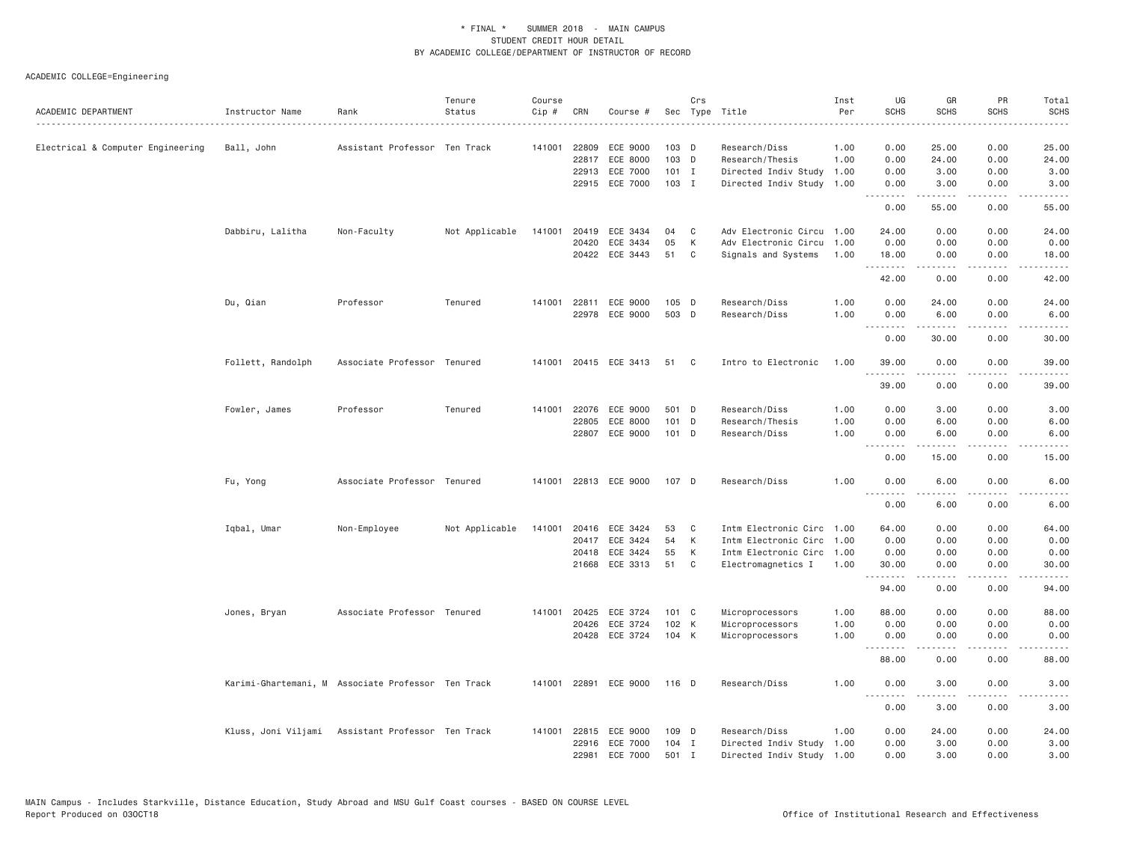|                                   |                   |                                                    | Tenure         | Course |       |                            |                  | Crs            |                                  | Inst         | UG                           | GR             | PR                                  | Total                       |
|-----------------------------------|-------------------|----------------------------------------------------|----------------|--------|-------|----------------------------|------------------|----------------|----------------------------------|--------------|------------------------------|----------------|-------------------------------------|-----------------------------|
| ACADEMIC DEPARTMENT               | Instructor Name   | Rank                                               | Status         | Cip #  | CRN   | Course #                   |                  |                | Sec Type Title                   | Per          | <b>SCHS</b>                  | <b>SCHS</b>    | <b>SCHS</b>                         | <b>SCHS</b><br>$- - - -$    |
|                                   |                   |                                                    |                |        |       |                            |                  |                |                                  |              |                              |                |                                     |                             |
| Electrical & Computer Engineering | Ball, John        | Assistant Professor Ten Track                      |                | 141001 | 22809 | ECE 9000<br>22817 ECE 8000 | $103$ D<br>103 D |                | Research/Diss<br>Research/Thesis | 1.00<br>1.00 | 0.00<br>0.00                 | 25.00<br>24.00 | 0.00<br>0.00                        | 25.00<br>24.00              |
|                                   |                   |                                                    |                |        | 22913 | ECE 7000                   | $101$ I          |                | Directed Indiv Study             | 1.00         | 0.00                         | 3.00           | 0.00                                | 3.00                        |
|                                   |                   |                                                    |                |        |       | 22915 ECE 7000             | 103 I            |                | Directed Indiv Study 1.00        |              | 0.00                         | 3.00           | 0.00                                | 3.00                        |
|                                   |                   |                                                    |                |        |       |                            |                  |                |                                  |              | .                            | .              | $\sim$ $\sim$ $\sim$ $\sim$         | $\sim$ $\sim$ $\sim$ $\sim$ |
|                                   |                   |                                                    |                |        |       |                            |                  |                |                                  |              | 0.00                         | 55.00          | 0.00                                | 55.00                       |
|                                   | Dabbiru, Lalitha  | Non-Faculty                                        | Not Applicable | 141001 |       | 20419 ECE 3434             | 04               | C              | Adv Electronic Circu 1.00        |              | 24.00                        | 0.00           | 0.00                                | 24.00                       |
|                                   |                   |                                                    |                |        | 20420 | ECE 3434                   | 05               | К              | Adv Electronic Circu             | 1.00         | 0.00                         | 0.00           | 0.00                                | 0.00                        |
|                                   |                   |                                                    |                |        |       | 20422 ECE 3443             | 51               | C              | Signals and Systems              | 1.00         | 18.00<br>.                   | 0.00<br>.      | 0.00<br>$\sim$ $\sim$ $\sim$ $\sim$ | 18.00<br>.                  |
|                                   |                   |                                                    |                |        |       |                            |                  |                |                                  |              | 42.00                        | 0.00           | 0.00                                | 42.00                       |
|                                   | Du, Qian          | Professor                                          | Tenured        |        |       | 141001 22811 ECE 9000      | $105$ D          |                | Research/Diss                    | 1.00         | 0.00                         | 24.00          | 0.00                                | 24.00                       |
|                                   |                   |                                                    |                |        |       | 22978 ECE 9000             | 503 D            |                | Research/Diss                    | 1.00         | 0.00<br>.                    | 6.00           | 0.00<br>$- - - -$                   | 6.00<br>.                   |
|                                   |                   |                                                    |                |        |       |                            |                  |                |                                  |              | 0.00                         | 30.00          | 0.00                                | 30.00                       |
|                                   | Follett, Randolph | Associate Professor Tenured                        |                |        |       | 141001 20415 ECE 3413      | 51               | C <sub>c</sub> | Intro to Electronic              | 1.00         | 39.00                        | 0.00           | 0.00                                | 39.00                       |
|                                   |                   |                                                    |                |        |       |                            |                  |                |                                  |              | <u>.</u><br>39.00            | 0.00           | $\sim$ $\sim$ $\sim$ $\sim$<br>0.00 | 39.00                       |
|                                   | Fowler, James     | Professor                                          | Tenured        | 141001 | 22076 | ECE 9000                   | 501 D            |                | Research/Diss                    | 1.00         | 0.00                         | 3.00           | 0.00                                | 3.00                        |
|                                   |                   |                                                    |                |        | 22805 | ECE 8000                   | 101 D            |                | Research/Thesis                  | 1.00         | 0.00                         | 6.00           | 0.00                                | 6.00                        |
|                                   |                   |                                                    |                |        |       | 22807 ECE 9000             | 101 D            |                | Research/Diss                    | 1.00         | 0.00<br>.                    | 6.00           | 0.00<br>.                           | 6.00                        |
|                                   |                   |                                                    |                |        |       |                            |                  |                |                                  |              | 0.00                         | 15.00          | 0.00                                | 15.00                       |
|                                   | Fu, Yong          | Associate Professor Tenured                        |                | 141001 |       | 22813 ECE 9000             | 107 D            |                | Research/Diss                    | 1.00         | 0.00                         | 6.00           | 0.00                                | 6.00                        |
|                                   |                   |                                                    |                |        |       |                            |                  |                |                                  |              | .<br>0.00                    | .<br>6.00      | $\frac{1}{2}$<br>0.00               | 6.00                        |
|                                   | Iqbal, Umar       | Non-Employee                                       | Not Applicable | 141001 |       | 20416 ECE 3424             | 53               | C              | Intm Electronic Circ             | 1.00         | 64.00                        | 0.00           | 0.00                                | 64.00                       |
|                                   |                   |                                                    |                |        |       | 20417 ECE 3424             | 54               | К              | Intm Electronic Circ             | 1.00         | 0.00                         | 0.00           | 0.00                                | 0.00                        |
|                                   |                   |                                                    |                |        | 20418 | ECE 3424                   | 55               | К              | Intm Electronic Circ 1.00        |              | 0.00                         | 0.00           | 0.00                                | 0.00                        |
|                                   |                   |                                                    |                |        |       | 21668 ECE 3313             | 51               | C              | Electromagnetics I               | 1.00         | 30.00<br>.                   | 0.00           | 0.00<br>$\frac{1}{2}$               | 30.00<br>.                  |
|                                   |                   |                                                    |                |        |       |                            |                  |                |                                  |              | 94.00                        | 0.00           | 0.00                                | 94.00                       |
|                                   | Jones, Bryan      | Associate Professor Tenured                        |                | 141001 | 20425 | ECE 3724                   | $101 \quad C$    |                | Microprocessors                  | 1.00         | 88.00                        | 0.00           | 0.00                                | 88.00                       |
|                                   |                   |                                                    |                |        | 20426 | ECE 3724                   | 102 K            |                | Microprocessors                  | 1.00         | 0.00                         | 0.00           | 0.00                                | 0.00                        |
|                                   |                   |                                                    |                |        |       | 20428 ECE 3724             | 104 K            |                | Microprocessors                  | 1.00         | 0.00                         | 0.00           | 0.00                                | 0.00                        |
|                                   |                   |                                                    |                |        |       |                            |                  |                |                                  |              | 88.00                        | 0.00           | 0.00                                | 88.00                       |
|                                   |                   | Karimi-Ghartemani, M Associate Professor Ten Track |                |        |       | 141001 22891 ECE 9000      | 116 D            |                | Research/Diss                    | 1.00         | 0.00                         | 3.00           | 0.00                                | 3.00                        |
|                                   |                   |                                                    |                |        |       |                            |                  |                |                                  |              | $\sim$ $\sim$ $\sim$<br>0.00 | 3.00           | 0.00                                | 3.00                        |
|                                   |                   | Kluss, Joni Viljami Assistant Professor Ten Track  |                | 141001 |       | 22815 ECE 9000             | 109 D            |                | Research/Diss                    | 1.00         | 0.00                         | 24.00          | 0.00                                | 24.00                       |
|                                   |                   |                                                    |                |        |       | 22916 ECE 7000             | $104$ I          |                | Directed Indiv Study 1.00        |              | 0.00                         | 3.00           | 0.00                                | 3.00                        |
|                                   |                   |                                                    |                |        | 22981 | ECE 7000                   | 501 I            |                | Directed Indiv Study 1.00        |              | 0.00                         | 3,00           | 0.00                                | 3.00                        |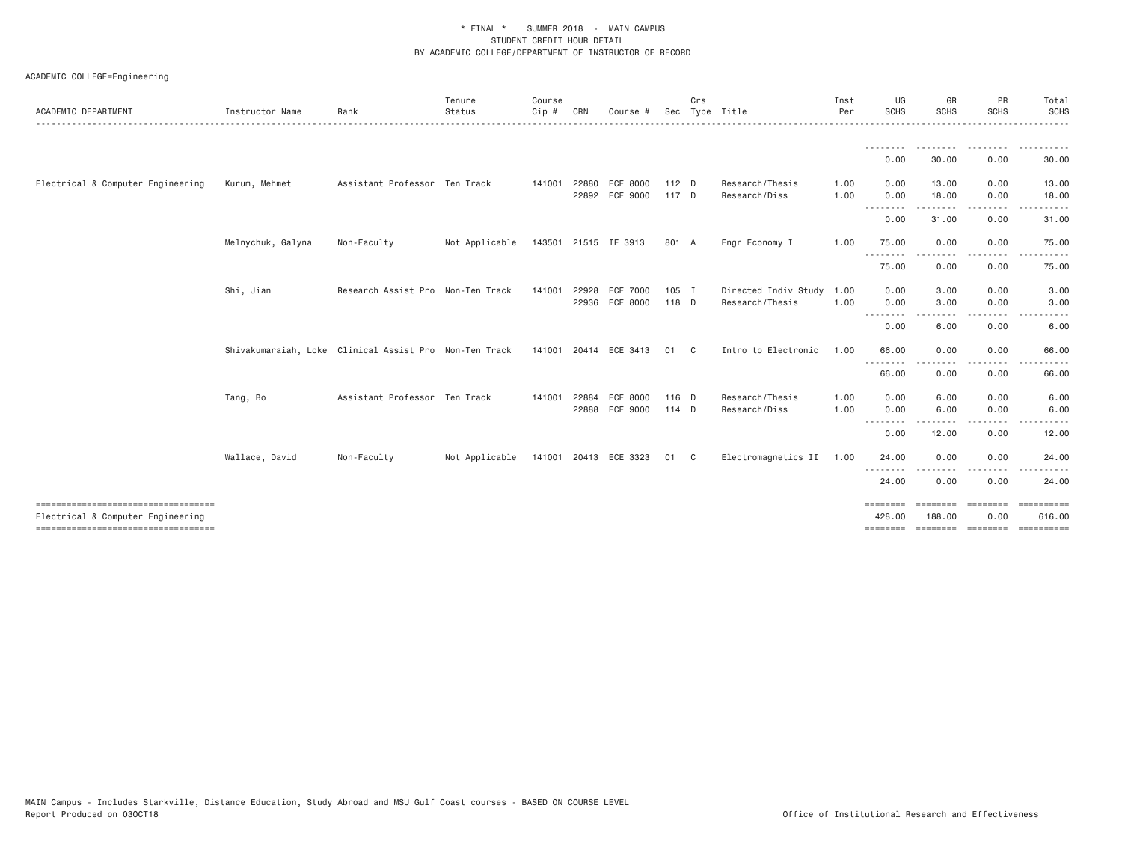| ACADEMIC DEPARTMENT                                                         | Instructor Name   | Rank                                                   | Tenure<br>Status | Course<br>$Cip \#$ | CRN            | Course #                   |                | Crs          | Sec Type Title                               | Inst<br>Per  | UG<br><b>SCHS</b>                | GR<br><b>SCHS</b>         | PR<br><b>SCHS</b> | Total<br><b>SCHS</b>                                         |
|-----------------------------------------------------------------------------|-------------------|--------------------------------------------------------|------------------|--------------------|----------------|----------------------------|----------------|--------------|----------------------------------------------|--------------|----------------------------------|---------------------------|-------------------|--------------------------------------------------------------|
|                                                                             |                   |                                                        |                  |                    |                |                            |                |              |                                              |              | --------<br>0.00                 | 30.00                     | 0.00              | 30.00                                                        |
| Electrical & Computer Engineering                                           | Kurum, Mehmet     | Assistant Professor Ten Track                          |                  | 141001             | 22880          | ECE 8000<br>22892 ECE 9000 | 112 D<br>117 D |              | Research/Thesis<br>Research/Diss             | 1.00<br>1.00 | 0.00<br>0.00                     | 13.00<br>18.00            | 0.00<br>0.00      | 13.00<br>18.00                                               |
|                                                                             |                   |                                                        |                  |                    |                |                            |                |              |                                              |              | .<br>0.00                        | . <u>.</u> .<br>31.00     | 0.00              | 31.00                                                        |
|                                                                             | Melnychuk, Galyna | Non-Faculty                                            | Not Applicable   |                    |                | 143501 21515 IE 3913       | 801 A          |              | Engr Economy I                               | 1.00         | 75.00                            | 0.00                      | 0.00              | 75.00                                                        |
|                                                                             |                   |                                                        |                  |                    |                |                            |                |              |                                              |              | .<br>75.00                       | 0.00                      | 0.00              | 75.00                                                        |
|                                                                             | Shi, Jian         | Research Assist Pro Non-Ten Track                      |                  | 141001             | 22928<br>22936 | ECE 7000<br>ECE 8000       | 105 I<br>118 D |              | Directed Indiv Study 1.00<br>Research/Thesis | 1.00         | 0.00<br>0.00<br>.                | 3.00<br>3.00<br>- - - - - | 0.00<br>0.00      | 3.00<br>3.00                                                 |
|                                                                             |                   |                                                        |                  |                    |                |                            |                |              |                                              |              | 0.00                             | 6.00                      | 0.00              | 6.00                                                         |
|                                                                             |                   | Shivakumaraiah, Loke Clinical Assist Pro Non-Ten Track |                  |                    |                | 141001 20414 ECE 3413      | 01             | $\mathbf{C}$ | Intro to Electronic                          | 1.00         | 66.00<br><u>.</u>                | 0.00                      | 0.00              | 66.00                                                        |
|                                                                             |                   |                                                        |                  |                    |                |                            |                |              |                                              |              | 66.00                            | 0.00                      | 0.00              | 66.00                                                        |
|                                                                             | Tang, Bo          | Assistant Professor Ten Track                          |                  | 141001             | 22884          | ECE 8000<br>22888 ECE 9000 | 116 D<br>114 D |              | Research/Thesis<br>Research/Diss             | 1.00<br>1.00 | 0.00<br>0.00                     | 6.00<br>6.00              | 0.00<br>0.00      | 6.00<br>6.00                                                 |
|                                                                             |                   |                                                        |                  |                    |                |                            |                |              |                                              |              | .<br>0.00                        | 12.00                     | 0.00              | 12.00                                                        |
|                                                                             | Wallace, David    | Non-Faculty                                            | Not Applicable   |                    |                | 141001 20413 ECE 3323      | 01             | $\mathbf{C}$ | Electromagnetics II 1.00                     |              | 24.00                            | 0.00                      | 0.00              | 24.00                                                        |
|                                                                             |                   |                                                        |                  |                    |                |                            |                |              |                                              |              | <u> - - - - - - - -</u><br>24.00 | 0.00                      | 0.00              | 24.00                                                        |
| ======================================<br>Electrical & Computer Engineering |                   |                                                        |                  |                    |                |                            |                |              |                                              |              | ========<br>428.00               | ========<br>188,00        | ========<br>0.00  | ==========<br>616.00<br>======== ======== ======== ========= |
|                                                                             |                   |                                                        |                  |                    |                |                            |                |              |                                              |              |                                  |                           |                   |                                                              |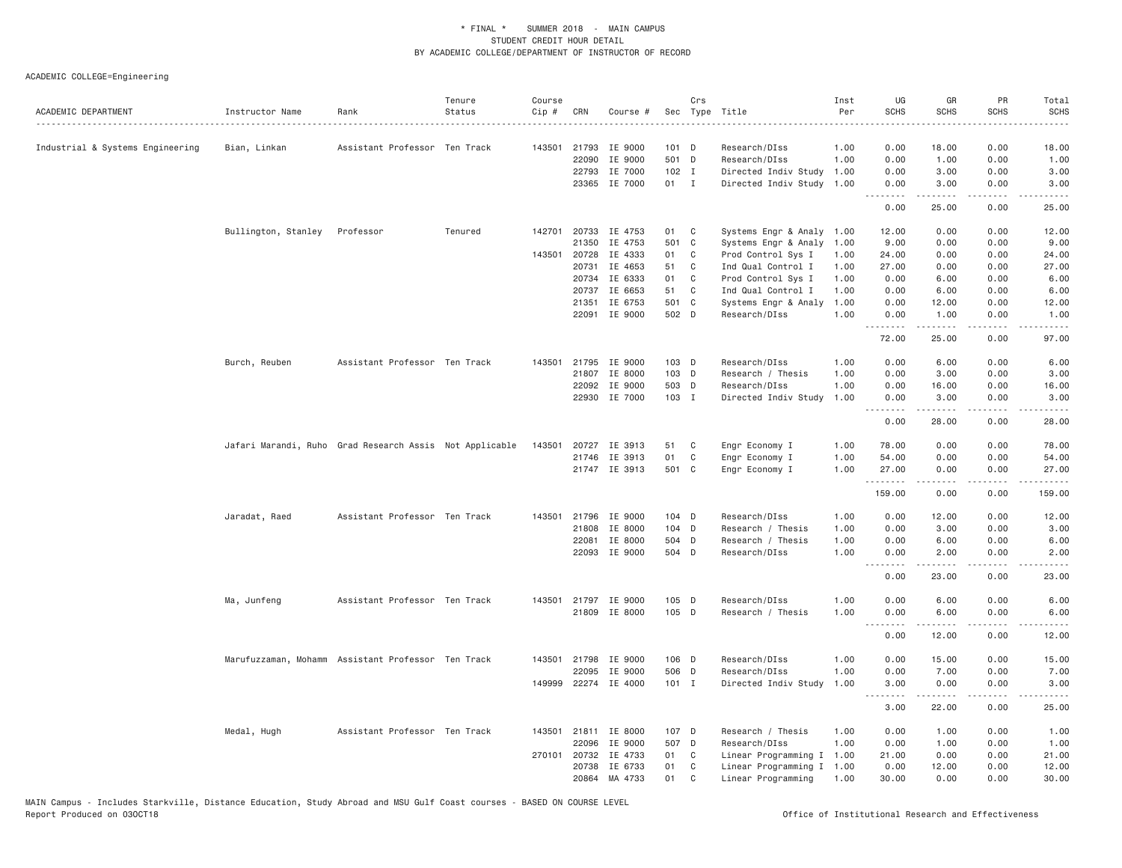| ACADEMIC DEPARTMENT              | Instructor Name     | Rank                                                    | Tenure<br>Status | Course<br>Cip # | CRN            | Course #             |                 | Crs          | Sec Type Title                                    | Inst<br>Per | UG<br><b>SCHS</b>           | GR<br><b>SCHS</b>    | PR<br><b>SCHS</b> | Total<br><b>SCHS</b>      |
|----------------------------------|---------------------|---------------------------------------------------------|------------------|-----------------|----------------|----------------------|-----------------|--------------|---------------------------------------------------|-------------|-----------------------------|----------------------|-------------------|---------------------------|
|                                  |                     |                                                         |                  |                 |                |                      |                 |              |                                                   |             |                             |                      |                   | $\omega$ is a set         |
| Industrial & Systems Engineering | Bian, Linkan        | Assistant Professor Ten Track                           |                  |                 |                | 143501 21793 IE 9000 | 101 D<br>501 D  |              | Research/DIss                                     | 1.00        | 0.00<br>0.00                | 18.00                | 0.00<br>0.00      | 18.00                     |
|                                  |                     |                                                         |                  |                 | 22090<br>22793 | IE 9000              |                 |              | Research/DIss                                     | 1.00        |                             | 1.00                 |                   | 1.00                      |
|                                  |                     |                                                         |                  |                 | 23365          | IE 7000<br>IE 7000   | $102$ I<br>01 I |              | Directed Indiv Study 1.00<br>Directed Indiv Study | 1.00        | 0.00<br>0.00                | 3.00<br>3.00         | 0.00<br>0.00      | 3.00<br>3.00              |
|                                  |                     |                                                         |                  |                 |                |                      |                 |              |                                                   |             | $\sim$ $\sim$ $\sim$ $\sim$ |                      |                   |                           |
|                                  |                     |                                                         |                  |                 |                |                      |                 |              |                                                   |             | 0.00                        | 25.00                | 0.00              | 25.00                     |
|                                  | Bullington, Stanley | Professor                                               | Tenured          |                 |                | 142701 20733 IE 4753 | 01              | $\mathbf{C}$ | Systems Engr & Analy 1.00                         |             | 12.00                       | 0.00                 | 0.00              | 12.00                     |
|                                  |                     |                                                         |                  |                 | 21350          | IE 4753              | 501 C           |              | Systems Engr & Analy                              | 1.00        | 9.00                        | 0.00                 | 0.00              | 9.00                      |
|                                  |                     |                                                         |                  |                 | 143501 20728   | IE 4333              | 01              | C            | Prod Control Sys I                                | 1.00        | 24.00                       | 0.00                 | 0.00              | 24.00                     |
|                                  |                     |                                                         |                  |                 | 20731          | IE 4653              | 51              | C            | Ind Qual Control I                                | 1.00        | 27.00                       | 0.00                 | 0.00              | 27.00                     |
|                                  |                     |                                                         |                  |                 | 20734          | IE 6333              | 01              | C            | Prod Control Sys I                                | 1.00        | 0.00                        | 6.00                 | 0.00              | 6.00                      |
|                                  |                     |                                                         |                  |                 | 20737          | IE 6653              | 51              | C            | Ind Qual Control I                                | 1.00        | 0.00                        | 6.00                 | 0.00              | 6.00                      |
|                                  |                     |                                                         |                  |                 | 21351          | IE 6753              | 501 C           |              | Systems Engr & Analy                              | 1.00        | 0.00                        | 12.00                | 0.00              | 12.00                     |
|                                  |                     |                                                         |                  |                 |                | 22091 IE 9000        | 502 D           |              | Research/DIss                                     | 1.00        | 0.00<br>.                   | 1.00                 | 0.00<br>.         | 1.00<br>.                 |
|                                  |                     |                                                         |                  |                 |                |                      |                 |              |                                                   |             | 72.00                       | 25.00                | 0.00              | 97.00                     |
|                                  | Burch, Reuben       | Assistant Professor Ten Track                           |                  |                 |                | 143501 21795 IE 9000 | 103 D           |              | Research/DIss                                     | 1.00        | 0.00                        | 6.00                 | 0.00              | 6.00                      |
|                                  |                     |                                                         |                  |                 | 21807          | IE 8000              | 103 D           |              | Research / Thesis                                 | 1.00        | 0.00                        | 3.00                 | 0.00              | 3.00                      |
|                                  |                     |                                                         |                  |                 | 22092          | IE 9000              | 503 D           |              | Research/DIss                                     | 1.00        | 0.00                        | 16.00                | 0.00              | 16.00                     |
|                                  |                     |                                                         |                  |                 |                | 22930 IE 7000        | 103 I           |              | Directed Indiv Study                              | 1.00        | 0.00                        | 3.00                 | 0.00              | 3.00                      |
|                                  |                     |                                                         |                  |                 |                |                      |                 |              |                                                   |             | .<br>0.00                   | $- - - - -$<br>28.00 | .<br>0.00         | .<br>28.00                |
|                                  |                     | Jafari Marandi, Ruho Grad Research Assis Not Applicable |                  | 143501          |                | 20727 IE 3913        | 51              | C.           | Engr Economy I                                    | 1.00        | 78.00                       | 0.00                 | 0.00              | 78.00                     |
|                                  |                     |                                                         |                  |                 |                | 21746 IE 3913        | 01              | C            | Engr Economy I                                    | 1.00        | 54.00                       | 0.00                 | 0.00              | 54.00                     |
|                                  |                     |                                                         |                  |                 |                | 21747 IE 3913        | 501 C           |              | Engr Economy I                                    | 1.00        | 27.00                       | 0.00                 | 0.00              | 27.00                     |
|                                  |                     |                                                         |                  |                 |                |                      |                 |              |                                                   |             | .<br>159.00                 | 2.2.2.2.2<br>0.00    | د د د د<br>0.00   | .<br>159.00               |
|                                  |                     |                                                         |                  |                 |                |                      |                 |              |                                                   |             | 0.00                        |                      |                   |                           |
|                                  | Jaradat, Raed       | Assistant Professor Ten Track                           |                  |                 | 143501 21796   | IE 9000              | $104$ D         |              | Research/DIss                                     | 1.00        |                             | 12.00                | 0.00              | 12.00                     |
|                                  |                     |                                                         |                  |                 | 21808          | IE 8000              | $104$ D         |              | Research / Thesis                                 | 1.00        | 0.00                        | 3.00                 | 0.00              | 3.00                      |
|                                  |                     |                                                         |                  |                 | 22081          | IE 8000              | 504 D           |              | Research / Thesis                                 | 1.00        | 0.00                        | 6.00                 | 0.00              | 6.00                      |
|                                  |                     |                                                         |                  |                 | 22093          | IE 9000              | 504 D           |              | Research/DIss                                     | 1,00        | 0.00<br>.                   | 2,00<br>المتمالين    | 0.00<br>د د د د   | 2.00<br>$\omega$ is a set |
|                                  |                     |                                                         |                  |                 |                |                      |                 |              |                                                   |             | 0.00                        | 23.00                | 0.00              | 23.00                     |
|                                  | Ma, Junfeng         | Assistant Professor Ten Track                           |                  |                 |                | 143501 21797 IE 9000 | 105 D           |              | Research/DIss                                     | 1.00        | 0.00                        | 6.00                 | 0.00              | 6.00                      |
|                                  |                     |                                                         |                  |                 |                | 21809 IE 8000        | 105 D           |              | Research / Thesis                                 | 1.00        | 0.00                        | 6.00<br>.            | 0.00              | 6.00<br>.                 |
|                                  |                     |                                                         |                  |                 |                |                      |                 |              |                                                   |             | 0.00                        | 12.00                | 0.00              | 12.00                     |
|                                  |                     | Marufuzzaman, Mohamm Assistant Professor Ten Track      |                  |                 | 143501 21798   | IE 9000              | 106 D           |              | Research/DIss                                     | 1.00        | 0.00                        | 15.00                | 0.00              | 15.00                     |
|                                  |                     |                                                         |                  |                 | 22095          | IE 9000              | 506 D           |              | Research/DIss                                     | 1.00        | 0.00                        | 7.00                 | 0.00              | 7.00                      |
|                                  |                     |                                                         |                  |                 |                | 149999 22274 IE 4000 | 101 I           |              | Directed Indiv Study                              | 1.00        | 3.00<br>.                   | 0.00<br>.            | 0.00<br>.         | 3.00<br>$- - - - -$       |
|                                  |                     |                                                         |                  |                 |                |                      |                 |              |                                                   |             | 3.00                        | 22.00                | 0.00              | 25.00                     |
|                                  | Medal, Hugh         | Assistant Professor Ten Track                           |                  |                 |                | 143501 21811 IE 8000 | 107 D           |              | Research / Thesis                                 | 1,00        | 0.00                        | 1.00                 | 0.00              | 1.00                      |
|                                  |                     |                                                         |                  |                 | 22096          | IE 9000              | 507 D           |              | Research/DIss                                     | 1.00        | 0.00                        | 1.00                 | 0.00              | 1.00                      |
|                                  |                     |                                                         |                  |                 | 270101 20732   | IE 4733              | 01 C            |              | Linear Programming I 1.00                         |             | 21.00                       | 0.00                 | 0.00              | 21.00                     |
|                                  |                     |                                                         |                  |                 | 20738          | IE 6733              | 01              | $\mathbf{C}$ | Linear Programming I 1.00                         |             | 0.00                        | 12.00                | 0.00              | 12.00                     |
|                                  |                     |                                                         |                  |                 | 20864          | MA 4733              | 01              | C            | Linear Programming                                | 1.00        | 30.00                       | 0.00                 | 0.00              | 30.00                     |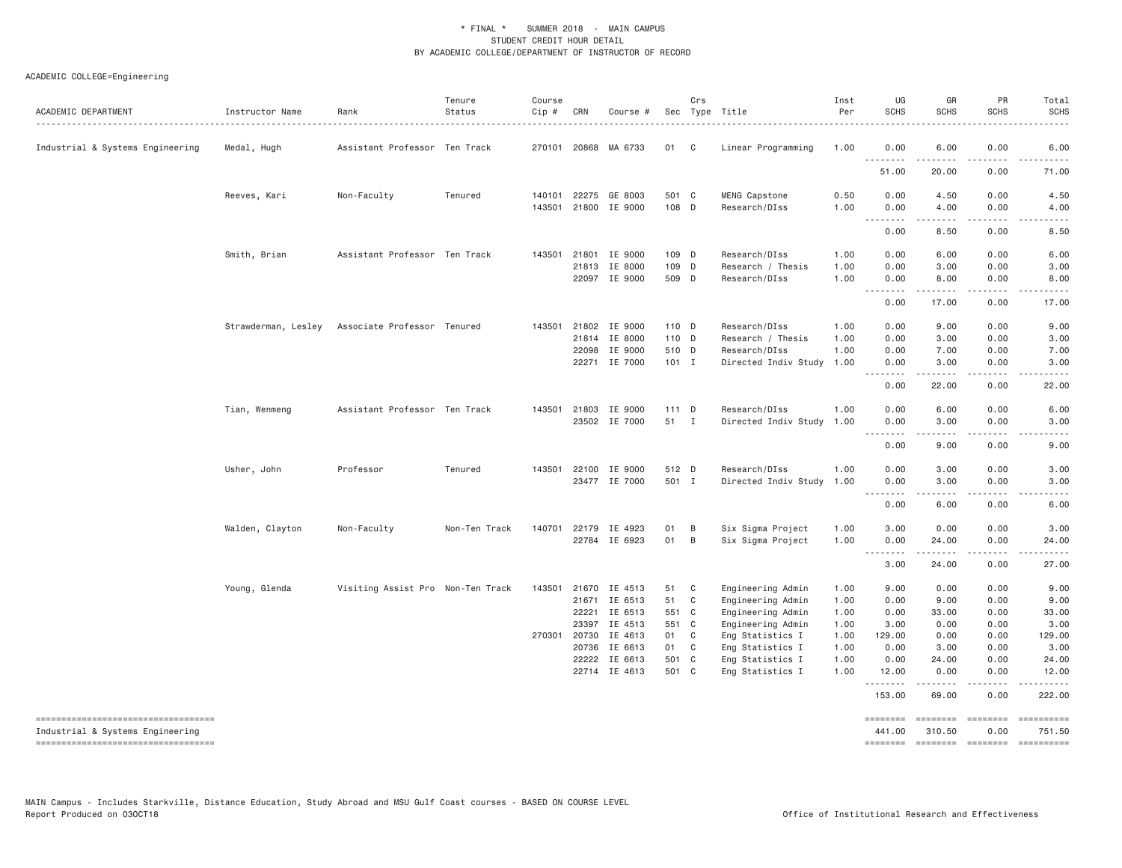| ACADEMIC DEPARTMENT<br>------------------------------------- | Instructor Name     | Rank                              | Tenure<br>Status | Course<br>Cip #  | CRN          | Course #                       |                | Crs          | Sec Type Title                       | Inst<br>Per  | UG<br><b>SCHS</b> | GR<br><b>SCHS</b>                                                                                                                                            | PR<br><b>SCHS</b>                   | Total<br><b>SCHS</b>   |
|--------------------------------------------------------------|---------------------|-----------------------------------|------------------|------------------|--------------|--------------------------------|----------------|--------------|--------------------------------------|--------------|-------------------|--------------------------------------------------------------------------------------------------------------------------------------------------------------|-------------------------------------|------------------------|
| Industrial & Systems Engineering                             | Medal, Hugh         | Assistant Professor Ten Track     |                  |                  |              | 270101 20868 MA 6733           | 01 C           |              | Linear Programming                   | 1.00         | 0.00<br>.         | 6.00<br>$- - - - -$                                                                                                                                          | 0.00<br>.                           | 6.00<br>.              |
|                                                              |                     |                                   |                  |                  |              |                                |                |              |                                      |              | 51.00             | 20.00                                                                                                                                                        | 0.00                                | 71.00                  |
|                                                              | Reeves, Kari        | Non-Faculty                       | Tenured          | 140101<br>143501 |              | 22275 GE 8003<br>21800 IE 9000 | 501 C<br>108 D |              | MENG Capstone<br>Research/DIss       | 0.50<br>1.00 | 0.00<br>0.00      | 4.50<br>4.00                                                                                                                                                 | 0.00<br>0.00                        | 4.50<br>4.00           |
|                                                              |                     |                                   |                  |                  |              |                                |                |              |                                      |              | .<br>0.00         | $- - - - -$<br>8.50                                                                                                                                          | $\frac{1}{2}$<br>0.00               | .<br>8.50              |
|                                                              |                     |                                   |                  |                  |              |                                |                |              |                                      |              |                   |                                                                                                                                                              |                                     |                        |
|                                                              | Smith, Brian        | Assistant Professor Ten Track     |                  | 143501           | 21801        | IE 9000                        | 109 D          |              | Research/DIss                        | 1.00         | 0.00              | 6.00                                                                                                                                                         | 0.00                                | 6.00                   |
|                                                              |                     |                                   |                  |                  | 21813        | IE 8000                        | 109 D          |              | Research / Thesis                    | 1.00         | 0.00              | 3.00                                                                                                                                                         | 0.00                                | 3.00                   |
|                                                              |                     |                                   |                  |                  |              | 22097 IE 9000                  | 509 D          |              | Research/DIss                        | 1.00         | 0.00<br>والأمام   | 8.00                                                                                                                                                         | 0.00                                | 8.00                   |
|                                                              |                     |                                   |                  |                  |              |                                |                |              |                                      |              | 0.00              | 17.00                                                                                                                                                        | 0.00                                | 17.00                  |
|                                                              | Strawderman, Lesley | Associate Professor Tenured       |                  | 143501           | 21802        | IE 9000                        | 110 D          |              | Research/DIss                        | 1.00         | 0.00              | 9.00                                                                                                                                                         | 0.00                                | 9.00                   |
|                                                              |                     |                                   |                  |                  | 21814        | IE 8000                        | 110 D          |              | Research / Thesis                    | 1.00         | 0.00              | 3.00                                                                                                                                                         | 0.00                                | 3.00                   |
|                                                              |                     |                                   |                  |                  | 22098        | IE 9000                        | 510 D          |              | Research/DIss                        | 1.00         | 0.00              | 7.00                                                                                                                                                         | 0.00                                | 7.00                   |
|                                                              |                     |                                   |                  |                  |              | 22271 IE 7000                  | $101$ I        |              | Directed Indiv Study                 | 1.00         | 0.00              | 3.00                                                                                                                                                         | 0.00                                | 3.00                   |
|                                                              |                     |                                   |                  |                  |              |                                |                |              |                                      |              | .<br>0.00         | .<br>22.00                                                                                                                                                   | $\sim$ $\sim$ $\sim$ $\sim$<br>0.00 | $\frac{1}{2}$<br>22.00 |
|                                                              | Tian, Wenmeng       | Assistant Professor Ten Track     |                  | 143501           | 21803        | IE 9000                        | $111$ D        |              | Research/DIss                        | 1.00         | 0.00              | 6.00                                                                                                                                                         | 0.00                                | 6.00                   |
|                                                              |                     |                                   |                  |                  |              | 23502 IE 7000                  | 51 I           |              | Directed Indiv Study 1.00            |              | 0.00              | 3.00                                                                                                                                                         | 0.00                                | 3.00                   |
|                                                              |                     |                                   |                  |                  |              |                                |                |              |                                      |              | .<br>0.00         | $\frac{1}{2} \left( \frac{1}{2} \right) \left( \frac{1}{2} \right) \left( \frac{1}{2} \right) \left( \frac{1}{2} \right) \left( \frac{1}{2} \right)$<br>9.00 | .<br>0.00                           | ----<br>9.00           |
|                                                              |                     |                                   |                  |                  |              |                                |                |              |                                      |              |                   |                                                                                                                                                              |                                     |                        |
|                                                              | Usher, John         | Professor                         | Tenured          | 143501           | 22100        | IE 9000                        | 512 D          |              | Research/DIss                        | 1.00         | 0.00              | 3.00                                                                                                                                                         | 0.00                                | 3.00                   |
|                                                              |                     |                                   |                  |                  |              | 23477 IE 7000                  | 501 I          |              | Directed Indiv Study                 | 1.00         | 0.00              | 3.00                                                                                                                                                         | 0.00                                | 3.00                   |
|                                                              |                     |                                   |                  |                  |              |                                |                |              |                                      |              | .<br>0.00         | .<br>6.00                                                                                                                                                    | $\frac{1}{2}$<br>0.00               | .<br>6.00              |
|                                                              | Walden, Clayton     | Non-Faculty                       | Non-Ten Track    |                  |              | 140701 22179 IE 4923           | 01             | B            | Six Sigma Project                    | 1.00         | 3.00              | 0.00                                                                                                                                                         | 0.00                                | 3.00                   |
|                                                              |                     |                                   |                  |                  |              | 22784 IE 6923                  | 01             | B            | Six Sigma Project                    | 1.00         | 0.00              | 24.00                                                                                                                                                        | 0.00                                | 24.00                  |
|                                                              |                     |                                   |                  |                  |              |                                |                |              |                                      |              | --------<br>3.00  | 24.00                                                                                                                                                        | 0.00                                | 27.00                  |
|                                                              | Young, Glenda       | Visiting Assist Pro Non-Ten Track |                  | 143501           | 21670        | IE 4513                        | 51             | $\mathbf{C}$ | Engineering Admin                    | 1.00         | 9.00              | 0.00                                                                                                                                                         | 0.00                                | 9.00                   |
|                                                              |                     |                                   |                  |                  | 21671        | IE 6513                        | 51             | C            | Engineering Admin                    | 1.00         | 0.00              | 9.00                                                                                                                                                         | 0.00                                | 9.00                   |
|                                                              |                     |                                   |                  |                  | 22221        | IE 6513                        | 551 C          |              | Engineering Admin                    | 1.00         | 0.00              | 33.00                                                                                                                                                        | 0.00                                | 33.00                  |
|                                                              |                     |                                   |                  |                  | 23397        | IE 4513                        | 551 C          |              | Engineering Admin                    | 1.00         | 3.00              | 0.00                                                                                                                                                         | 0.00                                | 3.00                   |
|                                                              |                     |                                   |                  |                  | 270301 20730 | IE 4613                        | 01 C           |              |                                      | 1.00         | 129.00            | 0.00                                                                                                                                                         | 0.00                                | 129.00                 |
|                                                              |                     |                                   |                  |                  |              |                                |                |              | Eng Statistics I                     |              |                   |                                                                                                                                                              |                                     |                        |
|                                                              |                     |                                   |                  |                  | 20736        | IE 6613                        | 01 C           |              | Eng Statistics I                     | 1.00         | 0.00              | 3.00                                                                                                                                                         | 0.00                                | 3.00                   |
|                                                              |                     |                                   |                  |                  | 22222        | IE 6613<br>22714 IE 4613       | 501 C<br>501 C |              | Eng Statistics I<br>Eng Statistics I | 1.00<br>1.00 | 0.00<br>12.00     | 24.00<br>0.00                                                                                                                                                | 0.00<br>0.00                        | 24.00<br>12.00         |
|                                                              |                     |                                   |                  |                  |              |                                |                |              |                                      |              | .<br>153.00       | $- - - - -$<br>69.00                                                                                                                                         | $\frac{1}{2}$<br>0.00               | .<br>222.00            |
|                                                              |                     |                                   |                  |                  |              |                                |                |              |                                      |              | ========          | ========                                                                                                                                                     | ========                            | EEEEEEEEE              |
| Industrial & Systems Engineering                             |                     |                                   |                  |                  |              |                                |                |              |                                      |              | 441.00            | 310.50                                                                                                                                                       | 0.00                                | 751.50                 |
| -----------------------------------                          |                     |                                   |                  |                  |              |                                |                |              |                                      |              | ========          |                                                                                                                                                              | ======== =======                    | ==========             |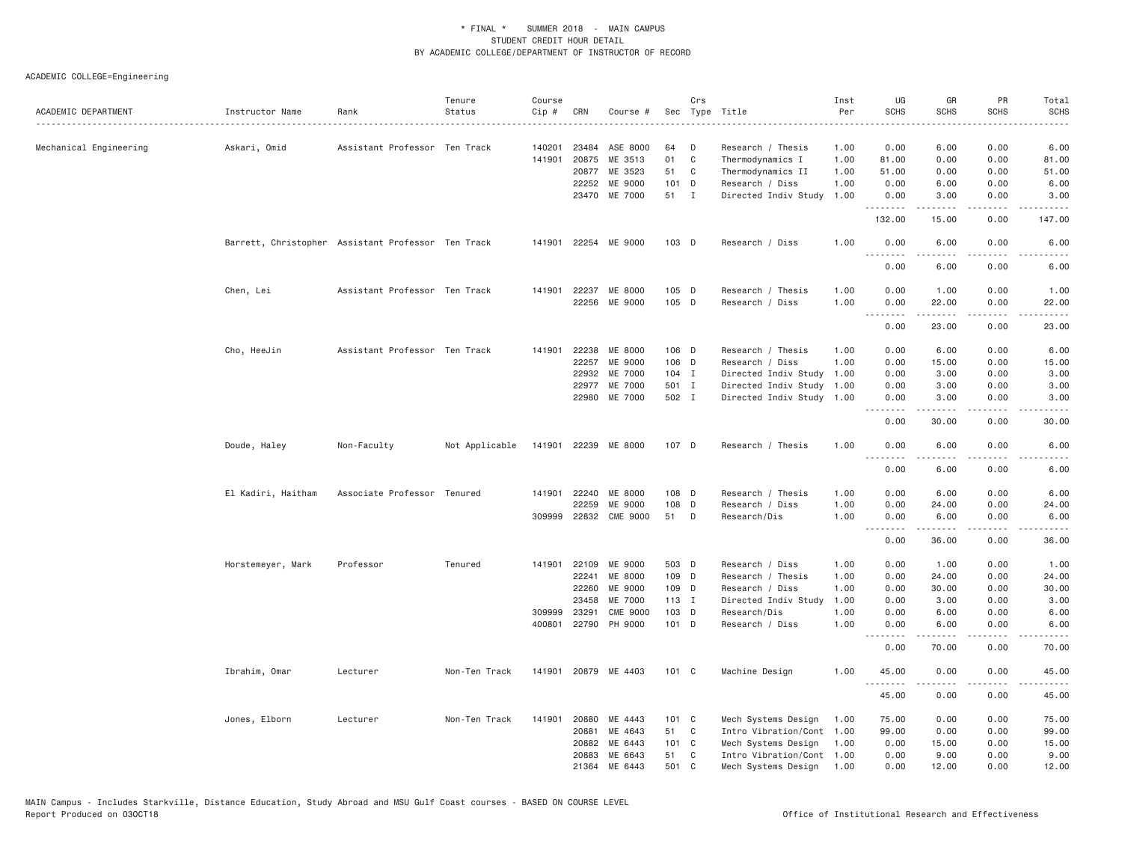|                        |                                                    |                               | Tenure         | Course |              |                       |         | Crs          |                           | Inst | UG               | GR                  | PR                                  | Total                                                                                                                                                        |
|------------------------|----------------------------------------------------|-------------------------------|----------------|--------|--------------|-----------------------|---------|--------------|---------------------------|------|------------------|---------------------|-------------------------------------|--------------------------------------------------------------------------------------------------------------------------------------------------------------|
| ACADEMIC DEPARTMENT    | Instructor Name                                    | Rank                          | Status         | Cip#   | CRN          | Course #              |         |              | Sec Type Title            | Per  | <b>SCHS</b>      | <b>SCHS</b>         | <b>SCHS</b>                         | <b>SCHS</b>                                                                                                                                                  |
| Mechanical Engineering | Askari, Omid                                       | Assistant Professor Ten Track |                | 140201 | 23484        | ASE 8000              | 64      | D            | Research / Thesis         | 1.00 | 0.00             | 6.00                | 0.00                                | 6.00                                                                                                                                                         |
|                        |                                                    |                               |                | 141901 | 20875        | ME 3513               | 01      | $\mathsf{C}$ | Thermodynamics I          | 1.00 | 81.00            | 0.00                | 0.00                                | 81.00                                                                                                                                                        |
|                        |                                                    |                               |                |        | 20877        | ME 3523               | 51      | C            | Thermodynamics II         | 1.00 | 51.00            | 0.00                | 0.00                                | 51.00                                                                                                                                                        |
|                        |                                                    |                               |                |        | 22252        | ME 9000               | $101$ D |              | Research / Diss           | 1.00 | 0.00             | 6.00                | 0.00                                | 6.00                                                                                                                                                         |
|                        |                                                    |                               |                |        |              | 23470 ME 7000         | 51 I    |              | Directed Indiv Study      | 1.00 | 0.00             | 3.00                | 0.00                                | 3.00                                                                                                                                                         |
|                        |                                                    |                               |                |        |              |                       |         |              |                           |      | .<br>132.00      | -----<br>15.00      | $\sim$ $\sim$ $\sim$ $\sim$<br>0.00 | 147.00                                                                                                                                                       |
|                        | Barrett, Christopher Assistant Professor Ten Track |                               |                |        |              | 141901 22254 ME 9000  | 103 D   |              | Research / Diss           | 1.00 | 0.00             | 6.00                | 0.00                                | 6.00                                                                                                                                                         |
|                        |                                                    |                               |                |        |              |                       |         |              |                           |      | <u>.</u><br>0.00 | $- - - - -$<br>6.00 | .<br>0.00                           | $\frac{1}{2} \left( \frac{1}{2} \right) \left( \frac{1}{2} \right) \left( \frac{1}{2} \right) \left( \frac{1}{2} \right) \left( \frac{1}{2} \right)$<br>6.00 |
|                        | Chen, Lei                                          | Assistant Professor Ten Track |                | 141901 | 22237        | ME 8000               | 105 D   |              | Research / Thesis         | 1.00 | 0.00             | 1.00                | 0.00                                | 1.00                                                                                                                                                         |
|                        |                                                    |                               |                |        | 22256        | ME 9000               | 105 D   |              | Research / Diss           | 1.00 | 0.00             | 22.00               | 0.00                                | 22.00                                                                                                                                                        |
|                        |                                                    |                               |                |        |              |                       |         |              |                           |      |                  | المتمامين           | .                                   | .                                                                                                                                                            |
|                        |                                                    |                               |                |        |              |                       |         |              |                           |      | 0.00             | 23.00               | 0.00                                | 23.00                                                                                                                                                        |
|                        | Cho, HeeJin                                        | Assistant Professor Ten Track |                | 141901 | 22238        | ME 8000               | 106 D   |              | Research / Thesis         | 1.00 | 0.00             | 6.00                | 0.00                                | 6.00                                                                                                                                                         |
|                        |                                                    |                               |                |        | 22257        | ME 9000               | 106 D   |              | Research / Diss           | 1.00 | 0.00             | 15.00               | 0.00                                | 15.00                                                                                                                                                        |
|                        |                                                    |                               |                |        | 22932        | ME 7000               | $104$ I |              | Directed Indiv Study      | 1.00 | 0.00             | 3.00                | 0.00                                | 3.00                                                                                                                                                         |
|                        |                                                    |                               |                |        | 22977        | ME 7000               | 501 I   |              | Directed Indiv Study      | 1.00 | 0.00             | 3.00                | 0.00                                | 3.00                                                                                                                                                         |
|                        |                                                    |                               |                |        |              | 22980 ME 7000         | 502 I   |              | Directed Indiv Study 1.00 |      | 0.00             | 3.00<br>.           | 0.00<br>.                           | 3.00<br>الدعاءا                                                                                                                                              |
|                        |                                                    |                               |                |        |              |                       |         |              |                           |      | .<br>0.00        | 30.00               | 0.00                                | 30.00                                                                                                                                                        |
|                        | Doude, Haley                                       | Non-Faculty                   | Not Applicable | 141901 |              | 22239 ME 8000         | 107 D   |              | Research / Thesis         | 1.00 | 0.00<br><u>.</u> | 6.00<br>.           | 0.00<br>.                           | 6.00<br>$- - - - -$                                                                                                                                          |
|                        |                                                    |                               |                |        |              |                       |         |              |                           |      | 0.00             | 6.00                | 0.00                                | 6.00                                                                                                                                                         |
|                        | El Kadiri, Haitham                                 | Associate Professor Tenured   |                |        | 141901 22240 | ME 8000               | 108 D   |              | Research / Thesis         | 1.00 | 0.00             | 6.00                | 0.00                                | 6.00                                                                                                                                                         |
|                        |                                                    |                               |                |        | 22259        | ME 9000               | 108 D   |              | Research / Diss           | 1.00 | 0.00             | 24.00               | 0.00                                | 24.00                                                                                                                                                        |
|                        |                                                    |                               |                |        |              | 309999 22832 CME 9000 | 51 D    |              | Research/Dis              | 1.00 | 0.00             | 6.00                | 0.00                                | 6.00                                                                                                                                                         |
|                        |                                                    |                               |                |        |              |                       |         |              |                           |      | 0.00             | .<br>36.00          | .<br>0.00                           | $\sim$ $\sim$ $\sim$ $\sim$ $\sim$<br>36.00                                                                                                                  |
|                        | Horstemeyer, Mark                                  | Professor                     | Tenured        | 141901 | 22109        | ME 9000               | 503 D   |              | Research / Diss           | 1.00 | 0.00             | 1.00                | 0.00                                | 1.00                                                                                                                                                         |
|                        |                                                    |                               |                |        | 22241        | ME 8000               | 109 D   |              | Research / Thesis         | 1.00 | 0.00             | 24.00               | 0.00                                | 24.00                                                                                                                                                        |
|                        |                                                    |                               |                |        | 22260        | ME 9000               | 109 D   |              | Research / Diss           | 1.00 | 0.00             | 30.00               | 0.00                                | 30.00                                                                                                                                                        |
|                        |                                                    |                               |                |        | 23458        | ME 7000               | 113 I   |              | Directed Indiv Study      | 1.00 | 0.00             | 3.00                | 0.00                                | 3.00                                                                                                                                                         |
|                        |                                                    |                               |                |        | 309999 23291 | CME 9000              | 103 D   |              | Research/Dis              | 1.00 | 0.00             | 6.00                | 0.00                                | 6.00                                                                                                                                                         |
|                        |                                                    |                               |                | 400801 |              | 22790 PH 9000         | 101 D   |              | Research / Diss           | 1.00 | 0.00<br>.        | 6.00                | 0.00<br>.                           | 6.00                                                                                                                                                         |
|                        |                                                    |                               |                |        |              |                       |         |              |                           |      | 0.00             | 70.00               | 0.00                                | 70.00                                                                                                                                                        |
|                        | Ibrahim, Omar                                      | Lecturer                      | Non-Ten Track  | 141901 |              | 20879 ME 4403         | 101 C   |              | Machine Design            | 1.00 | 45.00<br>.       | 0.00<br>.           | 0.00<br>$\sim$ $\sim$ $\sim$        | 45.00<br>.                                                                                                                                                   |
|                        |                                                    |                               |                |        |              |                       |         |              |                           |      | 45.00            | 0.00                | 0.00                                | 45.00                                                                                                                                                        |
|                        | Jones, Elborn                                      | Lecturer                      | Non-Ten Track  | 141901 | 20880        | ME 4443               | 101 C   |              | Mech Systems Design       | 1.00 | 75.00            | 0.00                | 0.00                                | 75.00                                                                                                                                                        |
|                        |                                                    |                               |                |        | 20881        | ME 4643               | 51      | C            | Intro Vibration/Cont      | 1.00 | 99.00            | 0.00                | 0.00                                | 99.00                                                                                                                                                        |
|                        |                                                    |                               |                |        | 20882        | ME 6443               | 101 C   |              | Mech Systems Design       | 1.00 | 0.00             | 15.00               | 0.00                                | 15.00                                                                                                                                                        |
|                        |                                                    |                               |                |        | 20883        | ME 6643               | 51      | C            | Intro Vibration/Cont 1.00 |      | 0.00             | 9.00                | 0.00                                | 9.00                                                                                                                                                         |
|                        |                                                    |                               |                |        | 21364        | ME 6443               | 501 C   |              | Mech Systems Design       | 1.00 | 0.00             | 12.00               | 0.00                                | 12.00                                                                                                                                                        |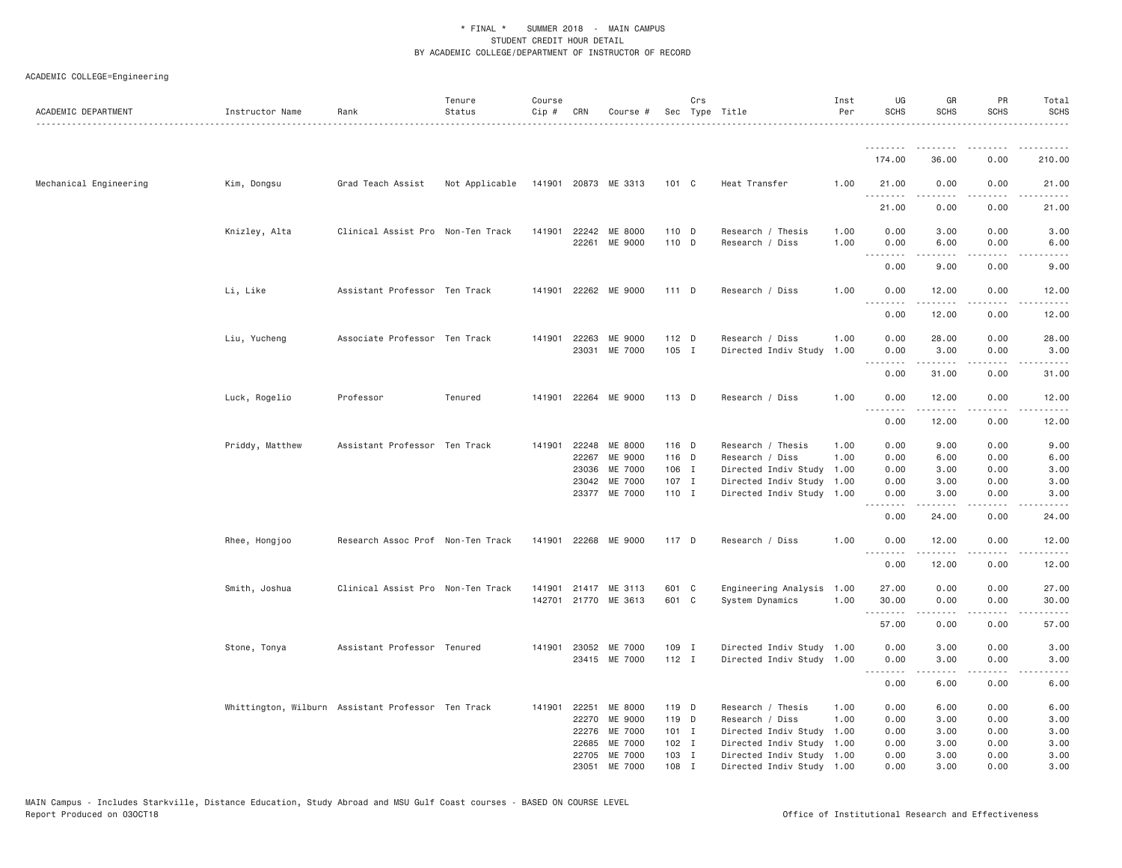| ACADEMIC DEPARTMENT    | Instructor Name | Rank                                               | Tenure<br>Status | Course<br>Cip # CRN |              | Course #                              |                | Crs          | Sec Type Title                          | Inst<br>Per  | UG<br><b>SCHS</b> | GR<br><b>SCHS</b>   | PR<br>SCHS            | Total<br><b>SCHS</b>                                                                                                              |
|------------------------|-----------------|----------------------------------------------------|------------------|---------------------|--------------|---------------------------------------|----------------|--------------|-----------------------------------------|--------------|-------------------|---------------------|-----------------------|-----------------------------------------------------------------------------------------------------------------------------------|
|                        |                 |                                                    |                  |                     |              |                                       |                |              |                                         |              | <u>.</u>          |                     |                       |                                                                                                                                   |
|                        |                 |                                                    |                  |                     |              |                                       |                |              |                                         |              | 174.00            | 36.00               | 0.00                  | 210.00                                                                                                                            |
| Mechanical Engineering | Kim, Dongsu     | Grad Teach Assist                                  | Not Applicable   |                     |              | 141901 20873 ME 3313                  | 101 C          |              | Heat Transfer                           | 1.00         | 21.00<br>.        | 0.00<br>$- - - - -$ | 0.00<br>$\frac{1}{2}$ | 21.00<br>.                                                                                                                        |
|                        |                 |                                                    |                  |                     |              |                                       |                |              |                                         |              | 21.00             | 0.00                | 0.00                  | 21.00                                                                                                                             |
|                        | Knizley, Alta   | Clinical Assist Pro Non-Ten Track                  |                  |                     |              | 141901 22242 ME 8000<br>22261 ME 9000 | 110 D<br>110 D |              | Research / Thesis<br>Research / Diss    | 1.00<br>1.00 | 0.00<br>0.00<br>. | 3.00<br>6.00        | 0.00<br>0.00<br>.     | 3.00<br>6.00                                                                                                                      |
|                        |                 |                                                    |                  |                     |              |                                       |                |              |                                         |              | 0.00              | 9,00                | 0.00                  | 9.00                                                                                                                              |
|                        | Li, Like        | Assistant Professor Ten Track                      |                  |                     |              | 141901 22262 ME 9000                  | 111 D          |              | Research / Diss                         | 1.00         | 0.00              | 12.00               | 0.00                  | 12.00                                                                                                                             |
|                        |                 |                                                    |                  |                     |              |                                       |                |              |                                         |              | 0.00              | 12.00               | 0.00                  | 12.00                                                                                                                             |
|                        | Liu, Yucheng    | Associate Professor Ten Track                      |                  |                     | 141901 22263 | ME 9000<br>23031 ME 7000              | 112 D<br>105 I |              | Research / Diss<br>Directed Indiv Study | 1.00<br>1.00 | 0.00<br>0.00      | 28.00<br>3.00       | 0.00<br>0.00          | 28.00<br>3.00                                                                                                                     |
|                        |                 |                                                    |                  |                     |              |                                       |                |              |                                         |              | .<br>0.00         | .<br>31.00          | .<br>0.00             | .<br>31.00                                                                                                                        |
|                        | Luck, Rogelio   | Professor                                          | Tenured          |                     |              | 141901 22264 ME 9000                  | 113 D          |              | Research / Diss                         | 1.00         | 0.00              | 12.00               | 0.00                  | 12.00                                                                                                                             |
|                        |                 |                                                    |                  |                     |              |                                       |                |              |                                         |              | .<br>0.00         | 12.00               | 0.00                  | 12.00                                                                                                                             |
|                        | Priddy, Matthew | Assistant Professor Ten Track                      |                  |                     | 141901 22248 | ME 8000                               | 116 D          |              | Research / Thesis                       | 1.00         | 0.00              | 9.00                | 0.00                  | 9.00                                                                                                                              |
|                        |                 |                                                    |                  |                     | 22267        | ME 9000                               | 116 D          |              | Research / Diss                         | 1.00         | 0.00              | 6.00                | 0.00                  | 6.00                                                                                                                              |
|                        |                 |                                                    |                  |                     | 23036        | ME 7000                               | 106 I          |              | Directed Indiv Study 1.00               |              | 0.00              | 3.00                | 0.00                  | 3.00                                                                                                                              |
|                        |                 |                                                    |                  |                     |              | 23042 ME 7000                         | 107 I          |              | Directed Indiv Study 1.00               |              | 0.00              | 3.00                | 0.00                  | 3.00                                                                                                                              |
|                        |                 |                                                    |                  |                     |              | 23377 ME 7000                         | 110 I          |              | Directed Indiv Study 1.00               |              | 0.00<br>.         | 3.00                | 0.00                  | 3.00                                                                                                                              |
|                        |                 |                                                    |                  |                     |              |                                       |                |              |                                         |              | 0.00              | 24.00               | 0.00                  | 24.00                                                                                                                             |
|                        | Rhee, Hongjoo   | Research Assoc Prof Non-Ten Track                  |                  |                     |              | 141901 22268 ME 9000                  | 117 D          |              | Research / Diss                         | 1.00         | 0.00<br>.         | 12.00<br>.          | 0.00<br>.             | 12.00<br>.                                                                                                                        |
|                        |                 |                                                    |                  |                     |              |                                       |                |              |                                         |              | 0.00              | 12.00               | 0.00                  | 12.00                                                                                                                             |
|                        | Smith, Joshua   | Clinical Assist Pro Non-Ten Track                  |                  | 141901              |              | 21417 ME 3113                         | 601 C          |              | Engineering Analysis 1.00               |              | 27.00             | 0.00                | 0.00                  | 27.00                                                                                                                             |
|                        |                 |                                                    |                  |                     |              | 142701 21770 ME 3613                  | 601 C          |              | System Dynamics                         | 1.00         | 30.00<br>.        | 0.00                | 0.00                  | 30.00                                                                                                                             |
|                        |                 |                                                    |                  |                     |              |                                       |                |              |                                         |              | 57.00             | 0.00                | 0.00                  | 57.00                                                                                                                             |
|                        | Stone, Tonya    | Assistant Professor Tenured                        |                  |                     |              | 141901 23052 ME 7000                  | 109 I          |              | Directed Indiv Study 1.00               |              | 0.00              | 3.00                | 0.00                  | 3.00                                                                                                                              |
|                        |                 |                                                    |                  |                     |              | 23415 ME 7000                         | $112$ I        |              | Directed Indiv Study 1.00               |              | 0.00<br>.         | 3.00<br>2.2.2.2.2   | 0.00<br>د د د د       | 3.00<br>$\frac{1}{2} \left( \frac{1}{2} \right) \left( \frac{1}{2} \right) \left( \frac{1}{2} \right) \left( \frac{1}{2} \right)$ |
|                        |                 |                                                    |                  |                     |              |                                       |                |              |                                         |              | 0.00              | 6.00                | 0.00                  | 6.00                                                                                                                              |
|                        |                 | Whittington, Wilburn Assistant Professor Ten Track |                  | 141901              | 22251        | ME 8000                               | 119 D          |              | Research / Thesis                       | 1.00         | 0.00              | 6.00                | 0.00                  | 6.00                                                                                                                              |
|                        |                 |                                                    |                  |                     | 22270        | ME 9000                               | 119 D          |              | Research / Diss                         | 1.00         | 0.00              | 3.00                | 0.00                  | 3.00                                                                                                                              |
|                        |                 |                                                    |                  |                     | 22276        | ME 7000                               | 101 I          |              | Directed Indiv Study 1.00               |              | 0.00              | 3.00                | 0.00                  | 3.00                                                                                                                              |
|                        |                 |                                                    |                  |                     | 22685        | ME 7000                               | 102 I          |              | Directed Indiv Study                    | 1.00         | 0.00              | 3.00                | 0.00                  | 3.00                                                                                                                              |
|                        |                 |                                                    |                  |                     |              | 22705 ME 7000                         | 103 I          |              | Directed Indiv Study 1.00               |              | 0.00              | 3.00                | 0.00                  | 3.00                                                                                                                              |
|                        |                 |                                                    |                  |                     | 23051        | ME 7000                               | 108            | $\mathbf{I}$ | Directed Indiv Study 1.00               |              | 0.00              | 3,00                | 0.00                  | 3,00                                                                                                                              |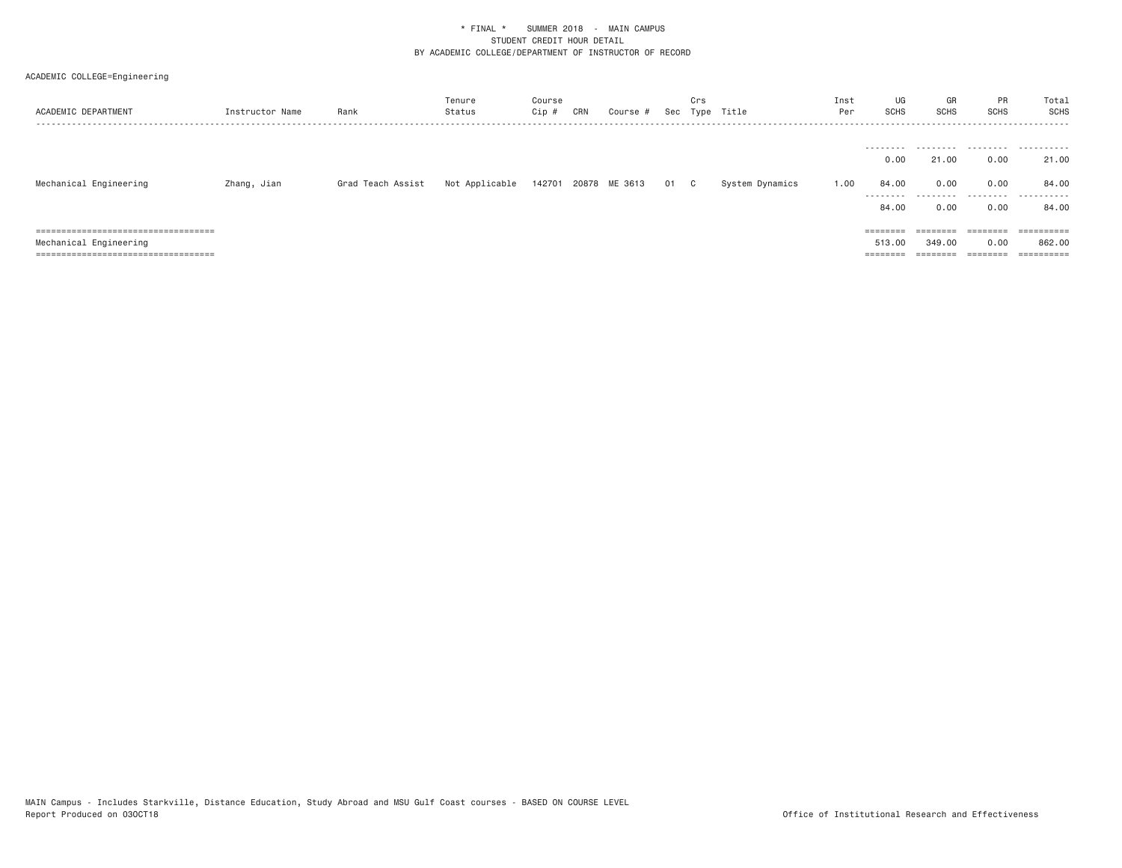| ACADEMIC DEPARTMENT                                                          | Instructor Name | Rank              | Tenure<br>Status | Course<br>Cip # | CRN | Course #      |      | Crs | Sec Type Title  | Inst<br>Per | UG<br><b>SCHS</b>  | GR<br>SCHS           | PR<br><b>SCHS</b>                                                       | Total<br>SCHS  |
|------------------------------------------------------------------------------|-----------------|-------------------|------------------|-----------------|-----|---------------|------|-----|-----------------|-------------|--------------------|----------------------|-------------------------------------------------------------------------|----------------|
|                                                                              |                 |                   |                  |                 |     |               |      |     |                 |             | --------           | ---------            |                                                                         |                |
|                                                                              |                 |                   |                  |                 |     |               |      |     |                 |             | 0.00               | 21.00                | 0.00                                                                    | 21.00          |
| Mechanical Engineering                                                       | Zhang, Jian     | Grad Teach Assist | Not Applicable   | 142701          |     | 20878 ME 3613 | 01 C |     | System Dynamics | 1.00        | 84.00              | 0.00                 | 0.00                                                                    | 84.00          |
|                                                                              |                 |                   |                  |                 |     |               |      |     |                 |             | ---------<br>84.00 | ---------<br>0.00    | .<br>0.00                                                               | .<br>84.00     |
| ------------------------------------<br>------------------------------------ |                 |                   |                  |                 |     |               |      |     |                 |             | ========           | --------<br>-------- | --------<br>--------                                                    | $=$ ========== |
| Mechanical Engineering                                                       |                 |                   |                  |                 |     |               |      |     |                 |             | 513.00             | 349,00               | 0.00                                                                    | 862.00         |
| =====================================                                        |                 |                   |                  |                 |     |               |      |     |                 |             | ========           | ========             | $\qquad \qquad \equiv \equiv \equiv \equiv \equiv \equiv \equiv \equiv$ | ==========     |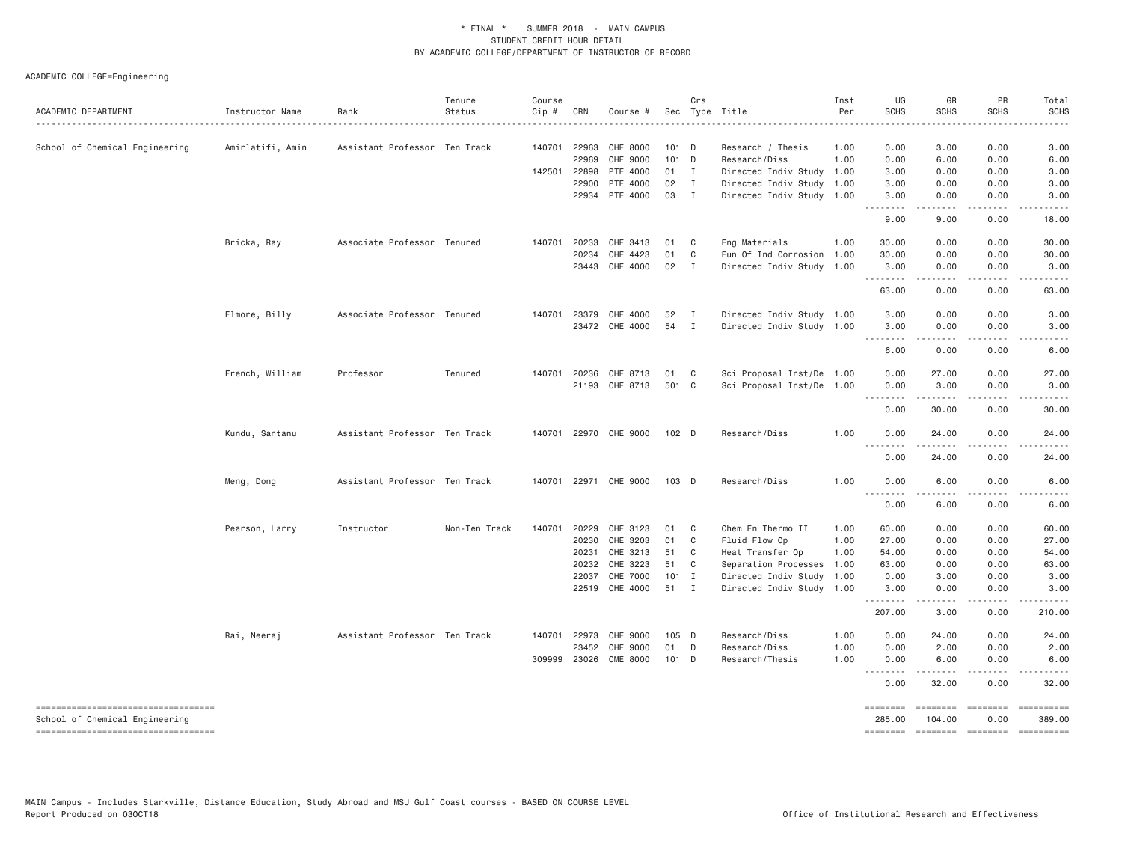| ACADEMIC DEPARTMENT                                                  | Instructor Name  | Rank                          | Tenure<br>Status | Course<br>$Cip$ # | CRN            | Course #              |               | Crs          | Sec Type Title                                    | Inst<br>Per | UG<br><b>SCHS</b>  | GR<br>SCHS                                                                                                                                                   | PR<br><b>SCHS</b>         | Total<br><b>SCHS</b> |
|----------------------------------------------------------------------|------------------|-------------------------------|------------------|-------------------|----------------|-----------------------|---------------|--------------|---------------------------------------------------|-------------|--------------------|--------------------------------------------------------------------------------------------------------------------------------------------------------------|---------------------------|----------------------|
| School of Chemical Engineering                                       | Amirlatifi, Amin | Assistant Professor Ten Track |                  | 140701            | 22963          | CHE 8000              | $101$ D       |              | Research / Thesis                                 | 1.00        | 0.00               | 3.00                                                                                                                                                         | 0.00                      | 3.00                 |
|                                                                      |                  |                               |                  |                   | 22969          | CHE 9000              | 101 D         |              | Research/Diss                                     | 1.00        | 0.00               | 6.00                                                                                                                                                         | 0.00                      | 6.00                 |
|                                                                      |                  |                               |                  |                   | 142501 22898   | PTE 4000              | 01 I          |              | Directed Indiv Study 1.00                         |             | 3.00               | 0.00                                                                                                                                                         | 0.00                      | 3.00                 |
|                                                                      |                  |                               |                  |                   | 22900          | PTE 4000              | 02 I          |              | Directed Indiv Study 1.00                         |             | 3.00               | 0.00                                                                                                                                                         | 0.00                      | 3.00                 |
|                                                                      |                  |                               |                  |                   |                | 22934 PTE 4000        | 03 I          |              | Directed Indiv Study 1.00                         |             | 3.00               | 0.00<br>-----                                                                                                                                                | 0.00                      | 3.00                 |
|                                                                      |                  |                               |                  |                   |                |                       |               |              |                                                   |             | 9.00               | 9.00                                                                                                                                                         | 0.00                      | 18.00                |
|                                                                      | Bricka, Ray      | Associate Professor Tenured   |                  |                   | 140701 20233   | CHE 3413              | 01            | $\mathbf{C}$ | Eng Materials                                     | 1.00        | 30.00              | 0.00                                                                                                                                                         | 0.00                      | 30.00                |
|                                                                      |                  |                               |                  |                   | 20234          | CHE 4423              | 01            | C            | Fun Of Ind Corrosion 1.00                         |             | 30.00              | 0.00                                                                                                                                                         | 0.00                      | 30.00                |
|                                                                      |                  |                               |                  |                   | 23443          | CHE 4000              | 02            | $\mathbf{I}$ | Directed Indiv Study 1.00                         |             | 3.00<br>.          | 0.00<br>$\sim$ $\sim$ $\sim$ $\sim$                                                                                                                          | 0.00                      | 3.00<br>.            |
|                                                                      |                  |                               |                  |                   |                |                       |               |              |                                                   |             | 63.00              | 0.00                                                                                                                                                         | 0.00                      | 63.00                |
|                                                                      | Elmore, Billy    | Associate Professor Tenured   |                  |                   | 140701 23379   | CHE 4000              | 52            | $\mathbf{I}$ | Directed Indiv Study 1.00                         |             | 3.00               | 0.00                                                                                                                                                         | 0.00                      | 3.00                 |
|                                                                      |                  |                               |                  |                   |                | 23472 CHE 4000        | 54            | $\mathbf{I}$ | Directed Indiv Study 1.00                         |             | 3.00<br>.          | 0.00<br>. <u>.</u> .                                                                                                                                         | 0.00<br>.                 | 3.00<br>$- - - - -$  |
|                                                                      |                  |                               |                  |                   |                |                       |               |              |                                                   |             | 6.00               | 0.00                                                                                                                                                         | 0.00                      | 6.00                 |
|                                                                      | French, William  | Professor                     | Tenured          | 140701            | 20236          | CHE 8713              | 01            | $\mathbf{C}$ | Sci Proposal Inst/De 1.00                         |             | 0.00               | 27.00                                                                                                                                                        | 0.00                      | 27.00                |
|                                                                      |                  |                               |                  |                   |                | 21193 CHE 8713        | 501 C         |              | Sci Proposal Inst/De 1.00                         |             | 0.00               | 3.00                                                                                                                                                         | 0.00                      | 3.00                 |
|                                                                      |                  |                               |                  |                   |                |                       |               |              |                                                   |             | .<br>0.00          | 30.00                                                                                                                                                        | 0.00                      | 30.00                |
|                                                                      | Kundu, Santanu   | Assistant Professor Ten Track |                  |                   |                | 140701 22970 CHE 9000 | 102 D         |              | Research/Diss                                     | 1.00        | 0.00<br>.          | 24.00                                                                                                                                                        | 0.00                      | 24.00                |
|                                                                      |                  |                               |                  |                   |                |                       |               |              |                                                   |             | 0.00               | 24.00                                                                                                                                                        | 0.00                      | 24.00                |
|                                                                      | Meng, Dong       | Assistant Professor Ten Track |                  |                   |                | 140701 22971 CHE 9000 | 103 D         |              | Research/Diss                                     | 1.00        | 0.00<br>.          | 6.00                                                                                                                                                         | 0.00                      | 6.00                 |
|                                                                      |                  |                               |                  |                   |                |                       |               |              |                                                   |             | 0.00               | 6.00                                                                                                                                                         | 0.00                      | 6.00                 |
|                                                                      | Pearson, Larry   | Instructor                    | Non-Ten Track    |                   | 140701 20229   | CHE 3123              | 01            | $\mathbf{C}$ | Chem En Thermo II                                 | 1.00        | 60.00              | 0.00                                                                                                                                                         | 0.00                      | 60.00                |
|                                                                      |                  |                               |                  |                   | 20230          | CHE 3203              | 01            | C            | Fluid Flow Op                                     | 1.00        | 27.00              | 0.00                                                                                                                                                         | 0.00                      | 27.00                |
|                                                                      |                  |                               |                  |                   | 20231          | CHE 3213              | 51            | $\mathbf{C}$ | Heat Transfer Op                                  | 1.00        | 54.00              | 0.00                                                                                                                                                         | 0.00                      | 54.00                |
|                                                                      |                  |                               |                  |                   | 20232<br>22037 | CHE 3223<br>CHE 7000  | 51<br>$101$ I | $\mathbf{C}$ | Separation Processes<br>Directed Indiv Study 1.00 | 1.00        | 63.00<br>0.00      | 0.00<br>3.00                                                                                                                                                 | 0.00<br>0.00              | 63.00<br>3.00        |
|                                                                      |                  |                               |                  |                   |                | 22519 CHE 4000        | 51 I          |              | Directed Indiv Study 1.00                         |             | 3.00               | 0.00                                                                                                                                                         | 0.00                      | 3.00                 |
|                                                                      |                  |                               |                  |                   |                |                       |               |              |                                                   |             | .<br>207.00        | $\frac{1}{2} \left( \frac{1}{2} \right) \left( \frac{1}{2} \right) \left( \frac{1}{2} \right) \left( \frac{1}{2} \right) \left( \frac{1}{2} \right)$<br>3.00 | .<br>0.00                 | .<br>210.00          |
|                                                                      | Rai, Neeraj      | Assistant Professor Ten Track |                  |                   | 140701 22973   | CHE 9000              | 105 D         |              | Research/Diss                                     | 1.00        | 0.00               | 24.00                                                                                                                                                        | 0.00                      | 24.00                |
|                                                                      |                  |                               |                  |                   | 23452          | CHE 9000              | 01            | D            | Research/Diss                                     | 1.00        | 0.00               | 2.00                                                                                                                                                         | 0.00                      | 2.00                 |
|                                                                      |                  |                               |                  | 309999            | 23026          | <b>CME 8000</b>       | 101 D         |              | Research/Thesis                                   | 1.00        | 0.00               | 6.00                                                                                                                                                         | 0.00                      | 6.00                 |
|                                                                      |                  |                               |                  |                   |                |                       |               |              |                                                   |             | .<br>0.00          | 32.00                                                                                                                                                        | 0.00                      | 32.00                |
| ----------------------------------<br>School of Chemical Engineering |                  |                               |                  |                   |                |                       |               |              |                                                   |             | ========<br>285.00 | <b>ESSESSE</b><br>104.00                                                                                                                                     | <b>EXPERIENCE</b><br>0.00 | 389.00               |
| -----------------------------------                                  |                  |                               |                  |                   |                |                       |               |              |                                                   |             | ========           | $=$ ========                                                                                                                                                 | <b>EDEDEDED</b>           | $=$ ==========       |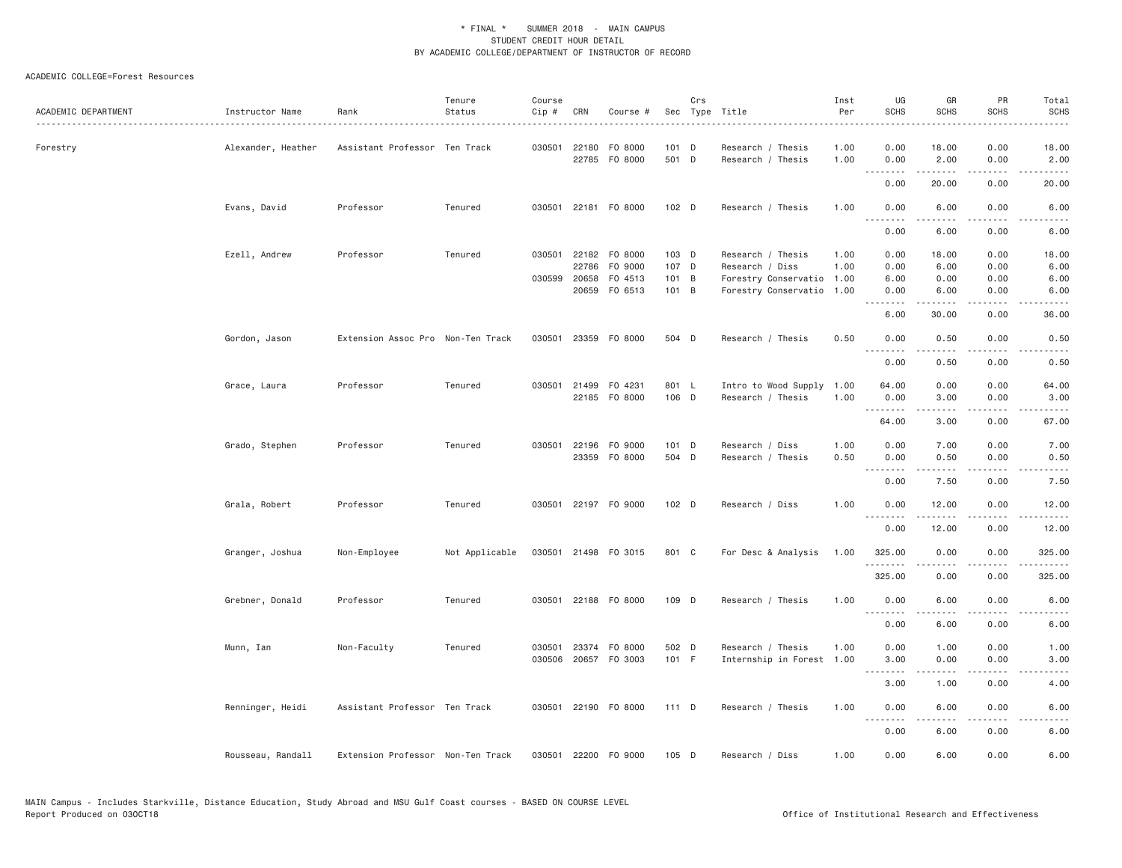#### ACADEMIC COLLEGE=Forest Resources

| ACADEMIC DEPARTMENT | Instructor Name    | Rank                              | Tenure<br>Status | Course<br>Cip # | CRN          | Course #                              |                | Crs | Sec Type Title                         | Inst<br>Per  | UG<br><b>SCHS</b> | GR<br><b>SCHS</b>                                                                                                                                                                                                                                                                                                                                                                                                                                                                      | PR<br><b>SCHS</b>                                                                                                                 | Total<br><b>SCHS</b>                                                                                                              |
|---------------------|--------------------|-----------------------------------|------------------|-----------------|--------------|---------------------------------------|----------------|-----|----------------------------------------|--------------|-------------------|----------------------------------------------------------------------------------------------------------------------------------------------------------------------------------------------------------------------------------------------------------------------------------------------------------------------------------------------------------------------------------------------------------------------------------------------------------------------------------------|-----------------------------------------------------------------------------------------------------------------------------------|-----------------------------------------------------------------------------------------------------------------------------------|
| Forestry            | Alexander, Heather | Assistant Professor Ten Track     |                  |                 |              | 030501 22180 F0 8000<br>22785 F0 8000 | 101 D<br>501 D |     | Research / Thesis<br>Research / Thesis | 1.00<br>1.00 | 0.00<br>0.00      | 18.00<br>2.00                                                                                                                                                                                                                                                                                                                                                                                                                                                                          | 0.00<br>0.00                                                                                                                      | 18.00<br>2.00                                                                                                                     |
|                     |                    |                                   |                  |                 |              |                                       |                |     |                                        |              | .<br>0.00         | .<br>20.00                                                                                                                                                                                                                                                                                                                                                                                                                                                                             | .<br>0.00                                                                                                                         | .<br>20.00                                                                                                                        |
|                     | Evans, David       | Professor                         | Tenured          |                 |              | 030501 22181 F0 8000                  | 102 D          |     | Research / Thesis                      | 1.00         | 0.00              | 6.00                                                                                                                                                                                                                                                                                                                                                                                                                                                                                   | 0.00                                                                                                                              | 6.00                                                                                                                              |
|                     |                    |                                   |                  |                 |              |                                       |                |     |                                        |              | .<br>0.00         | 6.00                                                                                                                                                                                                                                                                                                                                                                                                                                                                                   | 0.00                                                                                                                              | 6.00                                                                                                                              |
|                     | Ezell, Andrew      | Professor                         | Tenured          |                 |              | 030501 22182 F0 8000                  | $103$ D        |     | Research / Thesis                      | 1.00         | 0.00              | 18.00                                                                                                                                                                                                                                                                                                                                                                                                                                                                                  | 0.00                                                                                                                              | 18.00                                                                                                                             |
|                     |                    |                                   |                  |                 | 22786        | F0 9000                               | 107 D          |     | Research / Diss                        | 1.00         | 0.00              | 6.00                                                                                                                                                                                                                                                                                                                                                                                                                                                                                   | 0.00                                                                                                                              | 6.00                                                                                                                              |
|                     |                    |                                   |                  |                 | 030599 20658 | F0 4513                               | 101 B          |     | Forestry Conservatio                   | 1.00         | 6.00              | 0.00                                                                                                                                                                                                                                                                                                                                                                                                                                                                                   | 0.00                                                                                                                              | 6.00                                                                                                                              |
|                     |                    |                                   |                  |                 |              | 20659 FO 6513                         | 101 B          |     | Forestry Conservatio                   | 1.00         | 0.00              | 6.00<br>.                                                                                                                                                                                                                                                                                                                                                                                                                                                                              | 0.00<br>$- - - -$                                                                                                                 | 6.00<br>$\frac{1}{2}$                                                                                                             |
|                     |                    |                                   |                  |                 |              |                                       |                |     |                                        |              | 6.00              | 30.00                                                                                                                                                                                                                                                                                                                                                                                                                                                                                  | 0.00                                                                                                                              | 36.00                                                                                                                             |
|                     | Gordon, Jason      | Extension Assoc Pro Non-Ten Track |                  |                 |              | 030501 23359 F0 8000                  | 504 D          |     | Research / Thesis                      | 0.50         | 0.00<br>.         | 0.50<br>$\frac{1}{2} \left( \frac{1}{2} \right) \left( \frac{1}{2} \right) \left( \frac{1}{2} \right) \left( \frac{1}{2} \right) \left( \frac{1}{2} \right) \left( \frac{1}{2} \right)$                                                                                                                                                                                                                                                                                                | 0.00<br>$- - - -$                                                                                                                 | 0.50<br>$\frac{1}{2} \left( \frac{1}{2} \right) \left( \frac{1}{2} \right) \left( \frac{1}{2} \right) \left( \frac{1}{2} \right)$ |
|                     |                    |                                   |                  |                 |              |                                       |                |     |                                        |              | 0.00              | 0.50                                                                                                                                                                                                                                                                                                                                                                                                                                                                                   | 0.00                                                                                                                              | 0.50                                                                                                                              |
|                     | Grace, Laura       | Professor                         | Tenured          |                 |              | 030501 21499 F0 4231                  | 801 L          |     | Intro to Wood Supply                   | 1.00         | 64.00             | 0.00                                                                                                                                                                                                                                                                                                                                                                                                                                                                                   | 0.00                                                                                                                              | 64.00                                                                                                                             |
|                     |                    |                                   |                  |                 |              | 22185 FO 8000                         | 106 D          |     | Research / Thesis                      | 1.00         | 0.00              | 3.00                                                                                                                                                                                                                                                                                                                                                                                                                                                                                   | 0.00                                                                                                                              | 3.00                                                                                                                              |
|                     |                    |                                   |                  |                 |              |                                       |                |     |                                        |              | .                 | .                                                                                                                                                                                                                                                                                                                                                                                                                                                                                      | $\frac{1}{2} \left( \frac{1}{2} \right) \left( \frac{1}{2} \right) \left( \frac{1}{2} \right) \left( \frac{1}{2} \right)$         | .                                                                                                                                 |
|                     |                    |                                   |                  |                 |              |                                       |                |     |                                        |              | 64.00             | 3.00                                                                                                                                                                                                                                                                                                                                                                                                                                                                                   | 0.00                                                                                                                              | 67.00                                                                                                                             |
|                     | Grado, Stephen     | Professor                         | Tenured          |                 |              | 030501 22196 F0 9000                  | 101 D          |     | Research / Diss                        | 1.00         | 0.00              | 7.00                                                                                                                                                                                                                                                                                                                                                                                                                                                                                   | 0.00                                                                                                                              | 7.00                                                                                                                              |
|                     |                    |                                   |                  |                 |              | 23359 F0 8000                         | 504 D          |     | Research / Thesis                      | 0.50         | 0.00              | 0.50                                                                                                                                                                                                                                                                                                                                                                                                                                                                                   | 0.00                                                                                                                              | 0.50                                                                                                                              |
|                     |                    |                                   |                  |                 |              |                                       |                |     |                                        |              | .                 | .                                                                                                                                                                                                                                                                                                                                                                                                                                                                                      | $\frac{1}{2} \left( \frac{1}{2} \right) \left( \frac{1}{2} \right) \left( \frac{1}{2} \right) \left( \frac{1}{2} \right)$         | $- - - -$                                                                                                                         |
|                     |                    |                                   |                  |                 |              |                                       |                |     |                                        |              | 0.00              | 7.50                                                                                                                                                                                                                                                                                                                                                                                                                                                                                   | 0.00                                                                                                                              | 7.50                                                                                                                              |
|                     |                    |                                   |                  |                 |              |                                       |                |     |                                        |              |                   |                                                                                                                                                                                                                                                                                                                                                                                                                                                                                        |                                                                                                                                   |                                                                                                                                   |
|                     | Grala, Robert      | Professor                         | Tenured          |                 |              | 030501 22197 F0 9000                  | $102$ D        |     | Research / Diss                        | 1.00         | 0.00<br>.         | 12.00                                                                                                                                                                                                                                                                                                                                                                                                                                                                                  | 0.00                                                                                                                              | 12.00                                                                                                                             |
|                     |                    |                                   |                  |                 |              |                                       |                |     |                                        |              | 0.00              | 12.00                                                                                                                                                                                                                                                                                                                                                                                                                                                                                  | 0.00                                                                                                                              | 12.00                                                                                                                             |
|                     | Granger, Joshua    | Non-Employee                      | Not Applicable   |                 |              | 030501 21498 FO 3015                  | 801 C          |     | For Desc & Analysis                    | 1.00         | 325.00            | 0.00                                                                                                                                                                                                                                                                                                                                                                                                                                                                                   | 0.00                                                                                                                              | 325.00                                                                                                                            |
|                     |                    |                                   |                  |                 |              |                                       |                |     |                                        |              | .                 | - - - - -                                                                                                                                                                                                                                                                                                                                                                                                                                                                              | $\cdots$                                                                                                                          |                                                                                                                                   |
|                     |                    |                                   |                  |                 |              |                                       |                |     |                                        |              | 325.00            | 0.00                                                                                                                                                                                                                                                                                                                                                                                                                                                                                   | 0.00                                                                                                                              | 325.00                                                                                                                            |
|                     | Grebner, Donald    | Professor                         | Tenured          |                 |              | 030501 22188 F0 8000                  | 109 D          |     | Research / Thesis                      | 1.00         | 0.00<br>.         | 6.00<br>$- - - - -$                                                                                                                                                                                                                                                                                                                                                                                                                                                                    | 0.00<br>$\sim$ $\sim$ $\sim$                                                                                                      | 6.00                                                                                                                              |
|                     |                    |                                   |                  |                 |              |                                       |                |     |                                        |              | 0.00              | 6.00                                                                                                                                                                                                                                                                                                                                                                                                                                                                                   | 0.00                                                                                                                              | 6.00                                                                                                                              |
|                     | Munn, Ian          | Non-Faculty                       | Tenured          | 030501          |              | 23374 F0 8000                         | 502 D          |     | Research / Thesis                      | 1.00         | 0.00              | 1.00                                                                                                                                                                                                                                                                                                                                                                                                                                                                                   | 0.00                                                                                                                              | 1.00                                                                                                                              |
|                     |                    |                                   |                  |                 |              | 030506 20657 F0 3003                  | 101 F          |     | Internship in Forest 1.00              |              | 3.00              | 0.00                                                                                                                                                                                                                                                                                                                                                                                                                                                                                   | 0.00                                                                                                                              | 3.00                                                                                                                              |
|                     |                    |                                   |                  |                 |              |                                       |                |     |                                        |              | .                 | $\begin{array}{cccccccccccccc} \multicolumn{2}{c}{} & \multicolumn{2}{c}{} & \multicolumn{2}{c}{} & \multicolumn{2}{c}{} & \multicolumn{2}{c}{} & \multicolumn{2}{c}{} & \multicolumn{2}{c}{} & \multicolumn{2}{c}{} & \multicolumn{2}{c}{} & \multicolumn{2}{c}{} & \multicolumn{2}{c}{} & \multicolumn{2}{c}{} & \multicolumn{2}{c}{} & \multicolumn{2}{c}{} & \multicolumn{2}{c}{} & \multicolumn{2}{c}{} & \multicolumn{2}{c}{} & \multicolumn{2}{c}{} & \multicolumn{2}{c}{} & \$ | .                                                                                                                                 | $\frac{1}{2}$                                                                                                                     |
|                     |                    |                                   |                  |                 |              |                                       |                |     |                                        |              | 3.00              | 1.00                                                                                                                                                                                                                                                                                                                                                                                                                                                                                   | 0.00                                                                                                                              | 4.00                                                                                                                              |
|                     | Renninger, Heidi   | Assistant Professor Ten Track     |                  |                 |              | 030501 22190 F0 8000                  | 111 D          |     | Research / Thesis                      | 1.00         | 0.00              | 6.00                                                                                                                                                                                                                                                                                                                                                                                                                                                                                   | 0.00                                                                                                                              | 6.00                                                                                                                              |
|                     |                    |                                   |                  |                 |              |                                       |                |     |                                        |              | .<br>0.00         | .<br>6.00                                                                                                                                                                                                                                                                                                                                                                                                                                                                              | $\frac{1}{2} \left( \frac{1}{2} \right) \left( \frac{1}{2} \right) \left( \frac{1}{2} \right) \left( \frac{1}{2} \right)$<br>0.00 | 6.00                                                                                                                              |
|                     |                    |                                   |                  |                 |              |                                       |                |     |                                        |              |                   |                                                                                                                                                                                                                                                                                                                                                                                                                                                                                        |                                                                                                                                   |                                                                                                                                   |
|                     | Rousseau, Randall  | Extension Professor Non-Ten Track |                  |                 |              | 030501 22200 F0 9000                  | 105 D          |     | Research / Diss                        | 1.00         | 0.00              | 6.00                                                                                                                                                                                                                                                                                                                                                                                                                                                                                   | 0.00                                                                                                                              | 6.00                                                                                                                              |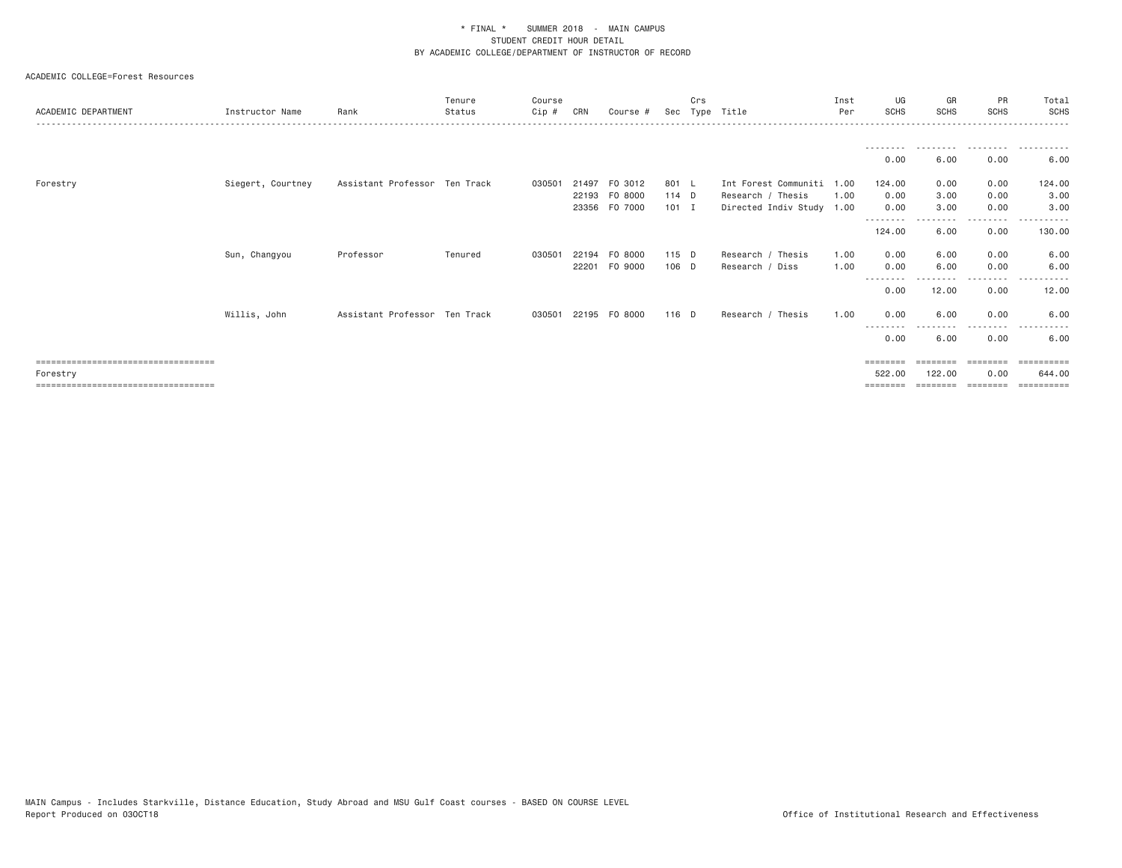#### ACADEMIC COLLEGE=Forest Resources

| ACADEMIC DEPARTMENT                                                                        | Instructor Name   | Rank                          | Tenure<br>Status | Course<br>Cip # | CRN            | Course #                            | Sec                       | Crs | Type Title                                                                  | Inst<br>Per | UG<br><b>SCHS</b>                               | GR<br><b>SCHS</b>    | <b>PR</b><br><b>SCHS</b>             | Total<br><b>SCHS</b>                                  |
|--------------------------------------------------------------------------------------------|-------------------|-------------------------------|------------------|-----------------|----------------|-------------------------------------|---------------------------|-----|-----------------------------------------------------------------------------|-------------|-------------------------------------------------|----------------------|--------------------------------------|-------------------------------------------------------|
|                                                                                            |                   |                               |                  |                 |                |                                     |                           |     |                                                                             |             | ---------<br>0.00                               | .<br>6.00            | .<br>0.00                            | .<br>6.00                                             |
| Forestry                                                                                   | Siegert, Courtney | Assistant Professor Ten Track |                  | 030501          | 21497<br>22193 | FO 3012<br>F0 8000<br>23356 FO 7000 | 801 L<br>114 D<br>$101$ I |     | Int Forest Communiti 1.00<br>Research / Thesis<br>Directed Indiv Study 1.00 | 1.00        | 124.00<br>0.00<br>0.00<br>--------              | 0.00<br>3.00<br>3.00 | 0.00<br>0.00<br>0.00<br>- - - -      | 124.00<br>3.00<br>3.00                                |
|                                                                                            | Sun, Changyou     | Professor                     | Tenured          | 030501          | 22194          | F0 8000                             | 115 D                     |     | Research / Thesis                                                           | 1.00        | 124.00<br>0.00                                  | 6.00<br>6.00         | 0.00<br>0.00                         | 130.00<br>6.00                                        |
|                                                                                            |                   |                               |                  |                 | 22201          | F0 9000                             | 106 D                     |     | Research / Diss                                                             | 1.00        | 0.00<br>0.00                                    | 6.00<br>12.00        | 0.00<br>-----<br>0.00                | 6.00<br>12.00                                         |
|                                                                                            | Willis, John      | Assistant Professor Ten Track |                  | 030501          |                | 22195 FO 8000                       | 116 D                     |     | Research / Thesis                                                           | 1.00        | 0.00<br>--------                                | 6.00                 | 0.00<br>-----                        | 6.00                                                  |
| ====================================<br>Forestry<br>====================================== |                   |                               |                  |                 |                |                                     |                           |     |                                                                             |             | 0.00<br>$=$ = = = = = = =<br>522.00<br>======== | 6.00<br>122,00       | 0.00<br>========<br>0.00<br>======== | 6.00<br>$=$ = = = = = = = = =<br>644.00<br>========== |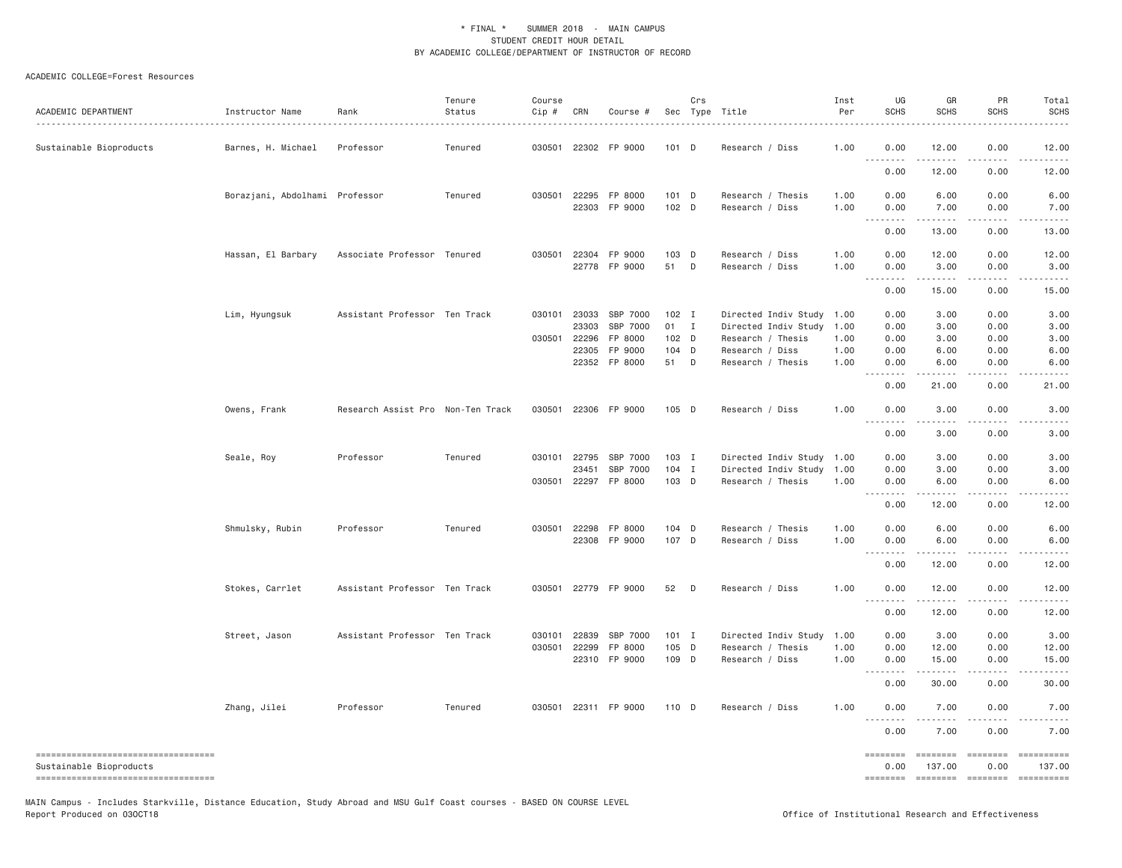#### ACADEMIC COLLEGE=Forest Resources

| ACADEMIC DEPARTMENT                                                                                    | Instructor Name                | Rank                              | Tenure<br>Status | Course<br>Cip #              | CRN            | Course #                                   |                                   | Crs          | Sec Type Title                                                                                 | Inst<br>Per          | UG<br><b>SCHS</b>            | GR<br><b>SCHS</b>            | PR<br><b>SCHS</b>            | Total<br><b>SCHS</b>                            |
|--------------------------------------------------------------------------------------------------------|--------------------------------|-----------------------------------|------------------|------------------------------|----------------|--------------------------------------------|-----------------------------------|--------------|------------------------------------------------------------------------------------------------|----------------------|------------------------------|------------------------------|------------------------------|-------------------------------------------------|
| Sustainable Bioproducts                                                                                | Barnes, H. Michael             | Professor                         | Tenured          | 030501                       |                | 22302 FP 9000                              | 101 D                             |              | Research / Diss                                                                                | 1.00                 | 0.00<br><u>.</u>             | 12.00                        | 0.00                         | 12.00                                           |
|                                                                                                        |                                |                                   |                  |                              |                |                                            |                                   |              |                                                                                                |                      | 0.00                         | 12.00                        | 0.00                         | 12.00                                           |
|                                                                                                        | Borazjani, Abdolhami Professor |                                   | Tenured          | 030501 22295                 |                | FP 8000<br>22303 FP 9000                   | 101 D<br>102 <sub>D</sub>         |              | Research / Thesis<br>Research / Diss                                                           | 1.00<br>1.00         | 0.00<br>0.00<br>.            | 6.00<br>7.00                 | 0.00<br>0.00<br>.            | 6.00<br>7.00                                    |
|                                                                                                        |                                |                                   |                  |                              |                |                                            |                                   |              |                                                                                                |                      | $\sim$ $\sim$ $\sim$<br>0.00 | 13.00                        | 0.00                         | 13.00                                           |
|                                                                                                        | Hassan, El Barbary             | Associate Professor Tenured       |                  |                              |                | 030501 22304 FP 9000<br>22778 FP 9000      | 103 D<br>51                       | $\mathsf{D}$ | Research / Diss<br>Research / Diss                                                             | 1.00<br>1.00         | 0.00<br>0.00                 | 12.00<br>3.00<br>.           | 0.00<br>0.00<br>.            | 12.00<br>3.00<br>.                              |
|                                                                                                        |                                |                                   |                  |                              |                |                                            |                                   |              |                                                                                                |                      | 0.00                         | 15.00                        | 0.00                         | 15.00                                           |
|                                                                                                        | Lim, Hyungsuk                  | Assistant Professor Ten Track     |                  | 030101 23033<br>030501 22296 | 23303<br>22305 | SBP 7000<br>SBP 7000<br>FP 8000<br>FP 9000 | $102$ I<br>01 I<br>102 D<br>104 D |              | Directed Indiv Study 1.00<br>Directed Indiv Study 1.00<br>Research / Thesis<br>Research / Diss | 1.00<br>1.00         | 0.00<br>0.00<br>0.00<br>0.00 | 3.00<br>3.00<br>3.00<br>6.00 | 0.00<br>0.00<br>0.00<br>0.00 | 3.00<br>3.00<br>3.00<br>6.00                    |
|                                                                                                        |                                |                                   |                  |                              |                | 22352 FP 8000                              | 51 D                              |              | Research / Thesis                                                                              | 1.00                 | 0.00<br>.                    | 6.00<br>$- - - - -$          | 0.00                         | 6.00                                            |
|                                                                                                        |                                |                                   |                  |                              |                |                                            |                                   |              |                                                                                                |                      | 0.00                         | 21.00                        | 0.00                         | 21.00                                           |
|                                                                                                        | Owens, Frank                   | Research Assist Pro Non-Ten Track |                  | 030501                       |                | 22306 FP 9000                              | 105 D                             |              | Research / Diss                                                                                | 1.00                 | 0.00<br><u>.</u>             | 3.00                         | 0.00                         | 3.00                                            |
|                                                                                                        |                                |                                   |                  |                              |                |                                            |                                   |              |                                                                                                |                      | 0.00                         | 3,00                         | 0.00                         | 3.00                                            |
|                                                                                                        | Seale, Roy                     | Professor                         | Tenured          | 030101 22795<br>030501       | 23451<br>22297 | SBP 7000<br>SBP 7000<br>FP 8000            | 103 I<br>104 I<br>103 D           |              | Directed Indiv Study 1.00<br>Directed Indiv Study 1.00<br>Research / Thesis                    | 1.00                 | 0.00<br>0.00<br>0.00         | 3.00<br>3.00<br>6.00         | 0.00<br>0.00<br>0.00         | 3.00<br>3.00<br>6.00                            |
|                                                                                                        |                                |                                   |                  |                              |                |                                            |                                   |              |                                                                                                |                      | .<br>0.00                    | .<br>12.00                   | .<br>0.00                    | 12.00                                           |
|                                                                                                        | Shmulsky, Rubin                | Professor                         | Tenured          | 030501                       | 22298          | FP 8000<br>22308 FP 9000                   | 104 D<br>107 D                    |              | Research / Thesis<br>Research / Diss                                                           | 1.00<br>1.00         | 0.00<br>0.00<br><u>.</u>     | 6.00<br>6.00<br>.            | 0.00<br>0.00                 | 6.00<br>6.00                                    |
|                                                                                                        |                                |                                   |                  |                              |                |                                            |                                   |              |                                                                                                |                      | 0.00                         | 12.00                        | 0.00                         | 12.00                                           |
|                                                                                                        | Stokes, Carrlet                | Assistant Professor Ten Track     |                  |                              |                | 030501 22779 FP 9000                       | 52                                | D            | Research / Diss                                                                                | 1.00                 | 0.00<br>.                    | 12.00<br>. <u>.</u> .        | 0.00                         | 12.00                                           |
|                                                                                                        |                                |                                   |                  |                              |                |                                            |                                   |              |                                                                                                |                      | 0.00                         | 12.00                        | 0.00                         | 12.00                                           |
|                                                                                                        | Street, Jason                  | Assistant Professor Ten Track     |                  | 030101<br>030501 22299       | 22839          | SBP 7000<br>FP 8000<br>22310 FP 9000       | $101$ I<br>105 D<br>109 D         |              | Directed Indiv Study<br>Research / Thesis<br>Research / Diss                                   | 1.00<br>1.00<br>1.00 | 0.00<br>0.00<br>0.00         | 3.00<br>12.00<br>15.00       | 0.00<br>0.00<br>0.00         | 3.00<br>12.00<br>15.00                          |
|                                                                                                        |                                |                                   |                  |                              |                |                                            |                                   |              |                                                                                                |                      | $\sim$ $\sim$ $\sim$         |                              |                              |                                                 |
|                                                                                                        | Zhang, Jilei                   | Professor                         | Tenured          |                              |                | 030501 22311 FP 9000                       | 110 D                             |              | Research / Diss                                                                                | 1.00                 | 0.00<br>0.00                 | 30.00<br>7.00                | 0.00<br>0.00                 | 30.00<br>7.00                                   |
|                                                                                                        |                                |                                   |                  |                              |                |                                            |                                   |              |                                                                                                |                      | .<br>0.00                    | 7.00                         | 0.00                         | 7.00                                            |
| ----------------------------------<br>Sustainable Bioproducts<br>------------------------------------- |                                |                                   |                  |                              |                |                                            |                                   |              |                                                                                                |                      | ========<br>0.00             | ========<br>137.00           | <b>EDEDEED</b><br>0.00       | 137.00<br>======== ======== ======== ========== |

MAIN Campus - Includes Starkville, Distance Education, Study Abroad and MSU Gulf Coast courses - BASED ON COURSE LEVEL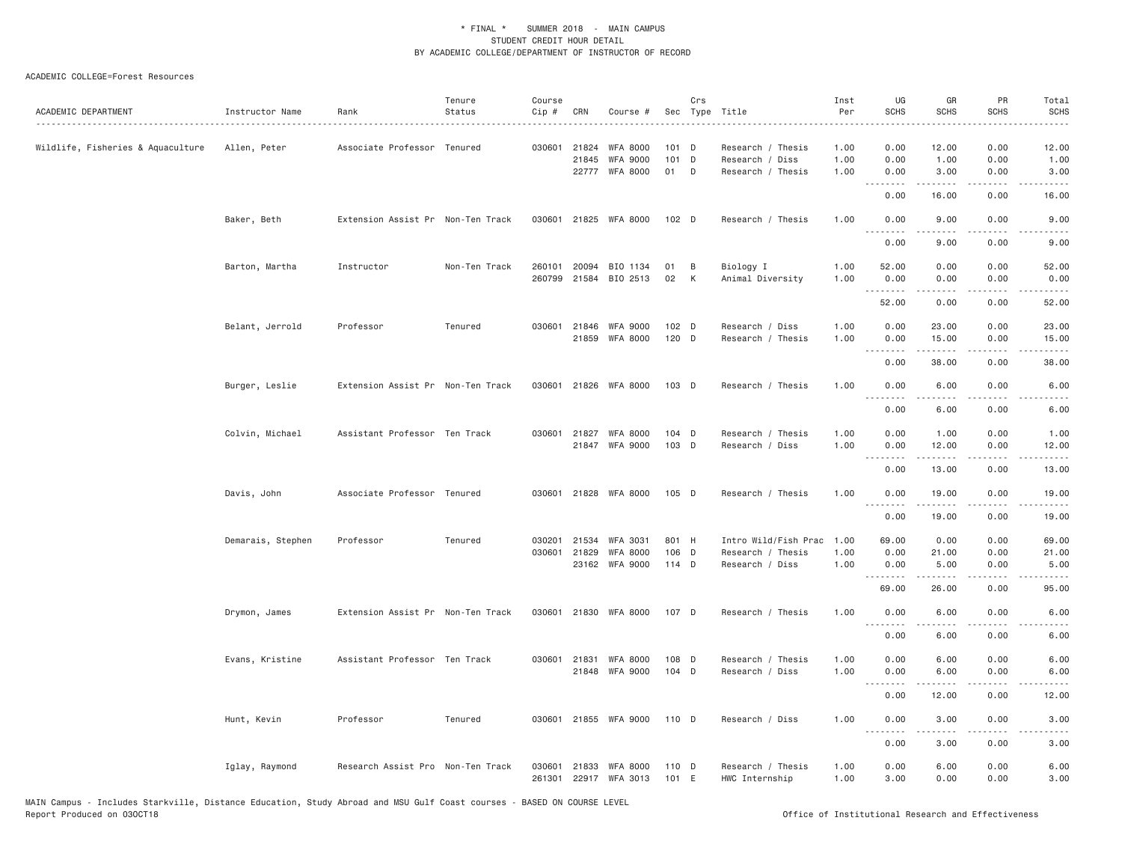#### ACADEMIC COLLEGE=Forest Resources

| ACADEMIC DEPARTMENT               | Instructor Name   | Rank                              | Tenure<br>Status | Course<br>Cip #  | CRN                   | Course #                                             |                      | Crs               | Sec Type Title                                            | Inst<br>Per<br>. <u>.</u> | UG<br><b>SCHS</b>    | GR<br><b>SCHS</b>       | PR<br><b>SCHS</b>    | Total<br><b>SCHS</b><br>$\frac{1}{2}$                                                                                             |
|-----------------------------------|-------------------|-----------------------------------|------------------|------------------|-----------------------|------------------------------------------------------|----------------------|-------------------|-----------------------------------------------------------|---------------------------|----------------------|-------------------------|----------------------|-----------------------------------------------------------------------------------------------------------------------------------|
| Wildlife, Fisheries & Aquaculture | Allen, Peter      | Associate Professor Tenured       |                  |                  | 030601 21824<br>21845 | <b>WFA 8000</b><br><b>WFA 9000</b><br>22777 WFA 8000 | $101$ D<br>101<br>01 | $\mathsf{D}$<br>D | Research / Thesis<br>Research / Diss<br>Research / Thesis | 1.00<br>1.00<br>1.00      | 0.00<br>0.00<br>0.00 | 12.00<br>1.00<br>3.00   | 0.00<br>0.00<br>0.00 | 12.00<br>1.00<br>3.00                                                                                                             |
|                                   |                   |                                   |                  |                  |                       |                                                      |                      |                   |                                                           |                           | 0.00                 | .<br>16.00              | .<br>0.00            | $\omega$ is $\omega$ in .<br>16.00                                                                                                |
|                                   | Baker, Beth       | Extension Assist Pr Non-Ten Track |                  |                  |                       | 030601 21825 WFA 8000                                | 102 D                |                   | Research / Thesis                                         | 1.00                      | 0.00<br>.            | 9.00<br>.               | 0.00<br>$- - - -$    | 9.00<br>$- - - -$                                                                                                                 |
|                                   |                   |                                   |                  |                  |                       |                                                      |                      |                   |                                                           |                           | 0.00                 | 9.00                    | 0.00                 | 9.00                                                                                                                              |
|                                   | Barton, Martha    | Instructor                        | Non-Ten Track    | 260101           | 20094                 | BIO 1134<br>260799 21584 BIO 2513                    | 01<br>02             | B<br>К            | Biology I<br>Animal Diversity                             | 1.00<br>1.00              | 52.00<br>0.00<br>.   | 0.00<br>0.00<br>.       | 0.00<br>0.00<br>.    | 52.00<br>0.00<br>.                                                                                                                |
|                                   |                   |                                   |                  |                  |                       |                                                      |                      |                   |                                                           |                           | 52.00                | 0.00                    | 0.00                 | 52.00                                                                                                                             |
|                                   | Belant, Jerrold   | Professor                         | Tenured          |                  |                       | 030601 21846 WFA 9000<br>21859 WFA 8000              | 102 D<br>120 D       |                   | Research / Diss<br>Research / Thesis                      | 1.00<br>1.00              | 0.00<br>0.00         | 23.00<br>15.00<br>.     | 0.00<br>0.00<br>.    | 23.00<br>15.00<br>.                                                                                                               |
|                                   |                   |                                   |                  |                  |                       |                                                      |                      |                   |                                                           |                           | 0.00                 | 38.00                   | 0.00                 | 38.00                                                                                                                             |
|                                   | Burger, Leslie    | Extension Assist Pr Non-Ten Track |                  | 030601           |                       | 21826 WFA 8000                                       | 103 D                |                   | Research / Thesis                                         | 1.00                      | 0.00<br>.            | 6.00<br>-----           | 0.00<br>.            | 6.00<br>$- - - -$                                                                                                                 |
|                                   |                   |                                   |                  |                  |                       |                                                      |                      |                   |                                                           |                           | 0.00                 | 6.00                    | 0.00                 | 6.00                                                                                                                              |
|                                   | Colvin, Michael   | Assistant Professor Ten Track     |                  |                  | 030601 21827          | <b>WFA 8000</b><br>21847 WFA 9000                    | $104$ D<br>103 D     |                   | Research / Thesis<br>Research / Diss                      | 1.00<br>1.00              | 0.00<br>0.00         | 1.00<br>12.00           | 0.00<br>0.00         | 1.00<br>12.00                                                                                                                     |
|                                   |                   |                                   |                  |                  |                       |                                                      |                      |                   |                                                           |                           | 0.00                 | .<br>13.00              | .<br>0.00            | .<br>13.00                                                                                                                        |
|                                   | Davis, John       | Associate Professor Tenured       |                  |                  |                       | 030601 21828 WFA 8000                                | 105 D                |                   | Research / Thesis                                         | 1.00                      | 0.00                 | 19.00                   | 0.00<br>.            | 19.00                                                                                                                             |
|                                   |                   |                                   |                  |                  |                       |                                                      |                      |                   |                                                           |                           | <b></b><br>0.00      | .<br>19.00              | 0.00                 | .<br>19.00                                                                                                                        |
|                                   | Demarais, Stephen | Professor                         | Tenured          | 030201           | 21534                 | <b>WFA 3031</b>                                      | 801 H                |                   | Intro Wild/Fish Prac                                      | 1.00                      | 69.00                | 0.00                    | 0.00                 | 69.00                                                                                                                             |
|                                   |                   |                                   |                  | 030601           | 21829                 | <b>WFA 8000</b>                                      | 106 D                |                   | Research / Thesis                                         | 1.00                      | 0.00                 | 21.00                   | 0.00                 | 21.00                                                                                                                             |
|                                   |                   |                                   |                  |                  |                       | 23162 WFA 9000                                       | 114 D                |                   | Research / Diss                                           | 1.00                      | 0.00<br>.            | 5.00                    | 0.00<br>$- - - -$    | 5.00<br>$\frac{1}{2} \left( \frac{1}{2} \right) \left( \frac{1}{2} \right) \left( \frac{1}{2} \right) \left( \frac{1}{2} \right)$ |
|                                   |                   |                                   |                  |                  |                       |                                                      |                      |                   |                                                           |                           | 69.00                | 26.00                   | 0.00                 | 95.00                                                                                                                             |
|                                   | Drymon, James     | Extension Assist Pr Non-Ten Track |                  |                  |                       | 030601 21830 WFA 8000                                | 107 D                |                   | Research / Thesis                                         | 1.00                      | 0.00<br><u>.</u>     | 6.00<br>.               | 0.00                 | 6.00                                                                                                                              |
|                                   |                   |                                   |                  |                  |                       |                                                      |                      |                   |                                                           |                           | 0.00                 | 6.00                    | 0.00                 | 6.00                                                                                                                              |
|                                   | Evans, Kristine   | Assistant Professor Ten Track     |                  |                  |                       | 030601 21831 WFA 8000                                | 108 D                |                   | Research / Thesis                                         | 1.00                      | 0.00                 | 6.00                    | 0.00                 | 6.00                                                                                                                              |
|                                   |                   |                                   |                  |                  |                       | 21848 WFA 9000                                       | 104 D                |                   | Research / Diss                                           | 1.00                      | 0.00<br><b></b>      | 6.00<br>$- - - - -$     | 0.00<br>.            | 6.00<br>.                                                                                                                         |
|                                   |                   |                                   |                  |                  |                       |                                                      |                      |                   |                                                           |                           | 0.00                 | 12.00                   | 0.00                 | 12.00                                                                                                                             |
|                                   | Hunt, Kevin       | Professor                         | Tenured          |                  |                       | 030601 21855 WFA 9000                                | 110 D                |                   | Research / Diss                                           | 1.00                      | 0.00<br>.            | 3.00<br>$2 - 2 - 2 - 2$ | 0.00<br>.            | 3.00<br>.                                                                                                                         |
|                                   |                   |                                   |                  |                  |                       |                                                      |                      |                   |                                                           |                           | 0.00                 | 3.00                    | 0.00                 | 3.00                                                                                                                              |
|                                   | Iglay, Raymond    | Research Assist Pro Non-Ten Track |                  | 030601<br>261301 |                       | 21833 WFA 8000<br>22917 WFA 3013                     | 110 D<br>101 E       |                   | Research / Thesis<br>HWC Internship                       | 1.00<br>1.00              | 0.00<br>3.00         | 6.00<br>0.00            | 0.00<br>0.00         | 6.00<br>3.00                                                                                                                      |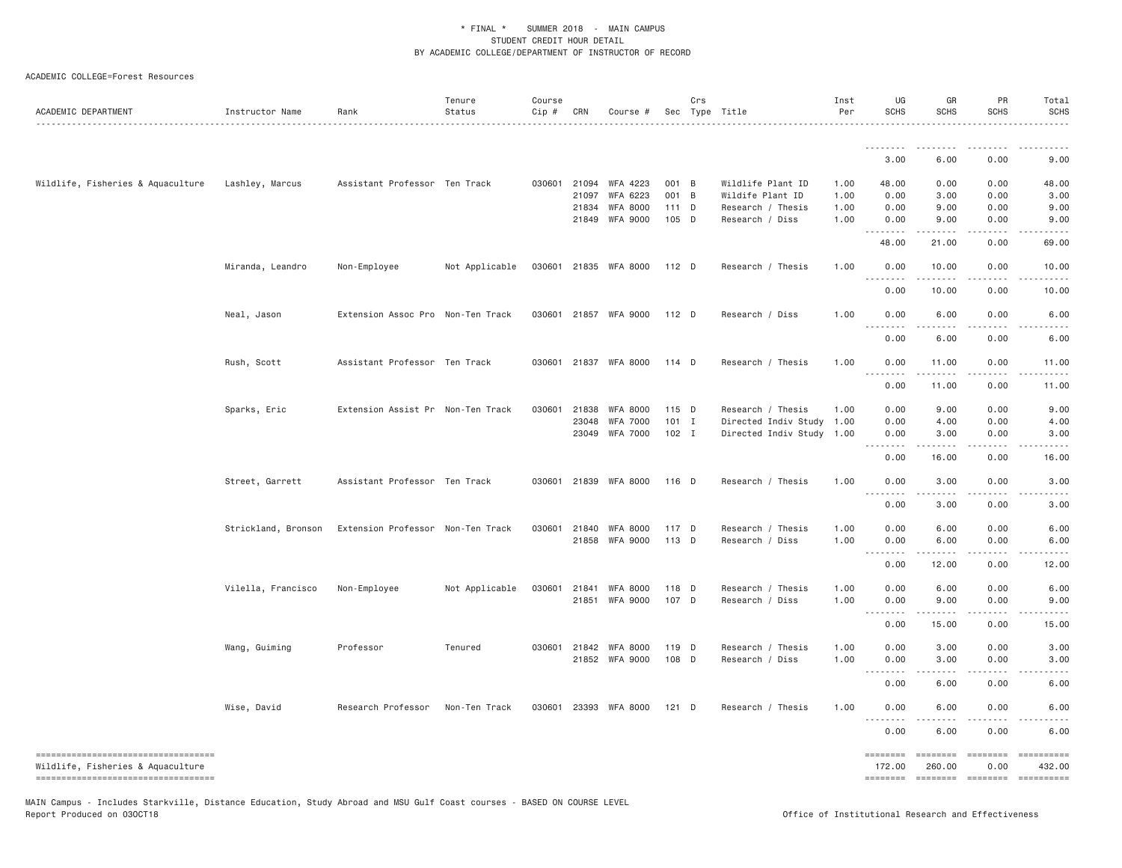#### ACADEMIC COLLEGE=Forest Resources

| ACADEMIC DEPARTMENT                                                     | Instructor Name     | Rank                              | Tenure<br>Status | Course<br>Cip # | CRN          | Course #                                |                | Crs | Sec Type Title                       | Inst<br>Per  | UG<br><b>SCHS</b>            | GR<br><b>SCHS</b>  | PR<br>SCHS           | Total<br><b>SCHS</b>                                                                                                                                                                                                                                                                                                                                                                                                                |
|-------------------------------------------------------------------------|---------------------|-----------------------------------|------------------|-----------------|--------------|-----------------------------------------|----------------|-----|--------------------------------------|--------------|------------------------------|--------------------|----------------------|-------------------------------------------------------------------------------------------------------------------------------------------------------------------------------------------------------------------------------------------------------------------------------------------------------------------------------------------------------------------------------------------------------------------------------------|
|                                                                         |                     |                                   |                  |                 |              |                                         |                |     |                                      |              |                              |                    |                      |                                                                                                                                                                                                                                                                                                                                                                                                                                     |
|                                                                         |                     |                                   |                  |                 |              |                                         |                |     |                                      |              | 3.00                         | 6.00               | 0.00                 | 9.00                                                                                                                                                                                                                                                                                                                                                                                                                                |
| Wildlife, Fisheries & Aquaculture                                       | Lashley, Marcus     | Assistant Professor Ten Track     |                  |                 |              | 030601 21094 WFA 4223                   | 001 B          |     | Wildlife Plant ID                    | 1.00         | 48.00                        | 0.00               | 0.00                 | 48.00                                                                                                                                                                                                                                                                                                                                                                                                                               |
|                                                                         |                     |                                   |                  |                 | 21097        | WFA 6223                                | 001 B          |     | Wildife Plant ID                     | 1.00         | 0.00                         | 3.00               | 0.00                 | 3.00                                                                                                                                                                                                                                                                                                                                                                                                                                |
|                                                                         |                     |                                   |                  |                 | 21834        | WFA 8000                                | 111 D          |     | Research / Thesis                    | 1.00         | 0.00                         | 9.00               | 0.00                 | 9.00                                                                                                                                                                                                                                                                                                                                                                                                                                |
|                                                                         |                     |                                   |                  |                 | 21849        | WFA 9000                                | 105 D          |     | Research / Diss                      | 1.00         | 0.00<br>.                    | 9.00<br>.          | 0.00                 | 9.00                                                                                                                                                                                                                                                                                                                                                                                                                                |
|                                                                         |                     |                                   |                  |                 |              |                                         |                |     |                                      |              | 48.00                        | 21.00              | 0.00                 | 69.00                                                                                                                                                                                                                                                                                                                                                                                                                               |
|                                                                         | Miranda, Leandro    | Non-Employee                      | Not Applicable   |                 |              | 030601 21835 WFA 8000                   | 112 D          |     | Research / Thesis                    | 1.00         | 0.00<br>$\sim$ $\sim$ $\sim$ | 10.00              | 0.00                 | 10.00                                                                                                                                                                                                                                                                                                                                                                                                                               |
|                                                                         |                     |                                   |                  |                 |              |                                         |                |     |                                      |              | 0.00                         | 10.00              | 0.00                 | 10.00                                                                                                                                                                                                                                                                                                                                                                                                                               |
|                                                                         | Neal, Jason         | Extension Assoc Pro Non-Ten Track |                  |                 |              | 030601 21857 WFA 9000                   | $112$ D        |     | Research / Diss                      | 1.00         | 0.00<br>$-$                  | 6.00               | 0.00                 | 6.00                                                                                                                                                                                                                                                                                                                                                                                                                                |
|                                                                         |                     |                                   |                  |                 |              |                                         |                |     |                                      |              | 0.00                         | 6.00               | 0.00                 | 6.00                                                                                                                                                                                                                                                                                                                                                                                                                                |
|                                                                         | Rush, Scott         | Assistant Professor Ten Track     |                  |                 |              | 030601 21837 WFA 8000                   | 114 D          |     | Research / Thesis                    | 1.00         | 0.00<br>$\sim$ $\sim$        | 11.00              | 0.00                 | 11.00                                                                                                                                                                                                                                                                                                                                                                                                                               |
|                                                                         |                     |                                   |                  |                 |              |                                         |                |     |                                      |              | 0.00                         | 11.00              | 0.00                 | 11.00                                                                                                                                                                                                                                                                                                                                                                                                                               |
|                                                                         | Sparks, Eric        | Extension Assist Pr Non-Ten Track |                  |                 | 030601 21838 | <b>WFA 8000</b>                         | 115 D          |     | Research / Thesis                    | 1.00         | 0.00                         | 9.00               | 0.00                 | 9.00                                                                                                                                                                                                                                                                                                                                                                                                                                |
|                                                                         |                     |                                   |                  |                 | 23048        | <b>WFA 7000</b>                         | $101$ I        |     | Directed Indiv Study 1.00            |              | 0.00                         | 4.00               | 0.00                 | 4.00                                                                                                                                                                                                                                                                                                                                                                                                                                |
|                                                                         |                     |                                   |                  |                 | 23049        | WFA 7000                                | $102$ I        |     | Directed Indiv Study 1.00            |              | 0.00<br><u>.</u>             | 3.00<br>.          | 0.00<br>.            | 3.00                                                                                                                                                                                                                                                                                                                                                                                                                                |
|                                                                         |                     |                                   |                  |                 |              |                                         |                |     |                                      |              | 0.00                         | 16.00              | 0.00                 | 16.00                                                                                                                                                                                                                                                                                                                                                                                                                               |
|                                                                         | Street, Garrett     | Assistant Professor Ten Track     |                  |                 | 030601 21839 | WFA 8000                                | 116 D          |     | Research / Thesis                    | 1.00         | 0.00<br>.                    | 3.00               | 0.00                 | 3.00                                                                                                                                                                                                                                                                                                                                                                                                                                |
|                                                                         |                     |                                   |                  |                 |              |                                         |                |     |                                      |              | 0.00                         | 3.00               | 0.00                 | 3.00                                                                                                                                                                                                                                                                                                                                                                                                                                |
|                                                                         | Strickland, Bronson | Extension Professor Non-Ten Track |                  |                 | 030601 21840 | WFA 8000                                | 117 D          |     | Research / Thesis                    | 1.00         | 0.00                         | 6.00               | 0.00                 | 6.00                                                                                                                                                                                                                                                                                                                                                                                                                                |
|                                                                         |                     |                                   |                  |                 |              | 21858 WFA 9000                          | 113 D          |     | Research / Diss                      | 1.00         | 0.00                         | 6.00               | 0.00                 | 6.00                                                                                                                                                                                                                                                                                                                                                                                                                                |
|                                                                         |                     |                                   |                  |                 |              |                                         |                |     |                                      |              | 1.1.1.1.1.1.1<br>0.00        | .<br>12.00         | .<br>0.00            | 12.00                                                                                                                                                                                                                                                                                                                                                                                                                               |
|                                                                         | Vilella, Francisco  | Non-Employee                      | Not Applicable   |                 | 030601 21841 | WFA 8000                                | 118 D          |     | Research / Thesis                    | 1.00         | 0.00                         | 6.00               | 0.00                 | 6.00                                                                                                                                                                                                                                                                                                                                                                                                                                |
|                                                                         |                     |                                   |                  |                 |              | 21851 WFA 9000                          | 107 D          |     | Research / Diss                      | 1.00         | 0.00                         | 9.00               | 0.00                 | 9.00                                                                                                                                                                                                                                                                                                                                                                                                                                |
|                                                                         |                     |                                   |                  |                 |              |                                         |                |     |                                      |              | $- - - - -$<br>0.00          | .<br>15.00         | .<br>0.00            | 15.00                                                                                                                                                                                                                                                                                                                                                                                                                               |
|                                                                         |                     |                                   | Tenured          |                 |              |                                         |                |     |                                      |              |                              |                    |                      |                                                                                                                                                                                                                                                                                                                                                                                                                                     |
|                                                                         | Wang, Guiming       | Professor                         |                  |                 |              | 030601 21842 WFA 8000<br>21852 WFA 9000 | 119 D<br>108 D |     | Research / Thesis<br>Research / Diss | 1.00<br>1.00 | 0.00<br>0.00                 | 3.00<br>3.00       | 0.00<br>0.00         | 3.00<br>3.00                                                                                                                                                                                                                                                                                                                                                                                                                        |
|                                                                         |                     |                                   |                  |                 |              |                                         |                |     |                                      |              | $\sim$ $\sim$ $\sim$<br>.    |                    |                      |                                                                                                                                                                                                                                                                                                                                                                                                                                     |
|                                                                         |                     |                                   |                  |                 |              |                                         |                |     |                                      |              | 0.00                         | 6.00               | 0.00                 | 6.00                                                                                                                                                                                                                                                                                                                                                                                                                                |
|                                                                         | Wise, David         | Research Professor                | Non-Ten Track    |                 | 030601 23393 | WFA 8000                                | $121$ D        |     | Research / Thesis                    | 1.00         | 0.00<br>.                    | 6.00               | 0.00                 | 6.00                                                                                                                                                                                                                                                                                                                                                                                                                                |
|                                                                         |                     |                                   |                  |                 |              |                                         |                |     |                                      |              | 0.00                         | 6.00               | 0.00                 | 6.00                                                                                                                                                                                                                                                                                                                                                                                                                                |
| ----------------------------------<br>Wildlife, Fisheries & Aquaculture |                     |                                   |                  |                 |              |                                         |                |     |                                      |              | <b>EEEEEEEE</b><br>172.00    | ========<br>260.00 | $=$ ========<br>0.00 | ==========<br>432,00                                                                                                                                                                                                                                                                                                                                                                                                                |
| ----------------------------------                                      |                     |                                   |                  |                 |              |                                         |                |     |                                      |              | ========                     |                    | --------- -------    | $\begin{minipage}{0.9\linewidth} \hspace*{-0.2cm} \textbf{1} & \textbf{2} & \textbf{3} & \textbf{5} & \textbf{6} & \textbf{7} & \textbf{8} \\ \textbf{1} & \textbf{2} & \textbf{3} & \textbf{5} & \textbf{6} & \textbf{7} & \textbf{8} & \textbf{8} \\ \textbf{3} & \textbf{4} & \textbf{5} & \textbf{5} & \textbf{6} & \textbf{7} & \textbf{8} & \textbf{8} \\ \textbf{5} & \textbf{5} & \textbf{6} & \textbf{7} & \textbf{8} & \$ |

MAIN Campus - Includes Starkville, Distance Education, Study Abroad and MSU Gulf Coast courses - BASED ON COURSE LEVEL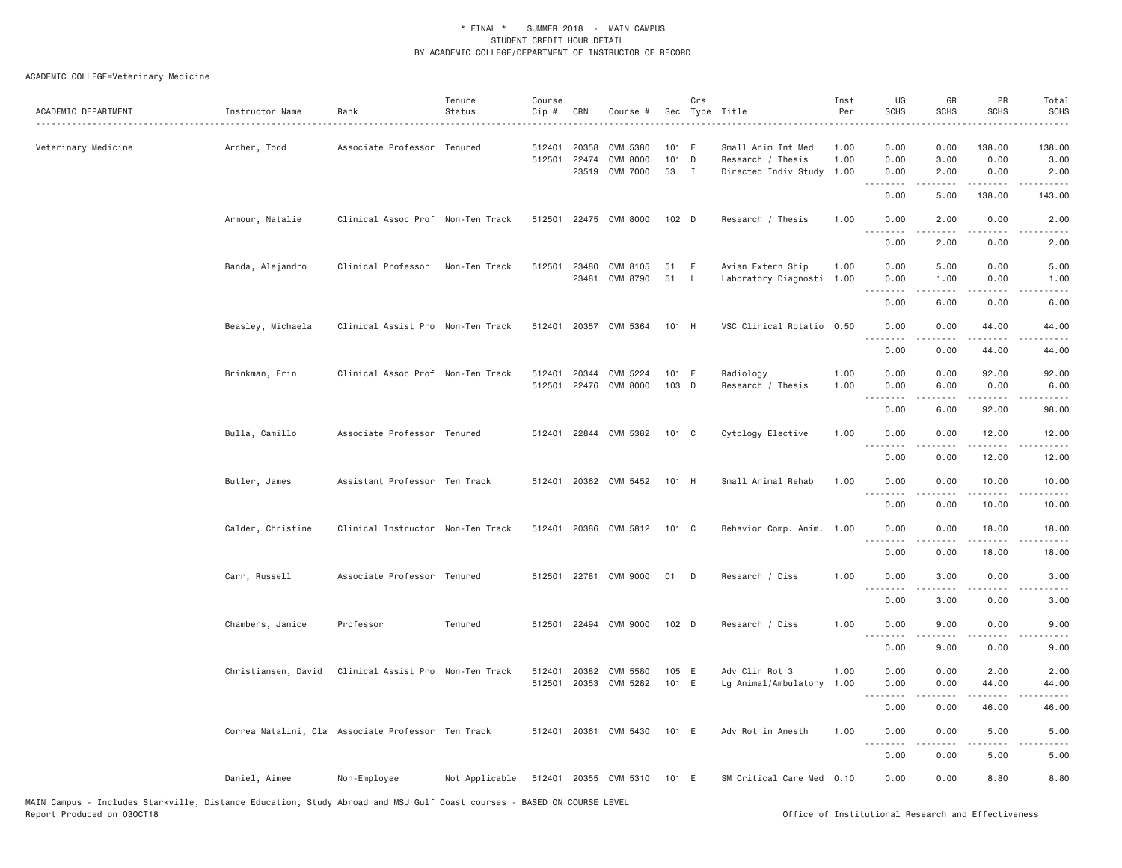## ACADEMIC COLLEGE=Veterinary Medicine

| ACADEMIC DEPARTMENT | Instructor Name                                    | Rank                              | Tenure<br>Status | Course<br>Cip # | CRN          | Course #              |         | Crs          | Sec Type Title            | Inst<br>Per | UG<br><b>SCHS</b>                   | GR<br><b>SCHS</b> | PR<br><b>SCHS</b>                                                                                                                                             | Total<br><b>SCHS</b>                                                                                                      |
|---------------------|----------------------------------------------------|-----------------------------------|------------------|-----------------|--------------|-----------------------|---------|--------------|---------------------------|-------------|-------------------------------------|-------------------|---------------------------------------------------------------------------------------------------------------------------------------------------------------|---------------------------------------------------------------------------------------------------------------------------|
|                     |                                                    |                                   |                  |                 |              |                       |         |              |                           |             |                                     |                   |                                                                                                                                                               |                                                                                                                           |
| Veterinary Medicine | Archer, Todd                                       | Associate Professor Tenured       |                  | 512401          | 20358        | CVM 5380              | 101 E   |              | Small Anim Int Med        | 1.00        | 0.00                                | 0.00              | 138.00                                                                                                                                                        | 138.00                                                                                                                    |
|                     |                                                    |                                   |                  | 512501          | 22474        | <b>CVM 8000</b>       | 101 D   |              | Research / Thesis         | 1.00        | 0.00                                | 3.00              | 0.00                                                                                                                                                          | 3.00                                                                                                                      |
|                     |                                                    |                                   |                  |                 |              | 23519 CVM 7000        | 53 I    |              | Directed Indiv Study      | 1.00        | 0.00                                | 2.00              | 0.00                                                                                                                                                          | 2.00                                                                                                                      |
|                     |                                                    |                                   |                  |                 |              |                       |         |              |                           |             | 0.00                                | 5.00              | 138.00                                                                                                                                                        | 143.00                                                                                                                    |
|                     | Armour, Natalie                                    | Clinical Assoc Prof Non-Ten Track |                  |                 |              | 512501 22475 CVM 8000 | $102$ D |              | Research / Thesis         | 1.00        | 0.00<br>$\cdots$                    | 2.00              | 0.00<br>$\frac{1}{2} \left( \frac{1}{2} \right) \left( \frac{1}{2} \right) \left( \frac{1}{2} \right) \left( \frac{1}{2} \right)$                             | 2.00                                                                                                                      |
|                     |                                                    |                                   |                  |                 |              |                       |         |              |                           |             | 0.00                                | 2.00              | 0.00                                                                                                                                                          | 2.00                                                                                                                      |
|                     | Banda, Alejandro                                   | Clinical Professor                | Non-Ten Track    |                 | 512501 23480 | CVM 8105              | 51      | E            | Avian Extern Ship         | 1.00        | 0.00                                | 5.00              | 0.00                                                                                                                                                          | 5.00                                                                                                                      |
|                     |                                                    |                                   |                  |                 | 23481        | CVM 8790              | 51      | $\mathsf{L}$ | Laboratory Diagnosti 1.00 |             | 0.00                                | 1.00              | 0.00                                                                                                                                                          | 1.00                                                                                                                      |
|                     |                                                    |                                   |                  |                 |              |                       |         |              |                           |             | <u>.</u><br>0.00                    | .<br>6.00         | .<br>0.00                                                                                                                                                     | $- - - - -$<br>6.00                                                                                                       |
|                     | Beasley, Michaela                                  | Clinical Assist Pro Non-Ten Track |                  | 512401          |              | 20357 CVM 5364        | 101 H   |              | VSC Clinical Rotatio 0.50 |             | 0.00<br>.                           | 0.00<br>.         | 44.00<br>$- - - - -$                                                                                                                                          | 44.00<br>.                                                                                                                |
|                     |                                                    |                                   |                  |                 |              |                       |         |              |                           |             | 0.00                                | 0.00              | 44.00                                                                                                                                                         | 44.00                                                                                                                     |
|                     | Brinkman, Erin                                     | Clinical Assoc Prof Non-Ten Track |                  | 512401          |              | 20344 CVM 5224        | 101 E   |              | Radiology                 | 1.00        | 0.00                                | 0.00              | 92.00                                                                                                                                                         | 92.00                                                                                                                     |
|                     |                                                    |                                   |                  | 512501          |              | 22476 CVM 8000        | 103 D   |              | Research / Thesis         | 1.00        | 0.00                                | 6.00              | 0.00                                                                                                                                                          | 6.00                                                                                                                      |
|                     |                                                    |                                   |                  |                 |              |                       |         |              |                           |             |                                     |                   |                                                                                                                                                               | $\frac{1}{2} \left( \frac{1}{2} \right) \left( \frac{1}{2} \right) \left( \frac{1}{2} \right) \left( \frac{1}{2} \right)$ |
|                     |                                                    |                                   |                  |                 |              |                       |         |              |                           |             | 0.00                                | 6.00              | 92.00                                                                                                                                                         | 98.00                                                                                                                     |
|                     | Bulla, Camillo                                     | Associate Professor Tenured       |                  |                 |              | 512401 22844 CVM 5382 | 101 C   |              | Cytology Elective         | 1.00        | 0.00                                | 0.00              | 12.00                                                                                                                                                         | 12.00                                                                                                                     |
|                     |                                                    |                                   |                  |                 |              |                       |         |              |                           |             | 0.00                                | 0.00              | 12.00                                                                                                                                                         | . د د د د<br>12.00                                                                                                        |
|                     | Butler, James                                      | Assistant Professor Ten Track     |                  |                 |              | 512401 20362 CVM 5452 | 101 H   |              | Small Animal Rehab        | 1.00        | 0.00                                | 0.00              | 10.00                                                                                                                                                         | 10.00                                                                                                                     |
|                     |                                                    |                                   |                  |                 |              |                       |         |              |                           |             | .<br>0.00                           | .<br>0.00         | $\frac{1}{2}$<br>10.00                                                                                                                                        | .<br>10.00                                                                                                                |
|                     | Calder, Christine                                  | Clinical Instructor Non-Ten Track |                  |                 |              | 512401 20386 CVM 5812 | 101 C   |              | Behavior Comp. Anim. 1.00 |             | 0.00                                | 0.00              | 18.00                                                                                                                                                         | 18.00                                                                                                                     |
|                     |                                                    |                                   |                  |                 |              |                       |         |              |                           |             | <u>.</u><br>0.00                    | .<br>0.00         | $- - - - -$<br>18.00                                                                                                                                          | .<br>18.00                                                                                                                |
|                     | Carr, Russell                                      | Associate Professor Tenured       |                  |                 |              | 512501 22781 CVM 9000 | 01 D    |              | Research / Diss           | 1.00        | 0.00                                | 3.00              | 0.00                                                                                                                                                          | 3.00                                                                                                                      |
|                     |                                                    |                                   |                  |                 |              |                       |         |              |                           |             | .                                   |                   | .                                                                                                                                                             |                                                                                                                           |
|                     |                                                    |                                   |                  |                 |              |                       |         |              |                           |             | 0.00                                | 3.00              | 0.00                                                                                                                                                          | 3.00                                                                                                                      |
|                     | Chambers, Janice                                   | Professor                         | Tenured          |                 |              | 512501 22494 CVM 9000 | 102 D   |              | Research / Diss           | 1.00        | 0.00                                | 9.00              | 0.00                                                                                                                                                          | 9.00                                                                                                                      |
|                     |                                                    |                                   |                  |                 |              |                       |         |              |                           |             | $\sim$ $\sim$ $\sim$<br>0.00        | 9.00              | 0.00                                                                                                                                                          | 9.00                                                                                                                      |
|                     | Christiansen, David                                | Clinical Assist Pro Non-Ten Track |                  |                 |              | 512401 20382 CVM 5580 | 105 E   |              | Adv Clin Rot 3            | 1.00        | 0.00                                | 0.00              | 2.00                                                                                                                                                          | 2.00                                                                                                                      |
|                     |                                                    |                                   |                  | 512501          |              | 20353 CVM 5282        | 101 E   |              | Lg Animal/Ambulatory      | 1.00        | 0.00                                | 0.00              | 44.00                                                                                                                                                         | 44.00                                                                                                                     |
|                     |                                                    |                                   |                  |                 |              |                       |         |              |                           |             | $\sim$ $\sim$ $\sim$ $\sim$<br>0.00 | .<br>0.00         | $\frac{1}{2} \left( \frac{1}{2} \right) \left( \frac{1}{2} \right) \left( \frac{1}{2} \right) \left( \frac{1}{2} \right) \left( \frac{1}{2} \right)$<br>46.00 | $\sim$ $\sim$ $\sim$ $\sim$ $\sim$<br>46.00                                                                               |
|                     |                                                    |                                   |                  |                 |              | 512401 20361 CVM 5430 | 101 E   |              | Adv Rot in Anesth         | 1.00        | 0.00                                | 0.00              | 5.00                                                                                                                                                          | 5.00                                                                                                                      |
|                     | Correa Natalini, Cla Associate Professor Ten Track |                                   |                  |                 |              |                       |         |              |                           |             | .                                   | .                 | $\frac{1}{2} \left( \frac{1}{2} \right) \left( \frac{1}{2} \right) \left( \frac{1}{2} \right) \left( \frac{1}{2} \right)$                                     | -----                                                                                                                     |
|                     |                                                    |                                   |                  |                 |              |                       |         |              |                           |             | 0.00                                | 0.00              | 5.00                                                                                                                                                          | 5.00                                                                                                                      |
|                     | Daniel, Aimee                                      | Non-Employee                      | Not Applicable   |                 |              | 512401 20355 CVM 5310 | 101 E   |              | SM Critical Care Med 0.10 |             | 0.00                                | 0.00              | 8.80                                                                                                                                                          | 8.80                                                                                                                      |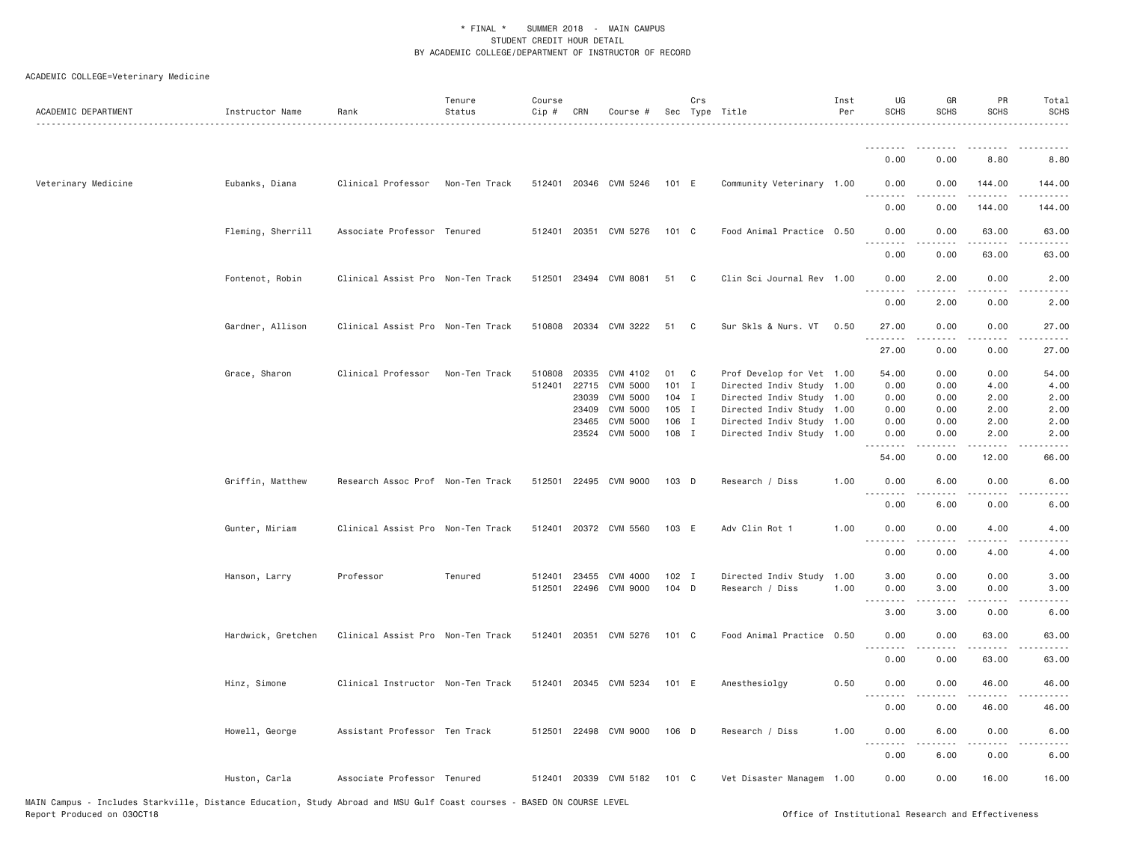| ACADEMIC DEPARTMENT                                                                                                                                  | Instructor Name    | Rank                              | Tenure<br>Status | Course<br>$Cip \#$ | CRN   | Course #              |               | Crs          | Sec Type Title            | Inst<br>Per | UG<br><b>SCHS</b>            | GR<br><b>SCHS</b> | PR<br><b>SCHS</b>                                  | Total<br><b>SCHS</b> |
|------------------------------------------------------------------------------------------------------------------------------------------------------|--------------------|-----------------------------------|------------------|--------------------|-------|-----------------------|---------------|--------------|---------------------------|-------------|------------------------------|-------------------|----------------------------------------------------|----------------------|
|                                                                                                                                                      |                    |                                   |                  |                    |       |                       |               |              |                           |             | <u>.</u>                     |                   |                                                    |                      |
|                                                                                                                                                      |                    |                                   |                  |                    |       |                       |               |              |                           |             | 0.00                         | 0.00              | 8.80                                               | 8.80                 |
| Veterinary Medicine                                                                                                                                  | Eubanks, Diana     | Clinical Professor                | Non-Ten Track    |                    |       | 512401 20346 CVM 5246 | 101 E         |              | Community Veterinary 1.00 |             | 0.00                         | 0.00              | 144.00                                             | 144.00               |
|                                                                                                                                                      |                    |                                   |                  |                    |       |                       |               |              |                           |             | 0.00                         | 0.00              | 144.00                                             | 144.00               |
|                                                                                                                                                      | Fleming, Sherrill  | Associate Professor Tenured       |                  |                    |       | 512401 20351 CVM 5276 | 101 C         |              | Food Animal Practice 0.50 |             | 0.00<br>.                    | 0.00              | 63.00<br>$- - - - -$                               | 63.00                |
|                                                                                                                                                      |                    |                                   |                  |                    |       |                       |               |              |                           |             | 0.00                         | 0.00              | 63.00                                              | 63.00                |
|                                                                                                                                                      | Fontenot, Robin    | Clinical Assist Pro Non-Ten Track |                  |                    |       | 512501 23494 CVM 8081 | 51            | $\mathbb{C}$ | Clin Sci Journal Rev 1.00 |             | 0.00<br>- - - -              | 2.00<br>.         | 0.00<br>$- - -$                                    | 2.00                 |
|                                                                                                                                                      |                    |                                   |                  |                    |       |                       |               |              |                           |             | 0.00                         | 2.00              | 0.00                                               | 2.00                 |
|                                                                                                                                                      | Gardner, Allison   | Clinical Assist Pro Non-Ten Track |                  |                    |       | 510808 20334 CVM 3222 | 51            | C            | Sur Skls & Nurs. VT       | 0.50        | 27.00<br>.                   | 0.00              | 0.00                                               | 27.00                |
|                                                                                                                                                      |                    |                                   |                  |                    |       |                       |               |              |                           |             | 27.00                        | 0.00              | 0.00                                               | 27.00                |
|                                                                                                                                                      | Grace, Sharon      | Clinical Professor                | Non-Ten Track    | 510808             | 20335 | CVM 4102              | 01 C          |              | Prof Develop for Vet 1.00 |             | 54.00                        | 0.00              | 0.00                                               | 54.00                |
|                                                                                                                                                      |                    |                                   |                  | 512401             | 22715 | CVM 5000              | 101 I         |              | Directed Indiv Study 1.00 |             | 0.00                         | 0.00              | 4.00                                               | 4.00                 |
|                                                                                                                                                      |                    |                                   |                  |                    | 23039 | <b>CVM 5000</b>       | $104$ I       |              | Directed Indiv Study 1.00 |             | 0.00                         | 0.00              | 2.00                                               | 2.00                 |
|                                                                                                                                                      |                    |                                   |                  |                    | 23409 | CVM 5000              | 105 I         |              | Directed Indiv Study 1.00 |             | 0.00                         | 0.00              | 2.00                                               | 2.00                 |
|                                                                                                                                                      |                    |                                   |                  |                    | 23465 | CVM 5000              | 106 I         |              | Directed Indiv Study 1.00 |             | 0.00                         | 0.00              | 2.00                                               | 2.00                 |
|                                                                                                                                                      |                    |                                   |                  |                    |       | 23524 CVM 5000        | 108 I         |              | Directed Indiv Study 1.00 |             | 0.00<br>.                    | 0.00<br>.         | 2.00                                               | 2.00                 |
|                                                                                                                                                      |                    |                                   |                  |                    |       |                       |               |              |                           |             | 54.00                        | 0.00              | 12.00                                              | 66.00                |
|                                                                                                                                                      | Griffin, Matthew   | Research Assoc Prof Non-Ten Track |                  | 512501             | 22495 | CVM 9000              | 103 D         |              | Research / Diss           | 1.00        | 0.00<br><u>.</u>             | 6.00              | 0.00                                               | 6.00                 |
|                                                                                                                                                      |                    |                                   |                  |                    |       |                       |               |              |                           |             | 0.00                         | 6.00              | 0.00                                               | 6.00                 |
|                                                                                                                                                      | Gunter, Miriam     | Clinical Assist Pro Non-Ten Track |                  |                    |       | 512401 20372 CVM 5560 | 103 E         |              | Adv Clin Rot 1            | 1.00        | 0.00<br>$\sim$ $\sim$ $\sim$ | 0.00              | 4.00                                               | 4.00                 |
|                                                                                                                                                      |                    |                                   |                  |                    |       |                       |               |              |                           |             | 0.00                         | 0.00              | 4.00                                               | 4.00                 |
|                                                                                                                                                      | Hanson, Larry      | Professor                         | Tenured          | 512401             | 23455 | CVM 4000              | $102$ I       |              | Directed Indiv Study      | 1.00        | 3.00                         | 0.00              | 0.00                                               | 3.00                 |
|                                                                                                                                                      |                    |                                   |                  | 512501             |       | 22496 CVM 9000        | 104 D         |              | Research / Diss           | 1.00        | 0.00                         | 3.00              | 0.00                                               | 3.00                 |
|                                                                                                                                                      |                    |                                   |                  |                    |       |                       |               |              |                           |             | 3.00                         | 3.00              | 0.00                                               | 6.00                 |
|                                                                                                                                                      | Hardwick, Gretchen | Clinical Assist Pro Non-Ten Track |                  |                    |       | 512401 20351 CVM 5276 | $101 \quad C$ |              | Food Animal Practice 0.50 |             | 0.00<br>$  -$                | 0.00              | 63.00                                              | 63.00                |
|                                                                                                                                                      |                    |                                   |                  |                    |       |                       |               |              |                           |             | 0.00                         | 0.00              | 63.00                                              | 63.00                |
|                                                                                                                                                      | Hinz, Simone       | Clinical Instructor Non-Ten Track |                  |                    |       | 512401 20345 CVM 5234 | 101 E         |              | Anesthesiolgy             | 0.50        | 0.00                         | 0.00              | 46.00                                              | 46.00                |
|                                                                                                                                                      |                    |                                   |                  |                    |       |                       |               |              |                           |             | 0.00                         | 0.00              | 46.00                                              | 46.00                |
|                                                                                                                                                      | Howell, George     | Assistant Professor Ten Track     |                  | 512501             | 22498 | CVM 9000              | $106$ D       |              | Research / Diss           | 1.00        | 0.00<br>$\frac{1}{2}$        | 6.00              | 0.00                                               | 6.00                 |
|                                                                                                                                                      |                    |                                   |                  |                    |       |                       |               |              |                           |             | 0.00                         | 6.00              | 0.00                                               | 6.00                 |
|                                                                                                                                                      | Huston, Carla      | Associate Professor Tenured       |                  |                    |       | 512401 20339 CVM 5182 | 101 C         |              | Vet Disaster Managem 1.00 |             | 0.00                         | 0.00              | 16.00                                              | 16.00                |
| MAIN Campus - Includes Starkville, Distance Education, Study Abroad and MSU Gulf Coast courses - BASED ON COURSE LEVEL<br>Report Produced on 030CT18 |                    |                                   |                  |                    |       |                       |               |              |                           |             |                              |                   | Office of Institutional Research and Effectiveness |                      |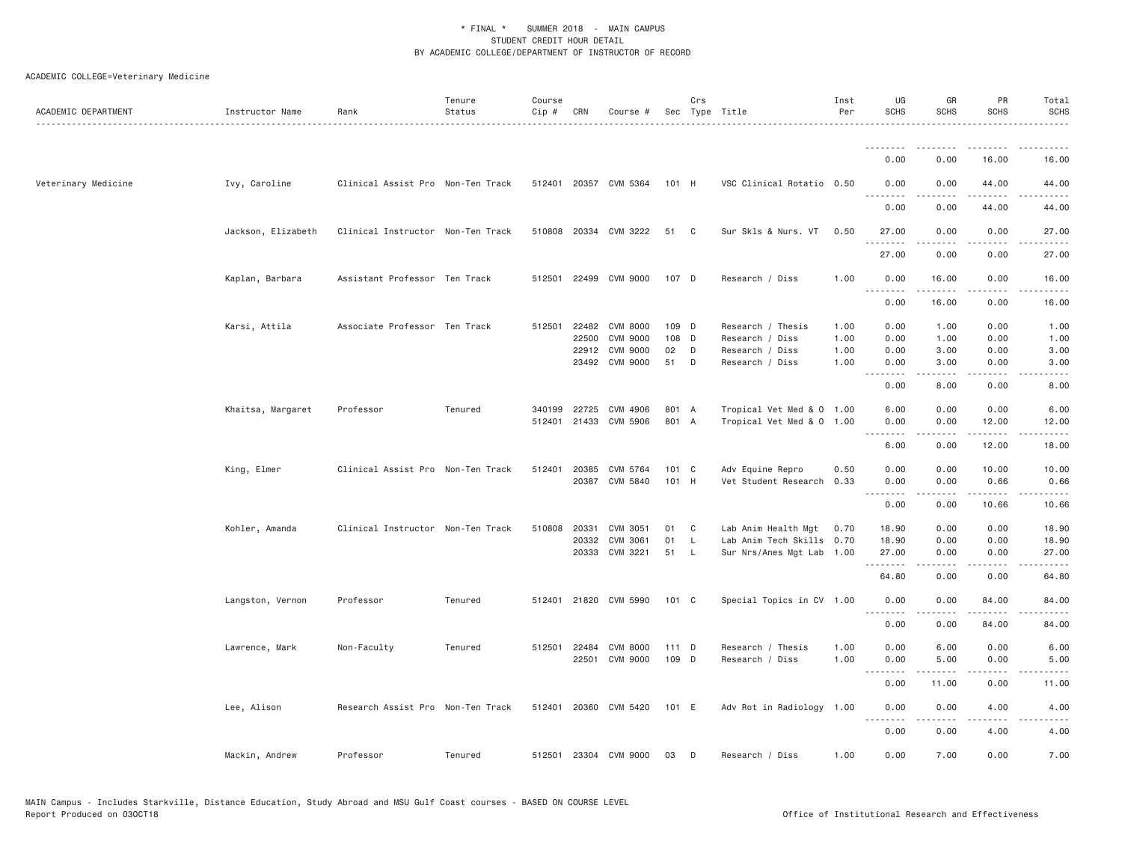| ACADEMIC DEPARTMENT | Instructor Name    | Rank                              | Tenure<br>Status | Course<br>Cip # | CRN   | Course #              |         | Crs | Sec Type Title            | Inst<br>Per | UG<br><b>SCHS</b>  | GR<br><b>SCHS</b> | PR<br><b>SCHS</b>                                                                                                                                    | Total<br><b>SCHS</b>                                                                                                               |
|---------------------|--------------------|-----------------------------------|------------------|-----------------|-------|-----------------------|---------|-----|---------------------------|-------------|--------------------|-------------------|------------------------------------------------------------------------------------------------------------------------------------------------------|------------------------------------------------------------------------------------------------------------------------------------|
|                     |                    |                                   |                  |                 |       |                       |         |     |                           |             | <b></b>            |                   |                                                                                                                                                      |                                                                                                                                    |
|                     |                    |                                   |                  |                 |       |                       |         |     |                           |             | 0.00               | 0.00              | 16.00                                                                                                                                                | 16.00                                                                                                                              |
| Veterinary Medicine | Ivy, Caroline      | Clinical Assist Pro Non-Ten Track |                  |                 |       | 512401 20357 CVM 5364 | 101 H   |     | VSC Clinical Rotatio 0.50 |             | 0.00<br>. <i>.</i> | 0.00              | 44.00<br>$\frac{1}{2}$                                                                                                                               | 44.00<br>$\frac{1}{2} \left( \frac{1}{2} \right) \left( \frac{1}{2} \right) \left( \frac{1}{2} \right) \left( \frac{1}{2} \right)$ |
|                     |                    |                                   |                  |                 |       |                       |         |     |                           |             | 0.00               | 0.00              | 44.00                                                                                                                                                | 44.00                                                                                                                              |
|                     | Jackson, Elizabeth | Clinical Instructor Non-Ten Track |                  |                 |       | 510808 20334 CVM 3222 | 51      | C   | Sur Skls & Nurs. VT       | 0.50        | 27.00<br>.         | 0.00<br>.         | 0.00<br>.                                                                                                                                            | 27.00<br>.                                                                                                                         |
|                     |                    |                                   |                  |                 |       |                       |         |     |                           |             | 27.00              | 0.00              | 0.00                                                                                                                                                 | 27.00                                                                                                                              |
|                     | Kaplan, Barbara    | Assistant Professor Ten Track     |                  | 512501          | 22499 | CVM 9000              | 107 D   |     | Research / Diss           | 1.00        | 0.00<br>.          | 16.00             | 0.00                                                                                                                                                 | 16.00                                                                                                                              |
|                     |                    |                                   |                  |                 |       |                       |         |     |                           |             | 0.00               | 16.00             | 0.00                                                                                                                                                 | 16.00                                                                                                                              |
|                     | Karsi, Attila      | Associate Professor Ten Track     |                  | 512501          | 22482 | <b>CVM 8000</b>       | 109 D   |     | Research / Thesis         | 1.00        | 0.00               | 1.00              | 0.00                                                                                                                                                 | 1.00                                                                                                                               |
|                     |                    |                                   |                  |                 | 22500 | <b>CVM 9000</b>       | 108 D   |     | Research / Diss           | 1.00        | 0.00               | 1.00              | 0.00                                                                                                                                                 | 1.00                                                                                                                               |
|                     |                    |                                   |                  |                 | 22912 | CVM 9000              | 02      | D   | Research / Diss           | 1.00        | 0.00               | 3.00              | 0.00                                                                                                                                                 | 3.00                                                                                                                               |
|                     |                    |                                   |                  |                 |       | 23492 CVM 9000        | 51      | D   | Research / Diss           | 1.00        | 0.00<br>.          | 3.00<br>.         | 0.00<br>$\sim$ $\sim$ $\sim$ $\sim$                                                                                                                  | 3.00<br>-----                                                                                                                      |
|                     |                    |                                   |                  |                 |       |                       |         |     |                           |             | 0.00               | 8.00              | 0.00                                                                                                                                                 | 8.00                                                                                                                               |
|                     | Khaitsa, Margaret  | Professor                         | Tenured          | 340199          | 22725 | CVM 4906              | 801 A   |     | Tropical Vet Med & 0 1.00 |             | 6.00               | 0.00              | 0.00                                                                                                                                                 | 6.00                                                                                                                               |
|                     |                    |                                   |                  | 512401          | 21433 | CVM 5906              | 801 A   |     | Tropical Vet Med & 0 1.00 |             | 0.00               | 0.00              | 12.00                                                                                                                                                | 12.00                                                                                                                              |
|                     |                    |                                   |                  |                 |       |                       |         |     |                           |             | .<br>6.00          | .<br>0.00         | .<br>12.00                                                                                                                                           | .<br>18.00                                                                                                                         |
|                     | King, Elmer        | Clinical Assist Pro Non-Ten Track |                  | 512401          | 20385 | CVM 5764              | 101 C   |     | Adv Equine Repro          | 0.50        | 0.00               | 0.00              | 10.00                                                                                                                                                | 10.00                                                                                                                              |
|                     |                    |                                   |                  |                 |       | 20387 CVM 5840        | 101 H   |     | Vet Student Research      | 0.33        | 0.00               | 0.00              | 0.66                                                                                                                                                 | 0.66                                                                                                                               |
|                     |                    |                                   |                  |                 |       |                       |         |     |                           |             | .                  | .                 | $\frac{1}{2} \left( \frac{1}{2} \right) \left( \frac{1}{2} \right) \left( \frac{1}{2} \right) \left( \frac{1}{2} \right) \left( \frac{1}{2} \right)$ | .                                                                                                                                  |
|                     |                    |                                   |                  |                 |       |                       |         |     |                           |             | 0.00               | 0.00              | 10.66                                                                                                                                                | 10.66                                                                                                                              |
|                     | Kohler, Amanda     | Clinical Instructor Non-Ten Track |                  | 510808          | 20331 | CVM 3051              | 01      | C   | Lab Anim Health Mgt       | 0.70        | 18.90              | 0.00              | 0.00                                                                                                                                                 | 18.90                                                                                                                              |
|                     |                    |                                   |                  |                 | 20332 | CVM 3061              | 01      | L   | Lab Anim Tech Skills      | 0.70        | 18.90              | 0.00              | 0.00                                                                                                                                                 | 18.90                                                                                                                              |
|                     |                    |                                   |                  |                 |       | 20333 CVM 3221        | 51      | - L | Sur Nrs/Anes Mgt Lab 1.00 |             | 27.00<br>.         | 0.00              | 0.00<br>$  -$                                                                                                                                        | 27.00                                                                                                                              |
|                     |                    |                                   |                  |                 |       |                       |         |     |                           |             | 64.80              | 0.00              | 0.00                                                                                                                                                 | 64.80                                                                                                                              |
|                     | Langston, Vernon   | Professor                         | Tenured          | 512401          |       | 21820 CVM 5990        | 101 C   |     | Special Topics in CV 1.00 |             | 0.00<br>.          | 0.00<br>.         | 84.00<br>$- - - - -$                                                                                                                                 | 84.00<br>.                                                                                                                         |
|                     |                    |                                   |                  |                 |       |                       |         |     |                           |             | 0.00               | 0.00              | 84.00                                                                                                                                                | 84.00                                                                                                                              |
|                     | Lawrence, Mark     | Non-Faculty                       | Tenured          | 512501          | 22484 | <b>CVM 8000</b>       | $111$ D |     | Research / Thesis         | 1.00        | 0.00               | 6.00              | 0.00                                                                                                                                                 | 6.00                                                                                                                               |
|                     |                    |                                   |                  |                 | 22501 | CVM 9000              | 109 D   |     | Research / Diss           | 1.00        | 0.00<br>.          | 5.00<br>$  -$     | 0.00<br>$- - -$                                                                                                                                      | 5.00                                                                                                                               |
|                     |                    |                                   |                  |                 |       |                       |         |     |                           |             | 0.00               | 11.00             | 0.00                                                                                                                                                 | 11.00                                                                                                                              |
|                     | Lee, Alison        | Research Assist Pro Non-Ten Track |                  |                 |       | 512401 20360 CVM 5420 | 101 E   |     | Adv Rot in Radiology 1.00 |             | 0.00<br>.          | 0.00<br><u>.</u>  | 4.00<br>.                                                                                                                                            | 4.00<br>$\sim$ $\sim$ $\sim$ $\sim$ $\sim$                                                                                         |
|                     |                    |                                   |                  |                 |       |                       |         |     |                           |             | 0.00               | 0.00              | 4.00                                                                                                                                                 | 4.00                                                                                                                               |
|                     | Mackin, Andrew     | Professor                         | Tenured          | 512501          |       | 23304 CVM 9000        | 03      | D   | Research / Diss           | 1.00        | 0.00               | 7.00              | 0.00                                                                                                                                                 | 7.00                                                                                                                               |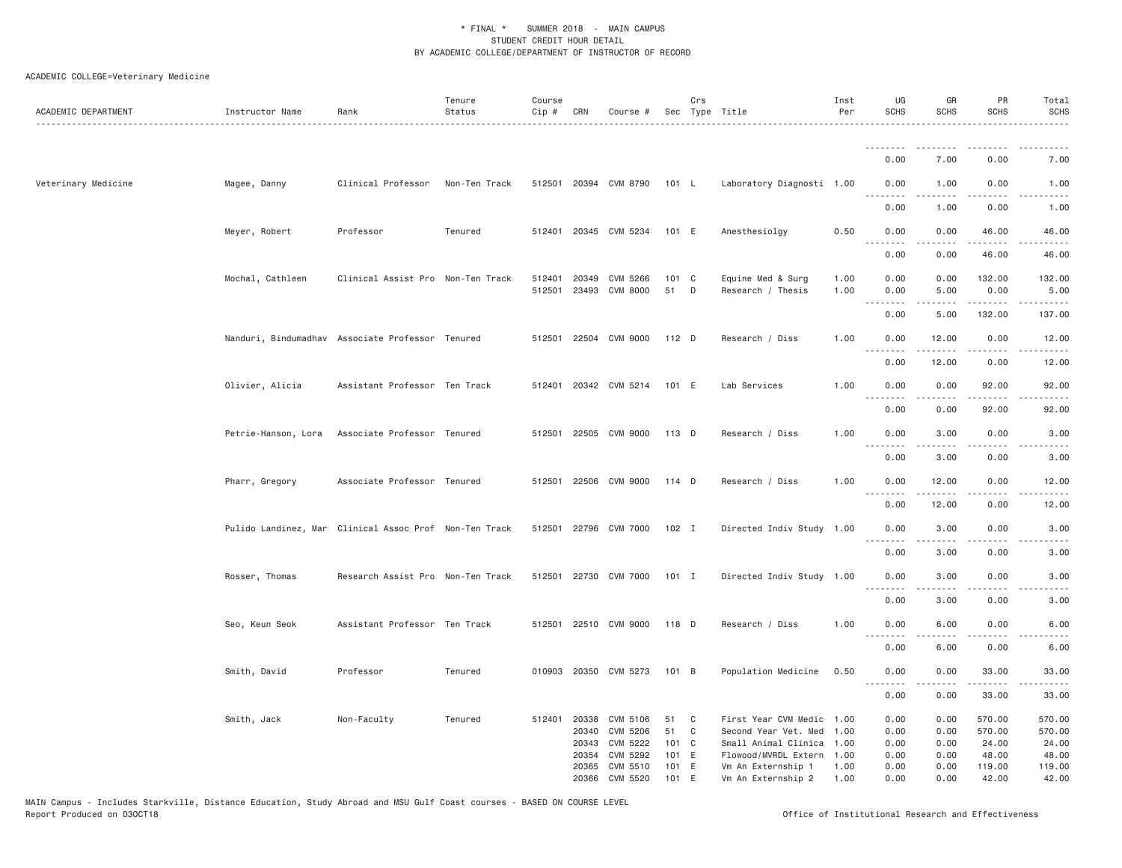| ACADEMIC DEPARTMENT | Instructor Name     | Rank                                                   | Tenure<br>Status | Course<br>Cip #  | CRN            | Course #                   |                | Crs | Sec Type Title                               | Inst<br>Per  | UG<br><b>SCHS</b>  | GR<br><b>SCHS</b>                                                                                                                                             | PR<br><b>SCHS</b>     | Total<br><b>SCHS</b>  |
|---------------------|---------------------|--------------------------------------------------------|------------------|------------------|----------------|----------------------------|----------------|-----|----------------------------------------------|--------------|--------------------|---------------------------------------------------------------------------------------------------------------------------------------------------------------|-----------------------|-----------------------|
|                     |                     |                                                        |                  |                  |                |                            |                |     |                                              |              |                    |                                                                                                                                                               |                       |                       |
|                     |                     |                                                        |                  |                  |                |                            |                |     |                                              |              | 0.00               | 7.00                                                                                                                                                          | 0.00                  | 7.00                  |
| Veterinary Medicine | Magee, Danny        | Clinical Professor                                     | Non-Ten Track    |                  |                | 512501 20394 CVM 8790      | 101 L          |     | Laboratory Diagnosti 1.00                    |              | 0.00<br>.          | 1.00                                                                                                                                                          | 0.00                  | 1.00<br>$\frac{1}{2}$ |
|                     |                     |                                                        |                  |                  |                |                            |                |     |                                              |              | 0.00               | 1.00                                                                                                                                                          | 0.00                  | 1.00                  |
|                     | Meyer, Robert       | Professor                                              | Tenured          |                  |                | 512401 20345 CVM 5234      | 101 E          |     | Anesthesiolgy                                | 0.50         | 0.00               | 0.00                                                                                                                                                          | 46.00                 | 46.00                 |
|                     |                     |                                                        |                  |                  |                |                            |                |     |                                              |              | 0.00               | 0.00                                                                                                                                                          | 46.00                 | 46.00                 |
|                     | Mochal, Cathleen    | Clinical Assist Pro Non-Ten Track                      |                  | 512401<br>512501 | 20349          | CVM 5266<br>23493 CVM 8000 | 101 C<br>51    | D   | Equine Med & Surg<br>Research / Thesis       | 1.00<br>1.00 | 0.00<br>0.00       | 0.00<br>5.00                                                                                                                                                  | 132.00<br>0.00        | 132.00<br>5.00        |
|                     |                     |                                                        |                  |                  |                |                            |                |     |                                              |              | .<br>0.00          | .<br>5.00                                                                                                                                                     | .<br>132.00           | -----<br>137.00       |
|                     |                     | Nanduri, Bindumadhav Associate Professor Tenured       |                  | 512501           |                | 22504 CVM 9000             | $112$ D        |     | Research / Diss                              | 1.00         | 0.00               | 12.00                                                                                                                                                         | 0.00                  | 12.00                 |
|                     |                     |                                                        |                  |                  |                |                            |                |     |                                              |              | .<br>0.00          | $\frac{1}{2} \left( \frac{1}{2} \right) \left( \frac{1}{2} \right) \left( \frac{1}{2} \right) \left( \frac{1}{2} \right) \left( \frac{1}{2} \right)$<br>12.00 | .<br>0.00             | .<br>12.00            |
|                     |                     |                                                        |                  |                  |                |                            | 101 E          |     | Lab Services                                 | 1.00         | 0.00               | 0.00                                                                                                                                                          | 92.00                 |                       |
|                     | Olivier, Alicia     | Assistant Professor Ten Track                          |                  | 512401           |                | 20342 CVM 5214             |                |     |                                              |              | .                  | .                                                                                                                                                             | .                     | 92.00<br>.            |
|                     |                     |                                                        |                  |                  |                |                            |                |     |                                              |              | 0.00               | 0.00                                                                                                                                                          | 92.00                 | 92.00                 |
|                     | Petrie-Hanson, Lora | Associate Professor Tenured                            |                  |                  |                | 512501 22505 CVM 9000      | 113 D          |     | Research / Diss                              | 1.00         | 0.00               | 3.00                                                                                                                                                          | 0.00                  | 3.00                  |
|                     |                     |                                                        |                  |                  |                |                            |                |     |                                              |              | 0.00               | 3.00                                                                                                                                                          | 0.00                  | 3.00                  |
|                     | Pharr, Gregory      | Associate Professor Tenured                            |                  |                  |                | 512501 22506 CVM 9000      | 114 D          |     | Research / Diss                              | 1.00         | 0.00<br>. <b>.</b> | 12.00                                                                                                                                                         | 0.00                  | 12.00<br>.            |
|                     |                     |                                                        |                  |                  |                |                            |                |     |                                              |              | 0.00               | 12.00                                                                                                                                                         | 0.00                  | 12.00                 |
|                     |                     | Pulido Landinez, Mar Clinical Assoc Prof Non-Ten Track |                  |                  |                | 512501 22796 CVM 7000      | 102 I          |     | Directed Indiv Study 1.00                    |              | 0.00<br>.          | 3.00                                                                                                                                                          | 0.00                  | 3.00                  |
|                     |                     |                                                        |                  |                  |                |                            |                |     |                                              |              | 0.00               | 3.00                                                                                                                                                          | 0.00                  | 3.00                  |
|                     | Rosser, Thomas      | Research Assist Pro Non-Ten Track                      |                  |                  |                | 512501 22730 CVM 7000      | $101$ I        |     | Directed Indiv Study 1.00                    |              | 0.00<br><u>.</u>   | 3.00<br>.                                                                                                                                                     | 0.00<br>$- - -$       | 3.00<br>-----         |
|                     |                     |                                                        |                  |                  |                |                            |                |     |                                              |              | 0.00               | 3.00                                                                                                                                                          | 0.00                  | 3.00                  |
|                     | Seo, Keun Seok      | Assistant Professor Ten Track                          |                  |                  |                | 512501 22510 CVM 9000      | 118 D          |     | Research / Diss                              | 1.00         | 0.00               | 6.00                                                                                                                                                          | 0.00                  | 6.00                  |
|                     |                     |                                                        |                  |                  |                |                            |                |     |                                              |              | 0.00               | 6.00                                                                                                                                                          | 0.00                  | 6.00                  |
|                     | Smith, David        | Professor                                              | Tenured          |                  |                | 010903 20350 CVM 5273      | 101 B          |     | Population Medicine                          | 0.50         | 0.00<br><b></b>    | 0.00<br>.                                                                                                                                                     | 33.00<br>. <u>.</u> . | 33.00<br>.            |
|                     |                     |                                                        |                  |                  |                |                            |                |     |                                              |              | 0.00               | 0.00                                                                                                                                                          | 33.00                 | 33.00                 |
|                     | Smith, Jack         | Non-Faculty                                            | Tenured          |                  | 512401 20338   | CVM 5106                   | 51             | C   | First Year CVM Medic                         | 1.00         | 0.00               | 0.00                                                                                                                                                          | 570.00                | 570.00                |
|                     |                     |                                                        |                  |                  | 20340<br>20343 | CVM 5206<br>CVM 5222       | 51<br>101 C    | C   | Second Year Vet. Med<br>Small Animal Clinica | 1,00<br>1.00 | 0.00<br>0.00       | 0.00<br>0.00                                                                                                                                                  | 570.00<br>24.00       | 570.00<br>24.00       |
|                     |                     |                                                        |                  |                  | 20354          | CVM 5292                   | 101 E          |     | Flowood/MVRDL Extern                         | 1.00         | 0.00               | 0.00                                                                                                                                                          | 48.00                 | 48.00                 |
|                     |                     |                                                        |                  |                  | 20365<br>20366 | CVM 5510<br>CVM 5520       | 101 E<br>101 E |     | Vm An Externship 1<br>Vm An Externship 2     | 1.00<br>1.00 | 0.00<br>0.00       | 0.00<br>0.00                                                                                                                                                  | 119.00<br>42.00       | 119.00<br>42.00       |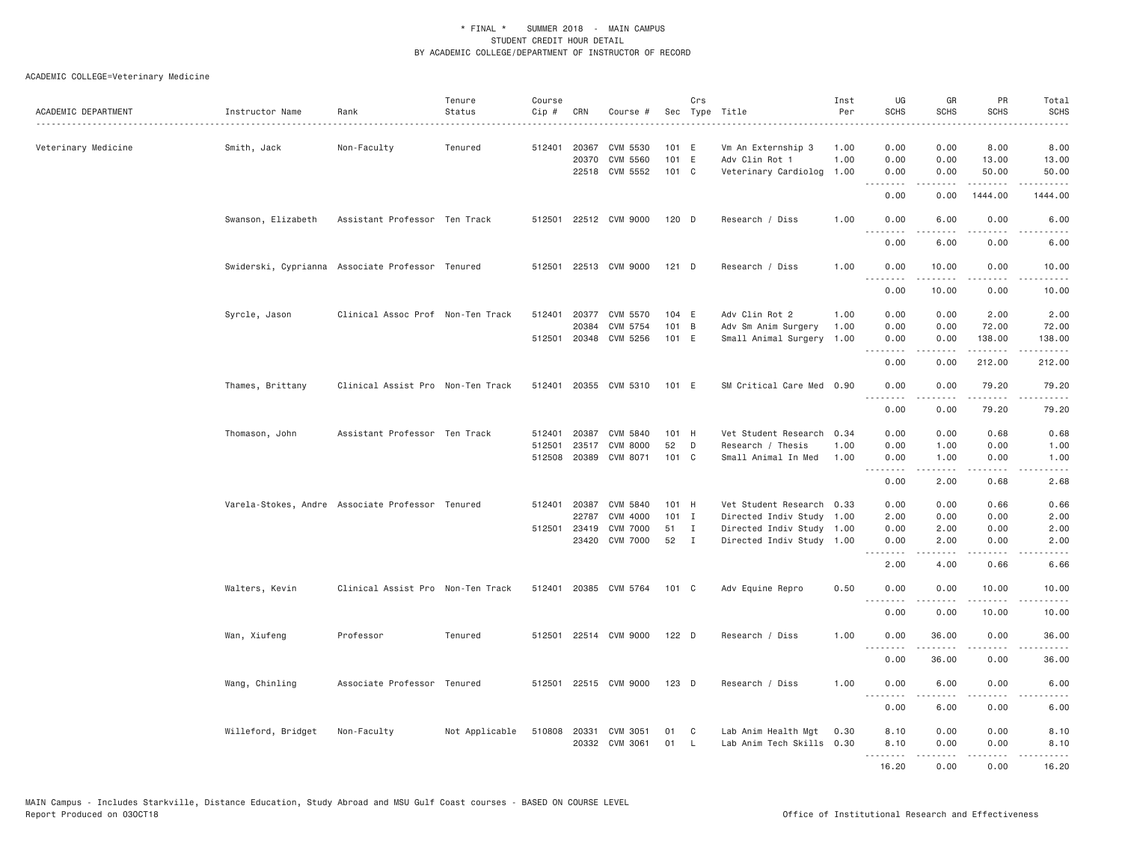| ACADEMIC DEPARTMENT | Instructor Name                                  | Rank                              | Tenure<br>Status | Course<br>Cip# | CRN            | Course #              |              | Crs          | Sec Type Title                       | Inst<br>Per  | UG<br><b>SCHS</b> | GR<br><b>SCHS</b>                                                                                                                                            | PR<br><b>SCHS</b>     | Total<br><b>SCHS</b>                                                                                                                                         |
|---------------------|--------------------------------------------------|-----------------------------------|------------------|----------------|----------------|-----------------------|--------------|--------------|--------------------------------------|--------------|-------------------|--------------------------------------------------------------------------------------------------------------------------------------------------------------|-----------------------|--------------------------------------------------------------------------------------------------------------------------------------------------------------|
| Veterinary Medicine | Smith, Jack                                      | Non-Faculty                       | Tenured          | 512401         | 20367<br>20370 | CVM 5530<br>CVM 5560  | 101 E<br>101 | E            | Vm An Externship 3<br>Adv Clin Rot 1 | 1.00<br>1.00 | 0.00<br>0.00      | 0.00<br>0.00                                                                                                                                                 | 8.00<br>13.00         | 8.00<br>13.00                                                                                                                                                |
|                     |                                                  |                                   |                  |                |                | 22518 CVM 5552        | 101 C        |              | Veterinary Cardiolog                 | 1.00         | 0.00              | 0.00                                                                                                                                                         | 50.00                 | 50.00                                                                                                                                                        |
|                     |                                                  |                                   |                  |                |                |                       |              |              |                                      |              | .<br>0.00         | $- - - - -$<br>0.00                                                                                                                                          | .<br>1444.00          | 1444.00                                                                                                                                                      |
|                     | Swanson, Elizabeth                               | Assistant Professor Ten Track     |                  | 512501         |                | 22512 CVM 9000        | 120 D        |              | Research / Diss                      | 1.00         | 0.00              | 6.00                                                                                                                                                         | 0.00                  | 6.00                                                                                                                                                         |
|                     |                                                  |                                   |                  |                |                |                       |              |              |                                      |              | 0.00              | 6.00                                                                                                                                                         | 0.00                  | 6.00                                                                                                                                                         |
|                     | Swiderski, Cyprianna Associate Professor Tenured |                                   |                  |                |                | 512501 22513 CVM 9000 | $121$ D      |              | Research / Diss                      | 1.00         | 0.00<br>.         | 10.00                                                                                                                                                        | 0.00<br>.             | 10.00<br>.                                                                                                                                                   |
|                     |                                                  |                                   |                  |                |                |                       |              |              |                                      |              | 0.00              | 10.00                                                                                                                                                        | 0.00                  | 10.00                                                                                                                                                        |
|                     | Syrcle, Jason                                    | Clinical Assoc Prof Non-Ten Track |                  | 512401         | 20377          | CVM 5570              | 104          | E            | Adv Clin Rot 2                       | 1.00         | 0.00              | 0.00                                                                                                                                                         | 2.00                  | 2.00                                                                                                                                                         |
|                     |                                                  |                                   |                  |                | 20384          | CVM 5754              | 101 B        |              | Adv Sm Anim Surgery                  | 1.00         | 0.00              | 0.00                                                                                                                                                         | 72.00                 | 72.00                                                                                                                                                        |
|                     |                                                  |                                   |                  |                |                | 512501 20348 CVM 5256 | 101 E        |              | Small Animal Surgery 1.00            |              | 0.00              | 0.00<br>.                                                                                                                                                    | 138.00<br>.           | 138.00<br>.                                                                                                                                                  |
|                     |                                                  |                                   |                  |                |                |                       |              |              |                                      |              | 0.00              | 0.00                                                                                                                                                         | 212.00                | 212.00                                                                                                                                                       |
|                     | Thames, Brittany                                 | Clinical Assist Pro Non-Ten Track |                  |                |                | 512401 20355 CVM 5310 | 101 E        |              | SM Critical Care Med 0.90            |              | 0.00<br><u>.</u>  | 0.00<br>.                                                                                                                                                    | 79.20<br>.            | 79.20<br>.                                                                                                                                                   |
|                     |                                                  |                                   |                  |                |                |                       |              |              |                                      |              | 0.00              | 0.00                                                                                                                                                         | 79.20                 | 79.20                                                                                                                                                        |
|                     | Thomason, John                                   | Assistant Professor Ten Track     |                  | 512401         |                | 20387 CVM 5840        | 101 H        |              | Vet Student Research 0.34            |              | 0.00              | 0.00                                                                                                                                                         | 0.68                  | 0.68                                                                                                                                                         |
|                     |                                                  |                                   |                  | 512501         | 23517          | CVM 8000              | 52           | D            | Research / Thesis                    | 1.00         | 0.00              | 1.00                                                                                                                                                         | 0.00                  | 1.00                                                                                                                                                         |
|                     |                                                  |                                   |                  |                |                | 512508 20389 CVM 8071 | 101 C        |              | Small Animal In Med                  | 1.00         | 0.00<br>.         | 1.00<br>.                                                                                                                                                    | 0.00<br>.             | 1.00<br>$\frac{1}{2} \left( \frac{1}{2} \right) \left( \frac{1}{2} \right) \left( \frac{1}{2} \right) \left( \frac{1}{2} \right) \left( \frac{1}{2} \right)$ |
|                     |                                                  |                                   |                  |                |                |                       |              |              |                                      |              | 0.00              | 2.00                                                                                                                                                         | 0.68                  | 2.68                                                                                                                                                         |
|                     | Varela-Stokes, Andre Associate Professor Tenured |                                   |                  | 512401         | 20387          | CVM 5840              | 101 H        |              | Vet Student Research 0.33            |              | 0.00              | 0.00                                                                                                                                                         | 0.66                  | 0.66                                                                                                                                                         |
|                     |                                                  |                                   |                  |                | 22787          | CVM 4000              | 101          | $\mathbf{I}$ | Directed Indiv Study 1.00            |              | 2.00              | 0.00                                                                                                                                                         | 0.00                  | 2.00                                                                                                                                                         |
|                     |                                                  |                                   |                  | 512501         | 23419          | <b>CVM 7000</b>       | 51           | $\mathbf{I}$ | Directed Indiv Study 1.00            |              | 0.00              | 2.00                                                                                                                                                         | 0.00                  | 2.00                                                                                                                                                         |
|                     |                                                  |                                   |                  |                |                | 23420 CVM 7000        | 52 I         |              | Directed Indiv Study 1.00            |              | 0.00<br>.         | 2.00<br>.                                                                                                                                                    | 0.00<br>$- - - -$     | 2.00<br>.                                                                                                                                                    |
|                     |                                                  |                                   |                  |                |                |                       |              |              |                                      |              | 2.00              | 4.00                                                                                                                                                         | 0.66                  | 6.66                                                                                                                                                         |
|                     | Walters, Kevin                                   | Clinical Assist Pro Non-Ten Track |                  |                |                | 512401 20385 CVM 5764 | 101 C        |              | Adv Equine Repro                     | 0.50         | 0.00<br>.         | 0.00<br>$\frac{1}{2} \left( \frac{1}{2} \right) \left( \frac{1}{2} \right) \left( \frac{1}{2} \right) \left( \frac{1}{2} \right) \left( \frac{1}{2} \right)$ | 10,00<br>.            | 10.00<br>.                                                                                                                                                   |
|                     |                                                  |                                   |                  |                |                |                       |              |              |                                      |              | 0.00              | 0.00                                                                                                                                                         | 10.00                 | 10.00                                                                                                                                                        |
|                     | Wan, Xiufeng                                     | Professor                         | Tenured          |                |                | 512501 22514 CVM 9000 | $122$ D      |              | Research / Diss                      | 1,00         | 0.00<br>.         | 36.00<br>$- - - - - -$                                                                                                                                       | 0.00<br>$\frac{1}{2}$ | 36.00<br>.                                                                                                                                                   |
|                     |                                                  |                                   |                  |                |                |                       |              |              |                                      |              | 0.00              | 36.00                                                                                                                                                        | 0.00                  | 36.00                                                                                                                                                        |
|                     | Wang, Chinling                                   | Associate Professor Tenured       |                  |                |                | 512501 22515 CVM 9000 | $123$ D      |              | Research / Diss                      | 1,00         | 0.00              | 6.00                                                                                                                                                         | 0.00                  | 6.00                                                                                                                                                         |
|                     |                                                  |                                   |                  |                |                |                       |              |              |                                      |              | 0.00              | 6.00                                                                                                                                                         | 0.00                  | 6.00                                                                                                                                                         |
|                     | Willeford, Bridget                               | Non-Faculty                       | Not Applicable   |                |                | 510808 20331 CVM 3051 | 01           | C            | Lab Anim Health Mgt                  | 0.30         | 8.10              | 0.00                                                                                                                                                         | 0.00                  | 8.10                                                                                                                                                         |
|                     |                                                  |                                   |                  |                |                | 20332 CVM 3061        | 01           | $\mathsf{L}$ | Lab Anim Tech Skills 0.30            |              | 8.10              | 0.00                                                                                                                                                         | 0.00                  | 8.10                                                                                                                                                         |
|                     |                                                  |                                   |                  |                |                |                       |              |              |                                      |              | <u>.</u>          | $- - - - -$                                                                                                                                                  | .                     | $- - - - -$                                                                                                                                                  |
|                     |                                                  |                                   |                  |                |                |                       |              |              |                                      |              | 16.20             | 0.00                                                                                                                                                         | 0.00                  | 16.20                                                                                                                                                        |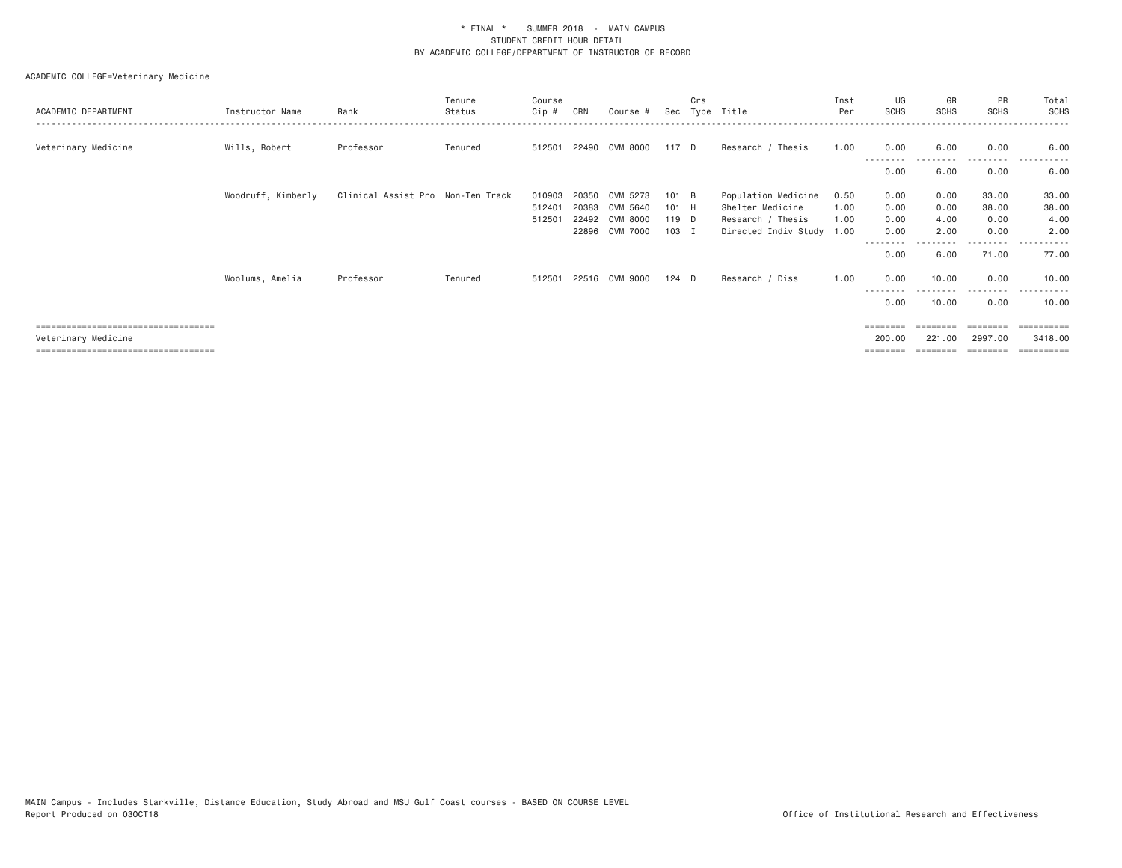| ACADEMIC DEPARTMENT                   | Instructor Name    | Rank                              | Tenure<br>Status | Course<br>Cip # | CRN   | Course #       | Sec   | Crs | Type Title           | Inst<br>Per | UG<br><b>SCHS</b> | GR<br><b>SCHS</b> | PR<br><b>SCHS</b> | Total<br><b>SCHS</b>  |
|---------------------------------------|--------------------|-----------------------------------|------------------|-----------------|-------|----------------|-------|-----|----------------------|-------------|-------------------|-------------------|-------------------|-----------------------|
| Veterinary Medicine                   | Wills, Robert      | Professor                         | Tenured          | 512501          |       | 22490 CVM 8000 | 117 D |     | Research / Thesis    | 1.00        | 0.00              | 6.00              | 0.00              | 6.00<br>----------    |
|                                       |                    |                                   |                  |                 |       |                |       |     |                      |             | --------<br>0.00  | 6.00              | ---------<br>0.00 | 6.00                  |
|                                       | Woodruff, Kimberly | Clinical Assist Pro Non-Ten Track |                  | 010903          | 20350 | CVM 5273       | 101 B |     | Population Medicine  | 0.50        | 0.00              | 0.00              | 33.00             | 33.00                 |
|                                       |                    |                                   |                  | 512401          | 20383 | CVM 5640       | 101 H |     | Shelter Medicine     | 1.00        | 0.00              | 0.00              | 38.00             | 38.00                 |
|                                       |                    |                                   |                  | 512501          |       | 22492 CVM 8000 | 119 D |     | Research / Thesis    | 1.00        | 0.00              | 4.00              | 0.00              | 4.00                  |
|                                       |                    |                                   |                  |                 |       | 22896 CVM 7000 | 103 I |     | Directed Indiv Study | 1.00        | 0.00              | 2.00              | 0.00              | 2.00                  |
|                                       |                    |                                   |                  |                 |       |                |       |     |                      |             | --------<br>0.00  | 6.00              | -----<br>71.00    | 77.00                 |
|                                       | Woolums, Amelia    | Professor                         | Tenured          | 512501          |       | 22516 CVM 9000 | 124 D |     | Research / Diss      | 1.00        | 0.00<br>--------  | 10.00             | 0.00<br>--------- | 10.00<br>----------   |
|                                       |                    |                                   |                  |                 |       |                |       |     |                      |             | 0.00              | 10.00             | 0.00              | 10.00                 |
| ===================================== |                    |                                   |                  |                 |       |                |       |     |                      |             | ========          |                   | ========          | $=$ = = = = = = = = : |
| Veterinary Medicine                   |                    |                                   |                  |                 |       |                |       |     |                      |             | 200.00            | 221,00            | 2997.00           | 3418.00               |
| ====================================  |                    |                                   |                  |                 |       |                |       |     |                      |             |                   |                   | ========          | $=$ = = = = = = = = = |